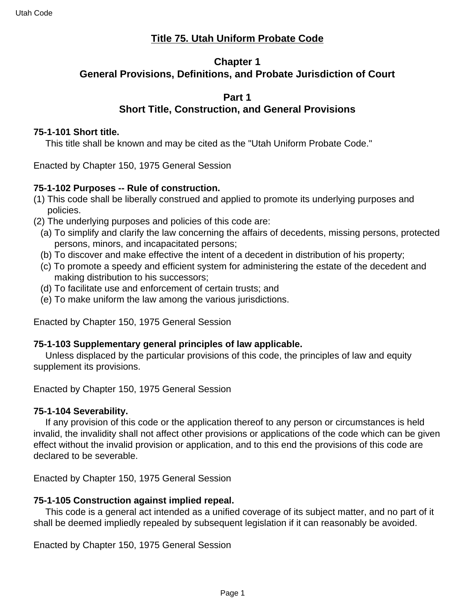# **Title 75. Utah Uniform Probate Code**

# **Chapter 1 General Provisions, Definitions, and Probate Jurisdiction of Court**

# **Part 1 Short Title, Construction, and General Provisions**

### **75-1-101 Short title.**

This title shall be known and may be cited as the "Utah Uniform Probate Code."

Enacted by Chapter 150, 1975 General Session

# **75-1-102 Purposes -- Rule of construction.**

- (1) This code shall be liberally construed and applied to promote its underlying purposes and policies.
- (2) The underlying purposes and policies of this code are:
	- (a) To simplify and clarify the law concerning the affairs of decedents, missing persons, protected persons, minors, and incapacitated persons;
	- (b) To discover and make effective the intent of a decedent in distribution of his property;
	- (c) To promote a speedy and efficient system for administering the estate of the decedent and making distribution to his successors;
	- (d) To facilitate use and enforcement of certain trusts; and
	- (e) To make uniform the law among the various jurisdictions.

Enacted by Chapter 150, 1975 General Session

### **75-1-103 Supplementary general principles of law applicable.**

 Unless displaced by the particular provisions of this code, the principles of law and equity supplement its provisions.

Enacted by Chapter 150, 1975 General Session

### **75-1-104 Severability.**

 If any provision of this code or the application thereof to any person or circumstances is held invalid, the invalidity shall not affect other provisions or applications of the code which can be given effect without the invalid provision or application, and to this end the provisions of this code are declared to be severable.

Enacted by Chapter 150, 1975 General Session

# **75-1-105 Construction against implied repeal.**

 This code is a general act intended as a unified coverage of its subject matter, and no part of it shall be deemed impliedly repealed by subsequent legislation if it can reasonably be avoided.

Enacted by Chapter 150, 1975 General Session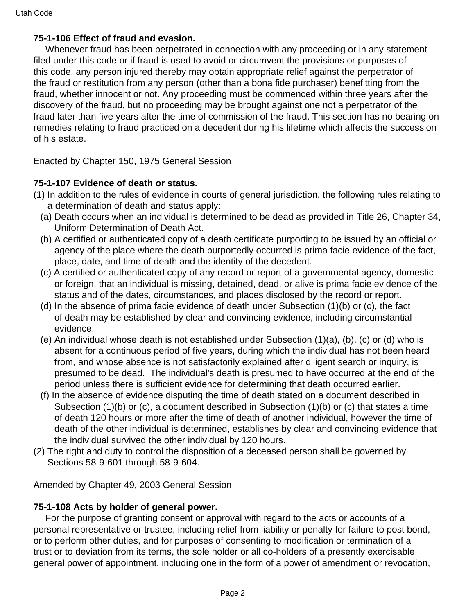## **75-1-106 Effect of fraud and evasion.**

 Whenever fraud has been perpetrated in connection with any proceeding or in any statement filed under this code or if fraud is used to avoid or circumvent the provisions or purposes of this code, any person injured thereby may obtain appropriate relief against the perpetrator of the fraud or restitution from any person (other than a bona fide purchaser) benefitting from the fraud, whether innocent or not. Any proceeding must be commenced within three years after the discovery of the fraud, but no proceeding may be brought against one not a perpetrator of the fraud later than five years after the time of commission of the fraud. This section has no bearing on remedies relating to fraud practiced on a decedent during his lifetime which affects the succession of his estate.

Enacted by Chapter 150, 1975 General Session

## **75-1-107 Evidence of death or status.**

- (1) In addition to the rules of evidence in courts of general jurisdiction, the following rules relating to a determination of death and status apply:
	- (a) Death occurs when an individual is determined to be dead as provided in Title 26, Chapter 34, Uniform Determination of Death Act.
	- (b) A certified or authenticated copy of a death certificate purporting to be issued by an official or agency of the place where the death purportedly occurred is prima facie evidence of the fact, place, date, and time of death and the identity of the decedent.
	- (c) A certified or authenticated copy of any record or report of a governmental agency, domestic or foreign, that an individual is missing, detained, dead, or alive is prima facie evidence of the status and of the dates, circumstances, and places disclosed by the record or report.
	- (d) In the absence of prima facie evidence of death under Subsection (1)(b) or (c), the fact of death may be established by clear and convincing evidence, including circumstantial evidence.
	- (e) An individual whose death is not established under Subsection (1)(a), (b), (c) or (d) who is absent for a continuous period of five years, during which the individual has not been heard from, and whose absence is not satisfactorily explained after diligent search or inquiry, is presumed to be dead. The individual's death is presumed to have occurred at the end of the period unless there is sufficient evidence for determining that death occurred earlier.
	- (f) In the absence of evidence disputing the time of death stated on a document described in Subsection (1)(b) or (c), a document described in Subsection (1)(b) or (c) that states a time of death 120 hours or more after the time of death of another individual, however the time of death of the other individual is determined, establishes by clear and convincing evidence that the individual survived the other individual by 120 hours.
- (2) The right and duty to control the disposition of a deceased person shall be governed by Sections 58-9-601 through 58-9-604.

Amended by Chapter 49, 2003 General Session

### **75-1-108 Acts by holder of general power.**

 For the purpose of granting consent or approval with regard to the acts or accounts of a personal representative or trustee, including relief from liability or penalty for failure to post bond, or to perform other duties, and for purposes of consenting to modification or termination of a trust or to deviation from its terms, the sole holder or all co-holders of a presently exercisable general power of appointment, including one in the form of a power of amendment or revocation,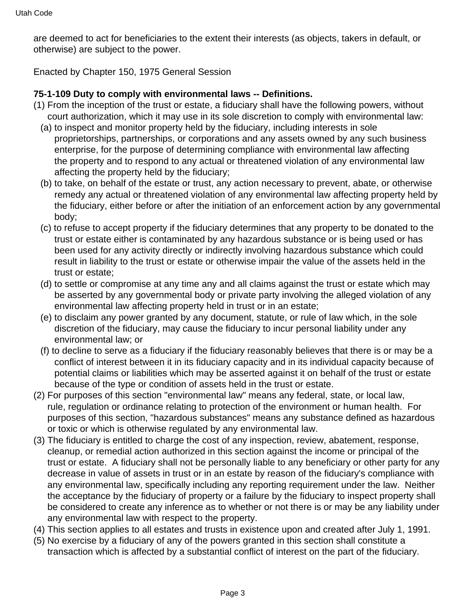are deemed to act for beneficiaries to the extent their interests (as objects, takers in default, or otherwise) are subject to the power.

Enacted by Chapter 150, 1975 General Session

#### **75-1-109 Duty to comply with environmental laws -- Definitions.**

- (1) From the inception of the trust or estate, a fiduciary shall have the following powers, without court authorization, which it may use in its sole discretion to comply with environmental law:
	- (a) to inspect and monitor property held by the fiduciary, including interests in sole proprietorships, partnerships, or corporations and any assets owned by any such business enterprise, for the purpose of determining compliance with environmental law affecting the property and to respond to any actual or threatened violation of any environmental law affecting the property held by the fiduciary;
	- (b) to take, on behalf of the estate or trust, any action necessary to prevent, abate, or otherwise remedy any actual or threatened violation of any environmental law affecting property held by the fiduciary, either before or after the initiation of an enforcement action by any governmental body;
	- (c) to refuse to accept property if the fiduciary determines that any property to be donated to the trust or estate either is contaminated by any hazardous substance or is being used or has been used for any activity directly or indirectly involving hazardous substance which could result in liability to the trust or estate or otherwise impair the value of the assets held in the trust or estate;
	- (d) to settle or compromise at any time any and all claims against the trust or estate which may be asserted by any governmental body or private party involving the alleged violation of any environmental law affecting property held in trust or in an estate;
	- (e) to disclaim any power granted by any document, statute, or rule of law which, in the sole discretion of the fiduciary, may cause the fiduciary to incur personal liability under any environmental law; or
	- (f) to decline to serve as a fiduciary if the fiduciary reasonably believes that there is or may be a conflict of interest between it in its fiduciary capacity and in its individual capacity because of potential claims or liabilities which may be asserted against it on behalf of the trust or estate because of the type or condition of assets held in the trust or estate.
- (2) For purposes of this section "environmental law" means any federal, state, or local law, rule, regulation or ordinance relating to protection of the environment or human health. For purposes of this section, "hazardous substances" means any substance defined as hazardous or toxic or which is otherwise regulated by any environmental law.
- (3) The fiduciary is entitled to charge the cost of any inspection, review, abatement, response, cleanup, or remedial action authorized in this section against the income or principal of the trust or estate. A fiduciary shall not be personally liable to any beneficiary or other party for any decrease in value of assets in trust or in an estate by reason of the fiduciary's compliance with any environmental law, specifically including any reporting requirement under the law. Neither the acceptance by the fiduciary of property or a failure by the fiduciary to inspect property shall be considered to create any inference as to whether or not there is or may be any liability under any environmental law with respect to the property.
- (4) This section applies to all estates and trusts in existence upon and created after July 1, 1991.
- (5) No exercise by a fiduciary of any of the powers granted in this section shall constitute a transaction which is affected by a substantial conflict of interest on the part of the fiduciary.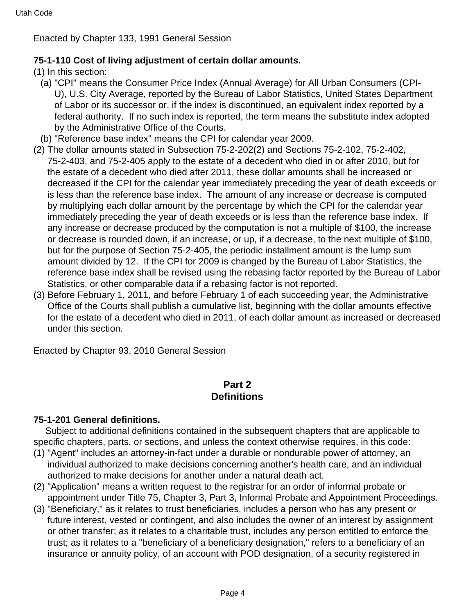Enacted by Chapter 133, 1991 General Session

# **75-1-110 Cost of living adjustment of certain dollar amounts.**

- (1) In this section:
	- (a) "CPI" means the Consumer Price Index (Annual Average) for All Urban Consumers (CPI-U), U.S. City Average, reported by the Bureau of Labor Statistics, United States Department of Labor or its successor or, if the index is discontinued, an equivalent index reported by a federal authority. If no such index is reported, the term means the substitute index adopted by the Administrative Office of the Courts.
- (b) "Reference base index" means the CPI for calendar year 2009.
- (2) The dollar amounts stated in Subsection 75-2-202(2) and Sections 75-2-102, 75-2-402, 75-2-403, and 75-2-405 apply to the estate of a decedent who died in or after 2010, but for the estate of a decedent who died after 2011, these dollar amounts shall be increased or decreased if the CPI for the calendar year immediately preceding the year of death exceeds or is less than the reference base index. The amount of any increase or decrease is computed by multiplying each dollar amount by the percentage by which the CPI for the calendar year immediately preceding the year of death exceeds or is less than the reference base index. If any increase or decrease produced by the computation is not a multiple of \$100, the increase or decrease is rounded down, if an increase, or up, if a decrease, to the next multiple of \$100, but for the purpose of Section 75-2-405, the periodic installment amount is the lump sum amount divided by 12. If the CPI for 2009 is changed by the Bureau of Labor Statistics, the reference base index shall be revised using the rebasing factor reported by the Bureau of Labor Statistics, or other comparable data if a rebasing factor is not reported.
- (3) Before February 1, 2011, and before February 1 of each succeeding year, the Administrative Office of the Courts shall publish a cumulative list, beginning with the dollar amounts effective for the estate of a decedent who died in 2011, of each dollar amount as increased or decreased under this section.

Enacted by Chapter 93, 2010 General Session

# **Part 2 Definitions**

# **75-1-201 General definitions.**

 Subject to additional definitions contained in the subsequent chapters that are applicable to specific chapters, parts, or sections, and unless the context otherwise requires, in this code:

- (1) "Agent" includes an attorney-in-fact under a durable or nondurable power of attorney, an individual authorized to make decisions concerning another's health care, and an individual authorized to make decisions for another under a natural death act.
- (2) "Application" means a written request to the registrar for an order of informal probate or appointment under Title 75, Chapter 3, Part 3, Informal Probate and Appointment Proceedings.
- (3) "Beneficiary," as it relates to trust beneficiaries, includes a person who has any present or future interest, vested or contingent, and also includes the owner of an interest by assignment or other transfer; as it relates to a charitable trust, includes any person entitled to enforce the trust; as it relates to a "beneficiary of a beneficiary designation," refers to a beneficiary of an insurance or annuity policy, of an account with POD designation, of a security registered in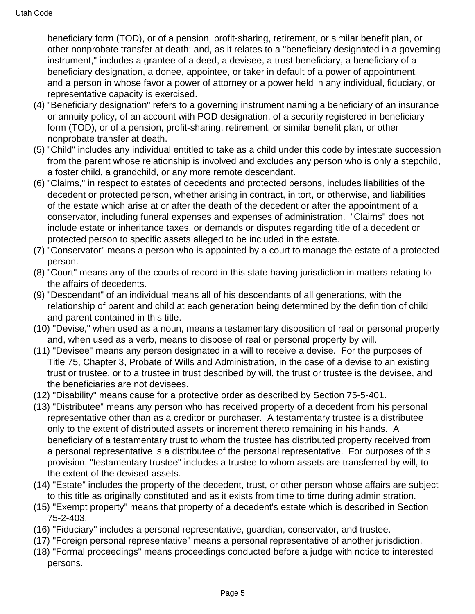beneficiary form (TOD), or of a pension, profit-sharing, retirement, or similar benefit plan, or other nonprobate transfer at death; and, as it relates to a "beneficiary designated in a governing instrument," includes a grantee of a deed, a devisee, a trust beneficiary, a beneficiary of a beneficiary designation, a donee, appointee, or taker in default of a power of appointment, and a person in whose favor a power of attorney or a power held in any individual, fiduciary, or representative capacity is exercised.

- (4) "Beneficiary designation" refers to a governing instrument naming a beneficiary of an insurance or annuity policy, of an account with POD designation, of a security registered in beneficiary form (TOD), or of a pension, profit-sharing, retirement, or similar benefit plan, or other nonprobate transfer at death.
- (5) "Child" includes any individual entitled to take as a child under this code by intestate succession from the parent whose relationship is involved and excludes any person who is only a stepchild, a foster child, a grandchild, or any more remote descendant.
- (6) "Claims," in respect to estates of decedents and protected persons, includes liabilities of the decedent or protected person, whether arising in contract, in tort, or otherwise, and liabilities of the estate which arise at or after the death of the decedent or after the appointment of a conservator, including funeral expenses and expenses of administration. "Claims" does not include estate or inheritance taxes, or demands or disputes regarding title of a decedent or protected person to specific assets alleged to be included in the estate.
- (7) "Conservator" means a person who is appointed by a court to manage the estate of a protected person.
- (8) "Court" means any of the courts of record in this state having jurisdiction in matters relating to the affairs of decedents.
- (9) "Descendant" of an individual means all of his descendants of all generations, with the relationship of parent and child at each generation being determined by the definition of child and parent contained in this title.
- (10) "Devise," when used as a noun, means a testamentary disposition of real or personal property and, when used as a verb, means to dispose of real or personal property by will.
- (11) "Devisee" means any person designated in a will to receive a devise. For the purposes of Title 75, Chapter 3, Probate of Wills and Administration, in the case of a devise to an existing trust or trustee, or to a trustee in trust described by will, the trust or trustee is the devisee, and the beneficiaries are not devisees.
- (12) "Disability" means cause for a protective order as described by Section 75-5-401.
- (13) "Distributee" means any person who has received property of a decedent from his personal representative other than as a creditor or purchaser. A testamentary trustee is a distributee only to the extent of distributed assets or increment thereto remaining in his hands. A beneficiary of a testamentary trust to whom the trustee has distributed property received from a personal representative is a distributee of the personal representative. For purposes of this provision, "testamentary trustee" includes a trustee to whom assets are transferred by will, to the extent of the devised assets.
- (14) "Estate" includes the property of the decedent, trust, or other person whose affairs are subject to this title as originally constituted and as it exists from time to time during administration.
- (15) "Exempt property" means that property of a decedent's estate which is described in Section 75-2-403.
- (16) "Fiduciary" includes a personal representative, guardian, conservator, and trustee.
- (17) "Foreign personal representative" means a personal representative of another jurisdiction.
- (18) "Formal proceedings" means proceedings conducted before a judge with notice to interested persons.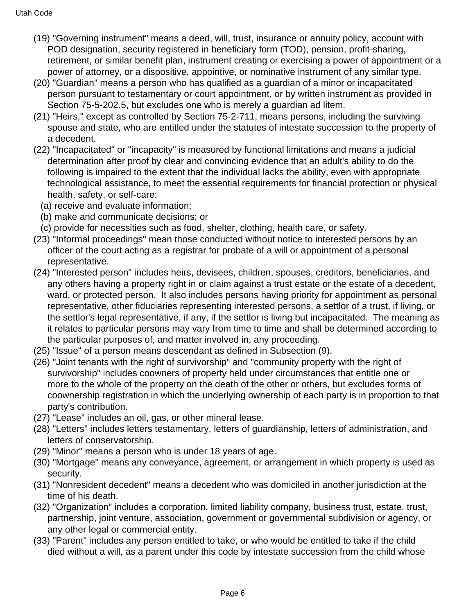- (19) "Governing instrument" means a deed, will, trust, insurance or annuity policy, account with POD designation, security registered in beneficiary form (TOD), pension, profit-sharing, retirement, or similar benefit plan, instrument creating or exercising a power of appointment or a power of attorney, or a dispositive, appointive, or nominative instrument of any similar type.
- (20) "Guardian" means a person who has qualified as a guardian of a minor or incapacitated person pursuant to testamentary or court appointment, or by written instrument as provided in Section 75-5-202.5, but excludes one who is merely a guardian ad litem.
- (21) "Heirs," except as controlled by Section 75-2-711, means persons, including the surviving spouse and state, who are entitled under the statutes of intestate succession to the property of a decedent.
- (22) "Incapacitated" or "incapacity" is measured by functional limitations and means a judicial determination after proof by clear and convincing evidence that an adult's ability to do the following is impaired to the extent that the individual lacks the ability, even with appropriate technological assistance, to meet the essential requirements for financial protection or physical health, safety, or self-care:
	- (a) receive and evaluate information;
	- (b) make and communicate decisions; or
- (c) provide for necessities such as food, shelter, clothing, health care, or safety.
- (23) "Informal proceedings" mean those conducted without notice to interested persons by an officer of the court acting as a registrar for probate of a will or appointment of a personal representative.
- (24) "Interested person" includes heirs, devisees, children, spouses, creditors, beneficiaries, and any others having a property right in or claim against a trust estate or the estate of a decedent, ward, or protected person. It also includes persons having priority for appointment as personal representative, other fiduciaries representing interested persons, a settlor of a trust, if living, or the settlor's legal representative, if any, if the settlor is living but incapacitated. The meaning as it relates to particular persons may vary from time to time and shall be determined according to the particular purposes of, and matter involved in, any proceeding.
- (25) "Issue" of a person means descendant as defined in Subsection (9).
- (26) "Joint tenants with the right of survivorship" and "community property with the right of survivorship" includes coowners of property held under circumstances that entitle one or more to the whole of the property on the death of the other or others, but excludes forms of coownership registration in which the underlying ownership of each party is in proportion to that party's contribution.
- (27) "Lease" includes an oil, gas, or other mineral lease.
- (28) "Letters" includes letters testamentary, letters of guardianship, letters of administration, and letters of conservatorship.
- (29) "Minor" means a person who is under 18 years of age.
- (30) "Mortgage" means any conveyance, agreement, or arrangement in which property is used as security.
- (31) "Nonresident decedent" means a decedent who was domiciled in another jurisdiction at the time of his death.
- (32) "Organization" includes a corporation, limited liability company, business trust, estate, trust, partnership, joint venture, association, government or governmental subdivision or agency, or any other legal or commercial entity.
- (33) "Parent" includes any person entitled to take, or who would be entitled to take if the child died without a will, as a parent under this code by intestate succession from the child whose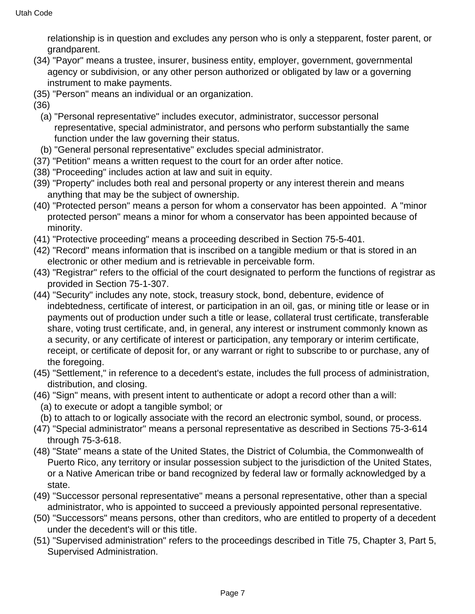relationship is in question and excludes any person who is only a stepparent, foster parent, or grandparent.

- (34) "Payor" means a trustee, insurer, business entity, employer, government, governmental agency or subdivision, or any other person authorized or obligated by law or a governing instrument to make payments.
- (35) "Person" means an individual or an organization.
- (36)
	- (a) "Personal representative" includes executor, administrator, successor personal representative, special administrator, and persons who perform substantially the same function under the law governing their status.
- (b) "General personal representative" excludes special administrator.
- (37) "Petition" means a written request to the court for an order after notice.
- (38) "Proceeding" includes action at law and suit in equity.
- (39) "Property" includes both real and personal property or any interest therein and means anything that may be the subject of ownership.
- (40) "Protected person" means a person for whom a conservator has been appointed. A "minor protected person" means a minor for whom a conservator has been appointed because of minority.
- (41) "Protective proceeding" means a proceeding described in Section 75-5-401.
- (42) "Record" means information that is inscribed on a tangible medium or that is stored in an electronic or other medium and is retrievable in perceivable form.
- (43) "Registrar" refers to the official of the court designated to perform the functions of registrar as provided in Section 75-1-307.
- (44) "Security" includes any note, stock, treasury stock, bond, debenture, evidence of indebtedness, certificate of interest, or participation in an oil, gas, or mining title or lease or in payments out of production under such a title or lease, collateral trust certificate, transferable share, voting trust certificate, and, in general, any interest or instrument commonly known as a security, or any certificate of interest or participation, any temporary or interim certificate, receipt, or certificate of deposit for, or any warrant or right to subscribe to or purchase, any of the foregoing.
- (45) "Settlement," in reference to a decedent's estate, includes the full process of administration, distribution, and closing.
- (46) "Sign" means, with present intent to authenticate or adopt a record other than a will:
	- (a) to execute or adopt a tangible symbol; or
	- (b) to attach to or logically associate with the record an electronic symbol, sound, or process.
- (47) "Special administrator" means a personal representative as described in Sections 75-3-614 through 75-3-618.
- (48) "State" means a state of the United States, the District of Columbia, the Commonwealth of Puerto Rico, any territory or insular possession subject to the jurisdiction of the United States, or a Native American tribe or band recognized by federal law or formally acknowledged by a state.
- (49) "Successor personal representative" means a personal representative, other than a special administrator, who is appointed to succeed a previously appointed personal representative.
- (50) "Successors" means persons, other than creditors, who are entitled to property of a decedent under the decedent's will or this title.
- (51) "Supervised administration" refers to the proceedings described in Title 75, Chapter 3, Part 5, Supervised Administration.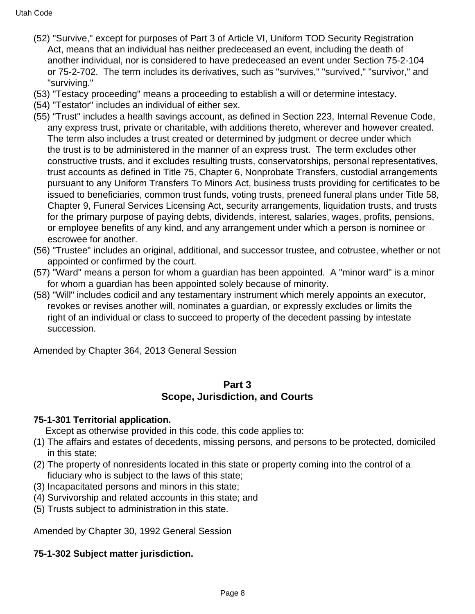- (52) "Survive," except for purposes of Part 3 of Article VI, Uniform TOD Security Registration Act, means that an individual has neither predeceased an event, including the death of another individual, nor is considered to have predeceased an event under Section 75-2-104 or 75-2-702. The term includes its derivatives, such as "survives," "survived," "survivor," and "surviving."
- (53) "Testacy proceeding" means a proceeding to establish a will or determine intestacy.
- (54) "Testator" includes an individual of either sex.
- (55) "Trust" includes a health savings account, as defined in Section 223, Internal Revenue Code, any express trust, private or charitable, with additions thereto, wherever and however created. The term also includes a trust created or determined by judgment or decree under which the trust is to be administered in the manner of an express trust. The term excludes other constructive trusts, and it excludes resulting trusts, conservatorships, personal representatives, trust accounts as defined in Title 75, Chapter 6, Nonprobate Transfers, custodial arrangements pursuant to any Uniform Transfers To Minors Act, business trusts providing for certificates to be issued to beneficiaries, common trust funds, voting trusts, preneed funeral plans under Title 58, Chapter 9, Funeral Services Licensing Act, security arrangements, liquidation trusts, and trusts for the primary purpose of paying debts, dividends, interest, salaries, wages, profits, pensions, or employee benefits of any kind, and any arrangement under which a person is nominee or escrowee for another.
- (56) "Trustee" includes an original, additional, and successor trustee, and cotrustee, whether or not appointed or confirmed by the court.
- (57) "Ward" means a person for whom a guardian has been appointed. A "minor ward" is a minor for whom a guardian has been appointed solely because of minority.
- (58) "Will" includes codicil and any testamentary instrument which merely appoints an executor, revokes or revises another will, nominates a guardian, or expressly excludes or limits the right of an individual or class to succeed to property of the decedent passing by intestate succession.

Amended by Chapter 364, 2013 General Session

# **Part 3 Scope, Jurisdiction, and Courts**

### **75-1-301 Territorial application.**

Except as otherwise provided in this code, this code applies to:

- (1) The affairs and estates of decedents, missing persons, and persons to be protected, domiciled in this state;
- (2) The property of nonresidents located in this state or property coming into the control of a fiduciary who is subject to the laws of this state;
- (3) Incapacitated persons and minors in this state;
- (4) Survivorship and related accounts in this state; and
- (5) Trusts subject to administration in this state.

Amended by Chapter 30, 1992 General Session

### **75-1-302 Subject matter jurisdiction.**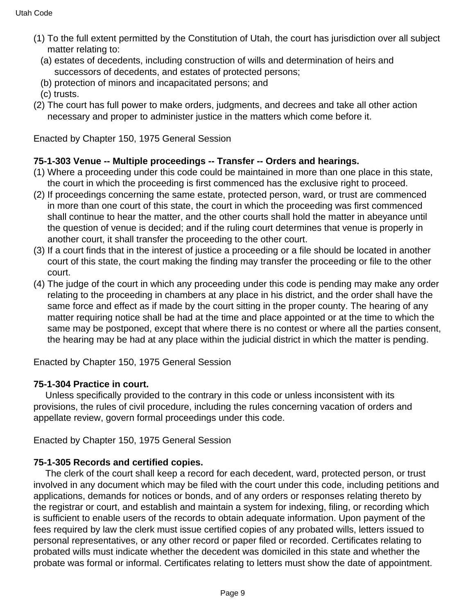- (1) To the full extent permitted by the Constitution of Utah, the court has jurisdiction over all subject matter relating to:
	- (a) estates of decedents, including construction of wills and determination of heirs and successors of decedents, and estates of protected persons;
	- (b) protection of minors and incapacitated persons; and
	- (c) trusts.
- (2) The court has full power to make orders, judgments, and decrees and take all other action necessary and proper to administer justice in the matters which come before it.

Enacted by Chapter 150, 1975 General Session

# **75-1-303 Venue -- Multiple proceedings -- Transfer -- Orders and hearings.**

- (1) Where a proceeding under this code could be maintained in more than one place in this state, the court in which the proceeding is first commenced has the exclusive right to proceed.
- (2) If proceedings concerning the same estate, protected person, ward, or trust are commenced in more than one court of this state, the court in which the proceeding was first commenced shall continue to hear the matter, and the other courts shall hold the matter in abeyance until the question of venue is decided; and if the ruling court determines that venue is properly in another court, it shall transfer the proceeding to the other court.
- (3) If a court finds that in the interest of justice a proceeding or a file should be located in another court of this state, the court making the finding may transfer the proceeding or file to the other court.
- (4) The judge of the court in which any proceeding under this code is pending may make any order relating to the proceeding in chambers at any place in his district, and the order shall have the same force and effect as if made by the court sitting in the proper county. The hearing of any matter requiring notice shall be had at the time and place appointed or at the time to which the same may be postponed, except that where there is no contest or where all the parties consent, the hearing may be had at any place within the judicial district in which the matter is pending.

Enacted by Chapter 150, 1975 General Session

# **75-1-304 Practice in court.**

 Unless specifically provided to the contrary in this code or unless inconsistent with its provisions, the rules of civil procedure, including the rules concerning vacation of orders and appellate review, govern formal proceedings under this code.

Enacted by Chapter 150, 1975 General Session

# **75-1-305 Records and certified copies.**

 The clerk of the court shall keep a record for each decedent, ward, protected person, or trust involved in any document which may be filed with the court under this code, including petitions and applications, demands for notices or bonds, and of any orders or responses relating thereto by the registrar or court, and establish and maintain a system for indexing, filing, or recording which is sufficient to enable users of the records to obtain adequate information. Upon payment of the fees required by law the clerk must issue certified copies of any probated wills, letters issued to personal representatives, or any other record or paper filed or recorded. Certificates relating to probated wills must indicate whether the decedent was domiciled in this state and whether the probate was formal or informal. Certificates relating to letters must show the date of appointment.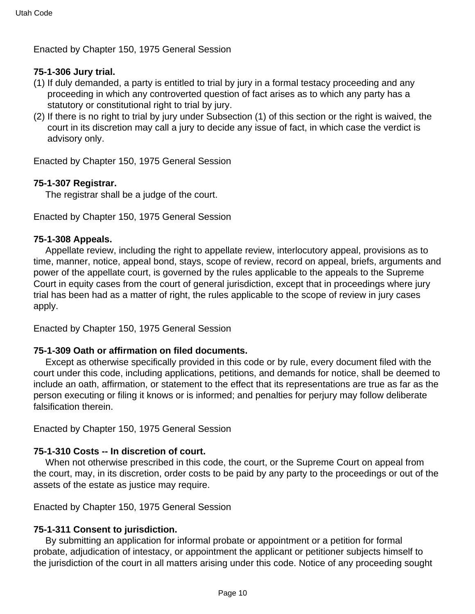Enacted by Chapter 150, 1975 General Session

## **75-1-306 Jury trial.**

- (1) If duly demanded, a party is entitled to trial by jury in a formal testacy proceeding and any proceeding in which any controverted question of fact arises as to which any party has a statutory or constitutional right to trial by jury.
- (2) If there is no right to trial by jury under Subsection (1) of this section or the right is waived, the court in its discretion may call a jury to decide any issue of fact, in which case the verdict is advisory only.

Enacted by Chapter 150, 1975 General Session

## **75-1-307 Registrar.**

The registrar shall be a judge of the court.

Enacted by Chapter 150, 1975 General Session

#### **75-1-308 Appeals.**

 Appellate review, including the right to appellate review, interlocutory appeal, provisions as to time, manner, notice, appeal bond, stays, scope of review, record on appeal, briefs, arguments and power of the appellate court, is governed by the rules applicable to the appeals to the Supreme Court in equity cases from the court of general jurisdiction, except that in proceedings where jury trial has been had as a matter of right, the rules applicable to the scope of review in jury cases apply.

Enacted by Chapter 150, 1975 General Session

### **75-1-309 Oath or affirmation on filed documents.**

 Except as otherwise specifically provided in this code or by rule, every document filed with the court under this code, including applications, petitions, and demands for notice, shall be deemed to include an oath, affirmation, or statement to the effect that its representations are true as far as the person executing or filing it knows or is informed; and penalties for perjury may follow deliberate falsification therein.

Enacted by Chapter 150, 1975 General Session

### **75-1-310 Costs -- In discretion of court.**

 When not otherwise prescribed in this code, the court, or the Supreme Court on appeal from the court, may, in its discretion, order costs to be paid by any party to the proceedings or out of the assets of the estate as justice may require.

Enacted by Chapter 150, 1975 General Session

### **75-1-311 Consent to jurisdiction.**

 By submitting an application for informal probate or appointment or a petition for formal probate, adjudication of intestacy, or appointment the applicant or petitioner subjects himself to the jurisdiction of the court in all matters arising under this code. Notice of any proceeding sought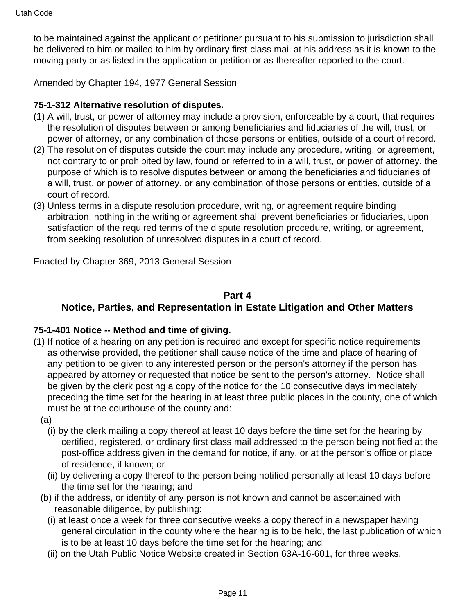to be maintained against the applicant or petitioner pursuant to his submission to jurisdiction shall be delivered to him or mailed to him by ordinary first-class mail at his address as it is known to the moving party or as listed in the application or petition or as thereafter reported to the court.

Amended by Chapter 194, 1977 General Session

#### **75-1-312 Alternative resolution of disputes.**

- (1) A will, trust, or power of attorney may include a provision, enforceable by a court, that requires the resolution of disputes between or among beneficiaries and fiduciaries of the will, trust, or power of attorney, or any combination of those persons or entities, outside of a court of record.
- (2) The resolution of disputes outside the court may include any procedure, writing, or agreement, not contrary to or prohibited by law, found or referred to in a will, trust, or power of attorney, the purpose of which is to resolve disputes between or among the beneficiaries and fiduciaries of a will, trust, or power of attorney, or any combination of those persons or entities, outside of a court of record.
- (3) Unless terms in a dispute resolution procedure, writing, or agreement require binding arbitration, nothing in the writing or agreement shall prevent beneficiaries or fiduciaries, upon satisfaction of the required terms of the dispute resolution procedure, writing, or agreement, from seeking resolution of unresolved disputes in a court of record.

Enacted by Chapter 369, 2013 General Session

#### **Part 4**

# **Notice, Parties, and Representation in Estate Litigation and Other Matters**

#### **75-1-401 Notice -- Method and time of giving.**

- (1) If notice of a hearing on any petition is required and except for specific notice requirements as otherwise provided, the petitioner shall cause notice of the time and place of hearing of any petition to be given to any interested person or the person's attorney if the person has appeared by attorney or requested that notice be sent to the person's attorney. Notice shall be given by the clerk posting a copy of the notice for the 10 consecutive days immediately preceding the time set for the hearing in at least three public places in the county, one of which must be at the courthouse of the county and:
	- (a)
		- (i) by the clerk mailing a copy thereof at least 10 days before the time set for the hearing by certified, registered, or ordinary first class mail addressed to the person being notified at the post-office address given in the demand for notice, if any, or at the person's office or place of residence, if known; or
		- (ii) by delivering a copy thereof to the person being notified personally at least 10 days before the time set for the hearing; and
	- (b) if the address, or identity of any person is not known and cannot be ascertained with reasonable diligence, by publishing:
		- (i) at least once a week for three consecutive weeks a copy thereof in a newspaper having general circulation in the county where the hearing is to be held, the last publication of which is to be at least 10 days before the time set for the hearing; and
		- (ii) on the Utah Public Notice Website created in Section 63A-16-601, for three weeks.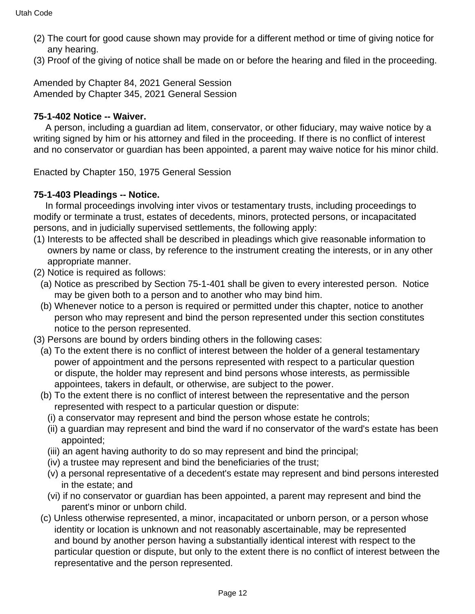- (2) The court for good cause shown may provide for a different method or time of giving notice for any hearing.
- (3) Proof of the giving of notice shall be made on or before the hearing and filed in the proceeding.

Amended by Chapter 84, 2021 General Session Amended by Chapter 345, 2021 General Session

# **75-1-402 Notice -- Waiver.**

 A person, including a guardian ad litem, conservator, or other fiduciary, may waive notice by a writing signed by him or his attorney and filed in the proceeding. If there is no conflict of interest and no conservator or guardian has been appointed, a parent may waive notice for his minor child.

Enacted by Chapter 150, 1975 General Session

# **75-1-403 Pleadings -- Notice.**

 In formal proceedings involving inter vivos or testamentary trusts, including proceedings to modify or terminate a trust, estates of decedents, minors, protected persons, or incapacitated persons, and in judicially supervised settlements, the following apply:

- (1) Interests to be affected shall be described in pleadings which give reasonable information to owners by name or class, by reference to the instrument creating the interests, or in any other appropriate manner.
- (2) Notice is required as follows:
	- (a) Notice as prescribed by Section 75-1-401 shall be given to every interested person. Notice may be given both to a person and to another who may bind him.
	- (b) Whenever notice to a person is required or permitted under this chapter, notice to another person who may represent and bind the person represented under this section constitutes notice to the person represented.
- (3) Persons are bound by orders binding others in the following cases:
	- (a) To the extent there is no conflict of interest between the holder of a general testamentary power of appointment and the persons represented with respect to a particular question or dispute, the holder may represent and bind persons whose interests, as permissible appointees, takers in default, or otherwise, are subject to the power.
	- (b) To the extent there is no conflict of interest between the representative and the person represented with respect to a particular question or dispute:
		- (i) a conservator may represent and bind the person whose estate he controls;
		- (ii) a guardian may represent and bind the ward if no conservator of the ward's estate has been appointed;
		- (iii) an agent having authority to do so may represent and bind the principal;
		- (iv) a trustee may represent and bind the beneficiaries of the trust;
		- (v) a personal representative of a decedent's estate may represent and bind persons interested in the estate; and
		- (vi) if no conservator or guardian has been appointed, a parent may represent and bind the parent's minor or unborn child.
	- (c) Unless otherwise represented, a minor, incapacitated or unborn person, or a person whose identity or location is unknown and not reasonably ascertainable, may be represented and bound by another person having a substantially identical interest with respect to the particular question or dispute, but only to the extent there is no conflict of interest between the representative and the person represented.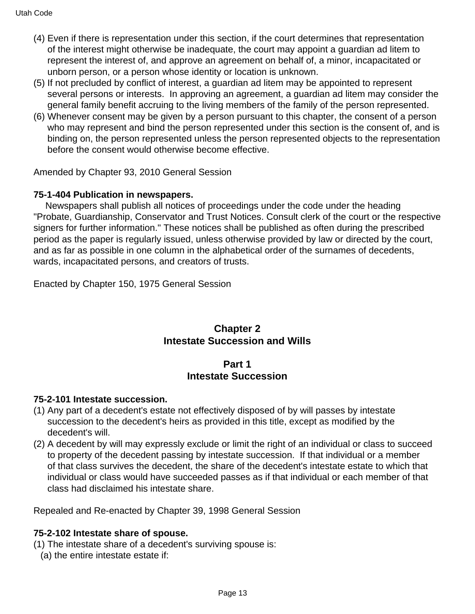- (4) Even if there is representation under this section, if the court determines that representation of the interest might otherwise be inadequate, the court may appoint a guardian ad litem to represent the interest of, and approve an agreement on behalf of, a minor, incapacitated or unborn person, or a person whose identity or location is unknown.
- (5) If not precluded by conflict of interest, a guardian ad litem may be appointed to represent several persons or interests. In approving an agreement, a guardian ad litem may consider the general family benefit accruing to the living members of the family of the person represented.
- (6) Whenever consent may be given by a person pursuant to this chapter, the consent of a person who may represent and bind the person represented under this section is the consent of, and is binding on, the person represented unless the person represented objects to the representation before the consent would otherwise become effective.

Amended by Chapter 93, 2010 General Session

#### **75-1-404 Publication in newspapers.**

 Newspapers shall publish all notices of proceedings under the code under the heading "Probate, Guardianship, Conservator and Trust Notices. Consult clerk of the court or the respective signers for further information." These notices shall be published as often during the prescribed period as the paper is regularly issued, unless otherwise provided by law or directed by the court, and as far as possible in one column in the alphabetical order of the surnames of decedents, wards, incapacitated persons, and creators of trusts.

Enacted by Chapter 150, 1975 General Session

# **Chapter 2 Intestate Succession and Wills**

## **Part 1 Intestate Succession**

### **75-2-101 Intestate succession.**

- (1) Any part of a decedent's estate not effectively disposed of by will passes by intestate succession to the decedent's heirs as provided in this title, except as modified by the decedent's will.
- (2) A decedent by will may expressly exclude or limit the right of an individual or class to succeed to property of the decedent passing by intestate succession. If that individual or a member of that class survives the decedent, the share of the decedent's intestate estate to which that individual or class would have succeeded passes as if that individual or each member of that class had disclaimed his intestate share.

Repealed and Re-enacted by Chapter 39, 1998 General Session

### **75-2-102 Intestate share of spouse.**

- (1) The intestate share of a decedent's surviving spouse is:
	- (a) the entire intestate estate if: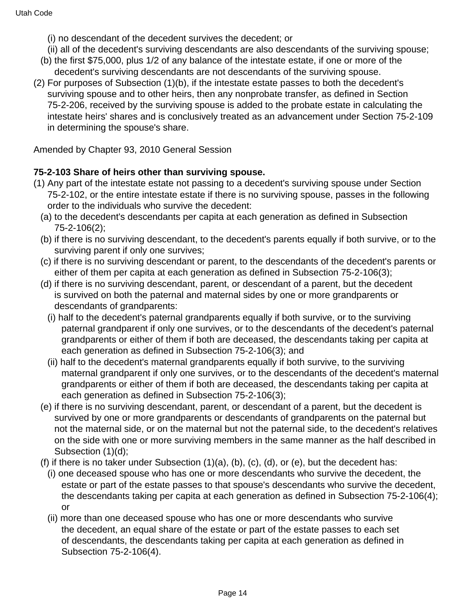- (i) no descendant of the decedent survives the decedent; or
- (ii) all of the decedent's surviving descendants are also descendants of the surviving spouse;
- (b) the first \$75,000, plus 1/2 of any balance of the intestate estate, if one or more of the decedent's surviving descendants are not descendants of the surviving spouse.
- (2) For purposes of Subsection (1)(b), if the intestate estate passes to both the decedent's surviving spouse and to other heirs, then any nonprobate transfer, as defined in Section 75-2-206, received by the surviving spouse is added to the probate estate in calculating the intestate heirs' shares and is conclusively treated as an advancement under Section 75-2-109 in determining the spouse's share.

Amended by Chapter 93, 2010 General Session

# **75-2-103 Share of heirs other than surviving spouse.**

- (1) Any part of the intestate estate not passing to a decedent's surviving spouse under Section 75-2-102, or the entire intestate estate if there is no surviving spouse, passes in the following order to the individuals who survive the decedent:
	- (a) to the decedent's descendants per capita at each generation as defined in Subsection 75-2-106(2);
	- (b) if there is no surviving descendant, to the decedent's parents equally if both survive, or to the surviving parent if only one survives;
	- (c) if there is no surviving descendant or parent, to the descendants of the decedent's parents or either of them per capita at each generation as defined in Subsection 75-2-106(3);
	- (d) if there is no surviving descendant, parent, or descendant of a parent, but the decedent is survived on both the paternal and maternal sides by one or more grandparents or descendants of grandparents:
		- (i) half to the decedent's paternal grandparents equally if both survive, or to the surviving paternal grandparent if only one survives, or to the descendants of the decedent's paternal grandparents or either of them if both are deceased, the descendants taking per capita at each generation as defined in Subsection 75-2-106(3); and
		- (ii) half to the decedent's maternal grandparents equally if both survive, to the surviving maternal grandparent if only one survives, or to the descendants of the decedent's maternal grandparents or either of them if both are deceased, the descendants taking per capita at each generation as defined in Subsection 75-2-106(3);
	- (e) if there is no surviving descendant, parent, or descendant of a parent, but the decedent is survived by one or more grandparents or descendants of grandparents on the paternal but not the maternal side, or on the maternal but not the paternal side, to the decedent's relatives on the side with one or more surviving members in the same manner as the half described in Subsection (1)(d);
	- (f) if there is no taker under Subsection  $(1)(a)$ ,  $(b)$ ,  $(c)$ ,  $(d)$ , or  $(e)$ , but the decedent has:
		- (i) one deceased spouse who has one or more descendants who survive the decedent, the estate or part of the estate passes to that spouse's descendants who survive the decedent, the descendants taking per capita at each generation as defined in Subsection 75-2-106(4); or
		- (ii) more than one deceased spouse who has one or more descendants who survive the decedent, an equal share of the estate or part of the estate passes to each set of descendants, the descendants taking per capita at each generation as defined in Subsection 75-2-106(4).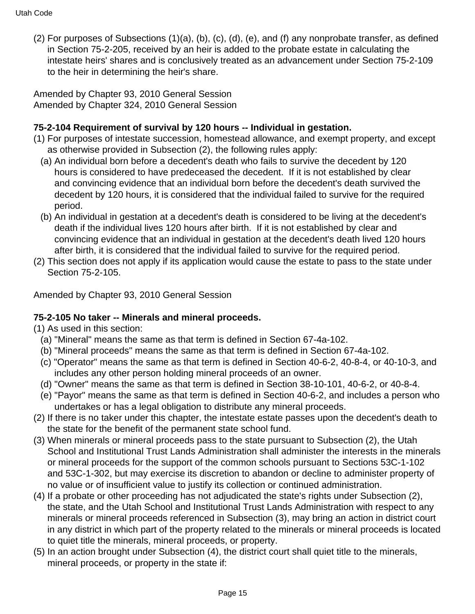(2) For purposes of Subsections (1)(a), (b), (c), (d), (e), and (f) any nonprobate transfer, as defined in Section 75-2-205, received by an heir is added to the probate estate in calculating the intestate heirs' shares and is conclusively treated as an advancement under Section 75-2-109 to the heir in determining the heir's share.

Amended by Chapter 93, 2010 General Session Amended by Chapter 324, 2010 General Session

# **75-2-104 Requirement of survival by 120 hours -- Individual in gestation.**

- (1) For purposes of intestate succession, homestead allowance, and exempt property, and except as otherwise provided in Subsection (2), the following rules apply:
	- (a) An individual born before a decedent's death who fails to survive the decedent by 120 hours is considered to have predeceased the decedent. If it is not established by clear and convincing evidence that an individual born before the decedent's death survived the decedent by 120 hours, it is considered that the individual failed to survive for the required period.
	- (b) An individual in gestation at a decedent's death is considered to be living at the decedent's death if the individual lives 120 hours after birth. If it is not established by clear and convincing evidence that an individual in gestation at the decedent's death lived 120 hours after birth, it is considered that the individual failed to survive for the required period.
- (2) This section does not apply if its application would cause the estate to pass to the state under Section 75-2-105.

Amended by Chapter 93, 2010 General Session

# **75-2-105 No taker -- Minerals and mineral proceeds.**

- (1) As used in this section:
	- (a) "Mineral" means the same as that term is defined in Section 67-4a-102.
	- (b) "Mineral proceeds" means the same as that term is defined in Section 67-4a-102.
	- (c) "Operator" means the same as that term is defined in Section 40-6-2, 40-8-4, or 40-10-3, and includes any other person holding mineral proceeds of an owner.
	- (d) "Owner" means the same as that term is defined in Section 38-10-101, 40-6-2, or 40-8-4.
	- (e) "Payor" means the same as that term is defined in Section 40-6-2, and includes a person who undertakes or has a legal obligation to distribute any mineral proceeds.
- (2) If there is no taker under this chapter, the intestate estate passes upon the decedent's death to the state for the benefit of the permanent state school fund.
- (3) When minerals or mineral proceeds pass to the state pursuant to Subsection (2), the Utah School and Institutional Trust Lands Administration shall administer the interests in the minerals or mineral proceeds for the support of the common schools pursuant to Sections 53C-1-102 and 53C-1-302, but may exercise its discretion to abandon or decline to administer property of no value or of insufficient value to justify its collection or continued administration.
- (4) If a probate or other proceeding has not adjudicated the state's rights under Subsection (2), the state, and the Utah School and Institutional Trust Lands Administration with respect to any minerals or mineral proceeds referenced in Subsection (3), may bring an action in district court in any district in which part of the property related to the minerals or mineral proceeds is located to quiet title the minerals, mineral proceeds, or property.
- (5) In an action brought under Subsection (4), the district court shall quiet title to the minerals, mineral proceeds, or property in the state if: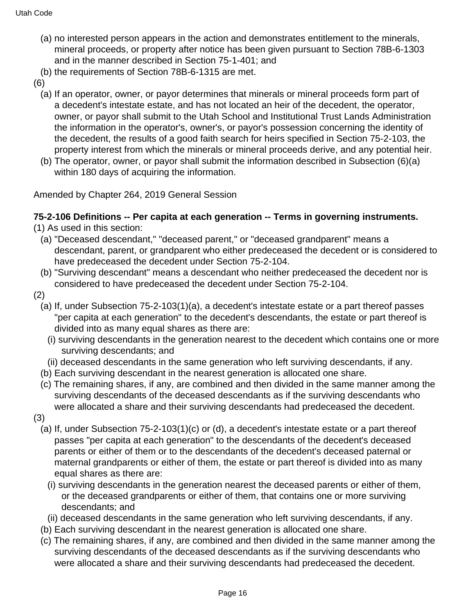- (a) no interested person appears in the action and demonstrates entitlement to the minerals, mineral proceeds, or property after notice has been given pursuant to Section 78B-6-1303 and in the manner described in Section 75-1-401; and
- (b) the requirements of Section 78B-6-1315 are met.
- (6)
	- (a) If an operator, owner, or payor determines that minerals or mineral proceeds form part of a decedent's intestate estate, and has not located an heir of the decedent, the operator, owner, or payor shall submit to the Utah School and Institutional Trust Lands Administration the information in the operator's, owner's, or payor's possession concerning the identity of the decedent, the results of a good faith search for heirs specified in Section 75-2-103, the property interest from which the minerals or mineral proceeds derive, and any potential heir.
	- (b) The operator, owner, or payor shall submit the information described in Subsection (6)(a) within 180 days of acquiring the information.

Amended by Chapter 264, 2019 General Session

## **75-2-106 Definitions -- Per capita at each generation -- Terms in governing instruments.**

(1) As used in this section:

- (a) "Deceased descendant," "deceased parent," or "deceased grandparent" means a descendant, parent, or grandparent who either predeceased the decedent or is considered to have predeceased the decedent under Section 75-2-104.
- (b) "Surviving descendant" means a descendant who neither predeceased the decedent nor is considered to have predeceased the decedent under Section 75-2-104.
- (2)
	- (a) If, under Subsection 75-2-103(1)(a), a decedent's intestate estate or a part thereof passes "per capita at each generation" to the decedent's descendants, the estate or part thereof is divided into as many equal shares as there are:
		- (i) surviving descendants in the generation nearest to the decedent which contains one or more surviving descendants; and
		- (ii) deceased descendants in the same generation who left surviving descendants, if any.
	- (b) Each surviving descendant in the nearest generation is allocated one share.
	- (c) The remaining shares, if any, are combined and then divided in the same manner among the surviving descendants of the deceased descendants as if the surviving descendants who were allocated a share and their surviving descendants had predeceased the decedent.
- (3)
	- (a) If, under Subsection 75-2-103(1)(c) or (d), a decedent's intestate estate or a part thereof passes "per capita at each generation" to the descendants of the decedent's deceased parents or either of them or to the descendants of the decedent's deceased paternal or maternal grandparents or either of them, the estate or part thereof is divided into as many equal shares as there are:
		- (i) surviving descendants in the generation nearest the deceased parents or either of them, or the deceased grandparents or either of them, that contains one or more surviving descendants; and
		- (ii) deceased descendants in the same generation who left surviving descendants, if any.
	- (b) Each surviving descendant in the nearest generation is allocated one share.
	- (c) The remaining shares, if any, are combined and then divided in the same manner among the surviving descendants of the deceased descendants as if the surviving descendants who were allocated a share and their surviving descendants had predeceased the decedent.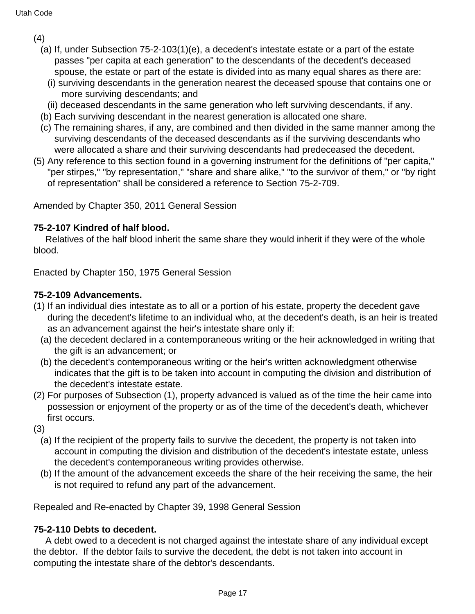(4)

- (a) If, under Subsection 75-2-103(1)(e), a decedent's intestate estate or a part of the estate passes "per capita at each generation" to the descendants of the decedent's deceased spouse, the estate or part of the estate is divided into as many equal shares as there are:
	- (i) surviving descendants in the generation nearest the deceased spouse that contains one or more surviving descendants; and
	- (ii) deceased descendants in the same generation who left surviving descendants, if any.
- (b) Each surviving descendant in the nearest generation is allocated one share.
- (c) The remaining shares, if any, are combined and then divided in the same manner among the surviving descendants of the deceased descendants as if the surviving descendants who were allocated a share and their surviving descendants had predeceased the decedent.
- (5) Any reference to this section found in a governing instrument for the definitions of "per capita," "per stirpes," "by representation," "share and share alike," "to the survivor of them," or "by right of representation" shall be considered a reference to Section 75-2-709.

Amended by Chapter 350, 2011 General Session

# **75-2-107 Kindred of half blood.**

 Relatives of the half blood inherit the same share they would inherit if they were of the whole blood.

Enacted by Chapter 150, 1975 General Session

# **75-2-109 Advancements.**

- (1) If an individual dies intestate as to all or a portion of his estate, property the decedent gave during the decedent's lifetime to an individual who, at the decedent's death, is an heir is treated as an advancement against the heir's intestate share only if:
	- (a) the decedent declared in a contemporaneous writing or the heir acknowledged in writing that the gift is an advancement; or
	- (b) the decedent's contemporaneous writing or the heir's written acknowledgment otherwise indicates that the gift is to be taken into account in computing the division and distribution of the decedent's intestate estate.
- (2) For purposes of Subsection (1), property advanced is valued as of the time the heir came into possession or enjoyment of the property or as of the time of the decedent's death, whichever first occurs.
- (3)
	- (a) If the recipient of the property fails to survive the decedent, the property is not taken into account in computing the division and distribution of the decedent's intestate estate, unless the decedent's contemporaneous writing provides otherwise.
	- (b) If the amount of the advancement exceeds the share of the heir receiving the same, the heir is not required to refund any part of the advancement.

Repealed and Re-enacted by Chapter 39, 1998 General Session

# **75-2-110 Debts to decedent.**

 A debt owed to a decedent is not charged against the intestate share of any individual except the debtor. If the debtor fails to survive the decedent, the debt is not taken into account in computing the intestate share of the debtor's descendants.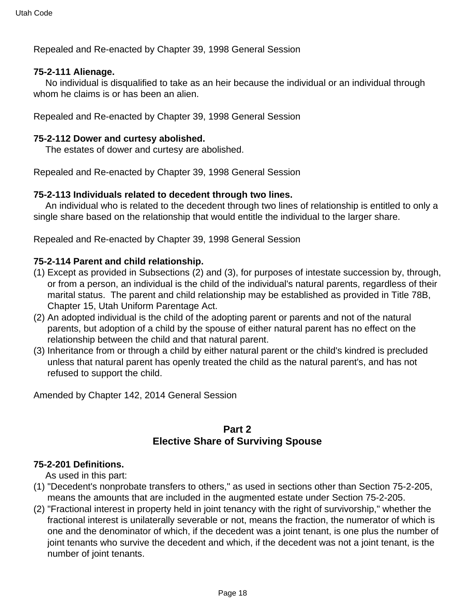Repealed and Re-enacted by Chapter 39, 1998 General Session

### **75-2-111 Alienage.**

 No individual is disqualified to take as an heir because the individual or an individual through whom he claims is or has been an alien.

Repealed and Re-enacted by Chapter 39, 1998 General Session

### **75-2-112 Dower and curtesy abolished.**

The estates of dower and curtesy are abolished.

Repealed and Re-enacted by Chapter 39, 1998 General Session

## **75-2-113 Individuals related to decedent through two lines.**

 An individual who is related to the decedent through two lines of relationship is entitled to only a single share based on the relationship that would entitle the individual to the larger share.

Repealed and Re-enacted by Chapter 39, 1998 General Session

# **75-2-114 Parent and child relationship.**

- (1) Except as provided in Subsections (2) and (3), for purposes of intestate succession by, through, or from a person, an individual is the child of the individual's natural parents, regardless of their marital status. The parent and child relationship may be established as provided in Title 78B, Chapter 15, Utah Uniform Parentage Act.
- (2) An adopted individual is the child of the adopting parent or parents and not of the natural parents, but adoption of a child by the spouse of either natural parent has no effect on the relationship between the child and that natural parent.
- (3) Inheritance from or through a child by either natural parent or the child's kindred is precluded unless that natural parent has openly treated the child as the natural parent's, and has not refused to support the child.

Amended by Chapter 142, 2014 General Session

## **Part 2 Elective Share of Surviving Spouse**

# **75-2-201 Definitions.**

As used in this part:

- (1) "Decedent's nonprobate transfers to others," as used in sections other than Section 75-2-205, means the amounts that are included in the augmented estate under Section 75-2-205.
- (2) "Fractional interest in property held in joint tenancy with the right of survivorship," whether the fractional interest is unilaterally severable or not, means the fraction, the numerator of which is one and the denominator of which, if the decedent was a joint tenant, is one plus the number of joint tenants who survive the decedent and which, if the decedent was not a joint tenant, is the number of joint tenants.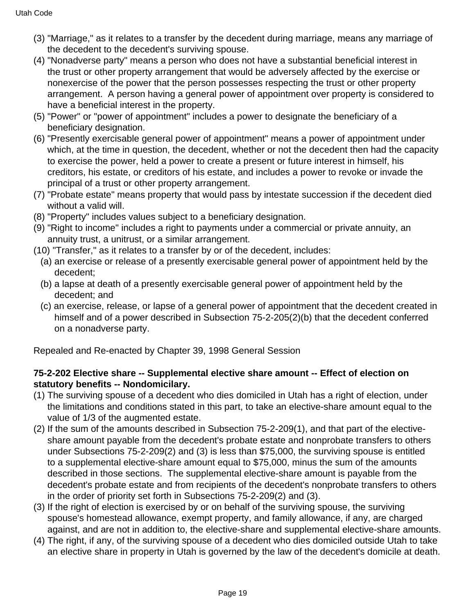- (3) "Marriage," as it relates to a transfer by the decedent during marriage, means any marriage of the decedent to the decedent's surviving spouse.
- (4) "Nonadverse party" means a person who does not have a substantial beneficial interest in the trust or other property arrangement that would be adversely affected by the exercise or nonexercise of the power that the person possesses respecting the trust or other property arrangement. A person having a general power of appointment over property is considered to have a beneficial interest in the property.
- (5) "Power" or "power of appointment" includes a power to designate the beneficiary of a beneficiary designation.
- (6) "Presently exercisable general power of appointment" means a power of appointment under which, at the time in question, the decedent, whether or not the decedent then had the capacity to exercise the power, held a power to create a present or future interest in himself, his creditors, his estate, or creditors of his estate, and includes a power to revoke or invade the principal of a trust or other property arrangement.
- (7) "Probate estate" means property that would pass by intestate succession if the decedent died without a valid will.
- (8) "Property" includes values subject to a beneficiary designation.
- (9) "Right to income" includes a right to payments under a commercial or private annuity, an annuity trust, a unitrust, or a similar arrangement.
- (10) "Transfer," as it relates to a transfer by or of the decedent, includes:
	- (a) an exercise or release of a presently exercisable general power of appointment held by the decedent;
	- (b) a lapse at death of a presently exercisable general power of appointment held by the decedent; and
	- (c) an exercise, release, or lapse of a general power of appointment that the decedent created in himself and of a power described in Subsection 75-2-205(2)(b) that the decedent conferred on a nonadverse party.

Repealed and Re-enacted by Chapter 39, 1998 General Session

# **75-2-202 Elective share -- Supplemental elective share amount -- Effect of election on statutory benefits -- Nondomicilary.**

- (1) The surviving spouse of a decedent who dies domiciled in Utah has a right of election, under the limitations and conditions stated in this part, to take an elective-share amount equal to the value of 1/3 of the augmented estate.
- (2) If the sum of the amounts described in Subsection 75-2-209(1), and that part of the electiveshare amount payable from the decedent's probate estate and nonprobate transfers to others under Subsections 75-2-209(2) and (3) is less than \$75,000, the surviving spouse is entitled to a supplemental elective-share amount equal to \$75,000, minus the sum of the amounts described in those sections. The supplemental elective-share amount is payable from the decedent's probate estate and from recipients of the decedent's nonprobate transfers to others in the order of priority set forth in Subsections 75-2-209(2) and (3).
- (3) If the right of election is exercised by or on behalf of the surviving spouse, the surviving spouse's homestead allowance, exempt property, and family allowance, if any, are charged against, and are not in addition to, the elective-share and supplemental elective-share amounts.
- (4) The right, if any, of the surviving spouse of a decedent who dies domiciled outside Utah to take an elective share in property in Utah is governed by the law of the decedent's domicile at death.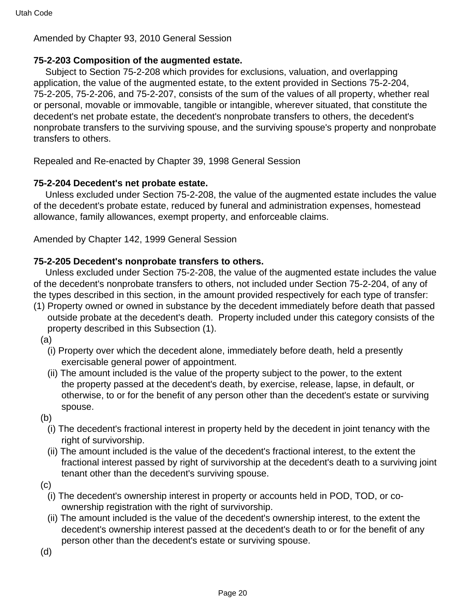Amended by Chapter 93, 2010 General Session

# **75-2-203 Composition of the augmented estate.**

 Subject to Section 75-2-208 which provides for exclusions, valuation, and overlapping application, the value of the augmented estate, to the extent provided in Sections 75-2-204, 75-2-205, 75-2-206, and 75-2-207, consists of the sum of the values of all property, whether real or personal, movable or immovable, tangible or intangible, wherever situated, that constitute the decedent's net probate estate, the decedent's nonprobate transfers to others, the decedent's nonprobate transfers to the surviving spouse, and the surviving spouse's property and nonprobate transfers to others.

Repealed and Re-enacted by Chapter 39, 1998 General Session

## **75-2-204 Decedent's net probate estate.**

 Unless excluded under Section 75-2-208, the value of the augmented estate includes the value of the decedent's probate estate, reduced by funeral and administration expenses, homestead allowance, family allowances, exempt property, and enforceable claims.

Amended by Chapter 142, 1999 General Session

# **75-2-205 Decedent's nonprobate transfers to others.**

 Unless excluded under Section 75-2-208, the value of the augmented estate includes the value of the decedent's nonprobate transfers to others, not included under Section 75-2-204, of any of the types described in this section, in the amount provided respectively for each type of transfer:

- (1) Property owned or owned in substance by the decedent immediately before death that passed outside probate at the decedent's death. Property included under this category consists of the property described in this Subsection (1).
	- (a)
		- (i) Property over which the decedent alone, immediately before death, held a presently exercisable general power of appointment.
		- (ii) The amount included is the value of the property subject to the power, to the extent the property passed at the decedent's death, by exercise, release, lapse, in default, or otherwise, to or for the benefit of any person other than the decedent's estate or surviving spouse.
	- (b)
		- (i) The decedent's fractional interest in property held by the decedent in joint tenancy with the right of survivorship.
		- (ii) The amount included is the value of the decedent's fractional interest, to the extent the fractional interest passed by right of survivorship at the decedent's death to a surviving joint tenant other than the decedent's surviving spouse.
	- (c)
		- (i) The decedent's ownership interest in property or accounts held in POD, TOD, or coownership registration with the right of survivorship.
		- (ii) The amount included is the value of the decedent's ownership interest, to the extent the decedent's ownership interest passed at the decedent's death to or for the benefit of any person other than the decedent's estate or surviving spouse.
	- (d)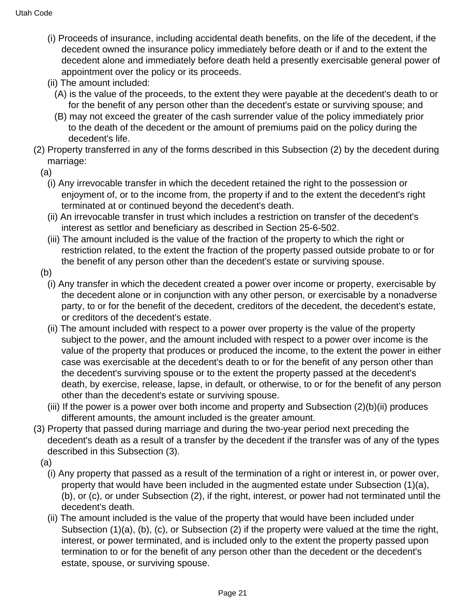- (i) Proceeds of insurance, including accidental death benefits, on the life of the decedent, if the decedent owned the insurance policy immediately before death or if and to the extent the decedent alone and immediately before death held a presently exercisable general power of appointment over the policy or its proceeds.
- (ii) The amount included:
	- (A) is the value of the proceeds, to the extent they were payable at the decedent's death to or for the benefit of any person other than the decedent's estate or surviving spouse; and
	- (B) may not exceed the greater of the cash surrender value of the policy immediately prior to the death of the decedent or the amount of premiums paid on the policy during the decedent's life.
- (2) Property transferred in any of the forms described in this Subsection (2) by the decedent during marriage:
	- (a)
		- (i) Any irrevocable transfer in which the decedent retained the right to the possession or enjoyment of, or to the income from, the property if and to the extent the decedent's right terminated at or continued beyond the decedent's death.
		- (ii) An irrevocable transfer in trust which includes a restriction on transfer of the decedent's interest as settlor and beneficiary as described in Section 25-6-502.
		- (iii) The amount included is the value of the fraction of the property to which the right or restriction related, to the extent the fraction of the property passed outside probate to or for the benefit of any person other than the decedent's estate or surviving spouse.
	- (b)
		- (i) Any transfer in which the decedent created a power over income or property, exercisable by the decedent alone or in conjunction with any other person, or exercisable by a nonadverse party, to or for the benefit of the decedent, creditors of the decedent, the decedent's estate, or creditors of the decedent's estate.
		- (ii) The amount included with respect to a power over property is the value of the property subject to the power, and the amount included with respect to a power over income is the value of the property that produces or produced the income, to the extent the power in either case was exercisable at the decedent's death to or for the benefit of any person other than the decedent's surviving spouse or to the extent the property passed at the decedent's death, by exercise, release, lapse, in default, or otherwise, to or for the benefit of any person other than the decedent's estate or surviving spouse.
		- (iii) If the power is a power over both income and property and Subsection (2)(b)(ii) produces different amounts, the amount included is the greater amount.
- (3) Property that passed during marriage and during the two-year period next preceding the decedent's death as a result of a transfer by the decedent if the transfer was of any of the types described in this Subsection (3).
	- (a)
		- (i) Any property that passed as a result of the termination of a right or interest in, or power over, property that would have been included in the augmented estate under Subsection (1)(a), (b), or (c), or under Subsection (2), if the right, interest, or power had not terminated until the decedent's death.
		- (ii) The amount included is the value of the property that would have been included under Subsection (1)(a), (b), (c), or Subsection (2) if the property were valued at the time the right, interest, or power terminated, and is included only to the extent the property passed upon termination to or for the benefit of any person other than the decedent or the decedent's estate, spouse, or surviving spouse.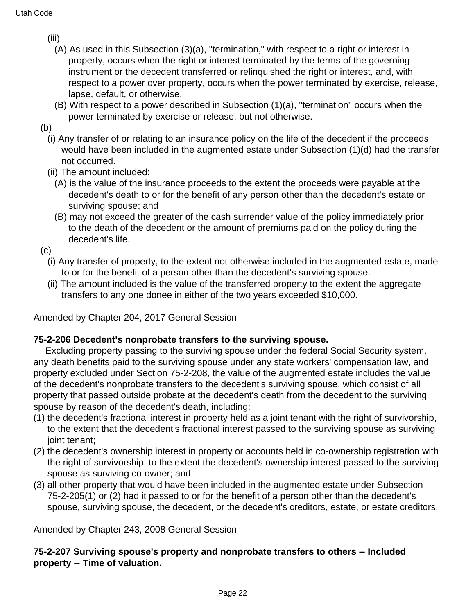(iii)

- (A) As used in this Subsection (3)(a), "termination," with respect to a right or interest in property, occurs when the right or interest terminated by the terms of the governing instrument or the decedent transferred or relinquished the right or interest, and, with respect to a power over property, occurs when the power terminated by exercise, release, lapse, default, or otherwise.
- (B) With respect to a power described in Subsection (1)(a), "termination" occurs when the power terminated by exercise or release, but not otherwise.
- (b)
	- (i) Any transfer of or relating to an insurance policy on the life of the decedent if the proceeds would have been included in the augmented estate under Subsection (1)(d) had the transfer not occurred.
	- (ii) The amount included:
		- (A) is the value of the insurance proceeds to the extent the proceeds were payable at the decedent's death to or for the benefit of any person other than the decedent's estate or surviving spouse; and
		- (B) may not exceed the greater of the cash surrender value of the policy immediately prior to the death of the decedent or the amount of premiums paid on the policy during the decedent's life.

(c)

- (i) Any transfer of property, to the extent not otherwise included in the augmented estate, made to or for the benefit of a person other than the decedent's surviving spouse.
- (ii) The amount included is the value of the transferred property to the extent the aggregate transfers to any one donee in either of the two years exceeded \$10,000.

Amended by Chapter 204, 2017 General Session

# **75-2-206 Decedent's nonprobate transfers to the surviving spouse.**

 Excluding property passing to the surviving spouse under the federal Social Security system, any death benefits paid to the surviving spouse under any state workers' compensation law, and property excluded under Section 75-2-208, the value of the augmented estate includes the value of the decedent's nonprobate transfers to the decedent's surviving spouse, which consist of all property that passed outside probate at the decedent's death from the decedent to the surviving spouse by reason of the decedent's death, including:

- (1) the decedent's fractional interest in property held as a joint tenant with the right of survivorship, to the extent that the decedent's fractional interest passed to the surviving spouse as surviving joint tenant;
- (2) the decedent's ownership interest in property or accounts held in co-ownership registration with the right of survivorship, to the extent the decedent's ownership interest passed to the surviving spouse as surviving co-owner; and
- (3) all other property that would have been included in the augmented estate under Subsection 75-2-205(1) or (2) had it passed to or for the benefit of a person other than the decedent's spouse, surviving spouse, the decedent, or the decedent's creditors, estate, or estate creditors.

Amended by Chapter 243, 2008 General Session

**75-2-207 Surviving spouse's property and nonprobate transfers to others -- Included property -- Time of valuation.**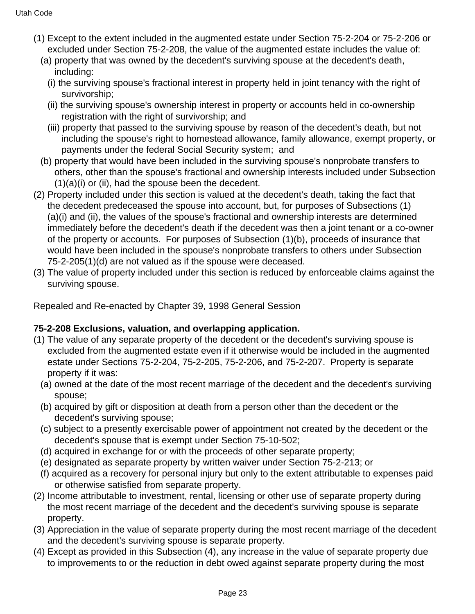- (1) Except to the extent included in the augmented estate under Section 75-2-204 or 75-2-206 or excluded under Section 75-2-208, the value of the augmented estate includes the value of:
	- (a) property that was owned by the decedent's surviving spouse at the decedent's death, including:
		- (i) the surviving spouse's fractional interest in property held in joint tenancy with the right of survivorship;
		- (ii) the surviving spouse's ownership interest in property or accounts held in co-ownership registration with the right of survivorship; and
		- (iii) property that passed to the surviving spouse by reason of the decedent's death, but not including the spouse's right to homestead allowance, family allowance, exempt property, or payments under the federal Social Security system; and
	- (b) property that would have been included in the surviving spouse's nonprobate transfers to others, other than the spouse's fractional and ownership interests included under Subsection (1)(a)(i) or (ii), had the spouse been the decedent.
- (2) Property included under this section is valued at the decedent's death, taking the fact that the decedent predeceased the spouse into account, but, for purposes of Subsections (1) (a)(i) and (ii), the values of the spouse's fractional and ownership interests are determined immediately before the decedent's death if the decedent was then a joint tenant or a co-owner of the property or accounts. For purposes of Subsection (1)(b), proceeds of insurance that would have been included in the spouse's nonprobate transfers to others under Subsection 75-2-205(1)(d) are not valued as if the spouse were deceased.
- (3) The value of property included under this section is reduced by enforceable claims against the surviving spouse.

Repealed and Re-enacted by Chapter 39, 1998 General Session

# **75-2-208 Exclusions, valuation, and overlapping application.**

- (1) The value of any separate property of the decedent or the decedent's surviving spouse is excluded from the augmented estate even if it otherwise would be included in the augmented estate under Sections 75-2-204, 75-2-205, 75-2-206, and 75-2-207. Property is separate property if it was:
	- (a) owned at the date of the most recent marriage of the decedent and the decedent's surviving spouse;
	- (b) acquired by gift or disposition at death from a person other than the decedent or the decedent's surviving spouse;
	- (c) subject to a presently exercisable power of appointment not created by the decedent or the decedent's spouse that is exempt under Section 75-10-502;
	- (d) acquired in exchange for or with the proceeds of other separate property;
	- (e) designated as separate property by written waiver under Section 75-2-213; or
	- (f) acquired as a recovery for personal injury but only to the extent attributable to expenses paid or otherwise satisfied from separate property.
- (2) Income attributable to investment, rental, licensing or other use of separate property during the most recent marriage of the decedent and the decedent's surviving spouse is separate property.
- (3) Appreciation in the value of separate property during the most recent marriage of the decedent and the decedent's surviving spouse is separate property.
- (4) Except as provided in this Subsection (4), any increase in the value of separate property due to improvements to or the reduction in debt owed against separate property during the most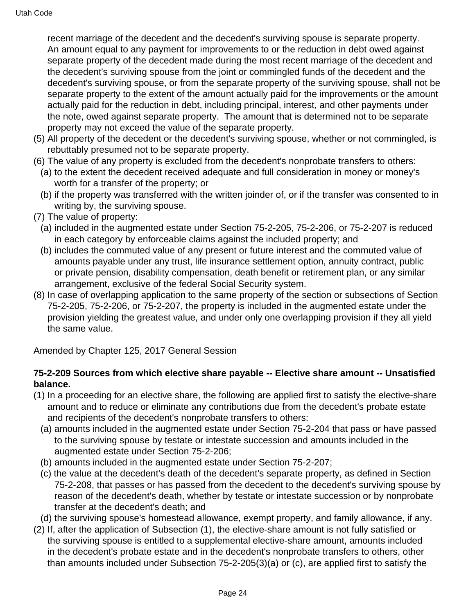recent marriage of the decedent and the decedent's surviving spouse is separate property. An amount equal to any payment for improvements to or the reduction in debt owed against separate property of the decedent made during the most recent marriage of the decedent and the decedent's surviving spouse from the joint or commingled funds of the decedent and the decedent's surviving spouse, or from the separate property of the surviving spouse, shall not be separate property to the extent of the amount actually paid for the improvements or the amount actually paid for the reduction in debt, including principal, interest, and other payments under the note, owed against separate property. The amount that is determined not to be separate property may not exceed the value of the separate property.

- (5) All property of the decedent or the decedent's surviving spouse, whether or not commingled, is rebuttably presumed not to be separate property.
- (6) The value of any property is excluded from the decedent's nonprobate transfers to others:
	- (a) to the extent the decedent received adequate and full consideration in money or money's worth for a transfer of the property; or
	- (b) if the property was transferred with the written joinder of, or if the transfer was consented to in writing by, the surviving spouse.
- (7) The value of property:
	- (a) included in the augmented estate under Section 75-2-205, 75-2-206, or 75-2-207 is reduced in each category by enforceable claims against the included property; and
	- (b) includes the commuted value of any present or future interest and the commuted value of amounts payable under any trust, life insurance settlement option, annuity contract, public or private pension, disability compensation, death benefit or retirement plan, or any similar arrangement, exclusive of the federal Social Security system.
- (8) In case of overlapping application to the same property of the section or subsections of Section 75-2-205, 75-2-206, or 75-2-207, the property is included in the augmented estate under the provision yielding the greatest value, and under only one overlapping provision if they all yield the same value.

Amended by Chapter 125, 2017 General Session

# **75-2-209 Sources from which elective share payable -- Elective share amount -- Unsatisfied balance.**

- (1) In a proceeding for an elective share, the following are applied first to satisfy the elective-share amount and to reduce or eliminate any contributions due from the decedent's probate estate and recipients of the decedent's nonprobate transfers to others:
	- (a) amounts included in the augmented estate under Section 75-2-204 that pass or have passed to the surviving spouse by testate or intestate succession and amounts included in the augmented estate under Section 75-2-206;
	- (b) amounts included in the augmented estate under Section 75-2-207;
	- (c) the value at the decedent's death of the decedent's separate property, as defined in Section 75-2-208, that passes or has passed from the decedent to the decedent's surviving spouse by reason of the decedent's death, whether by testate or intestate succession or by nonprobate transfer at the decedent's death; and
	- (d) the surviving spouse's homestead allowance, exempt property, and family allowance, if any.
- (2) If, after the application of Subsection (1), the elective-share amount is not fully satisfied or the surviving spouse is entitled to a supplemental elective-share amount, amounts included in the decedent's probate estate and in the decedent's nonprobate transfers to others, other than amounts included under Subsection 75-2-205(3)(a) or (c), are applied first to satisfy the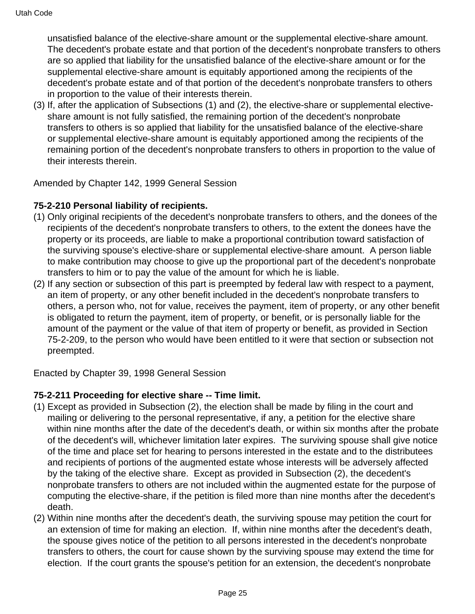unsatisfied balance of the elective-share amount or the supplemental elective-share amount. The decedent's probate estate and that portion of the decedent's nonprobate transfers to others are so applied that liability for the unsatisfied balance of the elective-share amount or for the supplemental elective-share amount is equitably apportioned among the recipients of the decedent's probate estate and of that portion of the decedent's nonprobate transfers to others in proportion to the value of their interests therein.

(3) If, after the application of Subsections (1) and (2), the elective-share or supplemental electiveshare amount is not fully satisfied, the remaining portion of the decedent's nonprobate transfers to others is so applied that liability for the unsatisfied balance of the elective-share or supplemental elective-share amount is equitably apportioned among the recipients of the remaining portion of the decedent's nonprobate transfers to others in proportion to the value of their interests therein.

Amended by Chapter 142, 1999 General Session

### **75-2-210 Personal liability of recipients.**

- (1) Only original recipients of the decedent's nonprobate transfers to others, and the donees of the recipients of the decedent's nonprobate transfers to others, to the extent the donees have the property or its proceeds, are liable to make a proportional contribution toward satisfaction of the surviving spouse's elective-share or supplemental elective-share amount. A person liable to make contribution may choose to give up the proportional part of the decedent's nonprobate transfers to him or to pay the value of the amount for which he is liable.
- (2) If any section or subsection of this part is preempted by federal law with respect to a payment, an item of property, or any other benefit included in the decedent's nonprobate transfers to others, a person who, not for value, receives the payment, item of property, or any other benefit is obligated to return the payment, item of property, or benefit, or is personally liable for the amount of the payment or the value of that item of property or benefit, as provided in Section 75-2-209, to the person who would have been entitled to it were that section or subsection not preempted.

Enacted by Chapter 39, 1998 General Session

### **75-2-211 Proceeding for elective share -- Time limit.**

- (1) Except as provided in Subsection (2), the election shall be made by filing in the court and mailing or delivering to the personal representative, if any, a petition for the elective share within nine months after the date of the decedent's death, or within six months after the probate of the decedent's will, whichever limitation later expires. The surviving spouse shall give notice of the time and place set for hearing to persons interested in the estate and to the distributees and recipients of portions of the augmented estate whose interests will be adversely affected by the taking of the elective share. Except as provided in Subsection (2), the decedent's nonprobate transfers to others are not included within the augmented estate for the purpose of computing the elective-share, if the petition is filed more than nine months after the decedent's death.
- (2) Within nine months after the decedent's death, the surviving spouse may petition the court for an extension of time for making an election. If, within nine months after the decedent's death, the spouse gives notice of the petition to all persons interested in the decedent's nonprobate transfers to others, the court for cause shown by the surviving spouse may extend the time for election. If the court grants the spouse's petition for an extension, the decedent's nonprobate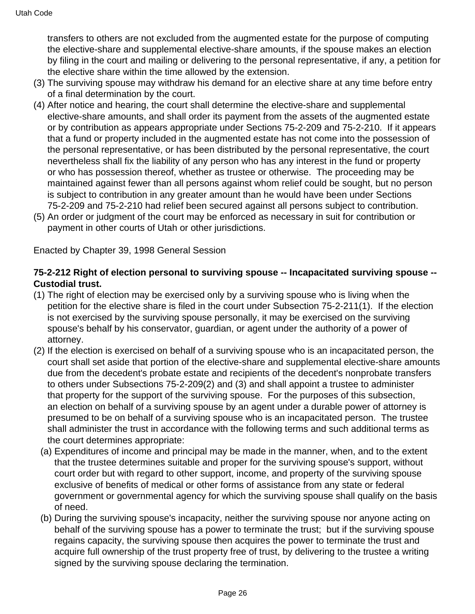transfers to others are not excluded from the augmented estate for the purpose of computing the elective-share and supplemental elective-share amounts, if the spouse makes an election by filing in the court and mailing or delivering to the personal representative, if any, a petition for the elective share within the time allowed by the extension.

- (3) The surviving spouse may withdraw his demand for an elective share at any time before entry of a final determination by the court.
- (4) After notice and hearing, the court shall determine the elective-share and supplemental elective-share amounts, and shall order its payment from the assets of the augmented estate or by contribution as appears appropriate under Sections 75-2-209 and 75-2-210. If it appears that a fund or property included in the augmented estate has not come into the possession of the personal representative, or has been distributed by the personal representative, the court nevertheless shall fix the liability of any person who has any interest in the fund or property or who has possession thereof, whether as trustee or otherwise. The proceeding may be maintained against fewer than all persons against whom relief could be sought, but no person is subject to contribution in any greater amount than he would have been under Sections 75-2-209 and 75-2-210 had relief been secured against all persons subject to contribution.
- (5) An order or judgment of the court may be enforced as necessary in suit for contribution or payment in other courts of Utah or other jurisdictions.

Enacted by Chapter 39, 1998 General Session

# **75-2-212 Right of election personal to surviving spouse -- Incapacitated surviving spouse -- Custodial trust.**

- (1) The right of election may be exercised only by a surviving spouse who is living when the petition for the elective share is filed in the court under Subsection 75-2-211(1). If the election is not exercised by the surviving spouse personally, it may be exercised on the surviving spouse's behalf by his conservator, guardian, or agent under the authority of a power of attorney.
- (2) If the election is exercised on behalf of a surviving spouse who is an incapacitated person, the court shall set aside that portion of the elective-share and supplemental elective-share amounts due from the decedent's probate estate and recipients of the decedent's nonprobate transfers to others under Subsections 75-2-209(2) and (3) and shall appoint a trustee to administer that property for the support of the surviving spouse. For the purposes of this subsection, an election on behalf of a surviving spouse by an agent under a durable power of attorney is presumed to be on behalf of a surviving spouse who is an incapacitated person. The trustee shall administer the trust in accordance with the following terms and such additional terms as the court determines appropriate:
	- (a) Expenditures of income and principal may be made in the manner, when, and to the extent that the trustee determines suitable and proper for the surviving spouse's support, without court order but with regard to other support, income, and property of the surviving spouse exclusive of benefits of medical or other forms of assistance from any state or federal government or governmental agency for which the surviving spouse shall qualify on the basis of need.
	- (b) During the surviving spouse's incapacity, neither the surviving spouse nor anyone acting on behalf of the surviving spouse has a power to terminate the trust; but if the surviving spouse regains capacity, the surviving spouse then acquires the power to terminate the trust and acquire full ownership of the trust property free of trust, by delivering to the trustee a writing signed by the surviving spouse declaring the termination.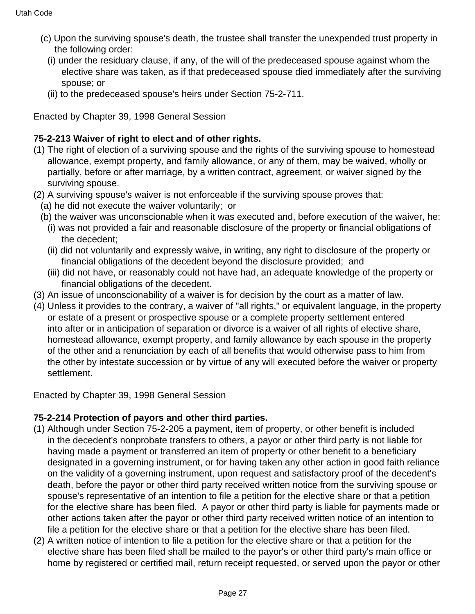- (c) Upon the surviving spouse's death, the trustee shall transfer the unexpended trust property in the following order:
	- (i) under the residuary clause, if any, of the will of the predeceased spouse against whom the elective share was taken, as if that predeceased spouse died immediately after the surviving spouse; or
	- (ii) to the predeceased spouse's heirs under Section 75-2-711.

Enacted by Chapter 39, 1998 General Session

# **75-2-213 Waiver of right to elect and of other rights.**

- (1) The right of election of a surviving spouse and the rights of the surviving spouse to homestead allowance, exempt property, and family allowance, or any of them, may be waived, wholly or partially, before or after marriage, by a written contract, agreement, or waiver signed by the surviving spouse.
- (2) A surviving spouse's waiver is not enforceable if the surviving spouse proves that:
	- (a) he did not execute the waiver voluntarily; or
	- (b) the waiver was unconscionable when it was executed and, before execution of the waiver, he:
		- (i) was not provided a fair and reasonable disclosure of the property or financial obligations of the decedent;
		- (ii) did not voluntarily and expressly waive, in writing, any right to disclosure of the property or financial obligations of the decedent beyond the disclosure provided; and
		- (iii) did not have, or reasonably could not have had, an adequate knowledge of the property or financial obligations of the decedent.
- (3) An issue of unconscionability of a waiver is for decision by the court as a matter of law.
- (4) Unless it provides to the contrary, a waiver of "all rights," or equivalent language, in the property or estate of a present or prospective spouse or a complete property settlement entered into after or in anticipation of separation or divorce is a waiver of all rights of elective share, homestead allowance, exempt property, and family allowance by each spouse in the property of the other and a renunciation by each of all benefits that would otherwise pass to him from the other by intestate succession or by virtue of any will executed before the waiver or property settlement.

Enacted by Chapter 39, 1998 General Session

# **75-2-214 Protection of payors and other third parties.**

- (1) Although under Section 75-2-205 a payment, item of property, or other benefit is included in the decedent's nonprobate transfers to others, a payor or other third party is not liable for having made a payment or transferred an item of property or other benefit to a beneficiary designated in a governing instrument, or for having taken any other action in good faith reliance on the validity of a governing instrument, upon request and satisfactory proof of the decedent's death, before the payor or other third party received written notice from the surviving spouse or spouse's representative of an intention to file a petition for the elective share or that a petition for the elective share has been filed. A payor or other third party is liable for payments made or other actions taken after the payor or other third party received written notice of an intention to file a petition for the elective share or that a petition for the elective share has been filed.
- (2) A written notice of intention to file a petition for the elective share or that a petition for the elective share has been filed shall be mailed to the payor's or other third party's main office or home by registered or certified mail, return receipt requested, or served upon the payor or other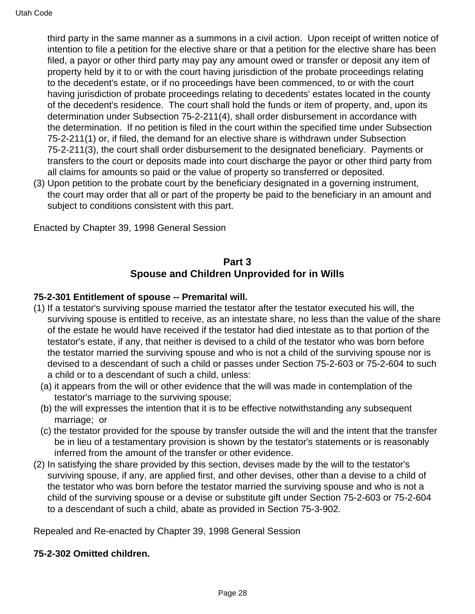third party in the same manner as a summons in a civil action. Upon receipt of written notice of intention to file a petition for the elective share or that a petition for the elective share has been filed, a payor or other third party may pay any amount owed or transfer or deposit any item of property held by it to or with the court having jurisdiction of the probate proceedings relating to the decedent's estate, or if no proceedings have been commenced, to or with the court having jurisdiction of probate proceedings relating to decedents' estates located in the county of the decedent's residence. The court shall hold the funds or item of property, and, upon its determination under Subsection 75-2-211(4), shall order disbursement in accordance with the determination. If no petition is filed in the court within the specified time under Subsection 75-2-211(1) or, if filed, the demand for an elective share is withdrawn under Subsection 75-2-211(3), the court shall order disbursement to the designated beneficiary. Payments or transfers to the court or deposits made into court discharge the payor or other third party from all claims for amounts so paid or the value of property so transferred or deposited.

(3) Upon petition to the probate court by the beneficiary designated in a governing instrument, the court may order that all or part of the property be paid to the beneficiary in an amount and subject to conditions consistent with this part.

Enacted by Chapter 39, 1998 General Session

# **Part 3 Spouse and Children Unprovided for in Wills**

### **75-2-301 Entitlement of spouse -- Premarital will.**

- (1) If a testator's surviving spouse married the testator after the testator executed his will, the surviving spouse is entitled to receive, as an intestate share, no less than the value of the share of the estate he would have received if the testator had died intestate as to that portion of the testator's estate, if any, that neither is devised to a child of the testator who was born before the testator married the surviving spouse and who is not a child of the surviving spouse nor is devised to a descendant of such a child or passes under Section 75-2-603 or 75-2-604 to such a child or to a descendant of such a child, unless:
	- (a) it appears from the will or other evidence that the will was made in contemplation of the testator's marriage to the surviving spouse;
	- (b) the will expresses the intention that it is to be effective notwithstanding any subsequent marriage; or
	- (c) the testator provided for the spouse by transfer outside the will and the intent that the transfer be in lieu of a testamentary provision is shown by the testator's statements or is reasonably inferred from the amount of the transfer or other evidence.
- (2) In satisfying the share provided by this section, devises made by the will to the testator's surviving spouse, if any, are applied first, and other devises, other than a devise to a child of the testator who was born before the testator married the surviving spouse and who is not a child of the surviving spouse or a devise or substitute gift under Section 75-2-603 or 75-2-604 to a descendant of such a child, abate as provided in Section 75-3-902.

Repealed and Re-enacted by Chapter 39, 1998 General Session

### **75-2-302 Omitted children.**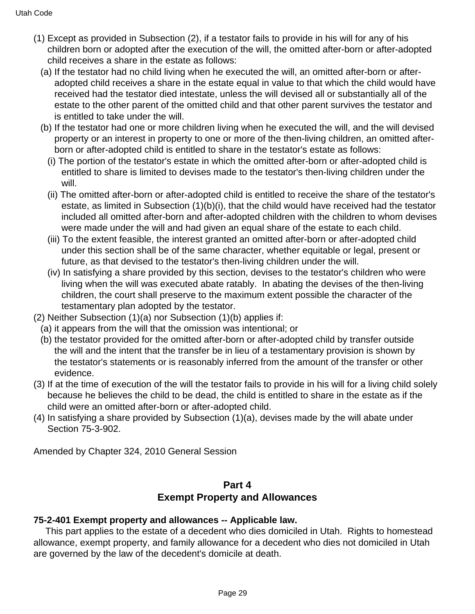- (1) Except as provided in Subsection (2), if a testator fails to provide in his will for any of his children born or adopted after the execution of the will, the omitted after-born or after-adopted child receives a share in the estate as follows:
	- (a) If the testator had no child living when he executed the will, an omitted after-born or afteradopted child receives a share in the estate equal in value to that which the child would have received had the testator died intestate, unless the will devised all or substantially all of the estate to the other parent of the omitted child and that other parent survives the testator and is entitled to take under the will.
	- (b) If the testator had one or more children living when he executed the will, and the will devised property or an interest in property to one or more of the then-living children, an omitted afterborn or after-adopted child is entitled to share in the testator's estate as follows:
		- (i) The portion of the testator's estate in which the omitted after-born or after-adopted child is entitled to share is limited to devises made to the testator's then-living children under the will.
		- (ii) The omitted after-born or after-adopted child is entitled to receive the share of the testator's estate, as limited in Subsection (1)(b)(i), that the child would have received had the testator included all omitted after-born and after-adopted children with the children to whom devises were made under the will and had given an equal share of the estate to each child.
		- (iii) To the extent feasible, the interest granted an omitted after-born or after-adopted child under this section shall be of the same character, whether equitable or legal, present or future, as that devised to the testator's then-living children under the will.
		- (iv) In satisfying a share provided by this section, devises to the testator's children who were living when the will was executed abate ratably. In abating the devises of the then-living children, the court shall preserve to the maximum extent possible the character of the testamentary plan adopted by the testator.
- (2) Neither Subsection (1)(a) nor Subsection (1)(b) applies if:
- (a) it appears from the will that the omission was intentional; or
- (b) the testator provided for the omitted after-born or after-adopted child by transfer outside the will and the intent that the transfer be in lieu of a testamentary provision is shown by the testator's statements or is reasonably inferred from the amount of the transfer or other evidence.
- (3) If at the time of execution of the will the testator fails to provide in his will for a living child solely because he believes the child to be dead, the child is entitled to share in the estate as if the child were an omitted after-born or after-adopted child.
- (4) In satisfying a share provided by Subsection (1)(a), devises made by the will abate under Section 75-3-902.

Amended by Chapter 324, 2010 General Session

### **Part 4**

# **Exempt Property and Allowances**

### **75-2-401 Exempt property and allowances -- Applicable law.**

 This part applies to the estate of a decedent who dies domiciled in Utah. Rights to homestead allowance, exempt property, and family allowance for a decedent who dies not domiciled in Utah are governed by the law of the decedent's domicile at death.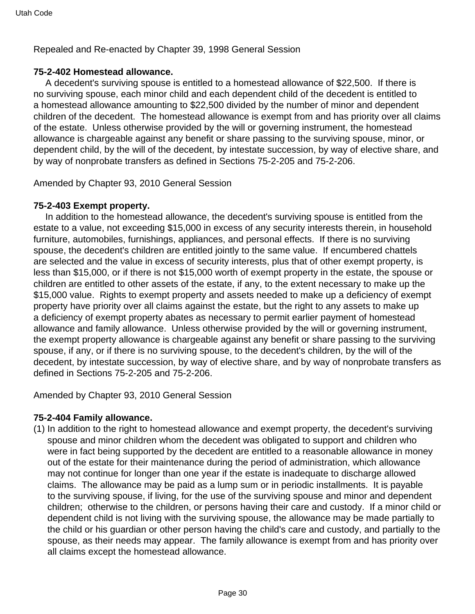Repealed and Re-enacted by Chapter 39, 1998 General Session

## **75-2-402 Homestead allowance.**

 A decedent's surviving spouse is entitled to a homestead allowance of \$22,500. If there is no surviving spouse, each minor child and each dependent child of the decedent is entitled to a homestead allowance amounting to \$22,500 divided by the number of minor and dependent children of the decedent. The homestead allowance is exempt from and has priority over all claims of the estate. Unless otherwise provided by the will or governing instrument, the homestead allowance is chargeable against any benefit or share passing to the surviving spouse, minor, or dependent child, by the will of the decedent, by intestate succession, by way of elective share, and by way of nonprobate transfers as defined in Sections 75-2-205 and 75-2-206.

Amended by Chapter 93, 2010 General Session

## **75-2-403 Exempt property.**

 In addition to the homestead allowance, the decedent's surviving spouse is entitled from the estate to a value, not exceeding \$15,000 in excess of any security interests therein, in household furniture, automobiles, furnishings, appliances, and personal effects. If there is no surviving spouse, the decedent's children are entitled jointly to the same value. If encumbered chattels are selected and the value in excess of security interests, plus that of other exempt property, is less than \$15,000, or if there is not \$15,000 worth of exempt property in the estate, the spouse or children are entitled to other assets of the estate, if any, to the extent necessary to make up the \$15,000 value. Rights to exempt property and assets needed to make up a deficiency of exempt property have priority over all claims against the estate, but the right to any assets to make up a deficiency of exempt property abates as necessary to permit earlier payment of homestead allowance and family allowance. Unless otherwise provided by the will or governing instrument, the exempt property allowance is chargeable against any benefit or share passing to the surviving spouse, if any, or if there is no surviving spouse, to the decedent's children, by the will of the decedent, by intestate succession, by way of elective share, and by way of nonprobate transfers as defined in Sections 75-2-205 and 75-2-206.

Amended by Chapter 93, 2010 General Session

# **75-2-404 Family allowance.**

(1) In addition to the right to homestead allowance and exempt property, the decedent's surviving spouse and minor children whom the decedent was obligated to support and children who were in fact being supported by the decedent are entitled to a reasonable allowance in money out of the estate for their maintenance during the period of administration, which allowance may not continue for longer than one year if the estate is inadequate to discharge allowed claims. The allowance may be paid as a lump sum or in periodic installments. It is payable to the surviving spouse, if living, for the use of the surviving spouse and minor and dependent children; otherwise to the children, or persons having their care and custody. If a minor child or dependent child is not living with the surviving spouse, the allowance may be made partially to the child or his guardian or other person having the child's care and custody, and partially to the spouse, as their needs may appear. The family allowance is exempt from and has priority over all claims except the homestead allowance.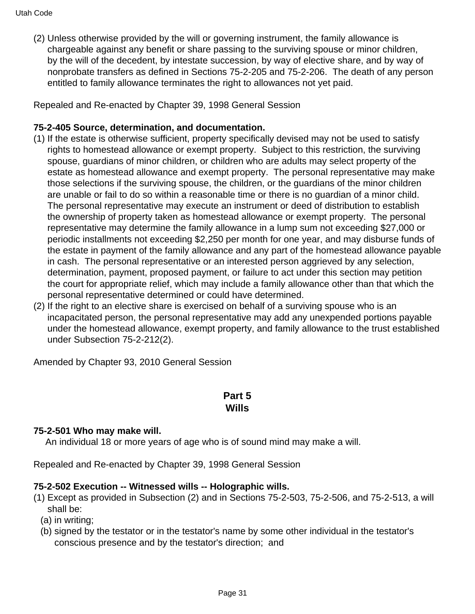(2) Unless otherwise provided by the will or governing instrument, the family allowance is chargeable against any benefit or share passing to the surviving spouse or minor children, by the will of the decedent, by intestate succession, by way of elective share, and by way of nonprobate transfers as defined in Sections 75-2-205 and 75-2-206. The death of any person entitled to family allowance terminates the right to allowances not yet paid.

Repealed and Re-enacted by Chapter 39, 1998 General Session

## **75-2-405 Source, determination, and documentation.**

- (1) If the estate is otherwise sufficient, property specifically devised may not be used to satisfy rights to homestead allowance or exempt property. Subject to this restriction, the surviving spouse, guardians of minor children, or children who are adults may select property of the estate as homestead allowance and exempt property. The personal representative may make those selections if the surviving spouse, the children, or the guardians of the minor children are unable or fail to do so within a reasonable time or there is no guardian of a minor child. The personal representative may execute an instrument or deed of distribution to establish the ownership of property taken as homestead allowance or exempt property. The personal representative may determine the family allowance in a lump sum not exceeding \$27,000 or periodic installments not exceeding \$2,250 per month for one year, and may disburse funds of the estate in payment of the family allowance and any part of the homestead allowance payable in cash. The personal representative or an interested person aggrieved by any selection, determination, payment, proposed payment, or failure to act under this section may petition the court for appropriate relief, which may include a family allowance other than that which the personal representative determined or could have determined.
- (2) If the right to an elective share is exercised on behalf of a surviving spouse who is an incapacitated person, the personal representative may add any unexpended portions payable under the homestead allowance, exempt property, and family allowance to the trust established under Subsection 75-2-212(2).

Amended by Chapter 93, 2010 General Session

# **Part 5 Wills**

# **75-2-501 Who may make will.**

An individual 18 or more years of age who is of sound mind may make a will.

Repealed and Re-enacted by Chapter 39, 1998 General Session

### **75-2-502 Execution -- Witnessed wills -- Holographic wills.**

- (1) Except as provided in Subsection (2) and in Sections 75-2-503, 75-2-506, and 75-2-513, a will shall be:
	- (a) in writing;
	- (b) signed by the testator or in the testator's name by some other individual in the testator's conscious presence and by the testator's direction; and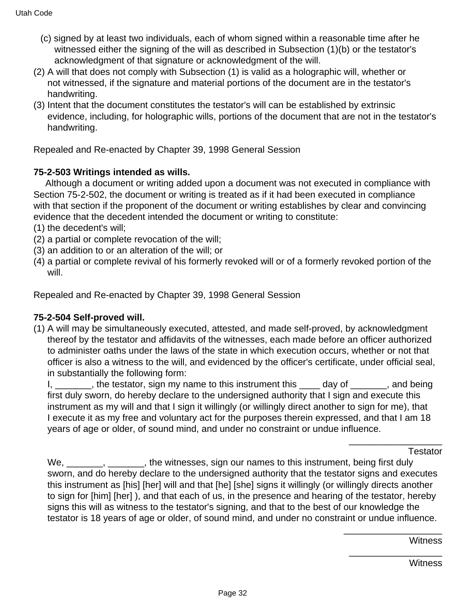- (c) signed by at least two individuals, each of whom signed within a reasonable time after he witnessed either the signing of the will as described in Subsection (1)(b) or the testator's acknowledgment of that signature or acknowledgment of the will.
- (2) A will that does not comply with Subsection (1) is valid as a holographic will, whether or not witnessed, if the signature and material portions of the document are in the testator's handwriting.
- (3) Intent that the document constitutes the testator's will can be established by extrinsic evidence, including, for holographic wills, portions of the document that are not in the testator's handwriting.

Repealed and Re-enacted by Chapter 39, 1998 General Session

## **75-2-503 Writings intended as wills.**

 Although a document or writing added upon a document was not executed in compliance with Section 75-2-502, the document or writing is treated as if it had been executed in compliance with that section if the proponent of the document or writing establishes by clear and convincing evidence that the decedent intended the document or writing to constitute:

- (1) the decedent's will;
- (2) a partial or complete revocation of the will;
- (3) an addition to or an alteration of the will; or
- (4) a partial or complete revival of his formerly revoked will or of a formerly revoked portion of the will.

Repealed and Re-enacted by Chapter 39, 1998 General Session

### **75-2-504 Self-proved will.**

(1) A will may be simultaneously executed, attested, and made self-proved, by acknowledgment thereof by the testator and affidavits of the witnesses, each made before an officer authorized to administer oaths under the laws of the state in which execution occurs, whether or not that officer is also a witness to the will, and evidenced by the officer's certificate, under official seal, in substantially the following form:

I, the testator, sign my name to this instrument this day of each cand being first duly sworn, do hereby declare to the undersigned authority that I sign and execute this instrument as my will and that I sign it willingly (or willingly direct another to sign for me), that I execute it as my free and voluntary act for the purposes therein expressed, and that I am 18 years of age or older, of sound mind, and under no constraint or undue influence.

**Testator** 

\_\_\_\_\_\_\_\_\_\_\_\_\_\_\_\_\_\_

\_\_\_\_\_\_\_\_\_\_\_\_\_\_\_\_\_\_\_

\_\_\_\_\_\_\_\_\_\_\_\_\_\_\_\_\_\_

We, \_\_\_\_\_\_, \_\_\_\_\_, the witnesses, sign our names to this instrument, being first duly sworn, and do hereby declare to the undersigned authority that the testator signs and executes this instrument as [his] [her] will and that [he] [she] signs it willingly (or willingly directs another to sign for [him] [her] ), and that each of us, in the presence and hearing of the testator, hereby signs this will as witness to the testator's signing, and that to the best of our knowledge the testator is 18 years of age or older, of sound mind, and under no constraint or undue influence.

Witness

**Witness**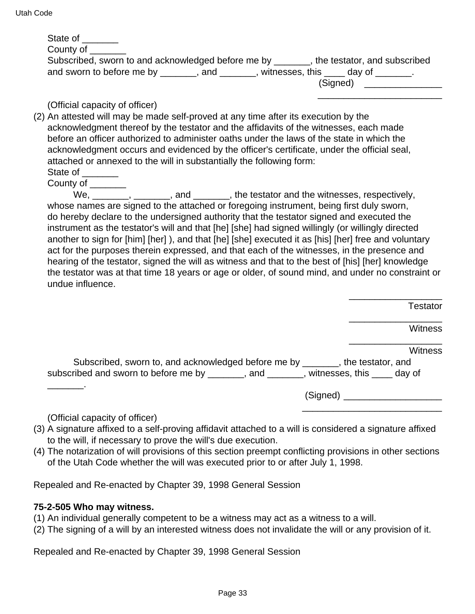| State of                                                                                                                                                                                                                       |
|--------------------------------------------------------------------------------------------------------------------------------------------------------------------------------------------------------------------------------|
| County of $\frac{1}{2}$                                                                                                                                                                                                        |
| Subscribed, sworn to and acknowledged before me by _______, the testator, and subscribed                                                                                                                                       |
| and sworn to before me by _______, and ______, witnesses, this ____ day of ______.                                                                                                                                             |
| (Signed) and the control of the control of the control of the control of the control of the control of the control of the control of the control of the control of the control of the control of the control of the control of |
|                                                                                                                                                                                                                                |

# (Official capacity of officer)

(2) An attested will may be made self-proved at any time after its execution by the acknowledgment thereof by the testator and the affidavits of the witnesses, each made before an officer authorized to administer oaths under the laws of the state in which the acknowledgment occurs and evidenced by the officer's certificate, under the official seal, attached or annexed to the will in substantially the following form: State of \_\_\_\_\_\_\_

County of **Example 20** 

 $W_e$ , \_\_\_\_\_\_\_, \_\_\_\_\_\_, and \_\_\_\_\_\_, the testator and the witnesses, respectively, whose names are signed to the attached or foregoing instrument, being first duly sworn, do hereby declare to the undersigned authority that the testator signed and executed the instrument as the testator's will and that [he] [she] had signed willingly (or willingly directed another to sign for [him] [her] ), and that [he] [she] executed it as [his] [her] free and voluntary act for the purposes therein expressed, and that each of the witnesses, in the presence and hearing of the testator, signed the will as witness and that to the best of [his] [her] knowledge the testator was at that time 18 years or age or older, of sound mind, and under no constraint or undue influence.

\_\_\_\_\_\_\_\_\_\_\_\_\_\_\_\_\_\_ **Testator** \_\_\_\_\_\_\_\_\_\_\_\_\_\_\_\_\_\_ **Witness** \_\_\_\_\_\_\_\_\_\_\_\_\_\_\_\_\_\_ **Witness**  Subscribed, sworn to, and acknowledged before me by \_\_\_\_\_\_\_, the testator, and subscribed and sworn to before me by \_\_\_\_\_\_\_, and \_\_\_\_\_\_, witnesses, this \_\_\_\_ day of \_\_\_\_\_\_\_. (Signed) \_\_\_\_\_\_\_\_\_\_\_\_\_\_\_\_\_\_\_

\_\_\_\_\_\_\_\_\_\_\_\_\_\_\_\_\_\_\_\_\_\_\_\_\_\_\_

(Official capacity of officer)

- (3) A signature affixed to a self-proving affidavit attached to a will is considered a signature affixed to the will, if necessary to prove the will's due execution.
- (4) The notarization of will provisions of this section preempt conflicting provisions in other sections of the Utah Code whether the will was executed prior to or after July 1, 1998.

Repealed and Re-enacted by Chapter 39, 1998 General Session

# **75-2-505 Who may witness.**

- (1) An individual generally competent to be a witness may act as a witness to a will.
- (2) The signing of a will by an interested witness does not invalidate the will or any provision of it.

Repealed and Re-enacted by Chapter 39, 1998 General Session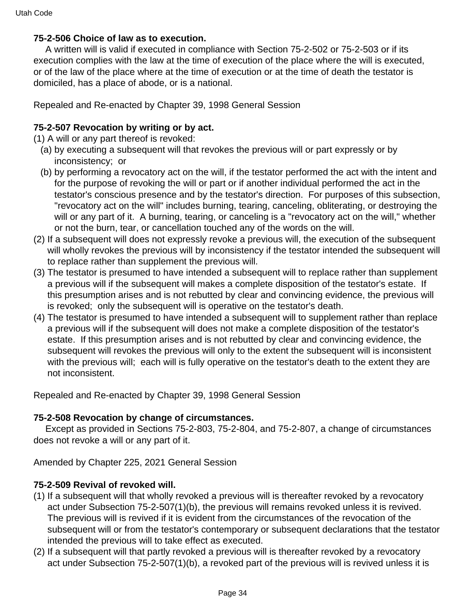### **75-2-506 Choice of law as to execution.**

 A written will is valid if executed in compliance with Section 75-2-502 or 75-2-503 or if its execution complies with the law at the time of execution of the place where the will is executed, or of the law of the place where at the time of execution or at the time of death the testator is domiciled, has a place of abode, or is a national.

Repealed and Re-enacted by Chapter 39, 1998 General Session

## **75-2-507 Revocation by writing or by act.**

(1) A will or any part thereof is revoked:

- (a) by executing a subsequent will that revokes the previous will or part expressly or by inconsistency; or
- (b) by performing a revocatory act on the will, if the testator performed the act with the intent and for the purpose of revoking the will or part or if another individual performed the act in the testator's conscious presence and by the testator's direction. For purposes of this subsection, "revocatory act on the will" includes burning, tearing, canceling, obliterating, or destroying the will or any part of it. A burning, tearing, or canceling is a "revocatory act on the will," whether or not the burn, tear, or cancellation touched any of the words on the will.
- (2) If a subsequent will does not expressly revoke a previous will, the execution of the subsequent will wholly revokes the previous will by inconsistency if the testator intended the subsequent will to replace rather than supplement the previous will.
- (3) The testator is presumed to have intended a subsequent will to replace rather than supplement a previous will if the subsequent will makes a complete disposition of the testator's estate. If this presumption arises and is not rebutted by clear and convincing evidence, the previous will is revoked; only the subsequent will is operative on the testator's death.
- (4) The testator is presumed to have intended a subsequent will to supplement rather than replace a previous will if the subsequent will does not make a complete disposition of the testator's estate. If this presumption arises and is not rebutted by clear and convincing evidence, the subsequent will revokes the previous will only to the extent the subsequent will is inconsistent with the previous will; each will is fully operative on the testator's death to the extent they are not inconsistent.

Repealed and Re-enacted by Chapter 39, 1998 General Session

### **75-2-508 Revocation by change of circumstances.**

 Except as provided in Sections 75-2-803, 75-2-804, and 75-2-807, a change of circumstances does not revoke a will or any part of it.

Amended by Chapter 225, 2021 General Session

### **75-2-509 Revival of revoked will.**

- (1) If a subsequent will that wholly revoked a previous will is thereafter revoked by a revocatory act under Subsection 75-2-507(1)(b), the previous will remains revoked unless it is revived. The previous will is revived if it is evident from the circumstances of the revocation of the subsequent will or from the testator's contemporary or subsequent declarations that the testator intended the previous will to take effect as executed.
- (2) If a subsequent will that partly revoked a previous will is thereafter revoked by a revocatory act under Subsection 75-2-507(1)(b), a revoked part of the previous will is revived unless it is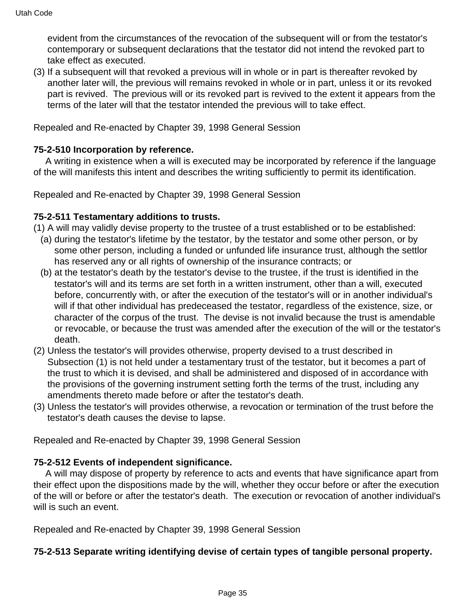evident from the circumstances of the revocation of the subsequent will or from the testator's contemporary or subsequent declarations that the testator did not intend the revoked part to take effect as executed.

(3) If a subsequent will that revoked a previous will in whole or in part is thereafter revoked by another later will, the previous will remains revoked in whole or in part, unless it or its revoked part is revived. The previous will or its revoked part is revived to the extent it appears from the terms of the later will that the testator intended the previous will to take effect.

Repealed and Re-enacted by Chapter 39, 1998 General Session

## **75-2-510 Incorporation by reference.**

 A writing in existence when a will is executed may be incorporated by reference if the language of the will manifests this intent and describes the writing sufficiently to permit its identification.

Repealed and Re-enacted by Chapter 39, 1998 General Session

## **75-2-511 Testamentary additions to trusts.**

- (1) A will may validly devise property to the trustee of a trust established or to be established:
	- (a) during the testator's lifetime by the testator, by the testator and some other person, or by some other person, including a funded or unfunded life insurance trust, although the settlor has reserved any or all rights of ownership of the insurance contracts; or
	- (b) at the testator's death by the testator's devise to the trustee, if the trust is identified in the testator's will and its terms are set forth in a written instrument, other than a will, executed before, concurrently with, or after the execution of the testator's will or in another individual's will if that other individual has predeceased the testator, regardless of the existence, size, or character of the corpus of the trust. The devise is not invalid because the trust is amendable or revocable, or because the trust was amended after the execution of the will or the testator's death.
- (2) Unless the testator's will provides otherwise, property devised to a trust described in Subsection (1) is not held under a testamentary trust of the testator, but it becomes a part of the trust to which it is devised, and shall be administered and disposed of in accordance with the provisions of the governing instrument setting forth the terms of the trust, including any amendments thereto made before or after the testator's death.
- (3) Unless the testator's will provides otherwise, a revocation or termination of the trust before the testator's death causes the devise to lapse.

Repealed and Re-enacted by Chapter 39, 1998 General Session

# **75-2-512 Events of independent significance.**

 A will may dispose of property by reference to acts and events that have significance apart from their effect upon the dispositions made by the will, whether they occur before or after the execution of the will or before or after the testator's death. The execution or revocation of another individual's will is such an event.

Repealed and Re-enacted by Chapter 39, 1998 General Session

### **75-2-513 Separate writing identifying devise of certain types of tangible personal property.**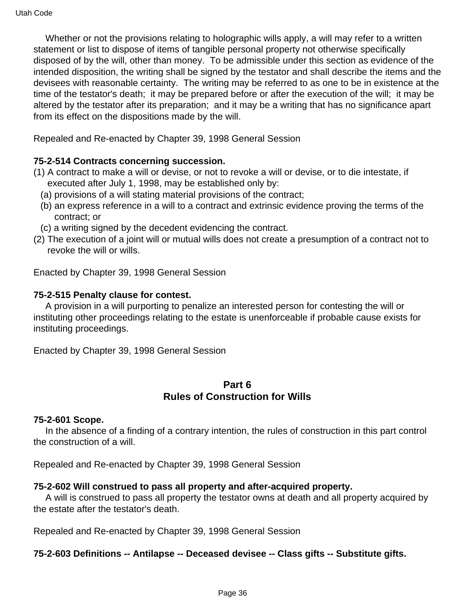Whether or not the provisions relating to holographic wills apply, a will may refer to a written statement or list to dispose of items of tangible personal property not otherwise specifically disposed of by the will, other than money. To be admissible under this section as evidence of the intended disposition, the writing shall be signed by the testator and shall describe the items and the devisees with reasonable certainty. The writing may be referred to as one to be in existence at the time of the testator's death; it may be prepared before or after the execution of the will; it may be altered by the testator after its preparation; and it may be a writing that has no significance apart from its effect on the dispositions made by the will.

Repealed and Re-enacted by Chapter 39, 1998 General Session

### **75-2-514 Contracts concerning succession.**

- (1) A contract to make a will or devise, or not to revoke a will or devise, or to die intestate, if executed after July 1, 1998, may be established only by:
	- (a) provisions of a will stating material provisions of the contract;
	- (b) an express reference in a will to a contract and extrinsic evidence proving the terms of the contract; or
- (c) a writing signed by the decedent evidencing the contract.
- (2) The execution of a joint will or mutual wills does not create a presumption of a contract not to revoke the will or wills.

Enacted by Chapter 39, 1998 General Session

#### **75-2-515 Penalty clause for contest.**

 A provision in a will purporting to penalize an interested person for contesting the will or instituting other proceedings relating to the estate is unenforceable if probable cause exists for instituting proceedings.

Enacted by Chapter 39, 1998 General Session

## **Part 6 Rules of Construction for Wills**

#### **75-2-601 Scope.**

 In the absence of a finding of a contrary intention, the rules of construction in this part control the construction of a will.

Repealed and Re-enacted by Chapter 39, 1998 General Session

### **75-2-602 Will construed to pass all property and after-acquired property.**

 A will is construed to pass all property the testator owns at death and all property acquired by the estate after the testator's death.

Repealed and Re-enacted by Chapter 39, 1998 General Session

### **75-2-603 Definitions -- Antilapse -- Deceased devisee -- Class gifts -- Substitute gifts.**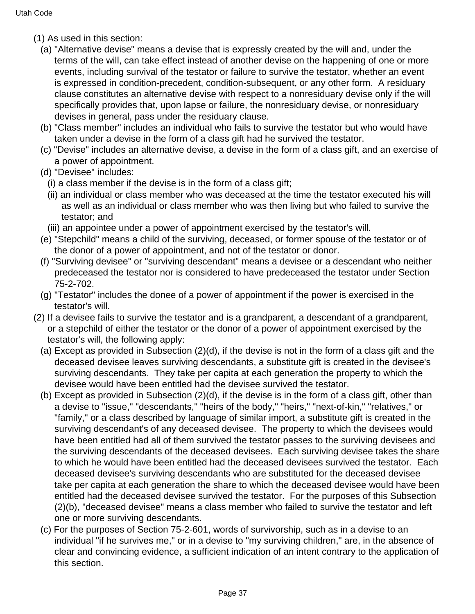- (1) As used in this section:
	- (a) "Alternative devise" means a devise that is expressly created by the will and, under the terms of the will, can take effect instead of another devise on the happening of one or more events, including survival of the testator or failure to survive the testator, whether an event is expressed in condition-precedent, condition-subsequent, or any other form. A residuary clause constitutes an alternative devise with respect to a nonresiduary devise only if the will specifically provides that, upon lapse or failure, the nonresiduary devise, or nonresiduary devises in general, pass under the residuary clause.
	- (b) "Class member" includes an individual who fails to survive the testator but who would have taken under a devise in the form of a class gift had he survived the testator.
	- (c) "Devise" includes an alternative devise, a devise in the form of a class gift, and an exercise of a power of appointment.
	- (d) "Devisee" includes:
		- (i) a class member if the devise is in the form of a class gift;
		- (ii) an individual or class member who was deceased at the time the testator executed his will as well as an individual or class member who was then living but who failed to survive the testator; and
		- (iii) an appointee under a power of appointment exercised by the testator's will.
	- (e) "Stepchild" means a child of the surviving, deceased, or former spouse of the testator or of the donor of a power of appointment, and not of the testator or donor.
	- (f) "Surviving devisee" or "surviving descendant" means a devisee or a descendant who neither predeceased the testator nor is considered to have predeceased the testator under Section 75-2-702.
	- (g) "Testator" includes the donee of a power of appointment if the power is exercised in the testator's will.
- (2) If a devisee fails to survive the testator and is a grandparent, a descendant of a grandparent, or a stepchild of either the testator or the donor of a power of appointment exercised by the testator's will, the following apply:
	- (a) Except as provided in Subsection (2)(d), if the devise is not in the form of a class gift and the deceased devisee leaves surviving descendants, a substitute gift is created in the devisee's surviving descendants. They take per capita at each generation the property to which the devisee would have been entitled had the devisee survived the testator.
	- (b) Except as provided in Subsection (2)(d), if the devise is in the form of a class gift, other than a devise to "issue," "descendants," "heirs of the body," "heirs," "next-of-kin," "relatives," or "family," or a class described by language of similar import, a substitute gift is created in the surviving descendant's of any deceased devisee. The property to which the devisees would have been entitled had all of them survived the testator passes to the surviving devisees and the surviving descendants of the deceased devisees. Each surviving devisee takes the share to which he would have been entitled had the deceased devisees survived the testator. Each deceased devisee's surviving descendants who are substituted for the deceased devisee take per capita at each generation the share to which the deceased devisee would have been entitled had the deceased devisee survived the testator. For the purposes of this Subsection (2)(b), "deceased devisee" means a class member who failed to survive the testator and left one or more surviving descendants.
	- (c) For the purposes of Section 75-2-601, words of survivorship, such as in a devise to an individual "if he survives me," or in a devise to "my surviving children," are, in the absence of clear and convincing evidence, a sufficient indication of an intent contrary to the application of this section.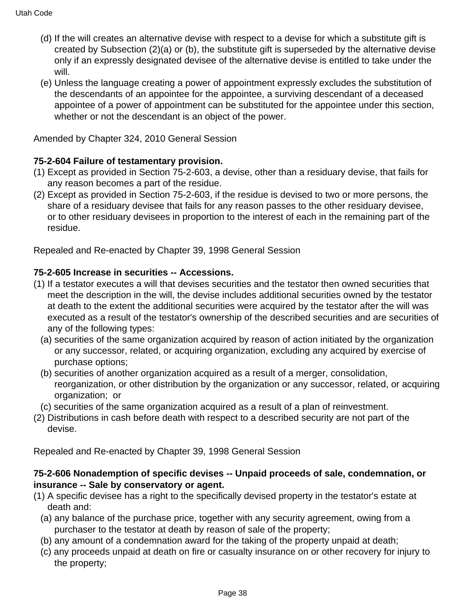- (d) If the will creates an alternative devise with respect to a devise for which a substitute gift is created by Subsection (2)(a) or (b), the substitute gift is superseded by the alternative devise only if an expressly designated devisee of the alternative devise is entitled to take under the will.
- (e) Unless the language creating a power of appointment expressly excludes the substitution of the descendants of an appointee for the appointee, a surviving descendant of a deceased appointee of a power of appointment can be substituted for the appointee under this section, whether or not the descendant is an object of the power.

Amended by Chapter 324, 2010 General Session

## **75-2-604 Failure of testamentary provision.**

- (1) Except as provided in Section 75-2-603, a devise, other than a residuary devise, that fails for any reason becomes a part of the residue.
- (2) Except as provided in Section 75-2-603, if the residue is devised to two or more persons, the share of a residuary devisee that fails for any reason passes to the other residuary devisee, or to other residuary devisees in proportion to the interest of each in the remaining part of the residue.

Repealed and Re-enacted by Chapter 39, 1998 General Session

## **75-2-605 Increase in securities -- Accessions.**

- (1) If a testator executes a will that devises securities and the testator then owned securities that meet the description in the will, the devise includes additional securities owned by the testator at death to the extent the additional securities were acquired by the testator after the will was executed as a result of the testator's ownership of the described securities and are securities of any of the following types:
	- (a) securities of the same organization acquired by reason of action initiated by the organization or any successor, related, or acquiring organization, excluding any acquired by exercise of purchase options;
	- (b) securities of another organization acquired as a result of a merger, consolidation, reorganization, or other distribution by the organization or any successor, related, or acquiring organization; or
	- (c) securities of the same organization acquired as a result of a plan of reinvestment.
- (2) Distributions in cash before death with respect to a described security are not part of the devise.

Repealed and Re-enacted by Chapter 39, 1998 General Session

## **75-2-606 Nonademption of specific devises -- Unpaid proceeds of sale, condemnation, or insurance -- Sale by conservatory or agent.**

- (1) A specific devisee has a right to the specifically devised property in the testator's estate at death and:
	- (a) any balance of the purchase price, together with any security agreement, owing from a purchaser to the testator at death by reason of sale of the property;
	- (b) any amount of a condemnation award for the taking of the property unpaid at death;
	- (c) any proceeds unpaid at death on fire or casualty insurance on or other recovery for injury to the property;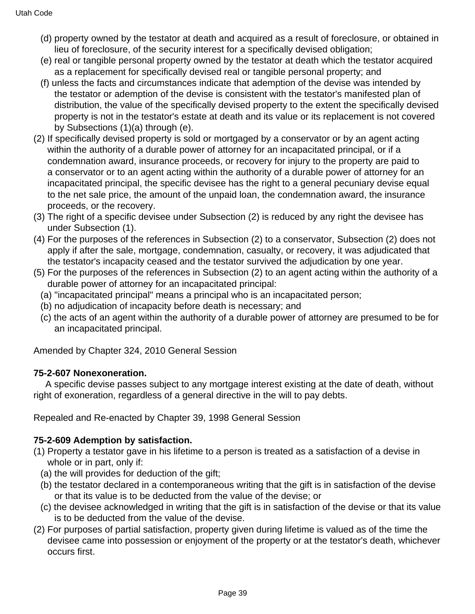- (d) property owned by the testator at death and acquired as a result of foreclosure, or obtained in lieu of foreclosure, of the security interest for a specifically devised obligation;
- (e) real or tangible personal property owned by the testator at death which the testator acquired as a replacement for specifically devised real or tangible personal property; and
- (f) unless the facts and circumstances indicate that ademption of the devise was intended by the testator or ademption of the devise is consistent with the testator's manifested plan of distribution, the value of the specifically devised property to the extent the specifically devised property is not in the testator's estate at death and its value or its replacement is not covered by Subsections (1)(a) through (e).
- (2) If specifically devised property is sold or mortgaged by a conservator or by an agent acting within the authority of a durable power of attorney for an incapacitated principal, or if a condemnation award, insurance proceeds, or recovery for injury to the property are paid to a conservator or to an agent acting within the authority of a durable power of attorney for an incapacitated principal, the specific devisee has the right to a general pecuniary devise equal to the net sale price, the amount of the unpaid loan, the condemnation award, the insurance proceeds, or the recovery.
- (3) The right of a specific devisee under Subsection (2) is reduced by any right the devisee has under Subsection (1).
- (4) For the purposes of the references in Subsection (2) to a conservator, Subsection (2) does not apply if after the sale, mortgage, condemnation, casualty, or recovery, it was adjudicated that the testator's incapacity ceased and the testator survived the adjudication by one year.
- (5) For the purposes of the references in Subsection (2) to an agent acting within the authority of a durable power of attorney for an incapacitated principal:
	- (a) "incapacitated principal" means a principal who is an incapacitated person;
	- (b) no adjudication of incapacity before death is necessary; and
	- (c) the acts of an agent within the authority of a durable power of attorney are presumed to be for an incapacitated principal.

Amended by Chapter 324, 2010 General Session

#### **75-2-607 Nonexoneration.**

 A specific devise passes subject to any mortgage interest existing at the date of death, without right of exoneration, regardless of a general directive in the will to pay debts.

Repealed and Re-enacted by Chapter 39, 1998 General Session

## **75-2-609 Ademption by satisfaction.**

- (1) Property a testator gave in his lifetime to a person is treated as a satisfaction of a devise in whole or in part, only if:
	- (a) the will provides for deduction of the gift;
	- (b) the testator declared in a contemporaneous writing that the gift is in satisfaction of the devise or that its value is to be deducted from the value of the devise; or
	- (c) the devisee acknowledged in writing that the gift is in satisfaction of the devise or that its value is to be deducted from the value of the devise.
- (2) For purposes of partial satisfaction, property given during lifetime is valued as of the time the devisee came into possession or enjoyment of the property or at the testator's death, whichever occurs first.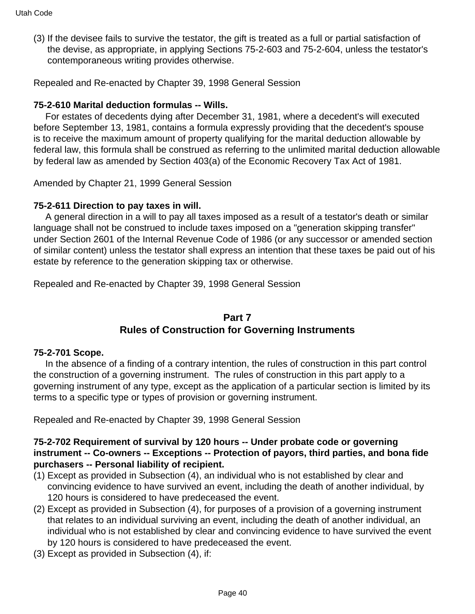(3) If the devisee fails to survive the testator, the gift is treated as a full or partial satisfaction of the devise, as appropriate, in applying Sections 75-2-603 and 75-2-604, unless the testator's contemporaneous writing provides otherwise.

Repealed and Re-enacted by Chapter 39, 1998 General Session

#### **75-2-610 Marital deduction formulas -- Wills.**

 For estates of decedents dying after December 31, 1981, where a decedent's will executed before September 13, 1981, contains a formula expressly providing that the decedent's spouse is to receive the maximum amount of property qualifying for the marital deduction allowable by federal law, this formula shall be construed as referring to the unlimited marital deduction allowable by federal law as amended by Section 403(a) of the Economic Recovery Tax Act of 1981.

Amended by Chapter 21, 1999 General Session

#### **75-2-611 Direction to pay taxes in will.**

 A general direction in a will to pay all taxes imposed as a result of a testator's death or similar language shall not be construed to include taxes imposed on a "generation skipping transfer" under Section 2601 of the Internal Revenue Code of 1986 (or any successor or amended section of similar content) unless the testator shall express an intention that these taxes be paid out of his estate by reference to the generation skipping tax or otherwise.

Repealed and Re-enacted by Chapter 39, 1998 General Session

## **Part 7 Rules of Construction for Governing Instruments**

#### **75-2-701 Scope.**

 In the absence of a finding of a contrary intention, the rules of construction in this part control the construction of a governing instrument. The rules of construction in this part apply to a governing instrument of any type, except as the application of a particular section is limited by its terms to a specific type or types of provision or governing instrument.

Repealed and Re-enacted by Chapter 39, 1998 General Session

#### **75-2-702 Requirement of survival by 120 hours -- Under probate code or governing instrument -- Co-owners -- Exceptions -- Protection of payors, third parties, and bona fide purchasers -- Personal liability of recipient.**

- (1) Except as provided in Subsection (4), an individual who is not established by clear and convincing evidence to have survived an event, including the death of another individual, by 120 hours is considered to have predeceased the event.
- (2) Except as provided in Subsection (4), for purposes of a provision of a governing instrument that relates to an individual surviving an event, including the death of another individual, an individual who is not established by clear and convincing evidence to have survived the event by 120 hours is considered to have predeceased the event.
- (3) Except as provided in Subsection (4), if: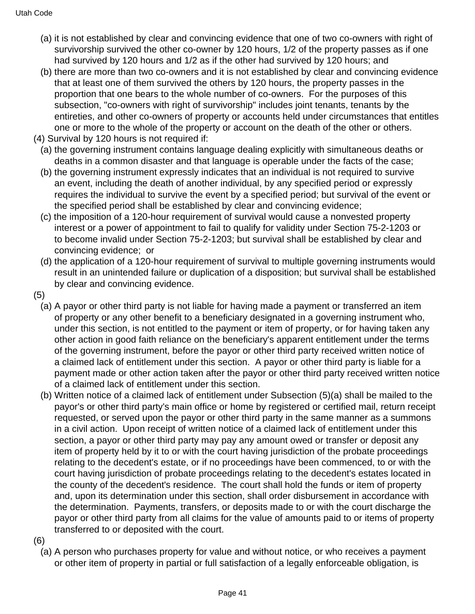- (a) it is not established by clear and convincing evidence that one of two co-owners with right of survivorship survived the other co-owner by 120 hours, 1/2 of the property passes as if one had survived by 120 hours and 1/2 as if the other had survived by 120 hours; and
- (b) there are more than two co-owners and it is not established by clear and convincing evidence that at least one of them survived the others by 120 hours, the property passes in the proportion that one bears to the whole number of co-owners. For the purposes of this subsection, "co-owners with right of survivorship" includes joint tenants, tenants by the entireties, and other co-owners of property or accounts held under circumstances that entitles one or more to the whole of the property or account on the death of the other or others.
- (4) Survival by 120 hours is not required if:
	- (a) the governing instrument contains language dealing explicitly with simultaneous deaths or deaths in a common disaster and that language is operable under the facts of the case;
	- (b) the governing instrument expressly indicates that an individual is not required to survive an event, including the death of another individual, by any specified period or expressly requires the individual to survive the event by a specified period; but survival of the event or the specified period shall be established by clear and convincing evidence;
	- (c) the imposition of a 120-hour requirement of survival would cause a nonvested property interest or a power of appointment to fail to qualify for validity under Section 75-2-1203 or to become invalid under Section 75-2-1203; but survival shall be established by clear and convincing evidence; or
	- (d) the application of a 120-hour requirement of survival to multiple governing instruments would result in an unintended failure or duplication of a disposition; but survival shall be established by clear and convincing evidence.
- (5)
	- (a) A payor or other third party is not liable for having made a payment or transferred an item of property or any other benefit to a beneficiary designated in a governing instrument who, under this section, is not entitled to the payment or item of property, or for having taken any other action in good faith reliance on the beneficiary's apparent entitlement under the terms of the governing instrument, before the payor or other third party received written notice of a claimed lack of entitlement under this section. A payor or other third party is liable for a payment made or other action taken after the payor or other third party received written notice of a claimed lack of entitlement under this section.
	- (b) Written notice of a claimed lack of entitlement under Subsection (5)(a) shall be mailed to the payor's or other third party's main office or home by registered or certified mail, return receipt requested, or served upon the payor or other third party in the same manner as a summons in a civil action. Upon receipt of written notice of a claimed lack of entitlement under this section, a payor or other third party may pay any amount owed or transfer or deposit any item of property held by it to or with the court having jurisdiction of the probate proceedings relating to the decedent's estate, or if no proceedings have been commenced, to or with the court having jurisdiction of probate proceedings relating to the decedent's estates located in the county of the decedent's residence. The court shall hold the funds or item of property and, upon its determination under this section, shall order disbursement in accordance with the determination. Payments, transfers, or deposits made to or with the court discharge the payor or other third party from all claims for the value of amounts paid to or items of property transferred to or deposited with the court.
- (6)
	- (a) A person who purchases property for value and without notice, or who receives a payment or other item of property in partial or full satisfaction of a legally enforceable obligation, is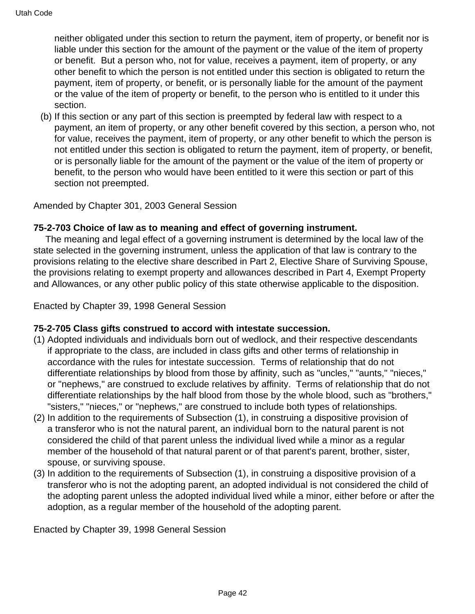neither obligated under this section to return the payment, item of property, or benefit nor is liable under this section for the amount of the payment or the value of the item of property or benefit. But a person who, not for value, receives a payment, item of property, or any other benefit to which the person is not entitled under this section is obligated to return the payment, item of property, or benefit, or is personally liable for the amount of the payment or the value of the item of property or benefit, to the person who is entitled to it under this section.

(b) If this section or any part of this section is preempted by federal law with respect to a payment, an item of property, or any other benefit covered by this section, a person who, not for value, receives the payment, item of property, or any other benefit to which the person is not entitled under this section is obligated to return the payment, item of property, or benefit, or is personally liable for the amount of the payment or the value of the item of property or benefit, to the person who would have been entitled to it were this section or part of this section not preempted.

Amended by Chapter 301, 2003 General Session

#### **75-2-703 Choice of law as to meaning and effect of governing instrument.**

 The meaning and legal effect of a governing instrument is determined by the local law of the state selected in the governing instrument, unless the application of that law is contrary to the provisions relating to the elective share described in Part 2, Elective Share of Surviving Spouse, the provisions relating to exempt property and allowances described in Part 4, Exempt Property and Allowances, or any other public policy of this state otherwise applicable to the disposition.

Enacted by Chapter 39, 1998 General Session

#### **75-2-705 Class gifts construed to accord with intestate succession.**

- (1) Adopted individuals and individuals born out of wedlock, and their respective descendants if appropriate to the class, are included in class gifts and other terms of relationship in accordance with the rules for intestate succession. Terms of relationship that do not differentiate relationships by blood from those by affinity, such as "uncles," "aunts," "nieces," or "nephews," are construed to exclude relatives by affinity. Terms of relationship that do not differentiate relationships by the half blood from those by the whole blood, such as "brothers," "sisters," "nieces," or "nephews," are construed to include both types of relationships.
- (2) In addition to the requirements of Subsection (1), in construing a dispositive provision of a transferor who is not the natural parent, an individual born to the natural parent is not considered the child of that parent unless the individual lived while a minor as a regular member of the household of that natural parent or of that parent's parent, brother, sister, spouse, or surviving spouse.
- (3) In addition to the requirements of Subsection (1), in construing a dispositive provision of a transferor who is not the adopting parent, an adopted individual is not considered the child of the adopting parent unless the adopted individual lived while a minor, either before or after the adoption, as a regular member of the household of the adopting parent.

Enacted by Chapter 39, 1998 General Session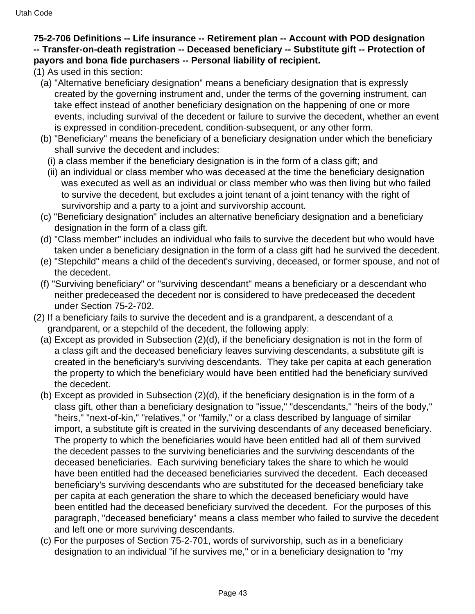## **75-2-706 Definitions -- Life insurance -- Retirement plan -- Account with POD designation -- Transfer-on-death registration -- Deceased beneficiary -- Substitute gift -- Protection of payors and bona fide purchasers -- Personal liability of recipient.**

- (1) As used in this section:
	- (a) "Alternative beneficiary designation" means a beneficiary designation that is expressly created by the governing instrument and, under the terms of the governing instrument, can take effect instead of another beneficiary designation on the happening of one or more events, including survival of the decedent or failure to survive the decedent, whether an event is expressed in condition-precedent, condition-subsequent, or any other form.
	- (b) "Beneficiary" means the beneficiary of a beneficiary designation under which the beneficiary shall survive the decedent and includes:
		- (i) a class member if the beneficiary designation is in the form of a class gift; and
		- (ii) an individual or class member who was deceased at the time the beneficiary designation was executed as well as an individual or class member who was then living but who failed to survive the decedent, but excludes a joint tenant of a joint tenancy with the right of survivorship and a party to a joint and survivorship account.
	- (c) "Beneficiary designation" includes an alternative beneficiary designation and a beneficiary designation in the form of a class gift.
	- (d) "Class member" includes an individual who fails to survive the decedent but who would have taken under a beneficiary designation in the form of a class gift had he survived the decedent.
	- (e) "Stepchild" means a child of the decedent's surviving, deceased, or former spouse, and not of the decedent.
	- (f) "Surviving beneficiary" or "surviving descendant" means a beneficiary or a descendant who neither predeceased the decedent nor is considered to have predeceased the decedent under Section 75-2-702.
- (2) If a beneficiary fails to survive the decedent and is a grandparent, a descendant of a grandparent, or a stepchild of the decedent, the following apply:
	- (a) Except as provided in Subsection (2)(d), if the beneficiary designation is not in the form of a class gift and the deceased beneficiary leaves surviving descendants, a substitute gift is created in the beneficiary's surviving descendants. They take per capita at each generation the property to which the beneficiary would have been entitled had the beneficiary survived the decedent.
	- (b) Except as provided in Subsection (2)(d), if the beneficiary designation is in the form of a class gift, other than a beneficiary designation to "issue," "descendants," "heirs of the body," "heirs," "next-of-kin," "relatives," or "family," or a class described by language of similar import, a substitute gift is created in the surviving descendants of any deceased beneficiary. The property to which the beneficiaries would have been entitled had all of them survived the decedent passes to the surviving beneficiaries and the surviving descendants of the deceased beneficiaries. Each surviving beneficiary takes the share to which he would have been entitled had the deceased beneficiaries survived the decedent. Each deceased beneficiary's surviving descendants who are substituted for the deceased beneficiary take per capita at each generation the share to which the deceased beneficiary would have been entitled had the deceased beneficiary survived the decedent. For the purposes of this paragraph, "deceased beneficiary" means a class member who failed to survive the decedent and left one or more surviving descendants.
	- (c) For the purposes of Section 75-2-701, words of survivorship, such as in a beneficiary designation to an individual "if he survives me," or in a beneficiary designation to "my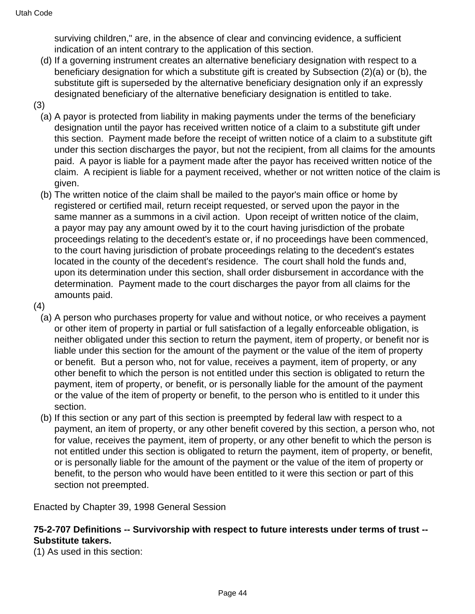surviving children," are, in the absence of clear and convincing evidence, a sufficient indication of an intent contrary to the application of this section.

- (d) If a governing instrument creates an alternative beneficiary designation with respect to a beneficiary designation for which a substitute gift is created by Subsection (2)(a) or (b), the substitute gift is superseded by the alternative beneficiary designation only if an expressly designated beneficiary of the alternative beneficiary designation is entitled to take.
- (3)
	- (a) A payor is protected from liability in making payments under the terms of the beneficiary designation until the payor has received written notice of a claim to a substitute gift under this section. Payment made before the receipt of written notice of a claim to a substitute gift under this section discharges the payor, but not the recipient, from all claims for the amounts paid. A payor is liable for a payment made after the payor has received written notice of the claim. A recipient is liable for a payment received, whether or not written notice of the claim is given.
	- (b) The written notice of the claim shall be mailed to the payor's main office or home by registered or certified mail, return receipt requested, or served upon the payor in the same manner as a summons in a civil action. Upon receipt of written notice of the claim, a payor may pay any amount owed by it to the court having jurisdiction of the probate proceedings relating to the decedent's estate or, if no proceedings have been commenced, to the court having jurisdiction of probate proceedings relating to the decedent's estates located in the county of the decedent's residence. The court shall hold the funds and, upon its determination under this section, shall order disbursement in accordance with the determination. Payment made to the court discharges the payor from all claims for the amounts paid.
- (4)
	- (a) A person who purchases property for value and without notice, or who receives a payment or other item of property in partial or full satisfaction of a legally enforceable obligation, is neither obligated under this section to return the payment, item of property, or benefit nor is liable under this section for the amount of the payment or the value of the item of property or benefit. But a person who, not for value, receives a payment, item of property, or any other benefit to which the person is not entitled under this section is obligated to return the payment, item of property, or benefit, or is personally liable for the amount of the payment or the value of the item of property or benefit, to the person who is entitled to it under this section.
	- (b) If this section or any part of this section is preempted by federal law with respect to a payment, an item of property, or any other benefit covered by this section, a person who, not for value, receives the payment, item of property, or any other benefit to which the person is not entitled under this section is obligated to return the payment, item of property, or benefit, or is personally liable for the amount of the payment or the value of the item of property or benefit, to the person who would have been entitled to it were this section or part of this section not preempted.

Enacted by Chapter 39, 1998 General Session

## **75-2-707 Definitions -- Survivorship with respect to future interests under terms of trust -- Substitute takers.**

(1) As used in this section: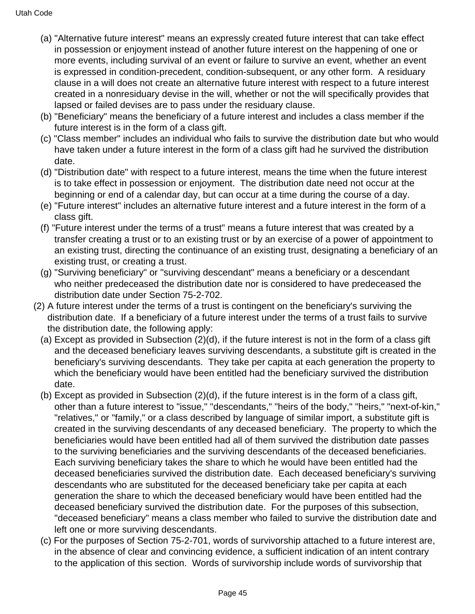- (a) "Alternative future interest" means an expressly created future interest that can take effect in possession or enjoyment instead of another future interest on the happening of one or more events, including survival of an event or failure to survive an event, whether an event is expressed in condition-precedent, condition-subsequent, or any other form. A residuary clause in a will does not create an alternative future interest with respect to a future interest created in a nonresiduary devise in the will, whether or not the will specifically provides that lapsed or failed devises are to pass under the residuary clause.
- (b) "Beneficiary" means the beneficiary of a future interest and includes a class member if the future interest is in the form of a class gift.
- (c) "Class member" includes an individual who fails to survive the distribution date but who would have taken under a future interest in the form of a class gift had he survived the distribution date.
- (d) "Distribution date" with respect to a future interest, means the time when the future interest is to take effect in possession or enjoyment. The distribution date need not occur at the beginning or end of a calendar day, but can occur at a time during the course of a day.
- (e) "Future interest" includes an alternative future interest and a future interest in the form of a class gift.
- (f) "Future interest under the terms of a trust" means a future interest that was created by a transfer creating a trust or to an existing trust or by an exercise of a power of appointment to an existing trust, directing the continuance of an existing trust, designating a beneficiary of an existing trust, or creating a trust.
- (g) "Surviving beneficiary" or "surviving descendant" means a beneficiary or a descendant who neither predeceased the distribution date nor is considered to have predeceased the distribution date under Section 75-2-702.
- (2) A future interest under the terms of a trust is contingent on the beneficiary's surviving the distribution date. If a beneficiary of a future interest under the terms of a trust fails to survive the distribution date, the following apply:
	- (a) Except as provided in Subsection (2)(d), if the future interest is not in the form of a class gift and the deceased beneficiary leaves surviving descendants, a substitute gift is created in the beneficiary's surviving descendants. They take per capita at each generation the property to which the beneficiary would have been entitled had the beneficiary survived the distribution date.
	- (b) Except as provided in Subsection (2)(d), if the future interest is in the form of a class gift, other than a future interest to "issue," "descendants," "heirs of the body," "heirs," "next-of-kin," "relatives," or "family," or a class described by language of similar import, a substitute gift is created in the surviving descendants of any deceased beneficiary. The property to which the beneficiaries would have been entitled had all of them survived the distribution date passes to the surviving beneficiaries and the surviving descendants of the deceased beneficiaries. Each surviving beneficiary takes the share to which he would have been entitled had the deceased beneficiaries survived the distribution date. Each deceased beneficiary's surviving descendants who are substituted for the deceased beneficiary take per capita at each generation the share to which the deceased beneficiary would have been entitled had the deceased beneficiary survived the distribution date. For the purposes of this subsection, "deceased beneficiary" means a class member who failed to survive the distribution date and left one or more surviving descendants.
	- (c) For the purposes of Section 75-2-701, words of survivorship attached to a future interest are, in the absence of clear and convincing evidence, a sufficient indication of an intent contrary to the application of this section. Words of survivorship include words of survivorship that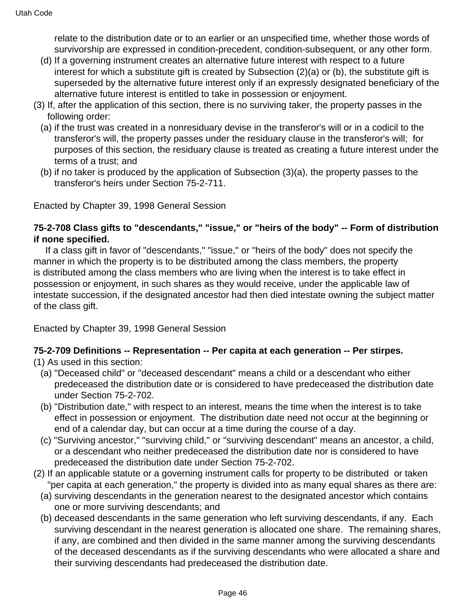relate to the distribution date or to an earlier or an unspecified time, whether those words of survivorship are expressed in condition-precedent, condition-subsequent, or any other form.

- (d) If a governing instrument creates an alternative future interest with respect to a future interest for which a substitute gift is created by Subsection (2)(a) or (b), the substitute gift is superseded by the alternative future interest only if an expressly designated beneficiary of the alternative future interest is entitled to take in possession or enjoyment.
- (3) If, after the application of this section, there is no surviving taker, the property passes in the following order:
	- (a) if the trust was created in a nonresiduary devise in the transferor's will or in a codicil to the transferor's will, the property passes under the residuary clause in the transferor's will; for purposes of this section, the residuary clause is treated as creating a future interest under the terms of a trust; and
	- (b) if no taker is produced by the application of Subsection (3)(a), the property passes to the transferor's heirs under Section 75-2-711.

Enacted by Chapter 39, 1998 General Session

### **75-2-708 Class gifts to "descendants," "issue," or "heirs of the body" -- Form of distribution if none specified.**

 If a class gift in favor of "descendants," "issue," or "heirs of the body" does not specify the manner in which the property is to be distributed among the class members, the property is distributed among the class members who are living when the interest is to take effect in possession or enjoyment, in such shares as they would receive, under the applicable law of intestate succession, if the designated ancestor had then died intestate owning the subject matter of the class gift.

Enacted by Chapter 39, 1998 General Session

## **75-2-709 Definitions -- Representation -- Per capita at each generation -- Per stirpes.**

- (1) As used in this section:
	- (a) "Deceased child" or "deceased descendant" means a child or a descendant who either predeceased the distribution date or is considered to have predeceased the distribution date under Section 75-2-702.
	- (b) "Distribution date," with respect to an interest, means the time when the interest is to take effect in possession or enjoyment. The distribution date need not occur at the beginning or end of a calendar day, but can occur at a time during the course of a day.
	- (c) "Surviving ancestor," "surviving child," or "surviving descendant" means an ancestor, a child, or a descendant who neither predeceased the distribution date nor is considered to have predeceased the distribution date under Section 75-2-702.
- (2) If an applicable statute or a governing instrument calls for property to be distributed or taken "per capita at each generation," the property is divided into as many equal shares as there are:
	- (a) surviving descendants in the generation nearest to the designated ancestor which contains one or more surviving descendants; and
	- (b) deceased descendants in the same generation who left surviving descendants, if any. Each surviving descendant in the nearest generation is allocated one share. The remaining shares, if any, are combined and then divided in the same manner among the surviving descendants of the deceased descendants as if the surviving descendants who were allocated a share and their surviving descendants had predeceased the distribution date.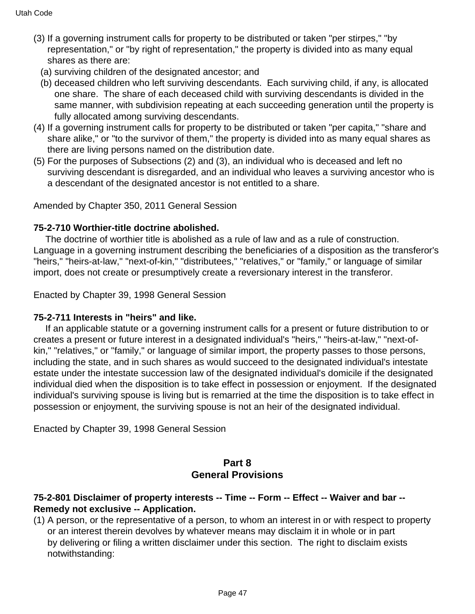- (3) If a governing instrument calls for property to be distributed or taken "per stirpes," "by representation," or "by right of representation," the property is divided into as many equal shares as there are:
	- (a) surviving children of the designated ancestor; and
	- (b) deceased children who left surviving descendants. Each surviving child, if any, is allocated one share. The share of each deceased child with surviving descendants is divided in the same manner, with subdivision repeating at each succeeding generation until the property is fully allocated among surviving descendants.
- (4) If a governing instrument calls for property to be distributed or taken "per capita," "share and share alike," or "to the survivor of them," the property is divided into as many equal shares as there are living persons named on the distribution date.
- (5) For the purposes of Subsections (2) and (3), an individual who is deceased and left no surviving descendant is disregarded, and an individual who leaves a surviving ancestor who is a descendant of the designated ancestor is not entitled to a share.

Amended by Chapter 350, 2011 General Session

## **75-2-710 Worthier-title doctrine abolished.**

 The doctrine of worthier title is abolished as a rule of law and as a rule of construction. Language in a governing instrument describing the beneficiaries of a disposition as the transferor's "heirs," "heirs-at-law," "next-of-kin," "distributees," "relatives," or "family," or language of similar import, does not create or presumptively create a reversionary interest in the transferor.

Enacted by Chapter 39, 1998 General Session

#### **75-2-711 Interests in "heirs" and like.**

 If an applicable statute or a governing instrument calls for a present or future distribution to or creates a present or future interest in a designated individual's "heirs," "heirs-at-law," "next-ofkin," "relatives," or "family," or language of similar import, the property passes to those persons, including the state, and in such shares as would succeed to the designated individual's intestate estate under the intestate succession law of the designated individual's domicile if the designated individual died when the disposition is to take effect in possession or enjoyment. If the designated individual's surviving spouse is living but is remarried at the time the disposition is to take effect in possession or enjoyment, the surviving spouse is not an heir of the designated individual.

Enacted by Chapter 39, 1998 General Session

## **Part 8 General Provisions**

## **75-2-801 Disclaimer of property interests -- Time -- Form -- Effect -- Waiver and bar -- Remedy not exclusive -- Application.**

(1) A person, or the representative of a person, to whom an interest in or with respect to property or an interest therein devolves by whatever means may disclaim it in whole or in part by delivering or filing a written disclaimer under this section. The right to disclaim exists notwithstanding: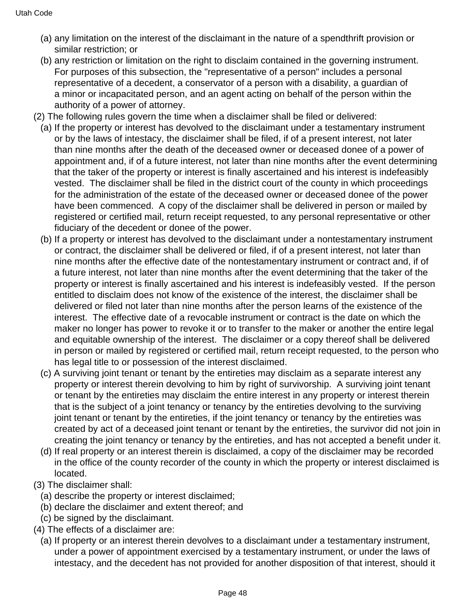- (a) any limitation on the interest of the disclaimant in the nature of a spendthrift provision or similar restriction; or
- (b) any restriction or limitation on the right to disclaim contained in the governing instrument. For purposes of this subsection, the "representative of a person" includes a personal representative of a decedent, a conservator of a person with a disability, a guardian of a minor or incapacitated person, and an agent acting on behalf of the person within the authority of a power of attorney.
- (2) The following rules govern the time when a disclaimer shall be filed or delivered:
	- (a) If the property or interest has devolved to the disclaimant under a testamentary instrument or by the laws of intestacy, the disclaimer shall be filed, if of a present interest, not later than nine months after the death of the deceased owner or deceased donee of a power of appointment and, if of a future interest, not later than nine months after the event determining that the taker of the property or interest is finally ascertained and his interest is indefeasibly vested. The disclaimer shall be filed in the district court of the county in which proceedings for the administration of the estate of the deceased owner or deceased donee of the power have been commenced. A copy of the disclaimer shall be delivered in person or mailed by registered or certified mail, return receipt requested, to any personal representative or other fiduciary of the decedent or donee of the power.
	- (b) If a property or interest has devolved to the disclaimant under a nontestamentary instrument or contract, the disclaimer shall be delivered or filed, if of a present interest, not later than nine months after the effective date of the nontestamentary instrument or contract and, if of a future interest, not later than nine months after the event determining that the taker of the property or interest is finally ascertained and his interest is indefeasibly vested. If the person entitled to disclaim does not know of the existence of the interest, the disclaimer shall be delivered or filed not later than nine months after the person learns of the existence of the interest. The effective date of a revocable instrument or contract is the date on which the maker no longer has power to revoke it or to transfer to the maker or another the entire legal and equitable ownership of the interest. The disclaimer or a copy thereof shall be delivered in person or mailed by registered or certified mail, return receipt requested, to the person who has legal title to or possession of the interest disclaimed.
	- (c) A surviving joint tenant or tenant by the entireties may disclaim as a separate interest any property or interest therein devolving to him by right of survivorship. A surviving joint tenant or tenant by the entireties may disclaim the entire interest in any property or interest therein that is the subject of a joint tenancy or tenancy by the entireties devolving to the surviving joint tenant or tenant by the entireties, if the joint tenancy or tenancy by the entireties was created by act of a deceased joint tenant or tenant by the entireties, the survivor did not join in creating the joint tenancy or tenancy by the entireties, and has not accepted a benefit under it.
	- (d) If real property or an interest therein is disclaimed, a copy of the disclaimer may be recorded in the office of the county recorder of the county in which the property or interest disclaimed is located.
- (3) The disclaimer shall:
	- (a) describe the property or interest disclaimed;
	- (b) declare the disclaimer and extent thereof; and
	- (c) be signed by the disclaimant.
- (4) The effects of a disclaimer are:
	- (a) If property or an interest therein devolves to a disclaimant under a testamentary instrument, under a power of appointment exercised by a testamentary instrument, or under the laws of intestacy, and the decedent has not provided for another disposition of that interest, should it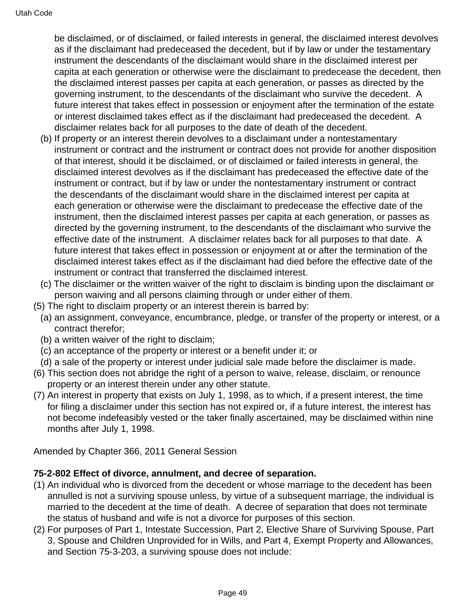be disclaimed, or of disclaimed, or failed interests in general, the disclaimed interest devolves as if the disclaimant had predeceased the decedent, but if by law or under the testamentary instrument the descendants of the disclaimant would share in the disclaimed interest per capita at each generation or otherwise were the disclaimant to predecease the decedent, then the disclaimed interest passes per capita at each generation, or passes as directed by the governing instrument, to the descendants of the disclaimant who survive the decedent. A future interest that takes effect in possession or enjoyment after the termination of the estate or interest disclaimed takes effect as if the disclaimant had predeceased the decedent. A disclaimer relates back for all purposes to the date of death of the decedent.

- (b) If property or an interest therein devolves to a disclaimant under a nontestamentary instrument or contract and the instrument or contract does not provide for another disposition of that interest, should it be disclaimed, or of disclaimed or failed interests in general, the disclaimed interest devolves as if the disclaimant has predeceased the effective date of the instrument or contract, but if by law or under the nontestamentary instrument or contract the descendants of the disclaimant would share in the disclaimed interest per capita at each generation or otherwise were the disclaimant to predecease the effective date of the instrument, then the disclaimed interest passes per capita at each generation, or passes as directed by the governing instrument, to the descendants of the disclaimant who survive the effective date of the instrument. A disclaimer relates back for all purposes to that date. A future interest that takes effect in possession or enjoyment at or after the termination of the disclaimed interest takes effect as if the disclaimant had died before the effective date of the instrument or contract that transferred the disclaimed interest.
- (c) The disclaimer or the written waiver of the right to disclaim is binding upon the disclaimant or person waiving and all persons claiming through or under either of them.
- (5) The right to disclaim property or an interest therein is barred by:
	- (a) an assignment, conveyance, encumbrance, pledge, or transfer of the property or interest, or a contract therefor;
	- (b) a written waiver of the right to disclaim;
	- (c) an acceptance of the property or interest or a benefit under it; or
	- (d) a sale of the property or interest under judicial sale made before the disclaimer is made.
- (6) This section does not abridge the right of a person to waive, release, disclaim, or renounce property or an interest therein under any other statute.
- (7) An interest in property that exists on July 1, 1998, as to which, if a present interest, the time for filing a disclaimer under this section has not expired or, if a future interest, the interest has not become indefeasibly vested or the taker finally ascertained, may be disclaimed within nine months after July 1, 1998.

Amended by Chapter 366, 2011 General Session

#### **75-2-802 Effect of divorce, annulment, and decree of separation.**

- (1) An individual who is divorced from the decedent or whose marriage to the decedent has been annulled is not a surviving spouse unless, by virtue of a subsequent marriage, the individual is married to the decedent at the time of death. A decree of separation that does not terminate the status of husband and wife is not a divorce for purposes of this section.
- (2) For purposes of Part 1, Intestate Succession, Part 2, Elective Share of Surviving Spouse, Part 3, Spouse and Children Unprovided for in Wills, and Part 4, Exempt Property and Allowances, and Section 75-3-203, a surviving spouse does not include: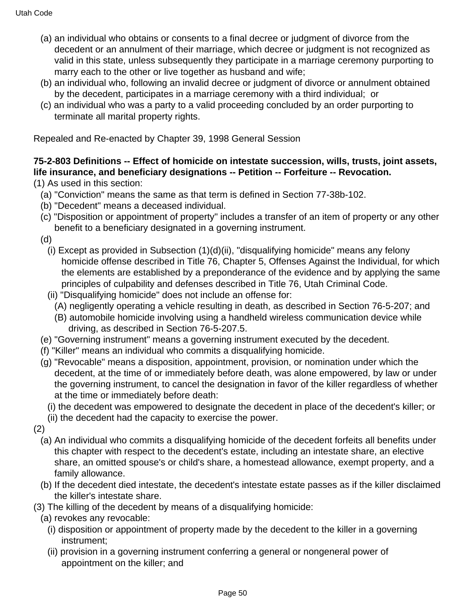- (a) an individual who obtains or consents to a final decree or judgment of divorce from the decedent or an annulment of their marriage, which decree or judgment is not recognized as valid in this state, unless subsequently they participate in a marriage ceremony purporting to marry each to the other or live together as husband and wife;
- (b) an individual who, following an invalid decree or judgment of divorce or annulment obtained by the decedent, participates in a marriage ceremony with a third individual; or
- (c) an individual who was a party to a valid proceeding concluded by an order purporting to terminate all marital property rights.

Repealed and Re-enacted by Chapter 39, 1998 General Session

## **75-2-803 Definitions -- Effect of homicide on intestate succession, wills, trusts, joint assets, life insurance, and beneficiary designations -- Petition -- Forfeiture -- Revocation.**

(1) As used in this section:

- (a) "Conviction" means the same as that term is defined in Section 77-38b-102.
- (b) "Decedent" means a deceased individual.
- (c) "Disposition or appointment of property" includes a transfer of an item of property or any other benefit to a beneficiary designated in a governing instrument.
- (d)
	- (i) Except as provided in Subsection (1)(d)(ii), "disqualifying homicide" means any felony homicide offense described in Title 76, Chapter 5, Offenses Against the Individual, for which the elements are established by a preponderance of the evidence and by applying the same principles of culpability and defenses described in Title 76, Utah Criminal Code.
	- (ii) "Disqualifying homicide" does not include an offense for:
		- (A) negligently operating a vehicle resulting in death, as described in Section 76-5-207; and
		- (B) automobile homicide involving using a handheld wireless communication device while driving, as described in Section 76-5-207.5.
- (e) "Governing instrument" means a governing instrument executed by the decedent.
- (f) "Killer" means an individual who commits a disqualifying homicide.
- (g) "Revocable" means a disposition, appointment, provision, or nomination under which the decedent, at the time of or immediately before death, was alone empowered, by law or under the governing instrument, to cancel the designation in favor of the killer regardless of whether at the time or immediately before death:
	- (i) the decedent was empowered to designate the decedent in place of the decedent's killer; or
- (ii) the decedent had the capacity to exercise the power.

(2)

- (a) An individual who commits a disqualifying homicide of the decedent forfeits all benefits under this chapter with respect to the decedent's estate, including an intestate share, an elective share, an omitted spouse's or child's share, a homestead allowance, exempt property, and a family allowance.
- (b) If the decedent died intestate, the decedent's intestate estate passes as if the killer disclaimed the killer's intestate share.
- (3) The killing of the decedent by means of a disqualifying homicide:
	- (a) revokes any revocable:
		- (i) disposition or appointment of property made by the decedent to the killer in a governing instrument;
		- (ii) provision in a governing instrument conferring a general or nongeneral power of appointment on the killer; and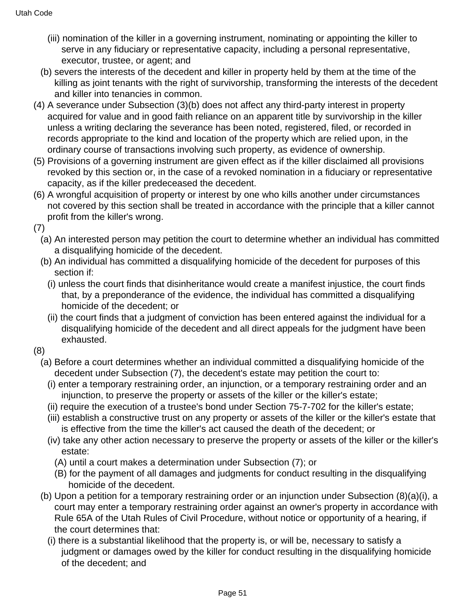- (iii) nomination of the killer in a governing instrument, nominating or appointing the killer to serve in any fiduciary or representative capacity, including a personal representative, executor, trustee, or agent; and
- (b) severs the interests of the decedent and killer in property held by them at the time of the killing as joint tenants with the right of survivorship, transforming the interests of the decedent and killer into tenancies in common.
- (4) A severance under Subsection (3)(b) does not affect any third-party interest in property acquired for value and in good faith reliance on an apparent title by survivorship in the killer unless a writing declaring the severance has been noted, registered, filed, or recorded in records appropriate to the kind and location of the property which are relied upon, in the ordinary course of transactions involving such property, as evidence of ownership.
- (5) Provisions of a governing instrument are given effect as if the killer disclaimed all provisions revoked by this section or, in the case of a revoked nomination in a fiduciary or representative capacity, as if the killer predeceased the decedent.
- (6) A wrongful acquisition of property or interest by one who kills another under circumstances not covered by this section shall be treated in accordance with the principle that a killer cannot profit from the killer's wrong.
- (7)
	- (a) An interested person may petition the court to determine whether an individual has committed a disqualifying homicide of the decedent.
	- (b) An individual has committed a disqualifying homicide of the decedent for purposes of this section if:
		- (i) unless the court finds that disinheritance would create a manifest injustice, the court finds that, by a preponderance of the evidence, the individual has committed a disqualifying homicide of the decedent; or
		- (ii) the court finds that a judgment of conviction has been entered against the individual for a disqualifying homicide of the decedent and all direct appeals for the judgment have been exhausted.
- (8)
	- (a) Before a court determines whether an individual committed a disqualifying homicide of the decedent under Subsection (7), the decedent's estate may petition the court to:
		- (i) enter a temporary restraining order, an injunction, or a temporary restraining order and an injunction, to preserve the property or assets of the killer or the killer's estate;
		- (ii) require the execution of a trustee's bond under Section 75-7-702 for the killer's estate;
		- (iii) establish a constructive trust on any property or assets of the killer or the killer's estate that is effective from the time the killer's act caused the death of the decedent; or
		- (iv) take any other action necessary to preserve the property or assets of the killer or the killer's estate:
			- (A) until a court makes a determination under Subsection (7); or
			- (B) for the payment of all damages and judgments for conduct resulting in the disqualifying homicide of the decedent.
	- (b) Upon a petition for a temporary restraining order or an injunction under Subsection (8)(a)(i), a court may enter a temporary restraining order against an owner's property in accordance with Rule 65A of the Utah Rules of Civil Procedure, without notice or opportunity of a hearing, if the court determines that:
		- (i) there is a substantial likelihood that the property is, or will be, necessary to satisfy a judgment or damages owed by the killer for conduct resulting in the disqualifying homicide of the decedent; and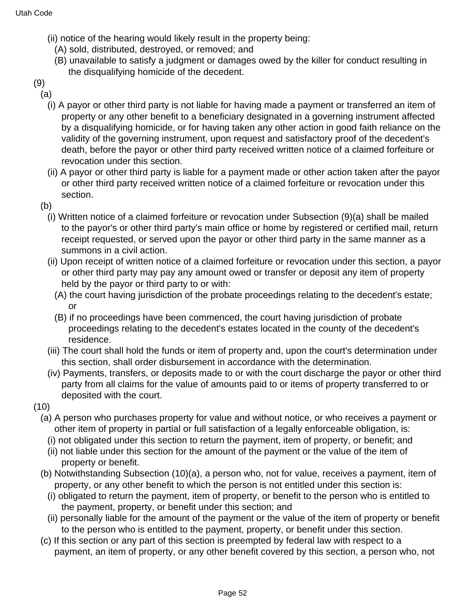- (ii) notice of the hearing would likely result in the property being:
	- (A) sold, distributed, destroyed, or removed; and
	- (B) unavailable to satisfy a judgment or damages owed by the killer for conduct resulting in the disqualifying homicide of the decedent.
- (9)

(a)

- (i) A payor or other third party is not liable for having made a payment or transferred an item of property or any other benefit to a beneficiary designated in a governing instrument affected by a disqualifying homicide, or for having taken any other action in good faith reliance on the validity of the governing instrument, upon request and satisfactory proof of the decedent's death, before the payor or other third party received written notice of a claimed forfeiture or revocation under this section.
- (ii) A payor or other third party is liable for a payment made or other action taken after the payor or other third party received written notice of a claimed forfeiture or revocation under this section.
- (b)
	- (i) Written notice of a claimed forfeiture or revocation under Subsection (9)(a) shall be mailed to the payor's or other third party's main office or home by registered or certified mail, return receipt requested, or served upon the payor or other third party in the same manner as a summons in a civil action.
	- (ii) Upon receipt of written notice of a claimed forfeiture or revocation under this section, a payor or other third party may pay any amount owed or transfer or deposit any item of property held by the payor or third party to or with:
		- (A) the court having jurisdiction of the probate proceedings relating to the decedent's estate; or
		- (B) if no proceedings have been commenced, the court having jurisdiction of probate proceedings relating to the decedent's estates located in the county of the decedent's residence.
	- (iii) The court shall hold the funds or item of property and, upon the court's determination under this section, shall order disbursement in accordance with the determination.
	- (iv) Payments, transfers, or deposits made to or with the court discharge the payor or other third party from all claims for the value of amounts paid to or items of property transferred to or deposited with the court.
- (10)
	- (a) A person who purchases property for value and without notice, or who receives a payment or other item of property in partial or full satisfaction of a legally enforceable obligation, is:
		- (i) not obligated under this section to return the payment, item of property, or benefit; and
		- (ii) not liable under this section for the amount of the payment or the value of the item of property or benefit.
	- (b) Notwithstanding Subsection (10)(a), a person who, not for value, receives a payment, item of property, or any other benefit to which the person is not entitled under this section is:
		- (i) obligated to return the payment, item of property, or benefit to the person who is entitled to the payment, property, or benefit under this section; and
		- (ii) personally liable for the amount of the payment or the value of the item of property or benefit to the person who is entitled to the payment, property, or benefit under this section.
	- (c) If this section or any part of this section is preempted by federal law with respect to a payment, an item of property, or any other benefit covered by this section, a person who, not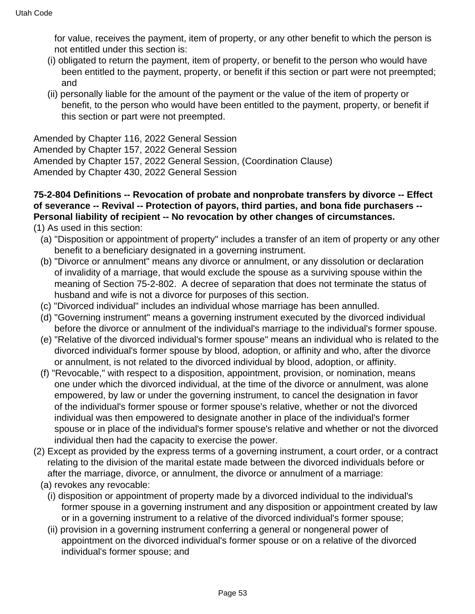for value, receives the payment, item of property, or any other benefit to which the person is not entitled under this section is:

- (i) obligated to return the payment, item of property, or benefit to the person who would have been entitled to the payment, property, or benefit if this section or part were not preempted; and
- (ii) personally liable for the amount of the payment or the value of the item of property or benefit, to the person who would have been entitled to the payment, property, or benefit if this section or part were not preempted.

Amended by Chapter 116, 2022 General Session Amended by Chapter 157, 2022 General Session Amended by Chapter 157, 2022 General Session, (Coordination Clause) Amended by Chapter 430, 2022 General Session

**75-2-804 Definitions -- Revocation of probate and nonprobate transfers by divorce -- Effect of severance -- Revival -- Protection of payors, third parties, and bona fide purchasers -- Personal liability of recipient -- No revocation by other changes of circumstances.**

(1) As used in this section:

- (a) "Disposition or appointment of property" includes a transfer of an item of property or any other benefit to a beneficiary designated in a governing instrument.
- (b) "Divorce or annulment" means any divorce or annulment, or any dissolution or declaration of invalidity of a marriage, that would exclude the spouse as a surviving spouse within the meaning of Section 75-2-802. A decree of separation that does not terminate the status of husband and wife is not a divorce for purposes of this section.
- (c) "Divorced individual" includes an individual whose marriage has been annulled.
- (d) "Governing instrument" means a governing instrument executed by the divorced individual before the divorce or annulment of the individual's marriage to the individual's former spouse.
- (e) "Relative of the divorced individual's former spouse" means an individual who is related to the divorced individual's former spouse by blood, adoption, or affinity and who, after the divorce or annulment, is not related to the divorced individual by blood, adoption, or affinity.
- (f) "Revocable," with respect to a disposition, appointment, provision, or nomination, means one under which the divorced individual, at the time of the divorce or annulment, was alone empowered, by law or under the governing instrument, to cancel the designation in favor of the individual's former spouse or former spouse's relative, whether or not the divorced individual was then empowered to designate another in place of the individual's former spouse or in place of the individual's former spouse's relative and whether or not the divorced individual then had the capacity to exercise the power.
- (2) Except as provided by the express terms of a governing instrument, a court order, or a contract relating to the division of the marital estate made between the divorced individuals before or after the marriage, divorce, or annulment, the divorce or annulment of a marriage:
	- (a) revokes any revocable:
		- (i) disposition or appointment of property made by a divorced individual to the individual's former spouse in a governing instrument and any disposition or appointment created by law or in a governing instrument to a relative of the divorced individual's former spouse;
		- (ii) provision in a governing instrument conferring a general or nongeneral power of appointment on the divorced individual's former spouse or on a relative of the divorced individual's former spouse; and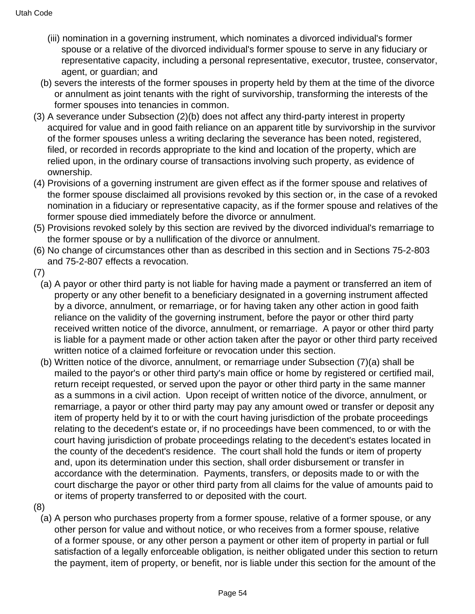- (iii) nomination in a governing instrument, which nominates a divorced individual's former spouse or a relative of the divorced individual's former spouse to serve in any fiduciary or representative capacity, including a personal representative, executor, trustee, conservator, agent, or guardian; and
- (b) severs the interests of the former spouses in property held by them at the time of the divorce or annulment as joint tenants with the right of survivorship, transforming the interests of the former spouses into tenancies in common.
- (3) A severance under Subsection (2)(b) does not affect any third-party interest in property acquired for value and in good faith reliance on an apparent title by survivorship in the survivor of the former spouses unless a writing declaring the severance has been noted, registered, filed, or recorded in records appropriate to the kind and location of the property, which are relied upon, in the ordinary course of transactions involving such property, as evidence of ownership.
- (4) Provisions of a governing instrument are given effect as if the former spouse and relatives of the former spouse disclaimed all provisions revoked by this section or, in the case of a revoked nomination in a fiduciary or representative capacity, as if the former spouse and relatives of the former spouse died immediately before the divorce or annulment.
- (5) Provisions revoked solely by this section are revived by the divorced individual's remarriage to the former spouse or by a nullification of the divorce or annulment.
- (6) No change of circumstances other than as described in this section and in Sections 75-2-803 and 75-2-807 effects a revocation.
- (7)
	- (a) A payor or other third party is not liable for having made a payment or transferred an item of property or any other benefit to a beneficiary designated in a governing instrument affected by a divorce, annulment, or remarriage, or for having taken any other action in good faith reliance on the validity of the governing instrument, before the payor or other third party received written notice of the divorce, annulment, or remarriage. A payor or other third party is liable for a payment made or other action taken after the payor or other third party received written notice of a claimed forfeiture or revocation under this section.
	- (b) Written notice of the divorce, annulment, or remarriage under Subsection (7)(a) shall be mailed to the payor's or other third party's main office or home by registered or certified mail, return receipt requested, or served upon the payor or other third party in the same manner as a summons in a civil action. Upon receipt of written notice of the divorce, annulment, or remarriage, a payor or other third party may pay any amount owed or transfer or deposit any item of property held by it to or with the court having jurisdiction of the probate proceedings relating to the decedent's estate or, if no proceedings have been commenced, to or with the court having jurisdiction of probate proceedings relating to the decedent's estates located in the county of the decedent's residence. The court shall hold the funds or item of property and, upon its determination under this section, shall order disbursement or transfer in accordance with the determination. Payments, transfers, or deposits made to or with the court discharge the payor or other third party from all claims for the value of amounts paid to or items of property transferred to or deposited with the court.
- (8)
- (a) A person who purchases property from a former spouse, relative of a former spouse, or any other person for value and without notice, or who receives from a former spouse, relative of a former spouse, or any other person a payment or other item of property in partial or full satisfaction of a legally enforceable obligation, is neither obligated under this section to return the payment, item of property, or benefit, nor is liable under this section for the amount of the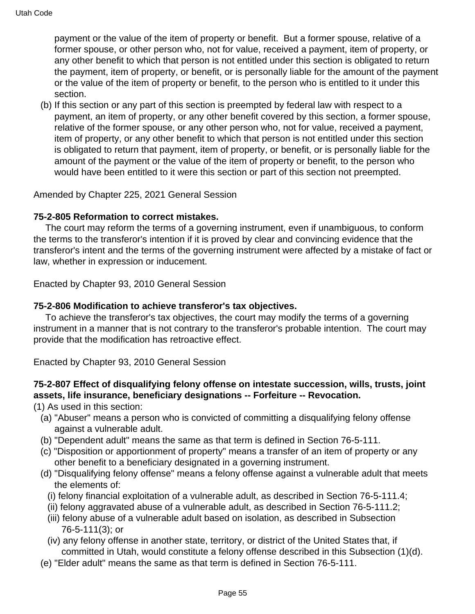payment or the value of the item of property or benefit. But a former spouse, relative of a former spouse, or other person who, not for value, received a payment, item of property, or any other benefit to which that person is not entitled under this section is obligated to return the payment, item of property, or benefit, or is personally liable for the amount of the payment or the value of the item of property or benefit, to the person who is entitled to it under this section.

(b) If this section or any part of this section is preempted by federal law with respect to a payment, an item of property, or any other benefit covered by this section, a former spouse, relative of the former spouse, or any other person who, not for value, received a payment, item of property, or any other benefit to which that person is not entitled under this section is obligated to return that payment, item of property, or benefit, or is personally liable for the amount of the payment or the value of the item of property or benefit, to the person who would have been entitled to it were this section or part of this section not preempted.

Amended by Chapter 225, 2021 General Session

#### **75-2-805 Reformation to correct mistakes.**

 The court may reform the terms of a governing instrument, even if unambiguous, to conform the terms to the transferor's intention if it is proved by clear and convincing evidence that the transferor's intent and the terms of the governing instrument were affected by a mistake of fact or law, whether in expression or inducement.

Enacted by Chapter 93, 2010 General Session

#### **75-2-806 Modification to achieve transferor's tax objectives.**

 To achieve the transferor's tax objectives, the court may modify the terms of a governing instrument in a manner that is not contrary to the transferor's probable intention. The court may provide that the modification has retroactive effect.

Enacted by Chapter 93, 2010 General Session

## **75-2-807 Effect of disqualifying felony offense on intestate succession, wills, trusts, joint assets, life insurance, beneficiary designations -- Forfeiture -- Revocation.**

(1) As used in this section:

- (a) "Abuser" means a person who is convicted of committing a disqualifying felony offense against a vulnerable adult.
- (b) "Dependent adult" means the same as that term is defined in Section 76-5-111.
- (c) "Disposition or apportionment of property" means a transfer of an item of property or any other benefit to a beneficiary designated in a governing instrument.
- (d) "Disqualifying felony offense" means a felony offense against a vulnerable adult that meets the elements of:
	- (i) felony financial exploitation of a vulnerable adult, as described in Section 76-5-111.4;
	- (ii) felony aggravated abuse of a vulnerable adult, as described in Section 76-5-111.2;
	- (iii) felony abuse of a vulnerable adult based on isolation, as described in Subsection 76-5-111(3); or
	- (iv) any felony offense in another state, territory, or district of the United States that, if committed in Utah, would constitute a felony offense described in this Subsection (1)(d).
- (e) "Elder adult" means the same as that term is defined in Section 76-5-111.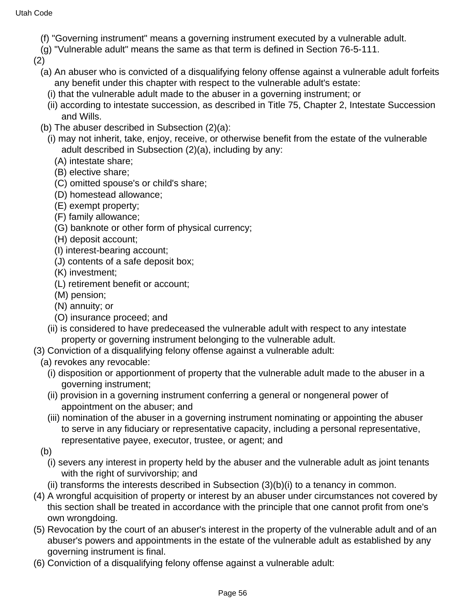- (f) "Governing instrument" means a governing instrument executed by a vulnerable adult.
- (g) "Vulnerable adult" means the same as that term is defined in Section 76-5-111.

(2)

- (a) An abuser who is convicted of a disqualifying felony offense against a vulnerable adult forfeits any benefit under this chapter with respect to the vulnerable adult's estate:
	- (i) that the vulnerable adult made to the abuser in a governing instrument; or
	- (ii) according to intestate succession, as described in Title 75, Chapter 2, Intestate Succession and Wills.
- (b) The abuser described in Subsection (2)(a):
	- (i) may not inherit, take, enjoy, receive, or otherwise benefit from the estate of the vulnerable adult described in Subsection (2)(a), including by any:
		- (A) intestate share;
		- (B) elective share;
		- (C) omitted spouse's or child's share;
		- (D) homestead allowance;
		- (E) exempt property;
		- (F) family allowance;
		- (G) banknote or other form of physical currency;
		- (H) deposit account;
		- (I) interest-bearing account;
		- (J) contents of a safe deposit box;
		- (K) investment;
		- (L) retirement benefit or account;
		- (M) pension;
		- (N) annuity; or
		- (O) insurance proceed; and
	- (ii) is considered to have predeceased the vulnerable adult with respect to any intestate property or governing instrument belonging to the vulnerable adult.
- (3) Conviction of a disqualifying felony offense against a vulnerable adult:
	- (a) revokes any revocable:
		- (i) disposition or apportionment of property that the vulnerable adult made to the abuser in a governing instrument;
		- (ii) provision in a governing instrument conferring a general or nongeneral power of appointment on the abuser; and
		- (iii) nomination of the abuser in a governing instrument nominating or appointing the abuser to serve in any fiduciary or representative capacity, including a personal representative, representative payee, executor, trustee, or agent; and
	- (b)
		- (i) severs any interest in property held by the abuser and the vulnerable adult as joint tenants with the right of survivorship; and
		- (ii) transforms the interests described in Subsection  $(3)(b)(i)$  to a tenancy in common.
- (4) A wrongful acquisition of property or interest by an abuser under circumstances not covered by this section shall be treated in accordance with the principle that one cannot profit from one's own wrongdoing.
- (5) Revocation by the court of an abuser's interest in the property of the vulnerable adult and of an abuser's powers and appointments in the estate of the vulnerable adult as established by any governing instrument is final.
- (6) Conviction of a disqualifying felony offense against a vulnerable adult: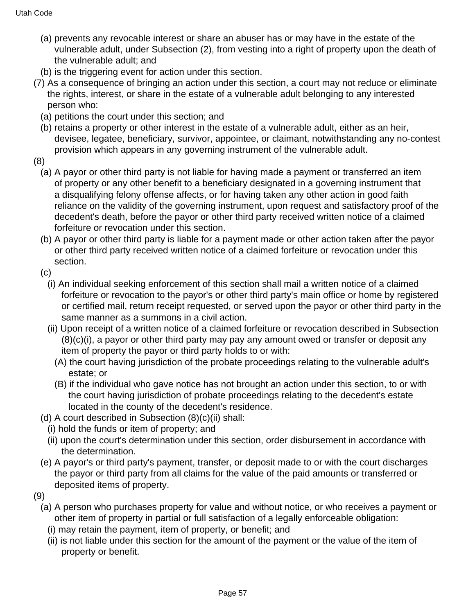- (a) prevents any revocable interest or share an abuser has or may have in the estate of the vulnerable adult, under Subsection (2), from vesting into a right of property upon the death of the vulnerable adult; and
- (b) is the triggering event for action under this section.
- (7) As a consequence of bringing an action under this section, a court may not reduce or eliminate the rights, interest, or share in the estate of a vulnerable adult belonging to any interested person who:
	- (a) petitions the court under this section; and
	- (b) retains a property or other interest in the estate of a vulnerable adult, either as an heir, devisee, legatee, beneficiary, survivor, appointee, or claimant, notwithstanding any no-contest provision which appears in any governing instrument of the vulnerable adult.
- (8)
	- (a) A payor or other third party is not liable for having made a payment or transferred an item of property or any other benefit to a beneficiary designated in a governing instrument that a disqualifying felony offense affects, or for having taken any other action in good faith reliance on the validity of the governing instrument, upon request and satisfactory proof of the decedent's death, before the payor or other third party received written notice of a claimed forfeiture or revocation under this section.
	- (b) A payor or other third party is liable for a payment made or other action taken after the payor or other third party received written notice of a claimed forfeiture or revocation under this section.
	- (c)
		- (i) An individual seeking enforcement of this section shall mail a written notice of a claimed forfeiture or revocation to the payor's or other third party's main office or home by registered or certified mail, return receipt requested, or served upon the payor or other third party in the same manner as a summons in a civil action.
		- (ii) Upon receipt of a written notice of a claimed forfeiture or revocation described in Subsection (8)(c)(i), a payor or other third party may pay any amount owed or transfer or deposit any item of property the payor or third party holds to or with:
			- (A) the court having jurisdiction of the probate proceedings relating to the vulnerable adult's estate; or
			- (B) if the individual who gave notice has not brought an action under this section, to or with the court having jurisdiction of probate proceedings relating to the decedent's estate located in the county of the decedent's residence.
	- (d) A court described in Subsection (8)(c)(ii) shall:
		- (i) hold the funds or item of property; and
		- (ii) upon the court's determination under this section, order disbursement in accordance with the determination.
	- (e) A payor's or third party's payment, transfer, or deposit made to or with the court discharges the payor or third party from all claims for the value of the paid amounts or transferred or deposited items of property.
- (9)
	- (a) A person who purchases property for value and without notice, or who receives a payment or other item of property in partial or full satisfaction of a legally enforceable obligation:
		- (i) may retain the payment, item of property, or benefit; and
		- (ii) is not liable under this section for the amount of the payment or the value of the item of property or benefit.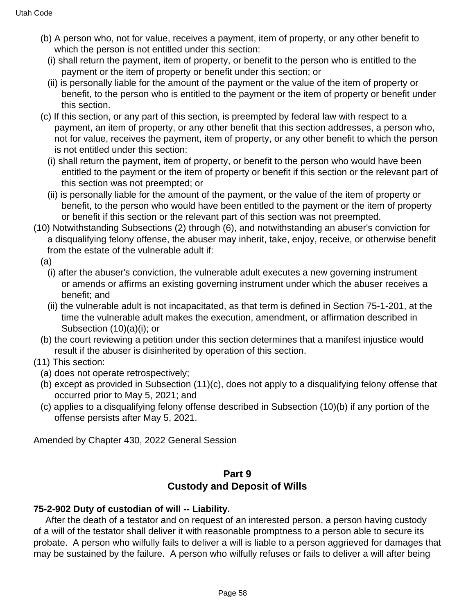- (b) A person who, not for value, receives a payment, item of property, or any other benefit to which the person is not entitled under this section:
	- (i) shall return the payment, item of property, or benefit to the person who is entitled to the payment or the item of property or benefit under this section; or
	- (ii) is personally liable for the amount of the payment or the value of the item of property or benefit, to the person who is entitled to the payment or the item of property or benefit under this section.
- (c) If this section, or any part of this section, is preempted by federal law with respect to a payment, an item of property, or any other benefit that this section addresses, a person who, not for value, receives the payment, item of property, or any other benefit to which the person is not entitled under this section:
	- (i) shall return the payment, item of property, or benefit to the person who would have been entitled to the payment or the item of property or benefit if this section or the relevant part of this section was not preempted; or
	- (ii) is personally liable for the amount of the payment, or the value of the item of property or benefit, to the person who would have been entitled to the payment or the item of property or benefit if this section or the relevant part of this section was not preempted.
- (10) Notwithstanding Subsections (2) through (6), and notwithstanding an abuser's conviction for a disqualifying felony offense, the abuser may inherit, take, enjoy, receive, or otherwise benefit from the estate of the vulnerable adult if:
	- (a)
		- (i) after the abuser's conviction, the vulnerable adult executes a new governing instrument or amends or affirms an existing governing instrument under which the abuser receives a benefit; and
		- (ii) the vulnerable adult is not incapacitated, as that term is defined in Section 75-1-201, at the time the vulnerable adult makes the execution, amendment, or affirmation described in Subsection (10)(a)(i); or
	- (b) the court reviewing a petition under this section determines that a manifest injustice would result if the abuser is disinherited by operation of this section.
- (11) This section:
	- (a) does not operate retrospectively;
	- (b) except as provided in Subsection (11)(c), does not apply to a disqualifying felony offense that occurred prior to May 5, 2021; and
	- (c) applies to a disqualifying felony offense described in Subsection (10)(b) if any portion of the offense persists after May 5, 2021.

Amended by Chapter 430, 2022 General Session

## **Part 9 Custody and Deposit of Wills**

## **75-2-902 Duty of custodian of will -- Liability.**

 After the death of a testator and on request of an interested person, a person having custody of a will of the testator shall deliver it with reasonable promptness to a person able to secure its probate. A person who wilfully fails to deliver a will is liable to a person aggrieved for damages that may be sustained by the failure. A person who wilfully refuses or fails to deliver a will after being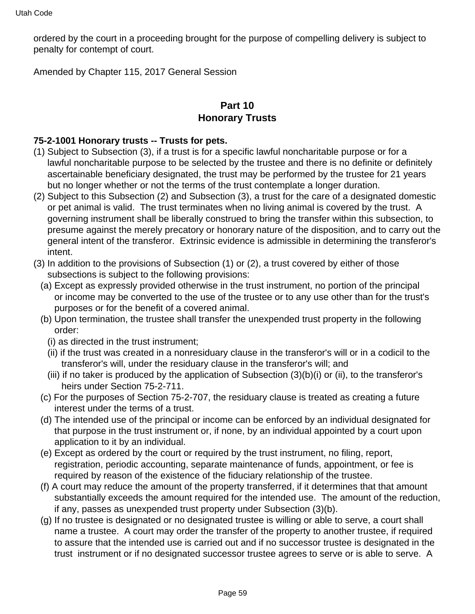ordered by the court in a proceeding brought for the purpose of compelling delivery is subject to penalty for contempt of court.

Amended by Chapter 115, 2017 General Session

## **Part 10 Honorary Trusts**

### **75-2-1001 Honorary trusts -- Trusts for pets.**

- (1) Subject to Subsection (3), if a trust is for a specific lawful noncharitable purpose or for a lawful noncharitable purpose to be selected by the trustee and there is no definite or definitely ascertainable beneficiary designated, the trust may be performed by the trustee for 21 years but no longer whether or not the terms of the trust contemplate a longer duration.
- (2) Subject to this Subsection (2) and Subsection (3), a trust for the care of a designated domestic or pet animal is valid. The trust terminates when no living animal is covered by the trust. A governing instrument shall be liberally construed to bring the transfer within this subsection, to presume against the merely precatory or honorary nature of the disposition, and to carry out the general intent of the transferor. Extrinsic evidence is admissible in determining the transferor's intent.
- (3) In addition to the provisions of Subsection (1) or (2), a trust covered by either of those subsections is subject to the following provisions:
	- (a) Except as expressly provided otherwise in the trust instrument, no portion of the principal or income may be converted to the use of the trustee or to any use other than for the trust's purposes or for the benefit of a covered animal.
	- (b) Upon termination, the trustee shall transfer the unexpended trust property in the following order:
		- (i) as directed in the trust instrument;
		- (ii) if the trust was created in a nonresiduary clause in the transferor's will or in a codicil to the transferor's will, under the residuary clause in the transferor's will; and
		- (iii) if no taker is produced by the application of Subsection (3)(b)(i) or (ii), to the transferor's heirs under Section 75-2-711.
	- (c) For the purposes of Section 75-2-707, the residuary clause is treated as creating a future interest under the terms of a trust.
	- (d) The intended use of the principal or income can be enforced by an individual designated for that purpose in the trust instrument or, if none, by an individual appointed by a court upon application to it by an individual.
	- (e) Except as ordered by the court or required by the trust instrument, no filing, report, registration, periodic accounting, separate maintenance of funds, appointment, or fee is required by reason of the existence of the fiduciary relationship of the trustee.
	- (f) A court may reduce the amount of the property transferred, if it determines that that amount substantially exceeds the amount required for the intended use. The amount of the reduction, if any, passes as unexpended trust property under Subsection (3)(b).
	- (g) If no trustee is designated or no designated trustee is willing or able to serve, a court shall name a trustee. A court may order the transfer of the property to another trustee, if required to assure that the intended use is carried out and if no successor trustee is designated in the trust instrument or if no designated successor trustee agrees to serve or is able to serve. A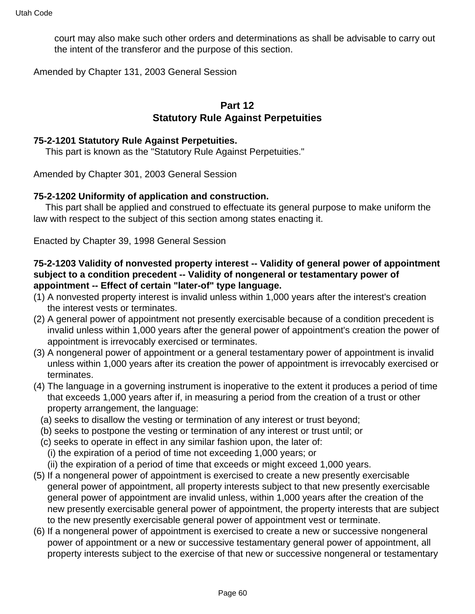court may also make such other orders and determinations as shall be advisable to carry out the intent of the transferor and the purpose of this section.

Amended by Chapter 131, 2003 General Session

## **Part 12 Statutory Rule Against Perpetuities**

#### **75-2-1201 Statutory Rule Against Perpetuities.**

This part is known as the "Statutory Rule Against Perpetuities."

Amended by Chapter 301, 2003 General Session

#### **75-2-1202 Uniformity of application and construction.**

 This part shall be applied and construed to effectuate its general purpose to make uniform the law with respect to the subject of this section among states enacting it.

Enacted by Chapter 39, 1998 General Session

## **75-2-1203 Validity of nonvested property interest -- Validity of general power of appointment subject to a condition precedent -- Validity of nongeneral or testamentary power of appointment -- Effect of certain "later-of" type language.**

- (1) A nonvested property interest is invalid unless within 1,000 years after the interest's creation the interest vests or terminates.
- (2) A general power of appointment not presently exercisable because of a condition precedent is invalid unless within 1,000 years after the general power of appointment's creation the power of appointment is irrevocably exercised or terminates.
- (3) A nongeneral power of appointment or a general testamentary power of appointment is invalid unless within 1,000 years after its creation the power of appointment is irrevocably exercised or terminates.
- (4) The language in a governing instrument is inoperative to the extent it produces a period of time that exceeds 1,000 years after if, in measuring a period from the creation of a trust or other property arrangement, the language:
	- (a) seeks to disallow the vesting or termination of any interest or trust beyond;
	- (b) seeks to postpone the vesting or termination of any interest or trust until; or
	- (c) seeks to operate in effect in any similar fashion upon, the later of:
		- (i) the expiration of a period of time not exceeding 1,000 years; or
		- (ii) the expiration of a period of time that exceeds or might exceed 1,000 years.
- (5) If a nongeneral power of appointment is exercised to create a new presently exercisable general power of appointment, all property interests subject to that new presently exercisable general power of appointment are invalid unless, within 1,000 years after the creation of the new presently exercisable general power of appointment, the property interests that are subject to the new presently exercisable general power of appointment vest or terminate.
- (6) If a nongeneral power of appointment is exercised to create a new or successive nongeneral power of appointment or a new or successive testamentary general power of appointment, all property interests subject to the exercise of that new or successive nongeneral or testamentary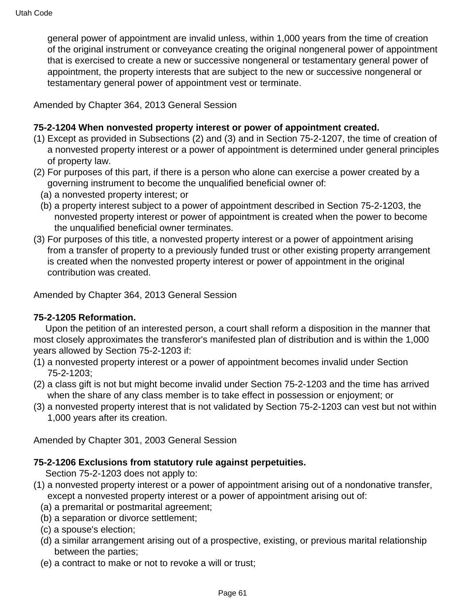general power of appointment are invalid unless, within 1,000 years from the time of creation of the original instrument or conveyance creating the original nongeneral power of appointment that is exercised to create a new or successive nongeneral or testamentary general power of appointment, the property interests that are subject to the new or successive nongeneral or testamentary general power of appointment vest or terminate.

Amended by Chapter 364, 2013 General Session

#### **75-2-1204 When nonvested property interest or power of appointment created.**

- (1) Except as provided in Subsections (2) and (3) and in Section 75-2-1207, the time of creation of a nonvested property interest or a power of appointment is determined under general principles of property law.
- (2) For purposes of this part, if there is a person who alone can exercise a power created by a governing instrument to become the unqualified beneficial owner of:
	- (a) a nonvested property interest; or
	- (b) a property interest subject to a power of appointment described in Section 75-2-1203, the nonvested property interest or power of appointment is created when the power to become the unqualified beneficial owner terminates.
- (3) For purposes of this title, a nonvested property interest or a power of appointment arising from a transfer of property to a previously funded trust or other existing property arrangement is created when the nonvested property interest or power of appointment in the original contribution was created.

Amended by Chapter 364, 2013 General Session

#### **75-2-1205 Reformation.**

 Upon the petition of an interested person, a court shall reform a disposition in the manner that most closely approximates the transferor's manifested plan of distribution and is within the 1,000 years allowed by Section 75-2-1203 if:

- (1) a nonvested property interest or a power of appointment becomes invalid under Section 75-2-1203;
- (2) a class gift is not but might become invalid under Section 75-2-1203 and the time has arrived when the share of any class member is to take effect in possession or enjoyment; or
- (3) a nonvested property interest that is not validated by Section 75-2-1203 can vest but not within 1,000 years after its creation.

Amended by Chapter 301, 2003 General Session

## **75-2-1206 Exclusions from statutory rule against perpetuities.**

Section 75-2-1203 does not apply to:

- (1) a nonvested property interest or a power of appointment arising out of a nondonative transfer, except a nonvested property interest or a power of appointment arising out of:
	- (a) a premarital or postmarital agreement;
	- (b) a separation or divorce settlement;
	- (c) a spouse's election;
	- (d) a similar arrangement arising out of a prospective, existing, or previous marital relationship between the parties;
	- (e) a contract to make or not to revoke a will or trust;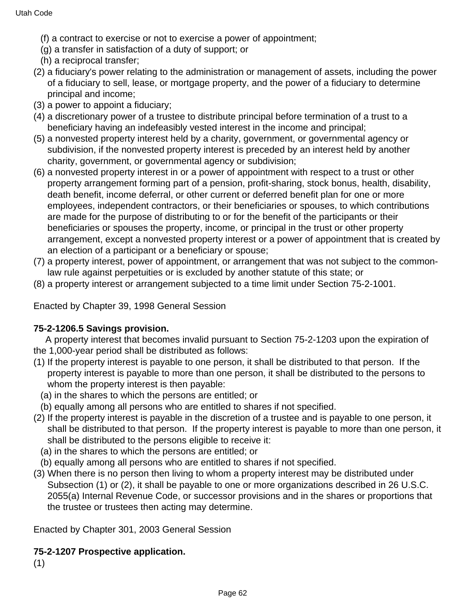- (f) a contract to exercise or not to exercise a power of appointment;
- (g) a transfer in satisfaction of a duty of support; or
- (h) a reciprocal transfer;
- (2) a fiduciary's power relating to the administration or management of assets, including the power of a fiduciary to sell, lease, or mortgage property, and the power of a fiduciary to determine principal and income;
- (3) a power to appoint a fiduciary;
- (4) a discretionary power of a trustee to distribute principal before termination of a trust to a beneficiary having an indefeasibly vested interest in the income and principal;
- (5) a nonvested property interest held by a charity, government, or governmental agency or subdivision, if the nonvested property interest is preceded by an interest held by another charity, government, or governmental agency or subdivision;
- (6) a nonvested property interest in or a power of appointment with respect to a trust or other property arrangement forming part of a pension, profit-sharing, stock bonus, health, disability, death benefit, income deferral, or other current or deferred benefit plan for one or more employees, independent contractors, or their beneficiaries or spouses, to which contributions are made for the purpose of distributing to or for the benefit of the participants or their beneficiaries or spouses the property, income, or principal in the trust or other property arrangement, except a nonvested property interest or a power of appointment that is created by an election of a participant or a beneficiary or spouse;
- (7) a property interest, power of appointment, or arrangement that was not subject to the commonlaw rule against perpetuities or is excluded by another statute of this state; or
- (8) a property interest or arrangement subjected to a time limit under Section 75-2-1001.

Enacted by Chapter 39, 1998 General Session

## **75-2-1206.5 Savings provision.**

 A property interest that becomes invalid pursuant to Section 75-2-1203 upon the expiration of the 1,000-year period shall be distributed as follows:

- (1) If the property interest is payable to one person, it shall be distributed to that person. If the property interest is payable to more than one person, it shall be distributed to the persons to whom the property interest is then payable:
	- (a) in the shares to which the persons are entitled; or
- (b) equally among all persons who are entitled to shares if not specified.
- (2) If the property interest is payable in the discretion of a trustee and is payable to one person, it shall be distributed to that person. If the property interest is payable to more than one person, it shall be distributed to the persons eligible to receive it:
	- (a) in the shares to which the persons are entitled; or
- (b) equally among all persons who are entitled to shares if not specified.
- (3) When there is no person then living to whom a property interest may be distributed under Subsection (1) or (2), it shall be payable to one or more organizations described in 26 U.S.C. 2055(a) Internal Revenue Code, or successor provisions and in the shares or proportions that the trustee or trustees then acting may determine.

Enacted by Chapter 301, 2003 General Session

## **75-2-1207 Prospective application.**

(1)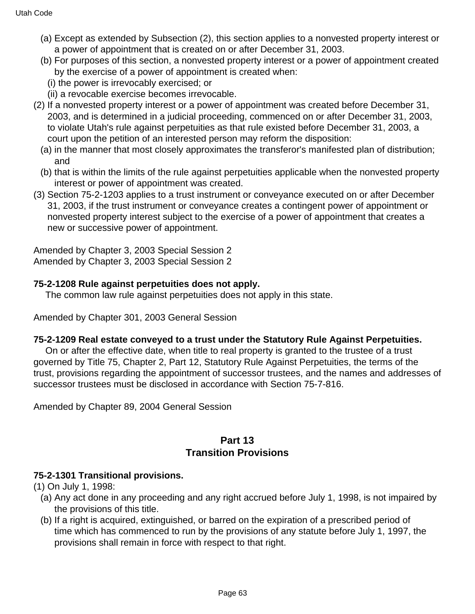- (a) Except as extended by Subsection (2), this section applies to a nonvested property interest or a power of appointment that is created on or after December 31, 2003.
- (b) For purposes of this section, a nonvested property interest or a power of appointment created by the exercise of a power of appointment is created when:
	- (i) the power is irrevocably exercised; or
	- (ii) a revocable exercise becomes irrevocable.
- (2) If a nonvested property interest or a power of appointment was created before December 31, 2003, and is determined in a judicial proceeding, commenced on or after December 31, 2003, to violate Utah's rule against perpetuities as that rule existed before December 31, 2003, a court upon the petition of an interested person may reform the disposition:
	- (a) in the manner that most closely approximates the transferor's manifested plan of distribution; and
	- (b) that is within the limits of the rule against perpetuities applicable when the nonvested property interest or power of appointment was created.
- (3) Section 75-2-1203 applies to a trust instrument or conveyance executed on or after December 31, 2003, if the trust instrument or conveyance creates a contingent power of appointment or nonvested property interest subject to the exercise of a power of appointment that creates a new or successive power of appointment.

Amended by Chapter 3, 2003 Special Session 2 Amended by Chapter 3, 2003 Special Session 2

## **75-2-1208 Rule against perpetuities does not apply.**

The common law rule against perpetuities does not apply in this state.

Amended by Chapter 301, 2003 General Session

#### **75-2-1209 Real estate conveyed to a trust under the Statutory Rule Against Perpetuities.**

 On or after the effective date, when title to real property is granted to the trustee of a trust governed by Title 75, Chapter 2, Part 12, Statutory Rule Against Perpetuities, the terms of the trust, provisions regarding the appointment of successor trustees, and the names and addresses of successor trustees must be disclosed in accordance with Section 75-7-816.

Amended by Chapter 89, 2004 General Session

## **Part 13 Transition Provisions**

## **75-2-1301 Transitional provisions.**

(1) On July 1, 1998:

- (a) Any act done in any proceeding and any right accrued before July 1, 1998, is not impaired by the provisions of this title.
- (b) If a right is acquired, extinguished, or barred on the expiration of a prescribed period of time which has commenced to run by the provisions of any statute before July 1, 1997, the provisions shall remain in force with respect to that right.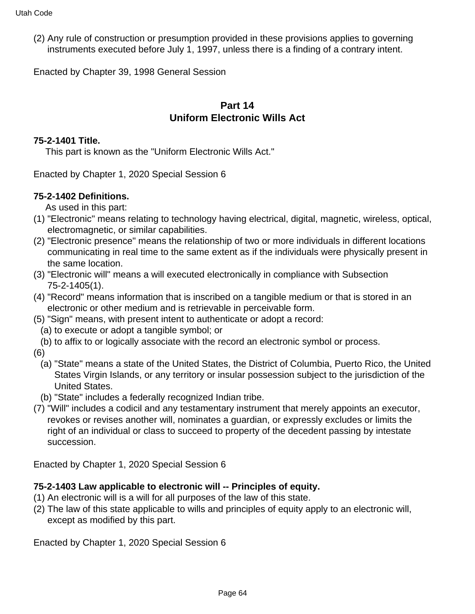(2) Any rule of construction or presumption provided in these provisions applies to governing instruments executed before July 1, 1997, unless there is a finding of a contrary intent.

Enacted by Chapter 39, 1998 General Session

## **Part 14 Uniform Electronic Wills Act**

#### **75-2-1401 Title.**

This part is known as the "Uniform Electronic Wills Act."

Enacted by Chapter 1, 2020 Special Session 6

#### **75-2-1402 Definitions.**

As used in this part:

- (1) "Electronic" means relating to technology having electrical, digital, magnetic, wireless, optical, electromagnetic, or similar capabilities.
- (2) "Electronic presence" means the relationship of two or more individuals in different locations communicating in real time to the same extent as if the individuals were physically present in the same location.
- (3) "Electronic will" means a will executed electronically in compliance with Subsection 75-2-1405(1).
- (4) "Record" means information that is inscribed on a tangible medium or that is stored in an electronic or other medium and is retrievable in perceivable form.
- (5) "Sign" means, with present intent to authenticate or adopt a record:
	- (a) to execute or adopt a tangible symbol; or
	- (b) to affix to or logically associate with the record an electronic symbol or process.
- (6)
	- (a) "State" means a state of the United States, the District of Columbia, Puerto Rico, the United States Virgin Islands, or any territory or insular possession subject to the jurisdiction of the United States.
- (b) "State" includes a federally recognized Indian tribe.
- (7) "Will" includes a codicil and any testamentary instrument that merely appoints an executor, revokes or revises another will, nominates a guardian, or expressly excludes or limits the right of an individual or class to succeed to property of the decedent passing by intestate succession.

Enacted by Chapter 1, 2020 Special Session 6

## **75-2-1403 Law applicable to electronic will -- Principles of equity.**

- (1) An electronic will is a will for all purposes of the law of this state.
- (2) The law of this state applicable to wills and principles of equity apply to an electronic will, except as modified by this part.

Enacted by Chapter 1, 2020 Special Session 6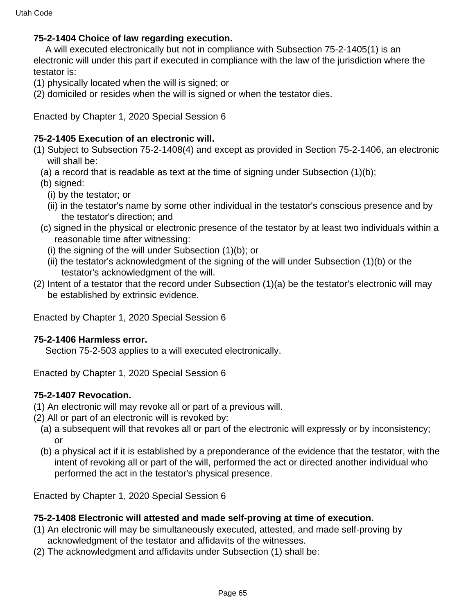## **75-2-1404 Choice of law regarding execution.**

 A will executed electronically but not in compliance with Subsection 75-2-1405(1) is an electronic will under this part if executed in compliance with the law of the jurisdiction where the testator is:

(1) physically located when the will is signed; or

(2) domiciled or resides when the will is signed or when the testator dies.

Enacted by Chapter 1, 2020 Special Session 6

#### **75-2-1405 Execution of an electronic will.**

- (1) Subject to Subsection 75-2-1408(4) and except as provided in Section 75-2-1406, an electronic will shall be:
	- (a) a record that is readable as text at the time of signing under Subsection (1)(b);
	- (b) signed:
		- (i) by the testator; or
		- (ii) in the testator's name by some other individual in the testator's conscious presence and by the testator's direction; and
	- (c) signed in the physical or electronic presence of the testator by at least two individuals within a reasonable time after witnessing:
		- (i) the signing of the will under Subsection (1)(b); or
		- (ii) the testator's acknowledgment of the signing of the will under Subsection (1)(b) or the testator's acknowledgment of the will.
- (2) Intent of a testator that the record under Subsection (1)(a) be the testator's electronic will may be established by extrinsic evidence.

Enacted by Chapter 1, 2020 Special Session 6

#### **75-2-1406 Harmless error.**

Section 75-2-503 applies to a will executed electronically.

Enacted by Chapter 1, 2020 Special Session 6

#### **75-2-1407 Revocation.**

- (1) An electronic will may revoke all or part of a previous will.
- (2) All or part of an electronic will is revoked by:
	- (a) a subsequent will that revokes all or part of the electronic will expressly or by inconsistency; or
	- (b) a physical act if it is established by a preponderance of the evidence that the testator, with the intent of revoking all or part of the will, performed the act or directed another individual who performed the act in the testator's physical presence.

Enacted by Chapter 1, 2020 Special Session 6

#### **75-2-1408 Electronic will attested and made self-proving at time of execution.**

- (1) An electronic will may be simultaneously executed, attested, and made self-proving by acknowledgment of the testator and affidavits of the witnesses.
- (2) The acknowledgment and affidavits under Subsection (1) shall be: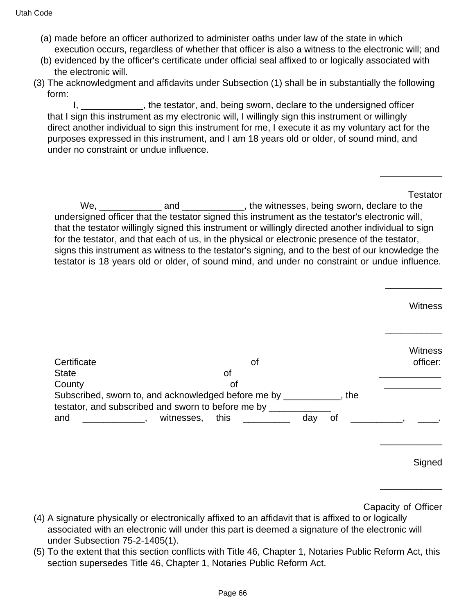- (a) made before an officer authorized to administer oaths under law of the state in which execution occurs, regardless of whether that officer is also a witness to the electronic will; and
- (b) evidenced by the officer's certificate under official seal affixed to or logically associated with the electronic will.
- (3) The acknowledgment and affidavits under Subsection (1) shall be in substantially the following form:

I,  $\frac{1}{2}$ , the testator, and, being sworn, declare to the undersigned officer that I sign this instrument as my electronic will, I willingly sign this instrument or willingly direct another individual to sign this instrument for me, I execute it as my voluntary act for the purposes expressed in this instrument, and I am 18 years old or older, of sound mind, and under no constraint or undue influence.

We, \_\_\_\_\_\_\_\_\_\_\_\_\_ and \_\_\_\_\_\_\_\_\_\_\_\_, the witnesses, being sworn, declare to the undersigned officer that the testator signed this instrument as the testator's electronic will, that the testator willingly signed this instrument or willingly directed another individual to sign for the testator, and that each of us, in the physical or electronic presence of the testator, signs this instrument as witness to the testator's signing, and to the best of our knowledge the testator is 18 years old or older, of sound mind, and under no constraint or undue influence.

|                                                                                                                                          |                    |           | <b>Witness</b>      |
|------------------------------------------------------------------------------------------------------------------------------------------|--------------------|-----------|---------------------|
| Certificate                                                                                                                              | οf                 |           | Witness<br>officer: |
| <b>State</b>                                                                                                                             | οf<br>0f           |           |                     |
| County<br>Subscribed, sworn to, and acknowledged before me by ___________, the<br>testator, and subscribed and sworn to before me by ___ |                    |           |                     |
| and                                                                                                                                      | witnesses,<br>this | day<br>of |                     |
|                                                                                                                                          |                    |           |                     |
|                                                                                                                                          |                    |           | Signed              |
|                                                                                                                                          |                    |           |                     |

Capacity of Officer

\_\_\_\_\_\_\_\_\_\_\_\_

\_\_\_\_\_\_\_\_\_\_\_

Testator

- (4) A signature physically or electronically affixed to an affidavit that is affixed to or logically associated with an electronic will under this part is deemed a signature of the electronic will under Subsection 75-2-1405(1).
- (5) To the extent that this section conflicts with Title 46, Chapter 1, Notaries Public Reform Act, this section supersedes Title 46, Chapter 1, Notaries Public Reform Act.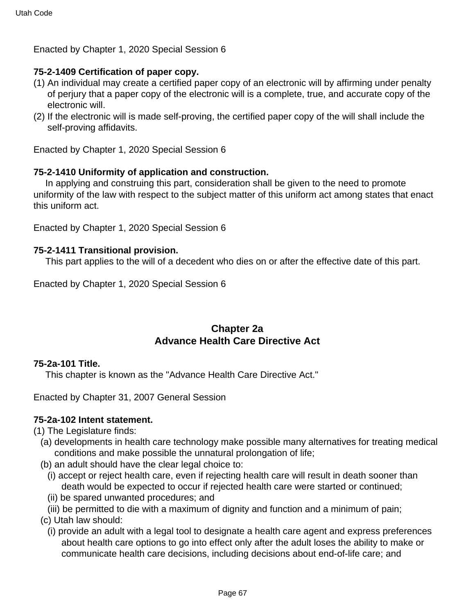Enacted by Chapter 1, 2020 Special Session 6

#### **75-2-1409 Certification of paper copy.**

- (1) An individual may create a certified paper copy of an electronic will by affirming under penalty of perjury that a paper copy of the electronic will is a complete, true, and accurate copy of the electronic will.
- (2) If the electronic will is made self-proving, the certified paper copy of the will shall include the self-proving affidavits.

Enacted by Chapter 1, 2020 Special Session 6

#### **75-2-1410 Uniformity of application and construction.**

 In applying and construing this part, consideration shall be given to the need to promote uniformity of the law with respect to the subject matter of this uniform act among states that enact this uniform act.

Enacted by Chapter 1, 2020 Special Session 6

#### **75-2-1411 Transitional provision.**

This part applies to the will of a decedent who dies on or after the effective date of this part.

Enacted by Chapter 1, 2020 Special Session 6

## **Chapter 2a Advance Health Care Directive Act**

#### **75-2a-101 Title.**

This chapter is known as the "Advance Health Care Directive Act."

Enacted by Chapter 31, 2007 General Session

#### **75-2a-102 Intent statement.**

- (1) The Legislature finds:
	- (a) developments in health care technology make possible many alternatives for treating medical conditions and make possible the unnatural prolongation of life;
	- (b) an adult should have the clear legal choice to:
		- (i) accept or reject health care, even if rejecting health care will result in death sooner than death would be expected to occur if rejected health care were started or continued;
		- (ii) be spared unwanted procedures; and
		- (iii) be permitted to die with a maximum of dignity and function and a minimum of pain;
	- (c) Utah law should:
		- (i) provide an adult with a legal tool to designate a health care agent and express preferences about health care options to go into effect only after the adult loses the ability to make or communicate health care decisions, including decisions about end-of-life care; and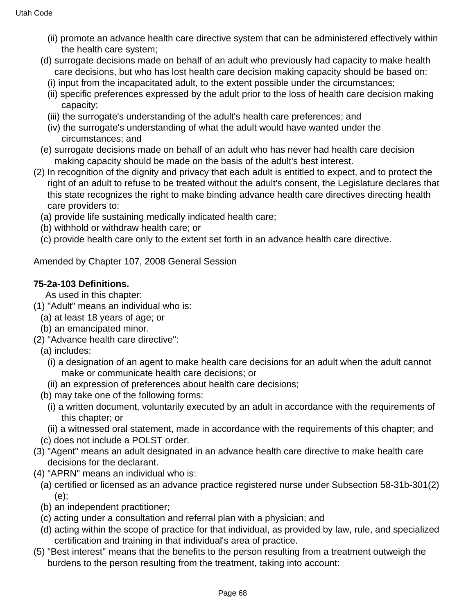- (ii) promote an advance health care directive system that can be administered effectively within the health care system;
- (d) surrogate decisions made on behalf of an adult who previously had capacity to make health care decisions, but who has lost health care decision making capacity should be based on:
	- (i) input from the incapacitated adult, to the extent possible under the circumstances;
	- (ii) specific preferences expressed by the adult prior to the loss of health care decision making capacity;
	- (iii) the surrogate's understanding of the adult's health care preferences; and
	- (iv) the surrogate's understanding of what the adult would have wanted under the circumstances; and
- (e) surrogate decisions made on behalf of an adult who has never had health care decision making capacity should be made on the basis of the adult's best interest.
- (2) In recognition of the dignity and privacy that each adult is entitled to expect, and to protect the right of an adult to refuse to be treated without the adult's consent, the Legislature declares that this state recognizes the right to make binding advance health care directives directing health care providers to:
	- (a) provide life sustaining medically indicated health care;
	- (b) withhold or withdraw health care; or
	- (c) provide health care only to the extent set forth in an advance health care directive.

Amended by Chapter 107, 2008 General Session

# **75-2a-103 Definitions.**

As used in this chapter:

- (1) "Adult" means an individual who is:
	- (a) at least 18 years of age; or
	- (b) an emancipated minor.
- (2) "Advance health care directive":
	- (a) includes:
		- (i) a designation of an agent to make health care decisions for an adult when the adult cannot make or communicate health care decisions; or
	- (ii) an expression of preferences about health care decisions;
	- (b) may take one of the following forms:
		- (i) a written document, voluntarily executed by an adult in accordance with the requirements of this chapter; or
	- (ii) a witnessed oral statement, made in accordance with the requirements of this chapter; and
	- (c) does not include a POLST order.
- (3) "Agent" means an adult designated in an advance health care directive to make health care decisions for the declarant.
- (4) "APRN" means an individual who is:
	- (a) certified or licensed as an advance practice registered nurse under Subsection 58-31b-301(2) (e);
	- (b) an independent practitioner;
	- (c) acting under a consultation and referral plan with a physician; and
	- (d) acting within the scope of practice for that individual, as provided by law, rule, and specialized certification and training in that individual's area of practice.
- (5) "Best interest" means that the benefits to the person resulting from a treatment outweigh the burdens to the person resulting from the treatment, taking into account: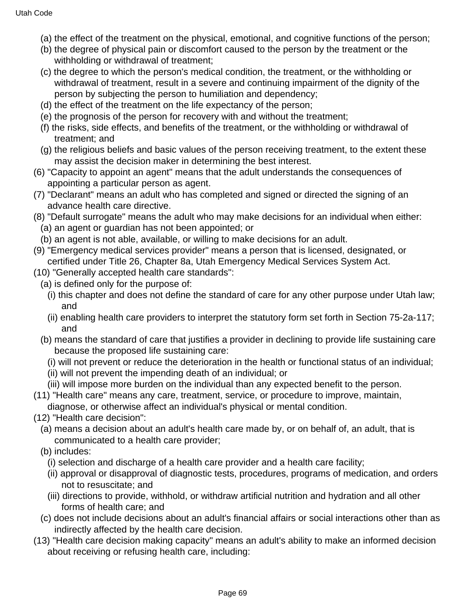- (a) the effect of the treatment on the physical, emotional, and cognitive functions of the person;
- (b) the degree of physical pain or discomfort caused to the person by the treatment or the withholding or withdrawal of treatment;
- (c) the degree to which the person's medical condition, the treatment, or the withholding or withdrawal of treatment, result in a severe and continuing impairment of the dignity of the person by subjecting the person to humiliation and dependency;
- (d) the effect of the treatment on the life expectancy of the person;
- (e) the prognosis of the person for recovery with and without the treatment;
- (f) the risks, side effects, and benefits of the treatment, or the withholding or withdrawal of treatment; and
- (g) the religious beliefs and basic values of the person receiving treatment, to the extent these may assist the decision maker in determining the best interest.
- (6) "Capacity to appoint an agent" means that the adult understands the consequences of appointing a particular person as agent.
- (7) "Declarant" means an adult who has completed and signed or directed the signing of an advance health care directive.
- (8) "Default surrogate" means the adult who may make decisions for an individual when either: (a) an agent or guardian has not been appointed; or
	- (b) an agent is not able, available, or willing to make decisions for an adult.
- (9) "Emergency medical services provider" means a person that is licensed, designated, or certified under Title 26, Chapter 8a, Utah Emergency Medical Services System Act.
- (10) "Generally accepted health care standards":
	- (a) is defined only for the purpose of:
		- (i) this chapter and does not define the standard of care for any other purpose under Utah law; and
		- (ii) enabling health care providers to interpret the statutory form set forth in Section 75-2a-117; and
	- (b) means the standard of care that justifies a provider in declining to provide life sustaining care because the proposed life sustaining care:
		- (i) will not prevent or reduce the deterioration in the health or functional status of an individual;
		- (ii) will not prevent the impending death of an individual; or
		- (iii) will impose more burden on the individual than any expected benefit to the person.
- (11) "Health care" means any care, treatment, service, or procedure to improve, maintain, diagnose, or otherwise affect an individual's physical or mental condition.
- (12) "Health care decision":
	- (a) means a decision about an adult's health care made by, or on behalf of, an adult, that is communicated to a health care provider;
	- (b) includes:
		- (i) selection and discharge of a health care provider and a health care facility;
		- (ii) approval or disapproval of diagnostic tests, procedures, programs of medication, and orders not to resuscitate; and
		- (iii) directions to provide, withhold, or withdraw artificial nutrition and hydration and all other forms of health care; and
	- (c) does not include decisions about an adult's financial affairs or social interactions other than as indirectly affected by the health care decision.
- (13) "Health care decision making capacity" means an adult's ability to make an informed decision about receiving or refusing health care, including: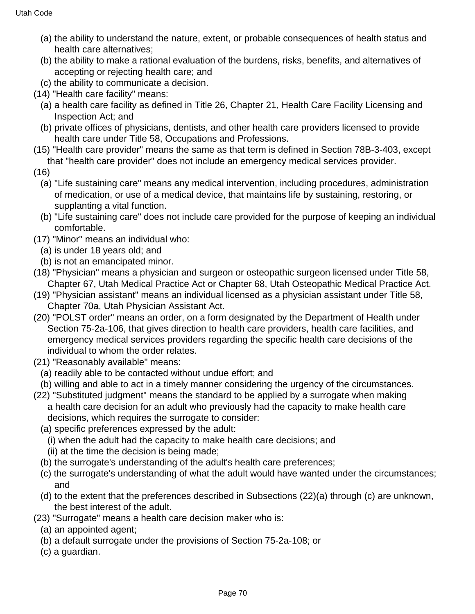- (a) the ability to understand the nature, extent, or probable consequences of health status and health care alternatives;
- (b) the ability to make a rational evaluation of the burdens, risks, benefits, and alternatives of accepting or rejecting health care; and
- (c) the ability to communicate a decision.
- (14) "Health care facility" means:
	- (a) a health care facility as defined in Title 26, Chapter 21, Health Care Facility Licensing and Inspection Act; and
	- (b) private offices of physicians, dentists, and other health care providers licensed to provide health care under Title 58, Occupations and Professions.
- (15) "Health care provider" means the same as that term is defined in Section 78B-3-403, except that "health care provider" does not include an emergency medical services provider.
- (16)
	- (a) "Life sustaining care" means any medical intervention, including procedures, administration of medication, or use of a medical device, that maintains life by sustaining, restoring, or supplanting a vital function.
	- (b) "Life sustaining care" does not include care provided for the purpose of keeping an individual comfortable.
- (17) "Minor" means an individual who:
	- (a) is under 18 years old; and
	- (b) is not an emancipated minor.
- (18) "Physician" means a physician and surgeon or osteopathic surgeon licensed under Title 58, Chapter 67, Utah Medical Practice Act or Chapter 68, Utah Osteopathic Medical Practice Act.
- (19) "Physician assistant" means an individual licensed as a physician assistant under Title 58, Chapter 70a, Utah Physician Assistant Act.
- (20) "POLST order" means an order, on a form designated by the Department of Health under Section 75-2a-106, that gives direction to health care providers, health care facilities, and emergency medical services providers regarding the specific health care decisions of the individual to whom the order relates.
- (21) "Reasonably available" means:
	- (a) readily able to be contacted without undue effort; and
- (b) willing and able to act in a timely manner considering the urgency of the circumstances.
- (22) "Substituted judgment" means the standard to be applied by a surrogate when making a health care decision for an adult who previously had the capacity to make health care decisions, which requires the surrogate to consider:
	- (a) specific preferences expressed by the adult:
		- (i) when the adult had the capacity to make health care decisions; and
		- (ii) at the time the decision is being made;
	- (b) the surrogate's understanding of the adult's health care preferences;
	- (c) the surrogate's understanding of what the adult would have wanted under the circumstances; and
	- (d) to the extent that the preferences described in Subsections (22)(a) through (c) are unknown, the best interest of the adult.
- (23) "Surrogate" means a health care decision maker who is:
	- (a) an appointed agent;
	- (b) a default surrogate under the provisions of Section 75-2a-108; or
	- (c) a guardian.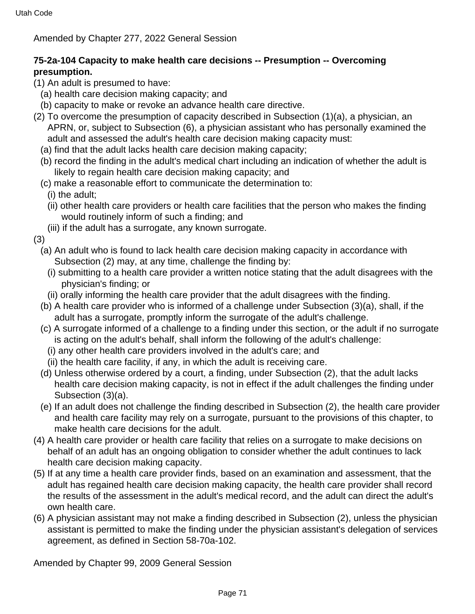Amended by Chapter 277, 2022 General Session

## **75-2a-104 Capacity to make health care decisions -- Presumption -- Overcoming presumption.**

- (1) An adult is presumed to have:
	- (a) health care decision making capacity; and
	- (b) capacity to make or revoke an advance health care directive.
- (2) To overcome the presumption of capacity described in Subsection (1)(a), a physician, an APRN, or, subject to Subsection (6), a physician assistant who has personally examined the adult and assessed the adult's health care decision making capacity must:
	- (a) find that the adult lacks health care decision making capacity;
	- (b) record the finding in the adult's medical chart including an indication of whether the adult is likely to regain health care decision making capacity; and
	- (c) make a reasonable effort to communicate the determination to: (i) the adult;
		- (ii) other health care providers or health care facilities that the person who makes the finding would routinely inform of such a finding; and
	- (iii) if the adult has a surrogate, any known surrogate.

(3)

- (a) An adult who is found to lack health care decision making capacity in accordance with Subsection (2) may, at any time, challenge the finding by:
	- (i) submitting to a health care provider a written notice stating that the adult disagrees with the physician's finding; or
- (ii) orally informing the health care provider that the adult disagrees with the finding.
- (b) A health care provider who is informed of a challenge under Subsection (3)(a), shall, if the adult has a surrogate, promptly inform the surrogate of the adult's challenge.
- (c) A surrogate informed of a challenge to a finding under this section, or the adult if no surrogate is acting on the adult's behalf, shall inform the following of the adult's challenge:
	- (i) any other health care providers involved in the adult's care; and
	- (ii) the health care facility, if any, in which the adult is receiving care.
- (d) Unless otherwise ordered by a court, a finding, under Subsection (2), that the adult lacks health care decision making capacity, is not in effect if the adult challenges the finding under Subsection (3)(a).
- (e) If an adult does not challenge the finding described in Subsection (2), the health care provider and health care facility may rely on a surrogate, pursuant to the provisions of this chapter, to make health care decisions for the adult.
- (4) A health care provider or health care facility that relies on a surrogate to make decisions on behalf of an adult has an ongoing obligation to consider whether the adult continues to lack health care decision making capacity.
- (5) If at any time a health care provider finds, based on an examination and assessment, that the adult has regained health care decision making capacity, the health care provider shall record the results of the assessment in the adult's medical record, and the adult can direct the adult's own health care.
- (6) A physician assistant may not make a finding described in Subsection (2), unless the physician assistant is permitted to make the finding under the physician assistant's delegation of services agreement, as defined in Section 58-70a-102.

Amended by Chapter 99, 2009 General Session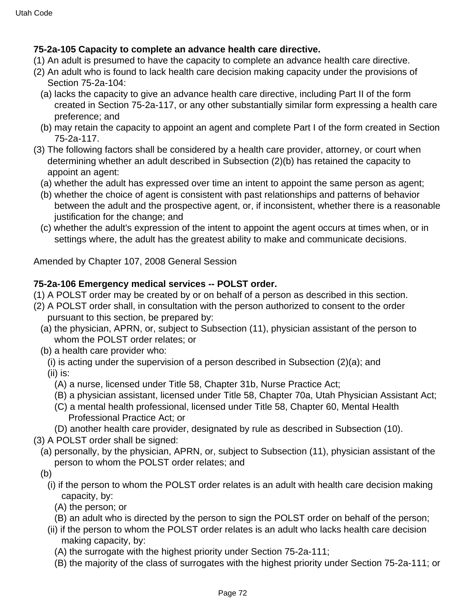## **75-2a-105 Capacity to complete an advance health care directive.**

- (1) An adult is presumed to have the capacity to complete an advance health care directive.
- (2) An adult who is found to lack health care decision making capacity under the provisions of Section 75-2a-104:
	- (a) lacks the capacity to give an advance health care directive, including Part II of the form created in Section 75-2a-117, or any other substantially similar form expressing a health care preference; and
	- (b) may retain the capacity to appoint an agent and complete Part I of the form created in Section 75-2a-117.
- (3) The following factors shall be considered by a health care provider, attorney, or court when determining whether an adult described in Subsection (2)(b) has retained the capacity to appoint an agent:
	- (a) whether the adult has expressed over time an intent to appoint the same person as agent;
	- (b) whether the choice of agent is consistent with past relationships and patterns of behavior between the adult and the prospective agent, or, if inconsistent, whether there is a reasonable justification for the change; and
	- (c) whether the adult's expression of the intent to appoint the agent occurs at times when, or in settings where, the adult has the greatest ability to make and communicate decisions.

Amended by Chapter 107, 2008 General Session

## **75-2a-106 Emergency medical services -- POLST order.**

- (1) A POLST order may be created by or on behalf of a person as described in this section.
- (2) A POLST order shall, in consultation with the person authorized to consent to the order pursuant to this section, be prepared by:
	- (a) the physician, APRN, or, subject to Subsection (11), physician assistant of the person to whom the POLST order relates; or
	- (b) a health care provider who:
		- (i) is acting under the supervision of a person described in Subsection (2)(a); and (ii) is:
			- (A) a nurse, licensed under Title 58, Chapter 31b, Nurse Practice Act;
			- (B) a physician assistant, licensed under Title 58, Chapter 70a, Utah Physician Assistant Act;
			- (C) a mental health professional, licensed under Title 58, Chapter 60, Mental Health Professional Practice Act; or
			- (D) another health care provider, designated by rule as described in Subsection (10).
- (3) A POLST order shall be signed:
	- (a) personally, by the physician, APRN, or, subject to Subsection (11), physician assistant of the person to whom the POLST order relates; and
	- (b)
		- (i) if the person to whom the POLST order relates is an adult with health care decision making capacity, by:
			- (A) the person; or
			- (B) an adult who is directed by the person to sign the POLST order on behalf of the person;
		- (ii) if the person to whom the POLST order relates is an adult who lacks health care decision making capacity, by:
			- (A) the surrogate with the highest priority under Section 75-2a-111;
			- (B) the majority of the class of surrogates with the highest priority under Section 75-2a-111; or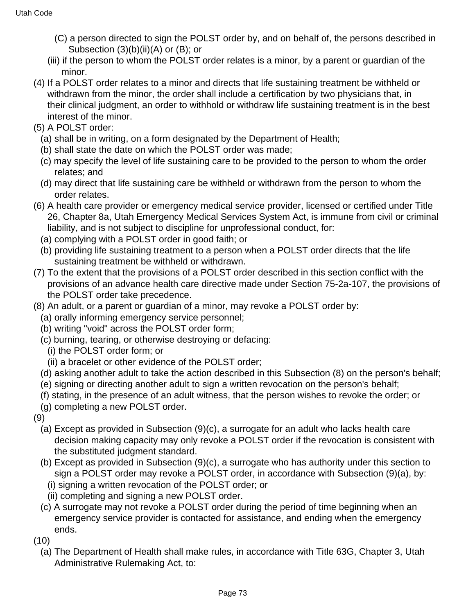- (C) a person directed to sign the POLST order by, and on behalf of, the persons described in Subsection  $(3)(b)(ii)(A)$  or  $(B)$ ; or
- (iii) if the person to whom the POLST order relates is a minor, by a parent or guardian of the minor.
- (4) If a POLST order relates to a minor and directs that life sustaining treatment be withheld or withdrawn from the minor, the order shall include a certification by two physicians that, in their clinical judgment, an order to withhold or withdraw life sustaining treatment is in the best interest of the minor.
- (5) A POLST order:
	- (a) shall be in writing, on a form designated by the Department of Health;
	- (b) shall state the date on which the POLST order was made;
	- (c) may specify the level of life sustaining care to be provided to the person to whom the order relates; and
	- (d) may direct that life sustaining care be withheld or withdrawn from the person to whom the order relates.
- (6) A health care provider or emergency medical service provider, licensed or certified under Title 26, Chapter 8a, Utah Emergency Medical Services System Act, is immune from civil or criminal liability, and is not subject to discipline for unprofessional conduct, for:
	- (a) complying with a POLST order in good faith; or
	- (b) providing life sustaining treatment to a person when a POLST order directs that the life sustaining treatment be withheld or withdrawn.
- (7) To the extent that the provisions of a POLST order described in this section conflict with the provisions of an advance health care directive made under Section 75-2a-107, the provisions of the POLST order take precedence.
- (8) An adult, or a parent or guardian of a minor, may revoke a POLST order by:
	- (a) orally informing emergency service personnel;
	- (b) writing "void" across the POLST order form;
	- (c) burning, tearing, or otherwise destroying or defacing:
		- (i) the POLST order form; or
		- (ii) a bracelet or other evidence of the POLST order;
	- (d) asking another adult to take the action described in this Subsection (8) on the person's behalf;
	- (e) signing or directing another adult to sign a written revocation on the person's behalf;
	- (f) stating, in the presence of an adult witness, that the person wishes to revoke the order; or
	- (g) completing a new POLST order.
- (9)
	- (a) Except as provided in Subsection (9)(c), a surrogate for an adult who lacks health care decision making capacity may only revoke a POLST order if the revocation is consistent with the substituted judgment standard.
	- (b) Except as provided in Subsection (9)(c), a surrogate who has authority under this section to sign a POLST order may revoke a POLST order, in accordance with Subsection (9)(a), by: (i) signing a written revocation of the POLST order; or
	- (ii) completing and signing a new POLST order.
	- (c) A surrogate may not revoke a POLST order during the period of time beginning when an emergency service provider is contacted for assistance, and ending when the emergency ends.
- (10)
	- (a) The Department of Health shall make rules, in accordance with Title 63G, Chapter 3, Utah Administrative Rulemaking Act, to: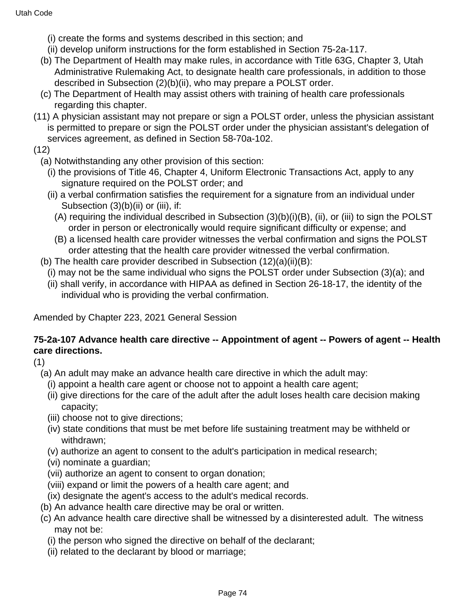- (i) create the forms and systems described in this section; and
- (ii) develop uniform instructions for the form established in Section 75-2a-117.
- (b) The Department of Health may make rules, in accordance with Title 63G, Chapter 3, Utah Administrative Rulemaking Act, to designate health care professionals, in addition to those described in Subsection (2)(b)(ii), who may prepare a POLST order.
- (c) The Department of Health may assist others with training of health care professionals regarding this chapter.
- (11) A physician assistant may not prepare or sign a POLST order, unless the physician assistant is permitted to prepare or sign the POLST order under the physician assistant's delegation of services agreement, as defined in Section 58-70a-102.
- (12)
	- (a) Notwithstanding any other provision of this section:
		- (i) the provisions of Title 46, Chapter 4, Uniform Electronic Transactions Act, apply to any signature required on the POLST order; and
		- (ii) a verbal confirmation satisfies the requirement for a signature from an individual under Subsection (3)(b)(ii) or (iii), if:
			- (A) requiring the individual described in Subsection (3)(b)(i)(B), (ii), or (iii) to sign the POLST order in person or electronically would require significant difficulty or expense; and
			- (B) a licensed health care provider witnesses the verbal confirmation and signs the POLST order attesting that the health care provider witnessed the verbal confirmation.
	- (b) The health care provider described in Subsection (12)(a)(ii)(B):
		- (i) may not be the same individual who signs the POLST order under Subsection (3)(a); and
		- (ii) shall verify, in accordance with HIPAA as defined in Section 26-18-17, the identity of the individual who is providing the verbal confirmation.

Amended by Chapter 223, 2021 General Session

## **75-2a-107 Advance health care directive -- Appointment of agent -- Powers of agent -- Health care directions.**

(1)

- (a) An adult may make an advance health care directive in which the adult may:
	- (i) appoint a health care agent or choose not to appoint a health care agent;
	- (ii) give directions for the care of the adult after the adult loses health care decision making capacity;
	- (iii) choose not to give directions;
	- (iv) state conditions that must be met before life sustaining treatment may be withheld or withdrawn;
	- (v) authorize an agent to consent to the adult's participation in medical research;
	- (vi) nominate a guardian;
	- (vii) authorize an agent to consent to organ donation;
	- (viii) expand or limit the powers of a health care agent; and
	- (ix) designate the agent's access to the adult's medical records.
- (b) An advance health care directive may be oral or written.
- (c) An advance health care directive shall be witnessed by a disinterested adult. The witness may not be:
	- (i) the person who signed the directive on behalf of the declarant;
	- (ii) related to the declarant by blood or marriage;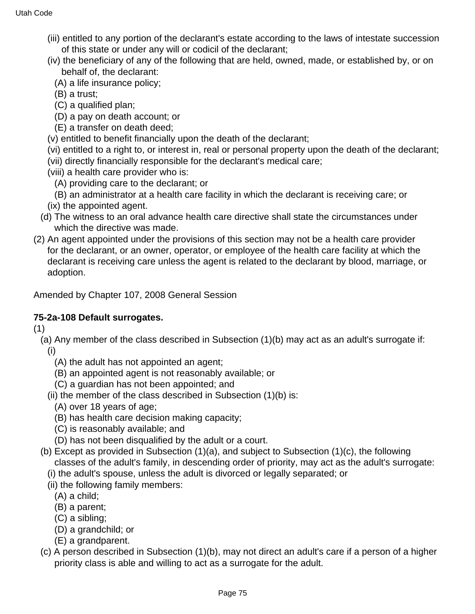- (iii) entitled to any portion of the declarant's estate according to the laws of intestate succession of this state or under any will or codicil of the declarant;
- (iv) the beneficiary of any of the following that are held, owned, made, or established by, or on behalf of, the declarant:
	- (A) a life insurance policy;
	- (B) a trust;
	- (C) a qualified plan;
	- (D) a pay on death account; or
	- (E) a transfer on death deed;
- (v) entitled to benefit financially upon the death of the declarant;
- (vi) entitled to a right to, or interest in, real or personal property upon the death of the declarant; (vii) directly financially responsible for the declarant's medical care;
- (viii) a health care provider who is:
	- (A) providing care to the declarant; or
- (B) an administrator at a health care facility in which the declarant is receiving care; or (ix) the appointed agent.
- (d) The witness to an oral advance health care directive shall state the circumstances under which the directive was made.
- (2) An agent appointed under the provisions of this section may not be a health care provider for the declarant, or an owner, operator, or employee of the health care facility at which the declarant is receiving care unless the agent is related to the declarant by blood, marriage, or adoption.

# **75-2a-108 Default surrogates.**

(1)

(a) Any member of the class described in Subsection (1)(b) may act as an adult's surrogate if: (i)

- (A) the adult has not appointed an agent;
- (B) an appointed agent is not reasonably available; or
- (C) a guardian has not been appointed; and
- (ii) the member of the class described in Subsection  $(1)(b)$  is:
	- (A) over 18 years of age;
	- (B) has health care decision making capacity;
	- (C) is reasonably available; and
	- (D) has not been disqualified by the adult or a court.
- (b) Except as provided in Subsection (1)(a), and subject to Subsection (1)(c), the following classes of the adult's family, in descending order of priority, may act as the adult's surrogate:
	- (i) the adult's spouse, unless the adult is divorced or legally separated; or
	- (ii) the following family members:
		- (A) a child;
		- (B) a parent;
		- (C) a sibling;
		- (D) a grandchild; or
		- (E) a grandparent.
- (c) A person described in Subsection (1)(b), may not direct an adult's care if a person of a higher priority class is able and willing to act as a surrogate for the adult.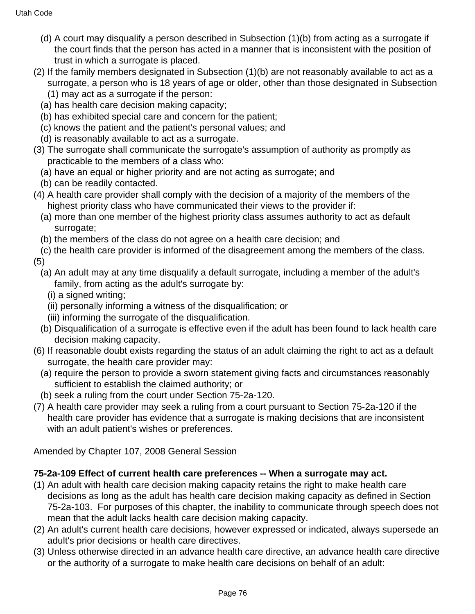- (d) A court may disqualify a person described in Subsection (1)(b) from acting as a surrogate if the court finds that the person has acted in a manner that is inconsistent with the position of trust in which a surrogate is placed.
- (2) If the family members designated in Subsection (1)(b) are not reasonably available to act as a surrogate, a person who is 18 years of age or older, other than those designated in Subsection (1) may act as a surrogate if the person:
	- (a) has health care decision making capacity;
	- (b) has exhibited special care and concern for the patient;
	- (c) knows the patient and the patient's personal values; and
	- (d) is reasonably available to act as a surrogate.
- (3) The surrogate shall communicate the surrogate's assumption of authority as promptly as practicable to the members of a class who:
	- (a) have an equal or higher priority and are not acting as surrogate; and
	- (b) can be readily contacted.
- (4) A health care provider shall comply with the decision of a majority of the members of the highest priority class who have communicated their views to the provider if:
	- (a) more than one member of the highest priority class assumes authority to act as default surrogate;
	- (b) the members of the class do not agree on a health care decision; and
	- (c) the health care provider is informed of the disagreement among the members of the class.
- (5)
	- (a) An adult may at any time disqualify a default surrogate, including a member of the adult's family, from acting as the adult's surrogate by:
		- (i) a signed writing;
		- (ii) personally informing a witness of the disqualification; or
		- (iii) informing the surrogate of the disqualification.
	- (b) Disqualification of a surrogate is effective even if the adult has been found to lack health care decision making capacity.
- (6) If reasonable doubt exists regarding the status of an adult claiming the right to act as a default surrogate, the health care provider may:
	- (a) require the person to provide a sworn statement giving facts and circumstances reasonably sufficient to establish the claimed authority; or
- (b) seek a ruling from the court under Section 75-2a-120.
- (7) A health care provider may seek a ruling from a court pursuant to Section 75-2a-120 if the health care provider has evidence that a surrogate is making decisions that are inconsistent with an adult patient's wishes or preferences.

# **75-2a-109 Effect of current health care preferences -- When a surrogate may act.**

- (1) An adult with health care decision making capacity retains the right to make health care decisions as long as the adult has health care decision making capacity as defined in Section 75-2a-103. For purposes of this chapter, the inability to communicate through speech does not mean that the adult lacks health care decision making capacity.
- (2) An adult's current health care decisions, however expressed or indicated, always supersede an adult's prior decisions or health care directives.
- (3) Unless otherwise directed in an advance health care directive, an advance health care directive or the authority of a surrogate to make health care decisions on behalf of an adult: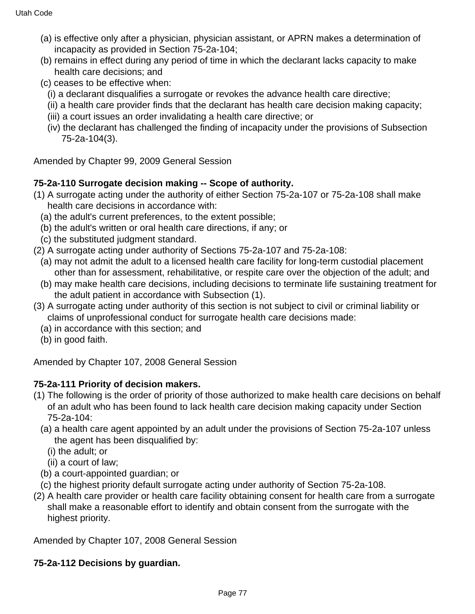- (a) is effective only after a physician, physician assistant, or APRN makes a determination of incapacity as provided in Section 75-2a-104;
- (b) remains in effect during any period of time in which the declarant lacks capacity to make health care decisions; and
- (c) ceases to be effective when:
	- (i) a declarant disqualifies a surrogate or revokes the advance health care directive;
	- (ii) a health care provider finds that the declarant has health care decision making capacity;
	- (iii) a court issues an order invalidating a health care directive; or
	- (iv) the declarant has challenged the finding of incapacity under the provisions of Subsection 75-2a-104(3).

# **75-2a-110 Surrogate decision making -- Scope of authority.**

- (1) A surrogate acting under the authority of either Section 75-2a-107 or 75-2a-108 shall make health care decisions in accordance with:
	- (a) the adult's current preferences, to the extent possible;
	- (b) the adult's written or oral health care directions, if any; or
	- (c) the substituted judgment standard.
- (2) A surrogate acting under authority of Sections 75-2a-107 and 75-2a-108:
	- (a) may not admit the adult to a licensed health care facility for long-term custodial placement other than for assessment, rehabilitative, or respite care over the objection of the adult; and
	- (b) may make health care decisions, including decisions to terminate life sustaining treatment for the adult patient in accordance with Subsection (1).
- (3) A surrogate acting under authority of this section is not subject to civil or criminal liability or claims of unprofessional conduct for surrogate health care decisions made:
	- (a) in accordance with this section; and
	- (b) in good faith.

Amended by Chapter 107, 2008 General Session

# **75-2a-111 Priority of decision makers.**

- (1) The following is the order of priority of those authorized to make health care decisions on behalf of an adult who has been found to lack health care decision making capacity under Section 75-2a-104:
	- (a) a health care agent appointed by an adult under the provisions of Section 75-2a-107 unless the agent has been disqualified by:
		- (i) the adult; or
		- (ii) a court of law;
	- (b) a court-appointed guardian; or
- (c) the highest priority default surrogate acting under authority of Section 75-2a-108.
- (2) A health care provider or health care facility obtaining consent for health care from a surrogate shall make a reasonable effort to identify and obtain consent from the surrogate with the highest priority.

Amended by Chapter 107, 2008 General Session

# **75-2a-112 Decisions by guardian.**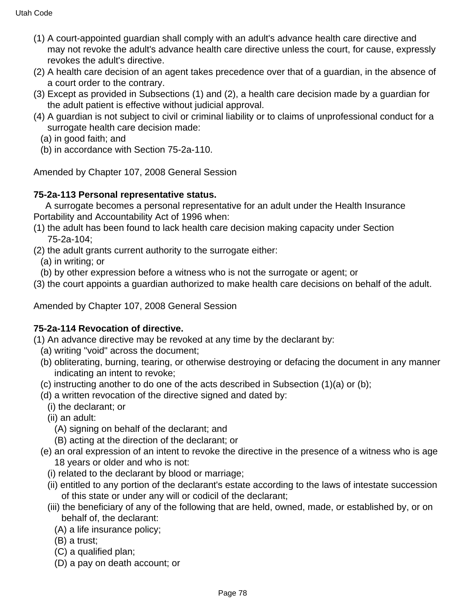- (1) A court-appointed guardian shall comply with an adult's advance health care directive and may not revoke the adult's advance health care directive unless the court, for cause, expressly revokes the adult's directive.
- (2) A health care decision of an agent takes precedence over that of a guardian, in the absence of a court order to the contrary.
- (3) Except as provided in Subsections (1) and (2), a health care decision made by a guardian for the adult patient is effective without judicial approval.
- (4) A guardian is not subject to civil or criminal liability or to claims of unprofessional conduct for a surrogate health care decision made:
	- (a) in good faith; and
	- (b) in accordance with Section 75-2a-110.

## **75-2a-113 Personal representative status.**

 A surrogate becomes a personal representative for an adult under the Health Insurance Portability and Accountability Act of 1996 when:

- (1) the adult has been found to lack health care decision making capacity under Section 75-2a-104;
- (2) the adult grants current authority to the surrogate either:

(a) in writing; or

- (b) by other expression before a witness who is not the surrogate or agent; or
- (3) the court appoints a guardian authorized to make health care decisions on behalf of the adult.

Amended by Chapter 107, 2008 General Session

## **75-2a-114 Revocation of directive.**

- (1) An advance directive may be revoked at any time by the declarant by:
	- (a) writing "void" across the document;
	- (b) obliterating, burning, tearing, or otherwise destroying or defacing the document in any manner indicating an intent to revoke;
	- (c) instructing another to do one of the acts described in Subsection (1)(a) or (b);
	- (d) a written revocation of the directive signed and dated by:
	- (i) the declarant; or
	- (ii) an adult:
		- (A) signing on behalf of the declarant; and
		- (B) acting at the direction of the declarant; or
	- (e) an oral expression of an intent to revoke the directive in the presence of a witness who is age 18 years or older and who is not:
		- (i) related to the declarant by blood or marriage;
		- (ii) entitled to any portion of the declarant's estate according to the laws of intestate succession of this state or under any will or codicil of the declarant;
		- (iii) the beneficiary of any of the following that are held, owned, made, or established by, or on behalf of, the declarant:
			- (A) a life insurance policy;
			- (B) a trust;
			- (C) a qualified plan;
			- (D) a pay on death account; or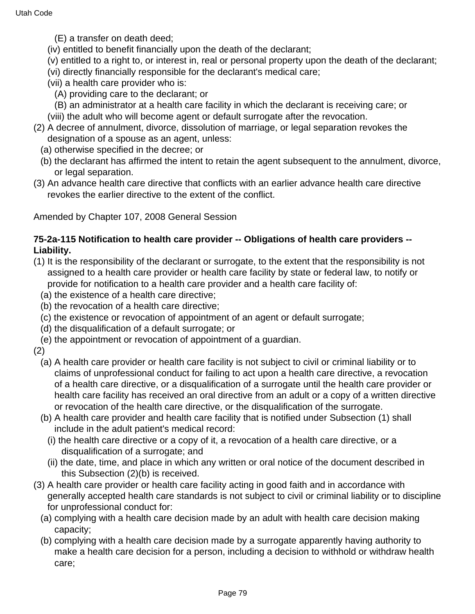- (E) a transfer on death deed;
- (iv) entitled to benefit financially upon the death of the declarant;
- (v) entitled to a right to, or interest in, real or personal property upon the death of the declarant;
- (vi) directly financially responsible for the declarant's medical care;
- (vii) a health care provider who is:
	- (A) providing care to the declarant; or
	- (B) an administrator at a health care facility in which the declarant is receiving care; or
- (viii) the adult who will become agent or default surrogate after the revocation.
- (2) A decree of annulment, divorce, dissolution of marriage, or legal separation revokes the designation of a spouse as an agent, unless:
	- (a) otherwise specified in the decree; or
	- (b) the declarant has affirmed the intent to retain the agent subsequent to the annulment, divorce, or legal separation.
- (3) An advance health care directive that conflicts with an earlier advance health care directive revokes the earlier directive to the extent of the conflict.

## **75-2a-115 Notification to health care provider -- Obligations of health care providers -- Liability.**

- (1) It is the responsibility of the declarant or surrogate, to the extent that the responsibility is not assigned to a health care provider or health care facility by state or federal law, to notify or provide for notification to a health care provider and a health care facility of:
	- (a) the existence of a health care directive;
	- (b) the revocation of a health care directive;
	- (c) the existence or revocation of appointment of an agent or default surrogate;
	- (d) the disqualification of a default surrogate; or
	- (e) the appointment or revocation of appointment of a guardian.
- (2)
	- (a) A health care provider or health care facility is not subject to civil or criminal liability or to claims of unprofessional conduct for failing to act upon a health care directive, a revocation of a health care directive, or a disqualification of a surrogate until the health care provider or health care facility has received an oral directive from an adult or a copy of a written directive or revocation of the health care directive, or the disqualification of the surrogate.
	- (b) A health care provider and health care facility that is notified under Subsection (1) shall include in the adult patient's medical record:
		- (i) the health care directive or a copy of it, a revocation of a health care directive, or a disqualification of a surrogate; and
		- (ii) the date, time, and place in which any written or oral notice of the document described in this Subsection (2)(b) is received.
- (3) A health care provider or health care facility acting in good faith and in accordance with generally accepted health care standards is not subject to civil or criminal liability or to discipline for unprofessional conduct for:
	- (a) complying with a health care decision made by an adult with health care decision making capacity;
	- (b) complying with a health care decision made by a surrogate apparently having authority to make a health care decision for a person, including a decision to withhold or withdraw health care;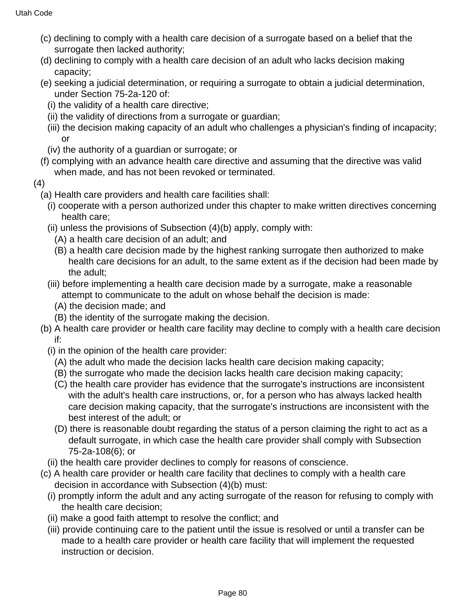- (c) declining to comply with a health care decision of a surrogate based on a belief that the surrogate then lacked authority;
- (d) declining to comply with a health care decision of an adult who lacks decision making capacity;
- (e) seeking a judicial determination, or requiring a surrogate to obtain a judicial determination, under Section 75-2a-120 of:
	- (i) the validity of a health care directive;
	- (ii) the validity of directions from a surrogate or guardian;
	- (iii) the decision making capacity of an adult who challenges a physician's finding of incapacity; or
	- (iv) the authority of a guardian or surrogate; or
- (f) complying with an advance health care directive and assuming that the directive was valid when made, and has not been revoked or terminated.
- (4)
	- (a) Health care providers and health care facilities shall:
		- (i) cooperate with a person authorized under this chapter to make written directives concerning health care;
		- (ii) unless the provisions of Subsection (4)(b) apply, comply with:
		- (A) a health care decision of an adult; and
		- (B) a health care decision made by the highest ranking surrogate then authorized to make health care decisions for an adult, to the same extent as if the decision had been made by the adult;
		- (iii) before implementing a health care decision made by a surrogate, make a reasonable attempt to communicate to the adult on whose behalf the decision is made:
			- (A) the decision made; and
			- (B) the identity of the surrogate making the decision.
	- (b) A health care provider or health care facility may decline to comply with a health care decision if:
		- (i) in the opinion of the health care provider:
			- (A) the adult who made the decision lacks health care decision making capacity;
			- (B) the surrogate who made the decision lacks health care decision making capacity;
			- (C) the health care provider has evidence that the surrogate's instructions are inconsistent with the adult's health care instructions, or, for a person who has always lacked health care decision making capacity, that the surrogate's instructions are inconsistent with the best interest of the adult; or
			- (D) there is reasonable doubt regarding the status of a person claiming the right to act as a default surrogate, in which case the health care provider shall comply with Subsection 75-2a-108(6); or
		- (ii) the health care provider declines to comply for reasons of conscience.
	- (c) A health care provider or health care facility that declines to comply with a health care decision in accordance with Subsection (4)(b) must:
		- (i) promptly inform the adult and any acting surrogate of the reason for refusing to comply with the health care decision;
		- (ii) make a good faith attempt to resolve the conflict; and
		- (iii) provide continuing care to the patient until the issue is resolved or until a transfer can be made to a health care provider or health care facility that will implement the requested instruction or decision.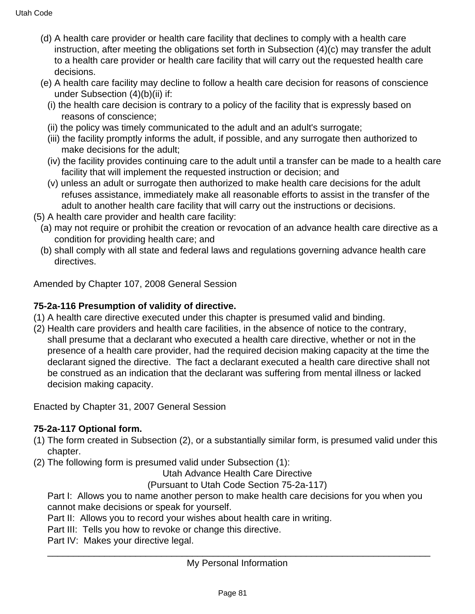- (d) A health care provider or health care facility that declines to comply with a health care instruction, after meeting the obligations set forth in Subsection (4)(c) may transfer the adult to a health care provider or health care facility that will carry out the requested health care decisions.
- (e) A health care facility may decline to follow a health care decision for reasons of conscience under Subsection (4)(b)(ii) if:
	- (i) the health care decision is contrary to a policy of the facility that is expressly based on reasons of conscience;
	- (ii) the policy was timely communicated to the adult and an adult's surrogate;
	- (iii) the facility promptly informs the adult, if possible, and any surrogate then authorized to make decisions for the adult;
	- (iv) the facility provides continuing care to the adult until a transfer can be made to a health care facility that will implement the requested instruction or decision; and
	- (v) unless an adult or surrogate then authorized to make health care decisions for the adult refuses assistance, immediately make all reasonable efforts to assist in the transfer of the adult to another health care facility that will carry out the instructions or decisions.
- (5) A health care provider and health care facility:
	- (a) may not require or prohibit the creation or revocation of an advance health care directive as a condition for providing health care; and
	- (b) shall comply with all state and federal laws and regulations governing advance health care directives.

# **75-2a-116 Presumption of validity of directive.**

- (1) A health care directive executed under this chapter is presumed valid and binding.
- (2) Health care providers and health care facilities, in the absence of notice to the contrary, shall presume that a declarant who executed a health care directive, whether or not in the presence of a health care provider, had the required decision making capacity at the time the declarant signed the directive. The fact a declarant executed a health care directive shall not be construed as an indication that the declarant was suffering from mental illness or lacked decision making capacity.

Enacted by Chapter 31, 2007 General Session

# **75-2a-117 Optional form.**

- (1) The form created in Subsection (2), or a substantially similar form, is presumed valid under this chapter.
- (2) The following form is presumed valid under Subsection (1):

Utah Advance Health Care Directive

(Pursuant to Utah Code Section 75-2a-117)

Part I: Allows you to name another person to make health care decisions for you when you cannot make decisions or speak for yourself.

Part II: Allows you to record your wishes about health care in writing.

Part III: Tells you how to revoke or change this directive.

Part IV: Makes your directive legal.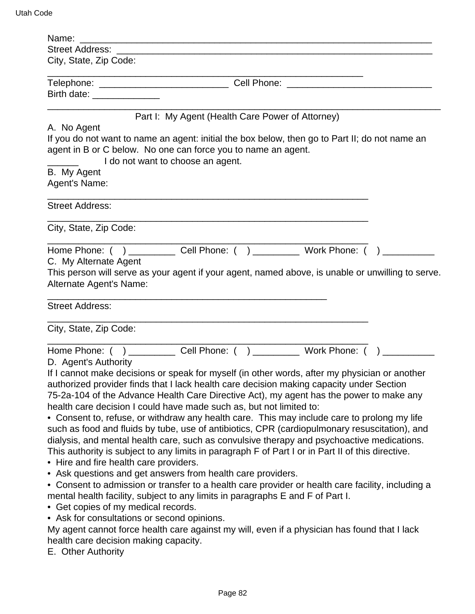| Name:                                                                                                                                                          |  |
|----------------------------------------------------------------------------------------------------------------------------------------------------------------|--|
|                                                                                                                                                                |  |
| City, State, Zip Code:                                                                                                                                         |  |
|                                                                                                                                                                |  |
|                                                                                                                                                                |  |
| Birth date: _______________                                                                                                                                    |  |
| Part I: My Agent (Health Care Power of Attorney)                                                                                                               |  |
| A. No Agent                                                                                                                                                    |  |
| If you do not want to name an agent: initial the box below, then go to Part II; do not name an                                                                 |  |
| agent in B or C below. No one can force you to name an agent.                                                                                                  |  |
| I do not want to choose an agent.                                                                                                                              |  |
| B. My Agent                                                                                                                                                    |  |
| Agent's Name:                                                                                                                                                  |  |
| <b>Street Address:</b>                                                                                                                                         |  |
|                                                                                                                                                                |  |
| City, State, Zip Code:                                                                                                                                         |  |
| Home Phone: () ____________ Cell Phone: () ___________ Work Phone: () __________                                                                               |  |
| C. My Alternate Agent                                                                                                                                          |  |
| This person will serve as your agent if your agent, named above, is unable or unwilling to serve.                                                              |  |
| Alternate Agent's Name:                                                                                                                                        |  |
|                                                                                                                                                                |  |
| <b>Street Address:</b>                                                                                                                                         |  |
| City, State, Zip Code:                                                                                                                                         |  |
| Home Phone: () ___________ Cell Phone: () __________ Work Phone: () _________                                                                                  |  |
|                                                                                                                                                                |  |
| D. Agent's Authority                                                                                                                                           |  |
| If I cannot make decisions or speak for myself (in other words, after my physician or another                                                                  |  |
| authorized provider finds that I lack health care decision making capacity under Section                                                                       |  |
| 75-2a-104 of the Advance Health Care Directive Act), my agent has the power to make any<br>health care decision I could have made such as, but not limited to: |  |
| • Consent to, refuse, or withdraw any health care. This may include care to prolong my life                                                                    |  |
| such as food and fluids by tube, use of antibiotics, CPR (cardiopulmonary resuscitation), and                                                                  |  |
| dialysis, and mental health care, such as convulsive therapy and psychoactive medications.                                                                     |  |
| This authority is subject to any limits in paragraph F of Part I or in Part II of this directive.                                                              |  |
| • Hire and fire health care providers.                                                                                                                         |  |
| • Ask questions and get answers from health care providers.                                                                                                    |  |
| • Consent to admission or transfer to a health care provider or health care facility, including a                                                              |  |
| mental health facility, subject to any limits in paragraphs E and F of Part I.                                                                                 |  |
| • Get copies of my medical records.                                                                                                                            |  |
| • Ask for consultations or second opinions.                                                                                                                    |  |
| My agent cannot force health care against my will, even if a physician has found that I lack                                                                   |  |
| health care decision making capacity.                                                                                                                          |  |
|                                                                                                                                                                |  |

E. Other Authority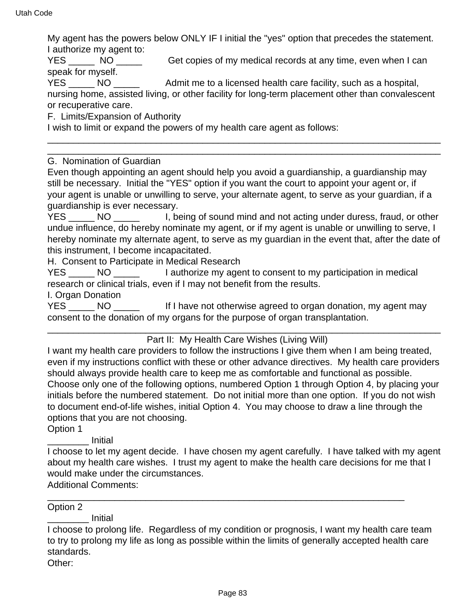My agent has the powers below ONLY IF I initial the "yes" option that precedes the statement. I authorize my agent to:

YES \_\_\_\_\_ NO \_\_\_\_\_ Get copies of my medical records at any time, even when I can speak for myself.

YES \_\_\_\_\_ NO \_\_\_\_\_ Admit me to a licensed health care facility, such as a hospital, nursing home, assisted living, or other facility for long-term placement other than convalescent or recuperative care.

\_\_\_\_\_\_\_\_\_\_\_\_\_\_\_\_\_\_\_\_\_\_\_\_\_\_\_\_\_\_\_\_\_\_\_\_\_\_\_\_\_\_\_\_\_\_\_\_\_\_\_\_\_\_\_\_\_\_\_\_\_\_\_\_\_\_\_\_\_\_\_\_\_\_\_\_ \_\_\_\_\_\_\_\_\_\_\_\_\_\_\_\_\_\_\_\_\_\_\_\_\_\_\_\_\_\_\_\_\_\_\_\_\_\_\_\_\_\_\_\_\_\_\_\_\_\_\_\_\_\_\_\_\_\_\_\_\_\_\_\_\_\_\_\_\_\_\_\_\_\_\_\_

F. Limits/Expansion of Authority

I wish to limit or expand the powers of my health care agent as follows:

### G. Nomination of Guardian

Even though appointing an agent should help you avoid a guardianship, a guardianship may still be necessary. Initial the "YES" option if you want the court to appoint your agent or, if your agent is unable or unwilling to serve, your alternate agent, to serve as your guardian, if a guardianship is ever necessary.

YES \_\_\_\_\_ NO \_\_\_\_\_ I, being of sound mind and not acting under duress, fraud, or other undue influence, do hereby nominate my agent, or if my agent is unable or unwilling to serve, I hereby nominate my alternate agent, to serve as my guardian in the event that, after the date of this instrument, I become incapacitated.

H. Consent to Participate in Medical Research

YES \_\_\_\_\_\_ NO \_\_\_\_\_\_\_\_\_\_\_\_ I authorize my agent to consent to my participation in medical research or clinical trials, even if I may not benefit from the results.

I. Organ Donation

YES \_\_\_\_\_ NO \_\_\_\_\_ If I have not otherwise agreed to organ donation, my agent may consent to the donation of my organs for the purpose of organ transplantation.

\_\_\_\_\_\_\_\_\_\_\_\_\_\_\_\_\_\_\_\_\_\_\_\_\_\_\_\_\_\_\_\_\_\_\_\_\_\_\_\_\_\_\_\_\_\_\_\_\_\_\_\_\_\_\_\_\_\_\_\_\_\_\_\_\_\_\_\_\_\_\_\_\_\_\_\_

### Part II: My Health Care Wishes (Living Will)

I want my health care providers to follow the instructions I give them when I am being treated, even if my instructions conflict with these or other advance directives. My health care providers should always provide health care to keep me as comfortable and functional as possible. Choose only one of the following options, numbered Option 1 through Option 4, by placing your initials before the numbered statement. Do not initial more than one option. If you do not wish to document end-of-life wishes, initial Option 4. You may choose to draw a line through the options that you are not choosing.

Option 1

\_\_\_\_\_\_\_\_ Initial

I choose to let my agent decide. I have chosen my agent carefully. I have talked with my agent about my health care wishes. I trust my agent to make the health care decisions for me that I would make under the circumstances.

Additional Comments:

### Option 2

\_\_\_\_\_\_\_\_ Initial

I choose to prolong life. Regardless of my condition or prognosis, I want my health care team to try to prolong my life as long as possible within the limits of generally accepted health care standards.

\_\_\_\_\_\_\_\_\_\_\_\_\_\_\_\_\_\_\_\_\_\_\_\_\_\_\_\_\_\_\_\_\_\_\_\_\_\_\_\_\_\_\_\_\_\_\_\_\_\_\_\_\_\_\_\_\_\_\_\_\_\_\_\_\_\_\_\_\_

Other: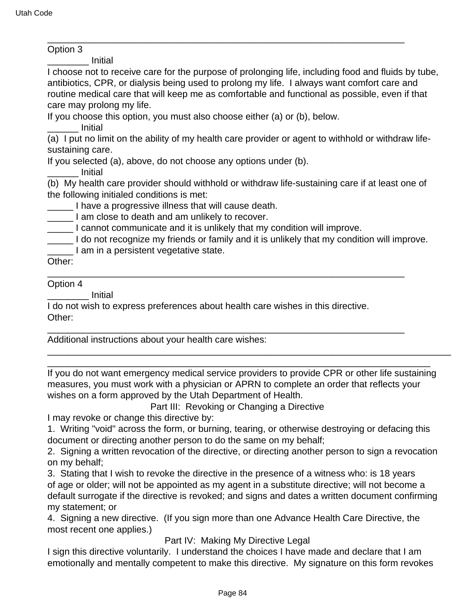| Option 3                                                                                                                                                                                                                                                                                                                                                                                                       |  |  |  |  |
|----------------------------------------------------------------------------------------------------------------------------------------------------------------------------------------------------------------------------------------------------------------------------------------------------------------------------------------------------------------------------------------------------------------|--|--|--|--|
| Initial                                                                                                                                                                                                                                                                                                                                                                                                        |  |  |  |  |
| I choose not to receive care for the purpose of prolonging life, including food and fluids by tube,<br>antibiotics, CPR, or dialysis being used to prolong my life. I always want comfort care and<br>routine medical care that will keep me as comfortable and functional as possible, even if that<br>care may prolong my life.<br>If you choose this option, you must also choose either (a) or (b), below. |  |  |  |  |
| Initial                                                                                                                                                                                                                                                                                                                                                                                                        |  |  |  |  |
| (a) I put no limit on the ability of my health care provider or agent to withhold or withdraw life-<br>sustaining care.<br>If you selected (a), above, do not choose any options under (b).<br>Initial                                                                                                                                                                                                         |  |  |  |  |
|                                                                                                                                                                                                                                                                                                                                                                                                                |  |  |  |  |
| I am close to death and am unlikely to recover.                                                                                                                                                                                                                                                                                                                                                                |  |  |  |  |
| Let Cannot communicate and it is unlikely that my condition will improve.                                                                                                                                                                                                                                                                                                                                      |  |  |  |  |
| Let not recognize my friends or family and it is unlikely that my condition will improve.<br>I am in a persistent vegetative state.                                                                                                                                                                                                                                                                            |  |  |  |  |
| Other:                                                                                                                                                                                                                                                                                                                                                                                                         |  |  |  |  |
| Option 4                                                                                                                                                                                                                                                                                                                                                                                                       |  |  |  |  |
| Initial                                                                                                                                                                                                                                                                                                                                                                                                        |  |  |  |  |
| I do not wish to express preferences about health care wishes in this directive.                                                                                                                                                                                                                                                                                                                               |  |  |  |  |

Other:

Additional instructions about your health care wishes:

If you do not want emergency medical service providers to provide CPR or other life sustaining measures, you must work with a physician or APRN to complete an order that reflects your wishes on a form approved by the Utah Department of Health.

\_\_\_\_\_\_\_\_\_\_\_\_\_\_\_\_\_\_\_\_\_\_\_\_\_\_\_\_\_\_\_\_\_\_\_\_\_\_\_\_\_\_\_\_\_\_\_\_\_\_\_\_\_\_\_\_\_\_\_\_\_\_\_\_\_\_\_\_\_\_\_\_\_\_\_\_\_\_ \_\_\_\_\_\_\_\_\_\_\_\_\_\_\_\_\_\_\_\_\_\_\_\_\_\_\_\_\_\_\_\_\_\_\_\_\_\_\_\_\_\_\_\_\_\_\_\_\_\_\_\_\_\_\_\_\_\_\_\_\_\_\_\_\_\_\_\_\_\_\_\_\_\_

Part III: Revoking or Changing a Directive

\_\_\_\_\_\_\_\_\_\_\_\_\_\_\_\_\_\_\_\_\_\_\_\_\_\_\_\_\_\_\_\_\_\_\_\_\_\_\_\_\_\_\_\_\_\_\_\_\_\_\_\_\_\_\_\_\_\_\_\_\_\_\_\_\_\_\_\_\_

I may revoke or change this directive by:

1. Writing "void" across the form, or burning, tearing, or otherwise destroying or defacing this document or directing another person to do the same on my behalf;

2. Signing a written revocation of the directive, or directing another person to sign a revocation on my behalf;

3. Stating that I wish to revoke the directive in the presence of a witness who: is 18 years of age or older; will not be appointed as my agent in a substitute directive; will not become a default surrogate if the directive is revoked; and signs and dates a written document confirming my statement; or

4. Signing a new directive. (If you sign more than one Advance Health Care Directive, the most recent one applies.)

## Part IV: Making My Directive Legal

I sign this directive voluntarily. I understand the choices I have made and declare that I am emotionally and mentally competent to make this directive. My signature on this form revokes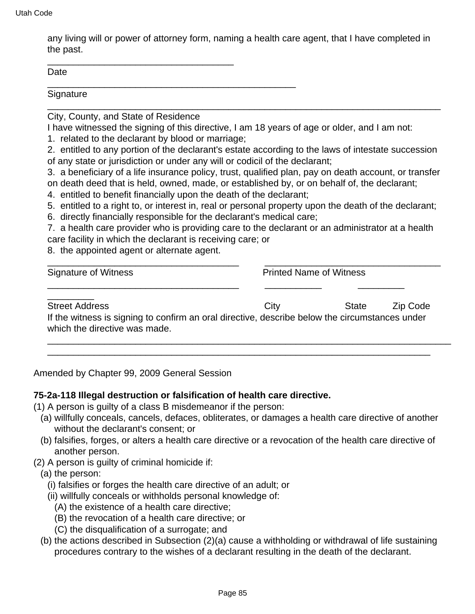any living will or power of attorney form, naming a health care agent, that I have completed in the past.

**Date** 

\_\_\_\_\_\_\_\_\_\_\_\_\_\_\_\_\_\_\_\_\_\_\_\_\_\_\_\_\_\_\_\_\_\_\_\_\_\_\_\_\_\_\_\_\_\_\_\_

\_\_\_\_\_\_\_\_\_\_\_\_\_\_\_\_\_\_\_\_\_\_\_\_\_\_\_\_\_\_\_\_\_\_\_\_

**Signature** 

City, County, and State of Residence

I have witnessed the signing of this directive, I am 18 years of age or older, and I am not:

1. related to the declarant by blood or marriage;

2. entitled to any portion of the declarant's estate according to the laws of intestate succession of any state or jurisdiction or under any will or codicil of the declarant;

\_\_\_\_\_\_\_\_\_\_\_\_\_\_\_\_\_\_\_\_\_\_\_\_\_\_\_\_\_\_\_\_\_\_\_\_\_\_\_\_\_\_\_\_\_\_\_\_\_\_\_\_\_\_\_\_\_\_\_\_\_\_\_\_\_\_\_\_\_\_\_\_\_\_\_\_

3. a beneficiary of a life insurance policy, trust, qualified plan, pay on death account, or transfer on death deed that is held, owned, made, or established by, or on behalf of, the declarant;

- 4. entitled to benefit financially upon the death of the declarant;
- 5. entitled to a right to, or interest in, real or personal property upon the death of the declarant;
- 6. directly financially responsible for the declarant's medical care;

7. a health care provider who is providing care to the declarant or an administrator at a health care facility in which the declarant is receiving care; or

8. the appointed agent or alternate agent.

| Signature of Witness                                                                                                            |      | <b>Printed Name of Witness</b> |          |  |
|---------------------------------------------------------------------------------------------------------------------------------|------|--------------------------------|----------|--|
| <b>Street Address</b>                                                                                                           | City | <b>State</b>                   | Zip Code |  |
| If the witness is signing to confirm an oral directive, describe below the circumstances under<br>which the directive was made. |      |                                |          |  |

\_\_\_\_\_\_\_\_\_\_\_\_\_\_\_\_\_\_\_\_\_\_\_\_\_\_\_\_\_\_\_\_\_\_\_\_\_\_\_\_\_\_\_\_\_\_\_\_\_\_\_\_\_\_\_\_\_\_\_\_\_\_\_\_\_\_\_\_\_\_\_\_\_\_\_\_\_\_ \_\_\_\_\_\_\_\_\_\_\_\_\_\_\_\_\_\_\_\_\_\_\_\_\_\_\_\_\_\_\_\_\_\_\_\_\_\_\_\_\_\_\_\_\_\_\_\_\_\_\_\_\_\_\_\_\_\_\_\_\_\_\_\_\_\_\_\_\_\_\_\_\_\_

Amended by Chapter 99, 2009 General Session

## **75-2a-118 Illegal destruction or falsification of health care directive.**

- (1) A person is guilty of a class B misdemeanor if the person:
	- (a) willfully conceals, cancels, defaces, obliterates, or damages a health care directive of another without the declarant's consent; or
	- (b) falsifies, forges, or alters a health care directive or a revocation of the health care directive of another person.
- (2) A person is guilty of criminal homicide if:
	- (a) the person:
		- (i) falsifies or forges the health care directive of an adult; or
		- (ii) willfully conceals or withholds personal knowledge of:
			- (A) the existence of a health care directive;
			- (B) the revocation of a health care directive; or
			- (C) the disqualification of a surrogate; and
	- (b) the actions described in Subsection (2)(a) cause a withholding or withdrawal of life sustaining procedures contrary to the wishes of a declarant resulting in the death of the declarant.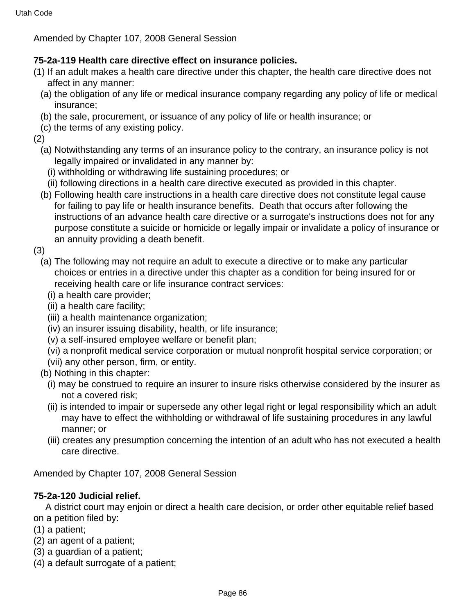## **75-2a-119 Health care directive effect on insurance policies.**

- (1) If an adult makes a health care directive under this chapter, the health care directive does not affect in any manner:
	- (a) the obligation of any life or medical insurance company regarding any policy of life or medical insurance;
	- (b) the sale, procurement, or issuance of any policy of life or health insurance; or
	- (c) the terms of any existing policy.

(2)

- (a) Notwithstanding any terms of an insurance policy to the contrary, an insurance policy is not legally impaired or invalidated in any manner by:
	- (i) withholding or withdrawing life sustaining procedures; or
- (ii) following directions in a health care directive executed as provided in this chapter.
- (b) Following health care instructions in a health care directive does not constitute legal cause for failing to pay life or health insurance benefits. Death that occurs after following the instructions of an advance health care directive or a surrogate's instructions does not for any purpose constitute a suicide or homicide or legally impair or invalidate a policy of insurance or an annuity providing a death benefit.

(3)

- (a) The following may not require an adult to execute a directive or to make any particular choices or entries in a directive under this chapter as a condition for being insured for or receiving health care or life insurance contract services:
	- (i) a health care provider;
	- (ii) a health care facility;
	- (iii) a health maintenance organization;
	- (iv) an insurer issuing disability, health, or life insurance;
	- (v) a self-insured employee welfare or benefit plan;
	- (vi) a nonprofit medical service corporation or mutual nonprofit hospital service corporation; or (vii) any other person, firm, or entity.
- (b) Nothing in this chapter:
	- (i) may be construed to require an insurer to insure risks otherwise considered by the insurer as not a covered risk;
	- (ii) is intended to impair or supersede any other legal right or legal responsibility which an adult may have to effect the withholding or withdrawal of life sustaining procedures in any lawful manner; or
	- (iii) creates any presumption concerning the intention of an adult who has not executed a health care directive.

Amended by Chapter 107, 2008 General Session

# **75-2a-120 Judicial relief.**

 A district court may enjoin or direct a health care decision, or order other equitable relief based on a petition filed by:

- (1) a patient;
- (2) an agent of a patient;
- (3) a guardian of a patient;
- (4) a default surrogate of a patient;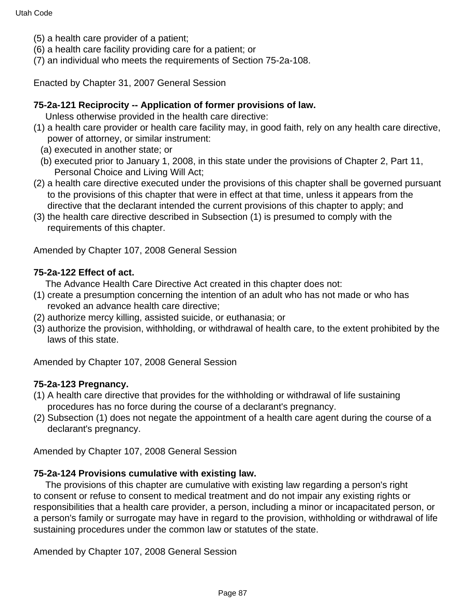- (5) a health care provider of a patient;
- (6) a health care facility providing care for a patient; or
- (7) an individual who meets the requirements of Section 75-2a-108.

Enacted by Chapter 31, 2007 General Session

### **75-2a-121 Reciprocity -- Application of former provisions of law.**

- Unless otherwise provided in the health care directive:
- (1) a health care provider or health care facility may, in good faith, rely on any health care directive, power of attorney, or similar instrument:
	- (a) executed in another state; or
	- (b) executed prior to January 1, 2008, in this state under the provisions of Chapter 2, Part 11, Personal Choice and Living Will Act;
- (2) a health care directive executed under the provisions of this chapter shall be governed pursuant to the provisions of this chapter that were in effect at that time, unless it appears from the directive that the declarant intended the current provisions of this chapter to apply; and
- (3) the health care directive described in Subsection (1) is presumed to comply with the requirements of this chapter.

Amended by Chapter 107, 2008 General Session

### **75-2a-122 Effect of act.**

The Advance Health Care Directive Act created in this chapter does not:

- (1) create a presumption concerning the intention of an adult who has not made or who has revoked an advance health care directive;
- (2) authorize mercy killing, assisted suicide, or euthanasia; or
- (3) authorize the provision, withholding, or withdrawal of health care, to the extent prohibited by the laws of this state.

Amended by Chapter 107, 2008 General Session

### **75-2a-123 Pregnancy.**

- (1) A health care directive that provides for the withholding or withdrawal of life sustaining procedures has no force during the course of a declarant's pregnancy.
- (2) Subsection (1) does not negate the appointment of a health care agent during the course of a declarant's pregnancy.

Amended by Chapter 107, 2008 General Session

### **75-2a-124 Provisions cumulative with existing law.**

 The provisions of this chapter are cumulative with existing law regarding a person's right to consent or refuse to consent to medical treatment and do not impair any existing rights or responsibilities that a health care provider, a person, including a minor or incapacitated person, or a person's family or surrogate may have in regard to the provision, withholding or withdrawal of life sustaining procedures under the common law or statutes of the state.

Amended by Chapter 107, 2008 General Session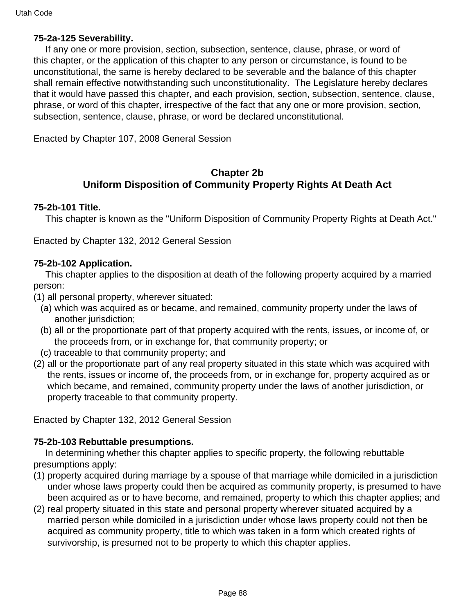### **75-2a-125 Severability.**

 If any one or more provision, section, subsection, sentence, clause, phrase, or word of this chapter, or the application of this chapter to any person or circumstance, is found to be unconstitutional, the same is hereby declared to be severable and the balance of this chapter shall remain effective notwithstanding such unconstitutionality. The Legislature hereby declares that it would have passed this chapter, and each provision, section, subsection, sentence, clause, phrase, or word of this chapter, irrespective of the fact that any one or more provision, section, subsection, sentence, clause, phrase, or word be declared unconstitutional.

Enacted by Chapter 107, 2008 General Session

## **Chapter 2b Uniform Disposition of Community Property Rights At Death Act**

### **75-2b-101 Title.**

This chapter is known as the "Uniform Disposition of Community Property Rights at Death Act."

Enacted by Chapter 132, 2012 General Session

### **75-2b-102 Application.**

 This chapter applies to the disposition at death of the following property acquired by a married person:

(1) all personal property, wherever situated:

- (a) which was acquired as or became, and remained, community property under the laws of another jurisdiction;
- (b) all or the proportionate part of that property acquired with the rents, issues, or income of, or the proceeds from, or in exchange for, that community property; or
- (c) traceable to that community property; and
- (2) all or the proportionate part of any real property situated in this state which was acquired with the rents, issues or income of, the proceeds from, or in exchange for, property acquired as or which became, and remained, community property under the laws of another jurisdiction, or property traceable to that community property.

Enacted by Chapter 132, 2012 General Session

### **75-2b-103 Rebuttable presumptions.**

 In determining whether this chapter applies to specific property, the following rebuttable presumptions apply:

- (1) property acquired during marriage by a spouse of that marriage while domiciled in a jurisdiction under whose laws property could then be acquired as community property, is presumed to have been acquired as or to have become, and remained, property to which this chapter applies; and
- (2) real property situated in this state and personal property wherever situated acquired by a married person while domiciled in a jurisdiction under whose laws property could not then be acquired as community property, title to which was taken in a form which created rights of survivorship, is presumed not to be property to which this chapter applies.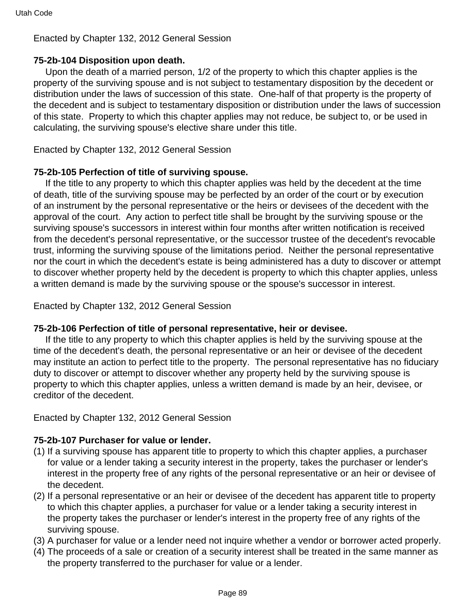## Enacted by Chapter 132, 2012 General Session

## **75-2b-104 Disposition upon death.**

 Upon the death of a married person, 1/2 of the property to which this chapter applies is the property of the surviving spouse and is not subject to testamentary disposition by the decedent or distribution under the laws of succession of this state. One-half of that property is the property of the decedent and is subject to testamentary disposition or distribution under the laws of succession of this state. Property to which this chapter applies may not reduce, be subject to, or be used in calculating, the surviving spouse's elective share under this title.

Enacted by Chapter 132, 2012 General Session

## **75-2b-105 Perfection of title of surviving spouse.**

 If the title to any property to which this chapter applies was held by the decedent at the time of death, title of the surviving spouse may be perfected by an order of the court or by execution of an instrument by the personal representative or the heirs or devisees of the decedent with the approval of the court. Any action to perfect title shall be brought by the surviving spouse or the surviving spouse's successors in interest within four months after written notification is received from the decedent's personal representative, or the successor trustee of the decedent's revocable trust, informing the surviving spouse of the limitations period. Neither the personal representative nor the court in which the decedent's estate is being administered has a duty to discover or attempt to discover whether property held by the decedent is property to which this chapter applies, unless a written demand is made by the surviving spouse or the spouse's successor in interest.

Enacted by Chapter 132, 2012 General Session

### **75-2b-106 Perfection of title of personal representative, heir or devisee.**

 If the title to any property to which this chapter applies is held by the surviving spouse at the time of the decedent's death, the personal representative or an heir or devisee of the decedent may institute an action to perfect title to the property. The personal representative has no fiduciary duty to discover or attempt to discover whether any property held by the surviving spouse is property to which this chapter applies, unless a written demand is made by an heir, devisee, or creditor of the decedent.

Enacted by Chapter 132, 2012 General Session

## **75-2b-107 Purchaser for value or lender.**

- (1) If a surviving spouse has apparent title to property to which this chapter applies, a purchaser for value or a lender taking a security interest in the property, takes the purchaser or lender's interest in the property free of any rights of the personal representative or an heir or devisee of the decedent.
- (2) If a personal representative or an heir or devisee of the decedent has apparent title to property to which this chapter applies, a purchaser for value or a lender taking a security interest in the property takes the purchaser or lender's interest in the property free of any rights of the surviving spouse.
- (3) A purchaser for value or a lender need not inquire whether a vendor or borrower acted properly.
- (4) The proceeds of a sale or creation of a security interest shall be treated in the same manner as the property transferred to the purchaser for value or a lender.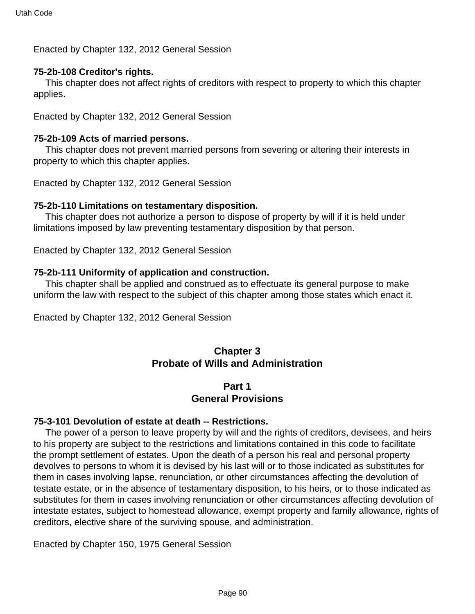Enacted by Chapter 132, 2012 General Session

### **75-2b-108 Creditor's rights.**

 This chapter does not affect rights of creditors with respect to property to which this chapter applies.

Enacted by Chapter 132, 2012 General Session

### **75-2b-109 Acts of married persons.**

 This chapter does not prevent married persons from severing or altering their interests in property to which this chapter applies.

Enacted by Chapter 132, 2012 General Session

### **75-2b-110 Limitations on testamentary disposition.**

 This chapter does not authorize a person to dispose of property by will if it is held under limitations imposed by law preventing testamentary disposition by that person.

Enacted by Chapter 132, 2012 General Session

### **75-2b-111 Uniformity of application and construction.**

 This chapter shall be applied and construed as to effectuate its general purpose to make uniform the law with respect to the subject of this chapter among those states which enact it.

Enacted by Chapter 132, 2012 General Session

# **Chapter 3 Probate of Wills and Administration**

## **Part 1 General Provisions**

### **75-3-101 Devolution of estate at death -- Restrictions.**

 The power of a person to leave property by will and the rights of creditors, devisees, and heirs to his property are subject to the restrictions and limitations contained in this code to facilitate the prompt settlement of estates. Upon the death of a person his real and personal property devolves to persons to whom it is devised by his last will or to those indicated as substitutes for them in cases involving lapse, renunciation, or other circumstances affecting the devolution of testate estate, or in the absence of testamentary disposition, to his heirs, or to those indicated as substitutes for them in cases involving renunciation or other circumstances affecting devolution of intestate estates, subject to homestead allowance, exempt property and family allowance, rights of creditors, elective share of the surviving spouse, and administration.

Enacted by Chapter 150, 1975 General Session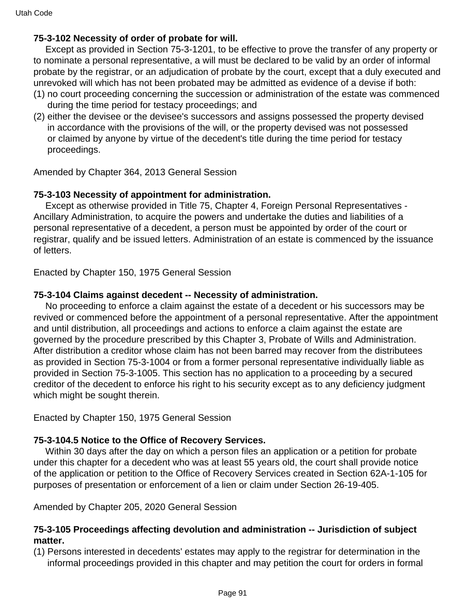## **75-3-102 Necessity of order of probate for will.**

 Except as provided in Section 75-3-1201, to be effective to prove the transfer of any property or to nominate a personal representative, a will must be declared to be valid by an order of informal probate by the registrar, or an adjudication of probate by the court, except that a duly executed and unrevoked will which has not been probated may be admitted as evidence of a devise if both:

- (1) no court proceeding concerning the succession or administration of the estate was commenced during the time period for testacy proceedings; and
- (2) either the devisee or the devisee's successors and assigns possessed the property devised in accordance with the provisions of the will, or the property devised was not possessed or claimed by anyone by virtue of the decedent's title during the time period for testacy proceedings.

Amended by Chapter 364, 2013 General Session

### **75-3-103 Necessity of appointment for administration.**

 Except as otherwise provided in Title 75, Chapter 4, Foreign Personal Representatives - Ancillary Administration, to acquire the powers and undertake the duties and liabilities of a personal representative of a decedent, a person must be appointed by order of the court or registrar, qualify and be issued letters. Administration of an estate is commenced by the issuance of letters.

Enacted by Chapter 150, 1975 General Session

### **75-3-104 Claims against decedent -- Necessity of administration.**

 No proceeding to enforce a claim against the estate of a decedent or his successors may be revived or commenced before the appointment of a personal representative. After the appointment and until distribution, all proceedings and actions to enforce a claim against the estate are governed by the procedure prescribed by this Chapter 3, Probate of Wills and Administration. After distribution a creditor whose claim has not been barred may recover from the distributees as provided in Section 75-3-1004 or from a former personal representative individually liable as provided in Section 75-3-1005. This section has no application to a proceeding by a secured creditor of the decedent to enforce his right to his security except as to any deficiency judgment which might be sought therein.

Enacted by Chapter 150, 1975 General Session

### **75-3-104.5 Notice to the Office of Recovery Services.**

 Within 30 days after the day on which a person files an application or a petition for probate under this chapter for a decedent who was at least 55 years old, the court shall provide notice of the application or petition to the Office of Recovery Services created in Section 62A-1-105 for purposes of presentation or enforcement of a lien or claim under Section 26-19-405.

Amended by Chapter 205, 2020 General Session

### **75-3-105 Proceedings affecting devolution and administration -- Jurisdiction of subject matter.**

(1) Persons interested in decedents' estates may apply to the registrar for determination in the informal proceedings provided in this chapter and may petition the court for orders in formal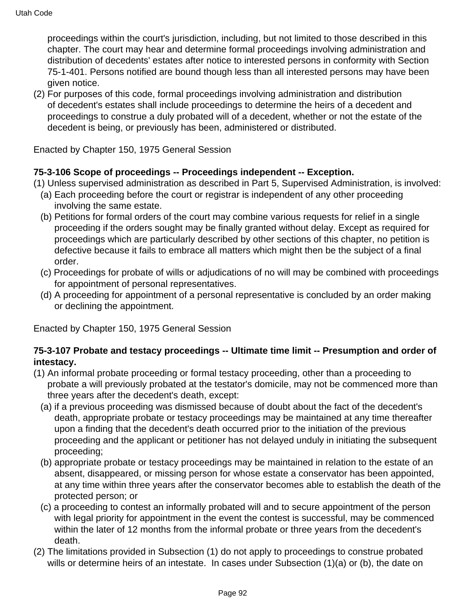proceedings within the court's jurisdiction, including, but not limited to those described in this chapter. The court may hear and determine formal proceedings involving administration and distribution of decedents' estates after notice to interested persons in conformity with Section 75-1-401. Persons notified are bound though less than all interested persons may have been given notice.

(2) For purposes of this code, formal proceedings involving administration and distribution of decedent's estates shall include proceedings to determine the heirs of a decedent and proceedings to construe a duly probated will of a decedent, whether or not the estate of the decedent is being, or previously has been, administered or distributed.

Enacted by Chapter 150, 1975 General Session

## **75-3-106 Scope of proceedings -- Proceedings independent -- Exception.**

- (1) Unless supervised administration as described in Part 5, Supervised Administration, is involved:
	- (a) Each proceeding before the court or registrar is independent of any other proceeding involving the same estate.
	- (b) Petitions for formal orders of the court may combine various requests for relief in a single proceeding if the orders sought may be finally granted without delay. Except as required for proceedings which are particularly described by other sections of this chapter, no petition is defective because it fails to embrace all matters which might then be the subject of a final order.
	- (c) Proceedings for probate of wills or adjudications of no will may be combined with proceedings for appointment of personal representatives.
	- (d) A proceeding for appointment of a personal representative is concluded by an order making or declining the appointment.

Enacted by Chapter 150, 1975 General Session

## **75-3-107 Probate and testacy proceedings -- Ultimate time limit -- Presumption and order of intestacy.**

- (1) An informal probate proceeding or formal testacy proceeding, other than a proceeding to probate a will previously probated at the testator's domicile, may not be commenced more than three years after the decedent's death, except:
	- (a) if a previous proceeding was dismissed because of doubt about the fact of the decedent's death, appropriate probate or testacy proceedings may be maintained at any time thereafter upon a finding that the decedent's death occurred prior to the initiation of the previous proceeding and the applicant or petitioner has not delayed unduly in initiating the subsequent proceeding;
	- (b) appropriate probate or testacy proceedings may be maintained in relation to the estate of an absent, disappeared, or missing person for whose estate a conservator has been appointed, at any time within three years after the conservator becomes able to establish the death of the protected person; or
	- (c) a proceeding to contest an informally probated will and to secure appointment of the person with legal priority for appointment in the event the contest is successful, may be commenced within the later of 12 months from the informal probate or three years from the decedent's death.
- (2) The limitations provided in Subsection (1) do not apply to proceedings to construe probated wills or determine heirs of an intestate. In cases under Subsection (1)(a) or (b), the date on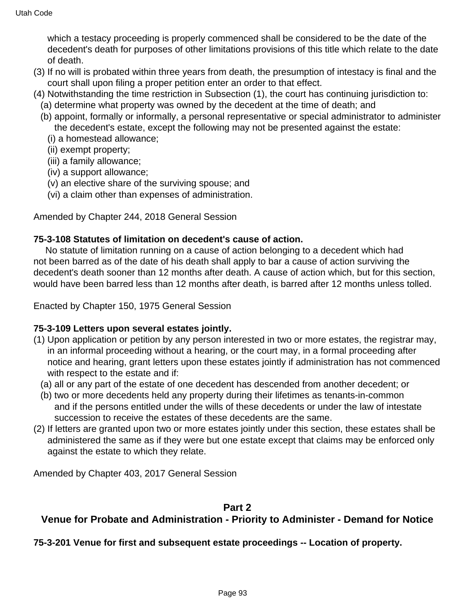which a testacy proceeding is properly commenced shall be considered to be the date of the decedent's death for purposes of other limitations provisions of this title which relate to the date of death.

- (3) If no will is probated within three years from death, the presumption of intestacy is final and the court shall upon filing a proper petition enter an order to that effect.
- (4) Notwithstanding the time restriction in Subsection (1), the court has continuing jurisdiction to:
	- (a) determine what property was owned by the decedent at the time of death; and
	- (b) appoint, formally or informally, a personal representative or special administrator to administer the decedent's estate, except the following may not be presented against the estate:
		- (i) a homestead allowance;
		- (ii) exempt property;
		- (iii) a family allowance;
		- (iv) a support allowance;
		- (v) an elective share of the surviving spouse; and
		- (vi) a claim other than expenses of administration.

Amended by Chapter 244, 2018 General Session

### **75-3-108 Statutes of limitation on decedent's cause of action.**

 No statute of limitation running on a cause of action belonging to a decedent which had not been barred as of the date of his death shall apply to bar a cause of action surviving the decedent's death sooner than 12 months after death. A cause of action which, but for this section, would have been barred less than 12 months after death, is barred after 12 months unless tolled.

Enacted by Chapter 150, 1975 General Session

### **75-3-109 Letters upon several estates jointly.**

- (1) Upon application or petition by any person interested in two or more estates, the registrar may, in an informal proceeding without a hearing, or the court may, in a formal proceeding after notice and hearing, grant letters upon these estates jointly if administration has not commenced with respect to the estate and if:
	- (a) all or any part of the estate of one decedent has descended from another decedent; or
	- (b) two or more decedents held any property during their lifetimes as tenants-in-common and if the persons entitled under the wills of these decedents or under the law of intestate succession to receive the estates of these decedents are the same.
- (2) If letters are granted upon two or more estates jointly under this section, these estates shall be administered the same as if they were but one estate except that claims may be enforced only against the estate to which they relate.

Amended by Chapter 403, 2017 General Session

## **Part 2**

# **Venue for Probate and Administration - Priority to Administer - Demand for Notice**

**75-3-201 Venue for first and subsequent estate proceedings -- Location of property.**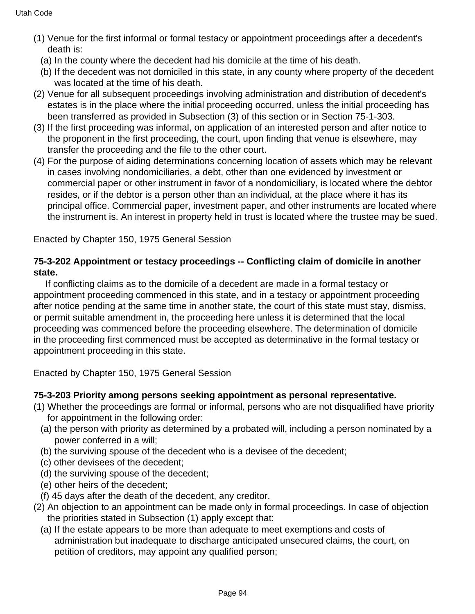- (1) Venue for the first informal or formal testacy or appointment proceedings after a decedent's death is:
	- (a) In the county where the decedent had his domicile at the time of his death.
	- (b) If the decedent was not domiciled in this state, in any county where property of the decedent was located at the time of his death.
- (2) Venue for all subsequent proceedings involving administration and distribution of decedent's estates is in the place where the initial proceeding occurred, unless the initial proceeding has been transferred as provided in Subsection (3) of this section or in Section 75-1-303.
- (3) If the first proceeding was informal, on application of an interested person and after notice to the proponent in the first proceeding, the court, upon finding that venue is elsewhere, may transfer the proceeding and the file to the other court.
- (4) For the purpose of aiding determinations concerning location of assets which may be relevant in cases involving nondomiciliaries, a debt, other than one evidenced by investment or commercial paper or other instrument in favor of a nondomiciliary, is located where the debtor resides, or if the debtor is a person other than an individual, at the place where it has its principal office. Commercial paper, investment paper, and other instruments are located where the instrument is. An interest in property held in trust is located where the trustee may be sued.

Enacted by Chapter 150, 1975 General Session

## **75-3-202 Appointment or testacy proceedings -- Conflicting claim of domicile in another state.**

 If conflicting claims as to the domicile of a decedent are made in a formal testacy or appointment proceeding commenced in this state, and in a testacy or appointment proceeding after notice pending at the same time in another state, the court of this state must stay, dismiss, or permit suitable amendment in, the proceeding here unless it is determined that the local proceeding was commenced before the proceeding elsewhere. The determination of domicile in the proceeding first commenced must be accepted as determinative in the formal testacy or appointment proceeding in this state.

Enacted by Chapter 150, 1975 General Session

# **75-3-203 Priority among persons seeking appointment as personal representative.**

- (1) Whether the proceedings are formal or informal, persons who are not disqualified have priority for appointment in the following order:
	- (a) the person with priority as determined by a probated will, including a person nominated by a power conferred in a will;
	- (b) the surviving spouse of the decedent who is a devisee of the decedent;
	- (c) other devisees of the decedent;
	- (d) the surviving spouse of the decedent;
	- (e) other heirs of the decedent;
	- (f) 45 days after the death of the decedent, any creditor.
- (2) An objection to an appointment can be made only in formal proceedings. In case of objection the priorities stated in Subsection (1) apply except that:
	- (a) If the estate appears to be more than adequate to meet exemptions and costs of administration but inadequate to discharge anticipated unsecured claims, the court, on petition of creditors, may appoint any qualified person;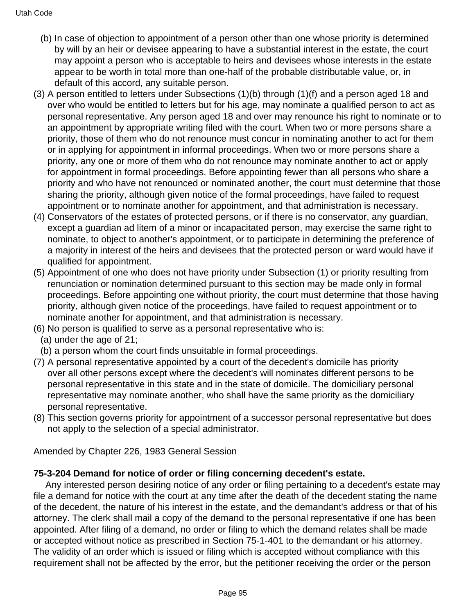- (b) In case of objection to appointment of a person other than one whose priority is determined by will by an heir or devisee appearing to have a substantial interest in the estate, the court may appoint a person who is acceptable to heirs and devisees whose interests in the estate appear to be worth in total more than one-half of the probable distributable value, or, in default of this accord, any suitable person.
- (3) A person entitled to letters under Subsections (1)(b) through (1)(f) and a person aged 18 and over who would be entitled to letters but for his age, may nominate a qualified person to act as personal representative. Any person aged 18 and over may renounce his right to nominate or to an appointment by appropriate writing filed with the court. When two or more persons share a priority, those of them who do not renounce must concur in nominating another to act for them or in applying for appointment in informal proceedings. When two or more persons share a priority, any one or more of them who do not renounce may nominate another to act or apply for appointment in formal proceedings. Before appointing fewer than all persons who share a priority and who have not renounced or nominated another, the court must determine that those sharing the priority, although given notice of the formal proceedings, have failed to request appointment or to nominate another for appointment, and that administration is necessary.
- (4) Conservators of the estates of protected persons, or if there is no conservator, any guardian, except a guardian ad litem of a minor or incapacitated person, may exercise the same right to nominate, to object to another's appointment, or to participate in determining the preference of a majority in interest of the heirs and devisees that the protected person or ward would have if qualified for appointment.
- (5) Appointment of one who does not have priority under Subsection (1) or priority resulting from renunciation or nomination determined pursuant to this section may be made only in formal proceedings. Before appointing one without priority, the court must determine that those having priority, although given notice of the proceedings, have failed to request appointment or to nominate another for appointment, and that administration is necessary.
- (6) No person is qualified to serve as a personal representative who is:
	- (a) under the age of 21;
	- (b) a person whom the court finds unsuitable in formal proceedings.
- (7) A personal representative appointed by a court of the decedent's domicile has priority over all other persons except where the decedent's will nominates different persons to be personal representative in this state and in the state of domicile. The domiciliary personal representative may nominate another, who shall have the same priority as the domiciliary personal representative.
- (8) This section governs priority for appointment of a successor personal representative but does not apply to the selection of a special administrator.

Amended by Chapter 226, 1983 General Session

#### **75-3-204 Demand for notice of order or filing concerning decedent's estate.**

 Any interested person desiring notice of any order or filing pertaining to a decedent's estate may file a demand for notice with the court at any time after the death of the decedent stating the name of the decedent, the nature of his interest in the estate, and the demandant's address or that of his attorney. The clerk shall mail a copy of the demand to the personal representative if one has been appointed. After filing of a demand, no order or filing to which the demand relates shall be made or accepted without notice as prescribed in Section 75-1-401 to the demandant or his attorney. The validity of an order which is issued or filing which is accepted without compliance with this requirement shall not be affected by the error, but the petitioner receiving the order or the person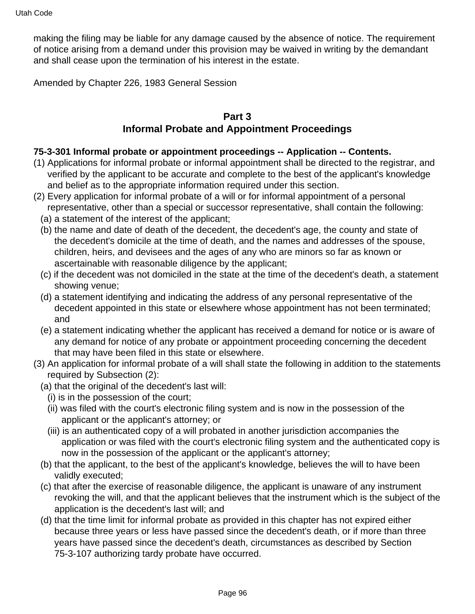making the filing may be liable for any damage caused by the absence of notice. The requirement of notice arising from a demand under this provision may be waived in writing by the demandant and shall cease upon the termination of his interest in the estate.

Amended by Chapter 226, 1983 General Session

## **Part 3 Informal Probate and Appointment Proceedings**

### **75-3-301 Informal probate or appointment proceedings -- Application -- Contents.**

- (1) Applications for informal probate or informal appointment shall be directed to the registrar, and verified by the applicant to be accurate and complete to the best of the applicant's knowledge and belief as to the appropriate information required under this section.
- (2) Every application for informal probate of a will or for informal appointment of a personal representative, other than a special or successor representative, shall contain the following:
	- (a) a statement of the interest of the applicant;
	- (b) the name and date of death of the decedent, the decedent's age, the county and state of the decedent's domicile at the time of death, and the names and addresses of the spouse, children, heirs, and devisees and the ages of any who are minors so far as known or ascertainable with reasonable diligence by the applicant;
	- (c) if the decedent was not domiciled in the state at the time of the decedent's death, a statement showing venue;
	- (d) a statement identifying and indicating the address of any personal representative of the decedent appointed in this state or elsewhere whose appointment has not been terminated; and
	- (e) a statement indicating whether the applicant has received a demand for notice or is aware of any demand for notice of any probate or appointment proceeding concerning the decedent that may have been filed in this state or elsewhere.
- (3) An application for informal probate of a will shall state the following in addition to the statements required by Subsection (2):
	- (a) that the original of the decedent's last will:
		- (i) is in the possession of the court;
		- (ii) was filed with the court's electronic filing system and is now in the possession of the applicant or the applicant's attorney; or
		- (iii) is an authenticated copy of a will probated in another jurisdiction accompanies the application or was filed with the court's electronic filing system and the authenticated copy is now in the possession of the applicant or the applicant's attorney;
	- (b) that the applicant, to the best of the applicant's knowledge, believes the will to have been validly executed;
	- (c) that after the exercise of reasonable diligence, the applicant is unaware of any instrument revoking the will, and that the applicant believes that the instrument which is the subject of the application is the decedent's last will; and
	- (d) that the time limit for informal probate as provided in this chapter has not expired either because three years or less have passed since the decedent's death, or if more than three years have passed since the decedent's death, circumstances as described by Section 75-3-107 authorizing tardy probate have occurred.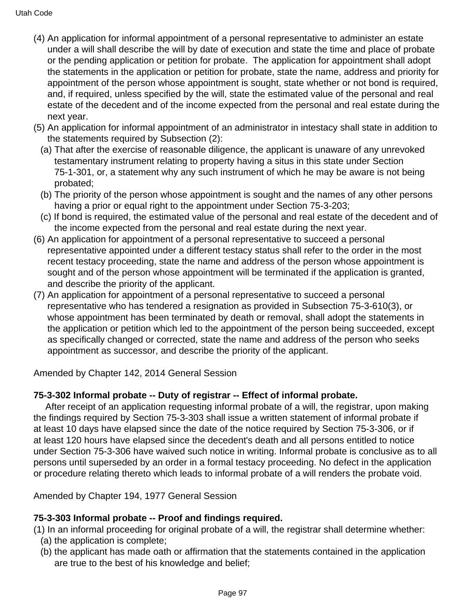- (4) An application for informal appointment of a personal representative to administer an estate under a will shall describe the will by date of execution and state the time and place of probate or the pending application or petition for probate. The application for appointment shall adopt the statements in the application or petition for probate, state the name, address and priority for appointment of the person whose appointment is sought, state whether or not bond is required, and, if required, unless specified by the will, state the estimated value of the personal and real estate of the decedent and of the income expected from the personal and real estate during the next year.
- (5) An application for informal appointment of an administrator in intestacy shall state in addition to the statements required by Subsection (2):
	- (a) That after the exercise of reasonable diligence, the applicant is unaware of any unrevoked testamentary instrument relating to property having a situs in this state under Section 75-1-301, or, a statement why any such instrument of which he may be aware is not being probated;
	- (b) The priority of the person whose appointment is sought and the names of any other persons having a prior or equal right to the appointment under Section 75-3-203;
	- (c) If bond is required, the estimated value of the personal and real estate of the decedent and of the income expected from the personal and real estate during the next year.
- (6) An application for appointment of a personal representative to succeed a personal representative appointed under a different testacy status shall refer to the order in the most recent testacy proceeding, state the name and address of the person whose appointment is sought and of the person whose appointment will be terminated if the application is granted, and describe the priority of the applicant.
- (7) An application for appointment of a personal representative to succeed a personal representative who has tendered a resignation as provided in Subsection 75-3-610(3), or whose appointment has been terminated by death or removal, shall adopt the statements in the application or petition which led to the appointment of the person being succeeded, except as specifically changed or corrected, state the name and address of the person who seeks appointment as successor, and describe the priority of the applicant.

# **75-3-302 Informal probate -- Duty of registrar -- Effect of informal probate.**

 After receipt of an application requesting informal probate of a will, the registrar, upon making the findings required by Section 75-3-303 shall issue a written statement of informal probate if at least 10 days have elapsed since the date of the notice required by Section 75-3-306, or if at least 120 hours have elapsed since the decedent's death and all persons entitled to notice under Section 75-3-306 have waived such notice in writing. Informal probate is conclusive as to all persons until superseded by an order in a formal testacy proceeding. No defect in the application or procedure relating thereto which leads to informal probate of a will renders the probate void.

Amended by Chapter 194, 1977 General Session

# **75-3-303 Informal probate -- Proof and findings required.**

(1) In an informal proceeding for original probate of a will, the registrar shall determine whether:

- (a) the application is complete;
- (b) the applicant has made oath or affirmation that the statements contained in the application are true to the best of his knowledge and belief;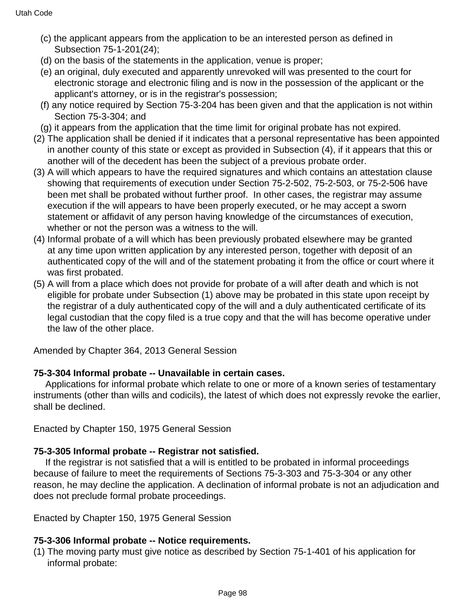- (c) the applicant appears from the application to be an interested person as defined in Subsection 75-1-201(24);
- (d) on the basis of the statements in the application, venue is proper;
- (e) an original, duly executed and apparently unrevoked will was presented to the court for electronic storage and electronic filing and is now in the possession of the applicant or the applicant's attorney, or is in the registrar's possession;
- (f) any notice required by Section 75-3-204 has been given and that the application is not within Section 75-3-304; and
- (g) it appears from the application that the time limit for original probate has not expired.
- (2) The application shall be denied if it indicates that a personal representative has been appointed in another county of this state or except as provided in Subsection (4), if it appears that this or another will of the decedent has been the subject of a previous probate order.
- (3) A will which appears to have the required signatures and which contains an attestation clause showing that requirements of execution under Section 75-2-502, 75-2-503, or 75-2-506 have been met shall be probated without further proof. In other cases, the registrar may assume execution if the will appears to have been properly executed, or he may accept a sworn statement or affidavit of any person having knowledge of the circumstances of execution, whether or not the person was a witness to the will.
- (4) Informal probate of a will which has been previously probated elsewhere may be granted at any time upon written application by any interested person, together with deposit of an authenticated copy of the will and of the statement probating it from the office or court where it was first probated.
- (5) A will from a place which does not provide for probate of a will after death and which is not eligible for probate under Subsection (1) above may be probated in this state upon receipt by the registrar of a duly authenticated copy of the will and a duly authenticated certificate of its legal custodian that the copy filed is a true copy and that the will has become operative under the law of the other place.

Amended by Chapter 364, 2013 General Session

## **75-3-304 Informal probate -- Unavailable in certain cases.**

 Applications for informal probate which relate to one or more of a known series of testamentary instruments (other than wills and codicils), the latest of which does not expressly revoke the earlier, shall be declined.

Enacted by Chapter 150, 1975 General Session

# **75-3-305 Informal probate -- Registrar not satisfied.**

 If the registrar is not satisfied that a will is entitled to be probated in informal proceedings because of failure to meet the requirements of Sections 75-3-303 and 75-3-304 or any other reason, he may decline the application. A declination of informal probate is not an adjudication and does not preclude formal probate proceedings.

Enacted by Chapter 150, 1975 General Session

## **75-3-306 Informal probate -- Notice requirements.**

(1) The moving party must give notice as described by Section 75-1-401 of his application for informal probate: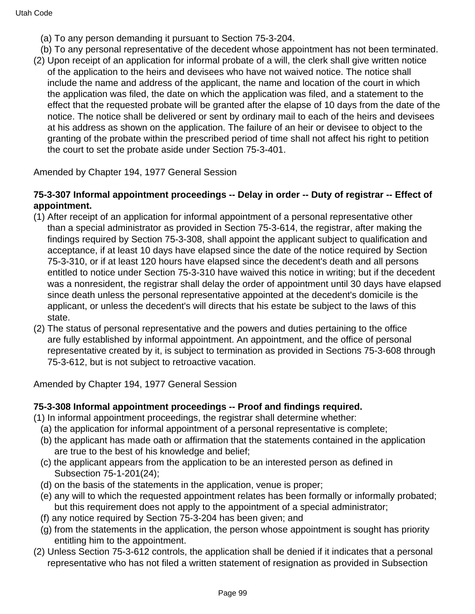- (a) To any person demanding it pursuant to Section 75-3-204.
- (b) To any personal representative of the decedent whose appointment has not been terminated.
- (2) Upon receipt of an application for informal probate of a will, the clerk shall give written notice of the application to the heirs and devisees who have not waived notice. The notice shall include the name and address of the applicant, the name and location of the court in which the application was filed, the date on which the application was filed, and a statement to the effect that the requested probate will be granted after the elapse of 10 days from the date of the notice. The notice shall be delivered or sent by ordinary mail to each of the heirs and devisees at his address as shown on the application. The failure of an heir or devisee to object to the granting of the probate within the prescribed period of time shall not affect his right to petition the court to set the probate aside under Section 75-3-401.

Amended by Chapter 194, 1977 General Session

## **75-3-307 Informal appointment proceedings -- Delay in order -- Duty of registrar -- Effect of appointment.**

- (1) After receipt of an application for informal appointment of a personal representative other than a special administrator as provided in Section 75-3-614, the registrar, after making the findings required by Section 75-3-308, shall appoint the applicant subject to qualification and acceptance, if at least 10 days have elapsed since the date of the notice required by Section 75-3-310, or if at least 120 hours have elapsed since the decedent's death and all persons entitled to notice under Section 75-3-310 have waived this notice in writing; but if the decedent was a nonresident, the registrar shall delay the order of appointment until 30 days have elapsed since death unless the personal representative appointed at the decedent's domicile is the applicant, or unless the decedent's will directs that his estate be subject to the laws of this state.
- (2) The status of personal representative and the powers and duties pertaining to the office are fully established by informal appointment. An appointment, and the office of personal representative created by it, is subject to termination as provided in Sections 75-3-608 through 75-3-612, but is not subject to retroactive vacation.

Amended by Chapter 194, 1977 General Session

### **75-3-308 Informal appointment proceedings -- Proof and findings required.**

- (1) In informal appointment proceedings, the registrar shall determine whether:
- (a) the application for informal appointment of a personal representative is complete;
- (b) the applicant has made oath or affirmation that the statements contained in the application are true to the best of his knowledge and belief;
- (c) the applicant appears from the application to be an interested person as defined in Subsection 75-1-201(24);
- (d) on the basis of the statements in the application, venue is proper;
- (e) any will to which the requested appointment relates has been formally or informally probated; but this requirement does not apply to the appointment of a special administrator;
- (f) any notice required by Section 75-3-204 has been given; and
- (g) from the statements in the application, the person whose appointment is sought has priority entitling him to the appointment.
- (2) Unless Section 75-3-612 controls, the application shall be denied if it indicates that a personal representative who has not filed a written statement of resignation as provided in Subsection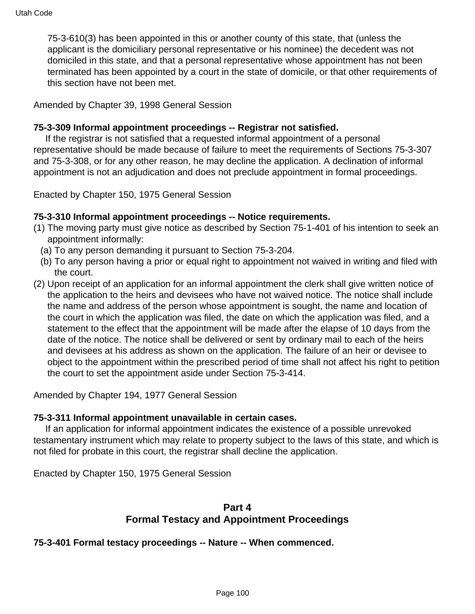75-3-610(3) has been appointed in this or another county of this state, that (unless the applicant is the domiciliary personal representative or his nominee) the decedent was not domiciled in this state, and that a personal representative whose appointment has not been terminated has been appointed by a court in the state of domicile, or that other requirements of this section have not been met.

Amended by Chapter 39, 1998 General Session

### **75-3-309 Informal appointment proceedings -- Registrar not satisfied.**

 If the registrar is not satisfied that a requested informal appointment of a personal representative should be made because of failure to meet the requirements of Sections 75-3-307 and 75-3-308, or for any other reason, he may decline the application. A declination of informal appointment is not an adjudication and does not preclude appointment in formal proceedings.

Enacted by Chapter 150, 1975 General Session

### **75-3-310 Informal appointment proceedings -- Notice requirements.**

- (1) The moving party must give notice as described by Section 75-1-401 of his intention to seek an appointment informally:
	- (a) To any person demanding it pursuant to Section 75-3-204.
	- (b) To any person having a prior or equal right to appointment not waived in writing and filed with the court.
- (2) Upon receipt of an application for an informal appointment the clerk shall give written notice of the application to the heirs and devisees who have not waived notice. The notice shall include the name and address of the person whose appointment is sought, the name and location of the court in which the application was filed, the date on which the application was filed, and a statement to the effect that the appointment will be made after the elapse of 10 days from the date of the notice. The notice shall be delivered or sent by ordinary mail to each of the heirs and devisees at his address as shown on the application. The failure of an heir or devisee to object to the appointment within the prescribed period of time shall not affect his right to petition the court to set the appointment aside under Section 75-3-414.

Amended by Chapter 194, 1977 General Session

#### **75-3-311 Informal appointment unavailable in certain cases.**

 If an application for informal appointment indicates the existence of a possible unrevoked testamentary instrument which may relate to property subject to the laws of this state, and which is not filed for probate in this court, the registrar shall decline the application.

Enacted by Chapter 150, 1975 General Session

## **Part 4 Formal Testacy and Appointment Proceedings**

#### **75-3-401 Formal testacy proceedings -- Nature -- When commenced.**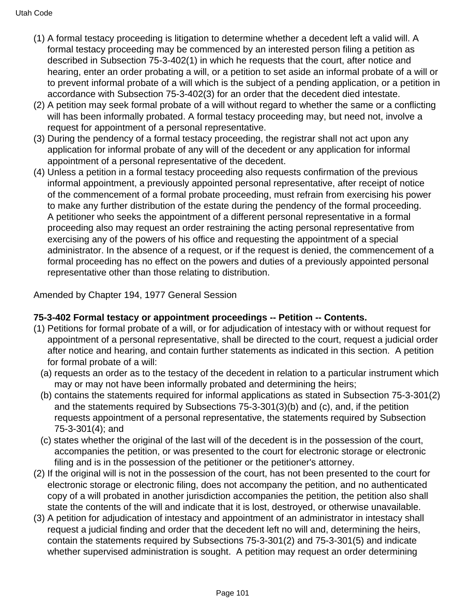- (1) A formal testacy proceeding is litigation to determine whether a decedent left a valid will. A formal testacy proceeding may be commenced by an interested person filing a petition as described in Subsection 75-3-402(1) in which he requests that the court, after notice and hearing, enter an order probating a will, or a petition to set aside an informal probate of a will or to prevent informal probate of a will which is the subject of a pending application, or a petition in accordance with Subsection 75-3-402(3) for an order that the decedent died intestate.
- (2) A petition may seek formal probate of a will without regard to whether the same or a conflicting will has been informally probated. A formal testacy proceeding may, but need not, involve a request for appointment of a personal representative.
- (3) During the pendency of a formal testacy proceeding, the registrar shall not act upon any application for informal probate of any will of the decedent or any application for informal appointment of a personal representative of the decedent.
- (4) Unless a petition in a formal testacy proceeding also requests confirmation of the previous informal appointment, a previously appointed personal representative, after receipt of notice of the commencement of a formal probate proceeding, must refrain from exercising his power to make any further distribution of the estate during the pendency of the formal proceeding. A petitioner who seeks the appointment of a different personal representative in a formal proceeding also may request an order restraining the acting personal representative from exercising any of the powers of his office and requesting the appointment of a special administrator. In the absence of a request, or if the request is denied, the commencement of a formal proceeding has no effect on the powers and duties of a previously appointed personal representative other than those relating to distribution.

Amended by Chapter 194, 1977 General Session

### **75-3-402 Formal testacy or appointment proceedings -- Petition -- Contents.**

- (1) Petitions for formal probate of a will, or for adjudication of intestacy with or without request for appointment of a personal representative, shall be directed to the court, request a judicial order after notice and hearing, and contain further statements as indicated in this section. A petition for formal probate of a will:
	- (a) requests an order as to the testacy of the decedent in relation to a particular instrument which may or may not have been informally probated and determining the heirs;
	- (b) contains the statements required for informal applications as stated in Subsection 75-3-301(2) and the statements required by Subsections 75-3-301(3)(b) and (c), and, if the petition requests appointment of a personal representative, the statements required by Subsection 75-3-301(4); and
	- (c) states whether the original of the last will of the decedent is in the possession of the court, accompanies the petition, or was presented to the court for electronic storage or electronic filing and is in the possession of the petitioner or the petitioner's attorney.
- (2) If the original will is not in the possession of the court, has not been presented to the court for electronic storage or electronic filing, does not accompany the petition, and no authenticated copy of a will probated in another jurisdiction accompanies the petition, the petition also shall state the contents of the will and indicate that it is lost, destroyed, or otherwise unavailable.
- (3) A petition for adjudication of intestacy and appointment of an administrator in intestacy shall request a judicial finding and order that the decedent left no will and, determining the heirs, contain the statements required by Subsections 75-3-301(2) and 75-3-301(5) and indicate whether supervised administration is sought. A petition may request an order determining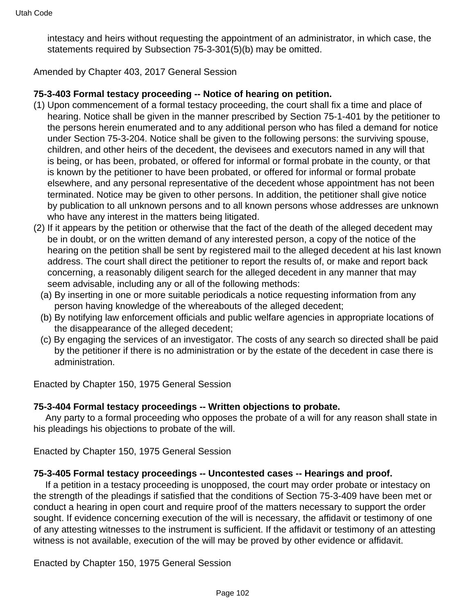intestacy and heirs without requesting the appointment of an administrator, in which case, the statements required by Subsection 75-3-301(5)(b) may be omitted.

Amended by Chapter 403, 2017 General Session

### **75-3-403 Formal testacy proceeding -- Notice of hearing on petition.**

- (1) Upon commencement of a formal testacy proceeding, the court shall fix a time and place of hearing. Notice shall be given in the manner prescribed by Section 75-1-401 by the petitioner to the persons herein enumerated and to any additional person who has filed a demand for notice under Section 75-3-204. Notice shall be given to the following persons: the surviving spouse, children, and other heirs of the decedent, the devisees and executors named in any will that is being, or has been, probated, or offered for informal or formal probate in the county, or that is known by the petitioner to have been probated, or offered for informal or formal probate elsewhere, and any personal representative of the decedent whose appointment has not been terminated. Notice may be given to other persons. In addition, the petitioner shall give notice by publication to all unknown persons and to all known persons whose addresses are unknown who have any interest in the matters being litigated.
- (2) If it appears by the petition or otherwise that the fact of the death of the alleged decedent may be in doubt, or on the written demand of any interested person, a copy of the notice of the hearing on the petition shall be sent by registered mail to the alleged decedent at his last known address. The court shall direct the petitioner to report the results of, or make and report back concerning, a reasonably diligent search for the alleged decedent in any manner that may seem advisable, including any or all of the following methods:
	- (a) By inserting in one or more suitable periodicals a notice requesting information from any person having knowledge of the whereabouts of the alleged decedent;
	- (b) By notifying law enforcement officials and public welfare agencies in appropriate locations of the disappearance of the alleged decedent;
	- (c) By engaging the services of an investigator. The costs of any search so directed shall be paid by the petitioner if there is no administration or by the estate of the decedent in case there is administration.

Enacted by Chapter 150, 1975 General Session

#### **75-3-404 Formal testacy proceedings -- Written objections to probate.**

 Any party to a formal proceeding who opposes the probate of a will for any reason shall state in his pleadings his objections to probate of the will.

Enacted by Chapter 150, 1975 General Session

#### **75-3-405 Formal testacy proceedings -- Uncontested cases -- Hearings and proof.**

 If a petition in a testacy proceeding is unopposed, the court may order probate or intestacy on the strength of the pleadings if satisfied that the conditions of Section 75-3-409 have been met or conduct a hearing in open court and require proof of the matters necessary to support the order sought. If evidence concerning execution of the will is necessary, the affidavit or testimony of one of any attesting witnesses to the instrument is sufficient. If the affidavit or testimony of an attesting witness is not available, execution of the will may be proved by other evidence or affidavit.

Enacted by Chapter 150, 1975 General Session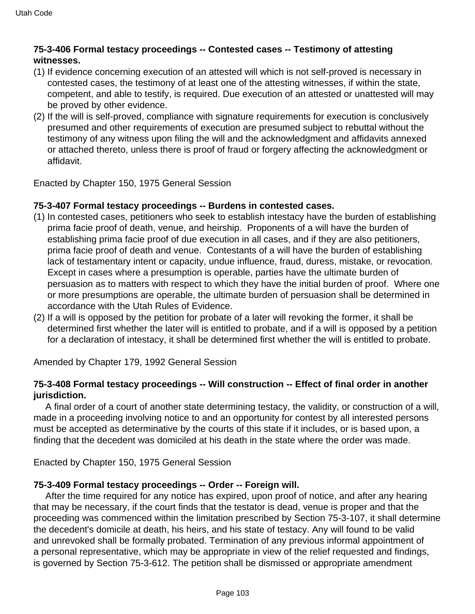## **75-3-406 Formal testacy proceedings -- Contested cases -- Testimony of attesting witnesses.**

- (1) If evidence concerning execution of an attested will which is not self-proved is necessary in contested cases, the testimony of at least one of the attesting witnesses, if within the state, competent, and able to testify, is required. Due execution of an attested or unattested will may be proved by other evidence.
- (2) If the will is self-proved, compliance with signature requirements for execution is conclusively presumed and other requirements of execution are presumed subject to rebuttal without the testimony of any witness upon filing the will and the acknowledgment and affidavits annexed or attached thereto, unless there is proof of fraud or forgery affecting the acknowledgment or affidavit.

Enacted by Chapter 150, 1975 General Session

### **75-3-407 Formal testacy proceedings -- Burdens in contested cases.**

- (1) In contested cases, petitioners who seek to establish intestacy have the burden of establishing prima facie proof of death, venue, and heirship. Proponents of a will have the burden of establishing prima facie proof of due execution in all cases, and if they are also petitioners, prima facie proof of death and venue. Contestants of a will have the burden of establishing lack of testamentary intent or capacity, undue influence, fraud, duress, mistake, or revocation. Except in cases where a presumption is operable, parties have the ultimate burden of persuasion as to matters with respect to which they have the initial burden of proof. Where one or more presumptions are operable, the ultimate burden of persuasion shall be determined in accordance with the Utah Rules of Evidence.
- (2) If a will is opposed by the petition for probate of a later will revoking the former, it shall be determined first whether the later will is entitled to probate, and if a will is opposed by a petition for a declaration of intestacy, it shall be determined first whether the will is entitled to probate.

Amended by Chapter 179, 1992 General Session

## **75-3-408 Formal testacy proceedings -- Will construction -- Effect of final order in another jurisdiction.**

 A final order of a court of another state determining testacy, the validity, or construction of a will, made in a proceeding involving notice to and an opportunity for contest by all interested persons must be accepted as determinative by the courts of this state if it includes, or is based upon, a finding that the decedent was domiciled at his death in the state where the order was made.

Enacted by Chapter 150, 1975 General Session

### **75-3-409 Formal testacy proceedings -- Order -- Foreign will.**

 After the time required for any notice has expired, upon proof of notice, and after any hearing that may be necessary, if the court finds that the testator is dead, venue is proper and that the proceeding was commenced within the limitation prescribed by Section 75-3-107, it shall determine the decedent's domicile at death, his heirs, and his state of testacy. Any will found to be valid and unrevoked shall be formally probated. Termination of any previous informal appointment of a personal representative, which may be appropriate in view of the relief requested and findings, is governed by Section 75-3-612. The petition shall be dismissed or appropriate amendment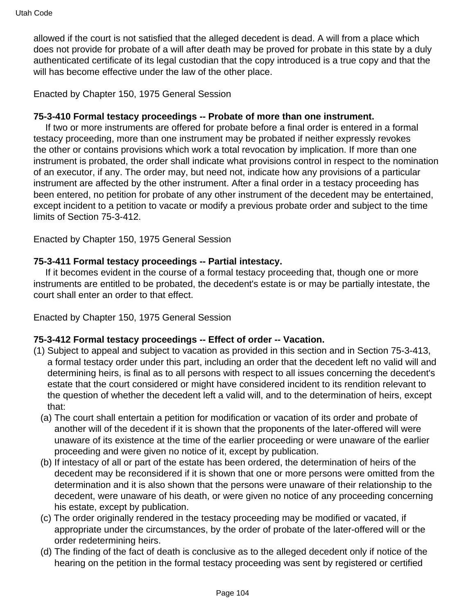allowed if the court is not satisfied that the alleged decedent is dead. A will from a place which does not provide for probate of a will after death may be proved for probate in this state by a duly authenticated certificate of its legal custodian that the copy introduced is a true copy and that the will has become effective under the law of the other place.

Enacted by Chapter 150, 1975 General Session

### **75-3-410 Formal testacy proceedings -- Probate of more than one instrument.**

 If two or more instruments are offered for probate before a final order is entered in a formal testacy proceeding, more than one instrument may be probated if neither expressly revokes the other or contains provisions which work a total revocation by implication. If more than one instrument is probated, the order shall indicate what provisions control in respect to the nomination of an executor, if any. The order may, but need not, indicate how any provisions of a particular instrument are affected by the other instrument. After a final order in a testacy proceeding has been entered, no petition for probate of any other instrument of the decedent may be entertained, except incident to a petition to vacate or modify a previous probate order and subject to the time limits of Section 75-3-412.

Enacted by Chapter 150, 1975 General Session

### **75-3-411 Formal testacy proceedings -- Partial intestacy.**

 If it becomes evident in the course of a formal testacy proceeding that, though one or more instruments are entitled to be probated, the decedent's estate is or may be partially intestate, the court shall enter an order to that effect.

Enacted by Chapter 150, 1975 General Session

### **75-3-412 Formal testacy proceedings -- Effect of order -- Vacation.**

- (1) Subject to appeal and subject to vacation as provided in this section and in Section 75-3-413, a formal testacy order under this part, including an order that the decedent left no valid will and determining heirs, is final as to all persons with respect to all issues concerning the decedent's estate that the court considered or might have considered incident to its rendition relevant to the question of whether the decedent left a valid will, and to the determination of heirs, except that:
	- (a) The court shall entertain a petition for modification or vacation of its order and probate of another will of the decedent if it is shown that the proponents of the later-offered will were unaware of its existence at the time of the earlier proceeding or were unaware of the earlier proceeding and were given no notice of it, except by publication.
	- (b) If intestacy of all or part of the estate has been ordered, the determination of heirs of the decedent may be reconsidered if it is shown that one or more persons were omitted from the determination and it is also shown that the persons were unaware of their relationship to the decedent, were unaware of his death, or were given no notice of any proceeding concerning his estate, except by publication.
	- (c) The order originally rendered in the testacy proceeding may be modified or vacated, if appropriate under the circumstances, by the order of probate of the later-offered will or the order redetermining heirs.
	- (d) The finding of the fact of death is conclusive as to the alleged decedent only if notice of the hearing on the petition in the formal testacy proceeding was sent by registered or certified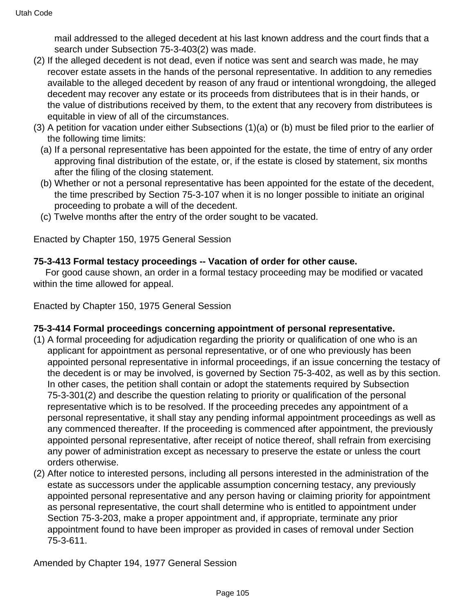mail addressed to the alleged decedent at his last known address and the court finds that a search under Subsection 75-3-403(2) was made.

- (2) If the alleged decedent is not dead, even if notice was sent and search was made, he may recover estate assets in the hands of the personal representative. In addition to any remedies available to the alleged decedent by reason of any fraud or intentional wrongdoing, the alleged decedent may recover any estate or its proceeds from distributees that is in their hands, or the value of distributions received by them, to the extent that any recovery from distributees is equitable in view of all of the circumstances.
- (3) A petition for vacation under either Subsections (1)(a) or (b) must be filed prior to the earlier of the following time limits:
	- (a) If a personal representative has been appointed for the estate, the time of entry of any order approving final distribution of the estate, or, if the estate is closed by statement, six months after the filing of the closing statement.
	- (b) Whether or not a personal representative has been appointed for the estate of the decedent, the time prescribed by Section 75-3-107 when it is no longer possible to initiate an original proceeding to probate a will of the decedent.
	- (c) Twelve months after the entry of the order sought to be vacated.

Enacted by Chapter 150, 1975 General Session

## **75-3-413 Formal testacy proceedings -- Vacation of order for other cause.**

 For good cause shown, an order in a formal testacy proceeding may be modified or vacated within the time allowed for appeal.

Enacted by Chapter 150, 1975 General Session

### **75-3-414 Formal proceedings concerning appointment of personal representative.**

- (1) A formal proceeding for adjudication regarding the priority or qualification of one who is an applicant for appointment as personal representative, or of one who previously has been appointed personal representative in informal proceedings, if an issue concerning the testacy of the decedent is or may be involved, is governed by Section 75-3-402, as well as by this section. In other cases, the petition shall contain or adopt the statements required by Subsection 75-3-301(2) and describe the question relating to priority or qualification of the personal representative which is to be resolved. If the proceeding precedes any appointment of a personal representative, it shall stay any pending informal appointment proceedings as well as any commenced thereafter. If the proceeding is commenced after appointment, the previously appointed personal representative, after receipt of notice thereof, shall refrain from exercising any power of administration except as necessary to preserve the estate or unless the court orders otherwise.
- (2) After notice to interested persons, including all persons interested in the administration of the estate as successors under the applicable assumption concerning testacy, any previously appointed personal representative and any person having or claiming priority for appointment as personal representative, the court shall determine who is entitled to appointment under Section 75-3-203, make a proper appointment and, if appropriate, terminate any prior appointment found to have been improper as provided in cases of removal under Section 75-3-611.

Amended by Chapter 194, 1977 General Session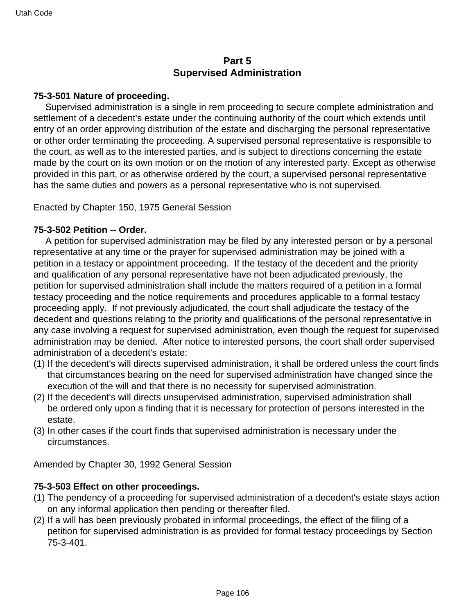# **Part 5 Supervised Administration**

## **75-3-501 Nature of proceeding.**

 Supervised administration is a single in rem proceeding to secure complete administration and settlement of a decedent's estate under the continuing authority of the court which extends until entry of an order approving distribution of the estate and discharging the personal representative or other order terminating the proceeding. A supervised personal representative is responsible to the court, as well as to the interested parties, and is subject to directions concerning the estate made by the court on its own motion or on the motion of any interested party. Except as otherwise provided in this part, or as otherwise ordered by the court, a supervised personal representative has the same duties and powers as a personal representative who is not supervised.

Enacted by Chapter 150, 1975 General Session

### **75-3-502 Petition -- Order.**

 A petition for supervised administration may be filed by any interested person or by a personal representative at any time or the prayer for supervised administration may be joined with a petition in a testacy or appointment proceeding. If the testacy of the decedent and the priority and qualification of any personal representative have not been adjudicated previously, the petition for supervised administration shall include the matters required of a petition in a formal testacy proceeding and the notice requirements and procedures applicable to a formal testacy proceeding apply. If not previously adjudicated, the court shall adjudicate the testacy of the decedent and questions relating to the priority and qualifications of the personal representative in any case involving a request for supervised administration, even though the request for supervised administration may be denied. After notice to interested persons, the court shall order supervised administration of a decedent's estate:

- (1) If the decedent's will directs supervised administration, it shall be ordered unless the court finds that circumstances bearing on the need for supervised administration have changed since the execution of the will and that there is no necessity for supervised administration.
- (2) If the decedent's will directs unsupervised administration, supervised administration shall be ordered only upon a finding that it is necessary for protection of persons interested in the estate.
- (3) In other cases if the court finds that supervised administration is necessary under the circumstances.

Amended by Chapter 30, 1992 General Session

### **75-3-503 Effect on other proceedings.**

- (1) The pendency of a proceeding for supervised administration of a decedent's estate stays action on any informal application then pending or thereafter filed.
- (2) If a will has been previously probated in informal proceedings, the effect of the filing of a petition for supervised administration is as provided for formal testacy proceedings by Section 75-3-401.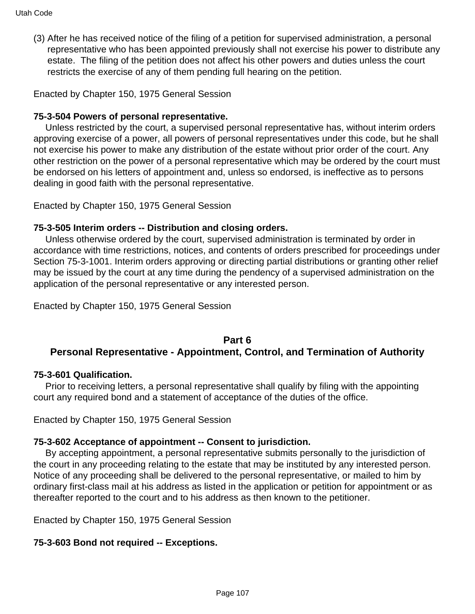(3) After he has received notice of the filing of a petition for supervised administration, a personal representative who has been appointed previously shall not exercise his power to distribute any estate. The filing of the petition does not affect his other powers and duties unless the court restricts the exercise of any of them pending full hearing on the petition.

Enacted by Chapter 150, 1975 General Session

### **75-3-504 Powers of personal representative.**

 Unless restricted by the court, a supervised personal representative has, without interim orders approving exercise of a power, all powers of personal representatives under this code, but he shall not exercise his power to make any distribution of the estate without prior order of the court. Any other restriction on the power of a personal representative which may be ordered by the court must be endorsed on his letters of appointment and, unless so endorsed, is ineffective as to persons dealing in good faith with the personal representative.

Enacted by Chapter 150, 1975 General Session

### **75-3-505 Interim orders -- Distribution and closing orders.**

 Unless otherwise ordered by the court, supervised administration is terminated by order in accordance with time restrictions, notices, and contents of orders prescribed for proceedings under Section 75-3-1001. Interim orders approving or directing partial distributions or granting other relief may be issued by the court at any time during the pendency of a supervised administration on the application of the personal representative or any interested person.

Enacted by Chapter 150, 1975 General Session

## **Part 6 Personal Representative - Appointment, Control, and Termination of Authority**

#### **75-3-601 Qualification.**

 Prior to receiving letters, a personal representative shall qualify by filing with the appointing court any required bond and a statement of acceptance of the duties of the office.

Enacted by Chapter 150, 1975 General Session

# **75-3-602 Acceptance of appointment -- Consent to jurisdiction.**

 By accepting appointment, a personal representative submits personally to the jurisdiction of the court in any proceeding relating to the estate that may be instituted by any interested person. Notice of any proceeding shall be delivered to the personal representative, or mailed to him by ordinary first-class mail at his address as listed in the application or petition for appointment or as thereafter reported to the court and to his address as then known to the petitioner.

Enacted by Chapter 150, 1975 General Session

## **75-3-603 Bond not required -- Exceptions.**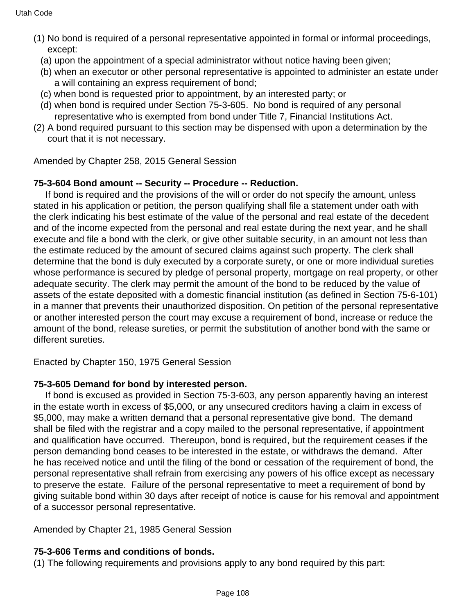- (1) No bond is required of a personal representative appointed in formal or informal proceedings, except:
	- (a) upon the appointment of a special administrator without notice having been given;
	- (b) when an executor or other personal representative is appointed to administer an estate under a will containing an express requirement of bond;
	- (c) when bond is requested prior to appointment, by an interested party; or
	- (d) when bond is required under Section 75-3-605. No bond is required of any personal representative who is exempted from bond under Title 7, Financial Institutions Act.
- (2) A bond required pursuant to this section may be dispensed with upon a determination by the court that it is not necessary.

Amended by Chapter 258, 2015 General Session

## **75-3-604 Bond amount -- Security -- Procedure -- Reduction.**

 If bond is required and the provisions of the will or order do not specify the amount, unless stated in his application or petition, the person qualifying shall file a statement under oath with the clerk indicating his best estimate of the value of the personal and real estate of the decedent and of the income expected from the personal and real estate during the next year, and he shall execute and file a bond with the clerk, or give other suitable security, in an amount not less than the estimate reduced by the amount of secured claims against such property. The clerk shall determine that the bond is duly executed by a corporate surety, or one or more individual sureties whose performance is secured by pledge of personal property, mortgage on real property, or other adequate security. The clerk may permit the amount of the bond to be reduced by the value of assets of the estate deposited with a domestic financial institution (as defined in Section 75-6-101) in a manner that prevents their unauthorized disposition. On petition of the personal representative or another interested person the court may excuse a requirement of bond, increase or reduce the amount of the bond, release sureties, or permit the substitution of another bond with the same or different sureties.

Enacted by Chapter 150, 1975 General Session

## **75-3-605 Demand for bond by interested person.**

 If bond is excused as provided in Section 75-3-603, any person apparently having an interest in the estate worth in excess of \$5,000, or any unsecured creditors having a claim in excess of \$5,000, may make a written demand that a personal representative give bond. The demand shall be filed with the registrar and a copy mailed to the personal representative, if appointment and qualification have occurred. Thereupon, bond is required, but the requirement ceases if the person demanding bond ceases to be interested in the estate, or withdraws the demand. After he has received notice and until the filing of the bond or cessation of the requirement of bond, the personal representative shall refrain from exercising any powers of his office except as necessary to preserve the estate. Failure of the personal representative to meet a requirement of bond by giving suitable bond within 30 days after receipt of notice is cause for his removal and appointment of a successor personal representative.

Amended by Chapter 21, 1985 General Session

### **75-3-606 Terms and conditions of bonds.**

(1) The following requirements and provisions apply to any bond required by this part: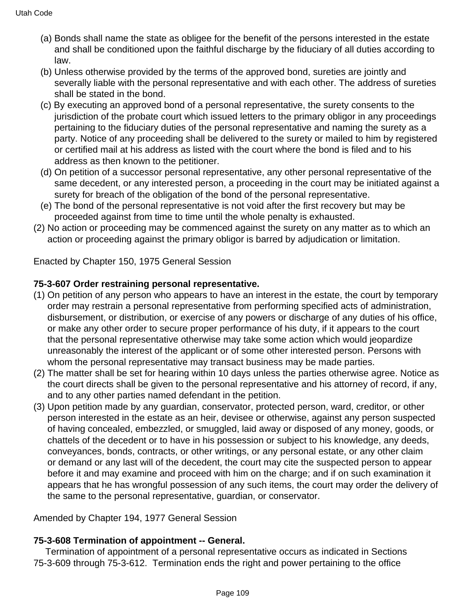- (a) Bonds shall name the state as obligee for the benefit of the persons interested in the estate and shall be conditioned upon the faithful discharge by the fiduciary of all duties according to law.
- (b) Unless otherwise provided by the terms of the approved bond, sureties are jointly and severally liable with the personal representative and with each other. The address of sureties shall be stated in the bond.
- (c) By executing an approved bond of a personal representative, the surety consents to the jurisdiction of the probate court which issued letters to the primary obligor in any proceedings pertaining to the fiduciary duties of the personal representative and naming the surety as a party. Notice of any proceeding shall be delivered to the surety or mailed to him by registered or certified mail at his address as listed with the court where the bond is filed and to his address as then known to the petitioner.
- (d) On petition of a successor personal representative, any other personal representative of the same decedent, or any interested person, a proceeding in the court may be initiated against a surety for breach of the obligation of the bond of the personal representative.
- (e) The bond of the personal representative is not void after the first recovery but may be proceeded against from time to time until the whole penalty is exhausted.
- (2) No action or proceeding may be commenced against the surety on any matter as to which an action or proceeding against the primary obligor is barred by adjudication or limitation.

Enacted by Chapter 150, 1975 General Session

### **75-3-607 Order restraining personal representative.**

- (1) On petition of any person who appears to have an interest in the estate, the court by temporary order may restrain a personal representative from performing specified acts of administration, disbursement, or distribution, or exercise of any powers or discharge of any duties of his office, or make any other order to secure proper performance of his duty, if it appears to the court that the personal representative otherwise may take some action which would jeopardize unreasonably the interest of the applicant or of some other interested person. Persons with whom the personal representative may transact business may be made parties.
- (2) The matter shall be set for hearing within 10 days unless the parties otherwise agree. Notice as the court directs shall be given to the personal representative and his attorney of record, if any, and to any other parties named defendant in the petition.
- (3) Upon petition made by any guardian, conservator, protected person, ward, creditor, or other person interested in the estate as an heir, devisee or otherwise, against any person suspected of having concealed, embezzled, or smuggled, laid away or disposed of any money, goods, or chattels of the decedent or to have in his possession or subject to his knowledge, any deeds, conveyances, bonds, contracts, or other writings, or any personal estate, or any other claim or demand or any last will of the decedent, the court may cite the suspected person to appear before it and may examine and proceed with him on the charge; and if on such examination it appears that he has wrongful possession of any such items, the court may order the delivery of the same to the personal representative, guardian, or conservator.

Amended by Chapter 194, 1977 General Session

#### **75-3-608 Termination of appointment -- General.**

 Termination of appointment of a personal representative occurs as indicated in Sections 75-3-609 through 75-3-612. Termination ends the right and power pertaining to the office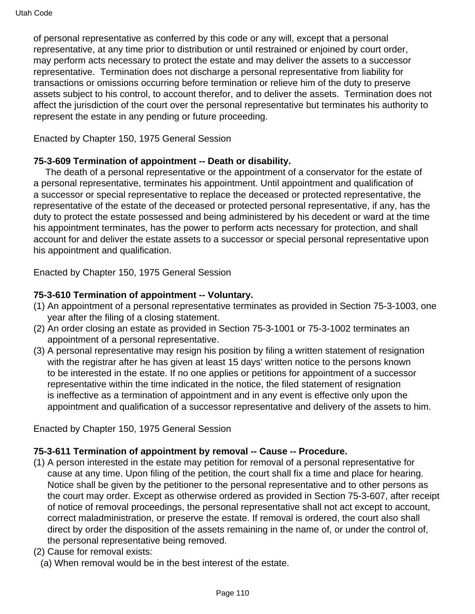of personal representative as conferred by this code or any will, except that a personal representative, at any time prior to distribution or until restrained or enjoined by court order, may perform acts necessary to protect the estate and may deliver the assets to a successor representative. Termination does not discharge a personal representative from liability for transactions or omissions occurring before termination or relieve him of the duty to preserve assets subject to his control, to account therefor, and to deliver the assets. Termination does not affect the jurisdiction of the court over the personal representative but terminates his authority to represent the estate in any pending or future proceeding.

Enacted by Chapter 150, 1975 General Session

#### **75-3-609 Termination of appointment -- Death or disability.**

 The death of a personal representative or the appointment of a conservator for the estate of a personal representative, terminates his appointment. Until appointment and qualification of a successor or special representative to replace the deceased or protected representative, the representative of the estate of the deceased or protected personal representative, if any, has the duty to protect the estate possessed and being administered by his decedent or ward at the time his appointment terminates, has the power to perform acts necessary for protection, and shall account for and deliver the estate assets to a successor or special personal representative upon his appointment and qualification.

Enacted by Chapter 150, 1975 General Session

### **75-3-610 Termination of appointment -- Voluntary.**

- (1) An appointment of a personal representative terminates as provided in Section 75-3-1003, one year after the filing of a closing statement.
- (2) An order closing an estate as provided in Section 75-3-1001 or 75-3-1002 terminates an appointment of a personal representative.
- (3) A personal representative may resign his position by filing a written statement of resignation with the registrar after he has given at least 15 days' written notice to the persons known to be interested in the estate. If no one applies or petitions for appointment of a successor representative within the time indicated in the notice, the filed statement of resignation is ineffective as a termination of appointment and in any event is effective only upon the appointment and qualification of a successor representative and delivery of the assets to him.

Enacted by Chapter 150, 1975 General Session

# **75-3-611 Termination of appointment by removal -- Cause -- Procedure.**

- (1) A person interested in the estate may petition for removal of a personal representative for cause at any time. Upon filing of the petition, the court shall fix a time and place for hearing. Notice shall be given by the petitioner to the personal representative and to other persons as the court may order. Except as otherwise ordered as provided in Section 75-3-607, after receipt of notice of removal proceedings, the personal representative shall not act except to account, correct maladministration, or preserve the estate. If removal is ordered, the court also shall direct by order the disposition of the assets remaining in the name of, or under the control of, the personal representative being removed.
- (2) Cause for removal exists:
	- (a) When removal would be in the best interest of the estate.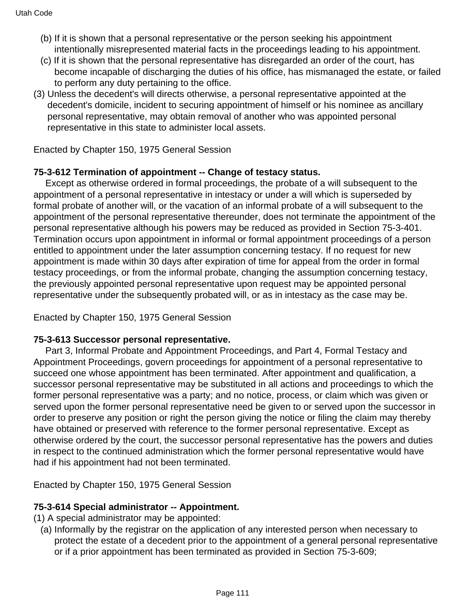- (b) If it is shown that a personal representative or the person seeking his appointment intentionally misrepresented material facts in the proceedings leading to his appointment.
- (c) If it is shown that the personal representative has disregarded an order of the court, has become incapable of discharging the duties of his office, has mismanaged the estate, or failed to perform any duty pertaining to the office.
- (3) Unless the decedent's will directs otherwise, a personal representative appointed at the decedent's domicile, incident to securing appointment of himself or his nominee as ancillary personal representative, may obtain removal of another who was appointed personal representative in this state to administer local assets.

Enacted by Chapter 150, 1975 General Session

#### **75-3-612 Termination of appointment -- Change of testacy status.**

 Except as otherwise ordered in formal proceedings, the probate of a will subsequent to the appointment of a personal representative in intestacy or under a will which is superseded by formal probate of another will, or the vacation of an informal probate of a will subsequent to the appointment of the personal representative thereunder, does not terminate the appointment of the personal representative although his powers may be reduced as provided in Section 75-3-401. Termination occurs upon appointment in informal or formal appointment proceedings of a person entitled to appointment under the later assumption concerning testacy. If no request for new appointment is made within 30 days after expiration of time for appeal from the order in formal testacy proceedings, or from the informal probate, changing the assumption concerning testacy, the previously appointed personal representative upon request may be appointed personal representative under the subsequently probated will, or as in intestacy as the case may be.

Enacted by Chapter 150, 1975 General Session

#### **75-3-613 Successor personal representative.**

 Part 3, Informal Probate and Appointment Proceedings, and Part 4, Formal Testacy and Appointment Proceedings, govern proceedings for appointment of a personal representative to succeed one whose appointment has been terminated. After appointment and qualification, a successor personal representative may be substituted in all actions and proceedings to which the former personal representative was a party; and no notice, process, or claim which was given or served upon the former personal representative need be given to or served upon the successor in order to preserve any position or right the person giving the notice or filing the claim may thereby have obtained or preserved with reference to the former personal representative. Except as otherwise ordered by the court, the successor personal representative has the powers and duties in respect to the continued administration which the former personal representative would have had if his appointment had not been terminated.

Enacted by Chapter 150, 1975 General Session

#### **75-3-614 Special administrator -- Appointment.**

- (1) A special administrator may be appointed:
- (a) Informally by the registrar on the application of any interested person when necessary to protect the estate of a decedent prior to the appointment of a general personal representative or if a prior appointment has been terminated as provided in Section 75-3-609;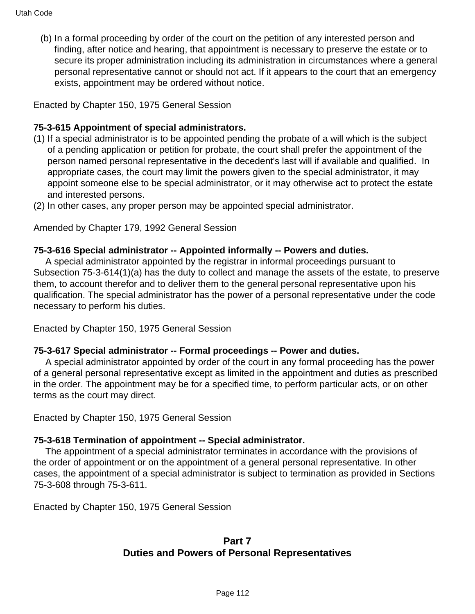(b) In a formal proceeding by order of the court on the petition of any interested person and finding, after notice and hearing, that appointment is necessary to preserve the estate or to secure its proper administration including its administration in circumstances where a general personal representative cannot or should not act. If it appears to the court that an emergency exists, appointment may be ordered without notice.

Enacted by Chapter 150, 1975 General Session

### **75-3-615 Appointment of special administrators.**

- (1) If a special administrator is to be appointed pending the probate of a will which is the subject of a pending application or petition for probate, the court shall prefer the appointment of the person named personal representative in the decedent's last will if available and qualified. In appropriate cases, the court may limit the powers given to the special administrator, it may appoint someone else to be special administrator, or it may otherwise act to protect the estate and interested persons.
- (2) In other cases, any proper person may be appointed special administrator.

Amended by Chapter 179, 1992 General Session

#### **75-3-616 Special administrator -- Appointed informally -- Powers and duties.**

 A special administrator appointed by the registrar in informal proceedings pursuant to Subsection 75-3-614(1)(a) has the duty to collect and manage the assets of the estate, to preserve them, to account therefor and to deliver them to the general personal representative upon his qualification. The special administrator has the power of a personal representative under the code necessary to perform his duties.

Enacted by Chapter 150, 1975 General Session

#### **75-3-617 Special administrator -- Formal proceedings -- Power and duties.**

 A special administrator appointed by order of the court in any formal proceeding has the power of a general personal representative except as limited in the appointment and duties as prescribed in the order. The appointment may be for a specified time, to perform particular acts, or on other terms as the court may direct.

Enacted by Chapter 150, 1975 General Session

#### **75-3-618 Termination of appointment -- Special administrator.**

 The appointment of a special administrator terminates in accordance with the provisions of the order of appointment or on the appointment of a general personal representative. In other cases, the appointment of a special administrator is subject to termination as provided in Sections 75-3-608 through 75-3-611.

Enacted by Chapter 150, 1975 General Session

# **Part 7 Duties and Powers of Personal Representatives**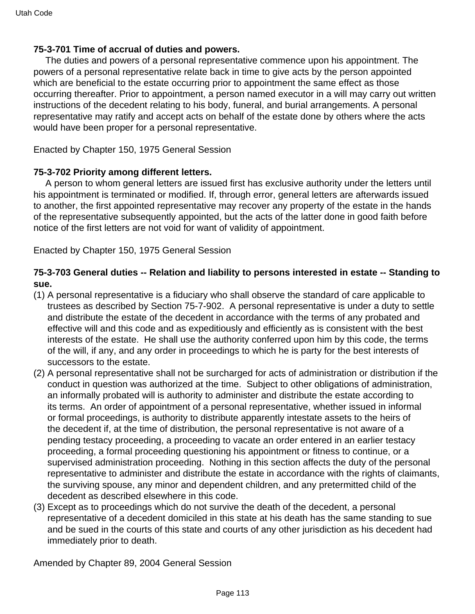### **75-3-701 Time of accrual of duties and powers.**

 The duties and powers of a personal representative commence upon his appointment. The powers of a personal representative relate back in time to give acts by the person appointed which are beneficial to the estate occurring prior to appointment the same effect as those occurring thereafter. Prior to appointment, a person named executor in a will may carry out written instructions of the decedent relating to his body, funeral, and burial arrangements. A personal representative may ratify and accept acts on behalf of the estate done by others where the acts would have been proper for a personal representative.

Enacted by Chapter 150, 1975 General Session

#### **75-3-702 Priority among different letters.**

 A person to whom general letters are issued first has exclusive authority under the letters until his appointment is terminated or modified. If, through error, general letters are afterwards issued to another, the first appointed representative may recover any property of the estate in the hands of the representative subsequently appointed, but the acts of the latter done in good faith before notice of the first letters are not void for want of validity of appointment.

Enacted by Chapter 150, 1975 General Session

# **75-3-703 General duties -- Relation and liability to persons interested in estate -- Standing to sue.**

- (1) A personal representative is a fiduciary who shall observe the standard of care applicable to trustees as described by Section 75-7-902. A personal representative is under a duty to settle and distribute the estate of the decedent in accordance with the terms of any probated and effective will and this code and as expeditiously and efficiently as is consistent with the best interests of the estate. He shall use the authority conferred upon him by this code, the terms of the will, if any, and any order in proceedings to which he is party for the best interests of successors to the estate.
- (2) A personal representative shall not be surcharged for acts of administration or distribution if the conduct in question was authorized at the time. Subject to other obligations of administration, an informally probated will is authority to administer and distribute the estate according to its terms. An order of appointment of a personal representative, whether issued in informal or formal proceedings, is authority to distribute apparently intestate assets to the heirs of the decedent if, at the time of distribution, the personal representative is not aware of a pending testacy proceeding, a proceeding to vacate an order entered in an earlier testacy proceeding, a formal proceeding questioning his appointment or fitness to continue, or a supervised administration proceeding. Nothing in this section affects the duty of the personal representative to administer and distribute the estate in accordance with the rights of claimants, the surviving spouse, any minor and dependent children, and any pretermitted child of the decedent as described elsewhere in this code.
- (3) Except as to proceedings which do not survive the death of the decedent, a personal representative of a decedent domiciled in this state at his death has the same standing to sue and be sued in the courts of this state and courts of any other jurisdiction as his decedent had immediately prior to death.

Amended by Chapter 89, 2004 General Session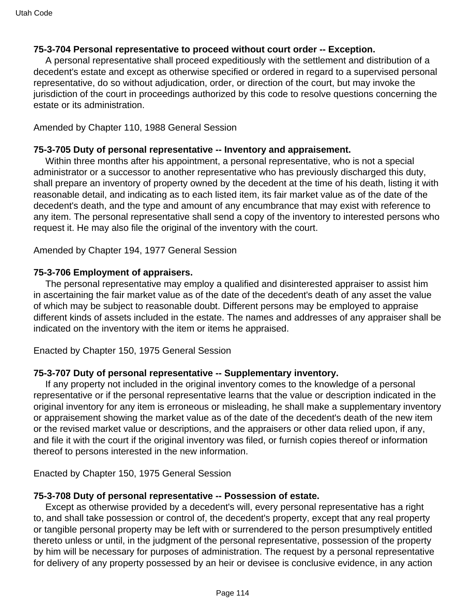### **75-3-704 Personal representative to proceed without court order -- Exception.**

 A personal representative shall proceed expeditiously with the settlement and distribution of a decedent's estate and except as otherwise specified or ordered in regard to a supervised personal representative, do so without adjudication, order, or direction of the court, but may invoke the jurisdiction of the court in proceedings authorized by this code to resolve questions concerning the estate or its administration.

Amended by Chapter 110, 1988 General Session

#### **75-3-705 Duty of personal representative -- Inventory and appraisement.**

 Within three months after his appointment, a personal representative, who is not a special administrator or a successor to another representative who has previously discharged this duty, shall prepare an inventory of property owned by the decedent at the time of his death, listing it with reasonable detail, and indicating as to each listed item, its fair market value as of the date of the decedent's death, and the type and amount of any encumbrance that may exist with reference to any item. The personal representative shall send a copy of the inventory to interested persons who request it. He may also file the original of the inventory with the court.

Amended by Chapter 194, 1977 General Session

#### **75-3-706 Employment of appraisers.**

 The personal representative may employ a qualified and disinterested appraiser to assist him in ascertaining the fair market value as of the date of the decedent's death of any asset the value of which may be subject to reasonable doubt. Different persons may be employed to appraise different kinds of assets included in the estate. The names and addresses of any appraiser shall be indicated on the inventory with the item or items he appraised.

Enacted by Chapter 150, 1975 General Session

#### **75-3-707 Duty of personal representative -- Supplementary inventory.**

 If any property not included in the original inventory comes to the knowledge of a personal representative or if the personal representative learns that the value or description indicated in the original inventory for any item is erroneous or misleading, he shall make a supplementary inventory or appraisement showing the market value as of the date of the decedent's death of the new item or the revised market value or descriptions, and the appraisers or other data relied upon, if any, and file it with the court if the original inventory was filed, or furnish copies thereof or information thereof to persons interested in the new information.

Enacted by Chapter 150, 1975 General Session

#### **75-3-708 Duty of personal representative -- Possession of estate.**

 Except as otherwise provided by a decedent's will, every personal representative has a right to, and shall take possession or control of, the decedent's property, except that any real property or tangible personal property may be left with or surrendered to the person presumptively entitled thereto unless or until, in the judgment of the personal representative, possession of the property by him will be necessary for purposes of administration. The request by a personal representative for delivery of any property possessed by an heir or devisee is conclusive evidence, in any action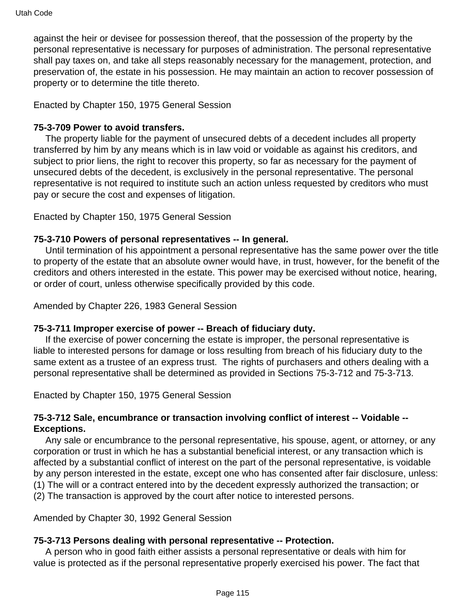against the heir or devisee for possession thereof, that the possession of the property by the personal representative is necessary for purposes of administration. The personal representative shall pay taxes on, and take all steps reasonably necessary for the management, protection, and preservation of, the estate in his possession. He may maintain an action to recover possession of property or to determine the title thereto.

Enacted by Chapter 150, 1975 General Session

#### **75-3-709 Power to avoid transfers.**

 The property liable for the payment of unsecured debts of a decedent includes all property transferred by him by any means which is in law void or voidable as against his creditors, and subject to prior liens, the right to recover this property, so far as necessary for the payment of unsecured debts of the decedent, is exclusively in the personal representative. The personal representative is not required to institute such an action unless requested by creditors who must pay or secure the cost and expenses of litigation.

Enacted by Chapter 150, 1975 General Session

#### **75-3-710 Powers of personal representatives -- In general.**

 Until termination of his appointment a personal representative has the same power over the title to property of the estate that an absolute owner would have, in trust, however, for the benefit of the creditors and others interested in the estate. This power may be exercised without notice, hearing, or order of court, unless otherwise specifically provided by this code.

Amended by Chapter 226, 1983 General Session

#### **75-3-711 Improper exercise of power -- Breach of fiduciary duty.**

 If the exercise of power concerning the estate is improper, the personal representative is liable to interested persons for damage or loss resulting from breach of his fiduciary duty to the same extent as a trustee of an express trust. The rights of purchasers and others dealing with a personal representative shall be determined as provided in Sections 75-3-712 and 75-3-713.

Enacted by Chapter 150, 1975 General Session

#### **75-3-712 Sale, encumbrance or transaction involving conflict of interest -- Voidable -- Exceptions.**

 Any sale or encumbrance to the personal representative, his spouse, agent, or attorney, or any corporation or trust in which he has a substantial beneficial interest, or any transaction which is affected by a substantial conflict of interest on the part of the personal representative, is voidable by any person interested in the estate, except one who has consented after fair disclosure, unless: (1) The will or a contract entered into by the decedent expressly authorized the transaction; or (2) The transaction is approved by the court after notice to interested persons.

Amended by Chapter 30, 1992 General Session

#### **75-3-713 Persons dealing with personal representative -- Protection.**

 A person who in good faith either assists a personal representative or deals with him for value is protected as if the personal representative properly exercised his power. The fact that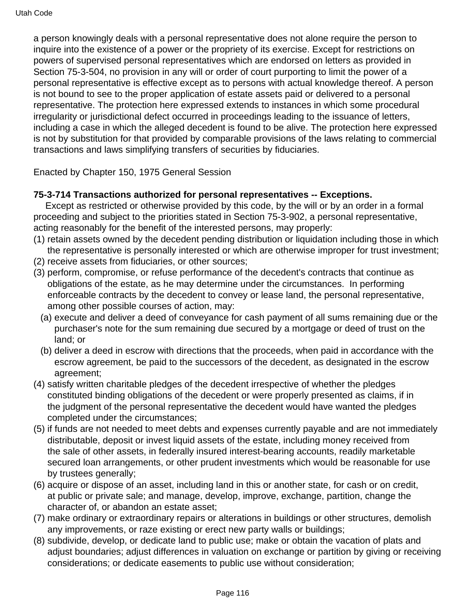a person knowingly deals with a personal representative does not alone require the person to inquire into the existence of a power or the propriety of its exercise. Except for restrictions on powers of supervised personal representatives which are endorsed on letters as provided in Section 75-3-504, no provision in any will or order of court purporting to limit the power of a personal representative is effective except as to persons with actual knowledge thereof. A person is not bound to see to the proper application of estate assets paid or delivered to a personal representative. The protection here expressed extends to instances in which some procedural irregularity or jurisdictional defect occurred in proceedings leading to the issuance of letters, including a case in which the alleged decedent is found to be alive. The protection here expressed is not by substitution for that provided by comparable provisions of the laws relating to commercial transactions and laws simplifying transfers of securities by fiduciaries.

Enacted by Chapter 150, 1975 General Session

#### **75-3-714 Transactions authorized for personal representatives -- Exceptions.**

 Except as restricted or otherwise provided by this code, by the will or by an order in a formal proceeding and subject to the priorities stated in Section 75-3-902, a personal representative, acting reasonably for the benefit of the interested persons, may properly:

- (1) retain assets owned by the decedent pending distribution or liquidation including those in which the representative is personally interested or which are otherwise improper for trust investment;
- (2) receive assets from fiduciaries, or other sources;
- (3) perform, compromise, or refuse performance of the decedent's contracts that continue as obligations of the estate, as he may determine under the circumstances. In performing enforceable contracts by the decedent to convey or lease land, the personal representative, among other possible courses of action, may:
	- (a) execute and deliver a deed of conveyance for cash payment of all sums remaining due or the purchaser's note for the sum remaining due secured by a mortgage or deed of trust on the land; or
	- (b) deliver a deed in escrow with directions that the proceeds, when paid in accordance with the escrow agreement, be paid to the successors of the decedent, as designated in the escrow agreement;
- (4) satisfy written charitable pledges of the decedent irrespective of whether the pledges constituted binding obligations of the decedent or were properly presented as claims, if in the judgment of the personal representative the decedent would have wanted the pledges completed under the circumstances;
- (5) if funds are not needed to meet debts and expenses currently payable and are not immediately distributable, deposit or invest liquid assets of the estate, including money received from the sale of other assets, in federally insured interest-bearing accounts, readily marketable secured loan arrangements, or other prudent investments which would be reasonable for use by trustees generally;
- (6) acquire or dispose of an asset, including land in this or another state, for cash or on credit, at public or private sale; and manage, develop, improve, exchange, partition, change the character of, or abandon an estate asset;
- (7) make ordinary or extraordinary repairs or alterations in buildings or other structures, demolish any improvements, or raze existing or erect new party walls or buildings;
- (8) subdivide, develop, or dedicate land to public use; make or obtain the vacation of plats and adjust boundaries; adjust differences in valuation on exchange or partition by giving or receiving considerations; or dedicate easements to public use without consideration;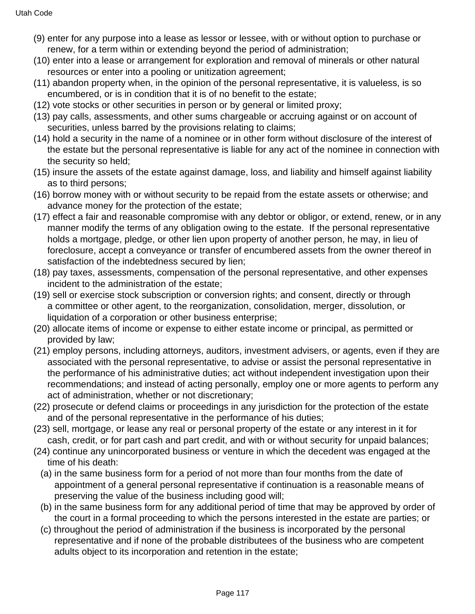- (9) enter for any purpose into a lease as lessor or lessee, with or without option to purchase or renew, for a term within or extending beyond the period of administration;
- (10) enter into a lease or arrangement for exploration and removal of minerals or other natural resources or enter into a pooling or unitization agreement;
- (11) abandon property when, in the opinion of the personal representative, it is valueless, is so encumbered, or is in condition that it is of no benefit to the estate;
- (12) vote stocks or other securities in person or by general or limited proxy;
- (13) pay calls, assessments, and other sums chargeable or accruing against or on account of securities, unless barred by the provisions relating to claims;
- (14) hold a security in the name of a nominee or in other form without disclosure of the interest of the estate but the personal representative is liable for any act of the nominee in connection with the security so held;
- (15) insure the assets of the estate against damage, loss, and liability and himself against liability as to third persons;
- (16) borrow money with or without security to be repaid from the estate assets or otherwise; and advance money for the protection of the estate;
- (17) effect a fair and reasonable compromise with any debtor or obligor, or extend, renew, or in any manner modify the terms of any obligation owing to the estate. If the personal representative holds a mortgage, pledge, or other lien upon property of another person, he may, in lieu of foreclosure, accept a conveyance or transfer of encumbered assets from the owner thereof in satisfaction of the indebtedness secured by lien;
- (18) pay taxes, assessments, compensation of the personal representative, and other expenses incident to the administration of the estate;
- (19) sell or exercise stock subscription or conversion rights; and consent, directly or through a committee or other agent, to the reorganization, consolidation, merger, dissolution, or liquidation of a corporation or other business enterprise;
- (20) allocate items of income or expense to either estate income or principal, as permitted or provided by law;
- (21) employ persons, including attorneys, auditors, investment advisers, or agents, even if they are associated with the personal representative, to advise or assist the personal representative in the performance of his administrative duties; act without independent investigation upon their recommendations; and instead of acting personally, employ one or more agents to perform any act of administration, whether or not discretionary;
- (22) prosecute or defend claims or proceedings in any jurisdiction for the protection of the estate and of the personal representative in the performance of his duties;
- (23) sell, mortgage, or lease any real or personal property of the estate or any interest in it for cash, credit, or for part cash and part credit, and with or without security for unpaid balances;
- (24) continue any unincorporated business or venture in which the decedent was engaged at the time of his death:
	- (a) in the same business form for a period of not more than four months from the date of appointment of a general personal representative if continuation is a reasonable means of preserving the value of the business including good will;
	- (b) in the same business form for any additional period of time that may be approved by order of the court in a formal proceeding to which the persons interested in the estate are parties; or
	- (c) throughout the period of administration if the business is incorporated by the personal representative and if none of the probable distributees of the business who are competent adults object to its incorporation and retention in the estate;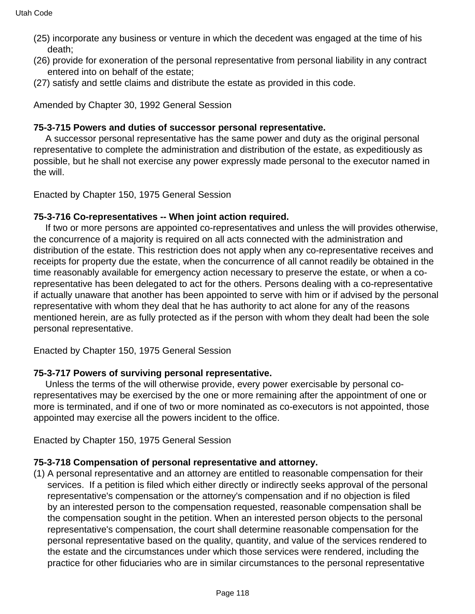- (25) incorporate any business or venture in which the decedent was engaged at the time of his death;
- (26) provide for exoneration of the personal representative from personal liability in any contract entered into on behalf of the estate;
- (27) satisfy and settle claims and distribute the estate as provided in this code.

Amended by Chapter 30, 1992 General Session

#### **75-3-715 Powers and duties of successor personal representative.**

 A successor personal representative has the same power and duty as the original personal representative to complete the administration and distribution of the estate, as expeditiously as possible, but he shall not exercise any power expressly made personal to the executor named in the will.

Enacted by Chapter 150, 1975 General Session

#### **75-3-716 Co-representatives -- When joint action required.**

 If two or more persons are appointed co-representatives and unless the will provides otherwise, the concurrence of a majority is required on all acts connected with the administration and distribution of the estate. This restriction does not apply when any co-representative receives and receipts for property due the estate, when the concurrence of all cannot readily be obtained in the time reasonably available for emergency action necessary to preserve the estate, or when a corepresentative has been delegated to act for the others. Persons dealing with a co-representative if actually unaware that another has been appointed to serve with him or if advised by the personal representative with whom they deal that he has authority to act alone for any of the reasons mentioned herein, are as fully protected as if the person with whom they dealt had been the sole personal representative.

Enacted by Chapter 150, 1975 General Session

#### **75-3-717 Powers of surviving personal representative.**

 Unless the terms of the will otherwise provide, every power exercisable by personal corepresentatives may be exercised by the one or more remaining after the appointment of one or more is terminated, and if one of two or more nominated as co-executors is not appointed, those appointed may exercise all the powers incident to the office.

Enacted by Chapter 150, 1975 General Session

#### **75-3-718 Compensation of personal representative and attorney.**

(1) A personal representative and an attorney are entitled to reasonable compensation for their services. If a petition is filed which either directly or indirectly seeks approval of the personal representative's compensation or the attorney's compensation and if no objection is filed by an interested person to the compensation requested, reasonable compensation shall be the compensation sought in the petition. When an interested person objects to the personal representative's compensation, the court shall determine reasonable compensation for the personal representative based on the quality, quantity, and value of the services rendered to the estate and the circumstances under which those services were rendered, including the practice for other fiduciaries who are in similar circumstances to the personal representative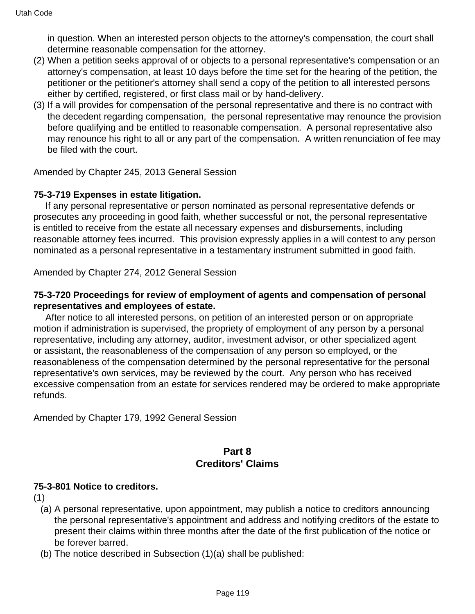in question. When an interested person objects to the attorney's compensation, the court shall determine reasonable compensation for the attorney.

- (2) When a petition seeks approval of or objects to a personal representative's compensation or an attorney's compensation, at least 10 days before the time set for the hearing of the petition, the petitioner or the petitioner's attorney shall send a copy of the petition to all interested persons either by certified, registered, or first class mail or by hand-delivery.
- (3) If a will provides for compensation of the personal representative and there is no contract with the decedent regarding compensation, the personal representative may renounce the provision before qualifying and be entitled to reasonable compensation. A personal representative also may renounce his right to all or any part of the compensation. A written renunciation of fee may be filed with the court.

Amended by Chapter 245, 2013 General Session

#### **75-3-719 Expenses in estate litigation.**

 If any personal representative or person nominated as personal representative defends or prosecutes any proceeding in good faith, whether successful or not, the personal representative is entitled to receive from the estate all necessary expenses and disbursements, including reasonable attorney fees incurred. This provision expressly applies in a will contest to any person nominated as a personal representative in a testamentary instrument submitted in good faith.

Amended by Chapter 274, 2012 General Session

### **75-3-720 Proceedings for review of employment of agents and compensation of personal representatives and employees of estate.**

 After notice to all interested persons, on petition of an interested person or on appropriate motion if administration is supervised, the propriety of employment of any person by a personal representative, including any attorney, auditor, investment advisor, or other specialized agent or assistant, the reasonableness of the compensation of any person so employed, or the reasonableness of the compensation determined by the personal representative for the personal representative's own services, may be reviewed by the court. Any person who has received excessive compensation from an estate for services rendered may be ordered to make appropriate refunds.

Amended by Chapter 179, 1992 General Session

# **Part 8 Creditors' Claims**

#### **75-3-801 Notice to creditors.**

- (1)
	- (a) A personal representative, upon appointment, may publish a notice to creditors announcing the personal representative's appointment and address and notifying creditors of the estate to present their claims within three months after the date of the first publication of the notice or be forever barred.
	- (b) The notice described in Subsection (1)(a) shall be published: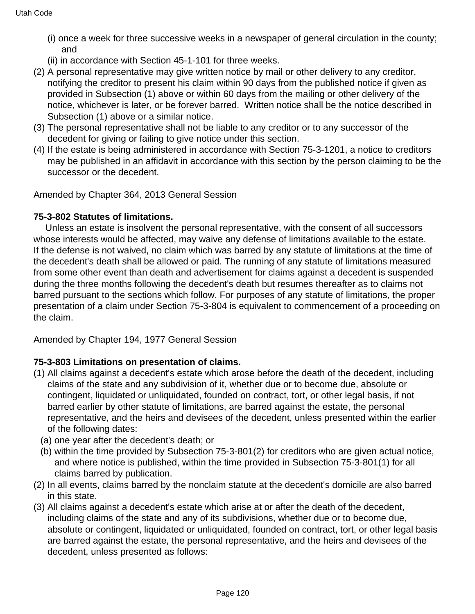- (i) once a week for three successive weeks in a newspaper of general circulation in the county; and
- (ii) in accordance with Section 45-1-101 for three weeks.
- (2) A personal representative may give written notice by mail or other delivery to any creditor, notifying the creditor to present his claim within 90 days from the published notice if given as provided in Subsection (1) above or within 60 days from the mailing or other delivery of the notice, whichever is later, or be forever barred. Written notice shall be the notice described in Subsection (1) above or a similar notice.
- (3) The personal representative shall not be liable to any creditor or to any successor of the decedent for giving or failing to give notice under this section.
- (4) If the estate is being administered in accordance with Section 75-3-1201, a notice to creditors may be published in an affidavit in accordance with this section by the person claiming to be the successor or the decedent.

Amended by Chapter 364, 2013 General Session

### **75-3-802 Statutes of limitations.**

 Unless an estate is insolvent the personal representative, with the consent of all successors whose interests would be affected, may waive any defense of limitations available to the estate. If the defense is not waived, no claim which was barred by any statute of limitations at the time of the decedent's death shall be allowed or paid. The running of any statute of limitations measured from some other event than death and advertisement for claims against a decedent is suspended during the three months following the decedent's death but resumes thereafter as to claims not barred pursuant to the sections which follow. For purposes of any statute of limitations, the proper presentation of a claim under Section 75-3-804 is equivalent to commencement of a proceeding on the claim.

Amended by Chapter 194, 1977 General Session

# **75-3-803 Limitations on presentation of claims.**

- (1) All claims against a decedent's estate which arose before the death of the decedent, including claims of the state and any subdivision of it, whether due or to become due, absolute or contingent, liquidated or unliquidated, founded on contract, tort, or other legal basis, if not barred earlier by other statute of limitations, are barred against the estate, the personal representative, and the heirs and devisees of the decedent, unless presented within the earlier of the following dates:
	- (a) one year after the decedent's death; or
	- (b) within the time provided by Subsection 75-3-801(2) for creditors who are given actual notice, and where notice is published, within the time provided in Subsection 75-3-801(1) for all claims barred by publication.
- (2) In all events, claims barred by the nonclaim statute at the decedent's domicile are also barred in this state.
- (3) All claims against a decedent's estate which arise at or after the death of the decedent, including claims of the state and any of its subdivisions, whether due or to become due, absolute or contingent, liquidated or unliquidated, founded on contract, tort, or other legal basis are barred against the estate, the personal representative, and the heirs and devisees of the decedent, unless presented as follows: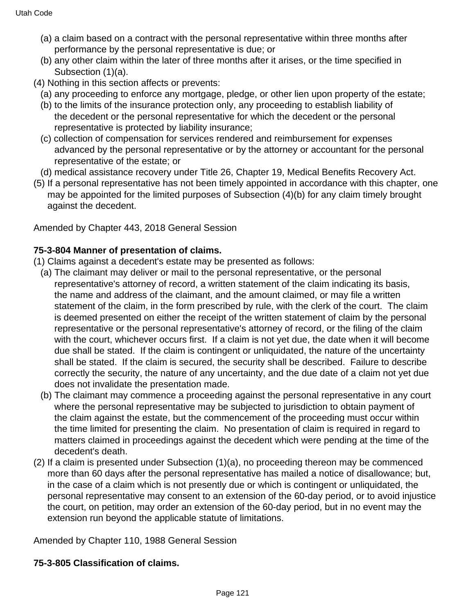- (a) a claim based on a contract with the personal representative within three months after performance by the personal representative is due; or
- (b) any other claim within the later of three months after it arises, or the time specified in Subsection (1)(a).
- (4) Nothing in this section affects or prevents:
	- (a) any proceeding to enforce any mortgage, pledge, or other lien upon property of the estate;
	- (b) to the limits of the insurance protection only, any proceeding to establish liability of the decedent or the personal representative for which the decedent or the personal representative is protected by liability insurance;
	- (c) collection of compensation for services rendered and reimbursement for expenses advanced by the personal representative or by the attorney or accountant for the personal representative of the estate; or
	- (d) medical assistance recovery under Title 26, Chapter 19, Medical Benefits Recovery Act.
- (5) If a personal representative has not been timely appointed in accordance with this chapter, one may be appointed for the limited purposes of Subsection (4)(b) for any claim timely brought against the decedent.

Amended by Chapter 443, 2018 General Session

### **75-3-804 Manner of presentation of claims.**

- (1) Claims against a decedent's estate may be presented as follows:
	- (a) The claimant may deliver or mail to the personal representative, or the personal representative's attorney of record, a written statement of the claim indicating its basis, the name and address of the claimant, and the amount claimed, or may file a written statement of the claim, in the form prescribed by rule, with the clerk of the court. The claim is deemed presented on either the receipt of the written statement of claim by the personal representative or the personal representative's attorney of record, or the filing of the claim with the court, whichever occurs first. If a claim is not yet due, the date when it will become due shall be stated. If the claim is contingent or unliquidated, the nature of the uncertainty shall be stated. If the claim is secured, the security shall be described. Failure to describe correctly the security, the nature of any uncertainty, and the due date of a claim not yet due does not invalidate the presentation made.
	- (b) The claimant may commence a proceeding against the personal representative in any court where the personal representative may be subjected to jurisdiction to obtain payment of the claim against the estate, but the commencement of the proceeding must occur within the time limited for presenting the claim. No presentation of claim is required in regard to matters claimed in proceedings against the decedent which were pending at the time of the decedent's death.
- (2) If a claim is presented under Subsection (1)(a), no proceeding thereon may be commenced more than 60 days after the personal representative has mailed a notice of disallowance; but, in the case of a claim which is not presently due or which is contingent or unliquidated, the personal representative may consent to an extension of the 60-day period, or to avoid injustice the court, on petition, may order an extension of the 60-day period, but in no event may the extension run beyond the applicable statute of limitations.

Amended by Chapter 110, 1988 General Session

# **75-3-805 Classification of claims.**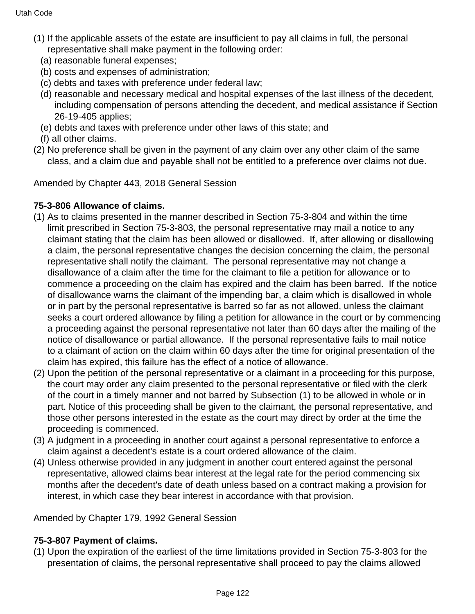- (1) If the applicable assets of the estate are insufficient to pay all claims in full, the personal representative shall make payment in the following order:
	- (a) reasonable funeral expenses;
	- (b) costs and expenses of administration;
	- (c) debts and taxes with preference under federal law;
	- (d) reasonable and necessary medical and hospital expenses of the last illness of the decedent, including compensation of persons attending the decedent, and medical assistance if Section 26-19-405 applies;
	- (e) debts and taxes with preference under other laws of this state; and
	- (f) all other claims.
- (2) No preference shall be given in the payment of any claim over any other claim of the same class, and a claim due and payable shall not be entitled to a preference over claims not due.

Amended by Chapter 443, 2018 General Session

### **75-3-806 Allowance of claims.**

- (1) As to claims presented in the manner described in Section 75-3-804 and within the time limit prescribed in Section 75-3-803, the personal representative may mail a notice to any claimant stating that the claim has been allowed or disallowed. If, after allowing or disallowing a claim, the personal representative changes the decision concerning the claim, the personal representative shall notify the claimant. The personal representative may not change a disallowance of a claim after the time for the claimant to file a petition for allowance or to commence a proceeding on the claim has expired and the claim has been barred. If the notice of disallowance warns the claimant of the impending bar, a claim which is disallowed in whole or in part by the personal representative is barred so far as not allowed, unless the claimant seeks a court ordered allowance by filing a petition for allowance in the court or by commencing a proceeding against the personal representative not later than 60 days after the mailing of the notice of disallowance or partial allowance. If the personal representative fails to mail notice to a claimant of action on the claim within 60 days after the time for original presentation of the claim has expired, this failure has the effect of a notice of allowance.
- (2) Upon the petition of the personal representative or a claimant in a proceeding for this purpose, the court may order any claim presented to the personal representative or filed with the clerk of the court in a timely manner and not barred by Subsection (1) to be allowed in whole or in part. Notice of this proceeding shall be given to the claimant, the personal representative, and those other persons interested in the estate as the court may direct by order at the time the proceeding is commenced.
- (3) A judgment in a proceeding in another court against a personal representative to enforce a claim against a decedent's estate is a court ordered allowance of the claim.
- (4) Unless otherwise provided in any judgment in another court entered against the personal representative, allowed claims bear interest at the legal rate for the period commencing six months after the decedent's date of death unless based on a contract making a provision for interest, in which case they bear interest in accordance with that provision.

Amended by Chapter 179, 1992 General Session

# **75-3-807 Payment of claims.**

(1) Upon the expiration of the earliest of the time limitations provided in Section 75-3-803 for the presentation of claims, the personal representative shall proceed to pay the claims allowed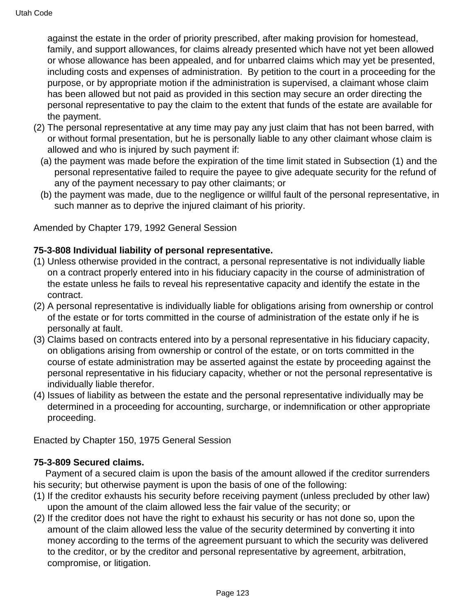against the estate in the order of priority prescribed, after making provision for homestead, family, and support allowances, for claims already presented which have not yet been allowed or whose allowance has been appealed, and for unbarred claims which may yet be presented, including costs and expenses of administration. By petition to the court in a proceeding for the purpose, or by appropriate motion if the administration is supervised, a claimant whose claim has been allowed but not paid as provided in this section may secure an order directing the personal representative to pay the claim to the extent that funds of the estate are available for the payment.

- (2) The personal representative at any time may pay any just claim that has not been barred, with or without formal presentation, but he is personally liable to any other claimant whose claim is allowed and who is injured by such payment if:
	- (a) the payment was made before the expiration of the time limit stated in Subsection (1) and the personal representative failed to require the payee to give adequate security for the refund of any of the payment necessary to pay other claimants; or
	- (b) the payment was made, due to the negligence or willful fault of the personal representative, in such manner as to deprive the injured claimant of his priority.

Amended by Chapter 179, 1992 General Session

#### **75-3-808 Individual liability of personal representative.**

- (1) Unless otherwise provided in the contract, a personal representative is not individually liable on a contract properly entered into in his fiduciary capacity in the course of administration of the estate unless he fails to reveal his representative capacity and identify the estate in the contract.
- (2) A personal representative is individually liable for obligations arising from ownership or control of the estate or for torts committed in the course of administration of the estate only if he is personally at fault.
- (3) Claims based on contracts entered into by a personal representative in his fiduciary capacity, on obligations arising from ownership or control of the estate, or on torts committed in the course of estate administration may be asserted against the estate by proceeding against the personal representative in his fiduciary capacity, whether or not the personal representative is individually liable therefor.
- (4) Issues of liability as between the estate and the personal representative individually may be determined in a proceeding for accounting, surcharge, or indemnification or other appropriate proceeding.

Enacted by Chapter 150, 1975 General Session

#### **75-3-809 Secured claims.**

 Payment of a secured claim is upon the basis of the amount allowed if the creditor surrenders his security; but otherwise payment is upon the basis of one of the following:

- (1) If the creditor exhausts his security before receiving payment (unless precluded by other law) upon the amount of the claim allowed less the fair value of the security; or
- (2) If the creditor does not have the right to exhaust his security or has not done so, upon the amount of the claim allowed less the value of the security determined by converting it into money according to the terms of the agreement pursuant to which the security was delivered to the creditor, or by the creditor and personal representative by agreement, arbitration, compromise, or litigation.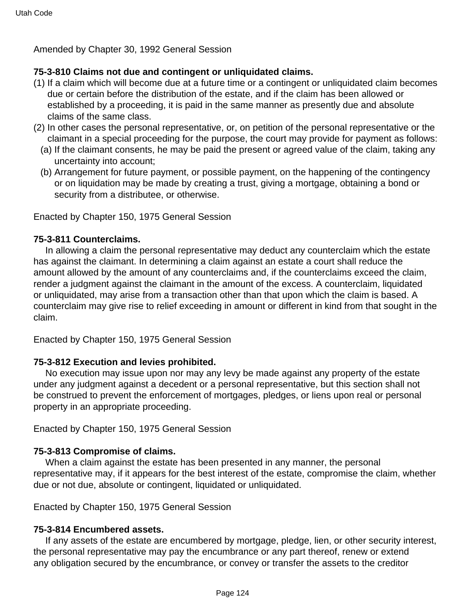Amended by Chapter 30, 1992 General Session

#### **75-3-810 Claims not due and contingent or unliquidated claims.**

- (1) If a claim which will become due at a future time or a contingent or unliquidated claim becomes due or certain before the distribution of the estate, and if the claim has been allowed or established by a proceeding, it is paid in the same manner as presently due and absolute claims of the same class.
- (2) In other cases the personal representative, or, on petition of the personal representative or the claimant in a special proceeding for the purpose, the court may provide for payment as follows:
	- (a) If the claimant consents, he may be paid the present or agreed value of the claim, taking any uncertainty into account;
	- (b) Arrangement for future payment, or possible payment, on the happening of the contingency or on liquidation may be made by creating a trust, giving a mortgage, obtaining a bond or security from a distributee, or otherwise.

Enacted by Chapter 150, 1975 General Session

#### **75-3-811 Counterclaims.**

 In allowing a claim the personal representative may deduct any counterclaim which the estate has against the claimant. In determining a claim against an estate a court shall reduce the amount allowed by the amount of any counterclaims and, if the counterclaims exceed the claim, render a judgment against the claimant in the amount of the excess. A counterclaim, liquidated or unliquidated, may arise from a transaction other than that upon which the claim is based. A counterclaim may give rise to relief exceeding in amount or different in kind from that sought in the claim.

Enacted by Chapter 150, 1975 General Session

#### **75-3-812 Execution and levies prohibited.**

 No execution may issue upon nor may any levy be made against any property of the estate under any judgment against a decedent or a personal representative, but this section shall not be construed to prevent the enforcement of mortgages, pledges, or liens upon real or personal property in an appropriate proceeding.

Enacted by Chapter 150, 1975 General Session

#### **75-3-813 Compromise of claims.**

 When a claim against the estate has been presented in any manner, the personal representative may, if it appears for the best interest of the estate, compromise the claim, whether due or not due, absolute or contingent, liquidated or unliquidated.

Enacted by Chapter 150, 1975 General Session

#### **75-3-814 Encumbered assets.**

 If any assets of the estate are encumbered by mortgage, pledge, lien, or other security interest, the personal representative may pay the encumbrance or any part thereof, renew or extend any obligation secured by the encumbrance, or convey or transfer the assets to the creditor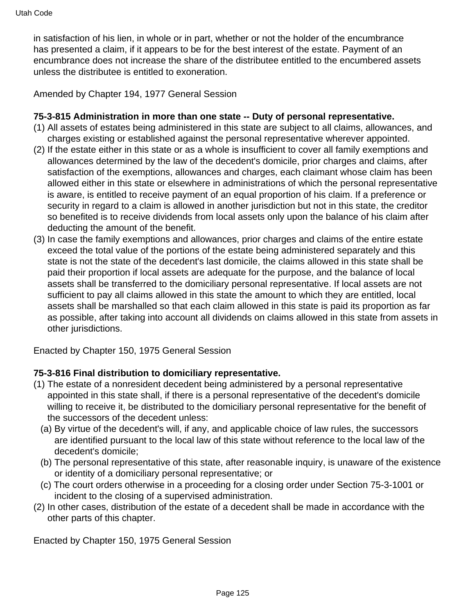in satisfaction of his lien, in whole or in part, whether or not the holder of the encumbrance has presented a claim, if it appears to be for the best interest of the estate. Payment of an encumbrance does not increase the share of the distributee entitled to the encumbered assets unless the distributee is entitled to exoneration.

Amended by Chapter 194, 1977 General Session

#### **75-3-815 Administration in more than one state -- Duty of personal representative.**

- (1) All assets of estates being administered in this state are subject to all claims, allowances, and charges existing or established against the personal representative wherever appointed.
- (2) If the estate either in this state or as a whole is insufficient to cover all family exemptions and allowances determined by the law of the decedent's domicile, prior charges and claims, after satisfaction of the exemptions, allowances and charges, each claimant whose claim has been allowed either in this state or elsewhere in administrations of which the personal representative is aware, is entitled to receive payment of an equal proportion of his claim. If a preference or security in regard to a claim is allowed in another jurisdiction but not in this state, the creditor so benefited is to receive dividends from local assets only upon the balance of his claim after deducting the amount of the benefit.
- (3) In case the family exemptions and allowances, prior charges and claims of the entire estate exceed the total value of the portions of the estate being administered separately and this state is not the state of the decedent's last domicile, the claims allowed in this state shall be paid their proportion if local assets are adequate for the purpose, and the balance of local assets shall be transferred to the domiciliary personal representative. If local assets are not sufficient to pay all claims allowed in this state the amount to which they are entitled, local assets shall be marshalled so that each claim allowed in this state is paid its proportion as far as possible, after taking into account all dividends on claims allowed in this state from assets in other jurisdictions.

Enacted by Chapter 150, 1975 General Session

#### **75-3-816 Final distribution to domiciliary representative.**

- (1) The estate of a nonresident decedent being administered by a personal representative appointed in this state shall, if there is a personal representative of the decedent's domicile willing to receive it, be distributed to the domiciliary personal representative for the benefit of the successors of the decedent unless:
	- (a) By virtue of the decedent's will, if any, and applicable choice of law rules, the successors are identified pursuant to the local law of this state without reference to the local law of the decedent's domicile;
	- (b) The personal representative of this state, after reasonable inquiry, is unaware of the existence or identity of a domiciliary personal representative; or
	- (c) The court orders otherwise in a proceeding for a closing order under Section 75-3-1001 or incident to the closing of a supervised administration.
- (2) In other cases, distribution of the estate of a decedent shall be made in accordance with the other parts of this chapter.

Enacted by Chapter 150, 1975 General Session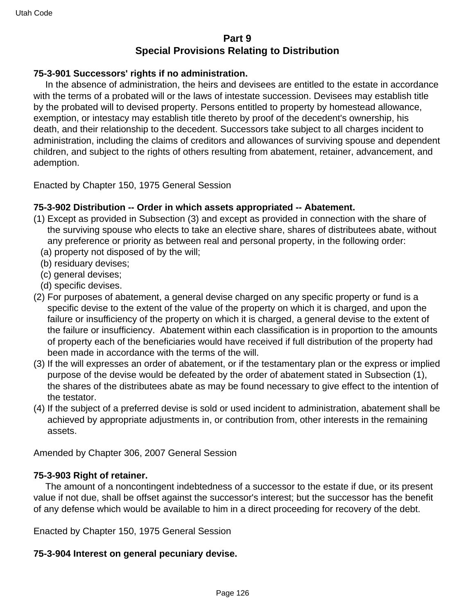# **Part 9 Special Provisions Relating to Distribution**

### **75-3-901 Successors' rights if no administration.**

 In the absence of administration, the heirs and devisees are entitled to the estate in accordance with the terms of a probated will or the laws of intestate succession. Devisees may establish title by the probated will to devised property. Persons entitled to property by homestead allowance, exemption, or intestacy may establish title thereto by proof of the decedent's ownership, his death, and their relationship to the decedent. Successors take subject to all charges incident to administration, including the claims of creditors and allowances of surviving spouse and dependent children, and subject to the rights of others resulting from abatement, retainer, advancement, and ademption.

Enacted by Chapter 150, 1975 General Session

### **75-3-902 Distribution -- Order in which assets appropriated -- Abatement.**

- (1) Except as provided in Subsection (3) and except as provided in connection with the share of the surviving spouse who elects to take an elective share, shares of distributees abate, without any preference or priority as between real and personal property, in the following order:
	- (a) property not disposed of by the will;
	- (b) residuary devises;
	- (c) general devises;
	- (d) specific devises.
- (2) For purposes of abatement, a general devise charged on any specific property or fund is a specific devise to the extent of the value of the property on which it is charged, and upon the failure or insufficiency of the property on which it is charged, a general devise to the extent of the failure or insufficiency. Abatement within each classification is in proportion to the amounts of property each of the beneficiaries would have received if full distribution of the property had been made in accordance with the terms of the will.
- (3) If the will expresses an order of abatement, or if the testamentary plan or the express or implied purpose of the devise would be defeated by the order of abatement stated in Subsection (1), the shares of the distributees abate as may be found necessary to give effect to the intention of the testator.
- (4) If the subject of a preferred devise is sold or used incident to administration, abatement shall be achieved by appropriate adjustments in, or contribution from, other interests in the remaining assets.

Amended by Chapter 306, 2007 General Session

#### **75-3-903 Right of retainer.**

 The amount of a noncontingent indebtedness of a successor to the estate if due, or its present value if not due, shall be offset against the successor's interest; but the successor has the benefit of any defense which would be available to him in a direct proceeding for recovery of the debt.

Enacted by Chapter 150, 1975 General Session

#### **75-3-904 Interest on general pecuniary devise.**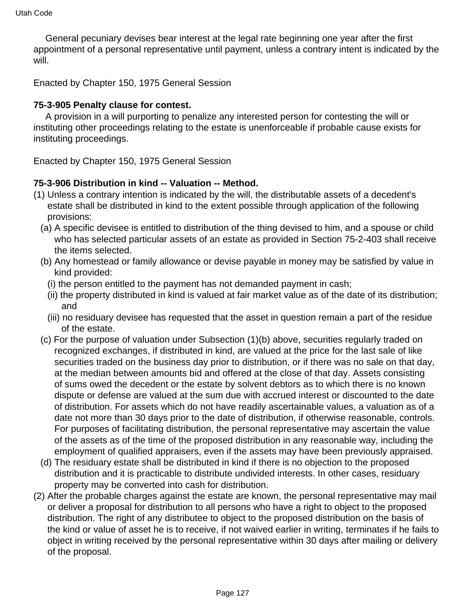General pecuniary devises bear interest at the legal rate beginning one year after the first appointment of a personal representative until payment, unless a contrary intent is indicated by the will.

Enacted by Chapter 150, 1975 General Session

#### **75-3-905 Penalty clause for contest.**

 A provision in a will purporting to penalize any interested person for contesting the will or instituting other proceedings relating to the estate is unenforceable if probable cause exists for instituting proceedings.

Enacted by Chapter 150, 1975 General Session

#### **75-3-906 Distribution in kind -- Valuation -- Method.**

- (1) Unless a contrary intention is indicated by the will, the distributable assets of a decedent's estate shall be distributed in kind to the extent possible through application of the following provisions:
	- (a) A specific devisee is entitled to distribution of the thing devised to him, and a spouse or child who has selected particular assets of an estate as provided in Section 75-2-403 shall receive the items selected.
	- (b) Any homestead or family allowance or devise payable in money may be satisfied by value in kind provided:
		- (i) the person entitled to the payment has not demanded payment in cash;
		- (ii) the property distributed in kind is valued at fair market value as of the date of its distribution; and
		- (iii) no residuary devisee has requested that the asset in question remain a part of the residue of the estate.
	- (c) For the purpose of valuation under Subsection (1)(b) above, securities regularly traded on recognized exchanges, if distributed in kind, are valued at the price for the last sale of like securities traded on the business day prior to distribution, or if there was no sale on that day, at the median between amounts bid and offered at the close of that day. Assets consisting of sums owed the decedent or the estate by solvent debtors as to which there is no known dispute or defense are valued at the sum due with accrued interest or discounted to the date of distribution. For assets which do not have readily ascertainable values, a valuation as of a date not more than 30 days prior to the date of distribution, if otherwise reasonable, controls. For purposes of facilitating distribution, the personal representative may ascertain the value of the assets as of the time of the proposed distribution in any reasonable way, including the employment of qualified appraisers, even if the assets may have been previously appraised.
	- (d) The residuary estate shall be distributed in kind if there is no objection to the proposed distribution and it is practicable to distribute undivided interests. In other cases, residuary property may be converted into cash for distribution.
- (2) After the probable charges against the estate are known, the personal representative may mail or deliver a proposal for distribution to all persons who have a right to object to the proposed distribution. The right of any distributee to object to the proposed distribution on the basis of the kind or value of asset he is to receive, if not waived earlier in writing, terminates if he fails to object in writing received by the personal representative within 30 days after mailing or delivery of the proposal.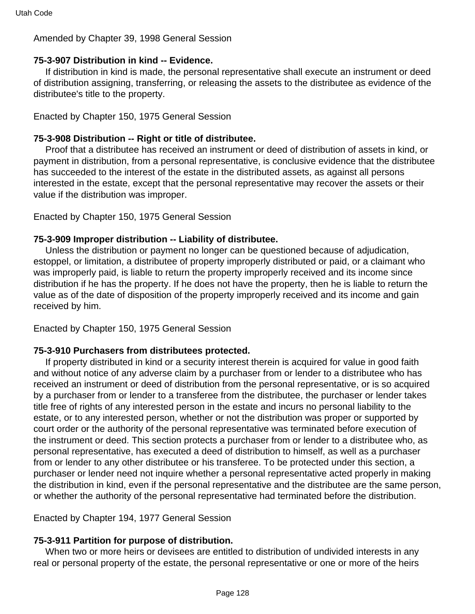Amended by Chapter 39, 1998 General Session

# **75-3-907 Distribution in kind -- Evidence.**

 If distribution in kind is made, the personal representative shall execute an instrument or deed of distribution assigning, transferring, or releasing the assets to the distributee as evidence of the distributee's title to the property.

### Enacted by Chapter 150, 1975 General Session

### **75-3-908 Distribution -- Right or title of distributee.**

 Proof that a distributee has received an instrument or deed of distribution of assets in kind, or payment in distribution, from a personal representative, is conclusive evidence that the distributee has succeeded to the interest of the estate in the distributed assets, as against all persons interested in the estate, except that the personal representative may recover the assets or their value if the distribution was improper.

Enacted by Chapter 150, 1975 General Session

### **75-3-909 Improper distribution -- Liability of distributee.**

 Unless the distribution or payment no longer can be questioned because of adjudication, estoppel, or limitation, a distributee of property improperly distributed or paid, or a claimant who was improperly paid, is liable to return the property improperly received and its income since distribution if he has the property. If he does not have the property, then he is liable to return the value as of the date of disposition of the property improperly received and its income and gain received by him.

Enacted by Chapter 150, 1975 General Session

# **75-3-910 Purchasers from distributees protected.**

 If property distributed in kind or a security interest therein is acquired for value in good faith and without notice of any adverse claim by a purchaser from or lender to a distributee who has received an instrument or deed of distribution from the personal representative, or is so acquired by a purchaser from or lender to a transferee from the distributee, the purchaser or lender takes title free of rights of any interested person in the estate and incurs no personal liability to the estate, or to any interested person, whether or not the distribution was proper or supported by court order or the authority of the personal representative was terminated before execution of the instrument or deed. This section protects a purchaser from or lender to a distributee who, as personal representative, has executed a deed of distribution to himself, as well as a purchaser from or lender to any other distributee or his transferee. To be protected under this section, a purchaser or lender need not inquire whether a personal representative acted properly in making the distribution in kind, even if the personal representative and the distributee are the same person, or whether the authority of the personal representative had terminated before the distribution.

Enacted by Chapter 194, 1977 General Session

# **75-3-911 Partition for purpose of distribution.**

 When two or more heirs or devisees are entitled to distribution of undivided interests in any real or personal property of the estate, the personal representative or one or more of the heirs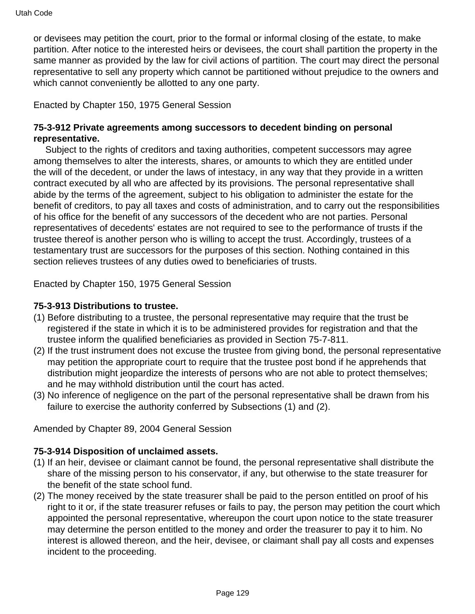or devisees may petition the court, prior to the formal or informal closing of the estate, to make partition. After notice to the interested heirs or devisees, the court shall partition the property in the same manner as provided by the law for civil actions of partition. The court may direct the personal representative to sell any property which cannot be partitioned without prejudice to the owners and which cannot conveniently be allotted to any one party.

Enacted by Chapter 150, 1975 General Session

#### **75-3-912 Private agreements among successors to decedent binding on personal representative.**

 Subject to the rights of creditors and taxing authorities, competent successors may agree among themselves to alter the interests, shares, or amounts to which they are entitled under the will of the decedent, or under the laws of intestacy, in any way that they provide in a written contract executed by all who are affected by its provisions. The personal representative shall abide by the terms of the agreement, subject to his obligation to administer the estate for the benefit of creditors, to pay all taxes and costs of administration, and to carry out the responsibilities of his office for the benefit of any successors of the decedent who are not parties. Personal representatives of decedents' estates are not required to see to the performance of trusts if the trustee thereof is another person who is willing to accept the trust. Accordingly, trustees of a testamentary trust are successors for the purposes of this section. Nothing contained in this section relieves trustees of any duties owed to beneficiaries of trusts.

Enacted by Chapter 150, 1975 General Session

#### **75-3-913 Distributions to trustee.**

- (1) Before distributing to a trustee, the personal representative may require that the trust be registered if the state in which it is to be administered provides for registration and that the trustee inform the qualified beneficiaries as provided in Section 75-7-811.
- (2) If the trust instrument does not excuse the trustee from giving bond, the personal representative may petition the appropriate court to require that the trustee post bond if he apprehends that distribution might jeopardize the interests of persons who are not able to protect themselves; and he may withhold distribution until the court has acted.
- (3) No inference of negligence on the part of the personal representative shall be drawn from his failure to exercise the authority conferred by Subsections (1) and (2).

Amended by Chapter 89, 2004 General Session

#### **75-3-914 Disposition of unclaimed assets.**

- (1) If an heir, devisee or claimant cannot be found, the personal representative shall distribute the share of the missing person to his conservator, if any, but otherwise to the state treasurer for the benefit of the state school fund.
- (2) The money received by the state treasurer shall be paid to the person entitled on proof of his right to it or, if the state treasurer refuses or fails to pay, the person may petition the court which appointed the personal representative, whereupon the court upon notice to the state treasurer may determine the person entitled to the money and order the treasurer to pay it to him. No interest is allowed thereon, and the heir, devisee, or claimant shall pay all costs and expenses incident to the proceeding.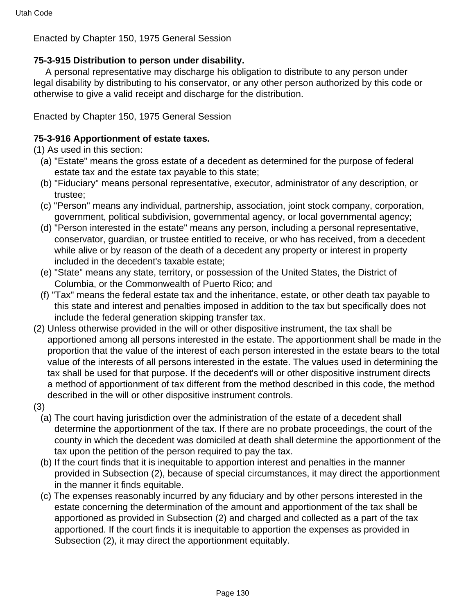Enacted by Chapter 150, 1975 General Session

### **75-3-915 Distribution to person under disability.**

 A personal representative may discharge his obligation to distribute to any person under legal disability by distributing to his conservator, or any other person authorized by this code or otherwise to give a valid receipt and discharge for the distribution.

Enacted by Chapter 150, 1975 General Session

#### **75-3-916 Apportionment of estate taxes.**

(1) As used in this section:

- (a) "Estate" means the gross estate of a decedent as determined for the purpose of federal estate tax and the estate tax payable to this state;
- (b) "Fiduciary" means personal representative, executor, administrator of any description, or trustee;
- (c) "Person" means any individual, partnership, association, joint stock company, corporation, government, political subdivision, governmental agency, or local governmental agency;
- (d) "Person interested in the estate" means any person, including a personal representative, conservator, guardian, or trustee entitled to receive, or who has received, from a decedent while alive or by reason of the death of a decedent any property or interest in property included in the decedent's taxable estate;
- (e) "State" means any state, territory, or possession of the United States, the District of Columbia, or the Commonwealth of Puerto Rico; and
- (f) "Tax" means the federal estate tax and the inheritance, estate, or other death tax payable to this state and interest and penalties imposed in addition to the tax but specifically does not include the federal generation skipping transfer tax.
- (2) Unless otherwise provided in the will or other dispositive instrument, the tax shall be apportioned among all persons interested in the estate. The apportionment shall be made in the proportion that the value of the interest of each person interested in the estate bears to the total value of the interests of all persons interested in the estate. The values used in determining the tax shall be used for that purpose. If the decedent's will or other dispositive instrument directs a method of apportionment of tax different from the method described in this code, the method described in the will or other dispositive instrument controls.
- (3)
	- (a) The court having jurisdiction over the administration of the estate of a decedent shall determine the apportionment of the tax. If there are no probate proceedings, the court of the county in which the decedent was domiciled at death shall determine the apportionment of the tax upon the petition of the person required to pay the tax.
	- (b) If the court finds that it is inequitable to apportion interest and penalties in the manner provided in Subsection (2), because of special circumstances, it may direct the apportionment in the manner it finds equitable.
	- (c) The expenses reasonably incurred by any fiduciary and by other persons interested in the estate concerning the determination of the amount and apportionment of the tax shall be apportioned as provided in Subsection (2) and charged and collected as a part of the tax apportioned. If the court finds it is inequitable to apportion the expenses as provided in Subsection (2), it may direct the apportionment equitably.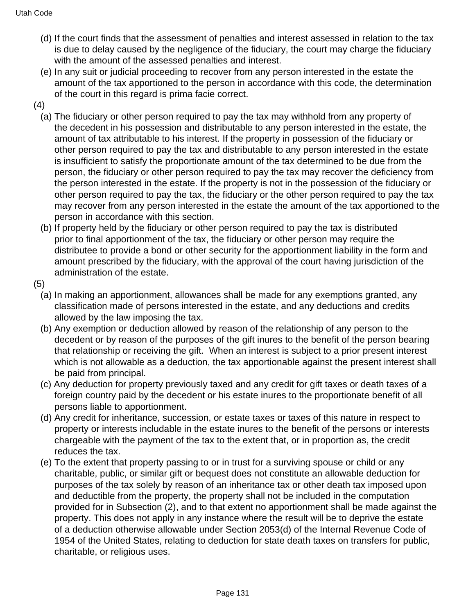- (d) If the court finds that the assessment of penalties and interest assessed in relation to the tax is due to delay caused by the negligence of the fiduciary, the court may charge the fiduciary with the amount of the assessed penalties and interest.
- (e) In any suit or judicial proceeding to recover from any person interested in the estate the amount of the tax apportioned to the person in accordance with this code, the determination of the court in this regard is prima facie correct.
- (4)
	- (a) The fiduciary or other person required to pay the tax may withhold from any property of the decedent in his possession and distributable to any person interested in the estate, the amount of tax attributable to his interest. If the property in possession of the fiduciary or other person required to pay the tax and distributable to any person interested in the estate is insufficient to satisfy the proportionate amount of the tax determined to be due from the person, the fiduciary or other person required to pay the tax may recover the deficiency from the person interested in the estate. If the property is not in the possession of the fiduciary or other person required to pay the tax, the fiduciary or the other person required to pay the tax may recover from any person interested in the estate the amount of the tax apportioned to the person in accordance with this section.
	- (b) If property held by the fiduciary or other person required to pay the tax is distributed prior to final apportionment of the tax, the fiduciary or other person may require the distributee to provide a bond or other security for the apportionment liability in the form and amount prescribed by the fiduciary, with the approval of the court having jurisdiction of the administration of the estate.
- (5)
	- (a) In making an apportionment, allowances shall be made for any exemptions granted, any classification made of persons interested in the estate, and any deductions and credits allowed by the law imposing the tax.
	- (b) Any exemption or deduction allowed by reason of the relationship of any person to the decedent or by reason of the purposes of the gift inures to the benefit of the person bearing that relationship or receiving the gift. When an interest is subject to a prior present interest which is not allowable as a deduction, the tax apportionable against the present interest shall be paid from principal.
	- (c) Any deduction for property previously taxed and any credit for gift taxes or death taxes of a foreign country paid by the decedent or his estate inures to the proportionate benefit of all persons liable to apportionment.
	- (d) Any credit for inheritance, succession, or estate taxes or taxes of this nature in respect to property or interests includable in the estate inures to the benefit of the persons or interests chargeable with the payment of the tax to the extent that, or in proportion as, the credit reduces the tax.
	- (e) To the extent that property passing to or in trust for a surviving spouse or child or any charitable, public, or similar gift or bequest does not constitute an allowable deduction for purposes of the tax solely by reason of an inheritance tax or other death tax imposed upon and deductible from the property, the property shall not be included in the computation provided for in Subsection (2), and to that extent no apportionment shall be made against the property. This does not apply in any instance where the result will be to deprive the estate of a deduction otherwise allowable under Section 2053(d) of the Internal Revenue Code of 1954 of the United States, relating to deduction for state death taxes on transfers for public, charitable, or religious uses.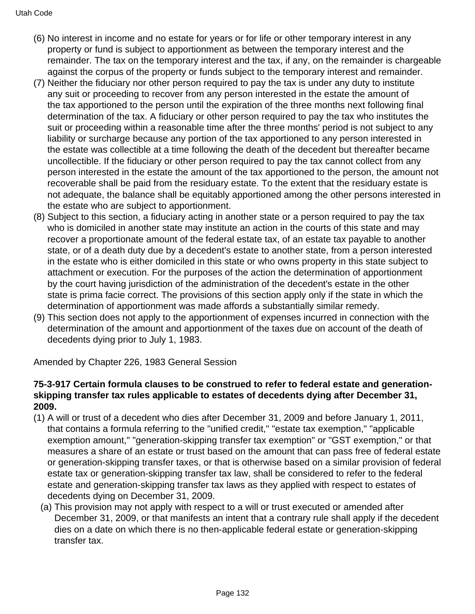- (6) No interest in income and no estate for years or for life or other temporary interest in any property or fund is subject to apportionment as between the temporary interest and the remainder. The tax on the temporary interest and the tax, if any, on the remainder is chargeable against the corpus of the property or funds subject to the temporary interest and remainder.
- (7) Neither the fiduciary nor other person required to pay the tax is under any duty to institute any suit or proceeding to recover from any person interested in the estate the amount of the tax apportioned to the person until the expiration of the three months next following final determination of the tax. A fiduciary or other person required to pay the tax who institutes the suit or proceeding within a reasonable time after the three months' period is not subject to any liability or surcharge because any portion of the tax apportioned to any person interested in the estate was collectible at a time following the death of the decedent but thereafter became uncollectible. If the fiduciary or other person required to pay the tax cannot collect from any person interested in the estate the amount of the tax apportioned to the person, the amount not recoverable shall be paid from the residuary estate. To the extent that the residuary estate is not adequate, the balance shall be equitably apportioned among the other persons interested in the estate who are subject to apportionment.
- (8) Subject to this section, a fiduciary acting in another state or a person required to pay the tax who is domiciled in another state may institute an action in the courts of this state and may recover a proportionate amount of the federal estate tax, of an estate tax payable to another state, or of a death duty due by a decedent's estate to another state, from a person interested in the estate who is either domiciled in this state or who owns property in this state subject to attachment or execution. For the purposes of the action the determination of apportionment by the court having jurisdiction of the administration of the decedent's estate in the other state is prima facie correct. The provisions of this section apply only if the state in which the determination of apportionment was made affords a substantially similar remedy.
- (9) This section does not apply to the apportionment of expenses incurred in connection with the determination of the amount and apportionment of the taxes due on account of the death of decedents dying prior to July 1, 1983.

Amended by Chapter 226, 1983 General Session

### **75-3-917 Certain formula clauses to be construed to refer to federal estate and generationskipping transfer tax rules applicable to estates of decedents dying after December 31, 2009.**

- (1) A will or trust of a decedent who dies after December 31, 2009 and before January 1, 2011, that contains a formula referring to the "unified credit," "estate tax exemption," "applicable exemption amount," "generation-skipping transfer tax exemption" or "GST exemption," or that measures a share of an estate or trust based on the amount that can pass free of federal estate or generation-skipping transfer taxes, or that is otherwise based on a similar provision of federal estate tax or generation-skipping transfer tax law, shall be considered to refer to the federal estate and generation-skipping transfer tax laws as they applied with respect to estates of decedents dying on December 31, 2009.
	- (a) This provision may not apply with respect to a will or trust executed or amended after December 31, 2009, or that manifests an intent that a contrary rule shall apply if the decedent dies on a date on which there is no then-applicable federal estate or generation-skipping transfer tax.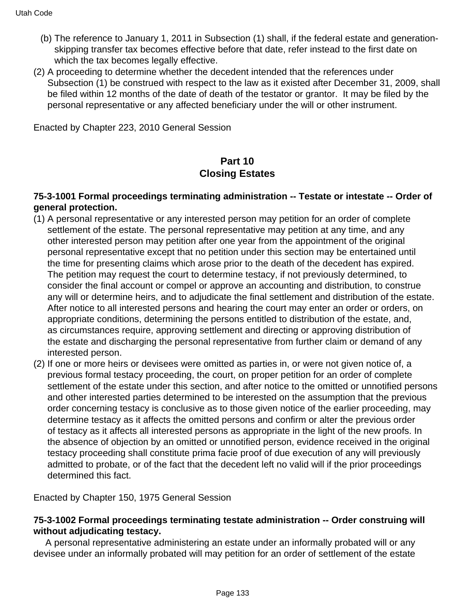- (b) The reference to January 1, 2011 in Subsection (1) shall, if the federal estate and generationskipping transfer tax becomes effective before that date, refer instead to the first date on which the tax becomes legally effective.
- (2) A proceeding to determine whether the decedent intended that the references under Subsection (1) be construed with respect to the law as it existed after December 31, 2009, shall be filed within 12 months of the date of death of the testator or grantor. It may be filed by the personal representative or any affected beneficiary under the will or other instrument.

Enacted by Chapter 223, 2010 General Session

# **Part 10 Closing Estates**

### **75-3-1001 Formal proceedings terminating administration -- Testate or intestate -- Order of general protection.**

- (1) A personal representative or any interested person may petition for an order of complete settlement of the estate. The personal representative may petition at any time, and any other interested person may petition after one year from the appointment of the original personal representative except that no petition under this section may be entertained until the time for presenting claims which arose prior to the death of the decedent has expired. The petition may request the court to determine testacy, if not previously determined, to consider the final account or compel or approve an accounting and distribution, to construe any will or determine heirs, and to adjudicate the final settlement and distribution of the estate. After notice to all interested persons and hearing the court may enter an order or orders, on appropriate conditions, determining the persons entitled to distribution of the estate, and, as circumstances require, approving settlement and directing or approving distribution of the estate and discharging the personal representative from further claim or demand of any interested person.
- (2) If one or more heirs or devisees were omitted as parties in, or were not given notice of, a previous formal testacy proceeding, the court, on proper petition for an order of complete settlement of the estate under this section, and after notice to the omitted or unnotified persons and other interested parties determined to be interested on the assumption that the previous order concerning testacy is conclusive as to those given notice of the earlier proceeding, may determine testacy as it affects the omitted persons and confirm or alter the previous order of testacy as it affects all interested persons as appropriate in the light of the new proofs. In the absence of objection by an omitted or unnotified person, evidence received in the original testacy proceeding shall constitute prima facie proof of due execution of any will previously admitted to probate, or of the fact that the decedent left no valid will if the prior proceedings determined this fact.

Enacted by Chapter 150, 1975 General Session

#### **75-3-1002 Formal proceedings terminating testate administration -- Order construing will without adjudicating testacy.**

 A personal representative administering an estate under an informally probated will or any devisee under an informally probated will may petition for an order of settlement of the estate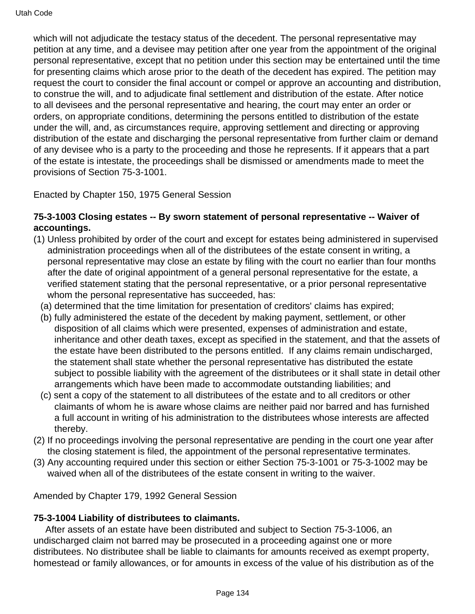which will not adjudicate the testacy status of the decedent. The personal representative may petition at any time, and a devisee may petition after one year from the appointment of the original personal representative, except that no petition under this section may be entertained until the time for presenting claims which arose prior to the death of the decedent has expired. The petition may request the court to consider the final account or compel or approve an accounting and distribution, to construe the will, and to adjudicate final settlement and distribution of the estate. After notice to all devisees and the personal representative and hearing, the court may enter an order or orders, on appropriate conditions, determining the persons entitled to distribution of the estate under the will, and, as circumstances require, approving settlement and directing or approving distribution of the estate and discharging the personal representative from further claim or demand of any devisee who is a party to the proceeding and those he represents. If it appears that a part of the estate is intestate, the proceedings shall be dismissed or amendments made to meet the provisions of Section 75-3-1001.

Enacted by Chapter 150, 1975 General Session

#### **75-3-1003 Closing estates -- By sworn statement of personal representative -- Waiver of accountings.**

- (1) Unless prohibited by order of the court and except for estates being administered in supervised administration proceedings when all of the distributees of the estate consent in writing, a personal representative may close an estate by filing with the court no earlier than four months after the date of original appointment of a general personal representative for the estate, a verified statement stating that the personal representative, or a prior personal representative whom the personal representative has succeeded, has:
	- (a) determined that the time limitation for presentation of creditors' claims has expired;
	- (b) fully administered the estate of the decedent by making payment, settlement, or other disposition of all claims which were presented, expenses of administration and estate, inheritance and other death taxes, except as specified in the statement, and that the assets of the estate have been distributed to the persons entitled. If any claims remain undischarged, the statement shall state whether the personal representative has distributed the estate subject to possible liability with the agreement of the distributees or it shall state in detail other arrangements which have been made to accommodate outstanding liabilities; and
	- (c) sent a copy of the statement to all distributees of the estate and to all creditors or other claimants of whom he is aware whose claims are neither paid nor barred and has furnished a full account in writing of his administration to the distributees whose interests are affected thereby.
- (2) If no proceedings involving the personal representative are pending in the court one year after the closing statement is filed, the appointment of the personal representative terminates.
- (3) Any accounting required under this section or either Section 75-3-1001 or 75-3-1002 may be waived when all of the distributees of the estate consent in writing to the waiver.

Amended by Chapter 179, 1992 General Session

#### **75-3-1004 Liability of distributees to claimants.**

 After assets of an estate have been distributed and subject to Section 75-3-1006, an undischarged claim not barred may be prosecuted in a proceeding against one or more distributees. No distributee shall be liable to claimants for amounts received as exempt property, homestead or family allowances, or for amounts in excess of the value of his distribution as of the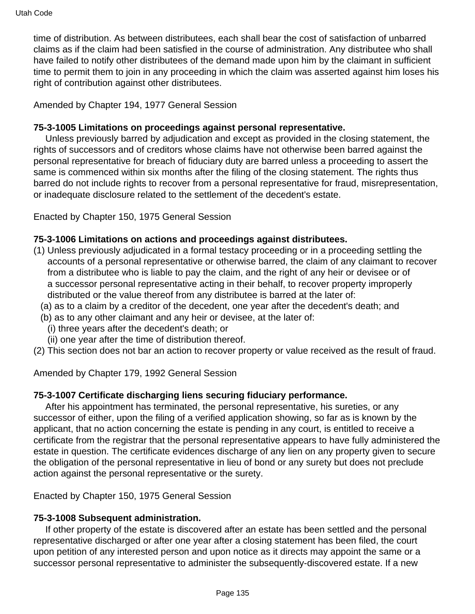time of distribution. As between distributees, each shall bear the cost of satisfaction of unbarred claims as if the claim had been satisfied in the course of administration. Any distributee who shall have failed to notify other distributees of the demand made upon him by the claimant in sufficient time to permit them to join in any proceeding in which the claim was asserted against him loses his right of contribution against other distributees.

Amended by Chapter 194, 1977 General Session

#### **75-3-1005 Limitations on proceedings against personal representative.**

 Unless previously barred by adjudication and except as provided in the closing statement, the rights of successors and of creditors whose claims have not otherwise been barred against the personal representative for breach of fiduciary duty are barred unless a proceeding to assert the same is commenced within six months after the filing of the closing statement. The rights thus barred do not include rights to recover from a personal representative for fraud, misrepresentation, or inadequate disclosure related to the settlement of the decedent's estate.

Enacted by Chapter 150, 1975 General Session

### **75-3-1006 Limitations on actions and proceedings against distributees.**

- (1) Unless previously adjudicated in a formal testacy proceeding or in a proceeding settling the accounts of a personal representative or otherwise barred, the claim of any claimant to recover from a distributee who is liable to pay the claim, and the right of any heir or devisee or of a successor personal representative acting in their behalf, to recover property improperly distributed or the value thereof from any distributee is barred at the later of:
	- (a) as to a claim by a creditor of the decedent, one year after the decedent's death; and
	- (b) as to any other claimant and any heir or devisee, at the later of:
	- (i) three years after the decedent's death; or
	- (ii) one year after the time of distribution thereof.
- (2) This section does not bar an action to recover property or value received as the result of fraud.

Amended by Chapter 179, 1992 General Session

#### **75-3-1007 Certificate discharging liens securing fiduciary performance.**

 After his appointment has terminated, the personal representative, his sureties, or any successor of either, upon the filing of a verified application showing, so far as is known by the applicant, that no action concerning the estate is pending in any court, is entitled to receive a certificate from the registrar that the personal representative appears to have fully administered the estate in question. The certificate evidences discharge of any lien on any property given to secure the obligation of the personal representative in lieu of bond or any surety but does not preclude action against the personal representative or the surety.

Enacted by Chapter 150, 1975 General Session

#### **75-3-1008 Subsequent administration.**

 If other property of the estate is discovered after an estate has been settled and the personal representative discharged or after one year after a closing statement has been filed, the court upon petition of any interested person and upon notice as it directs may appoint the same or a successor personal representative to administer the subsequently-discovered estate. If a new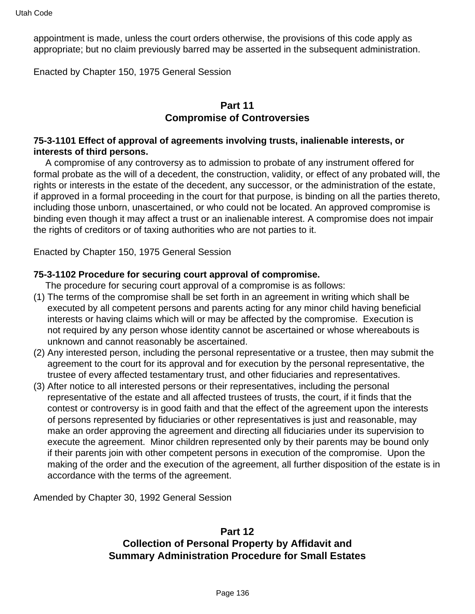appointment is made, unless the court orders otherwise, the provisions of this code apply as appropriate; but no claim previously barred may be asserted in the subsequent administration.

Enacted by Chapter 150, 1975 General Session

# **Part 11 Compromise of Controversies**

#### **75-3-1101 Effect of approval of agreements involving trusts, inalienable interests, or interests of third persons.**

 A compromise of any controversy as to admission to probate of any instrument offered for formal probate as the will of a decedent, the construction, validity, or effect of any probated will, the rights or interests in the estate of the decedent, any successor, or the administration of the estate, if approved in a formal proceeding in the court for that purpose, is binding on all the parties thereto, including those unborn, unascertained, or who could not be located. An approved compromise is binding even though it may affect a trust or an inalienable interest. A compromise does not impair the rights of creditors or of taxing authorities who are not parties to it.

Enacted by Chapter 150, 1975 General Session

#### **75-3-1102 Procedure for securing court approval of compromise.**

The procedure for securing court approval of a compromise is as follows:

- (1) The terms of the compromise shall be set forth in an agreement in writing which shall be executed by all competent persons and parents acting for any minor child having beneficial interests or having claims which will or may be affected by the compromise. Execution is not required by any person whose identity cannot be ascertained or whose whereabouts is unknown and cannot reasonably be ascertained.
- (2) Any interested person, including the personal representative or a trustee, then may submit the agreement to the court for its approval and for execution by the personal representative, the trustee of every affected testamentary trust, and other fiduciaries and representatives.
- (3) After notice to all interested persons or their representatives, including the personal representative of the estate and all affected trustees of trusts, the court, if it finds that the contest or controversy is in good faith and that the effect of the agreement upon the interests of persons represented by fiduciaries or other representatives is just and reasonable, may make an order approving the agreement and directing all fiduciaries under its supervision to execute the agreement. Minor children represented only by their parents may be bound only if their parents join with other competent persons in execution of the compromise. Upon the making of the order and the execution of the agreement, all further disposition of the estate is in accordance with the terms of the agreement.

Amended by Chapter 30, 1992 General Session

#### **Part 12**

# **Collection of Personal Property by Affidavit and Summary Administration Procedure for Small Estates**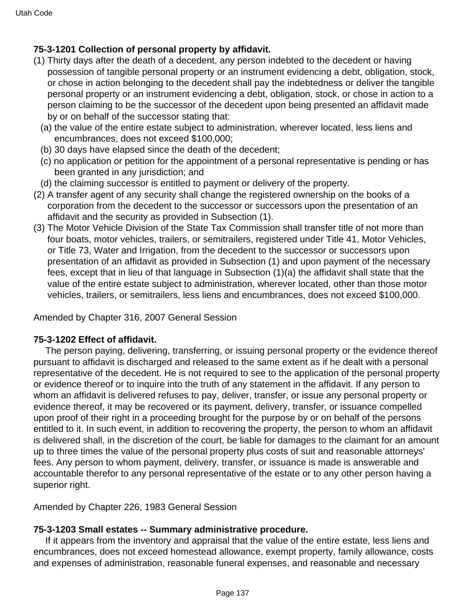# **75-3-1201 Collection of personal property by affidavit.**

- (1) Thirty days after the death of a decedent, any person indebted to the decedent or having possession of tangible personal property or an instrument evidencing a debt, obligation, stock, or chose in action belonging to the decedent shall pay the indebtedness or deliver the tangible personal property or an instrument evidencing a debt, obligation, stock, or chose in action to a person claiming to be the successor of the decedent upon being presented an affidavit made by or on behalf of the successor stating that:
	- (a) the value of the entire estate subject to administration, wherever located, less liens and encumbrances, does not exceed \$100,000;
	- (b) 30 days have elapsed since the death of the decedent;
	- (c) no application or petition for the appointment of a personal representative is pending or has been granted in any jurisdiction; and
- (d) the claiming successor is entitled to payment or delivery of the property.
- (2) A transfer agent of any security shall change the registered ownership on the books of a corporation from the decedent to the successor or successors upon the presentation of an affidavit and the security as provided in Subsection (1).
- (3) The Motor Vehicle Division of the State Tax Commission shall transfer title of not more than four boats, motor vehicles, trailers, or semitrailers, registered under Title 41, Motor Vehicles, or Title 73, Water and Irrigation, from the decedent to the successor or successors upon presentation of an affidavit as provided in Subsection (1) and upon payment of the necessary fees, except that in lieu of that language in Subsection (1)(a) the affidavit shall state that the value of the entire estate subject to administration, wherever located, other than those motor vehicles, trailers, or semitrailers, less liens and encumbrances, does not exceed \$100,000.

Amended by Chapter 316, 2007 General Session

#### **75-3-1202 Effect of affidavit.**

 The person paying, delivering, transferring, or issuing personal property or the evidence thereof pursuant to affidavit is discharged and released to the same extent as if he dealt with a personal representative of the decedent. He is not required to see to the application of the personal property or evidence thereof or to inquire into the truth of any statement in the affidavit. If any person to whom an affidavit is delivered refuses to pay, deliver, transfer, or issue any personal property or evidence thereof, it may be recovered or its payment, delivery, transfer, or issuance compelled upon proof of their right in a proceeding brought for the purpose by or on behalf of the persons entitled to it. In such event, in addition to recovering the property, the person to whom an affidavit is delivered shall, in the discretion of the court, be liable for damages to the claimant for an amount up to three times the value of the personal property plus costs of suit and reasonable attorneys' fees. Any person to whom payment, delivery, transfer, or issuance is made is answerable and accountable therefor to any personal representative of the estate or to any other person having a superior right.

Amended by Chapter 226, 1983 General Session

# **75-3-1203 Small estates -- Summary administrative procedure.**

 If it appears from the inventory and appraisal that the value of the entire estate, less liens and encumbrances, does not exceed homestead allowance, exempt property, family allowance, costs and expenses of administration, reasonable funeral expenses, and reasonable and necessary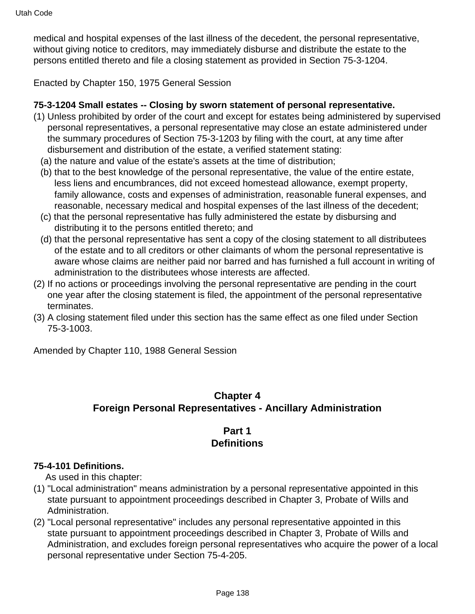medical and hospital expenses of the last illness of the decedent, the personal representative, without giving notice to creditors, may immediately disburse and distribute the estate to the persons entitled thereto and file a closing statement as provided in Section 75-3-1204.

Enacted by Chapter 150, 1975 General Session

#### **75-3-1204 Small estates -- Closing by sworn statement of personal representative.**

- (1) Unless prohibited by order of the court and except for estates being administered by supervised personal representatives, a personal representative may close an estate administered under the summary procedures of Section 75-3-1203 by filing with the court, at any time after disbursement and distribution of the estate, a verified statement stating:
	- (a) the nature and value of the estate's assets at the time of distribution;
	- (b) that to the best knowledge of the personal representative, the value of the entire estate, less liens and encumbrances, did not exceed homestead allowance, exempt property, family allowance, costs and expenses of administration, reasonable funeral expenses, and reasonable, necessary medical and hospital expenses of the last illness of the decedent;
	- (c) that the personal representative has fully administered the estate by disbursing and distributing it to the persons entitled thereto; and
	- (d) that the personal representative has sent a copy of the closing statement to all distributees of the estate and to all creditors or other claimants of whom the personal representative is aware whose claims are neither paid nor barred and has furnished a full account in writing of administration to the distributees whose interests are affected.
- (2) If no actions or proceedings involving the personal representative are pending in the court one year after the closing statement is filed, the appointment of the personal representative terminates.
- (3) A closing statement filed under this section has the same effect as one filed under Section 75-3-1003.

Amended by Chapter 110, 1988 General Session

# **Chapter 4 Foreign Personal Representatives - Ancillary Administration**

# **Part 1 Definitions**

#### **75-4-101 Definitions.**

As used in this chapter:

- (1) "Local administration" means administration by a personal representative appointed in this state pursuant to appointment proceedings described in Chapter 3, Probate of Wills and Administration.
- (2) "Local personal representative" includes any personal representative appointed in this state pursuant to appointment proceedings described in Chapter 3, Probate of Wills and Administration, and excludes foreign personal representatives who acquire the power of a local personal representative under Section 75-4-205.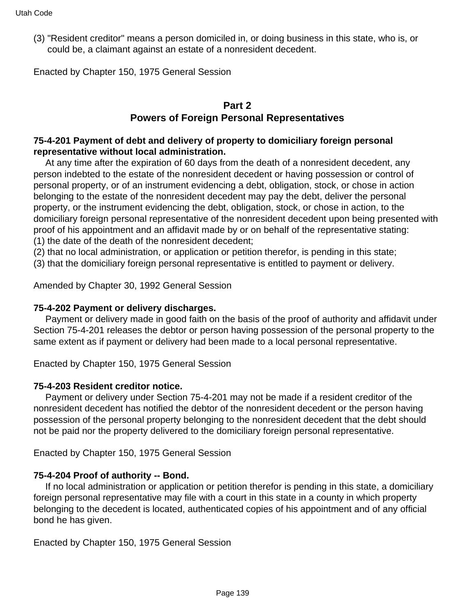(3) "Resident creditor" means a person domiciled in, or doing business in this state, who is, or could be, a claimant against an estate of a nonresident decedent.

Enacted by Chapter 150, 1975 General Session

# **Part 2 Powers of Foreign Personal Representatives**

#### **75-4-201 Payment of debt and delivery of property to domiciliary foreign personal representative without local administration.**

 At any time after the expiration of 60 days from the death of a nonresident decedent, any person indebted to the estate of the nonresident decedent or having possession or control of personal property, or of an instrument evidencing a debt, obligation, stock, or chose in action belonging to the estate of the nonresident decedent may pay the debt, deliver the personal property, or the instrument evidencing the debt, obligation, stock, or chose in action, to the domiciliary foreign personal representative of the nonresident decedent upon being presented with proof of his appointment and an affidavit made by or on behalf of the representative stating: (1) the date of the death of the nonresident decedent;

(2) that no local administration, or application or petition therefor, is pending in this state;

(3) that the domiciliary foreign personal representative is entitled to payment or delivery.

Amended by Chapter 30, 1992 General Session

#### **75-4-202 Payment or delivery discharges.**

 Payment or delivery made in good faith on the basis of the proof of authority and affidavit under Section 75-4-201 releases the debtor or person having possession of the personal property to the same extent as if payment or delivery had been made to a local personal representative.

Enacted by Chapter 150, 1975 General Session

#### **75-4-203 Resident creditor notice.**

 Payment or delivery under Section 75-4-201 may not be made if a resident creditor of the nonresident decedent has notified the debtor of the nonresident decedent or the person having possession of the personal property belonging to the nonresident decedent that the debt should not be paid nor the property delivered to the domiciliary foreign personal representative.

#### Enacted by Chapter 150, 1975 General Session

#### **75-4-204 Proof of authority -- Bond.**

 If no local administration or application or petition therefor is pending in this state, a domiciliary foreign personal representative may file with a court in this state in a county in which property belonging to the decedent is located, authenticated copies of his appointment and of any official bond he has given.

Enacted by Chapter 150, 1975 General Session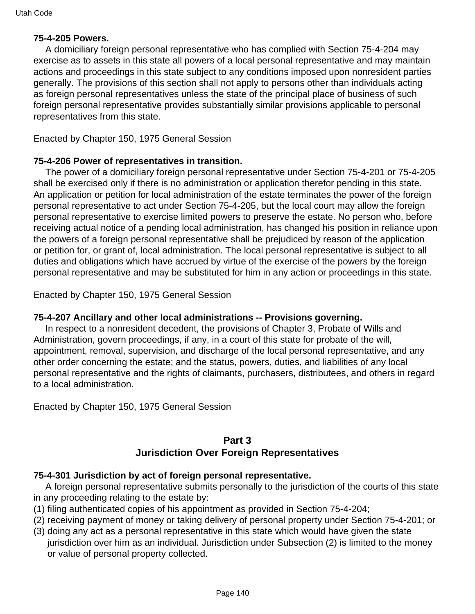#### **75-4-205 Powers.**

 A domiciliary foreign personal representative who has complied with Section 75-4-204 may exercise as to assets in this state all powers of a local personal representative and may maintain actions and proceedings in this state subject to any conditions imposed upon nonresident parties generally. The provisions of this section shall not apply to persons other than individuals acting as foreign personal representatives unless the state of the principal place of business of such foreign personal representative provides substantially similar provisions applicable to personal representatives from this state.

Enacted by Chapter 150, 1975 General Session

#### **75-4-206 Power of representatives in transition.**

 The power of a domiciliary foreign personal representative under Section 75-4-201 or 75-4-205 shall be exercised only if there is no administration or application therefor pending in this state. An application or petition for local administration of the estate terminates the power of the foreign personal representative to act under Section 75-4-205, but the local court may allow the foreign personal representative to exercise limited powers to preserve the estate. No person who, before receiving actual notice of a pending local administration, has changed his position in reliance upon the powers of a foreign personal representative shall be prejudiced by reason of the application or petition for, or grant of, local administration. The local personal representative is subject to all duties and obligations which have accrued by virtue of the exercise of the powers by the foreign personal representative and may be substituted for him in any action or proceedings in this state.

Enacted by Chapter 150, 1975 General Session

#### **75-4-207 Ancillary and other local administrations -- Provisions governing.**

 In respect to a nonresident decedent, the provisions of Chapter 3, Probate of Wills and Administration, govern proceedings, if any, in a court of this state for probate of the will, appointment, removal, supervision, and discharge of the local personal representative, and any other order concerning the estate; and the status, powers, duties, and liabilities of any local personal representative and the rights of claimants, purchasers, distributees, and others in regard to a local administration.

Enacted by Chapter 150, 1975 General Session

# **Part 3 Jurisdiction Over Foreign Representatives**

#### **75-4-301 Jurisdiction by act of foreign personal representative.**

 A foreign personal representative submits personally to the jurisdiction of the courts of this state in any proceeding relating to the estate by:

- (1) filing authenticated copies of his appointment as provided in Section 75-4-204;
- (2) receiving payment of money or taking delivery of personal property under Section 75-4-201; or
- (3) doing any act as a personal representative in this state which would have given the state jurisdiction over him as an individual. Jurisdiction under Subsection (2) is limited to the money or value of personal property collected.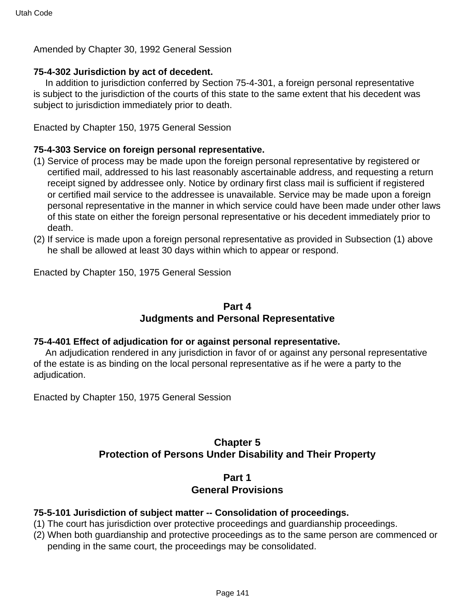Amended by Chapter 30, 1992 General Session

#### **75-4-302 Jurisdiction by act of decedent.**

 In addition to jurisdiction conferred by Section 75-4-301, a foreign personal representative is subject to the jurisdiction of the courts of this state to the same extent that his decedent was subject to jurisdiction immediately prior to death.

Enacted by Chapter 150, 1975 General Session

#### **75-4-303 Service on foreign personal representative.**

- (1) Service of process may be made upon the foreign personal representative by registered or certified mail, addressed to his last reasonably ascertainable address, and requesting a return receipt signed by addressee only. Notice by ordinary first class mail is sufficient if registered or certified mail service to the addressee is unavailable. Service may be made upon a foreign personal representative in the manner in which service could have been made under other laws of this state on either the foreign personal representative or his decedent immediately prior to death.
- (2) If service is made upon a foreign personal representative as provided in Subsection (1) above he shall be allowed at least 30 days within which to appear or respond.

Enacted by Chapter 150, 1975 General Session

#### **Part 4**

#### **Judgments and Personal Representative**

#### **75-4-401 Effect of adjudication for or against personal representative.**

 An adjudication rendered in any jurisdiction in favor of or against any personal representative of the estate is as binding on the local personal representative as if he were a party to the adjudication.

Enacted by Chapter 150, 1975 General Session

# **Chapter 5 Protection of Persons Under Disability and Their Property**

### **Part 1 General Provisions**

#### **75-5-101 Jurisdiction of subject matter -- Consolidation of proceedings.**

- (1) The court has jurisdiction over protective proceedings and guardianship proceedings.
- (2) When both guardianship and protective proceedings as to the same person are commenced or pending in the same court, the proceedings may be consolidated.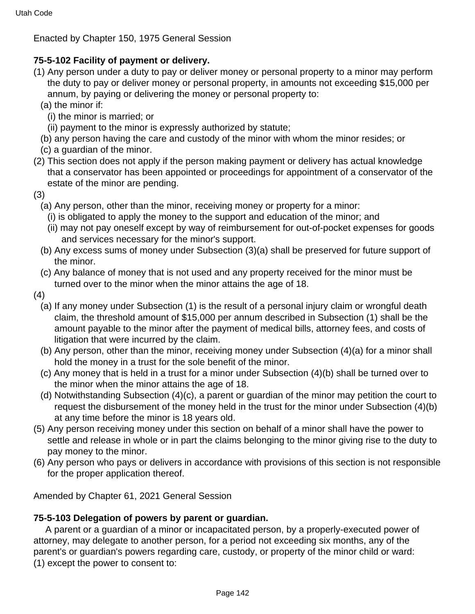Enacted by Chapter 150, 1975 General Session

# **75-5-102 Facility of payment or delivery.**

- (1) Any person under a duty to pay or deliver money or personal property to a minor may perform the duty to pay or deliver money or personal property, in amounts not exceeding \$15,000 per annum, by paying or delivering the money or personal property to:
	- (a) the minor if:
		- (i) the minor is married; or
		- (ii) payment to the minor is expressly authorized by statute;
	- (b) any person having the care and custody of the minor with whom the minor resides; or
	- (c) a guardian of the minor.
- (2) This section does not apply if the person making payment or delivery has actual knowledge that a conservator has been appointed or proceedings for appointment of a conservator of the estate of the minor are pending.
- (3)
	- (a) Any person, other than the minor, receiving money or property for a minor:
		- (i) is obligated to apply the money to the support and education of the minor; and
		- (ii) may not pay oneself except by way of reimbursement for out-of-pocket expenses for goods and services necessary for the minor's support.
	- (b) Any excess sums of money under Subsection (3)(a) shall be preserved for future support of the minor.
	- (c) Any balance of money that is not used and any property received for the minor must be turned over to the minor when the minor attains the age of 18.
- (4)
	- (a) If any money under Subsection (1) is the result of a personal injury claim or wrongful death claim, the threshold amount of \$15,000 per annum described in Subsection (1) shall be the amount payable to the minor after the payment of medical bills, attorney fees, and costs of litigation that were incurred by the claim.
	- (b) Any person, other than the minor, receiving money under Subsection (4)(a) for a minor shall hold the money in a trust for the sole benefit of the minor.
	- (c) Any money that is held in a trust for a minor under Subsection (4)(b) shall be turned over to the minor when the minor attains the age of 18.
	- (d) Notwithstanding Subsection (4)(c), a parent or guardian of the minor may petition the court to request the disbursement of the money held in the trust for the minor under Subsection (4)(b) at any time before the minor is 18 years old.
- (5) Any person receiving money under this section on behalf of a minor shall have the power to settle and release in whole or in part the claims belonging to the minor giving rise to the duty to pay money to the minor.
- (6) Any person who pays or delivers in accordance with provisions of this section is not responsible for the proper application thereof.

Amended by Chapter 61, 2021 General Session

# **75-5-103 Delegation of powers by parent or guardian.**

 A parent or a guardian of a minor or incapacitated person, by a properly-executed power of attorney, may delegate to another person, for a period not exceeding six months, any of the parent's or guardian's powers regarding care, custody, or property of the minor child or ward: (1) except the power to consent to: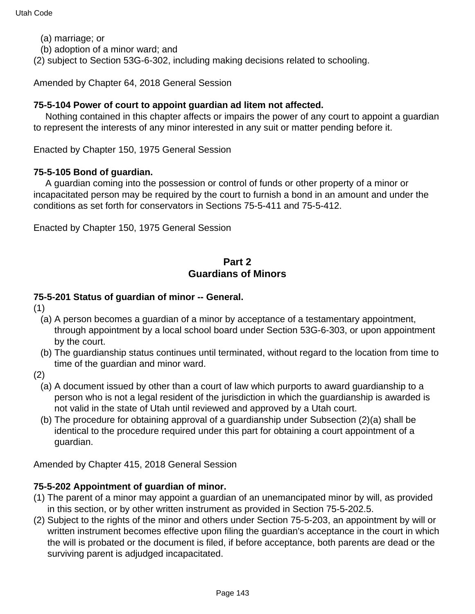(a) marriage; or

(b) adoption of a minor ward; and

(2) subject to Section 53G-6-302, including making decisions related to schooling.

Amended by Chapter 64, 2018 General Session

### **75-5-104 Power of court to appoint guardian ad litem not affected.**

 Nothing contained in this chapter affects or impairs the power of any court to appoint a guardian to represent the interests of any minor interested in any suit or matter pending before it.

Enacted by Chapter 150, 1975 General Session

### **75-5-105 Bond of guardian.**

 A guardian coming into the possession or control of funds or other property of a minor or incapacitated person may be required by the court to furnish a bond in an amount and under the conditions as set forth for conservators in Sections 75-5-411 and 75-5-412.

Enacted by Chapter 150, 1975 General Session

# **Part 2 Guardians of Minors**

### **75-5-201 Status of guardian of minor -- General.**

(1)

- (a) A person becomes a guardian of a minor by acceptance of a testamentary appointment, through appointment by a local school board under Section 53G-6-303, or upon appointment by the court.
- (b) The guardianship status continues until terminated, without regard to the location from time to time of the guardian and minor ward.

(2)

- (a) A document issued by other than a court of law which purports to award guardianship to a person who is not a legal resident of the jurisdiction in which the guardianship is awarded is not valid in the state of Utah until reviewed and approved by a Utah court.
- (b) The procedure for obtaining approval of a guardianship under Subsection (2)(a) shall be identical to the procedure required under this part for obtaining a court appointment of a guardian.

Amended by Chapter 415, 2018 General Session

# **75-5-202 Appointment of guardian of minor.**

- (1) The parent of a minor may appoint a guardian of an unemancipated minor by will, as provided in this section, or by other written instrument as provided in Section 75-5-202.5.
- (2) Subject to the rights of the minor and others under Section 75-5-203, an appointment by will or written instrument becomes effective upon filing the guardian's acceptance in the court in which the will is probated or the document is filed, if before acceptance, both parents are dead or the surviving parent is adjudged incapacitated.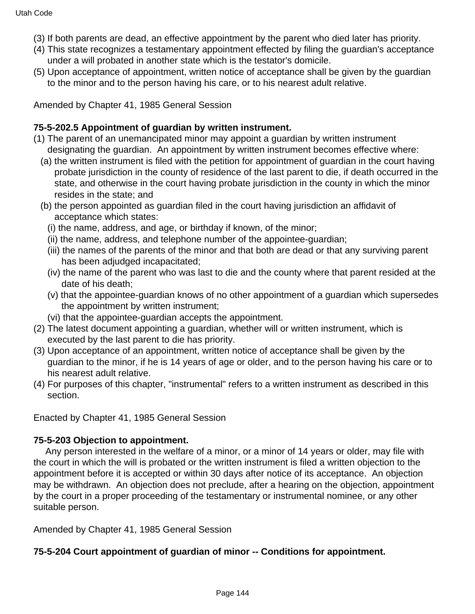- (3) If both parents are dead, an effective appointment by the parent who died later has priority.
- (4) This state recognizes a testamentary appointment effected by filing the guardian's acceptance under a will probated in another state which is the testator's domicile.
- (5) Upon acceptance of appointment, written notice of acceptance shall be given by the guardian to the minor and to the person having his care, or to his nearest adult relative.

Amended by Chapter 41, 1985 General Session

#### **75-5-202.5 Appointment of guardian by written instrument.**

- (1) The parent of an unemancipated minor may appoint a guardian by written instrument designating the guardian. An appointment by written instrument becomes effective where:
	- (a) the written instrument is filed with the petition for appointment of guardian in the court having probate jurisdiction in the county of residence of the last parent to die, if death occurred in the state, and otherwise in the court having probate jurisdiction in the county in which the minor resides in the state; and
	- (b) the person appointed as guardian filed in the court having jurisdiction an affidavit of acceptance which states:
		- (i) the name, address, and age, or birthday if known, of the minor;
		- (ii) the name, address, and telephone number of the appointee-guardian;
		- (iii) the names of the parents of the minor and that both are dead or that any surviving parent has been adjudged incapacitated;
		- (iv) the name of the parent who was last to die and the county where that parent resided at the date of his death;
		- (v) that the appointee-guardian knows of no other appointment of a guardian which supersedes the appointment by written instrument;
	- (vi) that the appointee-guardian accepts the appointment.
- (2) The latest document appointing a guardian, whether will or written instrument, which is executed by the last parent to die has priority.
- (3) Upon acceptance of an appointment, written notice of acceptance shall be given by the guardian to the minor, if he is 14 years of age or older, and to the person having his care or to his nearest adult relative.
- (4) For purposes of this chapter, "instrumental" refers to a written instrument as described in this section.

Enacted by Chapter 41, 1985 General Session

#### **75-5-203 Objection to appointment.**

 Any person interested in the welfare of a minor, or a minor of 14 years or older, may file with the court in which the will is probated or the written instrument is filed a written objection to the appointment before it is accepted or within 30 days after notice of its acceptance. An objection may be withdrawn. An objection does not preclude, after a hearing on the objection, appointment by the court in a proper proceeding of the testamentary or instrumental nominee, or any other suitable person.

Amended by Chapter 41, 1985 General Session

# **75-5-204 Court appointment of guardian of minor -- Conditions for appointment.**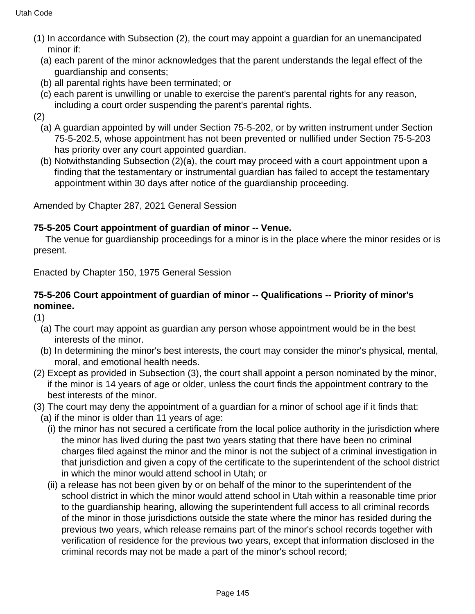- (1) In accordance with Subsection (2), the court may appoint a guardian for an unemancipated minor if:
	- (a) each parent of the minor acknowledges that the parent understands the legal effect of the guardianship and consents;
	- (b) all parental rights have been terminated; or
	- (c) each parent is unwilling or unable to exercise the parent's parental rights for any reason, including a court order suspending the parent's parental rights.
- (2)
	- (a) A guardian appointed by will under Section 75-5-202, or by written instrument under Section 75-5-202.5, whose appointment has not been prevented or nullified under Section 75-5-203 has priority over any court appointed guardian.
	- (b) Notwithstanding Subsection (2)(a), the court may proceed with a court appointment upon a finding that the testamentary or instrumental guardian has failed to accept the testamentary appointment within 30 days after notice of the guardianship proceeding.

Amended by Chapter 287, 2021 General Session

## **75-5-205 Court appointment of guardian of minor -- Venue.**

 The venue for guardianship proceedings for a minor is in the place where the minor resides or is present.

Enacted by Chapter 150, 1975 General Session

## **75-5-206 Court appointment of guardian of minor -- Qualifications -- Priority of minor's nominee.**

(1)

- (a) The court may appoint as guardian any person whose appointment would be in the best interests of the minor.
- (b) In determining the minor's best interests, the court may consider the minor's physical, mental, moral, and emotional health needs.
- (2) Except as provided in Subsection (3), the court shall appoint a person nominated by the minor, if the minor is 14 years of age or older, unless the court finds the appointment contrary to the best interests of the minor.
- (3) The court may deny the appointment of a guardian for a minor of school age if it finds that:
- (a) if the minor is older than 11 years of age:
	- (i) the minor has not secured a certificate from the local police authority in the jurisdiction where the minor has lived during the past two years stating that there have been no criminal charges filed against the minor and the minor is not the subject of a criminal investigation in that jurisdiction and given a copy of the certificate to the superintendent of the school district in which the minor would attend school in Utah; or
	- (ii) a release has not been given by or on behalf of the minor to the superintendent of the school district in which the minor would attend school in Utah within a reasonable time prior to the guardianship hearing, allowing the superintendent full access to all criminal records of the minor in those jurisdictions outside the state where the minor has resided during the previous two years, which release remains part of the minor's school records together with verification of residence for the previous two years, except that information disclosed in the criminal records may not be made a part of the minor's school record;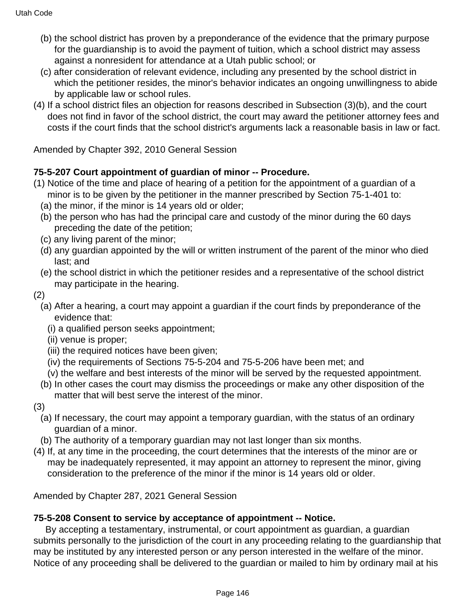- (b) the school district has proven by a preponderance of the evidence that the primary purpose for the guardianship is to avoid the payment of tuition, which a school district may assess against a nonresident for attendance at a Utah public school; or
- (c) after consideration of relevant evidence, including any presented by the school district in which the petitioner resides, the minor's behavior indicates an ongoing unwillingness to abide by applicable law or school rules.
- (4) If a school district files an objection for reasons described in Subsection (3)(b), and the court does not find in favor of the school district, the court may award the petitioner attorney fees and costs if the court finds that the school district's arguments lack a reasonable basis in law or fact.

Amended by Chapter 392, 2010 General Session

## **75-5-207 Court appointment of guardian of minor -- Procedure.**

- (1) Notice of the time and place of hearing of a petition for the appointment of a guardian of a minor is to be given by the petitioner in the manner prescribed by Section 75-1-401 to:
	- (a) the minor, if the minor is 14 years old or older;
	- (b) the person who has had the principal care and custody of the minor during the 60 days preceding the date of the petition;
	- (c) any living parent of the minor;
	- (d) any guardian appointed by the will or written instrument of the parent of the minor who died last; and
	- (e) the school district in which the petitioner resides and a representative of the school district may participate in the hearing.
- (2)
	- (a) After a hearing, a court may appoint a guardian if the court finds by preponderance of the evidence that:
		- (i) a qualified person seeks appointment;
		- (ii) venue is proper;
		- (iii) the required notices have been given;
		- (iv) the requirements of Sections 75-5-204 and 75-5-206 have been met; and
		- (v) the welfare and best interests of the minor will be served by the requested appointment.
	- (b) In other cases the court may dismiss the proceedings or make any other disposition of the matter that will best serve the interest of the minor.
- (3)
	- (a) If necessary, the court may appoint a temporary guardian, with the status of an ordinary guardian of a minor.
	- (b) The authority of a temporary guardian may not last longer than six months.
- (4) If, at any time in the proceeding, the court determines that the interests of the minor are or may be inadequately represented, it may appoint an attorney to represent the minor, giving consideration to the preference of the minor if the minor is 14 years old or older.

Amended by Chapter 287, 2021 General Session

## **75-5-208 Consent to service by acceptance of appointment -- Notice.**

 By accepting a testamentary, instrumental, or court appointment as guardian, a guardian submits personally to the jurisdiction of the court in any proceeding relating to the guardianship that may be instituted by any interested person or any person interested in the welfare of the minor. Notice of any proceeding shall be delivered to the guardian or mailed to him by ordinary mail at his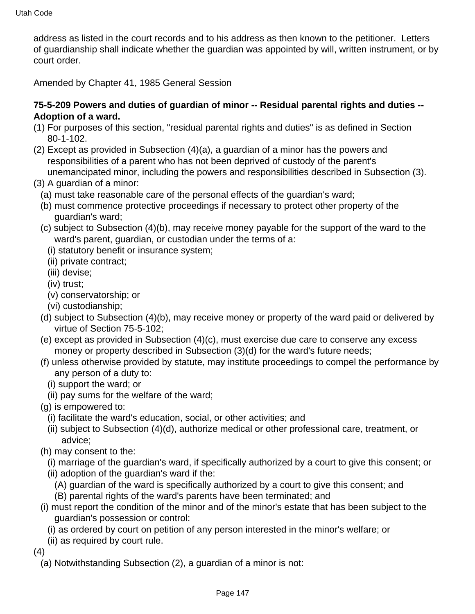address as listed in the court records and to his address as then known to the petitioner. Letters of guardianship shall indicate whether the guardian was appointed by will, written instrument, or by court order.

Amended by Chapter 41, 1985 General Session

## **75-5-209 Powers and duties of guardian of minor -- Residual parental rights and duties -- Adoption of a ward.**

- (1) For purposes of this section, "residual parental rights and duties" is as defined in Section 80-1-102.
- (2) Except as provided in Subsection (4)(a), a guardian of a minor has the powers and responsibilities of a parent who has not been deprived of custody of the parent's unemancipated minor, including the powers and responsibilities described in Subsection (3).
- (3) A guardian of a minor:
	- (a) must take reasonable care of the personal effects of the guardian's ward;
	- (b) must commence protective proceedings if necessary to protect other property of the guardian's ward;
	- (c) subject to Subsection (4)(b), may receive money payable for the support of the ward to the ward's parent, guardian, or custodian under the terms of a:
		- (i) statutory benefit or insurance system;
		- (ii) private contract;
		- (iii) devise;
		- (iv) trust;
		- (v) conservatorship; or
		- (vi) custodianship;
	- (d) subject to Subsection (4)(b), may receive money or property of the ward paid or delivered by virtue of Section 75-5-102;
	- (e) except as provided in Subsection (4)(c), must exercise due care to conserve any excess money or property described in Subsection (3)(d) for the ward's future needs;
	- (f) unless otherwise provided by statute, may institute proceedings to compel the performance by any person of a duty to:
		- (i) support the ward; or
		- (ii) pay sums for the welfare of the ward;
	- (g) is empowered to:
		- (i) facilitate the ward's education, social, or other activities; and
		- (ii) subject to Subsection (4)(d), authorize medical or other professional care, treatment, or advice;
	- (h) may consent to the:
		- (i) marriage of the guardian's ward, if specifically authorized by a court to give this consent; or
		- (ii) adoption of the guardian's ward if the:
			- (A) guardian of the ward is specifically authorized by a court to give this consent; and
			- (B) parental rights of the ward's parents have been terminated; and
	- (i) must report the condition of the minor and of the minor's estate that has been subject to the guardian's possession or control:
		- (i) as ordered by court on petition of any person interested in the minor's welfare; or
		- (ii) as required by court rule.
- (4)
	- (a) Notwithstanding Subsection (2), a guardian of a minor is not: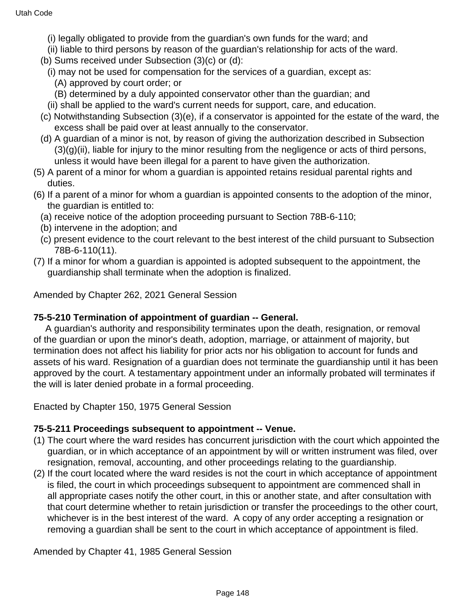- (i) legally obligated to provide from the guardian's own funds for the ward; and
- (ii) liable to third persons by reason of the guardian's relationship for acts of the ward.
- (b) Sums received under Subsection (3)(c) or (d):
	- (i) may not be used for compensation for the services of a guardian, except as:
		- (A) approved by court order; or
		- (B) determined by a duly appointed conservator other than the guardian; and
	- (ii) shall be applied to the ward's current needs for support, care, and education.
- (c) Notwithstanding Subsection (3)(e), if a conservator is appointed for the estate of the ward, the excess shall be paid over at least annually to the conservator.
- (d) A guardian of a minor is not, by reason of giving the authorization described in Subsection  $(3)(q)(ii)$ , liable for injury to the minor resulting from the negligence or acts of third persons, unless it would have been illegal for a parent to have given the authorization.
- (5) A parent of a minor for whom a guardian is appointed retains residual parental rights and duties.
- (6) If a parent of a minor for whom a guardian is appointed consents to the adoption of the minor, the guardian is entitled to:
	- (a) receive notice of the adoption proceeding pursuant to Section 78B-6-110;
	- (b) intervene in the adoption; and
	- (c) present evidence to the court relevant to the best interest of the child pursuant to Subsection 78B-6-110(11).
- (7) If a minor for whom a guardian is appointed is adopted subsequent to the appointment, the guardianship shall terminate when the adoption is finalized.

Amended by Chapter 262, 2021 General Session

### **75-5-210 Termination of appointment of guardian -- General.**

 A guardian's authority and responsibility terminates upon the death, resignation, or removal of the guardian or upon the minor's death, adoption, marriage, or attainment of majority, but termination does not affect his liability for prior acts nor his obligation to account for funds and assets of his ward. Resignation of a guardian does not terminate the guardianship until it has been approved by the court. A testamentary appointment under an informally probated will terminates if the will is later denied probate in a formal proceeding.

Enacted by Chapter 150, 1975 General Session

### **75-5-211 Proceedings subsequent to appointment -- Venue.**

- (1) The court where the ward resides has concurrent jurisdiction with the court which appointed the guardian, or in which acceptance of an appointment by will or written instrument was filed, over resignation, removal, accounting, and other proceedings relating to the guardianship.
- (2) If the court located where the ward resides is not the court in which acceptance of appointment is filed, the court in which proceedings subsequent to appointment are commenced shall in all appropriate cases notify the other court, in this or another state, and after consultation with that court determine whether to retain jurisdiction or transfer the proceedings to the other court, whichever is in the best interest of the ward. A copy of any order accepting a resignation or removing a guardian shall be sent to the court in which acceptance of appointment is filed.

Amended by Chapter 41, 1985 General Session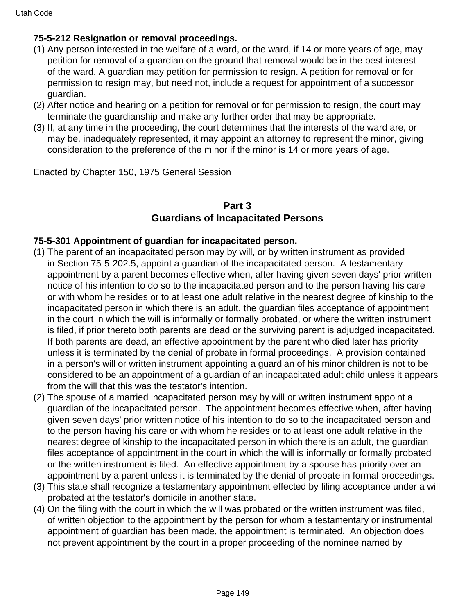## **75-5-212 Resignation or removal proceedings.**

- (1) Any person interested in the welfare of a ward, or the ward, if 14 or more years of age, may petition for removal of a guardian on the ground that removal would be in the best interest of the ward. A guardian may petition for permission to resign. A petition for removal or for permission to resign may, but need not, include a request for appointment of a successor guardian.
- (2) After notice and hearing on a petition for removal or for permission to resign, the court may terminate the guardianship and make any further order that may be appropriate.
- (3) If, at any time in the proceeding, the court determines that the interests of the ward are, or may be, inadequately represented, it may appoint an attorney to represent the minor, giving consideration to the preference of the minor if the minor is 14 or more years of age.

Enacted by Chapter 150, 1975 General Session

#### **Part 3**

## **Guardians of Incapacitated Persons**

#### **75-5-301 Appointment of guardian for incapacitated person.**

- (1) The parent of an incapacitated person may by will, or by written instrument as provided in Section 75-5-202.5, appoint a guardian of the incapacitated person. A testamentary appointment by a parent becomes effective when, after having given seven days' prior written notice of his intention to do so to the incapacitated person and to the person having his care or with whom he resides or to at least one adult relative in the nearest degree of kinship to the incapacitated person in which there is an adult, the guardian files acceptance of appointment in the court in which the will is informally or formally probated, or where the written instrument is filed, if prior thereto both parents are dead or the surviving parent is adjudged incapacitated. If both parents are dead, an effective appointment by the parent who died later has priority unless it is terminated by the denial of probate in formal proceedings. A provision contained in a person's will or written instrument appointing a guardian of his minor children is not to be considered to be an appointment of a guardian of an incapacitated adult child unless it appears from the will that this was the testator's intention.
- (2) The spouse of a married incapacitated person may by will or written instrument appoint a guardian of the incapacitated person. The appointment becomes effective when, after having given seven days' prior written notice of his intention to do so to the incapacitated person and to the person having his care or with whom he resides or to at least one adult relative in the nearest degree of kinship to the incapacitated person in which there is an adult, the guardian files acceptance of appointment in the court in which the will is informally or formally probated or the written instrument is filed. An effective appointment by a spouse has priority over an appointment by a parent unless it is terminated by the denial of probate in formal proceedings.
- (3) This state shall recognize a testamentary appointment effected by filing acceptance under a will probated at the testator's domicile in another state.
- (4) On the filing with the court in which the will was probated or the written instrument was filed, of written objection to the appointment by the person for whom a testamentary or instrumental appointment of guardian has been made, the appointment is terminated. An objection does not prevent appointment by the court in a proper proceeding of the nominee named by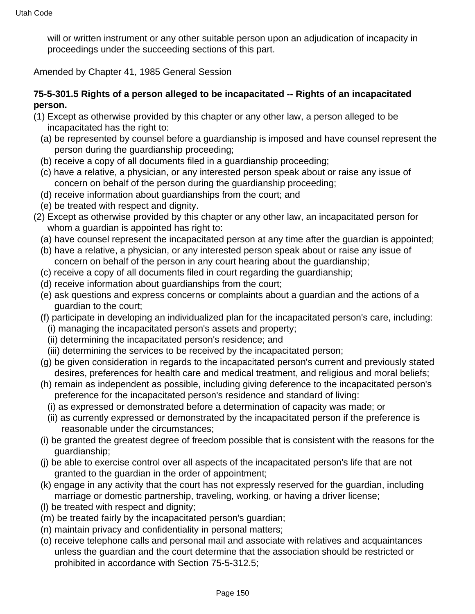will or written instrument or any other suitable person upon an adjudication of incapacity in proceedings under the succeeding sections of this part.

Amended by Chapter 41, 1985 General Session

### **75-5-301.5 Rights of a person alleged to be incapacitated -- Rights of an incapacitated person.**

- (1) Except as otherwise provided by this chapter or any other law, a person alleged to be incapacitated has the right to:
	- (a) be represented by counsel before a guardianship is imposed and have counsel represent the person during the guardianship proceeding;
	- (b) receive a copy of all documents filed in a guardianship proceeding;
	- (c) have a relative, a physician, or any interested person speak about or raise any issue of concern on behalf of the person during the guardianship proceeding;
	- (d) receive information about guardianships from the court; and
	- (e) be treated with respect and dignity.
- (2) Except as otherwise provided by this chapter or any other law, an incapacitated person for whom a guardian is appointed has right to:
	- (a) have counsel represent the incapacitated person at any time after the guardian is appointed;
	- (b) have a relative, a physician, or any interested person speak about or raise any issue of concern on behalf of the person in any court hearing about the guardianship;
	- (c) receive a copy of all documents filed in court regarding the guardianship;
	- (d) receive information about guardianships from the court;
	- (e) ask questions and express concerns or complaints about a guardian and the actions of a guardian to the court;
	- (f) participate in developing an individualized plan for the incapacitated person's care, including:
		- (i) managing the incapacitated person's assets and property;
		- (ii) determining the incapacitated person's residence; and
		- (iii) determining the services to be received by the incapacitated person;
	- (g) be given consideration in regards to the incapacitated person's current and previously stated desires, preferences for health care and medical treatment, and religious and moral beliefs;
	- (h) remain as independent as possible, including giving deference to the incapacitated person's preference for the incapacitated person's residence and standard of living:
		- (i) as expressed or demonstrated before a determination of capacity was made; or
		- (ii) as currently expressed or demonstrated by the incapacitated person if the preference is reasonable under the circumstances;
	- (i) be granted the greatest degree of freedom possible that is consistent with the reasons for the guardianship;
	- (j) be able to exercise control over all aspects of the incapacitated person's life that are not granted to the guardian in the order of appointment;
	- (k) engage in any activity that the court has not expressly reserved for the guardian, including marriage or domestic partnership, traveling, working, or having a driver license;
	- (l) be treated with respect and dignity;
	- (m) be treated fairly by the incapacitated person's guardian;
	- (n) maintain privacy and confidentiality in personal matters;
	- (o) receive telephone calls and personal mail and associate with relatives and acquaintances unless the guardian and the court determine that the association should be restricted or prohibited in accordance with Section 75-5-312.5;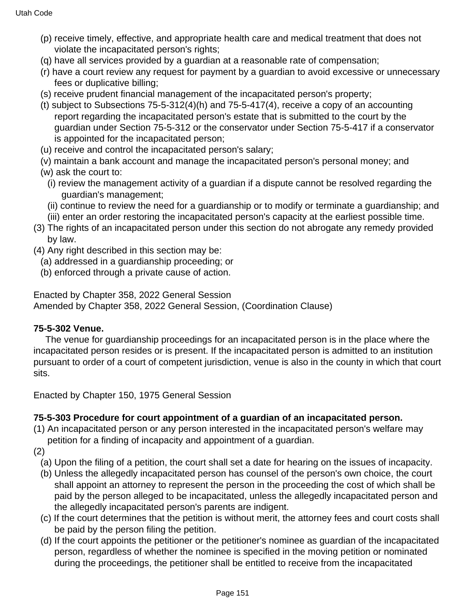- (p) receive timely, effective, and appropriate health care and medical treatment that does not violate the incapacitated person's rights;
- (q) have all services provided by a guardian at a reasonable rate of compensation;
- (r) have a court review any request for payment by a guardian to avoid excessive or unnecessary fees or duplicative billing;
- (s) receive prudent financial management of the incapacitated person's property;
- (t) subject to Subsections 75-5-312(4)(h) and 75-5-417(4), receive a copy of an accounting report regarding the incapacitated person's estate that is submitted to the court by the guardian under Section 75-5-312 or the conservator under Section 75-5-417 if a conservator is appointed for the incapacitated person;
- (u) receive and control the incapacitated person's salary;
- (v) maintain a bank account and manage the incapacitated person's personal money; and
- (w) ask the court to:
	- (i) review the management activity of a guardian if a dispute cannot be resolved regarding the guardian's management;
	- (ii) continue to review the need for a guardianship or to modify or terminate a guardianship; and
	- (iii) enter an order restoring the incapacitated person's capacity at the earliest possible time.
- (3) The rights of an incapacitated person under this section do not abrogate any remedy provided by law.
- (4) Any right described in this section may be:
	- (a) addressed in a guardianship proceeding; or
	- (b) enforced through a private cause of action.

Enacted by Chapter 358, 2022 General Session Amended by Chapter 358, 2022 General Session, (Coordination Clause)

# **75-5-302 Venue.**

 The venue for guardianship proceedings for an incapacitated person is in the place where the incapacitated person resides or is present. If the incapacitated person is admitted to an institution pursuant to order of a court of competent jurisdiction, venue is also in the county in which that court sits.

Enacted by Chapter 150, 1975 General Session

# **75-5-303 Procedure for court appointment of a guardian of an incapacitated person.**

- (1) An incapacitated person or any person interested in the incapacitated person's welfare may petition for a finding of incapacity and appointment of a guardian.
- (2)
	- (a) Upon the filing of a petition, the court shall set a date for hearing on the issues of incapacity.
	- (b) Unless the allegedly incapacitated person has counsel of the person's own choice, the court shall appoint an attorney to represent the person in the proceeding the cost of which shall be paid by the person alleged to be incapacitated, unless the allegedly incapacitated person and the allegedly incapacitated person's parents are indigent.
	- (c) If the court determines that the petition is without merit, the attorney fees and court costs shall be paid by the person filing the petition.
	- (d) If the court appoints the petitioner or the petitioner's nominee as guardian of the incapacitated person, regardless of whether the nominee is specified in the moving petition or nominated during the proceedings, the petitioner shall be entitled to receive from the incapacitated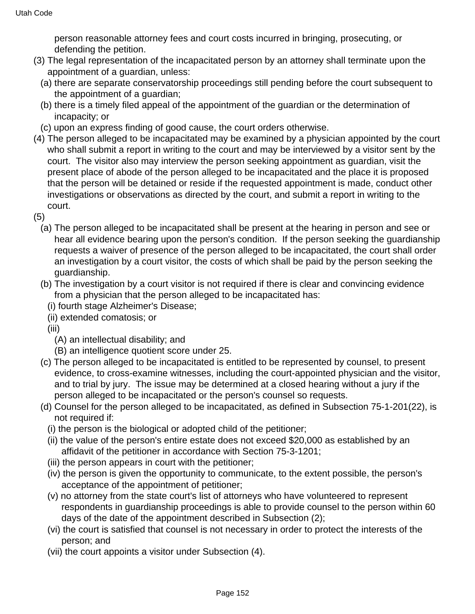person reasonable attorney fees and court costs incurred in bringing, prosecuting, or defending the petition.

- (3) The legal representation of the incapacitated person by an attorney shall terminate upon the appointment of a guardian, unless:
	- (a) there are separate conservatorship proceedings still pending before the court subsequent to the appointment of a guardian;
	- (b) there is a timely filed appeal of the appointment of the guardian or the determination of incapacity; or
- (c) upon an express finding of good cause, the court orders otherwise.
- (4) The person alleged to be incapacitated may be examined by a physician appointed by the court who shall submit a report in writing to the court and may be interviewed by a visitor sent by the court. The visitor also may interview the person seeking appointment as guardian, visit the present place of abode of the person alleged to be incapacitated and the place it is proposed that the person will be detained or reside if the requested appointment is made, conduct other investigations or observations as directed by the court, and submit a report in writing to the court.
- (5)
	- (a) The person alleged to be incapacitated shall be present at the hearing in person and see or hear all evidence bearing upon the person's condition. If the person seeking the guardianship requests a waiver of presence of the person alleged to be incapacitated, the court shall order an investigation by a court visitor, the costs of which shall be paid by the person seeking the guardianship.
	- (b) The investigation by a court visitor is not required if there is clear and convincing evidence from a physician that the person alleged to be incapacitated has:
		- (i) fourth stage Alzheimer's Disease;
		- (ii) extended comatosis; or
		- (iii)
			- (A) an intellectual disability; and
			- (B) an intelligence quotient score under 25.
	- (c) The person alleged to be incapacitated is entitled to be represented by counsel, to present evidence, to cross-examine witnesses, including the court-appointed physician and the visitor, and to trial by jury. The issue may be determined at a closed hearing without a jury if the person alleged to be incapacitated or the person's counsel so requests.
	- (d) Counsel for the person alleged to be incapacitated, as defined in Subsection 75-1-201(22), is not required if:
		- (i) the person is the biological or adopted child of the petitioner;
		- (ii) the value of the person's entire estate does not exceed \$20,000 as established by an affidavit of the petitioner in accordance with Section 75-3-1201;
		- (iii) the person appears in court with the petitioner;
		- (iv) the person is given the opportunity to communicate, to the extent possible, the person's acceptance of the appointment of petitioner;
		- (v) no attorney from the state court's list of attorneys who have volunteered to represent respondents in guardianship proceedings is able to provide counsel to the person within 60 days of the date of the appointment described in Subsection (2);
		- (vi) the court is satisfied that counsel is not necessary in order to protect the interests of the person; and
		- (vii) the court appoints a visitor under Subsection (4).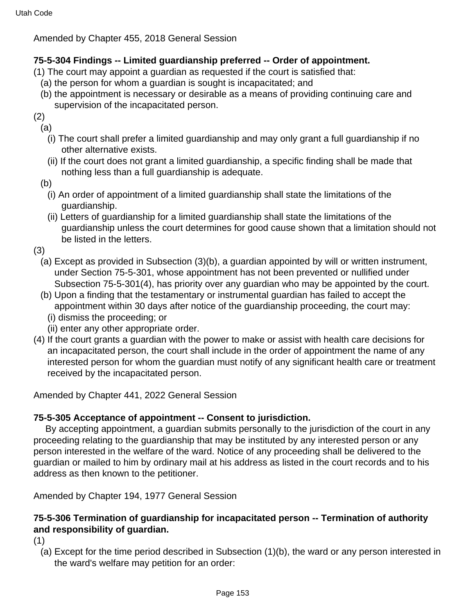Amended by Chapter 455, 2018 General Session

# **75-5-304 Findings -- Limited guardianship preferred -- Order of appointment.**

- (1) The court may appoint a guardian as requested if the court is satisfied that:
	- (a) the person for whom a guardian is sought is incapacitated; and
	- (b) the appointment is necessary or desirable as a means of providing continuing care and supervision of the incapacitated person.

(2)

(a)

- (i) The court shall prefer a limited guardianship and may only grant a full guardianship if no other alternative exists.
- (ii) If the court does not grant a limited guardianship, a specific finding shall be made that nothing less than a full guardianship is adequate.
- (b)
	- (i) An order of appointment of a limited guardianship shall state the limitations of the guardianship.
	- (ii) Letters of guardianship for a limited guardianship shall state the limitations of the guardianship unless the court determines for good cause shown that a limitation should not be listed in the letters.

(3)

- (a) Except as provided in Subsection (3)(b), a guardian appointed by will or written instrument, under Section 75-5-301, whose appointment has not been prevented or nullified under Subsection 75-5-301(4), has priority over any guardian who may be appointed by the court.
- (b) Upon a finding that the testamentary or instrumental guardian has failed to accept the appointment within 30 days after notice of the guardianship proceeding, the court may:
	- (i) dismiss the proceeding; or
	- (ii) enter any other appropriate order.
- (4) If the court grants a guardian with the power to make or assist with health care decisions for an incapacitated person, the court shall include in the order of appointment the name of any interested person for whom the guardian must notify of any significant health care or treatment received by the incapacitated person.

Amended by Chapter 441, 2022 General Session

## **75-5-305 Acceptance of appointment -- Consent to jurisdiction.**

 By accepting appointment, a guardian submits personally to the jurisdiction of the court in any proceeding relating to the guardianship that may be instituted by any interested person or any person interested in the welfare of the ward. Notice of any proceeding shall be delivered to the guardian or mailed to him by ordinary mail at his address as listed in the court records and to his address as then known to the petitioner.

Amended by Chapter 194, 1977 General Session

## **75-5-306 Termination of guardianship for incapacitated person -- Termination of authority and responsibility of guardian.**

(1)

(a) Except for the time period described in Subsection (1)(b), the ward or any person interested in the ward's welfare may petition for an order: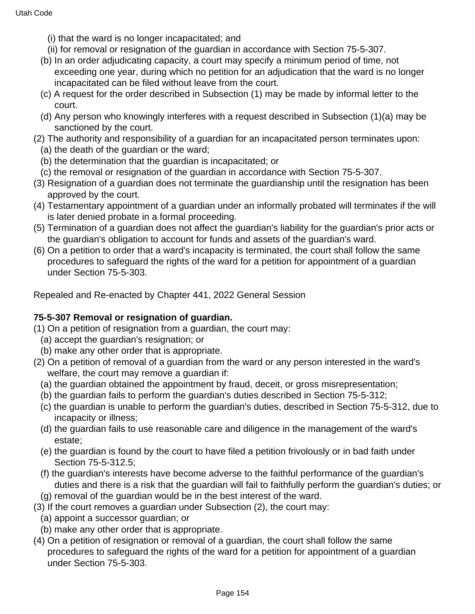- (i) that the ward is no longer incapacitated; and
- (ii) for removal or resignation of the guardian in accordance with Section 75-5-307.
- (b) In an order adjudicating capacity, a court may specify a minimum period of time, not exceeding one year, during which no petition for an adjudication that the ward is no longer incapacitated can be filed without leave from the court.
- (c) A request for the order described in Subsection (1) may be made by informal letter to the court.
- (d) Any person who knowingly interferes with a request described in Subsection (1)(a) may be sanctioned by the court.
- (2) The authority and responsibility of a guardian for an incapacitated person terminates upon:
	- (a) the death of the guardian or the ward;
	- (b) the determination that the guardian is incapacitated; or
	- (c) the removal or resignation of the guardian in accordance with Section 75-5-307.
- (3) Resignation of a guardian does not terminate the guardianship until the resignation has been approved by the court.
- (4) Testamentary appointment of a guardian under an informally probated will terminates if the will is later denied probate in a formal proceeding.
- (5) Termination of a guardian does not affect the guardian's liability for the guardian's prior acts or the guardian's obligation to account for funds and assets of the guardian's ward.
- (6) On a petition to order that a ward's incapacity is terminated, the court shall follow the same procedures to safeguard the rights of the ward for a petition for appointment of a guardian under Section 75-5-303.

Repealed and Re-enacted by Chapter 441, 2022 General Session

## **75-5-307 Removal or resignation of guardian.**

- (1) On a petition of resignation from a guardian, the court may:
	- (a) accept the guardian's resignation; or
	- (b) make any other order that is appropriate.
- (2) On a petition of removal of a guardian from the ward or any person interested in the ward's welfare, the court may remove a guardian if:
	- (a) the guardian obtained the appointment by fraud, deceit, or gross misrepresentation;
	- (b) the guardian fails to perform the guardian's duties described in Section 75-5-312;
	- (c) the guardian is unable to perform the guardian's duties, described in Section 75-5-312, due to incapacity or illness;
	- (d) the guardian fails to use reasonable care and diligence in the management of the ward's estate;
	- (e) the guardian is found by the court to have filed a petition frivolously or in bad faith under Section 75-5-312.5;
	- (f) the guardian's interests have become adverse to the faithful performance of the guardian's duties and there is a risk that the guardian will fail to faithfully perform the guardian's duties; or
	- (g) removal of the guardian would be in the best interest of the ward.
- (3) If the court removes a guardian under Subsection (2), the court may:
	- (a) appoint a successor guardian; or
	- (b) make any other order that is appropriate.
- (4) On a petition of resignation or removal of a guardian, the court shall follow the same procedures to safeguard the rights of the ward for a petition for appointment of a guardian under Section 75-5-303.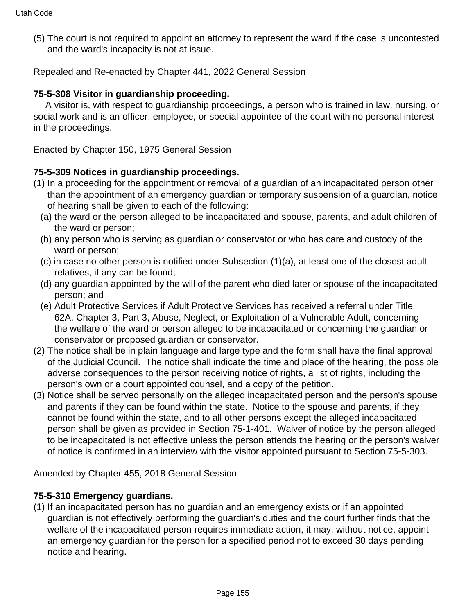(5) The court is not required to appoint an attorney to represent the ward if the case is uncontested and the ward's incapacity is not at issue.

Repealed and Re-enacted by Chapter 441, 2022 General Session

# **75-5-308 Visitor in guardianship proceeding.**

 A visitor is, with respect to guardianship proceedings, a person who is trained in law, nursing, or social work and is an officer, employee, or special appointee of the court with no personal interest in the proceedings.

Enacted by Chapter 150, 1975 General Session

### **75-5-309 Notices in guardianship proceedings.**

- (1) In a proceeding for the appointment or removal of a guardian of an incapacitated person other than the appointment of an emergency guardian or temporary suspension of a guardian, notice of hearing shall be given to each of the following:
	- (a) the ward or the person alleged to be incapacitated and spouse, parents, and adult children of the ward or person;
	- (b) any person who is serving as guardian or conservator or who has care and custody of the ward or person;
	- (c) in case no other person is notified under Subsection (1)(a), at least one of the closest adult relatives, if any can be found;
	- (d) any guardian appointed by the will of the parent who died later or spouse of the incapacitated person; and
	- (e) Adult Protective Services if Adult Protective Services has received a referral under Title 62A, Chapter 3, Part 3, Abuse, Neglect, or Exploitation of a Vulnerable Adult, concerning the welfare of the ward or person alleged to be incapacitated or concerning the guardian or conservator or proposed guardian or conservator.
- (2) The notice shall be in plain language and large type and the form shall have the final approval of the Judicial Council. The notice shall indicate the time and place of the hearing, the possible adverse consequences to the person receiving notice of rights, a list of rights, including the person's own or a court appointed counsel, and a copy of the petition.
- (3) Notice shall be served personally on the alleged incapacitated person and the person's spouse and parents if they can be found within the state. Notice to the spouse and parents, if they cannot be found within the state, and to all other persons except the alleged incapacitated person shall be given as provided in Section 75-1-401. Waiver of notice by the person alleged to be incapacitated is not effective unless the person attends the hearing or the person's waiver of notice is confirmed in an interview with the visitor appointed pursuant to Section 75-5-303.

Amended by Chapter 455, 2018 General Session

## **75-5-310 Emergency guardians.**

(1) If an incapacitated person has no guardian and an emergency exists or if an appointed guardian is not effectively performing the guardian's duties and the court further finds that the welfare of the incapacitated person requires immediate action, it may, without notice, appoint an emergency guardian for the person for a specified period not to exceed 30 days pending notice and hearing.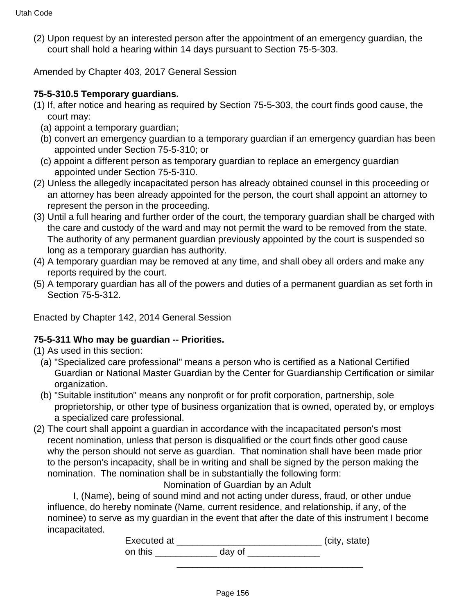(2) Upon request by an interested person after the appointment of an emergency guardian, the court shall hold a hearing within 14 days pursuant to Section 75-5-303.

Amended by Chapter 403, 2017 General Session

### **75-5-310.5 Temporary guardians.**

- (1) If, after notice and hearing as required by Section 75-5-303, the court finds good cause, the court may:
	- (a) appoint a temporary guardian;
	- (b) convert an emergency guardian to a temporary guardian if an emergency guardian has been appointed under Section 75-5-310; or
	- (c) appoint a different person as temporary guardian to replace an emergency guardian appointed under Section 75-5-310.
- (2) Unless the allegedly incapacitated person has already obtained counsel in this proceeding or an attorney has been already appointed for the person, the court shall appoint an attorney to represent the person in the proceeding.
- (3) Until a full hearing and further order of the court, the temporary guardian shall be charged with the care and custody of the ward and may not permit the ward to be removed from the state. The authority of any permanent guardian previously appointed by the court is suspended so long as a temporary guardian has authority.
- (4) A temporary guardian may be removed at any time, and shall obey all orders and make any reports required by the court.
- (5) A temporary guardian has all of the powers and duties of a permanent guardian as set forth in Section 75-5-312.

Enacted by Chapter 142, 2014 General Session

#### **75-5-311 Who may be guardian -- Priorities.**

- (1) As used in this section:
	- (a) "Specialized care professional" means a person who is certified as a National Certified Guardian or National Master Guardian by the Center for Guardianship Certification or similar organization.
	- (b) "Suitable institution" means any nonprofit or for profit corporation, partnership, sole proprietorship, or other type of business organization that is owned, operated by, or employs a specialized care professional.
- (2) The court shall appoint a guardian in accordance with the incapacitated person's most recent nomination, unless that person is disqualified or the court finds other good cause why the person should not serve as guardian. That nomination shall have been made prior to the person's incapacity, shall be in writing and shall be signed by the person making the nomination. The nomination shall be in substantially the following form:

Nomination of Guardian by an Adult

 I, (Name), being of sound mind and not acting under duress, fraud, or other undue influence, do hereby nominate (Name, current residence, and relationship, if any, of the nominee) to serve as my guardian in the event that after the date of this instrument I become incapacitated.

 Executed at \_\_\_\_\_\_\_\_\_\_\_\_\_\_\_\_\_\_\_\_\_\_\_\_\_\_\_\_ (city, state) on this \_\_\_\_\_\_\_\_\_\_\_\_\_\_ day of \_\_\_\_\_\_\_\_\_\_\_\_\_\_\_\_  $\frac{1}{2}$  ,  $\frac{1}{2}$  ,  $\frac{1}{2}$  ,  $\frac{1}{2}$  ,  $\frac{1}{2}$  ,  $\frac{1}{2}$  ,  $\frac{1}{2}$  ,  $\frac{1}{2}$  ,  $\frac{1}{2}$  ,  $\frac{1}{2}$  ,  $\frac{1}{2}$  ,  $\frac{1}{2}$  ,  $\frac{1}{2}$  ,  $\frac{1}{2}$  ,  $\frac{1}{2}$  ,  $\frac{1}{2}$  ,  $\frac{1}{2}$  ,  $\frac{1}{2}$  ,  $\frac{1$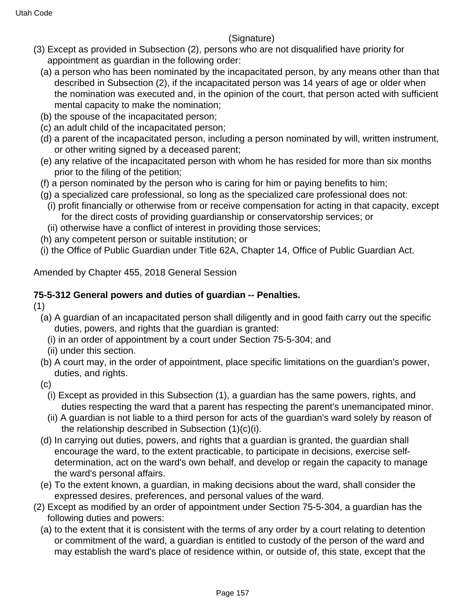### (Signature)

- (3) Except as provided in Subsection (2), persons who are not disqualified have priority for appointment as guardian in the following order:
	- (a) a person who has been nominated by the incapacitated person, by any means other than that described in Subsection (2), if the incapacitated person was 14 years of age or older when the nomination was executed and, in the opinion of the court, that person acted with sufficient mental capacity to make the nomination;
	- (b) the spouse of the incapacitated person;
	- (c) an adult child of the incapacitated person;
	- (d) a parent of the incapacitated person, including a person nominated by will, written instrument, or other writing signed by a deceased parent;
	- (e) any relative of the incapacitated person with whom he has resided for more than six months prior to the filing of the petition;
	- (f) a person nominated by the person who is caring for him or paying benefits to him;
	- (g) a specialized care professional, so long as the specialized care professional does not:
		- (i) profit financially or otherwise from or receive compensation for acting in that capacity, except for the direct costs of providing guardianship or conservatorship services; or
		- (ii) otherwise have a conflict of interest in providing those services;
	- (h) any competent person or suitable institution; or
	- (i) the Office of Public Guardian under Title 62A, Chapter 14, Office of Public Guardian Act.

Amended by Chapter 455, 2018 General Session

### **75-5-312 General powers and duties of guardian -- Penalties.**

(1)

- (a) A guardian of an incapacitated person shall diligently and in good faith carry out the specific duties, powers, and rights that the guardian is granted:
	- (i) in an order of appointment by a court under Section 75-5-304; and
	- (ii) under this section.
- (b) A court may, in the order of appointment, place specific limitations on the guardian's power, duties, and rights.
- (c)
	- (i) Except as provided in this Subsection (1), a guardian has the same powers, rights, and duties respecting the ward that a parent has respecting the parent's unemancipated minor.
	- (ii) A guardian is not liable to a third person for acts of the guardian's ward solely by reason of the relationship described in Subsection (1)(c)(i).
- (d) In carrying out duties, powers, and rights that a guardian is granted, the guardian shall encourage the ward, to the extent practicable, to participate in decisions, exercise selfdetermination, act on the ward's own behalf, and develop or regain the capacity to manage the ward's personal affairs.
- (e) To the extent known, a guardian, in making decisions about the ward, shall consider the expressed desires, preferences, and personal values of the ward.
- (2) Except as modified by an order of appointment under Section 75-5-304, a guardian has the following duties and powers:
	- (a) to the extent that it is consistent with the terms of any order by a court relating to detention or commitment of the ward, a guardian is entitled to custody of the person of the ward and may establish the ward's place of residence within, or outside of, this state, except that the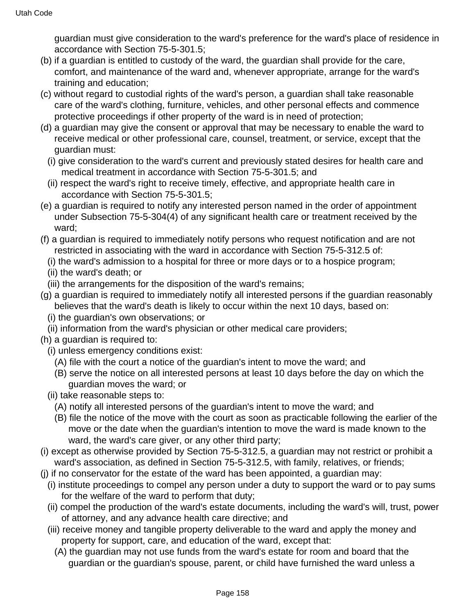guardian must give consideration to the ward's preference for the ward's place of residence in accordance with Section 75-5-301.5;

- (b) if a guardian is entitled to custody of the ward, the guardian shall provide for the care, comfort, and maintenance of the ward and, whenever appropriate, arrange for the ward's training and education;
- (c) without regard to custodial rights of the ward's person, a guardian shall take reasonable care of the ward's clothing, furniture, vehicles, and other personal effects and commence protective proceedings if other property of the ward is in need of protection;
- (d) a guardian may give the consent or approval that may be necessary to enable the ward to receive medical or other professional care, counsel, treatment, or service, except that the guardian must:
	- (i) give consideration to the ward's current and previously stated desires for health care and medical treatment in accordance with Section 75-5-301.5; and
	- (ii) respect the ward's right to receive timely, effective, and appropriate health care in accordance with Section 75-5-301.5;
- (e) a guardian is required to notify any interested person named in the order of appointment under Subsection 75-5-304(4) of any significant health care or treatment received by the ward;
- (f) a guardian is required to immediately notify persons who request notification and are not restricted in associating with the ward in accordance with Section 75-5-312.5 of:

(i) the ward's admission to a hospital for three or more days or to a hospice program;

- (ii) the ward's death; or
- (iii) the arrangements for the disposition of the ward's remains;
- (g) a guardian is required to immediately notify all interested persons if the guardian reasonably believes that the ward's death is likely to occur within the next 10 days, based on:
	- (i) the guardian's own observations; or
	- (ii) information from the ward's physician or other medical care providers;
- (h) a guardian is required to:
	- (i) unless emergency conditions exist:
		- (A) file with the court a notice of the guardian's intent to move the ward; and
		- (B) serve the notice on all interested persons at least 10 days before the day on which the guardian moves the ward; or
	- (ii) take reasonable steps to:
		- (A) notify all interested persons of the guardian's intent to move the ward; and
		- (B) file the notice of the move with the court as soon as practicable following the earlier of the move or the date when the guardian's intention to move the ward is made known to the ward, the ward's care giver, or any other third party;
- (i) except as otherwise provided by Section 75-5-312.5, a guardian may not restrict or prohibit a ward's association, as defined in Section 75-5-312.5, with family, relatives, or friends;
- (j) if no conservator for the estate of the ward has been appointed, a guardian may:
	- (i) institute proceedings to compel any person under a duty to support the ward or to pay sums for the welfare of the ward to perform that duty;
	- (ii) compel the production of the ward's estate documents, including the ward's will, trust, power of attorney, and any advance health care directive; and
	- (iii) receive money and tangible property deliverable to the ward and apply the money and property for support, care, and education of the ward, except that:
		- (A) the guardian may not use funds from the ward's estate for room and board that the guardian or the guardian's spouse, parent, or child have furnished the ward unless a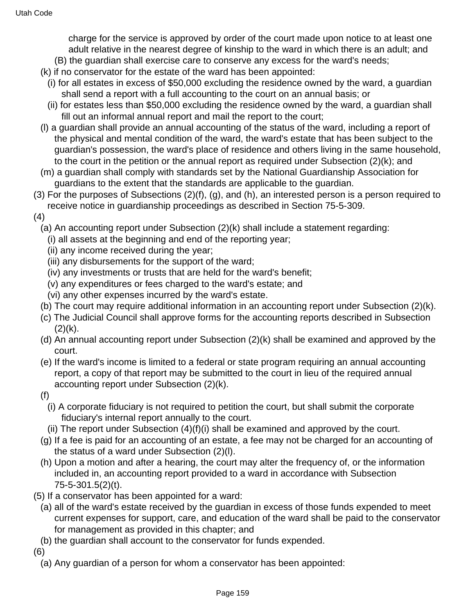charge for the service is approved by order of the court made upon notice to at least one adult relative in the nearest degree of kinship to the ward in which there is an adult; and

- (B) the guardian shall exercise care to conserve any excess for the ward's needs;
- (k) if no conservator for the estate of the ward has been appointed:
- (i) for all estates in excess of \$50,000 excluding the residence owned by the ward, a guardian shall send a report with a full accounting to the court on an annual basis; or
- (ii) for estates less than \$50,000 excluding the residence owned by the ward, a guardian shall fill out an informal annual report and mail the report to the court;
- (l) a guardian shall provide an annual accounting of the status of the ward, including a report of the physical and mental condition of the ward, the ward's estate that has been subject to the guardian's possession, the ward's place of residence and others living in the same household, to the court in the petition or the annual report as required under Subsection (2)(k); and
- (m) a guardian shall comply with standards set by the National Guardianship Association for guardians to the extent that the standards are applicable to the guardian.
- (3) For the purposes of Subsections (2)(f), (g), and (h), an interested person is a person required to receive notice in guardianship proceedings as described in Section 75-5-309.
- (4)

(a) An accounting report under Subsection (2)(k) shall include a statement regarding:

- (i) all assets at the beginning and end of the reporting year;
- (ii) any income received during the year;
- (iii) any disbursements for the support of the ward;
- (iv) any investments or trusts that are held for the ward's benefit;
- (v) any expenditures or fees charged to the ward's estate; and
- (vi) any other expenses incurred by the ward's estate.
- (b) The court may require additional information in an accounting report under Subsection (2)(k).
- (c) The Judicial Council shall approve forms for the accounting reports described in Subsection  $(2)(k)$ .
- (d) An annual accounting report under Subsection (2)(k) shall be examined and approved by the court.
- (e) If the ward's income is limited to a federal or state program requiring an annual accounting report, a copy of that report may be submitted to the court in lieu of the required annual accounting report under Subsection (2)(k).
- (f)
	- (i) A corporate fiduciary is not required to petition the court, but shall submit the corporate fiduciary's internal report annually to the court.
- (ii) The report under Subsection (4)(f)(i) shall be examined and approved by the court.
- (g) If a fee is paid for an accounting of an estate, a fee may not be charged for an accounting of the status of a ward under Subsection (2)(l).
- (h) Upon a motion and after a hearing, the court may alter the frequency of, or the information included in, an accounting report provided to a ward in accordance with Subsection 75-5-301.5(2)(t).
- (5) If a conservator has been appointed for a ward:
	- (a) all of the ward's estate received by the guardian in excess of those funds expended to meet current expenses for support, care, and education of the ward shall be paid to the conservator for management as provided in this chapter; and
- (b) the guardian shall account to the conservator for funds expended.
- (6)
	- (a) Any guardian of a person for whom a conservator has been appointed: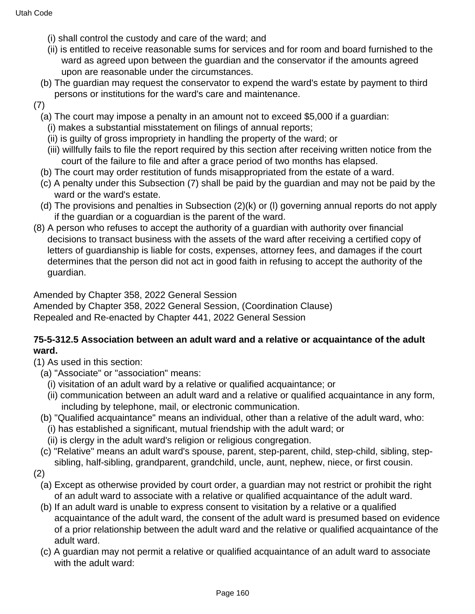- (i) shall control the custody and care of the ward; and
- (ii) is entitled to receive reasonable sums for services and for room and board furnished to the ward as agreed upon between the guardian and the conservator if the amounts agreed upon are reasonable under the circumstances.
- (b) The guardian may request the conservator to expend the ward's estate by payment to third persons or institutions for the ward's care and maintenance.
- (7)
	- (a) The court may impose a penalty in an amount not to exceed \$5,000 if a guardian:
		- (i) makes a substantial misstatement on filings of annual reports;
		- (ii) is guilty of gross impropriety in handling the property of the ward; or
		- (iii) willfully fails to file the report required by this section after receiving written notice from the court of the failure to file and after a grace period of two months has elapsed.
	- (b) The court may order restitution of funds misappropriated from the estate of a ward.
	- (c) A penalty under this Subsection (7) shall be paid by the guardian and may not be paid by the ward or the ward's estate.
	- (d) The provisions and penalties in Subsection (2)(k) or (l) governing annual reports do not apply if the guardian or a coguardian is the parent of the ward.
- (8) A person who refuses to accept the authority of a guardian with authority over financial decisions to transact business with the assets of the ward after receiving a certified copy of letters of guardianship is liable for costs, expenses, attorney fees, and damages if the court determines that the person did not act in good faith in refusing to accept the authority of the guardian.

Amended by Chapter 358, 2022 General Session

Amended by Chapter 358, 2022 General Session, (Coordination Clause) Repealed and Re-enacted by Chapter 441, 2022 General Session

## **75-5-312.5 Association between an adult ward and a relative or acquaintance of the adult ward.**

- (1) As used in this section:
	- (a) "Associate" or "association" means:
		- (i) visitation of an adult ward by a relative or qualified acquaintance; or
		- (ii) communication between an adult ward and a relative or qualified acquaintance in any form, including by telephone, mail, or electronic communication.
	- (b) "Qualified acquaintance" means an individual, other than a relative of the adult ward, who:
		- (i) has established a significant, mutual friendship with the adult ward; or
		- (ii) is clergy in the adult ward's religion or religious congregation.
	- (c) "Relative" means an adult ward's spouse, parent, step-parent, child, step-child, sibling, stepsibling, half-sibling, grandparent, grandchild, uncle, aunt, nephew, niece, or first cousin.
- (2)
	- (a) Except as otherwise provided by court order, a guardian may not restrict or prohibit the right of an adult ward to associate with a relative or qualified acquaintance of the adult ward.
	- (b) If an adult ward is unable to express consent to visitation by a relative or a qualified acquaintance of the adult ward, the consent of the adult ward is presumed based on evidence of a prior relationship between the adult ward and the relative or qualified acquaintance of the adult ward.
	- (c) A guardian may not permit a relative or qualified acquaintance of an adult ward to associate with the adult ward: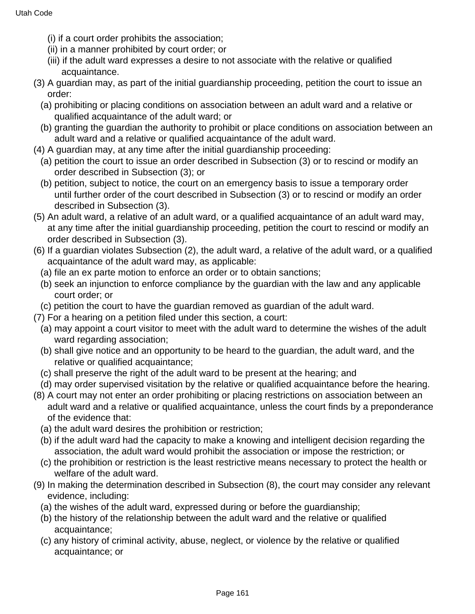- (i) if a court order prohibits the association;
- (ii) in a manner prohibited by court order; or
- (iii) if the adult ward expresses a desire to not associate with the relative or qualified acquaintance.
- (3) A guardian may, as part of the initial guardianship proceeding, petition the court to issue an order:
	- (a) prohibiting or placing conditions on association between an adult ward and a relative or qualified acquaintance of the adult ward; or
	- (b) granting the guardian the authority to prohibit or place conditions on association between an adult ward and a relative or qualified acquaintance of the adult ward.
- (4) A guardian may, at any time after the initial guardianship proceeding:
- (a) petition the court to issue an order described in Subsection (3) or to rescind or modify an order described in Subsection (3); or
- (b) petition, subject to notice, the court on an emergency basis to issue a temporary order until further order of the court described in Subsection (3) or to rescind or modify an order described in Subsection (3).
- (5) An adult ward, a relative of an adult ward, or a qualified acquaintance of an adult ward may, at any time after the initial guardianship proceeding, petition the court to rescind or modify an order described in Subsection (3).
- (6) If a guardian violates Subsection (2), the adult ward, a relative of the adult ward, or a qualified acquaintance of the adult ward may, as applicable:
	- (a) file an ex parte motion to enforce an order or to obtain sanctions;
	- (b) seek an injunction to enforce compliance by the guardian with the law and any applicable court order; or
- (c) petition the court to have the guardian removed as guardian of the adult ward.
- (7) For a hearing on a petition filed under this section, a court:
	- (a) may appoint a court visitor to meet with the adult ward to determine the wishes of the adult ward regarding association;
	- (b) shall give notice and an opportunity to be heard to the guardian, the adult ward, and the relative or qualified acquaintance;
	- (c) shall preserve the right of the adult ward to be present at the hearing; and
	- (d) may order supervised visitation by the relative or qualified acquaintance before the hearing.
- (8) A court may not enter an order prohibiting or placing restrictions on association between an adult ward and a relative or qualified acquaintance, unless the court finds by a preponderance of the evidence that:
	- (a) the adult ward desires the prohibition or restriction;
	- (b) if the adult ward had the capacity to make a knowing and intelligent decision regarding the association, the adult ward would prohibit the association or impose the restriction; or
	- (c) the prohibition or restriction is the least restrictive means necessary to protect the health or welfare of the adult ward.
- (9) In making the determination described in Subsection (8), the court may consider any relevant evidence, including:
	- (a) the wishes of the adult ward, expressed during or before the guardianship;
	- (b) the history of the relationship between the adult ward and the relative or qualified acquaintance;
	- (c) any history of criminal activity, abuse, neglect, or violence by the relative or qualified acquaintance; or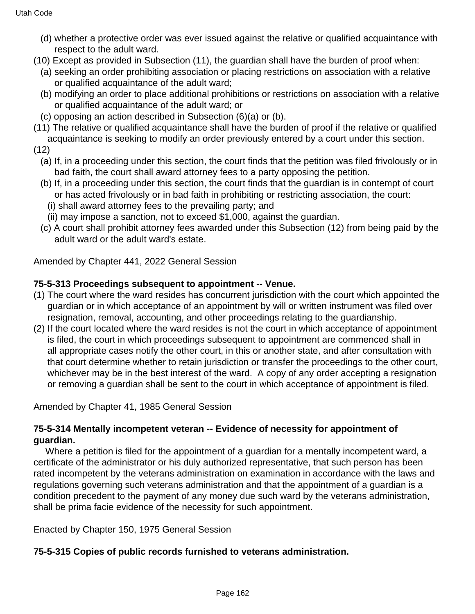- (d) whether a protective order was ever issued against the relative or qualified acquaintance with respect to the adult ward.
- (10) Except as provided in Subsection (11), the guardian shall have the burden of proof when:
	- (a) seeking an order prohibiting association or placing restrictions on association with a relative or qualified acquaintance of the adult ward;
	- (b) modifying an order to place additional prohibitions or restrictions on association with a relative or qualified acquaintance of the adult ward; or
	- (c) opposing an action described in Subsection (6)(a) or (b).
- (11) The relative or qualified acquaintance shall have the burden of proof if the relative or qualified acquaintance is seeking to modify an order previously entered by a court under this section.
- (12)
	- (a) If, in a proceeding under this section, the court finds that the petition was filed frivolously or in bad faith, the court shall award attorney fees to a party opposing the petition.
	- (b) If, in a proceeding under this section, the court finds that the guardian is in contempt of court or has acted frivolously or in bad faith in prohibiting or restricting association, the court:
		- (i) shall award attorney fees to the prevailing party; and
	- (ii) may impose a sanction, not to exceed \$1,000, against the guardian.
	- (c) A court shall prohibit attorney fees awarded under this Subsection (12) from being paid by the adult ward or the adult ward's estate.

Amended by Chapter 441, 2022 General Session

## **75-5-313 Proceedings subsequent to appointment -- Venue.**

- (1) The court where the ward resides has concurrent jurisdiction with the court which appointed the guardian or in which acceptance of an appointment by will or written instrument was filed over resignation, removal, accounting, and other proceedings relating to the guardianship.
- (2) If the court located where the ward resides is not the court in which acceptance of appointment is filed, the court in which proceedings subsequent to appointment are commenced shall in all appropriate cases notify the other court, in this or another state, and after consultation with that court determine whether to retain jurisdiction or transfer the proceedings to the other court, whichever may be in the best interest of the ward. A copy of any order accepting a resignation or removing a guardian shall be sent to the court in which acceptance of appointment is filed.

Amended by Chapter 41, 1985 General Session

### **75-5-314 Mentally incompetent veteran -- Evidence of necessity for appointment of guardian.**

 Where a petition is filed for the appointment of a guardian for a mentally incompetent ward, a certificate of the administrator or his duly authorized representative, that such person has been rated incompetent by the veterans administration on examination in accordance with the laws and regulations governing such veterans administration and that the appointment of a guardian is a condition precedent to the payment of any money due such ward by the veterans administration, shall be prima facie evidence of the necessity for such appointment.

Enacted by Chapter 150, 1975 General Session

## **75-5-315 Copies of public records furnished to veterans administration.**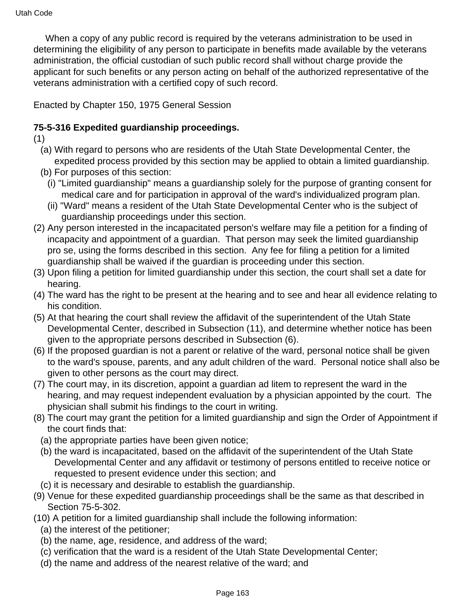When a copy of any public record is required by the veterans administration to be used in determining the eligibility of any person to participate in benefits made available by the veterans administration, the official custodian of such public record shall without charge provide the applicant for such benefits or any person acting on behalf of the authorized representative of the veterans administration with a certified copy of such record.

Enacted by Chapter 150, 1975 General Session

## **75-5-316 Expedited guardianship proceedings.**

(1)

- (a) With regard to persons who are residents of the Utah State Developmental Center, the expedited process provided by this section may be applied to obtain a limited guardianship.
- (b) For purposes of this section:
	- (i) "Limited guardianship" means a guardianship solely for the purpose of granting consent for medical care and for participation in approval of the ward's individualized program plan.
	- (ii) "Ward" means a resident of the Utah State Developmental Center who is the subject of guardianship proceedings under this section.
- (2) Any person interested in the incapacitated person's welfare may file a petition for a finding of incapacity and appointment of a guardian. That person may seek the limited guardianship pro se, using the forms described in this section. Any fee for filing a petition for a limited guardianship shall be waived if the guardian is proceeding under this section.
- (3) Upon filing a petition for limited guardianship under this section, the court shall set a date for hearing.
- (4) The ward has the right to be present at the hearing and to see and hear all evidence relating to his condition.
- (5) At that hearing the court shall review the affidavit of the superintendent of the Utah State Developmental Center, described in Subsection (11), and determine whether notice has been given to the appropriate persons described in Subsection (6).
- (6) If the proposed guardian is not a parent or relative of the ward, personal notice shall be given to the ward's spouse, parents, and any adult children of the ward. Personal notice shall also be given to other persons as the court may direct.
- (7) The court may, in its discretion, appoint a guardian ad litem to represent the ward in the hearing, and may request independent evaluation by a physician appointed by the court. The physician shall submit his findings to the court in writing.
- (8) The court may grant the petition for a limited guardianship and sign the Order of Appointment if the court finds that:
	- (a) the appropriate parties have been given notice;
	- (b) the ward is incapacitated, based on the affidavit of the superintendent of the Utah State Developmental Center and any affidavit or testimony of persons entitled to receive notice or requested to present evidence under this section; and
- (c) it is necessary and desirable to establish the guardianship.
- (9) Venue for these expedited guardianship proceedings shall be the same as that described in Section 75-5-302.
- (10) A petition for a limited guardianship shall include the following information:
	- (a) the interest of the petitioner;
	- (b) the name, age, residence, and address of the ward;
	- (c) verification that the ward is a resident of the Utah State Developmental Center;
	- (d) the name and address of the nearest relative of the ward; and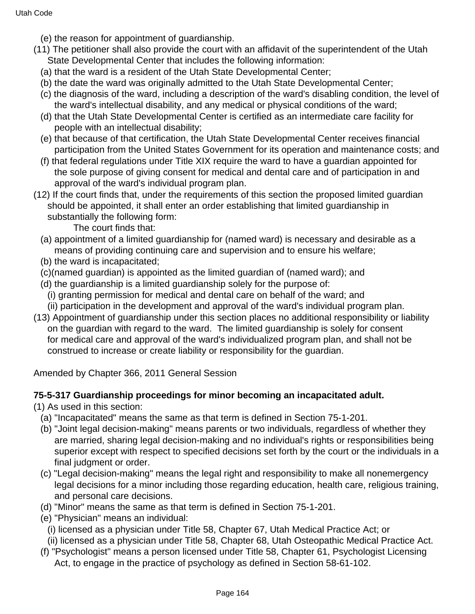- (e) the reason for appointment of guardianship.
- (11) The petitioner shall also provide the court with an affidavit of the superintendent of the Utah State Developmental Center that includes the following information:
	- (a) that the ward is a resident of the Utah State Developmental Center;
	- (b) the date the ward was originally admitted to the Utah State Developmental Center;
	- (c) the diagnosis of the ward, including a description of the ward's disabling condition, the level of the ward's intellectual disability, and any medical or physical conditions of the ward;
	- (d) that the Utah State Developmental Center is certified as an intermediate care facility for people with an intellectual disability;
	- (e) that because of that certification, the Utah State Developmental Center receives financial participation from the United States Government for its operation and maintenance costs; and
	- (f) that federal regulations under Title XIX require the ward to have a guardian appointed for the sole purpose of giving consent for medical and dental care and of participation in and approval of the ward's individual program plan.
- (12) If the court finds that, under the requirements of this section the proposed limited guardian should be appointed, it shall enter an order establishing that limited guardianship in substantially the following form:

The court finds that:

- (a) appointment of a limited guardianship for (named ward) is necessary and desirable as a means of providing continuing care and supervision and to ensure his welfare;
- (b) the ward is incapacitated;
- (c)(named guardian) is appointed as the limited guardian of (named ward); and
- (d) the guardianship is a limited guardianship solely for the purpose of:
	- (i) granting permission for medical and dental care on behalf of the ward; and
- (ii) participation in the development and approval of the ward's individual program plan.
- (13) Appointment of guardianship under this section places no additional responsibility or liability on the guardian with regard to the ward. The limited guardianship is solely for consent for medical care and approval of the ward's individualized program plan, and shall not be construed to increase or create liability or responsibility for the guardian.

Amended by Chapter 366, 2011 General Session

## **75-5-317 Guardianship proceedings for minor becoming an incapacitated adult.**

(1) As used in this section:

- (a) "Incapacitated" means the same as that term is defined in Section 75-1-201.
- (b) "Joint legal decision-making" means parents or two individuals, regardless of whether they are married, sharing legal decision-making and no individual's rights or responsibilities being superior except with respect to specified decisions set forth by the court or the individuals in a final judgment or order.
- (c) "Legal decision-making" means the legal right and responsibility to make all nonemergency legal decisions for a minor including those regarding education, health care, religious training, and personal care decisions.
- (d) "Minor" means the same as that term is defined in Section 75-1-201.
- (e) "Physician" means an individual:
- (i) licensed as a physician under Title 58, Chapter 67, Utah Medical Practice Act; or
- (ii) licensed as a physician under Title 58, Chapter 68, Utah Osteopathic Medical Practice Act.
- (f) "Psychologist" means a person licensed under Title 58, Chapter 61, Psychologist Licensing Act, to engage in the practice of psychology as defined in Section 58-61-102.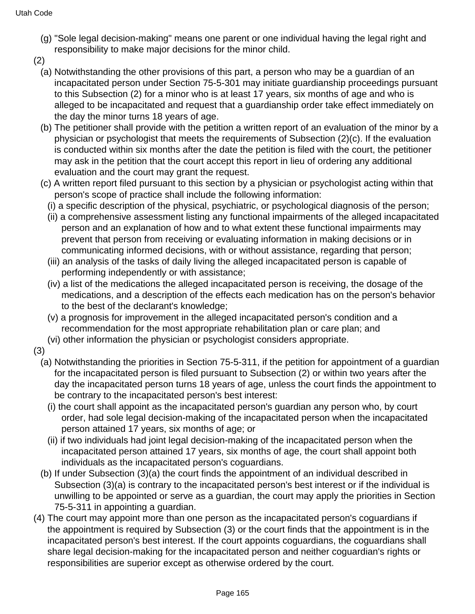- (g) "Sole legal decision-making" means one parent or one individual having the legal right and responsibility to make major decisions for the minor child.
- (2)
	- (a) Notwithstanding the other provisions of this part, a person who may be a guardian of an incapacitated person under Section 75-5-301 may initiate guardianship proceedings pursuant to this Subsection (2) for a minor who is at least 17 years, six months of age and who is alleged to be incapacitated and request that a guardianship order take effect immediately on the day the minor turns 18 years of age.
	- (b) The petitioner shall provide with the petition a written report of an evaluation of the minor by a physician or psychologist that meets the requirements of Subsection (2)(c). If the evaluation is conducted within six months after the date the petition is filed with the court, the petitioner may ask in the petition that the court accept this report in lieu of ordering any additional evaluation and the court may grant the request.
	- (c) A written report filed pursuant to this section by a physician or psychologist acting within that person's scope of practice shall include the following information:
		- (i) a specific description of the physical, psychiatric, or psychological diagnosis of the person;
		- (ii) a comprehensive assessment listing any functional impairments of the alleged incapacitated person and an explanation of how and to what extent these functional impairments may prevent that person from receiving or evaluating information in making decisions or in communicating informed decisions, with or without assistance, regarding that person;
		- (iii) an analysis of the tasks of daily living the alleged incapacitated person is capable of performing independently or with assistance;
		- (iv) a list of the medications the alleged incapacitated person is receiving, the dosage of the medications, and a description of the effects each medication has on the person's behavior to the best of the declarant's knowledge;
		- (v) a prognosis for improvement in the alleged incapacitated person's condition and a recommendation for the most appropriate rehabilitation plan or care plan; and
		- (vi) other information the physician or psychologist considers appropriate.
- (3)
	- (a) Notwithstanding the priorities in Section 75-5-311, if the petition for appointment of a guardian for the incapacitated person is filed pursuant to Subsection (2) or within two years after the day the incapacitated person turns 18 years of age, unless the court finds the appointment to be contrary to the incapacitated person's best interest:
		- (i) the court shall appoint as the incapacitated person's guardian any person who, by court order, had sole legal decision-making of the incapacitated person when the incapacitated person attained 17 years, six months of age; or
		- (ii) if two individuals had joint legal decision-making of the incapacitated person when the incapacitated person attained 17 years, six months of age, the court shall appoint both individuals as the incapacitated person's coguardians.
	- (b) If under Subsection (3)(a) the court finds the appointment of an individual described in Subsection (3)(a) is contrary to the incapacitated person's best interest or if the individual is unwilling to be appointed or serve as a guardian, the court may apply the priorities in Section 75-5-311 in appointing a guardian.
- (4) The court may appoint more than one person as the incapacitated person's coguardians if the appointment is required by Subsection (3) or the court finds that the appointment is in the incapacitated person's best interest. If the court appoints coguardians, the coguardians shall share legal decision-making for the incapacitated person and neither coguardian's rights or responsibilities are superior except as otherwise ordered by the court.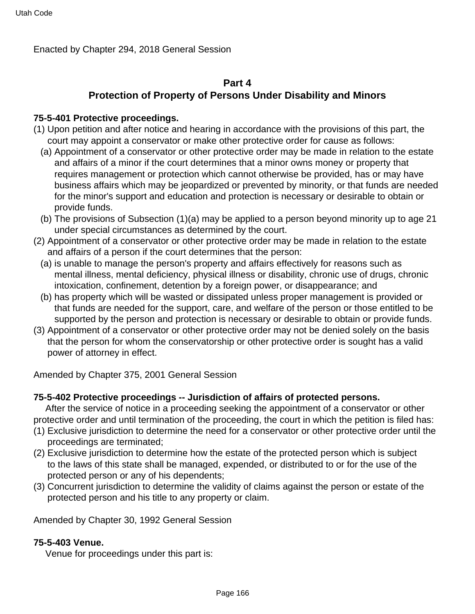Enacted by Chapter 294, 2018 General Session

#### **Part 4**

## **Protection of Property of Persons Under Disability and Minors**

### **75-5-401 Protective proceedings.**

- (1) Upon petition and after notice and hearing in accordance with the provisions of this part, the court may appoint a conservator or make other protective order for cause as follows:
	- (a) Appointment of a conservator or other protective order may be made in relation to the estate and affairs of a minor if the court determines that a minor owns money or property that requires management or protection which cannot otherwise be provided, has or may have business affairs which may be jeopardized or prevented by minority, or that funds are needed for the minor's support and education and protection is necessary or desirable to obtain or provide funds.
	- (b) The provisions of Subsection (1)(a) may be applied to a person beyond minority up to age 21 under special circumstances as determined by the court.
- (2) Appointment of a conservator or other protective order may be made in relation to the estate and affairs of a person if the court determines that the person:
	- (a) is unable to manage the person's property and affairs effectively for reasons such as mental illness, mental deficiency, physical illness or disability, chronic use of drugs, chronic intoxication, confinement, detention by a foreign power, or disappearance; and
	- (b) has property which will be wasted or dissipated unless proper management is provided or that funds are needed for the support, care, and welfare of the person or those entitled to be supported by the person and protection is necessary or desirable to obtain or provide funds.
- (3) Appointment of a conservator or other protective order may not be denied solely on the basis that the person for whom the conservatorship or other protective order is sought has a valid power of attorney in effect.

Amended by Chapter 375, 2001 General Session

### **75-5-402 Protective proceedings -- Jurisdiction of affairs of protected persons.**

 After the service of notice in a proceeding seeking the appointment of a conservator or other protective order and until termination of the proceeding, the court in which the petition is filed has:

- (1) Exclusive jurisdiction to determine the need for a conservator or other protective order until the proceedings are terminated;
- (2) Exclusive jurisdiction to determine how the estate of the protected person which is subject to the laws of this state shall be managed, expended, or distributed to or for the use of the protected person or any of his dependents;
- (3) Concurrent jurisdiction to determine the validity of claims against the person or estate of the protected person and his title to any property or claim.

Amended by Chapter 30, 1992 General Session

### **75-5-403 Venue.**

Venue for proceedings under this part is: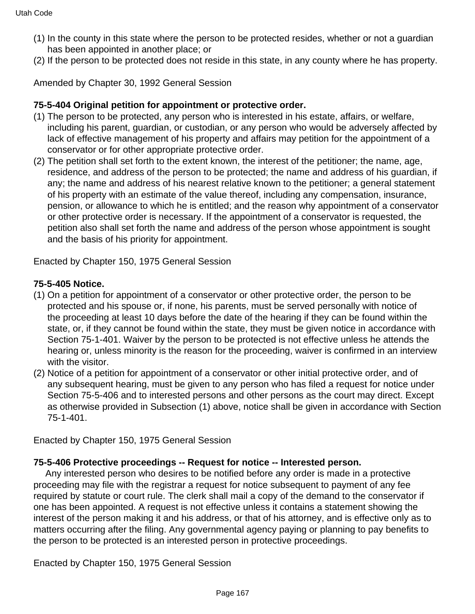- (1) In the county in this state where the person to be protected resides, whether or not a guardian has been appointed in another place; or
- (2) If the person to be protected does not reside in this state, in any county where he has property.

Amended by Chapter 30, 1992 General Session

# **75-5-404 Original petition for appointment or protective order.**

- (1) The person to be protected, any person who is interested in his estate, affairs, or welfare, including his parent, guardian, or custodian, or any person who would be adversely affected by lack of effective management of his property and affairs may petition for the appointment of a conservator or for other appropriate protective order.
- (2) The petition shall set forth to the extent known, the interest of the petitioner; the name, age, residence, and address of the person to be protected; the name and address of his guardian, if any; the name and address of his nearest relative known to the petitioner; a general statement of his property with an estimate of the value thereof, including any compensation, insurance, pension, or allowance to which he is entitled; and the reason why appointment of a conservator or other protective order is necessary. If the appointment of a conservator is requested, the petition also shall set forth the name and address of the person whose appointment is sought and the basis of his priority for appointment.

Enacted by Chapter 150, 1975 General Session

### **75-5-405 Notice.**

- (1) On a petition for appointment of a conservator or other protective order, the person to be protected and his spouse or, if none, his parents, must be served personally with notice of the proceeding at least 10 days before the date of the hearing if they can be found within the state, or, if they cannot be found within the state, they must be given notice in accordance with Section 75-1-401. Waiver by the person to be protected is not effective unless he attends the hearing or, unless minority is the reason for the proceeding, waiver is confirmed in an interview with the visitor.
- (2) Notice of a petition for appointment of a conservator or other initial protective order, and of any subsequent hearing, must be given to any person who has filed a request for notice under Section 75-5-406 and to interested persons and other persons as the court may direct. Except as otherwise provided in Subsection (1) above, notice shall be given in accordance with Section 75-1-401.

Enacted by Chapter 150, 1975 General Session

# **75-5-406 Protective proceedings -- Request for notice -- Interested person.**

 Any interested person who desires to be notified before any order is made in a protective proceeding may file with the registrar a request for notice subsequent to payment of any fee required by statute or court rule. The clerk shall mail a copy of the demand to the conservator if one has been appointed. A request is not effective unless it contains a statement showing the interest of the person making it and his address, or that of his attorney, and is effective only as to matters occurring after the filing. Any governmental agency paying or planning to pay benefits to the person to be protected is an interested person in protective proceedings.

Enacted by Chapter 150, 1975 General Session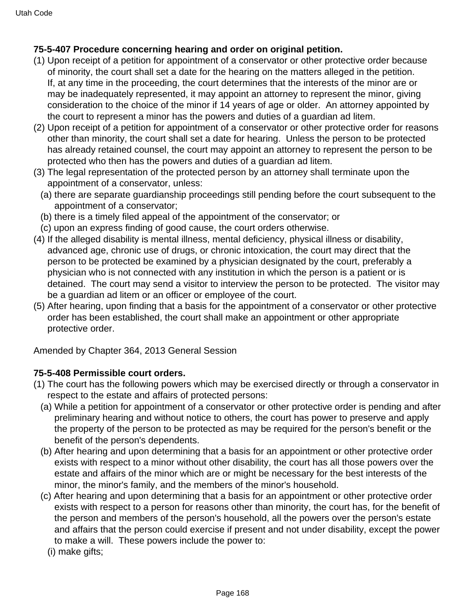## **75-5-407 Procedure concerning hearing and order on original petition.**

- (1) Upon receipt of a petition for appointment of a conservator or other protective order because of minority, the court shall set a date for the hearing on the matters alleged in the petition. If, at any time in the proceeding, the court determines that the interests of the minor are or may be inadequately represented, it may appoint an attorney to represent the minor, giving consideration to the choice of the minor if 14 years of age or older. An attorney appointed by the court to represent a minor has the powers and duties of a guardian ad litem.
- (2) Upon receipt of a petition for appointment of a conservator or other protective order for reasons other than minority, the court shall set a date for hearing. Unless the person to be protected has already retained counsel, the court may appoint an attorney to represent the person to be protected who then has the powers and duties of a guardian ad litem.
- (3) The legal representation of the protected person by an attorney shall terminate upon the appointment of a conservator, unless:
	- (a) there are separate guardianship proceedings still pending before the court subsequent to the appointment of a conservator;
	- (b) there is a timely filed appeal of the appointment of the conservator; or
	- (c) upon an express finding of good cause, the court orders otherwise.
- (4) If the alleged disability is mental illness, mental deficiency, physical illness or disability, advanced age, chronic use of drugs, or chronic intoxication, the court may direct that the person to be protected be examined by a physician designated by the court, preferably a physician who is not connected with any institution in which the person is a patient or is detained. The court may send a visitor to interview the person to be protected. The visitor may be a guardian ad litem or an officer or employee of the court.
- (5) After hearing, upon finding that a basis for the appointment of a conservator or other protective order has been established, the court shall make an appointment or other appropriate protective order.

Amended by Chapter 364, 2013 General Session

## **75-5-408 Permissible court orders.**

- (1) The court has the following powers which may be exercised directly or through a conservator in respect to the estate and affairs of protected persons:
	- (a) While a petition for appointment of a conservator or other protective order is pending and after preliminary hearing and without notice to others, the court has power to preserve and apply the property of the person to be protected as may be required for the person's benefit or the benefit of the person's dependents.
	- (b) After hearing and upon determining that a basis for an appointment or other protective order exists with respect to a minor without other disability, the court has all those powers over the estate and affairs of the minor which are or might be necessary for the best interests of the minor, the minor's family, and the members of the minor's household.
	- (c) After hearing and upon determining that a basis for an appointment or other protective order exists with respect to a person for reasons other than minority, the court has, for the benefit of the person and members of the person's household, all the powers over the person's estate and affairs that the person could exercise if present and not under disability, except the power to make a will. These powers include the power to:
		- (i) make gifts;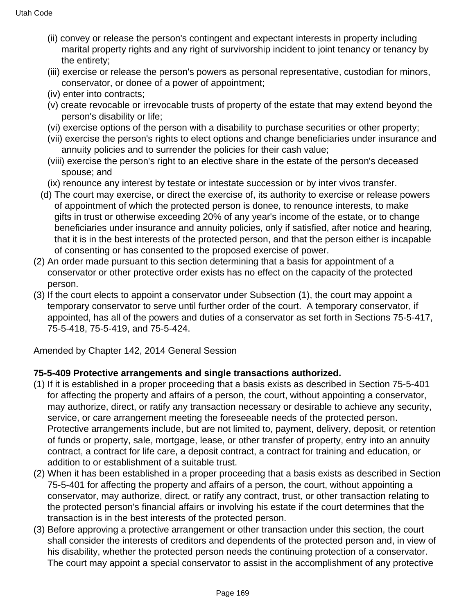- (ii) convey or release the person's contingent and expectant interests in property including marital property rights and any right of survivorship incident to joint tenancy or tenancy by the entirety;
- (iii) exercise or release the person's powers as personal representative, custodian for minors, conservator, or donee of a power of appointment;
- (iv) enter into contracts;
- (v) create revocable or irrevocable trusts of property of the estate that may extend beyond the person's disability or life;
- (vi) exercise options of the person with a disability to purchase securities or other property;
- (vii) exercise the person's rights to elect options and change beneficiaries under insurance and annuity policies and to surrender the policies for their cash value;
- (viii) exercise the person's right to an elective share in the estate of the person's deceased spouse; and
- (ix) renounce any interest by testate or intestate succession or by inter vivos transfer.
- (d) The court may exercise, or direct the exercise of, its authority to exercise or release powers of appointment of which the protected person is donee, to renounce interests, to make gifts in trust or otherwise exceeding 20% of any year's income of the estate, or to change beneficiaries under insurance and annuity policies, only if satisfied, after notice and hearing, that it is in the best interests of the protected person, and that the person either is incapable of consenting or has consented to the proposed exercise of power.
- (2) An order made pursuant to this section determining that a basis for appointment of a conservator or other protective order exists has no effect on the capacity of the protected person.
- (3) If the court elects to appoint a conservator under Subsection (1), the court may appoint a temporary conservator to serve until further order of the court. A temporary conservator, if appointed, has all of the powers and duties of a conservator as set forth in Sections 75-5-417, 75-5-418, 75-5-419, and 75-5-424.

Amended by Chapter 142, 2014 General Session

### **75-5-409 Protective arrangements and single transactions authorized.**

- (1) If it is established in a proper proceeding that a basis exists as described in Section 75-5-401 for affecting the property and affairs of a person, the court, without appointing a conservator, may authorize, direct, or ratify any transaction necessary or desirable to achieve any security, service, or care arrangement meeting the foreseeable needs of the protected person. Protective arrangements include, but are not limited to, payment, delivery, deposit, or retention of funds or property, sale, mortgage, lease, or other transfer of property, entry into an annuity contract, a contract for life care, a deposit contract, a contract for training and education, or addition to or establishment of a suitable trust.
- (2) When it has been established in a proper proceeding that a basis exists as described in Section 75-5-401 for affecting the property and affairs of a person, the court, without appointing a conservator, may authorize, direct, or ratify any contract, trust, or other transaction relating to the protected person's financial affairs or involving his estate if the court determines that the transaction is in the best interests of the protected person.
- (3) Before approving a protective arrangement or other transaction under this section, the court shall consider the interests of creditors and dependents of the protected person and, in view of his disability, whether the protected person needs the continuing protection of a conservator. The court may appoint a special conservator to assist in the accomplishment of any protective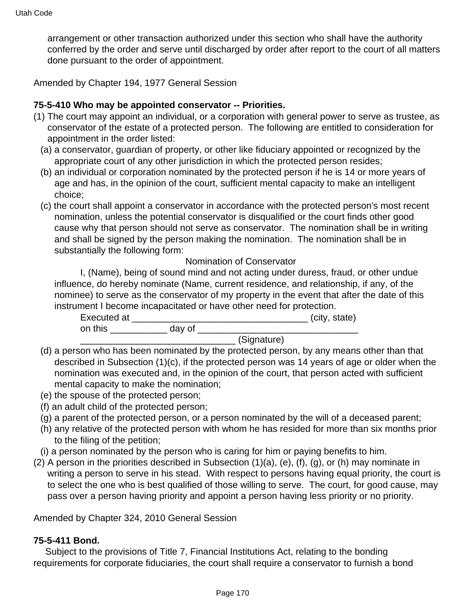arrangement or other transaction authorized under this section who shall have the authority conferred by the order and serve until discharged by order after report to the court of all matters done pursuant to the order of appointment.

Amended by Chapter 194, 1977 General Session

### **75-5-410 Who may be appointed conservator -- Priorities.**

- (1) The court may appoint an individual, or a corporation with general power to serve as trustee, as conservator of the estate of a protected person. The following are entitled to consideration for appointment in the order listed:
	- (a) a conservator, guardian of property, or other like fiduciary appointed or recognized by the appropriate court of any other jurisdiction in which the protected person resides;
	- (b) an individual or corporation nominated by the protected person if he is 14 or more years of age and has, in the opinion of the court, sufficient mental capacity to make an intelligent choice;
	- (c) the court shall appoint a conservator in accordance with the protected person's most recent nomination, unless the potential conservator is disqualified or the court finds other good cause why that person should not serve as conservator. The nomination shall be in writing and shall be signed by the person making the nomination. The nomination shall be in substantially the following form:

### Nomination of Conservator

 I, (Name), being of sound mind and not acting under duress, fraud, or other undue influence, do hereby nominate (Name, current residence, and relationship, if any, of the nominee) to serve as the conservator of my property in the event that after the date of this instrument I become incapacitated or have other need for protection.

Executed at \_\_\_\_\_\_\_\_\_\_\_\_\_\_\_\_\_\_\_\_\_\_\_\_\_\_\_\_\_\_\_\_\_\_ (city, state)

on this  $\_\_\_\_\_\_\_\_$  day of  $\_\_\_\_\_\_\_$ 

## \_\_\_\_\_\_\_\_\_\_\_\_\_\_\_\_\_\_\_\_\_\_\_\_\_\_\_\_\_\_ (Signature)

- (d) a person who has been nominated by the protected person, by any means other than that described in Subsection (1)(c), if the protected person was 14 years of age or older when the nomination was executed and, in the opinion of the court, that person acted with sufficient mental capacity to make the nomination;
- (e) the spouse of the protected person;
- (f) an adult child of the protected person;
- (g) a parent of the protected person, or a person nominated by the will of a deceased parent;
- (h) any relative of the protected person with whom he has resided for more than six months prior to the filing of the petition;
- (i) a person nominated by the person who is caring for him or paying benefits to him.
- (2) A person in the priorities described in Subsection (1)(a), (e), (f), (g), or (h) may nominate in writing a person to serve in his stead. With respect to persons having equal priority, the court is to select the one who is best qualified of those willing to serve. The court, for good cause, may pass over a person having priority and appoint a person having less priority or no priority.

Amended by Chapter 324, 2010 General Session

### **75-5-411 Bond.**

 Subject to the provisions of Title 7, Financial Institutions Act, relating to the bonding requirements for corporate fiduciaries, the court shall require a conservator to furnish a bond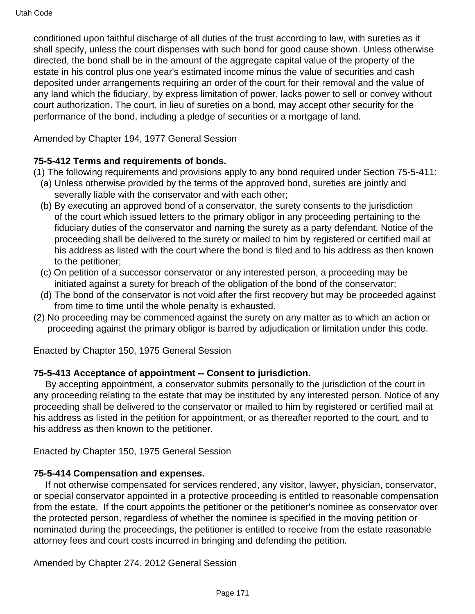conditioned upon faithful discharge of all duties of the trust according to law, with sureties as it shall specify, unless the court dispenses with such bond for good cause shown. Unless otherwise directed, the bond shall be in the amount of the aggregate capital value of the property of the estate in his control plus one year's estimated income minus the value of securities and cash deposited under arrangements requiring an order of the court for their removal and the value of any land which the fiduciary, by express limitation of power, lacks power to sell or convey without court authorization. The court, in lieu of sureties on a bond, may accept other security for the performance of the bond, including a pledge of securities or a mortgage of land.

Amended by Chapter 194, 1977 General Session

### **75-5-412 Terms and requirements of bonds.**

- (1) The following requirements and provisions apply to any bond required under Section 75-5-411:
	- (a) Unless otherwise provided by the terms of the approved bond, sureties are jointly and severally liable with the conservator and with each other;
	- (b) By executing an approved bond of a conservator, the surety consents to the jurisdiction of the court which issued letters to the primary obligor in any proceeding pertaining to the fiduciary duties of the conservator and naming the surety as a party defendant. Notice of the proceeding shall be delivered to the surety or mailed to him by registered or certified mail at his address as listed with the court where the bond is filed and to his address as then known to the petitioner;
	- (c) On petition of a successor conservator or any interested person, a proceeding may be initiated against a surety for breach of the obligation of the bond of the conservator;
	- (d) The bond of the conservator is not void after the first recovery but may be proceeded against from time to time until the whole penalty is exhausted.
- (2) No proceeding may be commenced against the surety on any matter as to which an action or proceeding against the primary obligor is barred by adjudication or limitation under this code.

Enacted by Chapter 150, 1975 General Session

### **75-5-413 Acceptance of appointment -- Consent to jurisdiction.**

 By accepting appointment, a conservator submits personally to the jurisdiction of the court in any proceeding relating to the estate that may be instituted by any interested person. Notice of any proceeding shall be delivered to the conservator or mailed to him by registered or certified mail at his address as listed in the petition for appointment, or as thereafter reported to the court, and to his address as then known to the petitioner.

Enacted by Chapter 150, 1975 General Session

### **75-5-414 Compensation and expenses.**

 If not otherwise compensated for services rendered, any visitor, lawyer, physician, conservator, or special conservator appointed in a protective proceeding is entitled to reasonable compensation from the estate. If the court appoints the petitioner or the petitioner's nominee as conservator over the protected person, regardless of whether the nominee is specified in the moving petition or nominated during the proceedings, the petitioner is entitled to receive from the estate reasonable attorney fees and court costs incurred in bringing and defending the petition.

Amended by Chapter 274, 2012 General Session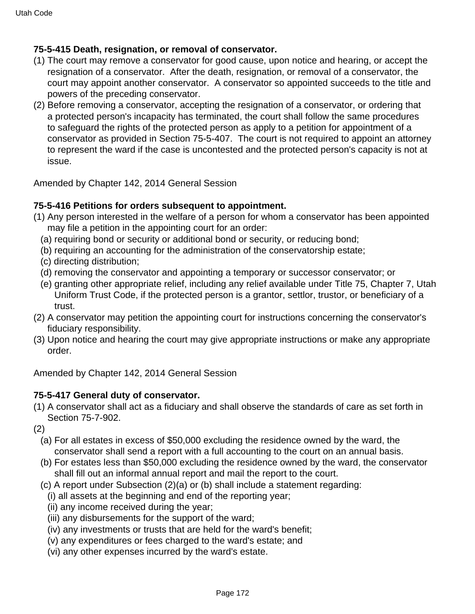### **75-5-415 Death, resignation, or removal of conservator.**

- (1) The court may remove a conservator for good cause, upon notice and hearing, or accept the resignation of a conservator. After the death, resignation, or removal of a conservator, the court may appoint another conservator. A conservator so appointed succeeds to the title and powers of the preceding conservator.
- (2) Before removing a conservator, accepting the resignation of a conservator, or ordering that a protected person's incapacity has terminated, the court shall follow the same procedures to safeguard the rights of the protected person as apply to a petition for appointment of a conservator as provided in Section 75-5-407. The court is not required to appoint an attorney to represent the ward if the case is uncontested and the protected person's capacity is not at issue.

Amended by Chapter 142, 2014 General Session

### **75-5-416 Petitions for orders subsequent to appointment.**

- (1) Any person interested in the welfare of a person for whom a conservator has been appointed may file a petition in the appointing court for an order:
	- (a) requiring bond or security or additional bond or security, or reducing bond;
	- (b) requiring an accounting for the administration of the conservatorship estate;
	- (c) directing distribution;
	- (d) removing the conservator and appointing a temporary or successor conservator; or
	- (e) granting other appropriate relief, including any relief available under Title 75, Chapter 7, Utah Uniform Trust Code, if the protected person is a grantor, settlor, trustor, or beneficiary of a trust.
- (2) A conservator may petition the appointing court for instructions concerning the conservator's fiduciary responsibility.
- (3) Upon notice and hearing the court may give appropriate instructions or make any appropriate order.

Amended by Chapter 142, 2014 General Session

## **75-5-417 General duty of conservator.**

(1) A conservator shall act as a fiduciary and shall observe the standards of care as set forth in Section 75-7-902.

(2)

- (a) For all estates in excess of \$50,000 excluding the residence owned by the ward, the conservator shall send a report with a full accounting to the court on an annual basis.
- (b) For estates less than \$50,000 excluding the residence owned by the ward, the conservator shall fill out an informal annual report and mail the report to the court.
- (c) A report under Subsection (2)(a) or (b) shall include a statement regarding:
	- (i) all assets at the beginning and end of the reporting year;
	- (ii) any income received during the year;
	- (iii) any disbursements for the support of the ward;
	- (iv) any investments or trusts that are held for the ward's benefit;
	- (v) any expenditures or fees charged to the ward's estate; and
	- (vi) any other expenses incurred by the ward's estate.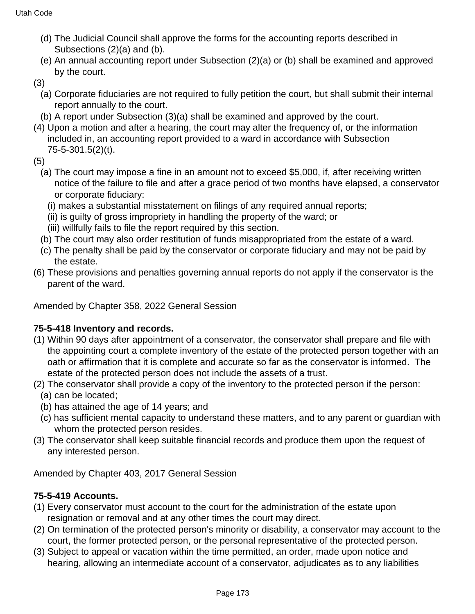- (d) The Judicial Council shall approve the forms for the accounting reports described in Subsections (2)(a) and (b).
- (e) An annual accounting report under Subsection (2)(a) or (b) shall be examined and approved by the court.

(3)

- (a) Corporate fiduciaries are not required to fully petition the court, but shall submit their internal report annually to the court.
- (b) A report under Subsection (3)(a) shall be examined and approved by the court.
- (4) Upon a motion and after a hearing, the court may alter the frequency of, or the information included in, an accounting report provided to a ward in accordance with Subsection 75-5-301.5(2)(t).
- (5)
	- (a) The court may impose a fine in an amount not to exceed \$5,000, if, after receiving written notice of the failure to file and after a grace period of two months have elapsed, a conservator or corporate fiduciary:
		- (i) makes a substantial misstatement on filings of any required annual reports;
		- (ii) is guilty of gross impropriety in handling the property of the ward; or
		- (iii) willfully fails to file the report required by this section.
	- (b) The court may also order restitution of funds misappropriated from the estate of a ward.
	- (c) The penalty shall be paid by the conservator or corporate fiduciary and may not be paid by the estate.
- (6) These provisions and penalties governing annual reports do not apply if the conservator is the parent of the ward.

Amended by Chapter 358, 2022 General Session

## **75-5-418 Inventory and records.**

- (1) Within 90 days after appointment of a conservator, the conservator shall prepare and file with the appointing court a complete inventory of the estate of the protected person together with an oath or affirmation that it is complete and accurate so far as the conservator is informed. The estate of the protected person does not include the assets of a trust.
- (2) The conservator shall provide a copy of the inventory to the protected person if the person:
	- (a) can be located;
	- (b) has attained the age of 14 years; and
	- (c) has sufficient mental capacity to understand these matters, and to any parent or guardian with whom the protected person resides.
- (3) The conservator shall keep suitable financial records and produce them upon the request of any interested person.

Amended by Chapter 403, 2017 General Session

## **75-5-419 Accounts.**

- (1) Every conservator must account to the court for the administration of the estate upon resignation or removal and at any other times the court may direct.
- (2) On termination of the protected person's minority or disability, a conservator may account to the court, the former protected person, or the personal representative of the protected person.
- (3) Subject to appeal or vacation within the time permitted, an order, made upon notice and hearing, allowing an intermediate account of a conservator, adjudicates as to any liabilities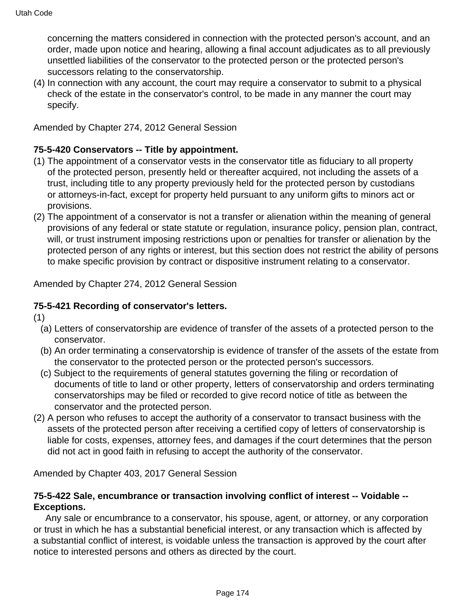concerning the matters considered in connection with the protected person's account, and an order, made upon notice and hearing, allowing a final account adjudicates as to all previously unsettled liabilities of the conservator to the protected person or the protected person's successors relating to the conservatorship.

(4) In connection with any account, the court may require a conservator to submit to a physical check of the estate in the conservator's control, to be made in any manner the court may specify.

Amended by Chapter 274, 2012 General Session

### **75-5-420 Conservators -- Title by appointment.**

- (1) The appointment of a conservator vests in the conservator title as fiduciary to all property of the protected person, presently held or thereafter acquired, not including the assets of a trust, including title to any property previously held for the protected person by custodians or attorneys-in-fact, except for property held pursuant to any uniform gifts to minors act or provisions.
- (2) The appointment of a conservator is not a transfer or alienation within the meaning of general provisions of any federal or state statute or regulation, insurance policy, pension plan, contract, will, or trust instrument imposing restrictions upon or penalties for transfer or alienation by the protected person of any rights or interest, but this section does not restrict the ability of persons to make specific provision by contract or dispositive instrument relating to a conservator.

Amended by Chapter 274, 2012 General Session

### **75-5-421 Recording of conservator's letters.**

(1)

- (a) Letters of conservatorship are evidence of transfer of the assets of a protected person to the conservator.
- (b) An order terminating a conservatorship is evidence of transfer of the assets of the estate from the conservator to the protected person or the protected person's successors.
- (c) Subject to the requirements of general statutes governing the filing or recordation of documents of title to land or other property, letters of conservatorship and orders terminating conservatorships may be filed or recorded to give record notice of title as between the conservator and the protected person.
- (2) A person who refuses to accept the authority of a conservator to transact business with the assets of the protected person after receiving a certified copy of letters of conservatorship is liable for costs, expenses, attorney fees, and damages if the court determines that the person did not act in good faith in refusing to accept the authority of the conservator.

Amended by Chapter 403, 2017 General Session

### **75-5-422 Sale, encumbrance or transaction involving conflict of interest -- Voidable -- Exceptions.**

 Any sale or encumbrance to a conservator, his spouse, agent, or attorney, or any corporation or trust in which he has a substantial beneficial interest, or any transaction which is affected by a substantial conflict of interest, is voidable unless the transaction is approved by the court after notice to interested persons and others as directed by the court.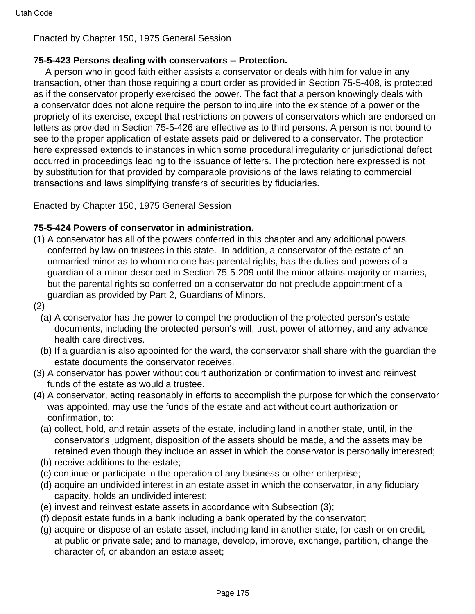### Enacted by Chapter 150, 1975 General Session

### **75-5-423 Persons dealing with conservators -- Protection.**

 A person who in good faith either assists a conservator or deals with him for value in any transaction, other than those requiring a court order as provided in Section 75-5-408, is protected as if the conservator properly exercised the power. The fact that a person knowingly deals with a conservator does not alone require the person to inquire into the existence of a power or the propriety of its exercise, except that restrictions on powers of conservators which are endorsed on letters as provided in Section 75-5-426 are effective as to third persons. A person is not bound to see to the proper application of estate assets paid or delivered to a conservator. The protection here expressed extends to instances in which some procedural irregularity or jurisdictional defect occurred in proceedings leading to the issuance of letters. The protection here expressed is not by substitution for that provided by comparable provisions of the laws relating to commercial transactions and laws simplifying transfers of securities by fiduciaries.

Enacted by Chapter 150, 1975 General Session

### **75-5-424 Powers of conservator in administration.**

- (1) A conservator has all of the powers conferred in this chapter and any additional powers conferred by law on trustees in this state. In addition, a conservator of the estate of an unmarried minor as to whom no one has parental rights, has the duties and powers of a guardian of a minor described in Section 75-5-209 until the minor attains majority or marries, but the parental rights so conferred on a conservator do not preclude appointment of a guardian as provided by Part 2, Guardians of Minors.
- (2)
	- (a) A conservator has the power to compel the production of the protected person's estate documents, including the protected person's will, trust, power of attorney, and any advance health care directives.
	- (b) If a guardian is also appointed for the ward, the conservator shall share with the guardian the estate documents the conservator receives.
- (3) A conservator has power without court authorization or confirmation to invest and reinvest funds of the estate as would a trustee.
- (4) A conservator, acting reasonably in efforts to accomplish the purpose for which the conservator was appointed, may use the funds of the estate and act without court authorization or confirmation, to:
	- (a) collect, hold, and retain assets of the estate, including land in another state, until, in the conservator's judgment, disposition of the assets should be made, and the assets may be retained even though they include an asset in which the conservator is personally interested;
	- (b) receive additions to the estate;
	- (c) continue or participate in the operation of any business or other enterprise;
	- (d) acquire an undivided interest in an estate asset in which the conservator, in any fiduciary capacity, holds an undivided interest;
	- (e) invest and reinvest estate assets in accordance with Subsection (3);
	- (f) deposit estate funds in a bank including a bank operated by the conservator;
	- (g) acquire or dispose of an estate asset, including land in another state, for cash or on credit, at public or private sale; and to manage, develop, improve, exchange, partition, change the character of, or abandon an estate asset;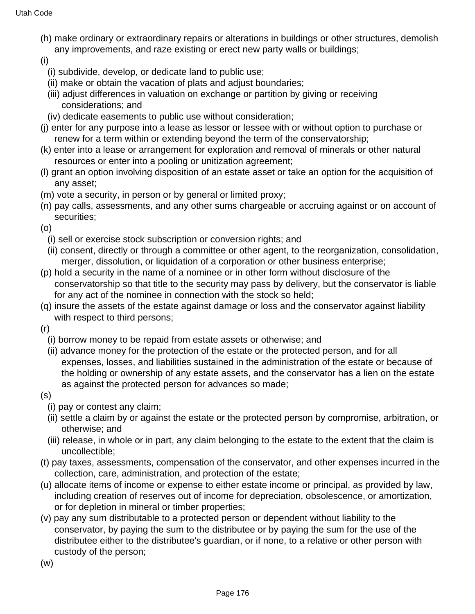- (h) make ordinary or extraordinary repairs or alterations in buildings or other structures, demolish any improvements, and raze existing or erect new party walls or buildings;
- (i)
	- (i) subdivide, develop, or dedicate land to public use;
	- (ii) make or obtain the vacation of plats and adjust boundaries;
	- (iii) adjust differences in valuation on exchange or partition by giving or receiving considerations; and
- (iv) dedicate easements to public use without consideration;
- (j) enter for any purpose into a lease as lessor or lessee with or without option to purchase or renew for a term within or extending beyond the term of the conservatorship;
- (k) enter into a lease or arrangement for exploration and removal of minerals or other natural resources or enter into a pooling or unitization agreement;
- (l) grant an option involving disposition of an estate asset or take an option for the acquisition of any asset;
- (m) vote a security, in person or by general or limited proxy;
- (n) pay calls, assessments, and any other sums chargeable or accruing against or on account of securities;

(o)

- (i) sell or exercise stock subscription or conversion rights; and
- (ii) consent, directly or through a committee or other agent, to the reorganization, consolidation, merger, dissolution, or liquidation of a corporation or other business enterprise;
- (p) hold a security in the name of a nominee or in other form without disclosure of the conservatorship so that title to the security may pass by delivery, but the conservator is liable for any act of the nominee in connection with the stock so held;
- (q) insure the assets of the estate against damage or loss and the conservator against liability with respect to third persons;

(r)

- (i) borrow money to be repaid from estate assets or otherwise; and
- (ii) advance money for the protection of the estate or the protected person, and for all expenses, losses, and liabilities sustained in the administration of the estate or because of the holding or ownership of any estate assets, and the conservator has a lien on the estate as against the protected person for advances so made;
- (s)
	- (i) pay or contest any claim;
	- (ii) settle a claim by or against the estate or the protected person by compromise, arbitration, or otherwise; and
	- (iii) release, in whole or in part, any claim belonging to the estate to the extent that the claim is uncollectible;
- (t) pay taxes, assessments, compensation of the conservator, and other expenses incurred in the collection, care, administration, and protection of the estate;
- (u) allocate items of income or expense to either estate income or principal, as provided by law, including creation of reserves out of income for depreciation, obsolescence, or amortization, or for depletion in mineral or timber properties;
- (v) pay any sum distributable to a protected person or dependent without liability to the conservator, by paying the sum to the distributee or by paying the sum for the use of the distributee either to the distributee's guardian, or if none, to a relative or other person with custody of the person;

(w)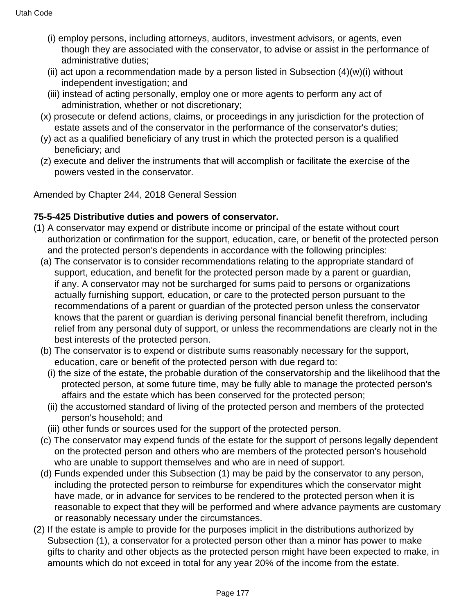- (i) employ persons, including attorneys, auditors, investment advisors, or agents, even though they are associated with the conservator, to advise or assist in the performance of administrative duties;
- (ii) act upon a recommendation made by a person listed in Subsection  $(4)(w)(i)$  without independent investigation; and
- (iii) instead of acting personally, employ one or more agents to perform any act of administration, whether or not discretionary;
- (x) prosecute or defend actions, claims, or proceedings in any jurisdiction for the protection of estate assets and of the conservator in the performance of the conservator's duties;
- (y) act as a qualified beneficiary of any trust in which the protected person is a qualified beneficiary; and
- (z) execute and deliver the instruments that will accomplish or facilitate the exercise of the powers vested in the conservator.

Amended by Chapter 244, 2018 General Session

# **75-5-425 Distributive duties and powers of conservator.**

- (1) A conservator may expend or distribute income or principal of the estate without court authorization or confirmation for the support, education, care, or benefit of the protected person and the protected person's dependents in accordance with the following principles:
	- (a) The conservator is to consider recommendations relating to the appropriate standard of support, education, and benefit for the protected person made by a parent or guardian, if any. A conservator may not be surcharged for sums paid to persons or organizations actually furnishing support, education, or care to the protected person pursuant to the recommendations of a parent or guardian of the protected person unless the conservator knows that the parent or guardian is deriving personal financial benefit therefrom, including relief from any personal duty of support, or unless the recommendations are clearly not in the best interests of the protected person.
	- (b) The conservator is to expend or distribute sums reasonably necessary for the support, education, care or benefit of the protected person with due regard to:
		- (i) the size of the estate, the probable duration of the conservatorship and the likelihood that the protected person, at some future time, may be fully able to manage the protected person's affairs and the estate which has been conserved for the protected person;
		- (ii) the accustomed standard of living of the protected person and members of the protected person's household; and
		- (iii) other funds or sources used for the support of the protected person.
	- (c) The conservator may expend funds of the estate for the support of persons legally dependent on the protected person and others who are members of the protected person's household who are unable to support themselves and who are in need of support.
	- (d) Funds expended under this Subsection (1) may be paid by the conservator to any person, including the protected person to reimburse for expenditures which the conservator might have made, or in advance for services to be rendered to the protected person when it is reasonable to expect that they will be performed and where advance payments are customary or reasonably necessary under the circumstances.
- (2) If the estate is ample to provide for the purposes implicit in the distributions authorized by Subsection (1), a conservator for a protected person other than a minor has power to make gifts to charity and other objects as the protected person might have been expected to make, in amounts which do not exceed in total for any year 20% of the income from the estate.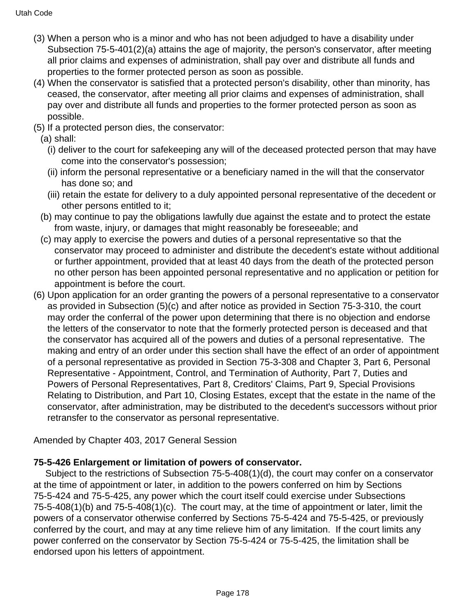- (3) When a person who is a minor and who has not been adjudged to have a disability under Subsection 75-5-401(2)(a) attains the age of majority, the person's conservator, after meeting all prior claims and expenses of administration, shall pay over and distribute all funds and properties to the former protected person as soon as possible.
- (4) When the conservator is satisfied that a protected person's disability, other than minority, has ceased, the conservator, after meeting all prior claims and expenses of administration, shall pay over and distribute all funds and properties to the former protected person as soon as possible.
- (5) If a protected person dies, the conservator:
	- (a) shall:
		- (i) deliver to the court for safekeeping any will of the deceased protected person that may have come into the conservator's possession;
		- (ii) inform the personal representative or a beneficiary named in the will that the conservator has done so; and
		- (iii) retain the estate for delivery to a duly appointed personal representative of the decedent or other persons entitled to it;
	- (b) may continue to pay the obligations lawfully due against the estate and to protect the estate from waste, injury, or damages that might reasonably be foreseeable; and
	- (c) may apply to exercise the powers and duties of a personal representative so that the conservator may proceed to administer and distribute the decedent's estate without additional or further appointment, provided that at least 40 days from the death of the protected person no other person has been appointed personal representative and no application or petition for appointment is before the court.
- (6) Upon application for an order granting the powers of a personal representative to a conservator as provided in Subsection (5)(c) and after notice as provided in Section 75-3-310, the court may order the conferral of the power upon determining that there is no objection and endorse the letters of the conservator to note that the formerly protected person is deceased and that the conservator has acquired all of the powers and duties of a personal representative. The making and entry of an order under this section shall have the effect of an order of appointment of a personal representative as provided in Section 75-3-308 and Chapter 3, Part 6, Personal Representative - Appointment, Control, and Termination of Authority, Part 7, Duties and Powers of Personal Representatives, Part 8, Creditors' Claims, Part 9, Special Provisions Relating to Distribution, and Part 10, Closing Estates, except that the estate in the name of the conservator, after administration, may be distributed to the decedent's successors without prior retransfer to the conservator as personal representative.

Amended by Chapter 403, 2017 General Session

## **75-5-426 Enlargement or limitation of powers of conservator.**

 Subject to the restrictions of Subsection 75-5-408(1)(d), the court may confer on a conservator at the time of appointment or later, in addition to the powers conferred on him by Sections 75-5-424 and 75-5-425, any power which the court itself could exercise under Subsections 75-5-408(1)(b) and 75-5-408(1)(c). The court may, at the time of appointment or later, limit the powers of a conservator otherwise conferred by Sections 75-5-424 and 75-5-425, or previously conferred by the court, and may at any time relieve him of any limitation. If the court limits any power conferred on the conservator by Section 75-5-424 or 75-5-425, the limitation shall be endorsed upon his letters of appointment.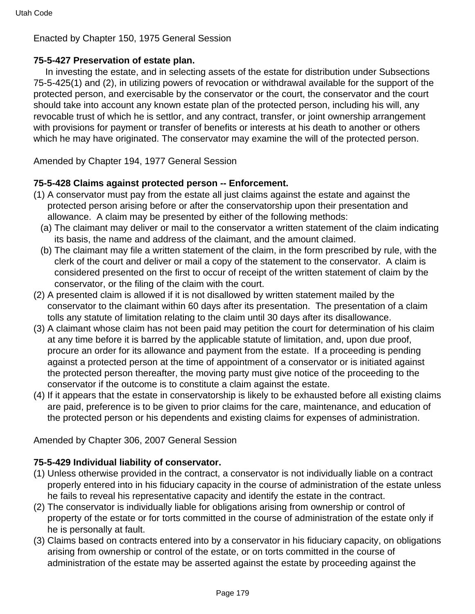### Enacted by Chapter 150, 1975 General Session

### **75-5-427 Preservation of estate plan.**

 In investing the estate, and in selecting assets of the estate for distribution under Subsections 75-5-425(1) and (2), in utilizing powers of revocation or withdrawal available for the support of the protected person, and exercisable by the conservator or the court, the conservator and the court should take into account any known estate plan of the protected person, including his will, any revocable trust of which he is settlor, and any contract, transfer, or joint ownership arrangement with provisions for payment or transfer of benefits or interests at his death to another or others which he may have originated. The conservator may examine the will of the protected person.

Amended by Chapter 194, 1977 General Session

## **75-5-428 Claims against protected person -- Enforcement.**

- (1) A conservator must pay from the estate all just claims against the estate and against the protected person arising before or after the conservatorship upon their presentation and allowance. A claim may be presented by either of the following methods:
	- (a) The claimant may deliver or mail to the conservator a written statement of the claim indicating its basis, the name and address of the claimant, and the amount claimed.
	- (b) The claimant may file a written statement of the claim, in the form prescribed by rule, with the clerk of the court and deliver or mail a copy of the statement to the conservator. A claim is considered presented on the first to occur of receipt of the written statement of claim by the conservator, or the filing of the claim with the court.
- (2) A presented claim is allowed if it is not disallowed by written statement mailed by the conservator to the claimant within 60 days after its presentation. The presentation of a claim tolls any statute of limitation relating to the claim until 30 days after its disallowance.
- (3) A claimant whose claim has not been paid may petition the court for determination of his claim at any time before it is barred by the applicable statute of limitation, and, upon due proof, procure an order for its allowance and payment from the estate. If a proceeding is pending against a protected person at the time of appointment of a conservator or is initiated against the protected person thereafter, the moving party must give notice of the proceeding to the conservator if the outcome is to constitute a claim against the estate.
- (4) If it appears that the estate in conservatorship is likely to be exhausted before all existing claims are paid, preference is to be given to prior claims for the care, maintenance, and education of the protected person or his dependents and existing claims for expenses of administration.

Amended by Chapter 306, 2007 General Session

## **75-5-429 Individual liability of conservator.**

- (1) Unless otherwise provided in the contract, a conservator is not individually liable on a contract properly entered into in his fiduciary capacity in the course of administration of the estate unless he fails to reveal his representative capacity and identify the estate in the contract.
- (2) The conservator is individually liable for obligations arising from ownership or control of property of the estate or for torts committed in the course of administration of the estate only if he is personally at fault.
- (3) Claims based on contracts entered into by a conservator in his fiduciary capacity, on obligations arising from ownership or control of the estate, or on torts committed in the course of administration of the estate may be asserted against the estate by proceeding against the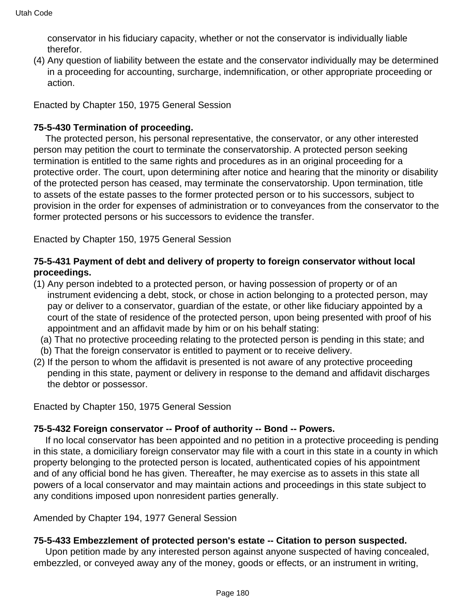conservator in his fiduciary capacity, whether or not the conservator is individually liable therefor.

(4) Any question of liability between the estate and the conservator individually may be determined in a proceeding for accounting, surcharge, indemnification, or other appropriate proceeding or action.

Enacted by Chapter 150, 1975 General Session

## **75-5-430 Termination of proceeding.**

 The protected person, his personal representative, the conservator, or any other interested person may petition the court to terminate the conservatorship. A protected person seeking termination is entitled to the same rights and procedures as in an original proceeding for a protective order. The court, upon determining after notice and hearing that the minority or disability of the protected person has ceased, may terminate the conservatorship. Upon termination, title to assets of the estate passes to the former protected person or to his successors, subject to provision in the order for expenses of administration or to conveyances from the conservator to the former protected persons or his successors to evidence the transfer.

Enacted by Chapter 150, 1975 General Session

### **75-5-431 Payment of debt and delivery of property to foreign conservator without local proceedings.**

- (1) Any person indebted to a protected person, or having possession of property or of an instrument evidencing a debt, stock, or chose in action belonging to a protected person, may pay or deliver to a conservator, guardian of the estate, or other like fiduciary appointed by a court of the state of residence of the protected person, upon being presented with proof of his appointment and an affidavit made by him or on his behalf stating:
	- (a) That no protective proceeding relating to the protected person is pending in this state; and
	- (b) That the foreign conservator is entitled to payment or to receive delivery.
- (2) If the person to whom the affidavit is presented is not aware of any protective proceeding pending in this state, payment or delivery in response to the demand and affidavit discharges the debtor or possessor.

Enacted by Chapter 150, 1975 General Session

### **75-5-432 Foreign conservator -- Proof of authority -- Bond -- Powers.**

 If no local conservator has been appointed and no petition in a protective proceeding is pending in this state, a domiciliary foreign conservator may file with a court in this state in a county in which property belonging to the protected person is located, authenticated copies of his appointment and of any official bond he has given. Thereafter, he may exercise as to assets in this state all powers of a local conservator and may maintain actions and proceedings in this state subject to any conditions imposed upon nonresident parties generally.

Amended by Chapter 194, 1977 General Session

### **75-5-433 Embezzlement of protected person's estate -- Citation to person suspected.**

 Upon petition made by any interested person against anyone suspected of having concealed, embezzled, or conveyed away any of the money, goods or effects, or an instrument in writing,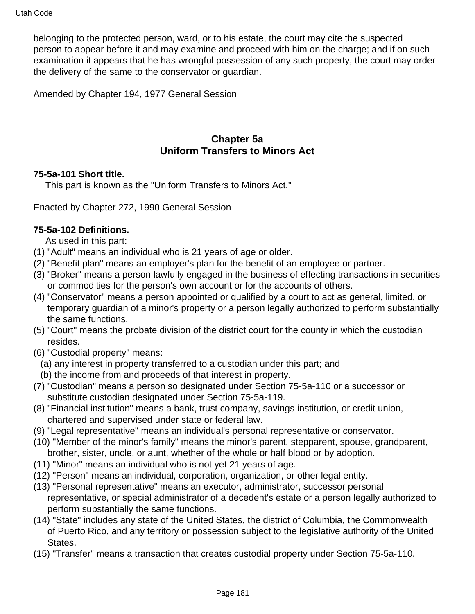belonging to the protected person, ward, or to his estate, the court may cite the suspected person to appear before it and may examine and proceed with him on the charge; and if on such examination it appears that he has wrongful possession of any such property, the court may order the delivery of the same to the conservator or guardian.

Amended by Chapter 194, 1977 General Session

# **Chapter 5a Uniform Transfers to Minors Act**

#### **75-5a-101 Short title.**

This part is known as the "Uniform Transfers to Minors Act."

Enacted by Chapter 272, 1990 General Session

#### **75-5a-102 Definitions.**

As used in this part:

- (1) "Adult" means an individual who is 21 years of age or older.
- (2) "Benefit plan" means an employer's plan for the benefit of an employee or partner.
- (3) "Broker" means a person lawfully engaged in the business of effecting transactions in securities or commodities for the person's own account or for the accounts of others.
- (4) "Conservator" means a person appointed or qualified by a court to act as general, limited, or temporary guardian of a minor's property or a person legally authorized to perform substantially the same functions.
- (5) "Court" means the probate division of the district court for the county in which the custodian resides.
- (6) "Custodial property" means:
	- (a) any interest in property transferred to a custodian under this part; and
	- (b) the income from and proceeds of that interest in property.
- (7) "Custodian" means a person so designated under Section 75-5a-110 or a successor or substitute custodian designated under Section 75-5a-119.
- (8) "Financial institution" means a bank, trust company, savings institution, or credit union, chartered and supervised under state or federal law.
- (9) "Legal representative" means an individual's personal representative or conservator.
- (10) "Member of the minor's family" means the minor's parent, stepparent, spouse, grandparent, brother, sister, uncle, or aunt, whether of the whole or half blood or by adoption.
- (11) "Minor" means an individual who is not yet 21 years of age.
- (12) "Person" means an individual, corporation, organization, or other legal entity.
- (13) "Personal representative" means an executor, administrator, successor personal representative, or special administrator of a decedent's estate or a person legally authorized to perform substantially the same functions.
- (14) "State" includes any state of the United States, the district of Columbia, the Commonwealth of Puerto Rico, and any territory or possession subject to the legislative authority of the United States.
- (15) "Transfer" means a transaction that creates custodial property under Section 75-5a-110.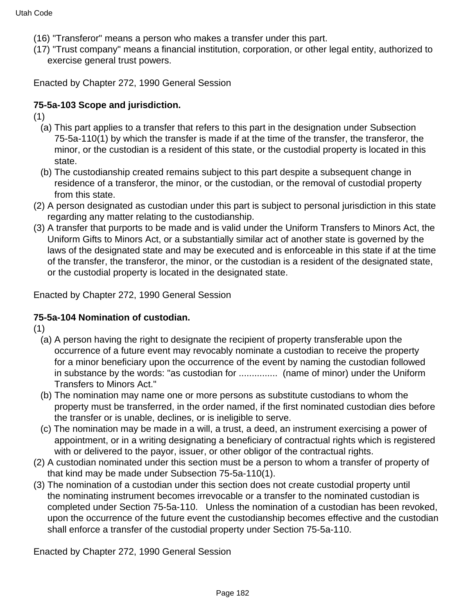- (16) "Transferor" means a person who makes a transfer under this part.
- (17) "Trust company" means a financial institution, corporation, or other legal entity, authorized to exercise general trust powers.

Enacted by Chapter 272, 1990 General Session

# **75-5a-103 Scope and jurisdiction.**

- (1)
	- (a) This part applies to a transfer that refers to this part in the designation under Subsection 75-5a-110(1) by which the transfer is made if at the time of the transfer, the transferor, the minor, or the custodian is a resident of this state, or the custodial property is located in this state.
	- (b) The custodianship created remains subject to this part despite a subsequent change in residence of a transferor, the minor, or the custodian, or the removal of custodial property from this state.
- (2) A person designated as custodian under this part is subject to personal jurisdiction in this state regarding any matter relating to the custodianship.
- (3) A transfer that purports to be made and is valid under the Uniform Transfers to Minors Act, the Uniform Gifts to Minors Act, or a substantially similar act of another state is governed by the laws of the designated state and may be executed and is enforceable in this state if at the time of the transfer, the transferor, the minor, or the custodian is a resident of the designated state, or the custodial property is located in the designated state.

Enacted by Chapter 272, 1990 General Session

### **75-5a-104 Nomination of custodian.**

(1)

- (a) A person having the right to designate the recipient of property transferable upon the occurrence of a future event may revocably nominate a custodian to receive the property for a minor beneficiary upon the occurrence of the event by naming the custodian followed in substance by the words: "as custodian for ............... (name of minor) under the Uniform Transfers to Minors Act."
- (b) The nomination may name one or more persons as substitute custodians to whom the property must be transferred, in the order named, if the first nominated custodian dies before the transfer or is unable, declines, or is ineligible to serve.
- (c) The nomination may be made in a will, a trust, a deed, an instrument exercising a power of appointment, or in a writing designating a beneficiary of contractual rights which is registered with or delivered to the payor, issuer, or other obligor of the contractual rights.
- (2) A custodian nominated under this section must be a person to whom a transfer of property of that kind may be made under Subsection 75-5a-110(1).
- (3) The nomination of a custodian under this section does not create custodial property until the nominating instrument becomes irrevocable or a transfer to the nominated custodian is completed under Section 75-5a-110. Unless the nomination of a custodian has been revoked, upon the occurrence of the future event the custodianship becomes effective and the custodian shall enforce a transfer of the custodial property under Section 75-5a-110.

Enacted by Chapter 272, 1990 General Session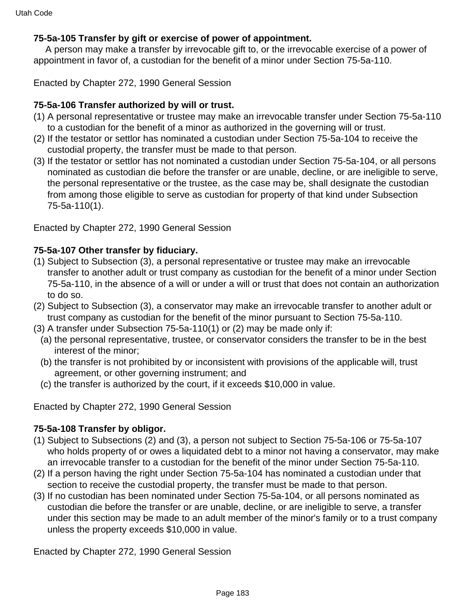## **75-5a-105 Transfer by gift or exercise of power of appointment.**

 A person may make a transfer by irrevocable gift to, or the irrevocable exercise of a power of appointment in favor of, a custodian for the benefit of a minor under Section 75-5a-110.

Enacted by Chapter 272, 1990 General Session

### **75-5a-106 Transfer authorized by will or trust.**

- (1) A personal representative or trustee may make an irrevocable transfer under Section 75-5a-110 to a custodian for the benefit of a minor as authorized in the governing will or trust.
- (2) If the testator or settlor has nominated a custodian under Section 75-5a-104 to receive the custodial property, the transfer must be made to that person.
- (3) If the testator or settlor has not nominated a custodian under Section 75-5a-104, or all persons nominated as custodian die before the transfer or are unable, decline, or are ineligible to serve, the personal representative or the trustee, as the case may be, shall designate the custodian from among those eligible to serve as custodian for property of that kind under Subsection 75-5a-110(1).

Enacted by Chapter 272, 1990 General Session

## **75-5a-107 Other transfer by fiduciary.**

- (1) Subject to Subsection (3), a personal representative or trustee may make an irrevocable transfer to another adult or trust company as custodian for the benefit of a minor under Section 75-5a-110, in the absence of a will or under a will or trust that does not contain an authorization to do so.
- (2) Subject to Subsection (3), a conservator may make an irrevocable transfer to another adult or trust company as custodian for the benefit of the minor pursuant to Section 75-5a-110.
- (3) A transfer under Subsection 75-5a-110(1) or (2) may be made only if:
	- (a) the personal representative, trustee, or conservator considers the transfer to be in the best interest of the minor;
	- (b) the transfer is not prohibited by or inconsistent with provisions of the applicable will, trust agreement, or other governing instrument; and
	- (c) the transfer is authorized by the court, if it exceeds \$10,000 in value.

Enacted by Chapter 272, 1990 General Session

### **75-5a-108 Transfer by obligor.**

- (1) Subject to Subsections (2) and (3), a person not subject to Section 75-5a-106 or 75-5a-107 who holds property of or owes a liquidated debt to a minor not having a conservator, may make an irrevocable transfer to a custodian for the benefit of the minor under Section 75-5a-110.
- (2) If a person having the right under Section 75-5a-104 has nominated a custodian under that section to receive the custodial property, the transfer must be made to that person.
- (3) If no custodian has been nominated under Section 75-5a-104, or all persons nominated as custodian die before the transfer or are unable, decline, or are ineligible to serve, a transfer under this section may be made to an adult member of the minor's family or to a trust company unless the property exceeds \$10,000 in value.

Enacted by Chapter 272, 1990 General Session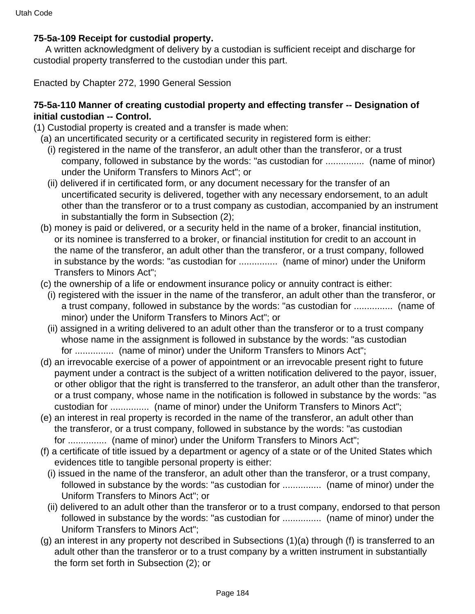## **75-5a-109 Receipt for custodial property.**

 A written acknowledgment of delivery by a custodian is sufficient receipt and discharge for custodial property transferred to the custodian under this part.

Enacted by Chapter 272, 1990 General Session

# **75-5a-110 Manner of creating custodial property and effecting transfer -- Designation of initial custodian -- Control.**

(1) Custodial property is created and a transfer is made when:

- (a) an uncertificated security or a certificated security in registered form is either:
	- (i) registered in the name of the transferor, an adult other than the transferor, or a trust company, followed in substance by the words: "as custodian for ............... (name of minor) under the Uniform Transfers to Minors Act"; or
	- (ii) delivered if in certificated form, or any document necessary for the transfer of an uncertificated security is delivered, together with any necessary endorsement, to an adult other than the transferor or to a trust company as custodian, accompanied by an instrument in substantially the form in Subsection (2);
- (b) money is paid or delivered, or a security held in the name of a broker, financial institution, or its nominee is transferred to a broker, or financial institution for credit to an account in the name of the transferor, an adult other than the transferor, or a trust company, followed in substance by the words: "as custodian for ............... (name of minor) under the Uniform Transfers to Minors Act";
- (c) the ownership of a life or endowment insurance policy or annuity contract is either:
	- (i) registered with the issuer in the name of the transferor, an adult other than the transferor, or a trust company, followed in substance by the words: "as custodian for ............... (name of minor) under the Uniform Transfers to Minors Act"; or
	- (ii) assigned in a writing delivered to an adult other than the transferor or to a trust company whose name in the assignment is followed in substance by the words: "as custodian for ............... (name of minor) under the Uniform Transfers to Minors Act";
- (d) an irrevocable exercise of a power of appointment or an irrevocable present right to future payment under a contract is the subject of a written notification delivered to the payor, issuer, or other obligor that the right is transferred to the transferor, an adult other than the transferor, or a trust company, whose name in the notification is followed in substance by the words: "as custodian for ............... (name of minor) under the Uniform Transfers to Minors Act";
- (e) an interest in real property is recorded in the name of the transferor, an adult other than the transferor, or a trust company, followed in substance by the words: "as custodian for ............... (name of minor) under the Uniform Transfers to Minors Act";
- (f) a certificate of title issued by a department or agency of a state or of the United States which evidences title to tangible personal property is either:
	- (i) issued in the name of the transferor, an adult other than the transferor, or a trust company, followed in substance by the words: "as custodian for ............... (name of minor) under the Uniform Transfers to Minors Act"; or
	- (ii) delivered to an adult other than the transferor or to a trust company, endorsed to that person followed in substance by the words: "as custodian for ............... (name of minor) under the Uniform Transfers to Minors Act";
- (g) an interest in any property not described in Subsections (1)(a) through (f) is transferred to an adult other than the transferor or to a trust company by a written instrument in substantially the form set forth in Subsection (2); or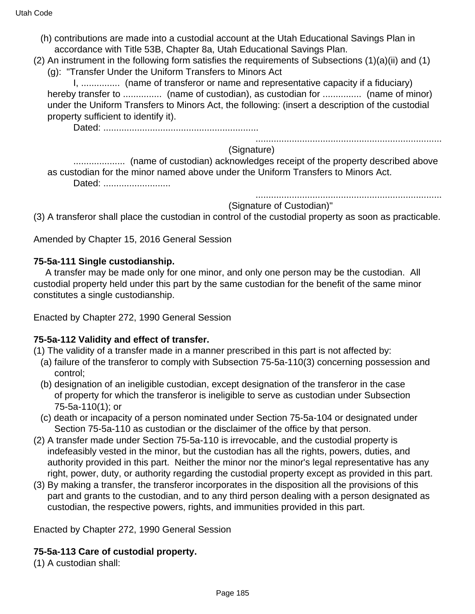- (h) contributions are made into a custodial account at the Utah Educational Savings Plan in accordance with Title 53B, Chapter 8a, Utah Educational Savings Plan.
- (2) An instrument in the following form satisfies the requirements of Subsections (1)(a)(ii) and (1) (g): "Transfer Under the Uniform Transfers to Minors Act

 I, ............... (name of transferor or name and representative capacity if a fiduciary) hereby transfer to ............... (name of custodian), as custodian for ............... (name of minor) under the Uniform Transfers to Minors Act, the following: (insert a description of the custodial property sufficient to identify it).

Dated: ............................................................

### (Signature)

 .................... (name of custodian) acknowledges receipt of the property described above as custodian for the minor named above under the Uniform Transfers to Minors Act. Dated: ...........................

> ........................................................................ (Signature of Custodian)"

........................................................................

(3) A transferor shall place the custodian in control of the custodial property as soon as practicable.

Amended by Chapter 15, 2016 General Session

# **75-5a-111 Single custodianship.**

 A transfer may be made only for one minor, and only one person may be the custodian. All custodial property held under this part by the same custodian for the benefit of the same minor constitutes a single custodianship.

Enacted by Chapter 272, 1990 General Session

# **75-5a-112 Validity and effect of transfer.**

- (1) The validity of a transfer made in a manner prescribed in this part is not affected by:
	- (a) failure of the transferor to comply with Subsection 75-5a-110(3) concerning possession and control;
	- (b) designation of an ineligible custodian, except designation of the transferor in the case of property for which the transferor is ineligible to serve as custodian under Subsection 75-5a-110(1); or
	- (c) death or incapacity of a person nominated under Section 75-5a-104 or designated under Section 75-5a-110 as custodian or the disclaimer of the office by that person.
- (2) A transfer made under Section 75-5a-110 is irrevocable, and the custodial property is indefeasibly vested in the minor, but the custodian has all the rights, powers, duties, and authority provided in this part. Neither the minor nor the minor's legal representative has any right, power, duty, or authority regarding the custodial property except as provided in this part.
- (3) By making a transfer, the transferor incorporates in the disposition all the provisions of this part and grants to the custodian, and to any third person dealing with a person designated as custodian, the respective powers, rights, and immunities provided in this part.

Enacted by Chapter 272, 1990 General Session

# **75-5a-113 Care of custodial property.**

(1) A custodian shall: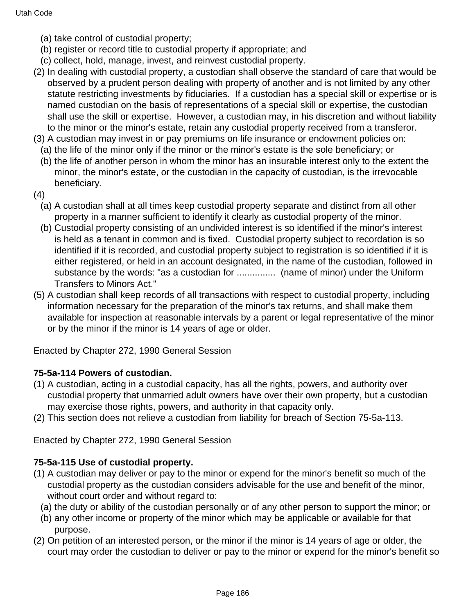- (a) take control of custodial property;
- (b) register or record title to custodial property if appropriate; and
- (c) collect, hold, manage, invest, and reinvest custodial property.
- (2) In dealing with custodial property, a custodian shall observe the standard of care that would be observed by a prudent person dealing with property of another and is not limited by any other statute restricting investments by fiduciaries. If a custodian has a special skill or expertise or is named custodian on the basis of representations of a special skill or expertise, the custodian shall use the skill or expertise. However, a custodian may, in his discretion and without liability to the minor or the minor's estate, retain any custodial property received from a transferor.
- (3) A custodian may invest in or pay premiums on life insurance or endowment policies on: (a) the life of the minor only if the minor or the minor's estate is the sole beneficiary; or
	- (b) the life of another person in whom the minor has an insurable interest only to the extent the minor, the minor's estate, or the custodian in the capacity of custodian, is the irrevocable beneficiary.
- (4)
	- (a) A custodian shall at all times keep custodial property separate and distinct from all other property in a manner sufficient to identify it clearly as custodial property of the minor.
	- (b) Custodial property consisting of an undivided interest is so identified if the minor's interest is held as a tenant in common and is fixed. Custodial property subject to recordation is so identified if it is recorded, and custodial property subject to registration is so identified if it is either registered, or held in an account designated, in the name of the custodian, followed in substance by the words: "as a custodian for ............... (name of minor) under the Uniform Transfers to Minors Act."
- (5) A custodian shall keep records of all transactions with respect to custodial property, including information necessary for the preparation of the minor's tax returns, and shall make them available for inspection at reasonable intervals by a parent or legal representative of the minor or by the minor if the minor is 14 years of age or older.

Enacted by Chapter 272, 1990 General Session

# **75-5a-114 Powers of custodian.**

- (1) A custodian, acting in a custodial capacity, has all the rights, powers, and authority over custodial property that unmarried adult owners have over their own property, but a custodian may exercise those rights, powers, and authority in that capacity only.
- (2) This section does not relieve a custodian from liability for breach of Section 75-5a-113.

Enacted by Chapter 272, 1990 General Session

# **75-5a-115 Use of custodial property.**

- (1) A custodian may deliver or pay to the minor or expend for the minor's benefit so much of the custodial property as the custodian considers advisable for the use and benefit of the minor, without court order and without regard to:
	- (a) the duty or ability of the custodian personally or of any other person to support the minor; or
	- (b) any other income or property of the minor which may be applicable or available for that purpose.
- (2) On petition of an interested person, or the minor if the minor is 14 years of age or older, the court may order the custodian to deliver or pay to the minor or expend for the minor's benefit so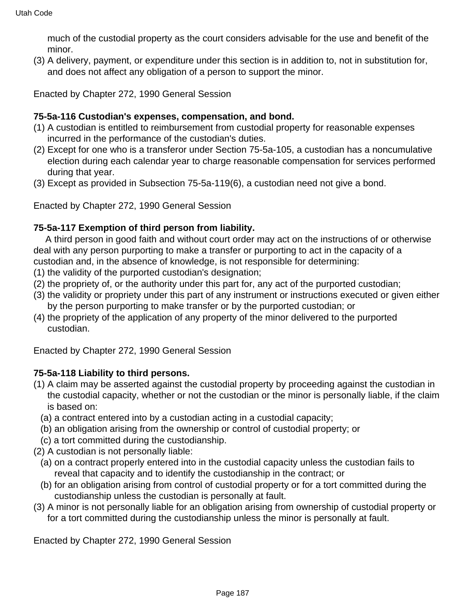much of the custodial property as the court considers advisable for the use and benefit of the minor.

(3) A delivery, payment, or expenditure under this section is in addition to, not in substitution for, and does not affect any obligation of a person to support the minor.

Enacted by Chapter 272, 1990 General Session

### **75-5a-116 Custodian's expenses, compensation, and bond.**

- (1) A custodian is entitled to reimbursement from custodial property for reasonable expenses incurred in the performance of the custodian's duties.
- (2) Except for one who is a transferor under Section 75-5a-105, a custodian has a noncumulative election during each calendar year to charge reasonable compensation for services performed during that year.
- (3) Except as provided in Subsection 75-5a-119(6), a custodian need not give a bond.

Enacted by Chapter 272, 1990 General Session

# **75-5a-117 Exemption of third person from liability.**

 A third person in good faith and without court order may act on the instructions of or otherwise deal with any person purporting to make a transfer or purporting to act in the capacity of a custodian and, in the absence of knowledge, is not responsible for determining:

- (1) the validity of the purported custodian's designation;
- (2) the propriety of, or the authority under this part for, any act of the purported custodian;
- (3) the validity or propriety under this part of any instrument or instructions executed or given either by the person purporting to make transfer or by the purported custodian; or
- (4) the propriety of the application of any property of the minor delivered to the purported custodian.

Enacted by Chapter 272, 1990 General Session

# **75-5a-118 Liability to third persons.**

- (1) A claim may be asserted against the custodial property by proceeding against the custodian in the custodial capacity, whether or not the custodian or the minor is personally liable, if the claim is based on:
	- (a) a contract entered into by a custodian acting in a custodial capacity;
	- (b) an obligation arising from the ownership or control of custodial property; or
	- (c) a tort committed during the custodianship.
- (2) A custodian is not personally liable:
	- (a) on a contract properly entered into in the custodial capacity unless the custodian fails to reveal that capacity and to identify the custodianship in the contract; or
	- (b) for an obligation arising from control of custodial property or for a tort committed during the custodianship unless the custodian is personally at fault.
- (3) A minor is not personally liable for an obligation arising from ownership of custodial property or for a tort committed during the custodianship unless the minor is personally at fault.

Enacted by Chapter 272, 1990 General Session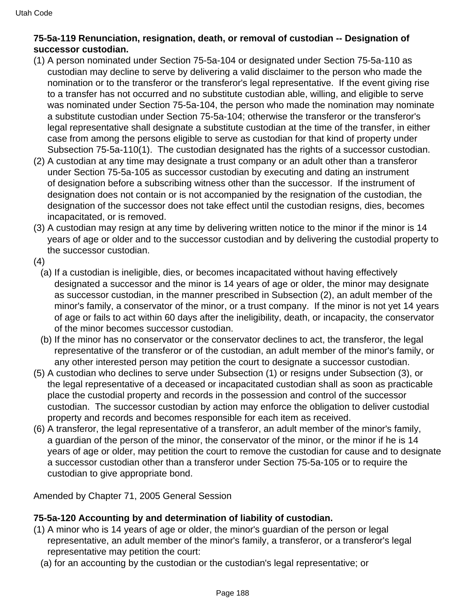# **75-5a-119 Renunciation, resignation, death, or removal of custodian -- Designation of successor custodian.**

- (1) A person nominated under Section 75-5a-104 or designated under Section 75-5a-110 as custodian may decline to serve by delivering a valid disclaimer to the person who made the nomination or to the transferor or the transferor's legal representative. If the event giving rise to a transfer has not occurred and no substitute custodian able, willing, and eligible to serve was nominated under Section 75-5a-104, the person who made the nomination may nominate a substitute custodian under Section 75-5a-104; otherwise the transferor or the transferor's legal representative shall designate a substitute custodian at the time of the transfer, in either case from among the persons eligible to serve as custodian for that kind of property under Subsection 75-5a-110(1). The custodian designated has the rights of a successor custodian.
- (2) A custodian at any time may designate a trust company or an adult other than a transferor under Section 75-5a-105 as successor custodian by executing and dating an instrument of designation before a subscribing witness other than the successor. If the instrument of designation does not contain or is not accompanied by the resignation of the custodian, the designation of the successor does not take effect until the custodian resigns, dies, becomes incapacitated, or is removed.
- (3) A custodian may resign at any time by delivering written notice to the minor if the minor is 14 years of age or older and to the successor custodian and by delivering the custodial property to the successor custodian.
- (4)
	- (a) If a custodian is ineligible, dies, or becomes incapacitated without having effectively designated a successor and the minor is 14 years of age or older, the minor may designate as successor custodian, in the manner prescribed in Subsection (2), an adult member of the minor's family, a conservator of the minor, or a trust company. If the minor is not yet 14 years of age or fails to act within 60 days after the ineligibility, death, or incapacity, the conservator of the minor becomes successor custodian.
	- (b) If the minor has no conservator or the conservator declines to act, the transferor, the legal representative of the transferor or of the custodian, an adult member of the minor's family, or any other interested person may petition the court to designate a successor custodian.
- (5) A custodian who declines to serve under Subsection (1) or resigns under Subsection (3), or the legal representative of a deceased or incapacitated custodian shall as soon as practicable place the custodial property and records in the possession and control of the successor custodian. The successor custodian by action may enforce the obligation to deliver custodial property and records and becomes responsible for each item as received.
- (6) A transferor, the legal representative of a transferor, an adult member of the minor's family, a guardian of the person of the minor, the conservator of the minor, or the minor if he is 14 years of age or older, may petition the court to remove the custodian for cause and to designate a successor custodian other than a transferor under Section 75-5a-105 or to require the custodian to give appropriate bond.

Amended by Chapter 71, 2005 General Session

# **75-5a-120 Accounting by and determination of liability of custodian.**

- (1) A minor who is 14 years of age or older, the minor's guardian of the person or legal representative, an adult member of the minor's family, a transferor, or a transferor's legal representative may petition the court:
	- (a) for an accounting by the custodian or the custodian's legal representative; or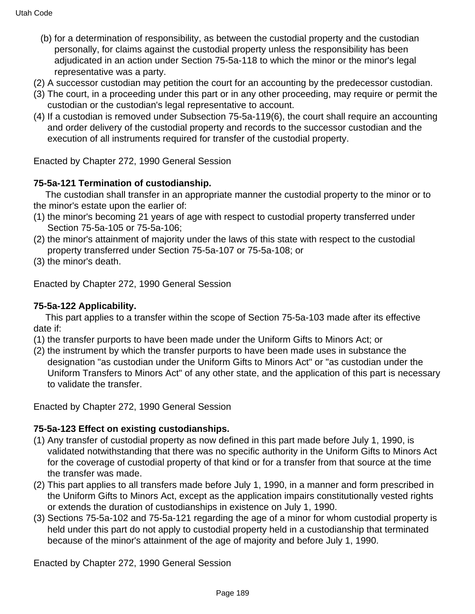- (b) for a determination of responsibility, as between the custodial property and the custodian personally, for claims against the custodial property unless the responsibility has been adjudicated in an action under Section 75-5a-118 to which the minor or the minor's legal representative was a party.
- (2) A successor custodian may petition the court for an accounting by the predecessor custodian.
- (3) The court, in a proceeding under this part or in any other proceeding, may require or permit the custodian or the custodian's legal representative to account.
- (4) If a custodian is removed under Subsection 75-5a-119(6), the court shall require an accounting and order delivery of the custodial property and records to the successor custodian and the execution of all instruments required for transfer of the custodial property.

Enacted by Chapter 272, 1990 General Session

# **75-5a-121 Termination of custodianship.**

 The custodian shall transfer in an appropriate manner the custodial property to the minor or to the minor's estate upon the earlier of:

- (1) the minor's becoming 21 years of age with respect to custodial property transferred under Section 75-5a-105 or 75-5a-106;
- (2) the minor's attainment of majority under the laws of this state with respect to the custodial property transferred under Section 75-5a-107 or 75-5a-108; or
- (3) the minor's death.

Enacted by Chapter 272, 1990 General Session

## **75-5a-122 Applicability.**

 This part applies to a transfer within the scope of Section 75-5a-103 made after its effective date if:

- (1) the transfer purports to have been made under the Uniform Gifts to Minors Act; or
- (2) the instrument by which the transfer purports to have been made uses in substance the designation "as custodian under the Uniform Gifts to Minors Act" or "as custodian under the Uniform Transfers to Minors Act" of any other state, and the application of this part is necessary to validate the transfer.

Enacted by Chapter 272, 1990 General Session

### **75-5a-123 Effect on existing custodianships.**

- (1) Any transfer of custodial property as now defined in this part made before July 1, 1990, is validated notwithstanding that there was no specific authority in the Uniform Gifts to Minors Act for the coverage of custodial property of that kind or for a transfer from that source at the time the transfer was made.
- (2) This part applies to all transfers made before July 1, 1990, in a manner and form prescribed in the Uniform Gifts to Minors Act, except as the application impairs constitutionally vested rights or extends the duration of custodianships in existence on July 1, 1990.
- (3) Sections 75-5a-102 and 75-5a-121 regarding the age of a minor for whom custodial property is held under this part do not apply to custodial property held in a custodianship that terminated because of the minor's attainment of the age of majority and before July 1, 1990.

Enacted by Chapter 272, 1990 General Session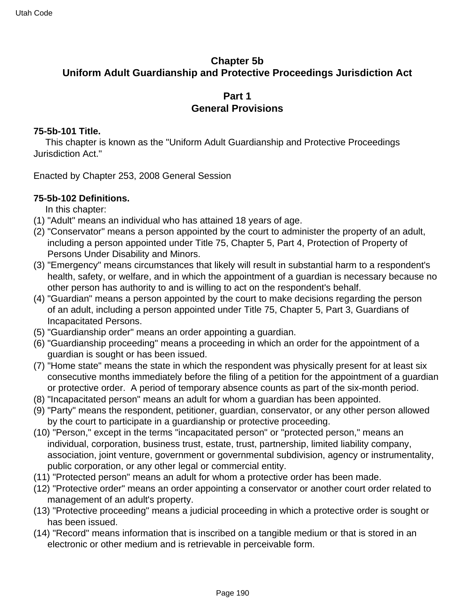# **Chapter 5b Uniform Adult Guardianship and Protective Proceedings Jurisdiction Act**

# **Part 1 General Provisions**

### **75-5b-101 Title.**

 This chapter is known as the "Uniform Adult Guardianship and Protective Proceedings Jurisdiction Act."

Enacted by Chapter 253, 2008 General Session

# **75-5b-102 Definitions.**

In this chapter:

- (1) "Adult" means an individual who has attained 18 years of age.
- (2) "Conservator" means a person appointed by the court to administer the property of an adult, including a person appointed under Title 75, Chapter 5, Part 4, Protection of Property of Persons Under Disability and Minors.
- (3) "Emergency" means circumstances that likely will result in substantial harm to a respondent's health, safety, or welfare, and in which the appointment of a guardian is necessary because no other person has authority to and is willing to act on the respondent's behalf.
- (4) "Guardian" means a person appointed by the court to make decisions regarding the person of an adult, including a person appointed under Title 75, Chapter 5, Part 3, Guardians of Incapacitated Persons.
- (5) "Guardianship order" means an order appointing a guardian.
- (6) "Guardianship proceeding" means a proceeding in which an order for the appointment of a guardian is sought or has been issued.
- (7) "Home state" means the state in which the respondent was physically present for at least six consecutive months immediately before the filing of a petition for the appointment of a guardian or protective order. A period of temporary absence counts as part of the six-month period.
- (8) "Incapacitated person" means an adult for whom a guardian has been appointed.
- (9) "Party" means the respondent, petitioner, guardian, conservator, or any other person allowed by the court to participate in a guardianship or protective proceeding.
- (10) "Person," except in the terms "incapacitated person" or "protected person," means an individual, corporation, business trust, estate, trust, partnership, limited liability company, association, joint venture, government or governmental subdivision, agency or instrumentality, public corporation, or any other legal or commercial entity.
- (11) "Protected person" means an adult for whom a protective order has been made.
- (12) "Protective order" means an order appointing a conservator or another court order related to management of an adult's property.
- (13) "Protective proceeding" means a judicial proceeding in which a protective order is sought or has been issued.
- (14) "Record" means information that is inscribed on a tangible medium or that is stored in an electronic or other medium and is retrievable in perceivable form.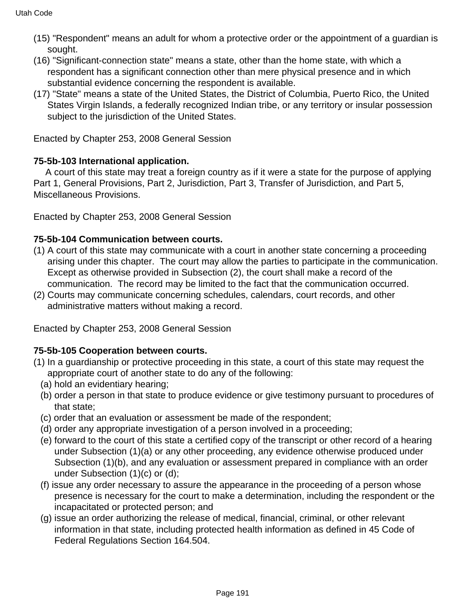- (15) "Respondent" means an adult for whom a protective order or the appointment of a guardian is sought.
- (16) "Significant-connection state" means a state, other than the home state, with which a respondent has a significant connection other than mere physical presence and in which substantial evidence concerning the respondent is available.
- (17) "State" means a state of the United States, the District of Columbia, Puerto Rico, the United States Virgin Islands, a federally recognized Indian tribe, or any territory or insular possession subject to the jurisdiction of the United States.

Enacted by Chapter 253, 2008 General Session

# **75-5b-103 International application.**

 A court of this state may treat a foreign country as if it were a state for the purpose of applying Part 1, General Provisions, Part 2, Jurisdiction, Part 3, Transfer of Jurisdiction, and Part 5, Miscellaneous Provisions.

Enacted by Chapter 253, 2008 General Session

# **75-5b-104 Communication between courts.**

- (1) A court of this state may communicate with a court in another state concerning a proceeding arising under this chapter. The court may allow the parties to participate in the communication. Except as otherwise provided in Subsection (2), the court shall make a record of the communication. The record may be limited to the fact that the communication occurred.
- (2) Courts may communicate concerning schedules, calendars, court records, and other administrative matters without making a record.

Enacted by Chapter 253, 2008 General Session

# **75-5b-105 Cooperation between courts.**

- (1) In a guardianship or protective proceeding in this state, a court of this state may request the appropriate court of another state to do any of the following:
	- (a) hold an evidentiary hearing;
	- (b) order a person in that state to produce evidence or give testimony pursuant to procedures of that state;
	- (c) order that an evaluation or assessment be made of the respondent;
	- (d) order any appropriate investigation of a person involved in a proceeding;
	- (e) forward to the court of this state a certified copy of the transcript or other record of a hearing under Subsection (1)(a) or any other proceeding, any evidence otherwise produced under Subsection (1)(b), and any evaluation or assessment prepared in compliance with an order under Subsection (1)(c) or (d);
	- (f) issue any order necessary to assure the appearance in the proceeding of a person whose presence is necessary for the court to make a determination, including the respondent or the incapacitated or protected person; and
	- (g) issue an order authorizing the release of medical, financial, criminal, or other relevant information in that state, including protected health information as defined in 45 Code of Federal Regulations Section 164.504.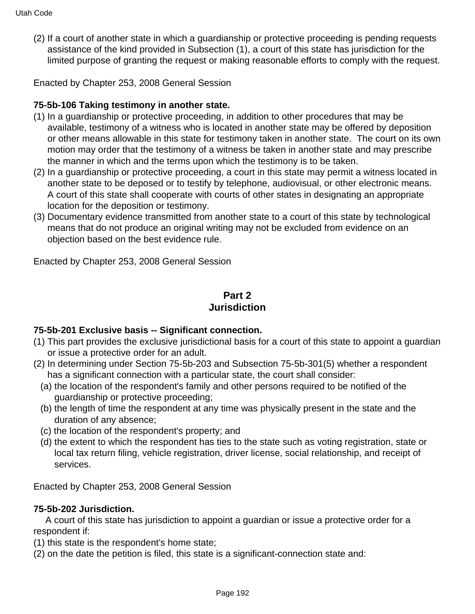(2) If a court of another state in which a guardianship or protective proceeding is pending requests assistance of the kind provided in Subsection (1), a court of this state has jurisdiction for the limited purpose of granting the request or making reasonable efforts to comply with the request.

Enacted by Chapter 253, 2008 General Session

# **75-5b-106 Taking testimony in another state.**

- (1) In a guardianship or protective proceeding, in addition to other procedures that may be available, testimony of a witness who is located in another state may be offered by deposition or other means allowable in this state for testimony taken in another state. The court on its own motion may order that the testimony of a witness be taken in another state and may prescribe the manner in which and the terms upon which the testimony is to be taken.
- (2) In a guardianship or protective proceeding, a court in this state may permit a witness located in another state to be deposed or to testify by telephone, audiovisual, or other electronic means. A court of this state shall cooperate with courts of other states in designating an appropriate location for the deposition or testimony.
- (3) Documentary evidence transmitted from another state to a court of this state by technological means that do not produce an original writing may not be excluded from evidence on an objection based on the best evidence rule.

Enacted by Chapter 253, 2008 General Session

# **Part 2 Jurisdiction**

# **75-5b-201 Exclusive basis -- Significant connection.**

- (1) This part provides the exclusive jurisdictional basis for a court of this state to appoint a guardian or issue a protective order for an adult.
- (2) In determining under Section 75-5b-203 and Subsection 75-5b-301(5) whether a respondent has a significant connection with a particular state, the court shall consider:
	- (a) the location of the respondent's family and other persons required to be notified of the guardianship or protective proceeding;
	- (b) the length of time the respondent at any time was physically present in the state and the duration of any absence;
	- (c) the location of the respondent's property; and
	- (d) the extent to which the respondent has ties to the state such as voting registration, state or local tax return filing, vehicle registration, driver license, social relationship, and receipt of services.

Enacted by Chapter 253, 2008 General Session

### **75-5b-202 Jurisdiction.**

 A court of this state has jurisdiction to appoint a guardian or issue a protective order for a respondent if:

- (1) this state is the respondent's home state;
- (2) on the date the petition is filed, this state is a significant-connection state and: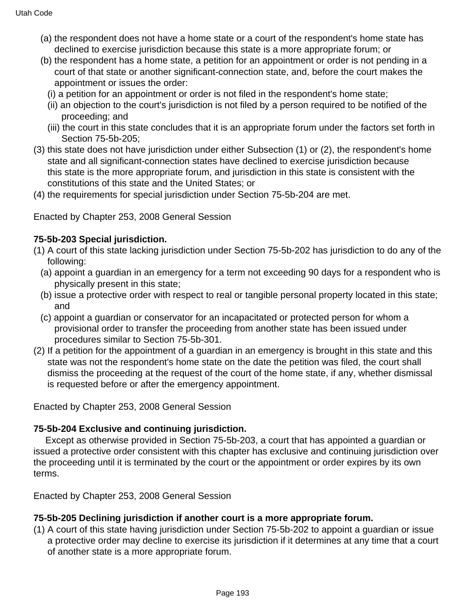- (a) the respondent does not have a home state or a court of the respondent's home state has declined to exercise jurisdiction because this state is a more appropriate forum; or
- (b) the respondent has a home state, a petition for an appointment or order is not pending in a court of that state or another significant-connection state, and, before the court makes the appointment or issues the order:
	- (i) a petition for an appointment or order is not filed in the respondent's home state;
	- (ii) an objection to the court's jurisdiction is not filed by a person required to be notified of the proceeding; and
	- (iii) the court in this state concludes that it is an appropriate forum under the factors set forth in Section 75-5b-205;
- (3) this state does not have jurisdiction under either Subsection (1) or (2), the respondent's home state and all significant-connection states have declined to exercise jurisdiction because this state is the more appropriate forum, and jurisdiction in this state is consistent with the constitutions of this state and the United States; or
- (4) the requirements for special jurisdiction under Section 75-5b-204 are met.

Enacted by Chapter 253, 2008 General Session

## **75-5b-203 Special jurisdiction.**

- (1) A court of this state lacking jurisdiction under Section 75-5b-202 has jurisdiction to do any of the following:
	- (a) appoint a guardian in an emergency for a term not exceeding 90 days for a respondent who is physically present in this state;
	- (b) issue a protective order with respect to real or tangible personal property located in this state; and
	- (c) appoint a guardian or conservator for an incapacitated or protected person for whom a provisional order to transfer the proceeding from another state has been issued under procedures similar to Section 75-5b-301.
- (2) If a petition for the appointment of a guardian in an emergency is brought in this state and this state was not the respondent's home state on the date the petition was filed, the court shall dismiss the proceeding at the request of the court of the home state, if any, whether dismissal is requested before or after the emergency appointment.

Enacted by Chapter 253, 2008 General Session

### **75-5b-204 Exclusive and continuing jurisdiction.**

 Except as otherwise provided in Section 75-5b-203, a court that has appointed a guardian or issued a protective order consistent with this chapter has exclusive and continuing jurisdiction over the proceeding until it is terminated by the court or the appointment or order expires by its own terms.

Enacted by Chapter 253, 2008 General Session

### **75-5b-205 Declining jurisdiction if another court is a more appropriate forum.**

(1) A court of this state having jurisdiction under Section 75-5b-202 to appoint a guardian or issue a protective order may decline to exercise its jurisdiction if it determines at any time that a court of another state is a more appropriate forum.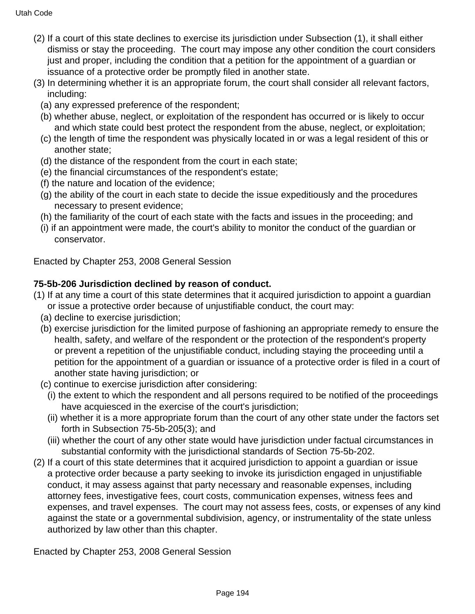- (2) If a court of this state declines to exercise its jurisdiction under Subsection (1), it shall either dismiss or stay the proceeding. The court may impose any other condition the court considers just and proper, including the condition that a petition for the appointment of a guardian or issuance of a protective order be promptly filed in another state.
- (3) In determining whether it is an appropriate forum, the court shall consider all relevant factors, including:
	- (a) any expressed preference of the respondent;
	- (b) whether abuse, neglect, or exploitation of the respondent has occurred or is likely to occur and which state could best protect the respondent from the abuse, neglect, or exploitation;
	- (c) the length of time the respondent was physically located in or was a legal resident of this or another state;
	- (d) the distance of the respondent from the court in each state;
	- (e) the financial circumstances of the respondent's estate;
	- (f) the nature and location of the evidence;
	- (g) the ability of the court in each state to decide the issue expeditiously and the procedures necessary to present evidence;
	- (h) the familiarity of the court of each state with the facts and issues in the proceeding; and
	- (i) if an appointment were made, the court's ability to monitor the conduct of the guardian or conservator.

Enacted by Chapter 253, 2008 General Session

# **75-5b-206 Jurisdiction declined by reason of conduct.**

- (1) If at any time a court of this state determines that it acquired jurisdiction to appoint a guardian or issue a protective order because of unjustifiable conduct, the court may:
	- (a) decline to exercise jurisdiction;
	- (b) exercise jurisdiction for the limited purpose of fashioning an appropriate remedy to ensure the health, safety, and welfare of the respondent or the protection of the respondent's property or prevent a repetition of the unjustifiable conduct, including staying the proceeding until a petition for the appointment of a guardian or issuance of a protective order is filed in a court of another state having jurisdiction; or
	- (c) continue to exercise jurisdiction after considering:
		- (i) the extent to which the respondent and all persons required to be notified of the proceedings have acquiesced in the exercise of the court's jurisdiction;
		- (ii) whether it is a more appropriate forum than the court of any other state under the factors set forth in Subsection 75-5b-205(3); and
		- (iii) whether the court of any other state would have jurisdiction under factual circumstances in substantial conformity with the jurisdictional standards of Section 75-5b-202.
- (2) If a court of this state determines that it acquired jurisdiction to appoint a guardian or issue a protective order because a party seeking to invoke its jurisdiction engaged in unjustifiable conduct, it may assess against that party necessary and reasonable expenses, including attorney fees, investigative fees, court costs, communication expenses, witness fees and expenses, and travel expenses. The court may not assess fees, costs, or expenses of any kind against the state or a governmental subdivision, agency, or instrumentality of the state unless authorized by law other than this chapter.

Enacted by Chapter 253, 2008 General Session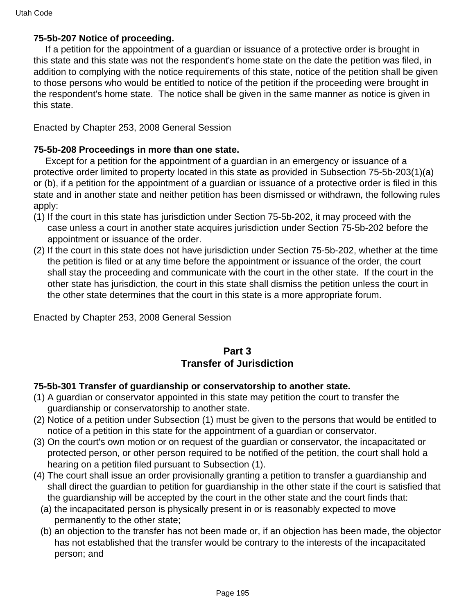## **75-5b-207 Notice of proceeding.**

 If a petition for the appointment of a guardian or issuance of a protective order is brought in this state and this state was not the respondent's home state on the date the petition was filed, in addition to complying with the notice requirements of this state, notice of the petition shall be given to those persons who would be entitled to notice of the petition if the proceeding were brought in the respondent's home state. The notice shall be given in the same manner as notice is given in this state.

Enacted by Chapter 253, 2008 General Session

# **75-5b-208 Proceedings in more than one state.**

 Except for a petition for the appointment of a guardian in an emergency or issuance of a protective order limited to property located in this state as provided in Subsection 75-5b-203(1)(a) or (b), if a petition for the appointment of a guardian or issuance of a protective order is filed in this state and in another state and neither petition has been dismissed or withdrawn, the following rules apply:

- (1) If the court in this state has jurisdiction under Section 75-5b-202, it may proceed with the case unless a court in another state acquires jurisdiction under Section 75-5b-202 before the appointment or issuance of the order.
- (2) If the court in this state does not have jurisdiction under Section 75-5b-202, whether at the time the petition is filed or at any time before the appointment or issuance of the order, the court shall stay the proceeding and communicate with the court in the other state. If the court in the other state has jurisdiction, the court in this state shall dismiss the petition unless the court in the other state determines that the court in this state is a more appropriate forum.

Enacted by Chapter 253, 2008 General Session

# **Part 3 Transfer of Jurisdiction**

### **75-5b-301 Transfer of guardianship or conservatorship to another state.**

- (1) A guardian or conservator appointed in this state may petition the court to transfer the guardianship or conservatorship to another state.
- (2) Notice of a petition under Subsection (1) must be given to the persons that would be entitled to notice of a petition in this state for the appointment of a guardian or conservator.
- (3) On the court's own motion or on request of the guardian or conservator, the incapacitated or protected person, or other person required to be notified of the petition, the court shall hold a hearing on a petition filed pursuant to Subsection (1).
- (4) The court shall issue an order provisionally granting a petition to transfer a guardianship and shall direct the guardian to petition for guardianship in the other state if the court is satisfied that the guardianship will be accepted by the court in the other state and the court finds that:
	- (a) the incapacitated person is physically present in or is reasonably expected to move permanently to the other state;
	- (b) an objection to the transfer has not been made or, if an objection has been made, the objector has not established that the transfer would be contrary to the interests of the incapacitated person; and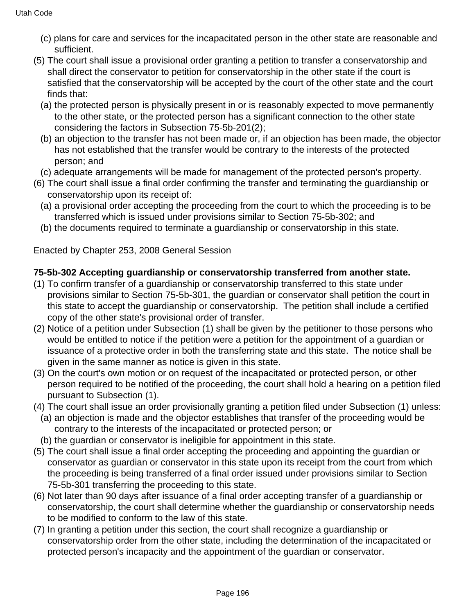- (c) plans for care and services for the incapacitated person in the other state are reasonable and sufficient.
- (5) The court shall issue a provisional order granting a petition to transfer a conservatorship and shall direct the conservator to petition for conservatorship in the other state if the court is satisfied that the conservatorship will be accepted by the court of the other state and the court finds that:
	- (a) the protected person is physically present in or is reasonably expected to move permanently to the other state, or the protected person has a significant connection to the other state considering the factors in Subsection 75-5b-201(2);
	- (b) an objection to the transfer has not been made or, if an objection has been made, the objector has not established that the transfer would be contrary to the interests of the protected person; and
	- (c) adequate arrangements will be made for management of the protected person's property.
- (6) The court shall issue a final order confirming the transfer and terminating the guardianship or conservatorship upon its receipt of:
	- (a) a provisional order accepting the proceeding from the court to which the proceeding is to be transferred which is issued under provisions similar to Section 75-5b-302; and
	- (b) the documents required to terminate a guardianship or conservatorship in this state.

Enacted by Chapter 253, 2008 General Session

# **75-5b-302 Accepting guardianship or conservatorship transferred from another state.**

- (1) To confirm transfer of a guardianship or conservatorship transferred to this state under provisions similar to Section 75-5b-301, the guardian or conservator shall petition the court in this state to accept the guardianship or conservatorship. The petition shall include a certified copy of the other state's provisional order of transfer.
- (2) Notice of a petition under Subsection (1) shall be given by the petitioner to those persons who would be entitled to notice if the petition were a petition for the appointment of a guardian or issuance of a protective order in both the transferring state and this state. The notice shall be given in the same manner as notice is given in this state.
- (3) On the court's own motion or on request of the incapacitated or protected person, or other person required to be notified of the proceeding, the court shall hold a hearing on a petition filed pursuant to Subsection (1).
- (4) The court shall issue an order provisionally granting a petition filed under Subsection (1) unless:
- (a) an objection is made and the objector establishes that transfer of the proceeding would be contrary to the interests of the incapacitated or protected person; or
- (b) the guardian or conservator is ineligible for appointment in this state.
- (5) The court shall issue a final order accepting the proceeding and appointing the guardian or conservator as guardian or conservator in this state upon its receipt from the court from which the proceeding is being transferred of a final order issued under provisions similar to Section 75-5b-301 transferring the proceeding to this state.
- (6) Not later than 90 days after issuance of a final order accepting transfer of a guardianship or conservatorship, the court shall determine whether the guardianship or conservatorship needs to be modified to conform to the law of this state.
- (7) In granting a petition under this section, the court shall recognize a guardianship or conservatorship order from the other state, including the determination of the incapacitated or protected person's incapacity and the appointment of the guardian or conservator.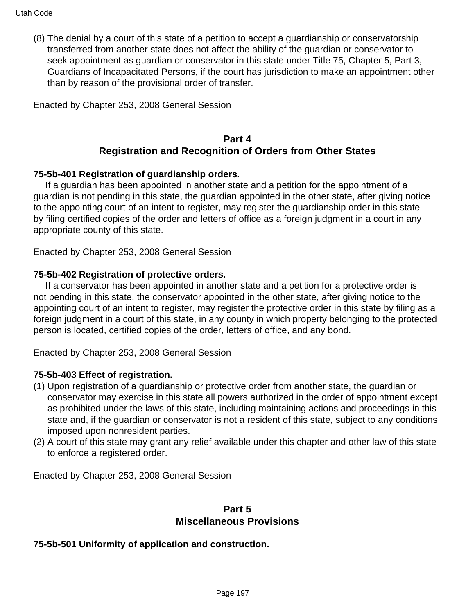(8) The denial by a court of this state of a petition to accept a guardianship or conservatorship transferred from another state does not affect the ability of the guardian or conservator to seek appointment as guardian or conservator in this state under Title 75, Chapter 5, Part 3, Guardians of Incapacitated Persons, if the court has jurisdiction to make an appointment other than by reason of the provisional order of transfer.

Enacted by Chapter 253, 2008 General Session

# **Part 4 Registration and Recognition of Orders from Other States**

### **75-5b-401 Registration of guardianship orders.**

 If a guardian has been appointed in another state and a petition for the appointment of a guardian is not pending in this state, the guardian appointed in the other state, after giving notice to the appointing court of an intent to register, may register the guardianship order in this state by filing certified copies of the order and letters of office as a foreign judgment in a court in any appropriate county of this state.

Enacted by Chapter 253, 2008 General Session

### **75-5b-402 Registration of protective orders.**

 If a conservator has been appointed in another state and a petition for a protective order is not pending in this state, the conservator appointed in the other state, after giving notice to the appointing court of an intent to register, may register the protective order in this state by filing as a foreign judgment in a court of this state, in any county in which property belonging to the protected person is located, certified copies of the order, letters of office, and any bond.

Enacted by Chapter 253, 2008 General Session

### **75-5b-403 Effect of registration.**

- (1) Upon registration of a guardianship or protective order from another state, the guardian or conservator may exercise in this state all powers authorized in the order of appointment except as prohibited under the laws of this state, including maintaining actions and proceedings in this state and, if the guardian or conservator is not a resident of this state, subject to any conditions imposed upon nonresident parties.
- (2) A court of this state may grant any relief available under this chapter and other law of this state to enforce a registered order.

Enacted by Chapter 253, 2008 General Session

# **Part 5 Miscellaneous Provisions**

### **75-5b-501 Uniformity of application and construction.**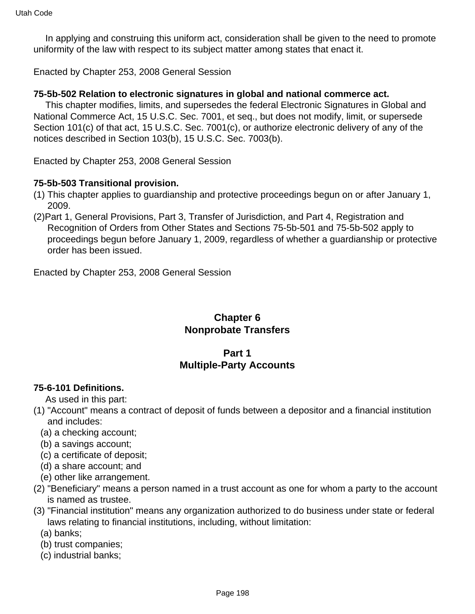In applying and construing this uniform act, consideration shall be given to the need to promote uniformity of the law with respect to its subject matter among states that enact it.

Enacted by Chapter 253, 2008 General Session

#### **75-5b-502 Relation to electronic signatures in global and national commerce act.**

 This chapter modifies, limits, and supersedes the federal Electronic Signatures in Global and National Commerce Act, 15 U.S.C. Sec. 7001, et seq., but does not modify, limit, or supersede Section 101(c) of that act, 15 U.S.C. Sec. 7001(c), or authorize electronic delivery of any of the notices described in Section 103(b), 15 U.S.C. Sec. 7003(b).

Enacted by Chapter 253, 2008 General Session

#### **75-5b-503 Transitional provision.**

- (1) This chapter applies to guardianship and protective proceedings begun on or after January 1, 2009.
- (2)Part 1, General Provisions, Part 3, Transfer of Jurisdiction, and Part 4, Registration and Recognition of Orders from Other States and Sections 75-5b-501 and 75-5b-502 apply to proceedings begun before January 1, 2009, regardless of whether a guardianship or protective order has been issued.

Enacted by Chapter 253, 2008 General Session

# **Chapter 6 Nonprobate Transfers**

# **Part 1 Multiple-Party Accounts**

### **75-6-101 Definitions.**

As used in this part:

- (1) "Account" means a contract of deposit of funds between a depositor and a financial institution and includes:
	- (a) a checking account;
	- (b) a savings account;
	- (c) a certificate of deposit;
	- (d) a share account; and
	- (e) other like arrangement.
- (2) "Beneficiary" means a person named in a trust account as one for whom a party to the account is named as trustee.
- (3) "Financial institution" means any organization authorized to do business under state or federal laws relating to financial institutions, including, without limitation:
	- (a) banks;
	- (b) trust companies;
	- (c) industrial banks;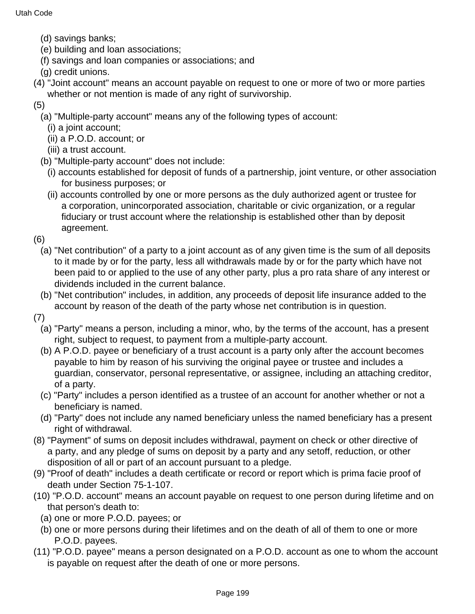- (d) savings banks;
- (e) building and loan associations;
- (f) savings and loan companies or associations; and
- (g) credit unions.
- (4) "Joint account" means an account payable on request to one or more of two or more parties whether or not mention is made of any right of survivorship.
- (5)
	- (a) "Multiple-party account" means any of the following types of account:
		- (i) a joint account;
		- (ii) a P.O.D. account; or
		- (iii) a trust account.
	- (b) "Multiple-party account" does not include:
		- (i) accounts established for deposit of funds of a partnership, joint venture, or other association for business purposes; or
		- (ii) accounts controlled by one or more persons as the duly authorized agent or trustee for a corporation, unincorporated association, charitable or civic organization, or a regular fiduciary or trust account where the relationship is established other than by deposit agreement.
- (6)
	- (a) "Net contribution" of a party to a joint account as of any given time is the sum of all deposits to it made by or for the party, less all withdrawals made by or for the party which have not been paid to or applied to the use of any other party, plus a pro rata share of any interest or dividends included in the current balance.
	- (b) "Net contribution" includes, in addition, any proceeds of deposit life insurance added to the account by reason of the death of the party whose net contribution is in question.
- (7)
	- (a) "Party" means a person, including a minor, who, by the terms of the account, has a present right, subject to request, to payment from a multiple-party account.
	- (b) A P.O.D. payee or beneficiary of a trust account is a party only after the account becomes payable to him by reason of his surviving the original payee or trustee and includes a guardian, conservator, personal representative, or assignee, including an attaching creditor, of a party.
	- (c) "Party" includes a person identified as a trustee of an account for another whether or not a beneficiary is named.
	- (d) "Party" does not include any named beneficiary unless the named beneficiary has a present right of withdrawal.
- (8) "Payment" of sums on deposit includes withdrawal, payment on check or other directive of a party, and any pledge of sums on deposit by a party and any setoff, reduction, or other disposition of all or part of an account pursuant to a pledge.
- (9) "Proof of death" includes a death certificate or record or report which is prima facie proof of death under Section 75-1-107.
- (10) "P.O.D. account" means an account payable on request to one person during lifetime and on that person's death to:
	- (a) one or more P.O.D. payees; or
	- (b) one or more persons during their lifetimes and on the death of all of them to one or more P.O.D. payees.
- (11) "P.O.D. payee" means a person designated on a P.O.D. account as one to whom the account is payable on request after the death of one or more persons.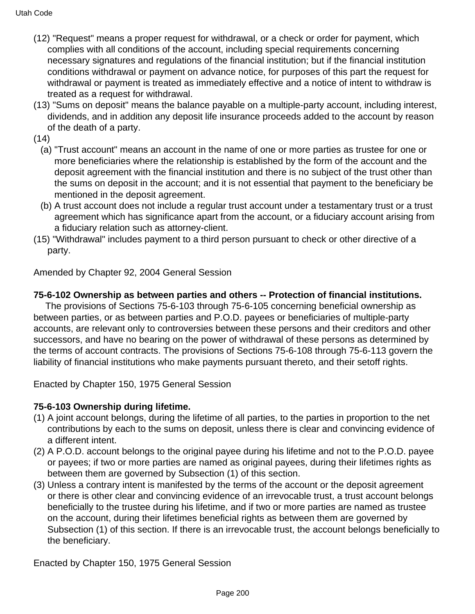- (12) "Request" means a proper request for withdrawal, or a check or order for payment, which complies with all conditions of the account, including special requirements concerning necessary signatures and regulations of the financial institution; but if the financial institution conditions withdrawal or payment on advance notice, for purposes of this part the request for withdrawal or payment is treated as immediately effective and a notice of intent to withdraw is treated as a request for withdrawal.
- (13) "Sums on deposit" means the balance payable on a multiple-party account, including interest, dividends, and in addition any deposit life insurance proceeds added to the account by reason of the death of a party.
- $(14)$ 
	- (a) "Trust account" means an account in the name of one or more parties as trustee for one or more beneficiaries where the relationship is established by the form of the account and the deposit agreement with the financial institution and there is no subject of the trust other than the sums on deposit in the account; and it is not essential that payment to the beneficiary be mentioned in the deposit agreement.
	- (b) A trust account does not include a regular trust account under a testamentary trust or a trust agreement which has significance apart from the account, or a fiduciary account arising from a fiduciary relation such as attorney-client.
- (15) "Withdrawal" includes payment to a third person pursuant to check or other directive of a party.

Amended by Chapter 92, 2004 General Session

### **75-6-102 Ownership as between parties and others -- Protection of financial institutions.**

 The provisions of Sections 75-6-103 through 75-6-105 concerning beneficial ownership as between parties, or as between parties and P.O.D. payees or beneficiaries of multiple-party accounts, are relevant only to controversies between these persons and their creditors and other successors, and have no bearing on the power of withdrawal of these persons as determined by the terms of account contracts. The provisions of Sections 75-6-108 through 75-6-113 govern the liability of financial institutions who make payments pursuant thereto, and their setoff rights.

Enacted by Chapter 150, 1975 General Session

# **75-6-103 Ownership during lifetime.**

- (1) A joint account belongs, during the lifetime of all parties, to the parties in proportion to the net contributions by each to the sums on deposit, unless there is clear and convincing evidence of a different intent.
- (2) A P.O.D. account belongs to the original payee during his lifetime and not to the P.O.D. payee or payees; if two or more parties are named as original payees, during their lifetimes rights as between them are governed by Subsection (1) of this section.
- (3) Unless a contrary intent is manifested by the terms of the account or the deposit agreement or there is other clear and convincing evidence of an irrevocable trust, a trust account belongs beneficially to the trustee during his lifetime, and if two or more parties are named as trustee on the account, during their lifetimes beneficial rights as between them are governed by Subsection (1) of this section. If there is an irrevocable trust, the account belongs beneficially to the beneficiary.

Enacted by Chapter 150, 1975 General Session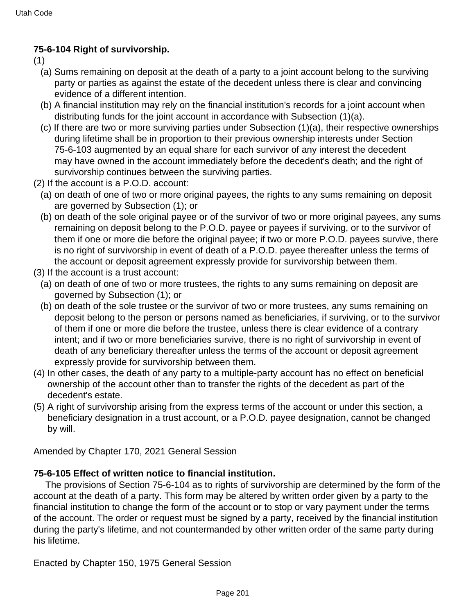# **75-6-104 Right of survivorship.**

- (1)
	- (a) Sums remaining on deposit at the death of a party to a joint account belong to the surviving party or parties as against the estate of the decedent unless there is clear and convincing evidence of a different intention.
	- (b) A financial institution may rely on the financial institution's records for a joint account when distributing funds for the joint account in accordance with Subsection (1)(a).
	- (c) If there are two or more surviving parties under Subsection (1)(a), their respective ownerships during lifetime shall be in proportion to their previous ownership interests under Section 75-6-103 augmented by an equal share for each survivor of any interest the decedent may have owned in the account immediately before the decedent's death; and the right of survivorship continues between the surviving parties.
- (2) If the account is a P.O.D. account:
	- (a) on death of one of two or more original payees, the rights to any sums remaining on deposit are governed by Subsection (1); or
	- (b) on death of the sole original payee or of the survivor of two or more original payees, any sums remaining on deposit belong to the P.O.D. payee or payees if surviving, or to the survivor of them if one or more die before the original payee; if two or more P.O.D. payees survive, there is no right of survivorship in event of death of a P.O.D. payee thereafter unless the terms of the account or deposit agreement expressly provide for survivorship between them.
- (3) If the account is a trust account:
	- (a) on death of one of two or more trustees, the rights to any sums remaining on deposit are governed by Subsection (1); or
	- (b) on death of the sole trustee or the survivor of two or more trustees, any sums remaining on deposit belong to the person or persons named as beneficiaries, if surviving, or to the survivor of them if one or more die before the trustee, unless there is clear evidence of a contrary intent; and if two or more beneficiaries survive, there is no right of survivorship in event of death of any beneficiary thereafter unless the terms of the account or deposit agreement expressly provide for survivorship between them.
- (4) In other cases, the death of any party to a multiple-party account has no effect on beneficial ownership of the account other than to transfer the rights of the decedent as part of the decedent's estate.
- (5) A right of survivorship arising from the express terms of the account or under this section, a beneficiary designation in a trust account, or a P.O.D. payee designation, cannot be changed by will.

Amended by Chapter 170, 2021 General Session

# **75-6-105 Effect of written notice to financial institution.**

 The provisions of Section 75-6-104 as to rights of survivorship are determined by the form of the account at the death of a party. This form may be altered by written order given by a party to the financial institution to change the form of the account or to stop or vary payment under the terms of the account. The order or request must be signed by a party, received by the financial institution during the party's lifetime, and not countermanded by other written order of the same party during his lifetime.

Enacted by Chapter 150, 1975 General Session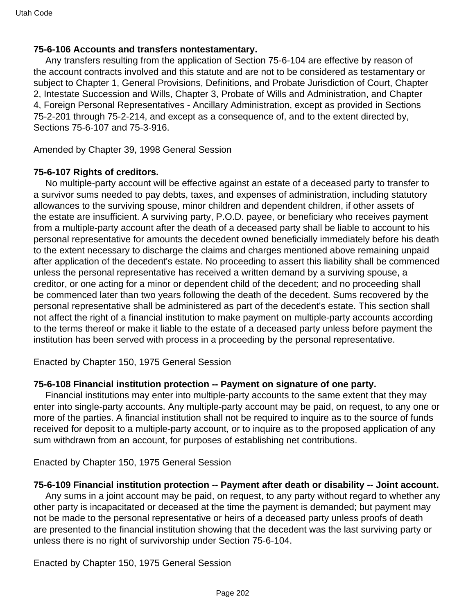### **75-6-106 Accounts and transfers nontestamentary.**

 Any transfers resulting from the application of Section 75-6-104 are effective by reason of the account contracts involved and this statute and are not to be considered as testamentary or subject to Chapter 1, General Provisions, Definitions, and Probate Jurisdiction of Court, Chapter 2, Intestate Succession and Wills, Chapter 3, Probate of Wills and Administration, and Chapter 4, Foreign Personal Representatives - Ancillary Administration, except as provided in Sections 75-2-201 through 75-2-214, and except as a consequence of, and to the extent directed by, Sections 75-6-107 and 75-3-916.

Amended by Chapter 39, 1998 General Session

## **75-6-107 Rights of creditors.**

 No multiple-party account will be effective against an estate of a deceased party to transfer to a survivor sums needed to pay debts, taxes, and expenses of administration, including statutory allowances to the surviving spouse, minor children and dependent children, if other assets of the estate are insufficient. A surviving party, P.O.D. payee, or beneficiary who receives payment from a multiple-party account after the death of a deceased party shall be liable to account to his personal representative for amounts the decedent owned beneficially immediately before his death to the extent necessary to discharge the claims and charges mentioned above remaining unpaid after application of the decedent's estate. No proceeding to assert this liability shall be commenced unless the personal representative has received a written demand by a surviving spouse, a creditor, or one acting for a minor or dependent child of the decedent; and no proceeding shall be commenced later than two years following the death of the decedent. Sums recovered by the personal representative shall be administered as part of the decedent's estate. This section shall not affect the right of a financial institution to make payment on multiple-party accounts according to the terms thereof or make it liable to the estate of a deceased party unless before payment the institution has been served with process in a proceeding by the personal representative.

Enacted by Chapter 150, 1975 General Session

# **75-6-108 Financial institution protection -- Payment on signature of one party.**

 Financial institutions may enter into multiple-party accounts to the same extent that they may enter into single-party accounts. Any multiple-party account may be paid, on request, to any one or more of the parties. A financial institution shall not be required to inquire as to the source of funds received for deposit to a multiple-party account, or to inquire as to the proposed application of any sum withdrawn from an account, for purposes of establishing net contributions.

Enacted by Chapter 150, 1975 General Session

### **75-6-109 Financial institution protection -- Payment after death or disability -- Joint account.**

 Any sums in a joint account may be paid, on request, to any party without regard to whether any other party is incapacitated or deceased at the time the payment is demanded; but payment may not be made to the personal representative or heirs of a deceased party unless proofs of death are presented to the financial institution showing that the decedent was the last surviving party or unless there is no right of survivorship under Section 75-6-104.

Enacted by Chapter 150, 1975 General Session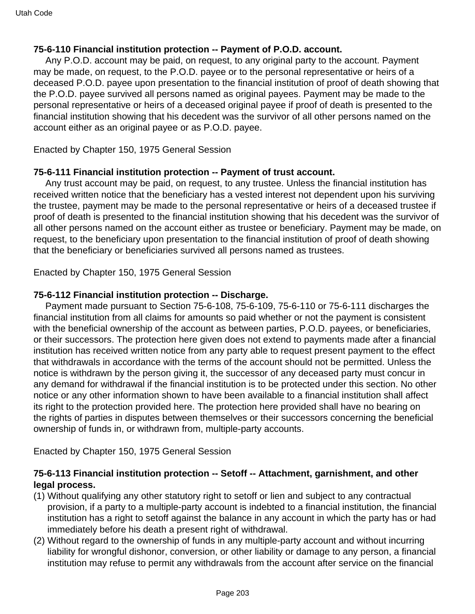# **75-6-110 Financial institution protection -- Payment of P.O.D. account.**

 Any P.O.D. account may be paid, on request, to any original party to the account. Payment may be made, on request, to the P.O.D. payee or to the personal representative or heirs of a deceased P.O.D. payee upon presentation to the financial institution of proof of death showing that the P.O.D. payee survived all persons named as original payees. Payment may be made to the personal representative or heirs of a deceased original payee if proof of death is presented to the financial institution showing that his decedent was the survivor of all other persons named on the account either as an original payee or as P.O.D. payee.

Enacted by Chapter 150, 1975 General Session

### **75-6-111 Financial institution protection -- Payment of trust account.**

 Any trust account may be paid, on request, to any trustee. Unless the financial institution has received written notice that the beneficiary has a vested interest not dependent upon his surviving the trustee, payment may be made to the personal representative or heirs of a deceased trustee if proof of death is presented to the financial institution showing that his decedent was the survivor of all other persons named on the account either as trustee or beneficiary. Payment may be made, on request, to the beneficiary upon presentation to the financial institution of proof of death showing that the beneficiary or beneficiaries survived all persons named as trustees.

Enacted by Chapter 150, 1975 General Session

## **75-6-112 Financial institution protection -- Discharge.**

 Payment made pursuant to Section 75-6-108, 75-6-109, 75-6-110 or 75-6-111 discharges the financial institution from all claims for amounts so paid whether or not the payment is consistent with the beneficial ownership of the account as between parties, P.O.D. payees, or beneficiaries, or their successors. The protection here given does not extend to payments made after a financial institution has received written notice from any party able to request present payment to the effect that withdrawals in accordance with the terms of the account should not be permitted. Unless the notice is withdrawn by the person giving it, the successor of any deceased party must concur in any demand for withdrawal if the financial institution is to be protected under this section. No other notice or any other information shown to have been available to a financial institution shall affect its right to the protection provided here. The protection here provided shall have no bearing on the rights of parties in disputes between themselves or their successors concerning the beneficial ownership of funds in, or withdrawn from, multiple-party accounts.

Enacted by Chapter 150, 1975 General Session

# **75-6-113 Financial institution protection -- Setoff -- Attachment, garnishment, and other legal process.**

- (1) Without qualifying any other statutory right to setoff or lien and subject to any contractual provision, if a party to a multiple-party account is indebted to a financial institution, the financial institution has a right to setoff against the balance in any account in which the party has or had immediately before his death a present right of withdrawal.
- (2) Without regard to the ownership of funds in any multiple-party account and without incurring liability for wrongful dishonor, conversion, or other liability or damage to any person, a financial institution may refuse to permit any withdrawals from the account after service on the financial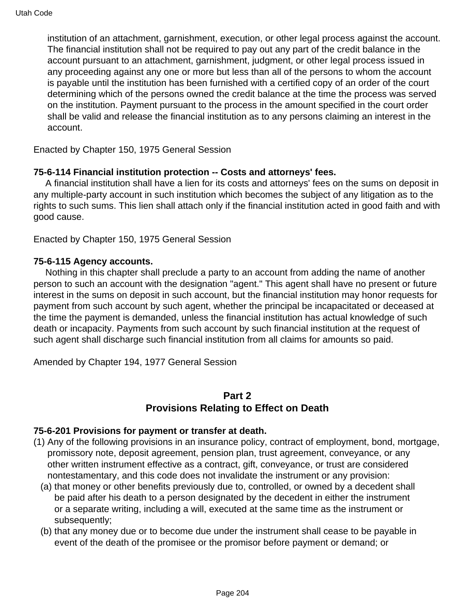institution of an attachment, garnishment, execution, or other legal process against the account. The financial institution shall not be required to pay out any part of the credit balance in the account pursuant to an attachment, garnishment, judgment, or other legal process issued in any proceeding against any one or more but less than all of the persons to whom the account is payable until the institution has been furnished with a certified copy of an order of the court determining which of the persons owned the credit balance at the time the process was served on the institution. Payment pursuant to the process in the amount specified in the court order shall be valid and release the financial institution as to any persons claiming an interest in the account.

Enacted by Chapter 150, 1975 General Session

#### **75-6-114 Financial institution protection -- Costs and attorneys' fees.**

 A financial institution shall have a lien for its costs and attorneys' fees on the sums on deposit in any multiple-party account in such institution which becomes the subject of any litigation as to the rights to such sums. This lien shall attach only if the financial institution acted in good faith and with good cause.

Enacted by Chapter 150, 1975 General Session

#### **75-6-115 Agency accounts.**

 Nothing in this chapter shall preclude a party to an account from adding the name of another person to such an account with the designation "agent." This agent shall have no present or future interest in the sums on deposit in such account, but the financial institution may honor requests for payment from such account by such agent, whether the principal be incapacitated or deceased at the time the payment is demanded, unless the financial institution has actual knowledge of such death or incapacity. Payments from such account by such financial institution at the request of such agent shall discharge such financial institution from all claims for amounts so paid.

Amended by Chapter 194, 1977 General Session

# **Part 2 Provisions Relating to Effect on Death**

### **75-6-201 Provisions for payment or transfer at death.**

- (1) Any of the following provisions in an insurance policy, contract of employment, bond, mortgage, promissory note, deposit agreement, pension plan, trust agreement, conveyance, or any other written instrument effective as a contract, gift, conveyance, or trust are considered nontestamentary, and this code does not invalidate the instrument or any provision:
	- (a) that money or other benefits previously due to, controlled, or owned by a decedent shall be paid after his death to a person designated by the decedent in either the instrument or a separate writing, including a will, executed at the same time as the instrument or subsequently;
	- (b) that any money due or to become due under the instrument shall cease to be payable in event of the death of the promisee or the promisor before payment or demand; or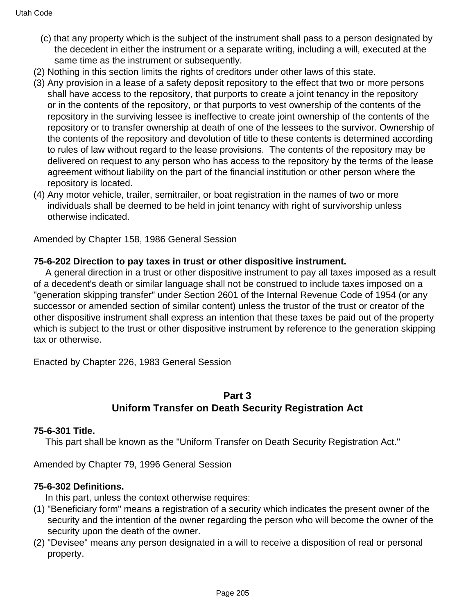- (c) that any property which is the subject of the instrument shall pass to a person designated by the decedent in either the instrument or a separate writing, including a will, executed at the same time as the instrument or subsequently.
- (2) Nothing in this section limits the rights of creditors under other laws of this state.
- (3) Any provision in a lease of a safety deposit repository to the effect that two or more persons shall have access to the repository, that purports to create a joint tenancy in the repository or in the contents of the repository, or that purports to vest ownership of the contents of the repository in the surviving lessee is ineffective to create joint ownership of the contents of the repository or to transfer ownership at death of one of the lessees to the survivor. Ownership of the contents of the repository and devolution of title to these contents is determined according to rules of law without regard to the lease provisions. The contents of the repository may be delivered on request to any person who has access to the repository by the terms of the lease agreement without liability on the part of the financial institution or other person where the repository is located.
- (4) Any motor vehicle, trailer, semitrailer, or boat registration in the names of two or more individuals shall be deemed to be held in joint tenancy with right of survivorship unless otherwise indicated.

Amended by Chapter 158, 1986 General Session

### **75-6-202 Direction to pay taxes in trust or other dispositive instrument.**

 A general direction in a trust or other dispositive instrument to pay all taxes imposed as a result of a decedent's death or similar language shall not be construed to include taxes imposed on a "generation skipping transfer" under Section 2601 of the Internal Revenue Code of 1954 (or any successor or amended section of similar content) unless the trustor of the trust or creator of the other dispositive instrument shall express an intention that these taxes be paid out of the property which is subject to the trust or other dispositive instrument by reference to the generation skipping tax or otherwise.

Enacted by Chapter 226, 1983 General Session

# **Part 3 Uniform Transfer on Death Security Registration Act**

#### **75-6-301 Title.**

This part shall be known as the "Uniform Transfer on Death Security Registration Act."

Amended by Chapter 79, 1996 General Session

# **75-6-302 Definitions.**

In this part, unless the context otherwise requires:

- (1) "Beneficiary form" means a registration of a security which indicates the present owner of the security and the intention of the owner regarding the person who will become the owner of the security upon the death of the owner.
- (2) "Devisee" means any person designated in a will to receive a disposition of real or personal property.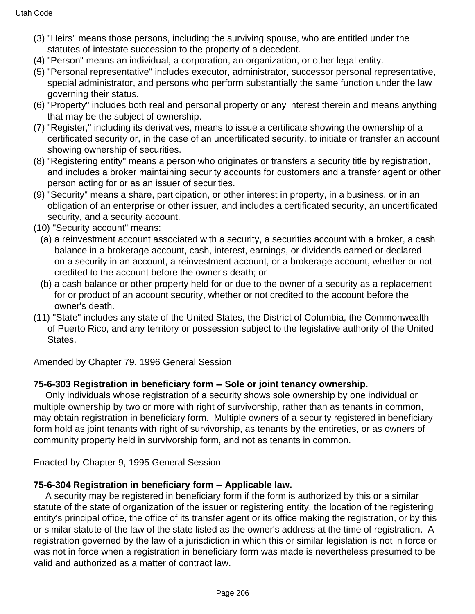- (3) "Heirs" means those persons, including the surviving spouse, who are entitled under the statutes of intestate succession to the property of a decedent.
- (4) "Person" means an individual, a corporation, an organization, or other legal entity.
- (5) "Personal representative" includes executor, administrator, successor personal representative, special administrator, and persons who perform substantially the same function under the law governing their status.
- (6) "Property" includes both real and personal property or any interest therein and means anything that may be the subject of ownership.
- (7) "Register," including its derivatives, means to issue a certificate showing the ownership of a certificated security or, in the case of an uncertificated security, to initiate or transfer an account showing ownership of securities.
- (8) "Registering entity" means a person who originates or transfers a security title by registration, and includes a broker maintaining security accounts for customers and a transfer agent or other person acting for or as an issuer of securities.
- (9) "Security" means a share, participation, or other interest in property, in a business, or in an obligation of an enterprise or other issuer, and includes a certificated security, an uncertificated security, and a security account.
- (10) "Security account" means:
	- (a) a reinvestment account associated with a security, a securities account with a broker, a cash balance in a brokerage account, cash, interest, earnings, or dividends earned or declared on a security in an account, a reinvestment account, or a brokerage account, whether or not credited to the account before the owner's death; or
	- (b) a cash balance or other property held for or due to the owner of a security as a replacement for or product of an account security, whether or not credited to the account before the owner's death.
- (11) "State" includes any state of the United States, the District of Columbia, the Commonwealth of Puerto Rico, and any territory or possession subject to the legislative authority of the United States.

Amended by Chapter 79, 1996 General Session

### **75-6-303 Registration in beneficiary form -- Sole or joint tenancy ownership.**

 Only individuals whose registration of a security shows sole ownership by one individual or multiple ownership by two or more with right of survivorship, rather than as tenants in common, may obtain registration in beneficiary form. Multiple owners of a security registered in beneficiary form hold as joint tenants with right of survivorship, as tenants by the entireties, or as owners of community property held in survivorship form, and not as tenants in common.

Enacted by Chapter 9, 1995 General Session

### **75-6-304 Registration in beneficiary form -- Applicable law.**

 A security may be registered in beneficiary form if the form is authorized by this or a similar statute of the state of organization of the issuer or registering entity, the location of the registering entity's principal office, the office of its transfer agent or its office making the registration, or by this or similar statute of the law of the state listed as the owner's address at the time of registration. A registration governed by the law of a jurisdiction in which this or similar legislation is not in force or was not in force when a registration in beneficiary form was made is nevertheless presumed to be valid and authorized as a matter of contract law.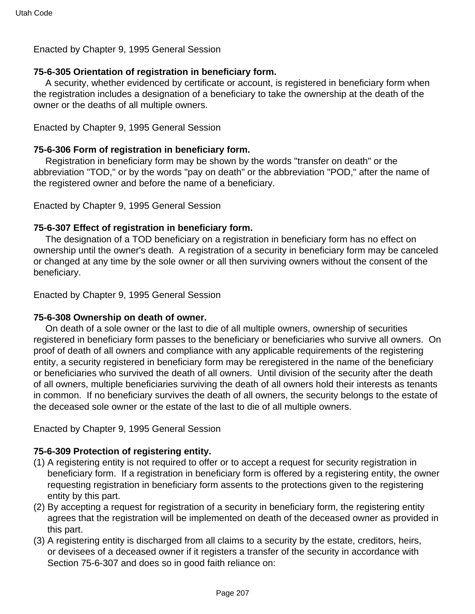Enacted by Chapter 9, 1995 General Session

# **75-6-305 Orientation of registration in beneficiary form.**

 A security, whether evidenced by certificate or account, is registered in beneficiary form when the registration includes a designation of a beneficiary to take the ownership at the death of the owner or the deaths of all multiple owners.

Enacted by Chapter 9, 1995 General Session

## **75-6-306 Form of registration in beneficiary form.**

 Registration in beneficiary form may be shown by the words "transfer on death" or the abbreviation "TOD," or by the words "pay on death" or the abbreviation "POD," after the name of the registered owner and before the name of a beneficiary.

Enacted by Chapter 9, 1995 General Session

# **75-6-307 Effect of registration in beneficiary form.**

 The designation of a TOD beneficiary on a registration in beneficiary form has no effect on ownership until the owner's death. A registration of a security in beneficiary form may be canceled or changed at any time by the sole owner or all then surviving owners without the consent of the beneficiary.

Enacted by Chapter 9, 1995 General Session

### **75-6-308 Ownership on death of owner.**

 On death of a sole owner or the last to die of all multiple owners, ownership of securities registered in beneficiary form passes to the beneficiary or beneficiaries who survive all owners. On proof of death of all owners and compliance with any applicable requirements of the registering entity, a security registered in beneficiary form may be reregistered in the name of the beneficiary or beneficiaries who survived the death of all owners. Until division of the security after the death of all owners, multiple beneficiaries surviving the death of all owners hold their interests as tenants in common. If no beneficiary survives the death of all owners, the security belongs to the estate of the deceased sole owner or the estate of the last to die of all multiple owners.

Enacted by Chapter 9, 1995 General Session

# **75-6-309 Protection of registering entity.**

- (1) A registering entity is not required to offer or to accept a request for security registration in beneficiary form. If a registration in beneficiary form is offered by a registering entity, the owner requesting registration in beneficiary form assents to the protections given to the registering entity by this part.
- (2) By accepting a request for registration of a security in beneficiary form, the registering entity agrees that the registration will be implemented on death of the deceased owner as provided in this part.
- (3) A registering entity is discharged from all claims to a security by the estate, creditors, heirs, or devisees of a deceased owner if it registers a transfer of the security in accordance with Section 75-6-307 and does so in good faith reliance on: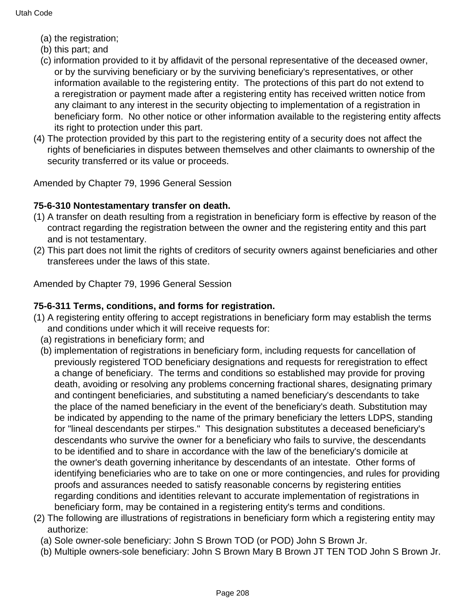- (a) the registration;
- (b) this part; and
- (c) information provided to it by affidavit of the personal representative of the deceased owner, or by the surviving beneficiary or by the surviving beneficiary's representatives, or other information available to the registering entity. The protections of this part do not extend to a reregistration or payment made after a registering entity has received written notice from any claimant to any interest in the security objecting to implementation of a registration in beneficiary form. No other notice or other information available to the registering entity affects its right to protection under this part.
- (4) The protection provided by this part to the registering entity of a security does not affect the rights of beneficiaries in disputes between themselves and other claimants to ownership of the security transferred or its value or proceeds.

Amended by Chapter 79, 1996 General Session

#### **75-6-310 Nontestamentary transfer on death.**

- (1) A transfer on death resulting from a registration in beneficiary form is effective by reason of the contract regarding the registration between the owner and the registering entity and this part and is not testamentary.
- (2) This part does not limit the rights of creditors of security owners against beneficiaries and other transferees under the laws of this state.

Amended by Chapter 79, 1996 General Session

#### **75-6-311 Terms, conditions, and forms for registration.**

- (1) A registering entity offering to accept registrations in beneficiary form may establish the terms and conditions under which it will receive requests for:
	- (a) registrations in beneficiary form; and
	- (b) implementation of registrations in beneficiary form, including requests for cancellation of previously registered TOD beneficiary designations and requests for reregistration to effect a change of beneficiary. The terms and conditions so established may provide for proving death, avoiding or resolving any problems concerning fractional shares, designating primary and contingent beneficiaries, and substituting a named beneficiary's descendants to take the place of the named beneficiary in the event of the beneficiary's death. Substitution may be indicated by appending to the name of the primary beneficiary the letters LDPS, standing for "lineal descendants per stirpes." This designation substitutes a deceased beneficiary's descendants who survive the owner for a beneficiary who fails to survive, the descendants to be identified and to share in accordance with the law of the beneficiary's domicile at the owner's death governing inheritance by descendants of an intestate. Other forms of identifying beneficiaries who are to take on one or more contingencies, and rules for providing proofs and assurances needed to satisfy reasonable concerns by registering entities regarding conditions and identities relevant to accurate implementation of registrations in beneficiary form, may be contained in a registering entity's terms and conditions.
- (2) The following are illustrations of registrations in beneficiary form which a registering entity may authorize:
	- (a) Sole owner-sole beneficiary: John S Brown TOD (or POD) John S Brown Jr.
	- (b) Multiple owners-sole beneficiary: John S Brown Mary B Brown JT TEN TOD John S Brown Jr.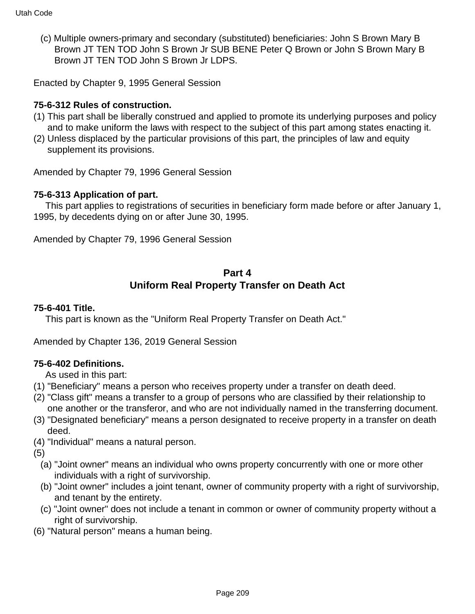(c) Multiple owners-primary and secondary (substituted) beneficiaries: John S Brown Mary B Brown JT TEN TOD John S Brown Jr SUB BENE Peter Q Brown or John S Brown Mary B Brown JT TEN TOD John S Brown Jr LDPS.

Enacted by Chapter 9, 1995 General Session

# **75-6-312 Rules of construction.**

- (1) This part shall be liberally construed and applied to promote its underlying purposes and policy and to make uniform the laws with respect to the subject of this part among states enacting it.
- (2) Unless displaced by the particular provisions of this part, the principles of law and equity supplement its provisions.

Amended by Chapter 79, 1996 General Session

## **75-6-313 Application of part.**

 This part applies to registrations of securities in beneficiary form made before or after January 1, 1995, by decedents dying on or after June 30, 1995.

Amended by Chapter 79, 1996 General Session

# **Part 4 Uniform Real Property Transfer on Death Act**

### **75-6-401 Title.**

This part is known as the "Uniform Real Property Transfer on Death Act."

Amended by Chapter 136, 2019 General Session

### **75-6-402 Definitions.**

As used in this part:

- (1) "Beneficiary" means a person who receives property under a transfer on death deed.
- (2) "Class gift" means a transfer to a group of persons who are classified by their relationship to one another or the transferor, and who are not individually named in the transferring document.
- (3) "Designated beneficiary" means a person designated to receive property in a transfer on death deed.
- (4) "Individual" means a natural person.

(5)

- (a) "Joint owner" means an individual who owns property concurrently with one or more other individuals with a right of survivorship.
- (b) "Joint owner" includes a joint tenant, owner of community property with a right of survivorship, and tenant by the entirety.
- (c) "Joint owner" does not include a tenant in common or owner of community property without a right of survivorship.
- (6) "Natural person" means a human being.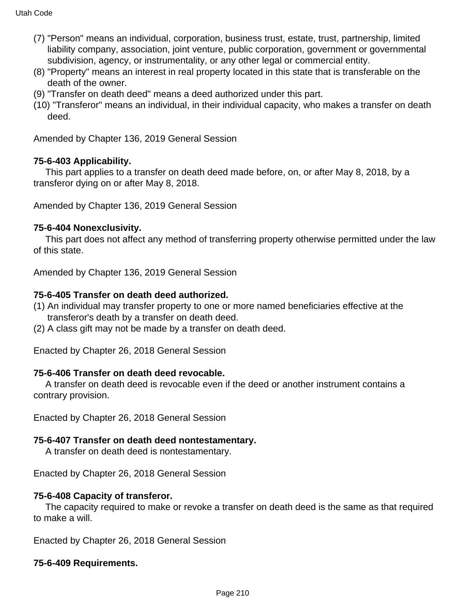- (7) "Person" means an individual, corporation, business trust, estate, trust, partnership, limited liability company, association, joint venture, public corporation, government or governmental subdivision, agency, or instrumentality, or any other legal or commercial entity.
- (8) "Property" means an interest in real property located in this state that is transferable on the death of the owner.
- (9) "Transfer on death deed" means a deed authorized under this part.
- (10) "Transferor" means an individual, in their individual capacity, who makes a transfer on death deed.

Amended by Chapter 136, 2019 General Session

#### **75-6-403 Applicability.**

 This part applies to a transfer on death deed made before, on, or after May 8, 2018, by a transferor dying on or after May 8, 2018.

Amended by Chapter 136, 2019 General Session

#### **75-6-404 Nonexclusivity.**

 This part does not affect any method of transferring property otherwise permitted under the law of this state.

Amended by Chapter 136, 2019 General Session

#### **75-6-405 Transfer on death deed authorized.**

- (1) An individual may transfer property to one or more named beneficiaries effective at the transferor's death by a transfer on death deed.
- (2) A class gift may not be made by a transfer on death deed.

Enacted by Chapter 26, 2018 General Session

#### **75-6-406 Transfer on death deed revocable.**

 A transfer on death deed is revocable even if the deed or another instrument contains a contrary provision.

Enacted by Chapter 26, 2018 General Session

#### **75-6-407 Transfer on death deed nontestamentary.**

A transfer on death deed is nontestamentary.

Enacted by Chapter 26, 2018 General Session

#### **75-6-408 Capacity of transferor.**

 The capacity required to make or revoke a transfer on death deed is the same as that required to make a will.

Enacted by Chapter 26, 2018 General Session

#### **75-6-409 Requirements.**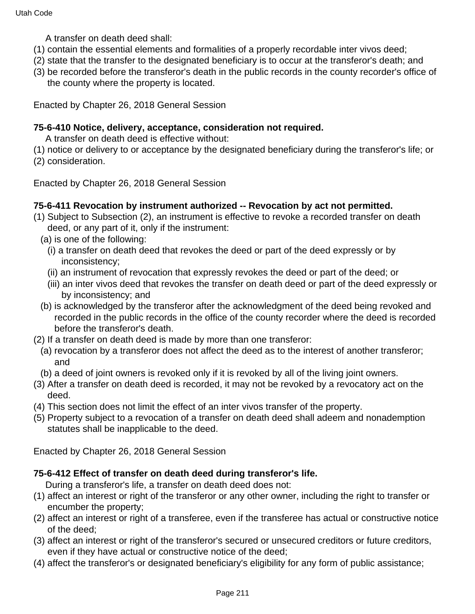A transfer on death deed shall:

- (1) contain the essential elements and formalities of a properly recordable inter vivos deed;
- (2) state that the transfer to the designated beneficiary is to occur at the transferor's death; and
- (3) be recorded before the transferor's death in the public records in the county recorder's office of the county where the property is located.

Enacted by Chapter 26, 2018 General Session

# **75-6-410 Notice, delivery, acceptance, consideration not required.**

A transfer on death deed is effective without:

(1) notice or delivery to or acceptance by the designated beneficiary during the transferor's life; or

(2) consideration.

Enacted by Chapter 26, 2018 General Session

## **75-6-411 Revocation by instrument authorized -- Revocation by act not permitted.**

- (1) Subject to Subsection (2), an instrument is effective to revoke a recorded transfer on death deed, or any part of it, only if the instrument:
	- (a) is one of the following:
		- (i) a transfer on death deed that revokes the deed or part of the deed expressly or by inconsistency;
		- (ii) an instrument of revocation that expressly revokes the deed or part of the deed; or
		- (iii) an inter vivos deed that revokes the transfer on death deed or part of the deed expressly or by inconsistency; and
	- (b) is acknowledged by the transferor after the acknowledgment of the deed being revoked and recorded in the public records in the office of the county recorder where the deed is recorded before the transferor's death.
- (2) If a transfer on death deed is made by more than one transferor:
	- (a) revocation by a transferor does not affect the deed as to the interest of another transferor; and
	- (b) a deed of joint owners is revoked only if it is revoked by all of the living joint owners.
- (3) After a transfer on death deed is recorded, it may not be revoked by a revocatory act on the deed.
- (4) This section does not limit the effect of an inter vivos transfer of the property.
- (5) Property subject to a revocation of a transfer on death deed shall adeem and nonademption statutes shall be inapplicable to the deed.

Enacted by Chapter 26, 2018 General Session

# **75-6-412 Effect of transfer on death deed during transferor's life.**

- During a transferor's life, a transfer on death deed does not:
- (1) affect an interest or right of the transferor or any other owner, including the right to transfer or encumber the property;
- (2) affect an interest or right of a transferee, even if the transferee has actual or constructive notice of the deed;
- (3) affect an interest or right of the transferor's secured or unsecured creditors or future creditors, even if they have actual or constructive notice of the deed;
- (4) affect the transferor's or designated beneficiary's eligibility for any form of public assistance;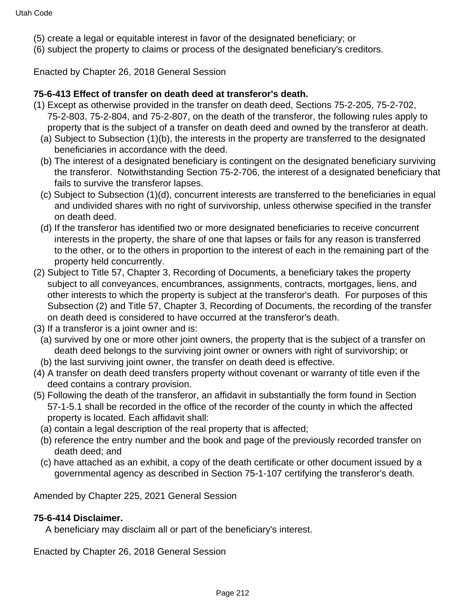- (5) create a legal or equitable interest in favor of the designated beneficiary; or
- (6) subject the property to claims or process of the designated beneficiary's creditors.

Enacted by Chapter 26, 2018 General Session

### **75-6-413 Effect of transfer on death deed at transferor's death.**

- (1) Except as otherwise provided in the transfer on death deed, Sections 75-2-205, 75-2-702, 75-2-803, 75-2-804, and 75-2-807, on the death of the transferor, the following rules apply to property that is the subject of a transfer on death deed and owned by the transferor at death.
	- (a) Subject to Subsection (1)(b), the interests in the property are transferred to the designated beneficiaries in accordance with the deed.
	- (b) The interest of a designated beneficiary is contingent on the designated beneficiary surviving the transferor. Notwithstanding Section 75-2-706, the interest of a designated beneficiary that fails to survive the transferor lapses.
	- (c) Subject to Subsection (1)(d), concurrent interests are transferred to the beneficiaries in equal and undivided shares with no right of survivorship, unless otherwise specified in the transfer on death deed.
	- (d) If the transferor has identified two or more designated beneficiaries to receive concurrent interests in the property, the share of one that lapses or fails for any reason is transferred to the other, or to the others in proportion to the interest of each in the remaining part of the property held concurrently.
- (2) Subject to Title 57, Chapter 3, Recording of Documents, a beneficiary takes the property subject to all conveyances, encumbrances, assignments, contracts, mortgages, liens, and other interests to which the property is subject at the transferor's death. For purposes of this Subsection (2) and Title 57, Chapter 3, Recording of Documents, the recording of the transfer on death deed is considered to have occurred at the transferor's death.
- (3) If a transferor is a joint owner and is:
	- (a) survived by one or more other joint owners, the property that is the subject of a transfer on death deed belongs to the surviving joint owner or owners with right of survivorship; or
	- (b) the last surviving joint owner, the transfer on death deed is effective.
- (4) A transfer on death deed transfers property without covenant or warranty of title even if the deed contains a contrary provision.
- (5) Following the death of the transferor, an affidavit in substantially the form found in Section 57-1-5.1 shall be recorded in the office of the recorder of the county in which the affected property is located. Each affidavit shall:
	- (a) contain a legal description of the real property that is affected;
	- (b) reference the entry number and the book and page of the previously recorded transfer on death deed; and
	- (c) have attached as an exhibit, a copy of the death certificate or other document issued by a governmental agency as described in Section 75-1-107 certifying the transferor's death.

Amended by Chapter 225, 2021 General Session

### **75-6-414 Disclaimer.**

A beneficiary may disclaim all or part of the beneficiary's interest.

Enacted by Chapter 26, 2018 General Session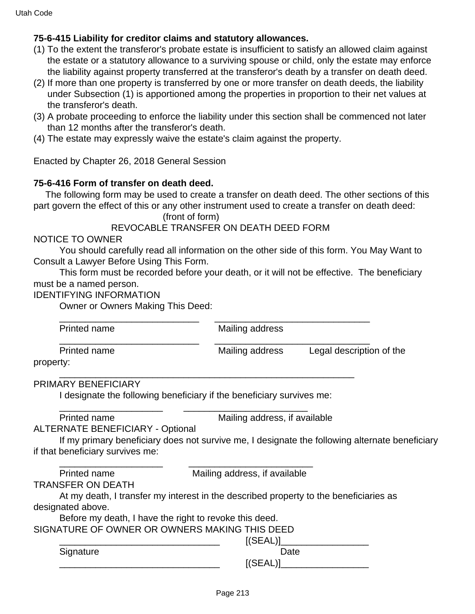# **75-6-415 Liability for creditor claims and statutory allowances.**

- (1) To the extent the transferor's probate estate is insufficient to satisfy an allowed claim against the estate or a statutory allowance to a surviving spouse or child, only the estate may enforce the liability against property transferred at the transferor's death by a transfer on death deed.
- (2) If more than one property is transferred by one or more transfer on death deeds, the liability under Subsection (1) is apportioned among the properties in proportion to their net values at the transferor's death.
- (3) A probate proceeding to enforce the liability under this section shall be commenced not later than 12 months after the transferor's death.
- (4) The estate may expressly waive the estate's claim against the property.

Enacted by Chapter 26, 2018 General Session

### **75-6-416 Form of transfer on death deed.**

 The following form may be used to create a transfer on death deed. The other sections of this part govern the effect of this or any other instrument used to create a transfer on death deed:

(front of form)

REVOCABLE TRANSFER ON DEATH DEED FORM

#### NOTICE TO OWNER

 You should carefully read all information on the other side of this form. You May Want to Consult a Lawyer Before Using This Form.

 This form must be recorded before your death, or it will not be effective. The beneficiary must be a named person.

#### IDENTIFYING INFORMATION

Owner or Owners Making This Deed:

| <b>Printed name</b>                     | Mailing address                                                                       |                                                                                                |
|-----------------------------------------|---------------------------------------------------------------------------------------|------------------------------------------------------------------------------------------------|
| <b>Printed name</b>                     | Mailing address                                                                       | Legal description of the                                                                       |
| property:                               |                                                                                       |                                                                                                |
| <b>PRIMARY BENEFICIARY</b>              |                                                                                       |                                                                                                |
|                                         | I designate the following beneficiary if the beneficiary survives me:                 |                                                                                                |
| <b>Printed name</b>                     | Mailing address, if available                                                         |                                                                                                |
| <b>ALTERNATE BENEFICIARY - Optional</b> |                                                                                       |                                                                                                |
|                                         |                                                                                       | If my primary beneficiary does not survive me, I designate the following alternate beneficiary |
| if that beneficiary survives me:        |                                                                                       |                                                                                                |
|                                         |                                                                                       |                                                                                                |
| Printed name                            | Mailing address, if available                                                         |                                                                                                |
| <b>TRANSFER ON DEATH</b>                |                                                                                       |                                                                                                |
|                                         | At my death, I transfer my interest in the described property to the beneficiaries as |                                                                                                |
| designated above.                       |                                                                                       |                                                                                                |
|                                         | Before my death, I have the right to revoke this deed.                                |                                                                                                |
|                                         | SIGNATURE OF OWNER OR OWNERS MAKING THIS DEED                                         |                                                                                                |
|                                         | [(SEAL)]                                                                              |                                                                                                |
| Signature                               | Date                                                                                  |                                                                                                |
|                                         | [(SEAL)]                                                                              |                                                                                                |
|                                         |                                                                                       |                                                                                                |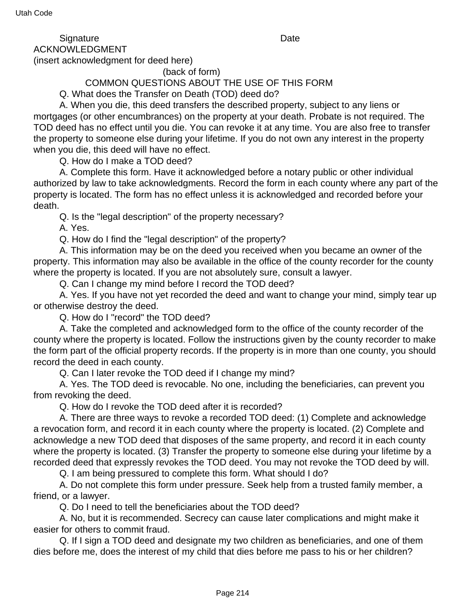Signature Date

# ACKNOWLEDGMENT

(insert acknowledgment for deed here)

(back of form)

# COMMON QUESTIONS ABOUT THE USE OF THIS FORM

Q. What does the Transfer on Death (TOD) deed do?

 A. When you die, this deed transfers the described property, subject to any liens or mortgages (or other encumbrances) on the property at your death. Probate is not required. The TOD deed has no effect until you die. You can revoke it at any time. You are also free to transfer the property to someone else during your lifetime. If you do not own any interest in the property when you die, this deed will have no effect.

Q. How do I make a TOD deed?

 A. Complete this form. Have it acknowledged before a notary public or other individual authorized by law to take acknowledgments. Record the form in each county where any part of the property is located. The form has no effect unless it is acknowledged and recorded before your death.

Q. Is the "legal description" of the property necessary?

A. Yes.

Q. How do I find the "legal description" of the property?

 A. This information may be on the deed you received when you became an owner of the property. This information may also be available in the office of the county recorder for the county where the property is located. If you are not absolutely sure, consult a lawyer.

Q. Can I change my mind before I record the TOD deed?

 A. Yes. If you have not yet recorded the deed and want to change your mind, simply tear up or otherwise destroy the deed.

Q. How do I "record" the TOD deed?

 A. Take the completed and acknowledged form to the office of the county recorder of the county where the property is located. Follow the instructions given by the county recorder to make the form part of the official property records. If the property is in more than one county, you should record the deed in each county.

Q. Can I later revoke the TOD deed if I change my mind?

 A. Yes. The TOD deed is revocable. No one, including the beneficiaries, can prevent you from revoking the deed.

Q. How do I revoke the TOD deed after it is recorded?

 A. There are three ways to revoke a recorded TOD deed: (1) Complete and acknowledge a revocation form, and record it in each county where the property is located. (2) Complete and acknowledge a new TOD deed that disposes of the same property, and record it in each county where the property is located. (3) Transfer the property to someone else during your lifetime by a recorded deed that expressly revokes the TOD deed. You may not revoke the TOD deed by will.

Q. I am being pressured to complete this form. What should I do?

 A. Do not complete this form under pressure. Seek help from a trusted family member, a friend, or a lawyer.

Q. Do I need to tell the beneficiaries about the TOD deed?

 A. No, but it is recommended. Secrecy can cause later complications and might make it easier for others to commit fraud.

 Q. If I sign a TOD deed and designate my two children as beneficiaries, and one of them dies before me, does the interest of my child that dies before me pass to his or her children?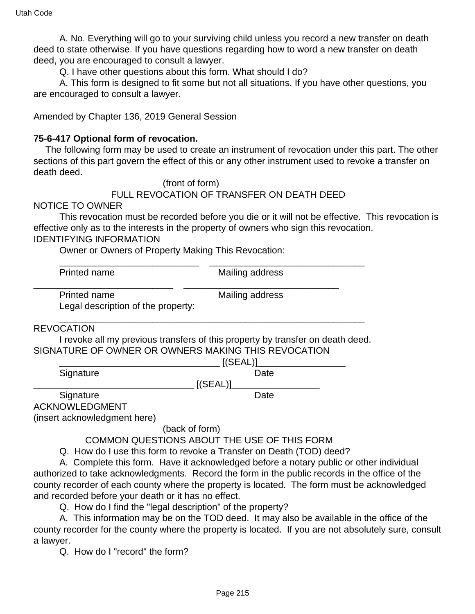A. No. Everything will go to your surviving child unless you record a new transfer on death deed to state otherwise. If you have questions regarding how to word a new transfer on death deed, you are encouraged to consult a lawyer.

Q. I have other questions about this form. What should I do?

 A. This form is designed to fit some but not all situations. If you have other questions, you are encouraged to consult a lawyer.

Amended by Chapter 136, 2019 General Session

#### **75-6-417 Optional form of revocation.**

 The following form may be used to create an instrument of revocation under this part. The other sections of this part govern the effect of this or any other instrument used to revoke a transfer on death deed.

#### (front of form) FULL REVOCATION OF TRANSFER ON DEATH DEED

NOTICE TO OWNER

 This revocation must be recorded before you die or it will not be effective. This revocation is effective only as to the interests in the property of owners who sign this revocation. IDENTIFYING INFORMATION

Owner or Owners of Property Making This Revocation:

Printed name Mailing address

Printed name Mailing address Legal description of the property:

#### **REVOCATION**

 I revoke all my previous transfers of this property by transfer on death deed. SIGNATURE OF OWNER OR OWNERS MAKING THIS REVOCATION

 $\overline{\phantom{a}}$  , and the contribution of the contribution of the contribution of the contribution of the contribution of the contribution of the contribution of the contribution of the contribution of the contribution of the

 $\overline{\phantom{a}}$  , and the contribution of the contribution of  $\overline{\phantom{a}}$  , and  $\overline{\phantom{a}}$  , and  $\overline{\phantom{a}}$  , and  $\overline{\phantom{a}}$  , and  $\overline{\phantom{a}}$  , and  $\overline{\phantom{a}}$  , and  $\overline{\phantom{a}}$  , and  $\overline{\phantom{a}}$  , and  $\overline{\phantom{a}}$  , and

\_\_\_\_\_\_\_\_\_\_\_\_\_\_\_\_\_\_\_\_\_\_\_\_\_\_\_ \_\_\_\_\_\_\_\_\_\_\_\_\_\_\_\_\_\_\_\_\_\_\_\_\_\_\_\_\_\_

|                       | [(SEAL)] |  |
|-----------------------|----------|--|
| Signature             | Date     |  |
|                       | [(SEAL)] |  |
| Signature             | Date     |  |
| A OIZNIONALLEDOMAENIT |          |  |

ACKNOWLEDGMENT (insert acknowledgment here)

(back of form)

COMMON QUESTIONS ABOUT THE USE OF THIS FORM

Q. How do I use this form to revoke a Transfer on Death (TOD) deed?

 A. Complete this form. Have it acknowledged before a notary public or other individual authorized to take acknowledgments. Record the form in the public records in the office of the county recorder of each county where the property is located. The form must be acknowledged and recorded before your death or it has no effect.

Q. How do I find the "legal description" of the property?

 A. This information may be on the TOD deed. It may also be available in the office of the county recorder for the county where the property is located. If you are not absolutely sure, consult a lawyer.

Q. How do I "record" the form?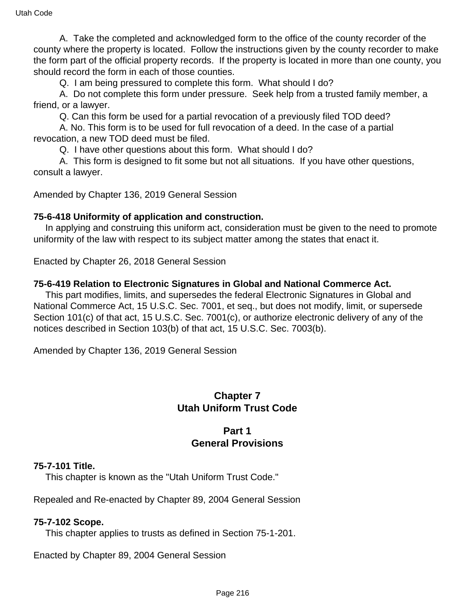A. Take the completed and acknowledged form to the office of the county recorder of the county where the property is located. Follow the instructions given by the county recorder to make the form part of the official property records. If the property is located in more than one county, you should record the form in each of those counties.

Q. I am being pressured to complete this form. What should I do?

 A. Do not complete this form under pressure. Seek help from a trusted family member, a friend, or a lawyer.

Q. Can this form be used for a partial revocation of a previously filed TOD deed?

 A. No. This form is to be used for full revocation of a deed. In the case of a partial revocation, a new TOD deed must be filed.

Q. I have other questions about this form. What should I do?

 A. This form is designed to fit some but not all situations. If you have other questions, consult a lawyer.

Amended by Chapter 136, 2019 General Session

#### **75-6-418 Uniformity of application and construction.**

 In applying and construing this uniform act, consideration must be given to the need to promote uniformity of the law with respect to its subject matter among the states that enact it.

Enacted by Chapter 26, 2018 General Session

#### **75-6-419 Relation to Electronic Signatures in Global and National Commerce Act.**

 This part modifies, limits, and supersedes the federal Electronic Signatures in Global and National Commerce Act, 15 U.S.C. Sec. 7001, et seq., but does not modify, limit, or supersede Section 101(c) of that act, 15 U.S.C. Sec. 7001(c), or authorize electronic delivery of any of the notices described in Section 103(b) of that act, 15 U.S.C. Sec. 7003(b).

Amended by Chapter 136, 2019 General Session

# **Chapter 7 Utah Uniform Trust Code**

# **Part 1 General Provisions**

#### **75-7-101 Title.**

This chapter is known as the "Utah Uniform Trust Code."

Repealed and Re-enacted by Chapter 89, 2004 General Session

#### **75-7-102 Scope.**

This chapter applies to trusts as defined in Section 75-1-201.

Enacted by Chapter 89, 2004 General Session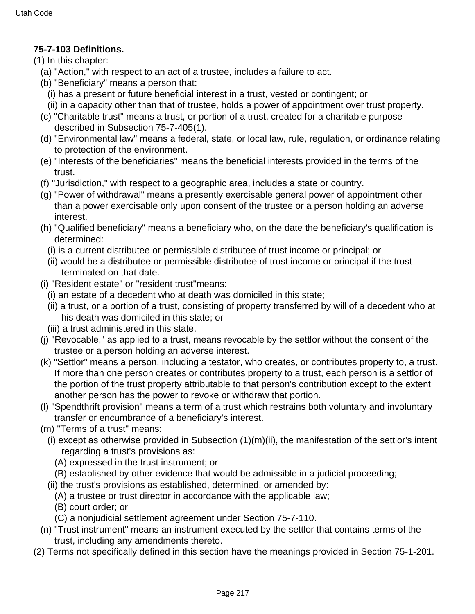## **75-7-103 Definitions.**

(1) In this chapter:

- (a) "Action," with respect to an act of a trustee, includes a failure to act.
- (b) "Beneficiary" means a person that:
	- (i) has a present or future beneficial interest in a trust, vested or contingent; or
	- (ii) in a capacity other than that of trustee, holds a power of appointment over trust property.
- (c) "Charitable trust" means a trust, or portion of a trust, created for a charitable purpose described in Subsection 75-7-405(1).
- (d) "Environmental law" means a federal, state, or local law, rule, regulation, or ordinance relating to protection of the environment.
- (e) "Interests of the beneficiaries" means the beneficial interests provided in the terms of the trust.
- (f) "Jurisdiction," with respect to a geographic area, includes a state or country.
- (g) "Power of withdrawal" means a presently exercisable general power of appointment other than a power exercisable only upon consent of the trustee or a person holding an adverse interest.
- (h) "Qualified beneficiary" means a beneficiary who, on the date the beneficiary's qualification is determined:
	- (i) is a current distributee or permissible distributee of trust income or principal; or
	- (ii) would be a distributee or permissible distributee of trust income or principal if the trust terminated on that date.
- (i) "Resident estate" or "resident trust"means:
	- (i) an estate of a decedent who at death was domiciled in this state;
	- (ii) a trust, or a portion of a trust, consisting of property transferred by will of a decedent who at his death was domiciled in this state; or
	- (iii) a trust administered in this state.
- (j) "Revocable," as applied to a trust, means revocable by the settlor without the consent of the trustee or a person holding an adverse interest.
- (k) "Settlor" means a person, including a testator, who creates, or contributes property to, a trust. If more than one person creates or contributes property to a trust, each person is a settlor of the portion of the trust property attributable to that person's contribution except to the extent another person has the power to revoke or withdraw that portion.
- (l) "Spendthrift provision" means a term of a trust which restrains both voluntary and involuntary transfer or encumbrance of a beneficiary's interest.
- (m) "Terms of a trust" means:
	- (i) except as otherwise provided in Subsection  $(1)(m)(ii)$ , the manifestation of the settlor's intent regarding a trust's provisions as:
		- (A) expressed in the trust instrument; or
		- (B) established by other evidence that would be admissible in a judicial proceeding;
	- (ii) the trust's provisions as established, determined, or amended by:
		- (A) a trustee or trust director in accordance with the applicable law;
		- (B) court order; or
		- (C) a nonjudicial settlement agreement under Section 75-7-110.
- (n) "Trust instrument" means an instrument executed by the settlor that contains terms of the trust, including any amendments thereto.
- (2) Terms not specifically defined in this section have the meanings provided in Section 75-1-201.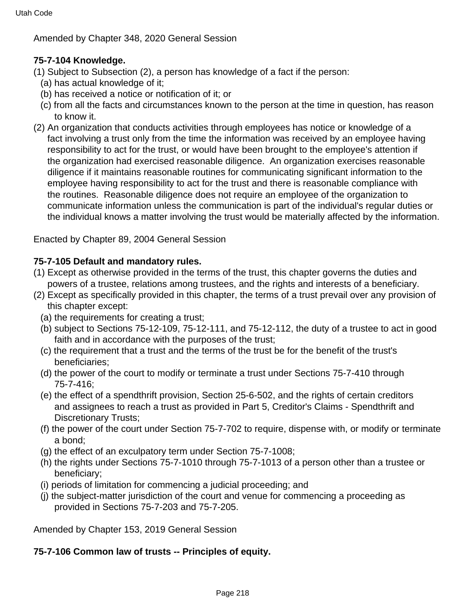Amended by Chapter 348, 2020 General Session

## **75-7-104 Knowledge.**

- (1) Subject to Subsection (2), a person has knowledge of a fact if the person:
	- (a) has actual knowledge of it;
	- (b) has received a notice or notification of it; or
	- (c) from all the facts and circumstances known to the person at the time in question, has reason to know it.
- (2) An organization that conducts activities through employees has notice or knowledge of a fact involving a trust only from the time the information was received by an employee having responsibility to act for the trust, or would have been brought to the employee's attention if the organization had exercised reasonable diligence. An organization exercises reasonable diligence if it maintains reasonable routines for communicating significant information to the employee having responsibility to act for the trust and there is reasonable compliance with the routines. Reasonable diligence does not require an employee of the organization to communicate information unless the communication is part of the individual's regular duties or the individual knows a matter involving the trust would be materially affected by the information.

Enacted by Chapter 89, 2004 General Session

## **75-7-105 Default and mandatory rules.**

- (1) Except as otherwise provided in the terms of the trust, this chapter governs the duties and powers of a trustee, relations among trustees, and the rights and interests of a beneficiary.
- (2) Except as specifically provided in this chapter, the terms of a trust prevail over any provision of this chapter except:
	- (a) the requirements for creating a trust;
	- (b) subject to Sections 75-12-109, 75-12-111, and 75-12-112, the duty of a trustee to act in good faith and in accordance with the purposes of the trust;
	- (c) the requirement that a trust and the terms of the trust be for the benefit of the trust's beneficiaries;
	- (d) the power of the court to modify or terminate a trust under Sections 75-7-410 through 75-7-416;
	- (e) the effect of a spendthrift provision, Section 25-6-502, and the rights of certain creditors and assignees to reach a trust as provided in Part 5, Creditor's Claims - Spendthrift and Discretionary Trusts;
	- (f) the power of the court under Section 75-7-702 to require, dispense with, or modify or terminate a bond;
	- (g) the effect of an exculpatory term under Section 75-7-1008;
	- (h) the rights under Sections 75-7-1010 through 75-7-1013 of a person other than a trustee or beneficiary;
	- (i) periods of limitation for commencing a judicial proceeding; and
	- (j) the subject-matter jurisdiction of the court and venue for commencing a proceeding as provided in Sections 75-7-203 and 75-7-205.

Amended by Chapter 153, 2019 General Session

## **75-7-106 Common law of trusts -- Principles of equity.**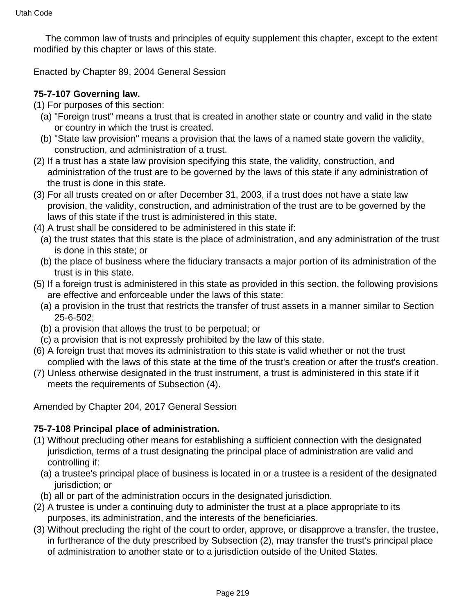The common law of trusts and principles of equity supplement this chapter, except to the extent modified by this chapter or laws of this state.

Enacted by Chapter 89, 2004 General Session

## **75-7-107 Governing law.**

- (1) For purposes of this section:
	- (a) "Foreign trust" means a trust that is created in another state or country and valid in the state or country in which the trust is created.
	- (b) "State law provision" means a provision that the laws of a named state govern the validity, construction, and administration of a trust.
- (2) If a trust has a state law provision specifying this state, the validity, construction, and administration of the trust are to be governed by the laws of this state if any administration of the trust is done in this state.
- (3) For all trusts created on or after December 31, 2003, if a trust does not have a state law provision, the validity, construction, and administration of the trust are to be governed by the laws of this state if the trust is administered in this state.
- (4) A trust shall be considered to be administered in this state if:
- (a) the trust states that this state is the place of administration, and any administration of the trust is done in this state; or
- (b) the place of business where the fiduciary transacts a major portion of its administration of the trust is in this state.
- (5) If a foreign trust is administered in this state as provided in this section, the following provisions are effective and enforceable under the laws of this state:
	- (a) a provision in the trust that restricts the transfer of trust assets in a manner similar to Section 25-6-502;
	- (b) a provision that allows the trust to be perpetual; or
	- (c) a provision that is not expressly prohibited by the law of this state.
- (6) A foreign trust that moves its administration to this state is valid whether or not the trust complied with the laws of this state at the time of the trust's creation or after the trust's creation.
- (7) Unless otherwise designated in the trust instrument, a trust is administered in this state if it meets the requirements of Subsection (4).

Amended by Chapter 204, 2017 General Session

## **75-7-108 Principal place of administration.**

- (1) Without precluding other means for establishing a sufficient connection with the designated jurisdiction, terms of a trust designating the principal place of administration are valid and controlling if:
	- (a) a trustee's principal place of business is located in or a trustee is a resident of the designated jurisdiction; or
	- (b) all or part of the administration occurs in the designated jurisdiction.
- (2) A trustee is under a continuing duty to administer the trust at a place appropriate to its purposes, its administration, and the interests of the beneficiaries.
- (3) Without precluding the right of the court to order, approve, or disapprove a transfer, the trustee, in furtherance of the duty prescribed by Subsection (2), may transfer the trust's principal place of administration to another state or to a jurisdiction outside of the United States.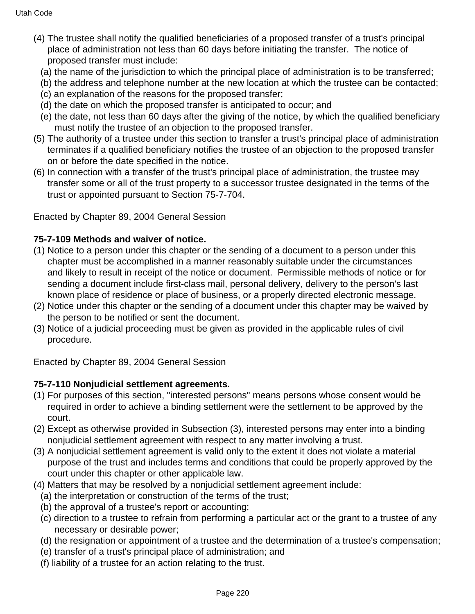- (4) The trustee shall notify the qualified beneficiaries of a proposed transfer of a trust's principal place of administration not less than 60 days before initiating the transfer. The notice of proposed transfer must include:
	- (a) the name of the jurisdiction to which the principal place of administration is to be transferred;
	- (b) the address and telephone number at the new location at which the trustee can be contacted;
	- (c) an explanation of the reasons for the proposed transfer;
	- (d) the date on which the proposed transfer is anticipated to occur; and
	- (e) the date, not less than 60 days after the giving of the notice, by which the qualified beneficiary must notify the trustee of an objection to the proposed transfer.
- (5) The authority of a trustee under this section to transfer a trust's principal place of administration terminates if a qualified beneficiary notifies the trustee of an objection to the proposed transfer on or before the date specified in the notice.
- (6) In connection with a transfer of the trust's principal place of administration, the trustee may transfer some or all of the trust property to a successor trustee designated in the terms of the trust or appointed pursuant to Section 75-7-704.

## **75-7-109 Methods and waiver of notice.**

- (1) Notice to a person under this chapter or the sending of a document to a person under this chapter must be accomplished in a manner reasonably suitable under the circumstances and likely to result in receipt of the notice or document. Permissible methods of notice or for sending a document include first-class mail, personal delivery, delivery to the person's last known place of residence or place of business, or a properly directed electronic message.
- (2) Notice under this chapter or the sending of a document under this chapter may be waived by the person to be notified or sent the document.
- (3) Notice of a judicial proceeding must be given as provided in the applicable rules of civil procedure.

Enacted by Chapter 89, 2004 General Session

## **75-7-110 Nonjudicial settlement agreements.**

- (1) For purposes of this section, "interested persons" means persons whose consent would be required in order to achieve a binding settlement were the settlement to be approved by the court.
- (2) Except as otherwise provided in Subsection (3), interested persons may enter into a binding nonjudicial settlement agreement with respect to any matter involving a trust.
- (3) A nonjudicial settlement agreement is valid only to the extent it does not violate a material purpose of the trust and includes terms and conditions that could be properly approved by the court under this chapter or other applicable law.
- (4) Matters that may be resolved by a nonjudicial settlement agreement include:
	- (a) the interpretation or construction of the terms of the trust;
	- (b) the approval of a trustee's report or accounting;
	- (c) direction to a trustee to refrain from performing a particular act or the grant to a trustee of any necessary or desirable power;
	- (d) the resignation or appointment of a trustee and the determination of a trustee's compensation;
	- (e) transfer of a trust's principal place of administration; and
	- (f) liability of a trustee for an action relating to the trust.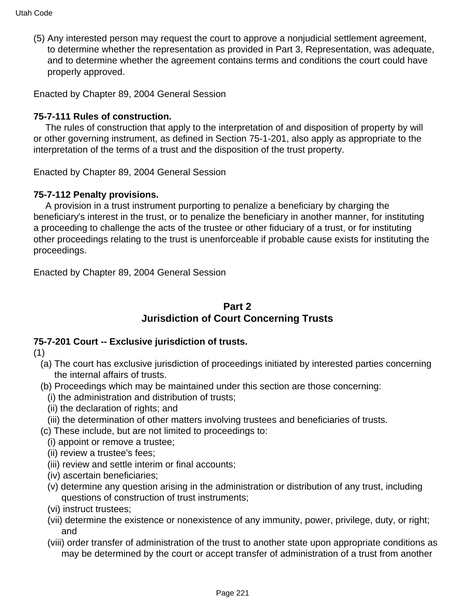(5) Any interested person may request the court to approve a nonjudicial settlement agreement, to determine whether the representation as provided in Part 3, Representation, was adequate, and to determine whether the agreement contains terms and conditions the court could have properly approved.

Enacted by Chapter 89, 2004 General Session

## **75-7-111 Rules of construction.**

 The rules of construction that apply to the interpretation of and disposition of property by will or other governing instrument, as defined in Section 75-1-201, also apply as appropriate to the interpretation of the terms of a trust and the disposition of the trust property.

Enacted by Chapter 89, 2004 General Session

## **75-7-112 Penalty provisions.**

 A provision in a trust instrument purporting to penalize a beneficiary by charging the beneficiary's interest in the trust, or to penalize the beneficiary in another manner, for instituting a proceeding to challenge the acts of the trustee or other fiduciary of a trust, or for instituting other proceedings relating to the trust is unenforceable if probable cause exists for instituting the proceedings.

Enacted by Chapter 89, 2004 General Session

## **Part 2 Jurisdiction of Court Concerning Trusts**

## **75-7-201 Court -- Exclusive jurisdiction of trusts.**

(1)

- (a) The court has exclusive jurisdiction of proceedings initiated by interested parties concerning the internal affairs of trusts.
- (b) Proceedings which may be maintained under this section are those concerning:
	- (i) the administration and distribution of trusts;
	- (ii) the declaration of rights; and
- (iii) the determination of other matters involving trustees and beneficiaries of trusts.
- (c) These include, but are not limited to proceedings to:
	- (i) appoint or remove a trustee;
	- (ii) review a trustee's fees;
	- (iii) review and settle interim or final accounts;
	- (iv) ascertain beneficiaries;
	- (v) determine any question arising in the administration or distribution of any trust, including questions of construction of trust instruments;
	- (vi) instruct trustees;
	- (vii) determine the existence or nonexistence of any immunity, power, privilege, duty, or right; and
	- (viii) order transfer of administration of the trust to another state upon appropriate conditions as may be determined by the court or accept transfer of administration of a trust from another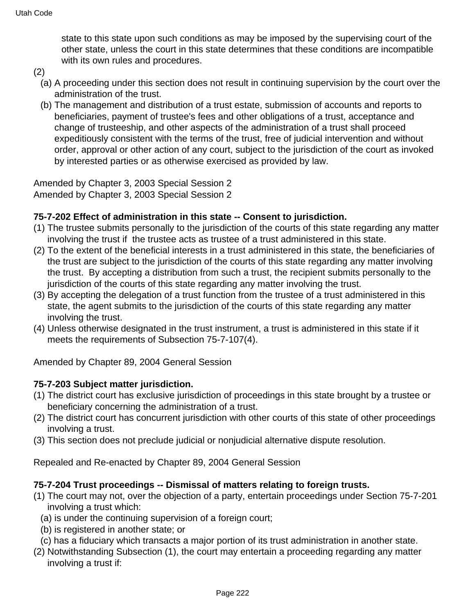state to this state upon such conditions as may be imposed by the supervising court of the other state, unless the court in this state determines that these conditions are incompatible with its own rules and procedures.

- (2)
	- (a) A proceeding under this section does not result in continuing supervision by the court over the administration of the trust.
	- (b) The management and distribution of a trust estate, submission of accounts and reports to beneficiaries, payment of trustee's fees and other obligations of a trust, acceptance and change of trusteeship, and other aspects of the administration of a trust shall proceed expeditiously consistent with the terms of the trust, free of judicial intervention and without order, approval or other action of any court, subject to the jurisdiction of the court as invoked by interested parties or as otherwise exercised as provided by law.

Amended by Chapter 3, 2003 Special Session 2 Amended by Chapter 3, 2003 Special Session 2

## **75-7-202 Effect of administration in this state -- Consent to jurisdiction.**

- (1) The trustee submits personally to the jurisdiction of the courts of this state regarding any matter involving the trust if the trustee acts as trustee of a trust administered in this state.
- (2) To the extent of the beneficial interests in a trust administered in this state, the beneficiaries of the trust are subject to the jurisdiction of the courts of this state regarding any matter involving the trust. By accepting a distribution from such a trust, the recipient submits personally to the jurisdiction of the courts of this state regarding any matter involving the trust.
- (3) By accepting the delegation of a trust function from the trustee of a trust administered in this state, the agent submits to the jurisdiction of the courts of this state regarding any matter involving the trust.
- (4) Unless otherwise designated in the trust instrument, a trust is administered in this state if it meets the requirements of Subsection 75-7-107(4).

Amended by Chapter 89, 2004 General Session

## **75-7-203 Subject matter jurisdiction.**

- (1) The district court has exclusive jurisdiction of proceedings in this state brought by a trustee or beneficiary concerning the administration of a trust.
- (2) The district court has concurrent jurisdiction with other courts of this state of other proceedings involving a trust.
- (3) This section does not preclude judicial or nonjudicial alternative dispute resolution.

Repealed and Re-enacted by Chapter 89, 2004 General Session

## **75-7-204 Trust proceedings -- Dismissal of matters relating to foreign trusts.**

- (1) The court may not, over the objection of a party, entertain proceedings under Section 75-7-201 involving a trust which:
	- (a) is under the continuing supervision of a foreign court;
	- (b) is registered in another state; or
	- (c) has a fiduciary which transacts a major portion of its trust administration in another state.
- (2) Notwithstanding Subsection (1), the court may entertain a proceeding regarding any matter involving a trust if: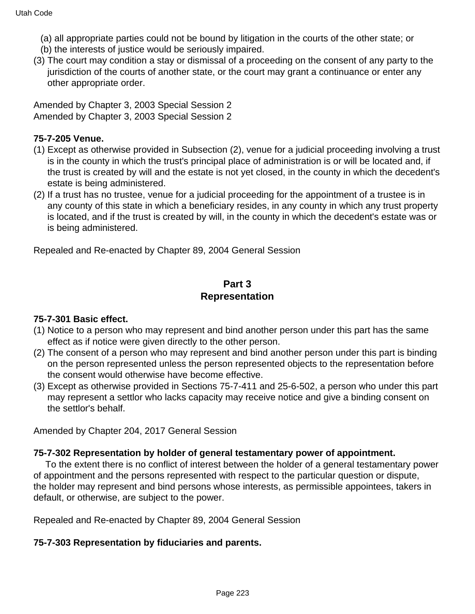- (a) all appropriate parties could not be bound by litigation in the courts of the other state; or
- (b) the interests of justice would be seriously impaired.
- (3) The court may condition a stay or dismissal of a proceeding on the consent of any party to the jurisdiction of the courts of another state, or the court may grant a continuance or enter any other appropriate order.

Amended by Chapter 3, 2003 Special Session 2 Amended by Chapter 3, 2003 Special Session 2

### **75-7-205 Venue.**

- (1) Except as otherwise provided in Subsection (2), venue for a judicial proceeding involving a trust is in the county in which the trust's principal place of administration is or will be located and, if the trust is created by will and the estate is not yet closed, in the county in which the decedent's estate is being administered.
- (2) If a trust has no trustee, venue for a judicial proceeding for the appointment of a trustee is in any county of this state in which a beneficiary resides, in any county in which any trust property is located, and if the trust is created by will, in the county in which the decedent's estate was or is being administered.

Repealed and Re-enacted by Chapter 89, 2004 General Session

## **Part 3 Representation**

## **75-7-301 Basic effect.**

- (1) Notice to a person who may represent and bind another person under this part has the same effect as if notice were given directly to the other person.
- (2) The consent of a person who may represent and bind another person under this part is binding on the person represented unless the person represented objects to the representation before the consent would otherwise have become effective.
- (3) Except as otherwise provided in Sections 75-7-411 and 25-6-502, a person who under this part may represent a settlor who lacks capacity may receive notice and give a binding consent on the settlor's behalf.

Amended by Chapter 204, 2017 General Session

## **75-7-302 Representation by holder of general testamentary power of appointment.**

 To the extent there is no conflict of interest between the holder of a general testamentary power of appointment and the persons represented with respect to the particular question or dispute, the holder may represent and bind persons whose interests, as permissible appointees, takers in default, or otherwise, are subject to the power.

Repealed and Re-enacted by Chapter 89, 2004 General Session

### **75-7-303 Representation by fiduciaries and parents.**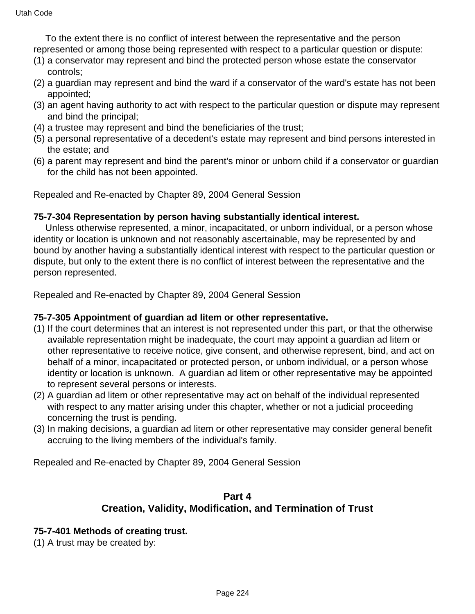To the extent there is no conflict of interest between the representative and the person

represented or among those being represented with respect to a particular question or dispute: (1) a conservator may represent and bind the protected person whose estate the conservator

- controls;
- (2) a guardian may represent and bind the ward if a conservator of the ward's estate has not been appointed;
- (3) an agent having authority to act with respect to the particular question or dispute may represent and bind the principal;
- (4) a trustee may represent and bind the beneficiaries of the trust;
- (5) a personal representative of a decedent's estate may represent and bind persons interested in the estate; and
- (6) a parent may represent and bind the parent's minor or unborn child if a conservator or guardian for the child has not been appointed.

Repealed and Re-enacted by Chapter 89, 2004 General Session

### **75-7-304 Representation by person having substantially identical interest.**

 Unless otherwise represented, a minor, incapacitated, or unborn individual, or a person whose identity or location is unknown and not reasonably ascertainable, may be represented by and bound by another having a substantially identical interest with respect to the particular question or dispute, but only to the extent there is no conflict of interest between the representative and the person represented.

Repealed and Re-enacted by Chapter 89, 2004 General Session

### **75-7-305 Appointment of guardian ad litem or other representative.**

- (1) If the court determines that an interest is not represented under this part, or that the otherwise available representation might be inadequate, the court may appoint a guardian ad litem or other representative to receive notice, give consent, and otherwise represent, bind, and act on behalf of a minor, incapacitated or protected person, or unborn individual, or a person whose identity or location is unknown. A guardian ad litem or other representative may be appointed to represent several persons or interests.
- (2) A guardian ad litem or other representative may act on behalf of the individual represented with respect to any matter arising under this chapter, whether or not a judicial proceeding concerning the trust is pending.
- (3) In making decisions, a guardian ad litem or other representative may consider general benefit accruing to the living members of the individual's family.

Repealed and Re-enacted by Chapter 89, 2004 General Session

## **Part 4 Creation, Validity, Modification, and Termination of Trust**

## **75-7-401 Methods of creating trust.**

(1) A trust may be created by: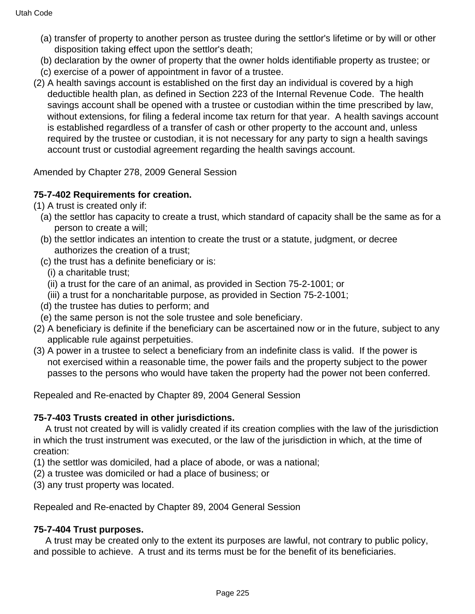- (a) transfer of property to another person as trustee during the settlor's lifetime or by will or other disposition taking effect upon the settlor's death;
- (b) declaration by the owner of property that the owner holds identifiable property as trustee; or
- (c) exercise of a power of appointment in favor of a trustee.
- (2) A health savings account is established on the first day an individual is covered by a high deductible health plan, as defined in Section 223 of the Internal Revenue Code. The health savings account shall be opened with a trustee or custodian within the time prescribed by law, without extensions, for filing a federal income tax return for that year. A health savings account is established regardless of a transfer of cash or other property to the account and, unless required by the trustee or custodian, it is not necessary for any party to sign a health savings account trust or custodial agreement regarding the health savings account.

Amended by Chapter 278, 2009 General Session

### **75-7-402 Requirements for creation.**

(1) A trust is created only if:

- (a) the settlor has capacity to create a trust, which standard of capacity shall be the same as for a person to create a will;
- (b) the settlor indicates an intention to create the trust or a statute, judgment, or decree authorizes the creation of a trust;
- (c) the trust has a definite beneficiary or is:
	- (i) a charitable trust;
	- (ii) a trust for the care of an animal, as provided in Section 75-2-1001; or
- (iii) a trust for a noncharitable purpose, as provided in Section 75-2-1001;
- (d) the trustee has duties to perform; and
- (e) the same person is not the sole trustee and sole beneficiary.
- (2) A beneficiary is definite if the beneficiary can be ascertained now or in the future, subject to any applicable rule against perpetuities.
- (3) A power in a trustee to select a beneficiary from an indefinite class is valid. If the power is not exercised within a reasonable time, the power fails and the property subject to the power passes to the persons who would have taken the property had the power not been conferred.

Repealed and Re-enacted by Chapter 89, 2004 General Session

### **75-7-403 Trusts created in other jurisdictions.**

 A trust not created by will is validly created if its creation complies with the law of the jurisdiction in which the trust instrument was executed, or the law of the jurisdiction in which, at the time of creation:

- (1) the settlor was domiciled, had a place of abode, or was a national;
- (2) a trustee was domiciled or had a place of business; or
- (3) any trust property was located.

Repealed and Re-enacted by Chapter 89, 2004 General Session

### **75-7-404 Trust purposes.**

 A trust may be created only to the extent its purposes are lawful, not contrary to public policy, and possible to achieve. A trust and its terms must be for the benefit of its beneficiaries.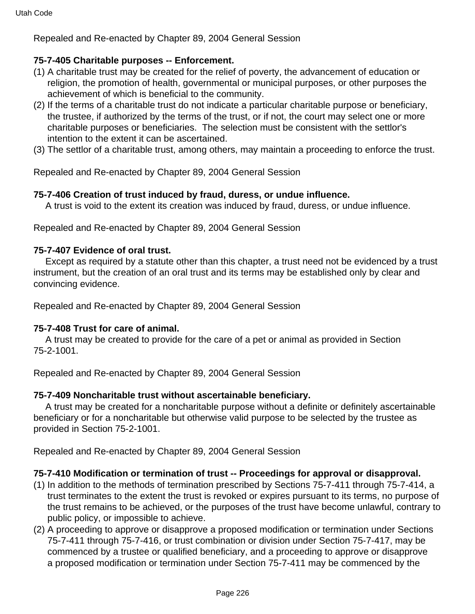Repealed and Re-enacted by Chapter 89, 2004 General Session

## **75-7-405 Charitable purposes -- Enforcement.**

- (1) A charitable trust may be created for the relief of poverty, the advancement of education or religion, the promotion of health, governmental or municipal purposes, or other purposes the achievement of which is beneficial to the community.
- (2) If the terms of a charitable trust do not indicate a particular charitable purpose or beneficiary, the trustee, if authorized by the terms of the trust, or if not, the court may select one or more charitable purposes or beneficiaries. The selection must be consistent with the settlor's intention to the extent it can be ascertained.
- (3) The settlor of a charitable trust, among others, may maintain a proceeding to enforce the trust.

Repealed and Re-enacted by Chapter 89, 2004 General Session

## **75-7-406 Creation of trust induced by fraud, duress, or undue influence.**

A trust is void to the extent its creation was induced by fraud, duress, or undue influence.

Repealed and Re-enacted by Chapter 89, 2004 General Session

## **75-7-407 Evidence of oral trust.**

 Except as required by a statute other than this chapter, a trust need not be evidenced by a trust instrument, but the creation of an oral trust and its terms may be established only by clear and convincing evidence.

Repealed and Re-enacted by Chapter 89, 2004 General Session

### **75-7-408 Trust for care of animal.**

 A trust may be created to provide for the care of a pet or animal as provided in Section 75-2-1001.

Repealed and Re-enacted by Chapter 89, 2004 General Session

## **75-7-409 Noncharitable trust without ascertainable beneficiary.**

 A trust may be created for a noncharitable purpose without a definite or definitely ascertainable beneficiary or for a noncharitable but otherwise valid purpose to be selected by the trustee as provided in Section 75-2-1001.

Repealed and Re-enacted by Chapter 89, 2004 General Session

## **75-7-410 Modification or termination of trust -- Proceedings for approval or disapproval.**

- (1) In addition to the methods of termination prescribed by Sections 75-7-411 through 75-7-414, a trust terminates to the extent the trust is revoked or expires pursuant to its terms, no purpose of the trust remains to be achieved, or the purposes of the trust have become unlawful, contrary to public policy, or impossible to achieve.
- (2) A proceeding to approve or disapprove a proposed modification or termination under Sections 75-7-411 through 75-7-416, or trust combination or division under Section 75-7-417, may be commenced by a trustee or qualified beneficiary, and a proceeding to approve or disapprove a proposed modification or termination under Section 75-7-411 may be commenced by the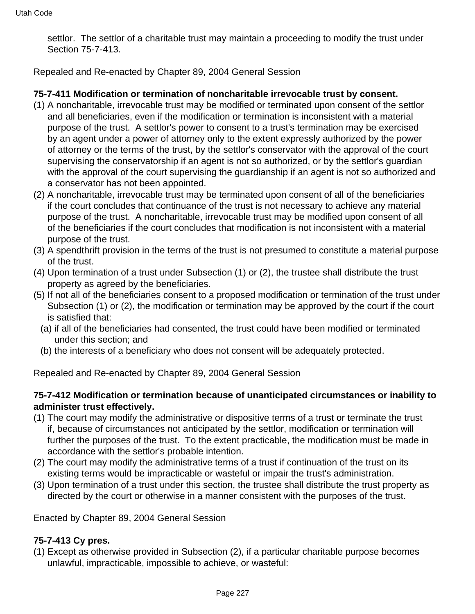settlor. The settlor of a charitable trust may maintain a proceeding to modify the trust under Section 75-7-413.

Repealed and Re-enacted by Chapter 89, 2004 General Session

### **75-7-411 Modification or termination of noncharitable irrevocable trust by consent.**

- (1) A noncharitable, irrevocable trust may be modified or terminated upon consent of the settlor and all beneficiaries, even if the modification or termination is inconsistent with a material purpose of the trust. A settlor's power to consent to a trust's termination may be exercised by an agent under a power of attorney only to the extent expressly authorized by the power of attorney or the terms of the trust, by the settlor's conservator with the approval of the court supervising the conservatorship if an agent is not so authorized, or by the settlor's guardian with the approval of the court supervising the guardianship if an agent is not so authorized and a conservator has not been appointed.
- (2) A noncharitable, irrevocable trust may be terminated upon consent of all of the beneficiaries if the court concludes that continuance of the trust is not necessary to achieve any material purpose of the trust. A noncharitable, irrevocable trust may be modified upon consent of all of the beneficiaries if the court concludes that modification is not inconsistent with a material purpose of the trust.
- (3) A spendthrift provision in the terms of the trust is not presumed to constitute a material purpose of the trust.
- (4) Upon termination of a trust under Subsection (1) or (2), the trustee shall distribute the trust property as agreed by the beneficiaries.
- (5) If not all of the beneficiaries consent to a proposed modification or termination of the trust under Subsection (1) or (2), the modification or termination may be approved by the court if the court is satisfied that:
	- (a) if all of the beneficiaries had consented, the trust could have been modified or terminated under this section; and
	- (b) the interests of a beneficiary who does not consent will be adequately protected.

Repealed and Re-enacted by Chapter 89, 2004 General Session

## **75-7-412 Modification or termination because of unanticipated circumstances or inability to administer trust effectively.**

- (1) The court may modify the administrative or dispositive terms of a trust or terminate the trust if, because of circumstances not anticipated by the settlor, modification or termination will further the purposes of the trust. To the extent practicable, the modification must be made in accordance with the settlor's probable intention.
- (2) The court may modify the administrative terms of a trust if continuation of the trust on its existing terms would be impracticable or wasteful or impair the trust's administration.
- (3) Upon termination of a trust under this section, the trustee shall distribute the trust property as directed by the court or otherwise in a manner consistent with the purposes of the trust.

Enacted by Chapter 89, 2004 General Session

## **75-7-413 Cy pres.**

(1) Except as otherwise provided in Subsection (2), if a particular charitable purpose becomes unlawful, impracticable, impossible to achieve, or wasteful: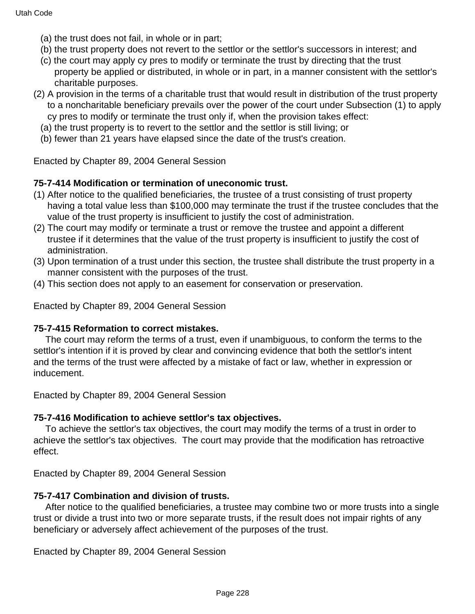- (a) the trust does not fail, in whole or in part;
- (b) the trust property does not revert to the settlor or the settlor's successors in interest; and
- (c) the court may apply cy pres to modify or terminate the trust by directing that the trust property be applied or distributed, in whole or in part, in a manner consistent with the settlor's charitable purposes.
- (2) A provision in the terms of a charitable trust that would result in distribution of the trust property to a noncharitable beneficiary prevails over the power of the court under Subsection (1) to apply cy pres to modify or terminate the trust only if, when the provision takes effect:
	- (a) the trust property is to revert to the settlor and the settlor is still living; or
	- (b) fewer than 21 years have elapsed since the date of the trust's creation.

## **75-7-414 Modification or termination of uneconomic trust.**

- (1) After notice to the qualified beneficiaries, the trustee of a trust consisting of trust property having a total value less than \$100,000 may terminate the trust if the trustee concludes that the value of the trust property is insufficient to justify the cost of administration.
- (2) The court may modify or terminate a trust or remove the trustee and appoint a different trustee if it determines that the value of the trust property is insufficient to justify the cost of administration.
- (3) Upon termination of a trust under this section, the trustee shall distribute the trust property in a manner consistent with the purposes of the trust.
- (4) This section does not apply to an easement for conservation or preservation.

Enacted by Chapter 89, 2004 General Session

### **75-7-415 Reformation to correct mistakes.**

 The court may reform the terms of a trust, even if unambiguous, to conform the terms to the settlor's intention if it is proved by clear and convincing evidence that both the settlor's intent and the terms of the trust were affected by a mistake of fact or law, whether in expression or inducement.

Enacted by Chapter 89, 2004 General Session

### **75-7-416 Modification to achieve settlor's tax objectives.**

 To achieve the settlor's tax objectives, the court may modify the terms of a trust in order to achieve the settlor's tax objectives. The court may provide that the modification has retroactive effect.

Enacted by Chapter 89, 2004 General Session

### **75-7-417 Combination and division of trusts.**

 After notice to the qualified beneficiaries, a trustee may combine two or more trusts into a single trust or divide a trust into two or more separate trusts, if the result does not impair rights of any beneficiary or adversely affect achievement of the purposes of the trust.

Enacted by Chapter 89, 2004 General Session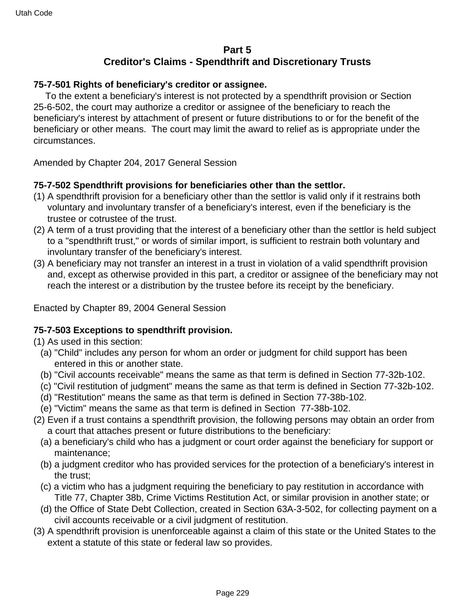## **Part 5 Creditor's Claims - Spendthrift and Discretionary Trusts**

### **75-7-501 Rights of beneficiary's creditor or assignee.**

 To the extent a beneficiary's interest is not protected by a spendthrift provision or Section 25-6-502, the court may authorize a creditor or assignee of the beneficiary to reach the beneficiary's interest by attachment of present or future distributions to or for the benefit of the beneficiary or other means. The court may limit the award to relief as is appropriate under the circumstances.

Amended by Chapter 204, 2017 General Session

### **75-7-502 Spendthrift provisions for beneficiaries other than the settlor.**

- (1) A spendthrift provision for a beneficiary other than the settlor is valid only if it restrains both voluntary and involuntary transfer of a beneficiary's interest, even if the beneficiary is the trustee or cotrustee of the trust.
- (2) A term of a trust providing that the interest of a beneficiary other than the settlor is held subject to a "spendthrift trust," or words of similar import, is sufficient to restrain both voluntary and involuntary transfer of the beneficiary's interest.
- (3) A beneficiary may not transfer an interest in a trust in violation of a valid spendthrift provision and, except as otherwise provided in this part, a creditor or assignee of the beneficiary may not reach the interest or a distribution by the trustee before its receipt by the beneficiary.

Enacted by Chapter 89, 2004 General Session

### **75-7-503 Exceptions to spendthrift provision.**

(1) As used in this section:

- (a) "Child" includes any person for whom an order or judgment for child support has been entered in this or another state.
- (b) "Civil accounts receivable" means the same as that term is defined in Section 77-32b-102.
- (c) "Civil restitution of judgment" means the same as that term is defined in Section 77-32b-102.
- (d) "Restitution" means the same as that term is defined in Section 77-38b-102.
- (e) "Victim" means the same as that term is defined in Section 77-38b-102.
- (2) Even if a trust contains a spendthrift provision, the following persons may obtain an order from a court that attaches present or future distributions to the beneficiary:
	- (a) a beneficiary's child who has a judgment or court order against the beneficiary for support or maintenance;
	- (b) a judgment creditor who has provided services for the protection of a beneficiary's interest in the trust;
	- (c) a victim who has a judgment requiring the beneficiary to pay restitution in accordance with Title 77, Chapter 38b, Crime Victims Restitution Act, or similar provision in another state; or
	- (d) the Office of State Debt Collection, created in Section 63A-3-502, for collecting payment on a civil accounts receivable or a civil judgment of restitution.
- (3) A spendthrift provision is unenforceable against a claim of this state or the United States to the extent a statute of this state or federal law so provides.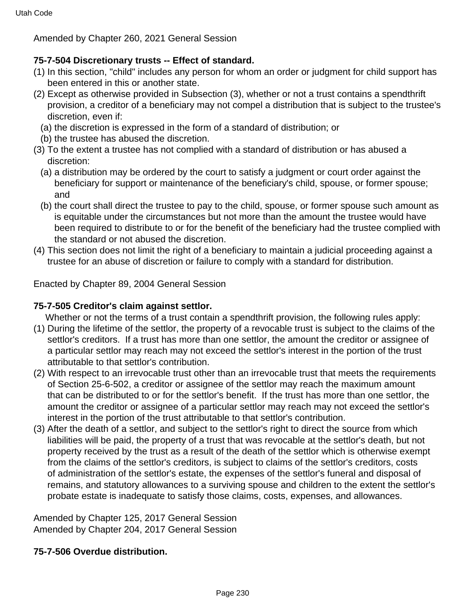Amended by Chapter 260, 2021 General Session

## **75-7-504 Discretionary trusts -- Effect of standard.**

- (1) In this section, "child" includes any person for whom an order or judgment for child support has been entered in this or another state.
- (2) Except as otherwise provided in Subsection (3), whether or not a trust contains a spendthrift provision, a creditor of a beneficiary may not compel a distribution that is subject to the trustee's discretion, even if:
	- (a) the discretion is expressed in the form of a standard of distribution; or
	- (b) the trustee has abused the discretion.
- (3) To the extent a trustee has not complied with a standard of distribution or has abused a discretion:
	- (a) a distribution may be ordered by the court to satisfy a judgment or court order against the beneficiary for support or maintenance of the beneficiary's child, spouse, or former spouse; and
	- (b) the court shall direct the trustee to pay to the child, spouse, or former spouse such amount as is equitable under the circumstances but not more than the amount the trustee would have been required to distribute to or for the benefit of the beneficiary had the trustee complied with the standard or not abused the discretion.
- (4) This section does not limit the right of a beneficiary to maintain a judicial proceeding against a trustee for an abuse of discretion or failure to comply with a standard for distribution.

Enacted by Chapter 89, 2004 General Session

## **75-7-505 Creditor's claim against settlor.**

Whether or not the terms of a trust contain a spendthrift provision, the following rules apply:

- (1) During the lifetime of the settlor, the property of a revocable trust is subject to the claims of the settlor's creditors. If a trust has more than one settlor, the amount the creditor or assignee of a particular settlor may reach may not exceed the settlor's interest in the portion of the trust attributable to that settlor's contribution.
- (2) With respect to an irrevocable trust other than an irrevocable trust that meets the requirements of Section 25-6-502, a creditor or assignee of the settlor may reach the maximum amount that can be distributed to or for the settlor's benefit. If the trust has more than one settlor, the amount the creditor or assignee of a particular settlor may reach may not exceed the settlor's interest in the portion of the trust attributable to that settlor's contribution.
- (3) After the death of a settlor, and subject to the settlor's right to direct the source from which liabilities will be paid, the property of a trust that was revocable at the settlor's death, but not property received by the trust as a result of the death of the settlor which is otherwise exempt from the claims of the settlor's creditors, is subject to claims of the settlor's creditors, costs of administration of the settlor's estate, the expenses of the settlor's funeral and disposal of remains, and statutory allowances to a surviving spouse and children to the extent the settlor's probate estate is inadequate to satisfy those claims, costs, expenses, and allowances.

Amended by Chapter 125, 2017 General Session Amended by Chapter 204, 2017 General Session

## **75-7-506 Overdue distribution.**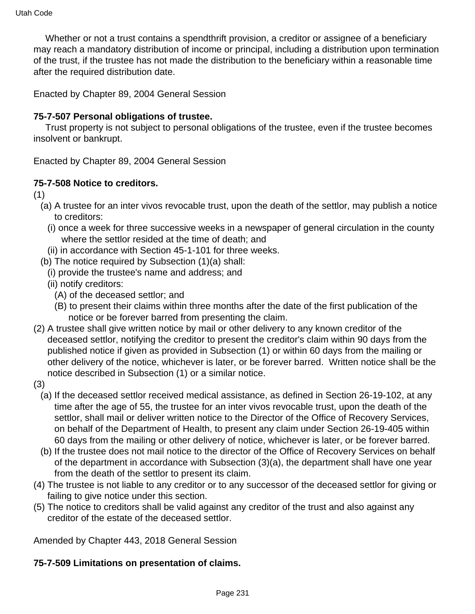Whether or not a trust contains a spendthrift provision, a creditor or assignee of a beneficiary may reach a mandatory distribution of income or principal, including a distribution upon termination of the trust, if the trustee has not made the distribution to the beneficiary within a reasonable time after the required distribution date.

Enacted by Chapter 89, 2004 General Session

### **75-7-507 Personal obligations of trustee.**

 Trust property is not subject to personal obligations of the trustee, even if the trustee becomes insolvent or bankrupt.

Enacted by Chapter 89, 2004 General Session

### **75-7-508 Notice to creditors.**

(1)

- (a) A trustee for an inter vivos revocable trust, upon the death of the settlor, may publish a notice to creditors:
	- (i) once a week for three successive weeks in a newspaper of general circulation in the county where the settlor resided at the time of death; and
	- (ii) in accordance with Section 45-1-101 for three weeks.
- (b) The notice required by Subsection (1)(a) shall:
	- (i) provide the trustee's name and address; and
	- (ii) notify creditors:
		- (A) of the deceased settlor; and
		- (B) to present their claims within three months after the date of the first publication of the notice or be forever barred from presenting the claim.
- (2) A trustee shall give written notice by mail or other delivery to any known creditor of the deceased settlor, notifying the creditor to present the creditor's claim within 90 days from the published notice if given as provided in Subsection (1) or within 60 days from the mailing or other delivery of the notice, whichever is later, or be forever barred. Written notice shall be the notice described in Subsection (1) or a similar notice.
- (3)
	- (a) If the deceased settlor received medical assistance, as defined in Section 26-19-102, at any time after the age of 55, the trustee for an inter vivos revocable trust, upon the death of the settlor, shall mail or deliver written notice to the Director of the Office of Recovery Services, on behalf of the Department of Health, to present any claim under Section 26-19-405 within 60 days from the mailing or other delivery of notice, whichever is later, or be forever barred.
	- (b) If the trustee does not mail notice to the director of the Office of Recovery Services on behalf of the department in accordance with Subsection (3)(a), the department shall have one year from the death of the settlor to present its claim.
- (4) The trustee is not liable to any creditor or to any successor of the deceased settlor for giving or failing to give notice under this section.
- (5) The notice to creditors shall be valid against any creditor of the trust and also against any creditor of the estate of the deceased settlor.

Amended by Chapter 443, 2018 General Session

### **75-7-509 Limitations on presentation of claims.**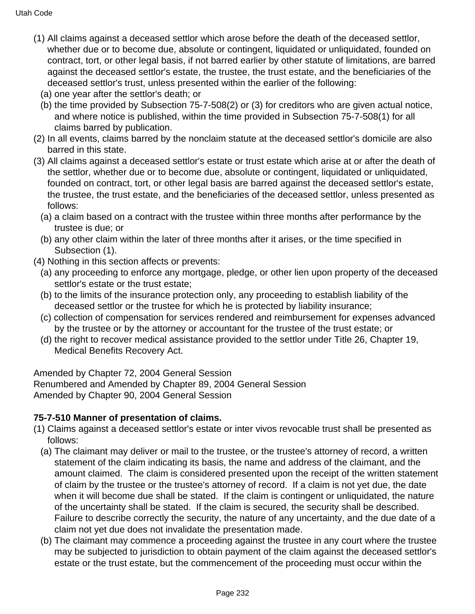- (1) All claims against a deceased settlor which arose before the death of the deceased settlor, whether due or to become due, absolute or contingent, liquidated or unliquidated, founded on contract, tort, or other legal basis, if not barred earlier by other statute of limitations, are barred against the deceased settlor's estate, the trustee, the trust estate, and the beneficiaries of the deceased settlor's trust, unless presented within the earlier of the following:
	- (a) one year after the settlor's death; or
	- (b) the time provided by Subsection 75-7-508(2) or (3) for creditors who are given actual notice, and where notice is published, within the time provided in Subsection 75-7-508(1) for all claims barred by publication.
- (2) In all events, claims barred by the nonclaim statute at the deceased settlor's domicile are also barred in this state.
- (3) All claims against a deceased settlor's estate or trust estate which arise at or after the death of the settlor, whether due or to become due, absolute or contingent, liquidated or unliquidated, founded on contract, tort, or other legal basis are barred against the deceased settlor's estate, the trustee, the trust estate, and the beneficiaries of the deceased settlor, unless presented as follows:
	- (a) a claim based on a contract with the trustee within three months after performance by the trustee is due; or
	- (b) any other claim within the later of three months after it arises, or the time specified in Subsection (1).
- (4) Nothing in this section affects or prevents:
	- (a) any proceeding to enforce any mortgage, pledge, or other lien upon property of the deceased settlor's estate or the trust estate;
	- (b) to the limits of the insurance protection only, any proceeding to establish liability of the deceased settlor or the trustee for which he is protected by liability insurance;
	- (c) collection of compensation for services rendered and reimbursement for expenses advanced by the trustee or by the attorney or accountant for the trustee of the trust estate; or
	- (d) the right to recover medical assistance provided to the settlor under Title 26, Chapter 19, Medical Benefits Recovery Act.

Amended by Chapter 72, 2004 General Session Renumbered and Amended by Chapter 89, 2004 General Session Amended by Chapter 90, 2004 General Session

## **75-7-510 Manner of presentation of claims.**

- (1) Claims against a deceased settlor's estate or inter vivos revocable trust shall be presented as follows:
	- (a) The claimant may deliver or mail to the trustee, or the trustee's attorney of record, a written statement of the claim indicating its basis, the name and address of the claimant, and the amount claimed. The claim is considered presented upon the receipt of the written statement of claim by the trustee or the trustee's attorney of record. If a claim is not yet due, the date when it will become due shall be stated. If the claim is contingent or unliquidated, the nature of the uncertainty shall be stated. If the claim is secured, the security shall be described. Failure to describe correctly the security, the nature of any uncertainty, and the due date of a claim not yet due does not invalidate the presentation made.
	- (b) The claimant may commence a proceeding against the trustee in any court where the trustee may be subjected to jurisdiction to obtain payment of the claim against the deceased settlor's estate or the trust estate, but the commencement of the proceeding must occur within the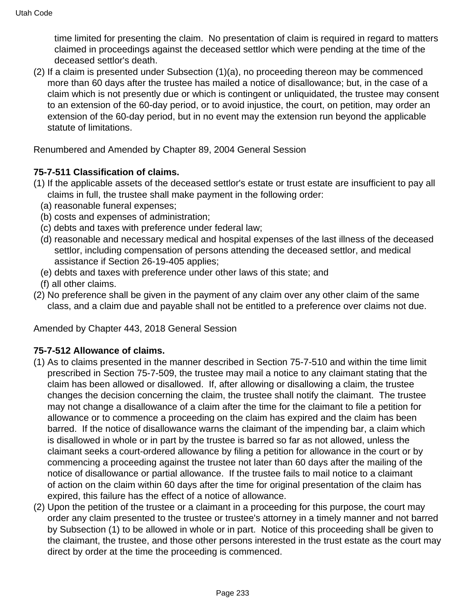time limited for presenting the claim. No presentation of claim is required in regard to matters claimed in proceedings against the deceased settlor which were pending at the time of the deceased settlor's death.

(2) If a claim is presented under Subsection (1)(a), no proceeding thereon may be commenced more than 60 days after the trustee has mailed a notice of disallowance; but, in the case of a claim which is not presently due or which is contingent or unliquidated, the trustee may consent to an extension of the 60-day period, or to avoid injustice, the court, on petition, may order an extension of the 60-day period, but in no event may the extension run beyond the applicable statute of limitations.

Renumbered and Amended by Chapter 89, 2004 General Session

### **75-7-511 Classification of claims.**

- (1) If the applicable assets of the deceased settlor's estate or trust estate are insufficient to pay all claims in full, the trustee shall make payment in the following order:
	- (a) reasonable funeral expenses;
	- (b) costs and expenses of administration;
	- (c) debts and taxes with preference under federal law;
	- (d) reasonable and necessary medical and hospital expenses of the last illness of the deceased settlor, including compensation of persons attending the deceased settlor, and medical assistance if Section 26-19-405 applies;
	- (e) debts and taxes with preference under other laws of this state; and
	- (f) all other claims.
- (2) No preference shall be given in the payment of any claim over any other claim of the same class, and a claim due and payable shall not be entitled to a preference over claims not due.

Amended by Chapter 443, 2018 General Session

### **75-7-512 Allowance of claims.**

- (1) As to claims presented in the manner described in Section 75-7-510 and within the time limit prescribed in Section 75-7-509, the trustee may mail a notice to any claimant stating that the claim has been allowed or disallowed. If, after allowing or disallowing a claim, the trustee changes the decision concerning the claim, the trustee shall notify the claimant. The trustee may not change a disallowance of a claim after the time for the claimant to file a petition for allowance or to commence a proceeding on the claim has expired and the claim has been barred. If the notice of disallowance warns the claimant of the impending bar, a claim which is disallowed in whole or in part by the trustee is barred so far as not allowed, unless the claimant seeks a court-ordered allowance by filing a petition for allowance in the court or by commencing a proceeding against the trustee not later than 60 days after the mailing of the notice of disallowance or partial allowance. If the trustee fails to mail notice to a claimant of action on the claim within 60 days after the time for original presentation of the claim has expired, this failure has the effect of a notice of allowance.
- (2) Upon the petition of the trustee or a claimant in a proceeding for this purpose, the court may order any claim presented to the trustee or trustee's attorney in a timely manner and not barred by Subsection (1) to be allowed in whole or in part. Notice of this proceeding shall be given to the claimant, the trustee, and those other persons interested in the trust estate as the court may direct by order at the time the proceeding is commenced.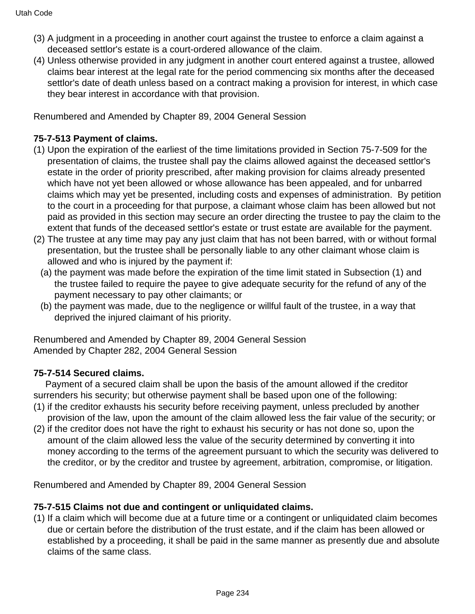- (3) A judgment in a proceeding in another court against the trustee to enforce a claim against a deceased settlor's estate is a court-ordered allowance of the claim.
- (4) Unless otherwise provided in any judgment in another court entered against a trustee, allowed claims bear interest at the legal rate for the period commencing six months after the deceased settlor's date of death unless based on a contract making a provision for interest, in which case they bear interest in accordance with that provision.

Renumbered and Amended by Chapter 89, 2004 General Session

## **75-7-513 Payment of claims.**

- (1) Upon the expiration of the earliest of the time limitations provided in Section 75-7-509 for the presentation of claims, the trustee shall pay the claims allowed against the deceased settlor's estate in the order of priority prescribed, after making provision for claims already presented which have not yet been allowed or whose allowance has been appealed, and for unbarred claims which may yet be presented, including costs and expenses of administration. By petition to the court in a proceeding for that purpose, a claimant whose claim has been allowed but not paid as provided in this section may secure an order directing the trustee to pay the claim to the extent that funds of the deceased settlor's estate or trust estate are available for the payment.
- (2) The trustee at any time may pay any just claim that has not been barred, with or without formal presentation, but the trustee shall be personally liable to any other claimant whose claim is allowed and who is injured by the payment if:
	- (a) the payment was made before the expiration of the time limit stated in Subsection (1) and the trustee failed to require the payee to give adequate security for the refund of any of the payment necessary to pay other claimants; or
	- (b) the payment was made, due to the negligence or willful fault of the trustee, in a way that deprived the injured claimant of his priority.

Renumbered and Amended by Chapter 89, 2004 General Session Amended by Chapter 282, 2004 General Session

## **75-7-514 Secured claims.**

 Payment of a secured claim shall be upon the basis of the amount allowed if the creditor surrenders his security; but otherwise payment shall be based upon one of the following:

- (1) if the creditor exhausts his security before receiving payment, unless precluded by another provision of the law, upon the amount of the claim allowed less the fair value of the security; or
- (2) if the creditor does not have the right to exhaust his security or has not done so, upon the amount of the claim allowed less the value of the security determined by converting it into money according to the terms of the agreement pursuant to which the security was delivered to the creditor, or by the creditor and trustee by agreement, arbitration, compromise, or litigation.

Renumbered and Amended by Chapter 89, 2004 General Session

## **75-7-515 Claims not due and contingent or unliquidated claims.**

(1) If a claim which will become due at a future time or a contingent or unliquidated claim becomes due or certain before the distribution of the trust estate, and if the claim has been allowed or established by a proceeding, it shall be paid in the same manner as presently due and absolute claims of the same class.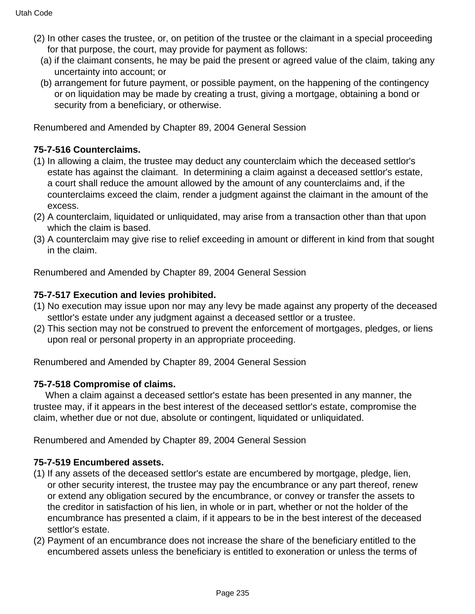- (2) In other cases the trustee, or, on petition of the trustee or the claimant in a special proceeding for that purpose, the court, may provide for payment as follows:
	- (a) if the claimant consents, he may be paid the present or agreed value of the claim, taking any uncertainty into account; or
	- (b) arrangement for future payment, or possible payment, on the happening of the contingency or on liquidation may be made by creating a trust, giving a mortgage, obtaining a bond or security from a beneficiary, or otherwise.

Renumbered and Amended by Chapter 89, 2004 General Session

## **75-7-516 Counterclaims.**

- (1) In allowing a claim, the trustee may deduct any counterclaim which the deceased settlor's estate has against the claimant. In determining a claim against a deceased settlor's estate, a court shall reduce the amount allowed by the amount of any counterclaims and, if the counterclaims exceed the claim, render a judgment against the claimant in the amount of the excess.
- (2) A counterclaim, liquidated or unliquidated, may arise from a transaction other than that upon which the claim is based.
- (3) A counterclaim may give rise to relief exceeding in amount or different in kind from that sought in the claim.

Renumbered and Amended by Chapter 89, 2004 General Session

## **75-7-517 Execution and levies prohibited.**

- (1) No execution may issue upon nor may any levy be made against any property of the deceased settlor's estate under any judgment against a deceased settlor or a trustee.
- (2) This section may not be construed to prevent the enforcement of mortgages, pledges, or liens upon real or personal property in an appropriate proceeding.

Renumbered and Amended by Chapter 89, 2004 General Session

## **75-7-518 Compromise of claims.**

 When a claim against a deceased settlor's estate has been presented in any manner, the trustee may, if it appears in the best interest of the deceased settlor's estate, compromise the claim, whether due or not due, absolute or contingent, liquidated or unliquidated.

Renumbered and Amended by Chapter 89, 2004 General Session

## **75-7-519 Encumbered assets.**

- (1) If any assets of the deceased settlor's estate are encumbered by mortgage, pledge, lien, or other security interest, the trustee may pay the encumbrance or any part thereof, renew or extend any obligation secured by the encumbrance, or convey or transfer the assets to the creditor in satisfaction of his lien, in whole or in part, whether or not the holder of the encumbrance has presented a claim, if it appears to be in the best interest of the deceased settlor's estate.
- (2) Payment of an encumbrance does not increase the share of the beneficiary entitled to the encumbered assets unless the beneficiary is entitled to exoneration or unless the terms of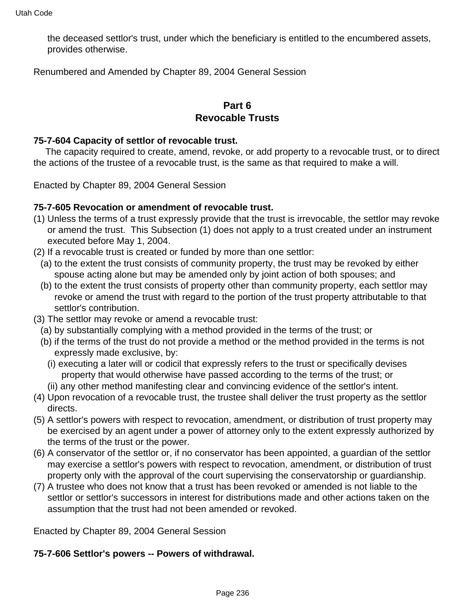the deceased settlor's trust, under which the beneficiary is entitled to the encumbered assets, provides otherwise.

Renumbered and Amended by Chapter 89, 2004 General Session

## **Part 6 Revocable Trusts**

#### **75-7-604 Capacity of settlor of revocable trust.**

 The capacity required to create, amend, revoke, or add property to a revocable trust, or to direct the actions of the trustee of a revocable trust, is the same as that required to make a will.

Enacted by Chapter 89, 2004 General Session

#### **75-7-605 Revocation or amendment of revocable trust.**

- (1) Unless the terms of a trust expressly provide that the trust is irrevocable, the settlor may revoke or amend the trust. This Subsection (1) does not apply to a trust created under an instrument executed before May 1, 2004.
- (2) If a revocable trust is created or funded by more than one settlor:
	- (a) to the extent the trust consists of community property, the trust may be revoked by either spouse acting alone but may be amended only by joint action of both spouses; and
	- (b) to the extent the trust consists of property other than community property, each settlor may revoke or amend the trust with regard to the portion of the trust property attributable to that settlor's contribution.
- (3) The settlor may revoke or amend a revocable trust:
	- (a) by substantially complying with a method provided in the terms of the trust; or
	- (b) if the terms of the trust do not provide a method or the method provided in the terms is not expressly made exclusive, by:
		- (i) executing a later will or codicil that expressly refers to the trust or specifically devises property that would otherwise have passed according to the terms of the trust; or
		- (ii) any other method manifesting clear and convincing evidence of the settlor's intent.
- (4) Upon revocation of a revocable trust, the trustee shall deliver the trust property as the settlor directs.
- (5) A settlor's powers with respect to revocation, amendment, or distribution of trust property may be exercised by an agent under a power of attorney only to the extent expressly authorized by the terms of the trust or the power.
- (6) A conservator of the settlor or, if no conservator has been appointed, a guardian of the settlor may exercise a settlor's powers with respect to revocation, amendment, or distribution of trust property only with the approval of the court supervising the conservatorship or guardianship.
- (7) A trustee who does not know that a trust has been revoked or amended is not liable to the settlor or settlor's successors in interest for distributions made and other actions taken on the assumption that the trust had not been amended or revoked.

Enacted by Chapter 89, 2004 General Session

### **75-7-606 Settlor's powers -- Powers of withdrawal.**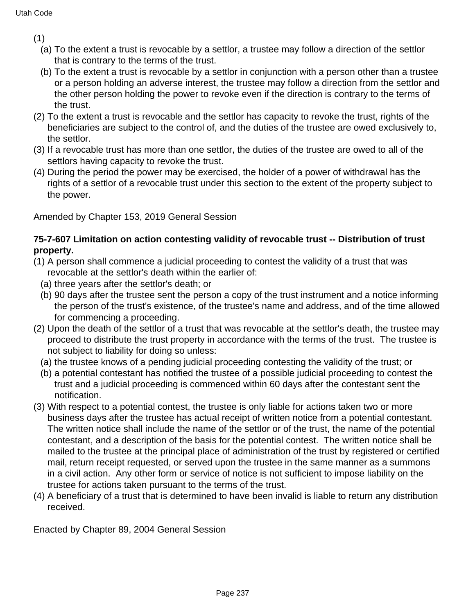(1)

- (a) To the extent a trust is revocable by a settlor, a trustee may follow a direction of the settlor that is contrary to the terms of the trust.
- (b) To the extent a trust is revocable by a settlor in conjunction with a person other than a trustee or a person holding an adverse interest, the trustee may follow a direction from the settlor and the other person holding the power to revoke even if the direction is contrary to the terms of the trust.
- (2) To the extent a trust is revocable and the settlor has capacity to revoke the trust, rights of the beneficiaries are subject to the control of, and the duties of the trustee are owed exclusively to, the settlor.
- (3) If a revocable trust has more than one settlor, the duties of the trustee are owed to all of the settlors having capacity to revoke the trust.
- (4) During the period the power may be exercised, the holder of a power of withdrawal has the rights of a settlor of a revocable trust under this section to the extent of the property subject to the power.

Amended by Chapter 153, 2019 General Session

## **75-7-607 Limitation on action contesting validity of revocable trust -- Distribution of trust property.**

- (1) A person shall commence a judicial proceeding to contest the validity of a trust that was revocable at the settlor's death within the earlier of:
	- (a) three years after the settlor's death; or
	- (b) 90 days after the trustee sent the person a copy of the trust instrument and a notice informing the person of the trust's existence, of the trustee's name and address, and of the time allowed for commencing a proceeding.
- (2) Upon the death of the settlor of a trust that was revocable at the settlor's death, the trustee may proceed to distribute the trust property in accordance with the terms of the trust. The trustee is not subject to liability for doing so unless:
	- (a) the trustee knows of a pending judicial proceeding contesting the validity of the trust; or
	- (b) a potential contestant has notified the trustee of a possible judicial proceeding to contest the trust and a judicial proceeding is commenced within 60 days after the contestant sent the notification.
- (3) With respect to a potential contest, the trustee is only liable for actions taken two or more business days after the trustee has actual receipt of written notice from a potential contestant. The written notice shall include the name of the settlor or of the trust, the name of the potential contestant, and a description of the basis for the potential contest. The written notice shall be mailed to the trustee at the principal place of administration of the trust by registered or certified mail, return receipt requested, or served upon the trustee in the same manner as a summons in a civil action. Any other form or service of notice is not sufficient to impose liability on the trustee for actions taken pursuant to the terms of the trust.
- (4) A beneficiary of a trust that is determined to have been invalid is liable to return any distribution received.

Enacted by Chapter 89, 2004 General Session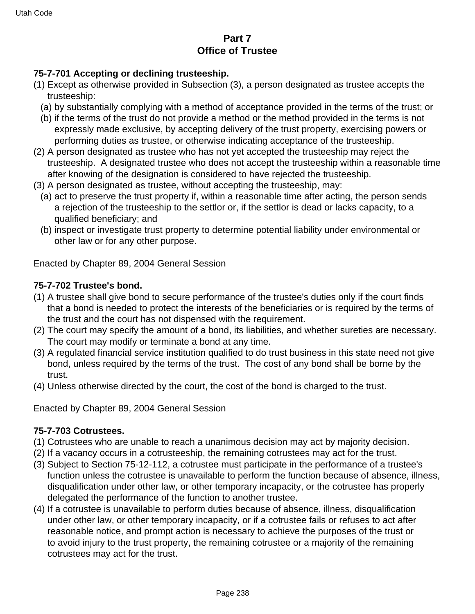## **Part 7 Office of Trustee**

### **75-7-701 Accepting or declining trusteeship.**

- (1) Except as otherwise provided in Subsection (3), a person designated as trustee accepts the trusteeship:
	- (a) by substantially complying with a method of acceptance provided in the terms of the trust; or
	- (b) if the terms of the trust do not provide a method or the method provided in the terms is not expressly made exclusive, by accepting delivery of the trust property, exercising powers or performing duties as trustee, or otherwise indicating acceptance of the trusteeship.
- (2) A person designated as trustee who has not yet accepted the trusteeship may reject the trusteeship. A designated trustee who does not accept the trusteeship within a reasonable time after knowing of the designation is considered to have rejected the trusteeship.
- (3) A person designated as trustee, without accepting the trusteeship, may:
	- (a) act to preserve the trust property if, within a reasonable time after acting, the person sends a rejection of the trusteeship to the settlor or, if the settlor is dead or lacks capacity, to a qualified beneficiary; and
	- (b) inspect or investigate trust property to determine potential liability under environmental or other law or for any other purpose.

Enacted by Chapter 89, 2004 General Session

### **75-7-702 Trustee's bond.**

- (1) A trustee shall give bond to secure performance of the trustee's duties only if the court finds that a bond is needed to protect the interests of the beneficiaries or is required by the terms of the trust and the court has not dispensed with the requirement.
- (2) The court may specify the amount of a bond, its liabilities, and whether sureties are necessary. The court may modify or terminate a bond at any time.
- (3) A regulated financial service institution qualified to do trust business in this state need not give bond, unless required by the terms of the trust. The cost of any bond shall be borne by the trust.
- (4) Unless otherwise directed by the court, the cost of the bond is charged to the trust.

Enacted by Chapter 89, 2004 General Session

### **75-7-703 Cotrustees.**

- (1) Cotrustees who are unable to reach a unanimous decision may act by majority decision.
- (2) If a vacancy occurs in a cotrusteeship, the remaining cotrustees may act for the trust.
- (3) Subject to Section 75-12-112, a cotrustee must participate in the performance of a trustee's function unless the cotrustee is unavailable to perform the function because of absence, illness, disqualification under other law, or other temporary incapacity, or the cotrustee has properly delegated the performance of the function to another trustee.
- (4) If a cotrustee is unavailable to perform duties because of absence, illness, disqualification under other law, or other temporary incapacity, or if a cotrustee fails or refuses to act after reasonable notice, and prompt action is necessary to achieve the purposes of the trust or to avoid injury to the trust property, the remaining cotrustee or a majority of the remaining cotrustees may act for the trust.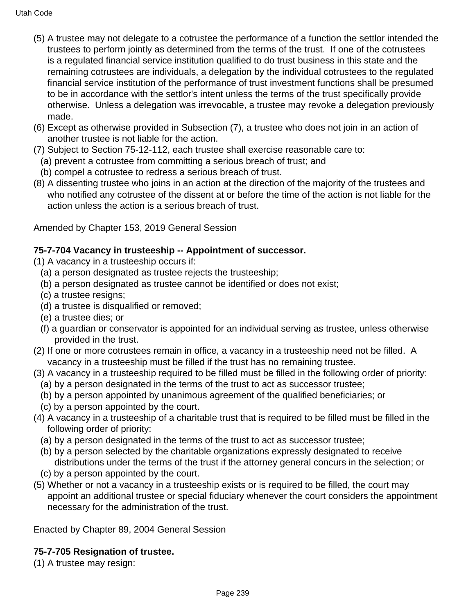- (5) A trustee may not delegate to a cotrustee the performance of a function the settlor intended the trustees to perform jointly as determined from the terms of the trust. If one of the cotrustees is a regulated financial service institution qualified to do trust business in this state and the remaining cotrustees are individuals, a delegation by the individual cotrustees to the regulated financial service institution of the performance of trust investment functions shall be presumed to be in accordance with the settlor's intent unless the terms of the trust specifically provide otherwise. Unless a delegation was irrevocable, a trustee may revoke a delegation previously made.
- (6) Except as otherwise provided in Subsection (7), a trustee who does not join in an action of another trustee is not liable for the action.
- (7) Subject to Section 75-12-112, each trustee shall exercise reasonable care to:
- (a) prevent a cotrustee from committing a serious breach of trust; and
- (b) compel a cotrustee to redress a serious breach of trust.
- (8) A dissenting trustee who joins in an action at the direction of the majority of the trustees and who notified any cotrustee of the dissent at or before the time of the action is not liable for the action unless the action is a serious breach of trust.

Amended by Chapter 153, 2019 General Session

#### **75-7-704 Vacancy in trusteeship -- Appointment of successor.**

- (1) A vacancy in a trusteeship occurs if:
	- (a) a person designated as trustee rejects the trusteeship;
	- (b) a person designated as trustee cannot be identified or does not exist;
	- (c) a trustee resigns;
	- (d) a trustee is disqualified or removed;
	- (e) a trustee dies; or
	- (f) a guardian or conservator is appointed for an individual serving as trustee, unless otherwise provided in the trust.
- (2) If one or more cotrustees remain in office, a vacancy in a trusteeship need not be filled. A vacancy in a trusteeship must be filled if the trust has no remaining trustee.
- (3) A vacancy in a trusteeship required to be filled must be filled in the following order of priority:
	- (a) by a person designated in the terms of the trust to act as successor trustee;
	- (b) by a person appointed by unanimous agreement of the qualified beneficiaries; or
	- (c) by a person appointed by the court.
- (4) A vacancy in a trusteeship of a charitable trust that is required to be filled must be filled in the following order of priority:
	- (a) by a person designated in the terms of the trust to act as successor trustee;
	- (b) by a person selected by the charitable organizations expressly designated to receive distributions under the terms of the trust if the attorney general concurs in the selection; or
- (c) by a person appointed by the court.
- (5) Whether or not a vacancy in a trusteeship exists or is required to be filled, the court may appoint an additional trustee or special fiduciary whenever the court considers the appointment necessary for the administration of the trust.

Enacted by Chapter 89, 2004 General Session

### **75-7-705 Resignation of trustee.**

(1) A trustee may resign: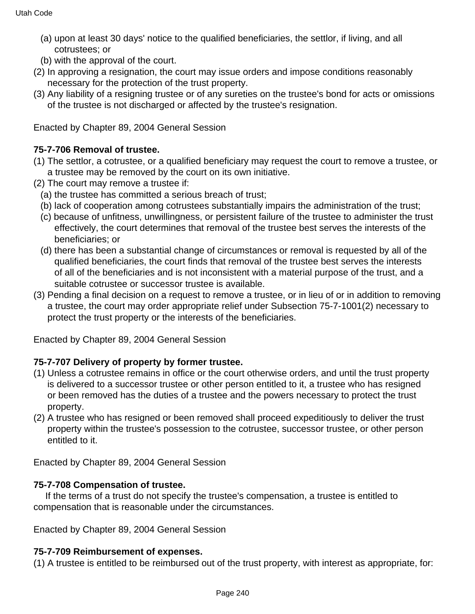- (a) upon at least 30 days' notice to the qualified beneficiaries, the settlor, if living, and all cotrustees; or
- (b) with the approval of the court.
- (2) In approving a resignation, the court may issue orders and impose conditions reasonably necessary for the protection of the trust property.
- (3) Any liability of a resigning trustee or of any sureties on the trustee's bond for acts or omissions of the trustee is not discharged or affected by the trustee's resignation.

## **75-7-706 Removal of trustee.**

- (1) The settlor, a cotrustee, or a qualified beneficiary may request the court to remove a trustee, or a trustee may be removed by the court on its own initiative.
- (2) The court may remove a trustee if:
	- (a) the trustee has committed a serious breach of trust;
	- (b) lack of cooperation among cotrustees substantially impairs the administration of the trust;
	- (c) because of unfitness, unwillingness, or persistent failure of the trustee to administer the trust effectively, the court determines that removal of the trustee best serves the interests of the beneficiaries; or
	- (d) there has been a substantial change of circumstances or removal is requested by all of the qualified beneficiaries, the court finds that removal of the trustee best serves the interests of all of the beneficiaries and is not inconsistent with a material purpose of the trust, and a suitable cotrustee or successor trustee is available.
- (3) Pending a final decision on a request to remove a trustee, or in lieu of or in addition to removing a trustee, the court may order appropriate relief under Subsection 75-7-1001(2) necessary to protect the trust property or the interests of the beneficiaries.

Enacted by Chapter 89, 2004 General Session

## **75-7-707 Delivery of property by former trustee.**

- (1) Unless a cotrustee remains in office or the court otherwise orders, and until the trust property is delivered to a successor trustee or other person entitled to it, a trustee who has resigned or been removed has the duties of a trustee and the powers necessary to protect the trust property.
- (2) A trustee who has resigned or been removed shall proceed expeditiously to deliver the trust property within the trustee's possession to the cotrustee, successor trustee, or other person entitled to it.

Enacted by Chapter 89, 2004 General Session

### **75-7-708 Compensation of trustee.**

 If the terms of a trust do not specify the trustee's compensation, a trustee is entitled to compensation that is reasonable under the circumstances.

Enacted by Chapter 89, 2004 General Session

### **75-7-709 Reimbursement of expenses.**

(1) A trustee is entitled to be reimbursed out of the trust property, with interest as appropriate, for: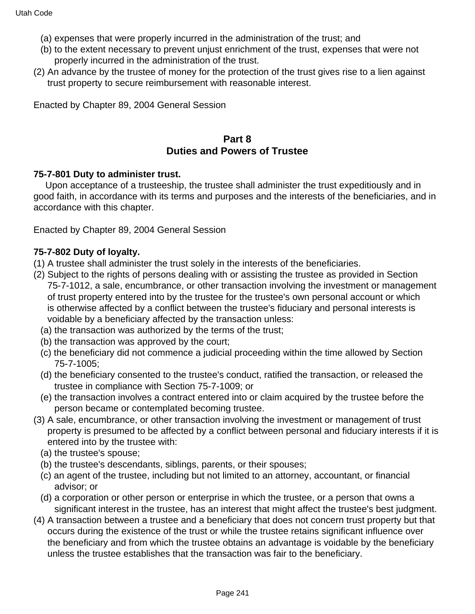- (a) expenses that were properly incurred in the administration of the trust; and
- (b) to the extent necessary to prevent unjust enrichment of the trust, expenses that were not properly incurred in the administration of the trust.
- (2) An advance by the trustee of money for the protection of the trust gives rise to a lien against trust property to secure reimbursement with reasonable interest.

## **Part 8 Duties and Powers of Trustee**

#### **75-7-801 Duty to administer trust.**

 Upon acceptance of a trusteeship, the trustee shall administer the trust expeditiously and in good faith, in accordance with its terms and purposes and the interests of the beneficiaries, and in accordance with this chapter.

Enacted by Chapter 89, 2004 General Session

### **75-7-802 Duty of loyalty.**

- (1) A trustee shall administer the trust solely in the interests of the beneficiaries.
- (2) Subject to the rights of persons dealing with or assisting the trustee as provided in Section 75-7-1012, a sale, encumbrance, or other transaction involving the investment or management of trust property entered into by the trustee for the trustee's own personal account or which is otherwise affected by a conflict between the trustee's fiduciary and personal interests is voidable by a beneficiary affected by the transaction unless:
	- (a) the transaction was authorized by the terms of the trust;
	- (b) the transaction was approved by the court;
	- (c) the beneficiary did not commence a judicial proceeding within the time allowed by Section 75-7-1005;
	- (d) the beneficiary consented to the trustee's conduct, ratified the transaction, or released the trustee in compliance with Section 75-7-1009; or
	- (e) the transaction involves a contract entered into or claim acquired by the trustee before the person became or contemplated becoming trustee.
- (3) A sale, encumbrance, or other transaction involving the investment or management of trust property is presumed to be affected by a conflict between personal and fiduciary interests if it is entered into by the trustee with:
	- (a) the trustee's spouse;
	- (b) the trustee's descendants, siblings, parents, or their spouses;
	- (c) an agent of the trustee, including but not limited to an attorney, accountant, or financial advisor; or
	- (d) a corporation or other person or enterprise in which the trustee, or a person that owns a significant interest in the trustee, has an interest that might affect the trustee's best judgment.
- (4) A transaction between a trustee and a beneficiary that does not concern trust property but that occurs during the existence of the trust or while the trustee retains significant influence over the beneficiary and from which the trustee obtains an advantage is voidable by the beneficiary unless the trustee establishes that the transaction was fair to the beneficiary.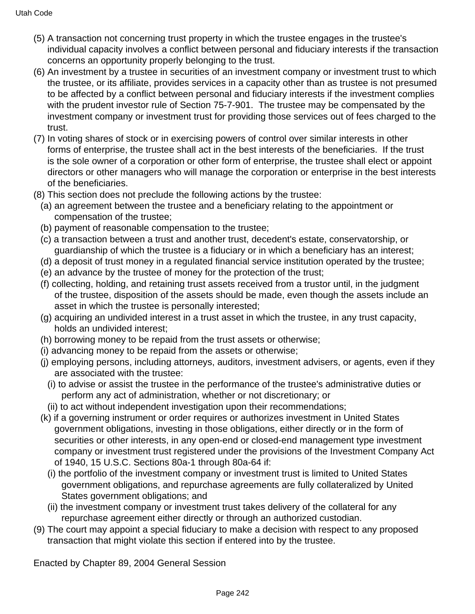- (5) A transaction not concerning trust property in which the trustee engages in the trustee's individual capacity involves a conflict between personal and fiduciary interests if the transaction concerns an opportunity properly belonging to the trust.
- (6) An investment by a trustee in securities of an investment company or investment trust to which the trustee, or its affiliate, provides services in a capacity other than as trustee is not presumed to be affected by a conflict between personal and fiduciary interests if the investment complies with the prudent investor rule of Section 75-7-901. The trustee may be compensated by the investment company or investment trust for providing those services out of fees charged to the trust.
- (7) In voting shares of stock or in exercising powers of control over similar interests in other forms of enterprise, the trustee shall act in the best interests of the beneficiaries. If the trust is the sole owner of a corporation or other form of enterprise, the trustee shall elect or appoint directors or other managers who will manage the corporation or enterprise in the best interests of the beneficiaries.
- (8) This section does not preclude the following actions by the trustee:
	- (a) an agreement between the trustee and a beneficiary relating to the appointment or compensation of the trustee;
	- (b) payment of reasonable compensation to the trustee;
	- (c) a transaction between a trust and another trust, decedent's estate, conservatorship, or guardianship of which the trustee is a fiduciary or in which a beneficiary has an interest;
	- (d) a deposit of trust money in a regulated financial service institution operated by the trustee;
	- (e) an advance by the trustee of money for the protection of the trust;
	- (f) collecting, holding, and retaining trust assets received from a trustor until, in the judgment of the trustee, disposition of the assets should be made, even though the assets include an asset in which the trustee is personally interested;
	- (g) acquiring an undivided interest in a trust asset in which the trustee, in any trust capacity, holds an undivided interest;
	- (h) borrowing money to be repaid from the trust assets or otherwise;
	- (i) advancing money to be repaid from the assets or otherwise;
	- (j) employing persons, including attorneys, auditors, investment advisers, or agents, even if they are associated with the trustee:
		- (i) to advise or assist the trustee in the performance of the trustee's administrative duties or perform any act of administration, whether or not discretionary; or
		- (ii) to act without independent investigation upon their recommendations;
	- (k) if a governing instrument or order requires or authorizes investment in United States government obligations, investing in those obligations, either directly or in the form of securities or other interests, in any open-end or closed-end management type investment company or investment trust registered under the provisions of the Investment Company Act of 1940, 15 U.S.C. Sections 80a-1 through 80a-64 if:
		- (i) the portfolio of the investment company or investment trust is limited to United States government obligations, and repurchase agreements are fully collateralized by United States government obligations; and
		- (ii) the investment company or investment trust takes delivery of the collateral for any repurchase agreement either directly or through an authorized custodian.
- (9) The court may appoint a special fiduciary to make a decision with respect to any proposed transaction that might violate this section if entered into by the trustee.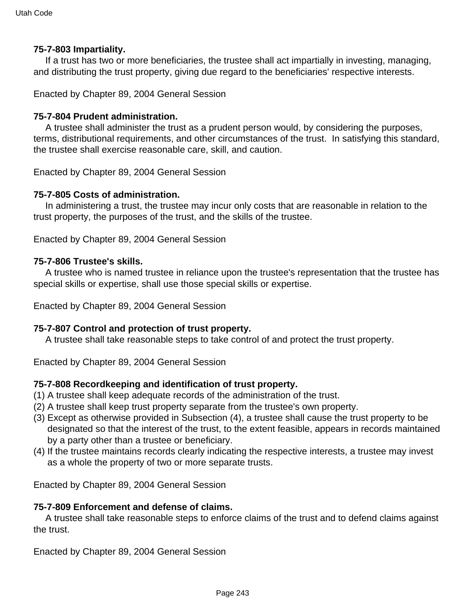### **75-7-803 Impartiality.**

 If a trust has two or more beneficiaries, the trustee shall act impartially in investing, managing, and distributing the trust property, giving due regard to the beneficiaries' respective interests.

Enacted by Chapter 89, 2004 General Session

## **75-7-804 Prudent administration.**

 A trustee shall administer the trust as a prudent person would, by considering the purposes, terms, distributional requirements, and other circumstances of the trust. In satisfying this standard, the trustee shall exercise reasonable care, skill, and caution.

Enacted by Chapter 89, 2004 General Session

### **75-7-805 Costs of administration.**

 In administering a trust, the trustee may incur only costs that are reasonable in relation to the trust property, the purposes of the trust, and the skills of the trustee.

Enacted by Chapter 89, 2004 General Session

### **75-7-806 Trustee's skills.**

 A trustee who is named trustee in reliance upon the trustee's representation that the trustee has special skills or expertise, shall use those special skills or expertise.

Enacted by Chapter 89, 2004 General Session

### **75-7-807 Control and protection of trust property.**

A trustee shall take reasonable steps to take control of and protect the trust property.

Enacted by Chapter 89, 2004 General Session

## **75-7-808 Recordkeeping and identification of trust property.**

- (1) A trustee shall keep adequate records of the administration of the trust.
- (2) A trustee shall keep trust property separate from the trustee's own property.
- (3) Except as otherwise provided in Subsection (4), a trustee shall cause the trust property to be designated so that the interest of the trust, to the extent feasible, appears in records maintained by a party other than a trustee or beneficiary.
- (4) If the trustee maintains records clearly indicating the respective interests, a trustee may invest as a whole the property of two or more separate trusts.

Enacted by Chapter 89, 2004 General Session

### **75-7-809 Enforcement and defense of claims.**

 A trustee shall take reasonable steps to enforce claims of the trust and to defend claims against the trust.

Enacted by Chapter 89, 2004 General Session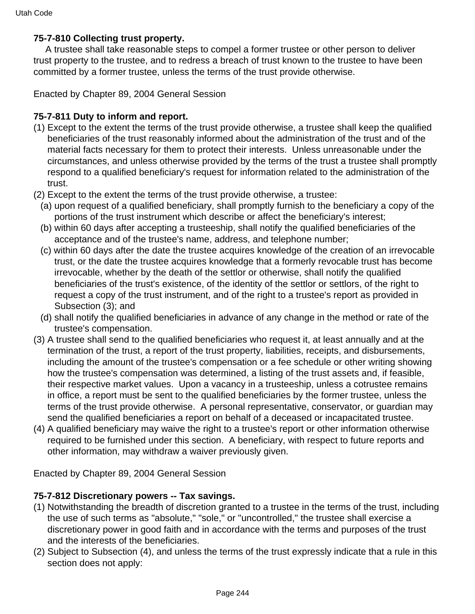### **75-7-810 Collecting trust property.**

 A trustee shall take reasonable steps to compel a former trustee or other person to deliver trust property to the trustee, and to redress a breach of trust known to the trustee to have been committed by a former trustee, unless the terms of the trust provide otherwise.

Enacted by Chapter 89, 2004 General Session

## **75-7-811 Duty to inform and report.**

- (1) Except to the extent the terms of the trust provide otherwise, a trustee shall keep the qualified beneficiaries of the trust reasonably informed about the administration of the trust and of the material facts necessary for them to protect their interests. Unless unreasonable under the circumstances, and unless otherwise provided by the terms of the trust a trustee shall promptly respond to a qualified beneficiary's request for information related to the administration of the trust.
- (2) Except to the extent the terms of the trust provide otherwise, a trustee:
	- (a) upon request of a qualified beneficiary, shall promptly furnish to the beneficiary a copy of the portions of the trust instrument which describe or affect the beneficiary's interest;
	- (b) within 60 days after accepting a trusteeship, shall notify the qualified beneficiaries of the acceptance and of the trustee's name, address, and telephone number;
	- (c) within 60 days after the date the trustee acquires knowledge of the creation of an irrevocable trust, or the date the trustee acquires knowledge that a formerly revocable trust has become irrevocable, whether by the death of the settlor or otherwise, shall notify the qualified beneficiaries of the trust's existence, of the identity of the settlor or settlors, of the right to request a copy of the trust instrument, and of the right to a trustee's report as provided in Subsection (3); and
	- (d) shall notify the qualified beneficiaries in advance of any change in the method or rate of the trustee's compensation.
- (3) A trustee shall send to the qualified beneficiaries who request it, at least annually and at the termination of the trust, a report of the trust property, liabilities, receipts, and disbursements, including the amount of the trustee's compensation or a fee schedule or other writing showing how the trustee's compensation was determined, a listing of the trust assets and, if feasible, their respective market values. Upon a vacancy in a trusteeship, unless a cotrustee remains in office, a report must be sent to the qualified beneficiaries by the former trustee, unless the terms of the trust provide otherwise. A personal representative, conservator, or guardian may send the qualified beneficiaries a report on behalf of a deceased or incapacitated trustee.
- (4) A qualified beneficiary may waive the right to a trustee's report or other information otherwise required to be furnished under this section. A beneficiary, with respect to future reports and other information, may withdraw a waiver previously given.

Enacted by Chapter 89, 2004 General Session

## **75-7-812 Discretionary powers -- Tax savings.**

- (1) Notwithstanding the breadth of discretion granted to a trustee in the terms of the trust, including the use of such terms as "absolute," "sole," or "uncontrolled," the trustee shall exercise a discretionary power in good faith and in accordance with the terms and purposes of the trust and the interests of the beneficiaries.
- (2) Subject to Subsection (4), and unless the terms of the trust expressly indicate that a rule in this section does not apply: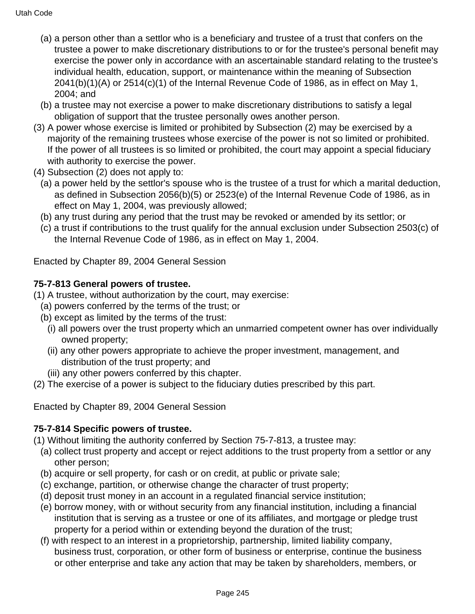- (a) a person other than a settlor who is a beneficiary and trustee of a trust that confers on the trustee a power to make discretionary distributions to or for the trustee's personal benefit may exercise the power only in accordance with an ascertainable standard relating to the trustee's individual health, education, support, or maintenance within the meaning of Subsection 2041(b)(1)(A) or 2514(c)(1) of the Internal Revenue Code of 1986, as in effect on May 1, 2004; and
- (b) a trustee may not exercise a power to make discretionary distributions to satisfy a legal obligation of support that the trustee personally owes another person.
- (3) A power whose exercise is limited or prohibited by Subsection (2) may be exercised by a majority of the remaining trustees whose exercise of the power is not so limited or prohibited. If the power of all trustees is so limited or prohibited, the court may appoint a special fiduciary with authority to exercise the power.
- (4) Subsection (2) does not apply to:
	- (a) a power held by the settlor's spouse who is the trustee of a trust for which a marital deduction, as defined in Subsection 2056(b)(5) or 2523(e) of the Internal Revenue Code of 1986, as in effect on May 1, 2004, was previously allowed;
	- (b) any trust during any period that the trust may be revoked or amended by its settlor; or
	- (c) a trust if contributions to the trust qualify for the annual exclusion under Subsection 2503(c) of the Internal Revenue Code of 1986, as in effect on May 1, 2004.

## **75-7-813 General powers of trustee.**

- (1) A trustee, without authorization by the court, may exercise:
	- (a) powers conferred by the terms of the trust; or
	- (b) except as limited by the terms of the trust:
		- (i) all powers over the trust property which an unmarried competent owner has over individually owned property;
		- (ii) any other powers appropriate to achieve the proper investment, management, and distribution of the trust property; and
		- (iii) any other powers conferred by this chapter.
- (2) The exercise of a power is subject to the fiduciary duties prescribed by this part.

Enacted by Chapter 89, 2004 General Session

## **75-7-814 Specific powers of trustee.**

- (1) Without limiting the authority conferred by Section 75-7-813, a trustee may:
	- (a) collect trust property and accept or reject additions to the trust property from a settlor or any other person;
	- (b) acquire or sell property, for cash or on credit, at public or private sale;
	- (c) exchange, partition, or otherwise change the character of trust property;
	- (d) deposit trust money in an account in a regulated financial service institution;
	- (e) borrow money, with or without security from any financial institution, including a financial institution that is serving as a trustee or one of its affiliates, and mortgage or pledge trust property for a period within or extending beyond the duration of the trust;
	- (f) with respect to an interest in a proprietorship, partnership, limited liability company, business trust, corporation, or other form of business or enterprise, continue the business or other enterprise and take any action that may be taken by shareholders, members, or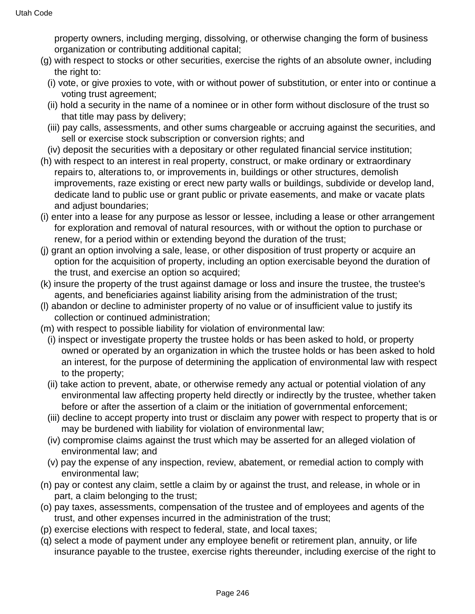property owners, including merging, dissolving, or otherwise changing the form of business organization or contributing additional capital;

- (g) with respect to stocks or other securities, exercise the rights of an absolute owner, including the right to:
	- (i) vote, or give proxies to vote, with or without power of substitution, or enter into or continue a voting trust agreement;
	- (ii) hold a security in the name of a nominee or in other form without disclosure of the trust so that title may pass by delivery;
	- (iii) pay calls, assessments, and other sums chargeable or accruing against the securities, and sell or exercise stock subscription or conversion rights; and
- (iv) deposit the securities with a depositary or other regulated financial service institution;
- (h) with respect to an interest in real property, construct, or make ordinary or extraordinary repairs to, alterations to, or improvements in, buildings or other structures, demolish improvements, raze existing or erect new party walls or buildings, subdivide or develop land, dedicate land to public use or grant public or private easements, and make or vacate plats and adjust boundaries;
- (i) enter into a lease for any purpose as lessor or lessee, including a lease or other arrangement for exploration and removal of natural resources, with or without the option to purchase or renew, for a period within or extending beyond the duration of the trust;
- (j) grant an option involving a sale, lease, or other disposition of trust property or acquire an option for the acquisition of property, including an option exercisable beyond the duration of the trust, and exercise an option so acquired;
- (k) insure the property of the trust against damage or loss and insure the trustee, the trustee's agents, and beneficiaries against liability arising from the administration of the trust;
- (l) abandon or decline to administer property of no value or of insufficient value to justify its collection or continued administration;
- (m) with respect to possible liability for violation of environmental law:
	- (i) inspect or investigate property the trustee holds or has been asked to hold, or property owned or operated by an organization in which the trustee holds or has been asked to hold an interest, for the purpose of determining the application of environmental law with respect to the property;
	- (ii) take action to prevent, abate, or otherwise remedy any actual or potential violation of any environmental law affecting property held directly or indirectly by the trustee, whether taken before or after the assertion of a claim or the initiation of governmental enforcement;
	- (iii) decline to accept property into trust or disclaim any power with respect to property that is or may be burdened with liability for violation of environmental law;
	- (iv) compromise claims against the trust which may be asserted for an alleged violation of environmental law; and
	- (v) pay the expense of any inspection, review, abatement, or remedial action to comply with environmental law;
- (n) pay or contest any claim, settle a claim by or against the trust, and release, in whole or in part, a claim belonging to the trust;
- (o) pay taxes, assessments, compensation of the trustee and of employees and agents of the trust, and other expenses incurred in the administration of the trust;
- (p) exercise elections with respect to federal, state, and local taxes;
- (q) select a mode of payment under any employee benefit or retirement plan, annuity, or life insurance payable to the trustee, exercise rights thereunder, including exercise of the right to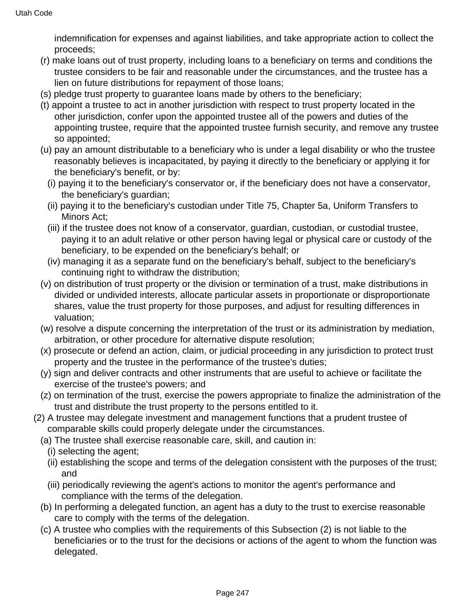indemnification for expenses and against liabilities, and take appropriate action to collect the proceeds;

- (r) make loans out of trust property, including loans to a beneficiary on terms and conditions the trustee considers to be fair and reasonable under the circumstances, and the trustee has a lien on future distributions for repayment of those loans;
- (s) pledge trust property to guarantee loans made by others to the beneficiary;
- (t) appoint a trustee to act in another jurisdiction with respect to trust property located in the other jurisdiction, confer upon the appointed trustee all of the powers and duties of the appointing trustee, require that the appointed trustee furnish security, and remove any trustee so appointed;
- (u) pay an amount distributable to a beneficiary who is under a legal disability or who the trustee reasonably believes is incapacitated, by paying it directly to the beneficiary or applying it for the beneficiary's benefit, or by:
	- (i) paying it to the beneficiary's conservator or, if the beneficiary does not have a conservator, the beneficiary's guardian;
	- (ii) paying it to the beneficiary's custodian under Title 75, Chapter 5a, Uniform Transfers to Minors Act;
	- (iii) if the trustee does not know of a conservator, guardian, custodian, or custodial trustee, paying it to an adult relative or other person having legal or physical care or custody of the beneficiary, to be expended on the beneficiary's behalf; or
	- (iv) managing it as a separate fund on the beneficiary's behalf, subject to the beneficiary's continuing right to withdraw the distribution;
- (v) on distribution of trust property or the division or termination of a trust, make distributions in divided or undivided interests, allocate particular assets in proportionate or disproportionate shares, value the trust property for those purposes, and adjust for resulting differences in valuation;
- (w) resolve a dispute concerning the interpretation of the trust or its administration by mediation, arbitration, or other procedure for alternative dispute resolution;
- (x) prosecute or defend an action, claim, or judicial proceeding in any jurisdiction to protect trust property and the trustee in the performance of the trustee's duties;
- (y) sign and deliver contracts and other instruments that are useful to achieve or facilitate the exercise of the trustee's powers; and
- (z) on termination of the trust, exercise the powers appropriate to finalize the administration of the trust and distribute the trust property to the persons entitled to it.
- (2) A trustee may delegate investment and management functions that a prudent trustee of comparable skills could properly delegate under the circumstances.
	- (a) The trustee shall exercise reasonable care, skill, and caution in:
		- (i) selecting the agent;
		- (ii) establishing the scope and terms of the delegation consistent with the purposes of the trust; and
		- (iii) periodically reviewing the agent's actions to monitor the agent's performance and compliance with the terms of the delegation.
	- (b) In performing a delegated function, an agent has a duty to the trust to exercise reasonable care to comply with the terms of the delegation.
	- (c) A trustee who complies with the requirements of this Subsection (2) is not liable to the beneficiaries or to the trust for the decisions or actions of the agent to whom the function was delegated.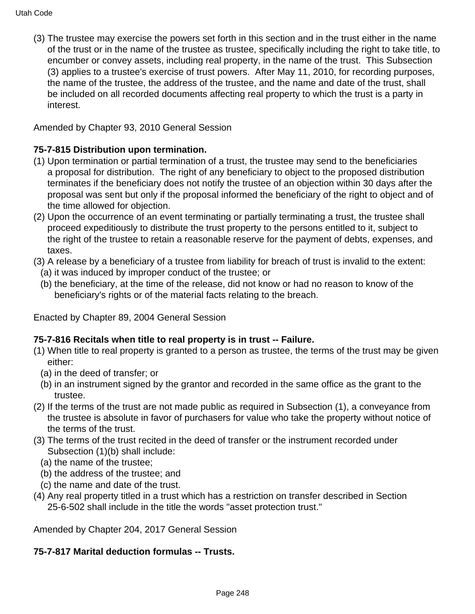(3) The trustee may exercise the powers set forth in this section and in the trust either in the name of the trust or in the name of the trustee as trustee, specifically including the right to take title, to encumber or convey assets, including real property, in the name of the trust. This Subsection (3) applies to a trustee's exercise of trust powers. After May 11, 2010, for recording purposes, the name of the trustee, the address of the trustee, and the name and date of the trust, shall be included on all recorded documents affecting real property to which the trust is a party in interest.

Amended by Chapter 93, 2010 General Session

#### **75-7-815 Distribution upon termination.**

- (1) Upon termination or partial termination of a trust, the trustee may send to the beneficiaries a proposal for distribution. The right of any beneficiary to object to the proposed distribution terminates if the beneficiary does not notify the trustee of an objection within 30 days after the proposal was sent but only if the proposal informed the beneficiary of the right to object and of the time allowed for objection.
- (2) Upon the occurrence of an event terminating or partially terminating a trust, the trustee shall proceed expeditiously to distribute the trust property to the persons entitled to it, subject to the right of the trustee to retain a reasonable reserve for the payment of debts, expenses, and taxes.
- (3) A release by a beneficiary of a trustee from liability for breach of trust is invalid to the extent:
	- (a) it was induced by improper conduct of the trustee; or
	- (b) the beneficiary, at the time of the release, did not know or had no reason to know of the beneficiary's rights or of the material facts relating to the breach.

Enacted by Chapter 89, 2004 General Session

### **75-7-816 Recitals when title to real property is in trust -- Failure.**

- (1) When title to real property is granted to a person as trustee, the terms of the trust may be given either:
	- (a) in the deed of transfer; or
	- (b) in an instrument signed by the grantor and recorded in the same office as the grant to the trustee.
- (2) If the terms of the trust are not made public as required in Subsection (1), a conveyance from the trustee is absolute in favor of purchasers for value who take the property without notice of the terms of the trust.
- (3) The terms of the trust recited in the deed of transfer or the instrument recorded under Subsection (1)(b) shall include:
	- (a) the name of the trustee;
	- (b) the address of the trustee; and
	- (c) the name and date of the trust.
- (4) Any real property titled in a trust which has a restriction on transfer described in Section 25-6-502 shall include in the title the words "asset protection trust."

Amended by Chapter 204, 2017 General Session

#### **75-7-817 Marital deduction formulas -- Trusts.**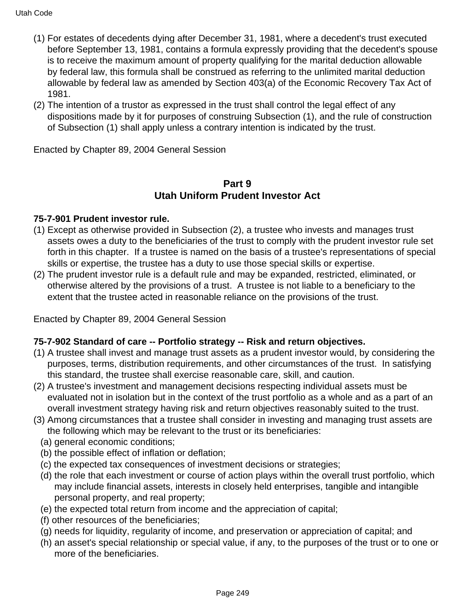- (1) For estates of decedents dying after December 31, 1981, where a decedent's trust executed before September 13, 1981, contains a formula expressly providing that the decedent's spouse is to receive the maximum amount of property qualifying for the marital deduction allowable by federal law, this formula shall be construed as referring to the unlimited marital deduction allowable by federal law as amended by Section 403(a) of the Economic Recovery Tax Act of 1981.
- (2) The intention of a trustor as expressed in the trust shall control the legal effect of any dispositions made by it for purposes of construing Subsection (1), and the rule of construction of Subsection (1) shall apply unless a contrary intention is indicated by the trust.

## **Part 9 Utah Uniform Prudent Investor Act**

### **75-7-901 Prudent investor rule.**

- (1) Except as otherwise provided in Subsection (2), a trustee who invests and manages trust assets owes a duty to the beneficiaries of the trust to comply with the prudent investor rule set forth in this chapter. If a trustee is named on the basis of a trustee's representations of special skills or expertise, the trustee has a duty to use those special skills or expertise.
- (2) The prudent investor rule is a default rule and may be expanded, restricted, eliminated, or otherwise altered by the provisions of a trust. A trustee is not liable to a beneficiary to the extent that the trustee acted in reasonable reliance on the provisions of the trust.

Enacted by Chapter 89, 2004 General Session

## **75-7-902 Standard of care -- Portfolio strategy -- Risk and return objectives.**

- (1) A trustee shall invest and manage trust assets as a prudent investor would, by considering the purposes, terms, distribution requirements, and other circumstances of the trust. In satisfying this standard, the trustee shall exercise reasonable care, skill, and caution.
- (2) A trustee's investment and management decisions respecting individual assets must be evaluated not in isolation but in the context of the trust portfolio as a whole and as a part of an overall investment strategy having risk and return objectives reasonably suited to the trust.
- (3) Among circumstances that a trustee shall consider in investing and managing trust assets are the following which may be relevant to the trust or its beneficiaries:
	- (a) general economic conditions;
	- (b) the possible effect of inflation or deflation;
	- (c) the expected tax consequences of investment decisions or strategies;
	- (d) the role that each investment or course of action plays within the overall trust portfolio, which may include financial assets, interests in closely held enterprises, tangible and intangible personal property, and real property;
	- (e) the expected total return from income and the appreciation of capital;
	- (f) other resources of the beneficiaries;
	- (g) needs for liquidity, regularity of income, and preservation or appreciation of capital; and
	- (h) an asset's special relationship or special value, if any, to the purposes of the trust or to one or more of the beneficiaries.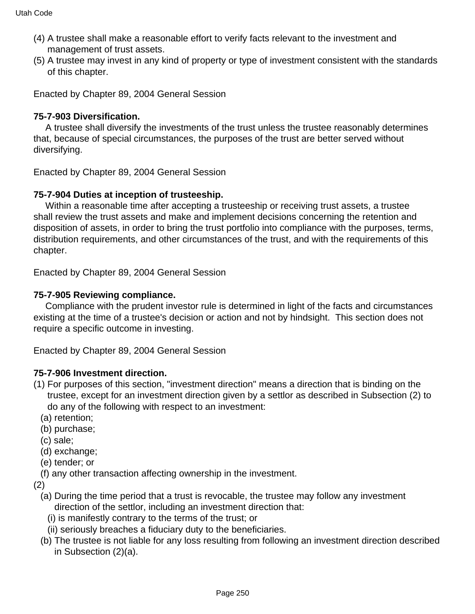- (4) A trustee shall make a reasonable effort to verify facts relevant to the investment and management of trust assets.
- (5) A trustee may invest in any kind of property or type of investment consistent with the standards of this chapter.

### **75-7-903 Diversification.**

 A trustee shall diversify the investments of the trust unless the trustee reasonably determines that, because of special circumstances, the purposes of the trust are better served without diversifying.

Enacted by Chapter 89, 2004 General Session

### **75-7-904 Duties at inception of trusteeship.**

 Within a reasonable time after accepting a trusteeship or receiving trust assets, a trustee shall review the trust assets and make and implement decisions concerning the retention and disposition of assets, in order to bring the trust portfolio into compliance with the purposes, terms, distribution requirements, and other circumstances of the trust, and with the requirements of this chapter.

Enacted by Chapter 89, 2004 General Session

### **75-7-905 Reviewing compliance.**

 Compliance with the prudent investor rule is determined in light of the facts and circumstances existing at the time of a trustee's decision or action and not by hindsight. This section does not require a specific outcome in investing.

Enacted by Chapter 89, 2004 General Session

### **75-7-906 Investment direction.**

- (1) For purposes of this section, "investment direction" means a direction that is binding on the trustee, except for an investment direction given by a settlor as described in Subsection (2) to do any of the following with respect to an investment:
	- (a) retention;
	- (b) purchase;
	- (c) sale;
	- (d) exchange;
	- (e) tender; or
	- (f) any other transaction affecting ownership in the investment.

(2)

- (a) During the time period that a trust is revocable, the trustee may follow any investment direction of the settlor, including an investment direction that:
	- (i) is manifestly contrary to the terms of the trust; or
	- (ii) seriously breaches a fiduciary duty to the beneficiaries.
- (b) The trustee is not liable for any loss resulting from following an investment direction described in Subsection (2)(a).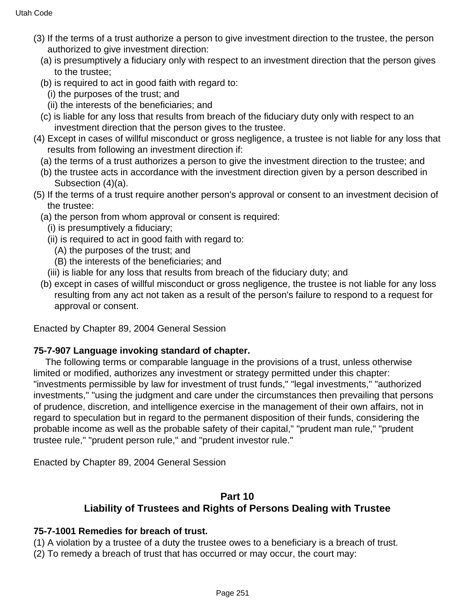- (3) If the terms of a trust authorize a person to give investment direction to the trustee, the person authorized to give investment direction:
	- (a) is presumptively a fiduciary only with respect to an investment direction that the person gives to the trustee;
	- (b) is required to act in good faith with regard to:
		- (i) the purposes of the trust; and
		- (ii) the interests of the beneficiaries; and
	- (c) is liable for any loss that results from breach of the fiduciary duty only with respect to an investment direction that the person gives to the trustee.
- (4) Except in cases of willful misconduct or gross negligence, a trustee is not liable for any loss that results from following an investment direction if:
	- (a) the terms of a trust authorizes a person to give the investment direction to the trustee; and
	- (b) the trustee acts in accordance with the investment direction given by a person described in Subsection (4)(a).
- (5) If the terms of a trust require another person's approval or consent to an investment decision of the trustee:
	- (a) the person from whom approval or consent is required:
		- (i) is presumptively a fiduciary;
		- (ii) is required to act in good faith with regard to:
			- (A) the purposes of the trust; and
			- (B) the interests of the beneficiaries; and
		- (iii) is liable for any loss that results from breach of the fiduciary duty; and
	- (b) except in cases of willful misconduct or gross negligence, the trustee is not liable for any loss resulting from any act not taken as a result of the person's failure to respond to a request for approval or consent.

# **75-7-907 Language invoking standard of chapter.**

 The following terms or comparable language in the provisions of a trust, unless otherwise limited or modified, authorizes any investment or strategy permitted under this chapter: "investments permissible by law for investment of trust funds," "legal investments," "authorized investments," "using the judgment and care under the circumstances then prevailing that persons of prudence, discretion, and intelligence exercise in the management of their own affairs, not in regard to speculation but in regard to the permanent disposition of their funds, considering the probable income as well as the probable safety of their capital," "prudent man rule," "prudent trustee rule," "prudent person rule," and "prudent investor rule."

Enacted by Chapter 89, 2004 General Session

# **Part 10 Liability of Trustees and Rights of Persons Dealing with Trustee**

# **75-7-1001 Remedies for breach of trust.**

- (1) A violation by a trustee of a duty the trustee owes to a beneficiary is a breach of trust.
- (2) To remedy a breach of trust that has occurred or may occur, the court may: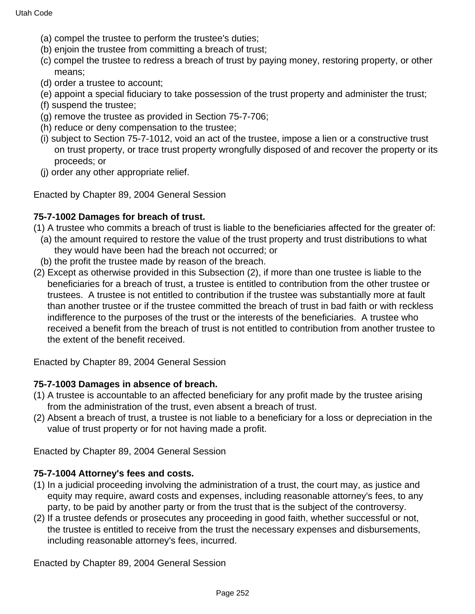- (a) compel the trustee to perform the trustee's duties;
- (b) enjoin the trustee from committing a breach of trust;
- (c) compel the trustee to redress a breach of trust by paying money, restoring property, or other means;
- (d) order a trustee to account;
- (e) appoint a special fiduciary to take possession of the trust property and administer the trust;
- (f) suspend the trustee;
- (g) remove the trustee as provided in Section 75-7-706;
- (h) reduce or deny compensation to the trustee;
- (i) subject to Section 75-7-1012, void an act of the trustee, impose a lien or a constructive trust on trust property, or trace trust property wrongfully disposed of and recover the property or its proceeds; or
- (j) order any other appropriate relief.

## **75-7-1002 Damages for breach of trust.**

- (1) A trustee who commits a breach of trust is liable to the beneficiaries affected for the greater of:
- (a) the amount required to restore the value of the trust property and trust distributions to what they would have been had the breach not occurred; or
- (b) the profit the trustee made by reason of the breach.
- (2) Except as otherwise provided in this Subsection (2), if more than one trustee is liable to the beneficiaries for a breach of trust, a trustee is entitled to contribution from the other trustee or trustees. A trustee is not entitled to contribution if the trustee was substantially more at fault than another trustee or if the trustee committed the breach of trust in bad faith or with reckless indifference to the purposes of the trust or the interests of the beneficiaries. A trustee who received a benefit from the breach of trust is not entitled to contribution from another trustee to the extent of the benefit received.

Enacted by Chapter 89, 2004 General Session

## **75-7-1003 Damages in absence of breach.**

- (1) A trustee is accountable to an affected beneficiary for any profit made by the trustee arising from the administration of the trust, even absent a breach of trust.
- (2) Absent a breach of trust, a trustee is not liable to a beneficiary for a loss or depreciation in the value of trust property or for not having made a profit.

Enacted by Chapter 89, 2004 General Session

## **75-7-1004 Attorney's fees and costs.**

- (1) In a judicial proceeding involving the administration of a trust, the court may, as justice and equity may require, award costs and expenses, including reasonable attorney's fees, to any party, to be paid by another party or from the trust that is the subject of the controversy.
- (2) If a trustee defends or prosecutes any proceeding in good faith, whether successful or not, the trustee is entitled to receive from the trust the necessary expenses and disbursements, including reasonable attorney's fees, incurred.

Enacted by Chapter 89, 2004 General Session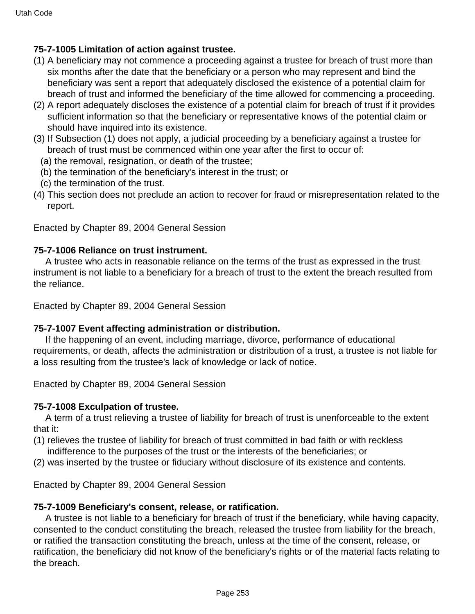## **75-7-1005 Limitation of action against trustee.**

- (1) A beneficiary may not commence a proceeding against a trustee for breach of trust more than six months after the date that the beneficiary or a person who may represent and bind the beneficiary was sent a report that adequately disclosed the existence of a potential claim for breach of trust and informed the beneficiary of the time allowed for commencing a proceeding.
- (2) A report adequately discloses the existence of a potential claim for breach of trust if it provides sufficient information so that the beneficiary or representative knows of the potential claim or should have inquired into its existence.
- (3) If Subsection (1) does not apply, a judicial proceeding by a beneficiary against a trustee for breach of trust must be commenced within one year after the first to occur of:
	- (a) the removal, resignation, or death of the trustee;
	- (b) the termination of the beneficiary's interest in the trust; or
	- (c) the termination of the trust.
- (4) This section does not preclude an action to recover for fraud or misrepresentation related to the report.

Enacted by Chapter 89, 2004 General Session

### **75-7-1006 Reliance on trust instrument.**

 A trustee who acts in reasonable reliance on the terms of the trust as expressed in the trust instrument is not liable to a beneficiary for a breach of trust to the extent the breach resulted from the reliance.

Enacted by Chapter 89, 2004 General Session

### **75-7-1007 Event affecting administration or distribution.**

 If the happening of an event, including marriage, divorce, performance of educational requirements, or death, affects the administration or distribution of a trust, a trustee is not liable for a loss resulting from the trustee's lack of knowledge or lack of notice.

Enacted by Chapter 89, 2004 General Session

### **75-7-1008 Exculpation of trustee.**

 A term of a trust relieving a trustee of liability for breach of trust is unenforceable to the extent that it:

- (1) relieves the trustee of liability for breach of trust committed in bad faith or with reckless indifference to the purposes of the trust or the interests of the beneficiaries; or
- (2) was inserted by the trustee or fiduciary without disclosure of its existence and contents.

Enacted by Chapter 89, 2004 General Session

### **75-7-1009 Beneficiary's consent, release, or ratification.**

 A trustee is not liable to a beneficiary for breach of trust if the beneficiary, while having capacity, consented to the conduct constituting the breach, released the trustee from liability for the breach, or ratified the transaction constituting the breach, unless at the time of the consent, release, or ratification, the beneficiary did not know of the beneficiary's rights or of the material facts relating to the breach.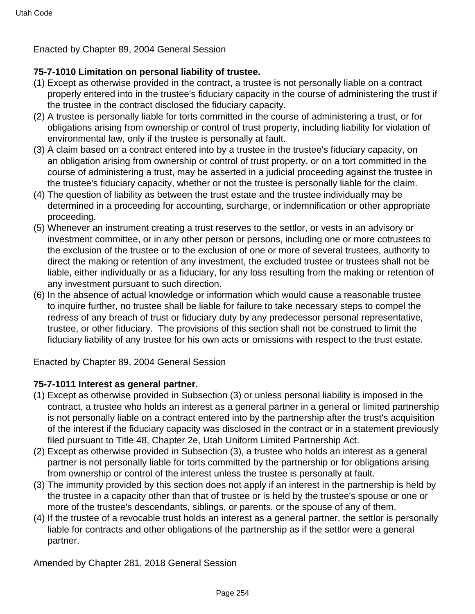Enacted by Chapter 89, 2004 General Session

### **75-7-1010 Limitation on personal liability of trustee.**

- (1) Except as otherwise provided in the contract, a trustee is not personally liable on a contract properly entered into in the trustee's fiduciary capacity in the course of administering the trust if the trustee in the contract disclosed the fiduciary capacity.
- (2) A trustee is personally liable for torts committed in the course of administering a trust, or for obligations arising from ownership or control of trust property, including liability for violation of environmental law, only if the trustee is personally at fault.
- (3) A claim based on a contract entered into by a trustee in the trustee's fiduciary capacity, on an obligation arising from ownership or control of trust property, or on a tort committed in the course of administering a trust, may be asserted in a judicial proceeding against the trustee in the trustee's fiduciary capacity, whether or not the trustee is personally liable for the claim.
- (4) The question of liability as between the trust estate and the trustee individually may be determined in a proceeding for accounting, surcharge, or indemnification or other appropriate proceeding.
- (5) Whenever an instrument creating a trust reserves to the settlor, or vests in an advisory or investment committee, or in any other person or persons, including one or more cotrustees to the exclusion of the trustee or to the exclusion of one or more of several trustees, authority to direct the making or retention of any investment, the excluded trustee or trustees shall not be liable, either individually or as a fiduciary, for any loss resulting from the making or retention of any investment pursuant to such direction.
- (6) In the absence of actual knowledge or information which would cause a reasonable trustee to inquire further, no trustee shall be liable for failure to take necessary steps to compel the redress of any breach of trust or fiduciary duty by any predecessor personal representative, trustee, or other fiduciary. The provisions of this section shall not be construed to limit the fiduciary liability of any trustee for his own acts or omissions with respect to the trust estate.

Enacted by Chapter 89, 2004 General Session

## **75-7-1011 Interest as general partner.**

- (1) Except as otherwise provided in Subsection (3) or unless personal liability is imposed in the contract, a trustee who holds an interest as a general partner in a general or limited partnership is not personally liable on a contract entered into by the partnership after the trust's acquisition of the interest if the fiduciary capacity was disclosed in the contract or in a statement previously filed pursuant to Title 48, Chapter 2e, Utah Uniform Limited Partnership Act.
- (2) Except as otherwise provided in Subsection (3), a trustee who holds an interest as a general partner is not personally liable for torts committed by the partnership or for obligations arising from ownership or control of the interest unless the trustee is personally at fault.
- (3) The immunity provided by this section does not apply if an interest in the partnership is held by the trustee in a capacity other than that of trustee or is held by the trustee's spouse or one or more of the trustee's descendants, siblings, or parents, or the spouse of any of them.
- (4) If the trustee of a revocable trust holds an interest as a general partner, the settlor is personally liable for contracts and other obligations of the partnership as if the settlor were a general partner.

Amended by Chapter 281, 2018 General Session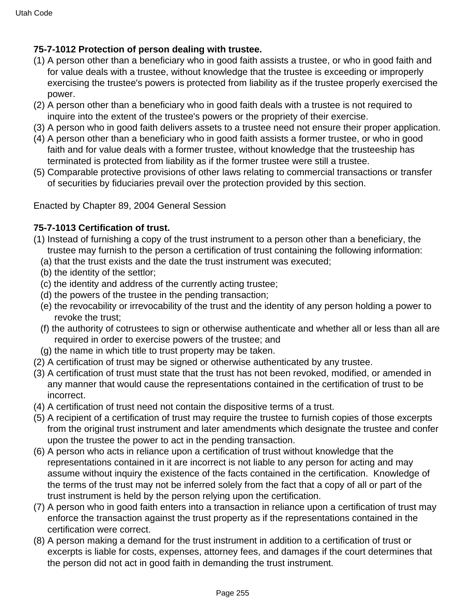## **75-7-1012 Protection of person dealing with trustee.**

- (1) A person other than a beneficiary who in good faith assists a trustee, or who in good faith and for value deals with a trustee, without knowledge that the trustee is exceeding or improperly exercising the trustee's powers is protected from liability as if the trustee properly exercised the power.
- (2) A person other than a beneficiary who in good faith deals with a trustee is not required to inquire into the extent of the trustee's powers or the propriety of their exercise.
- (3) A person who in good faith delivers assets to a trustee need not ensure their proper application.
- (4) A person other than a beneficiary who in good faith assists a former trustee, or who in good faith and for value deals with a former trustee, without knowledge that the trusteeship has terminated is protected from liability as if the former trustee were still a trustee.
- (5) Comparable protective provisions of other laws relating to commercial transactions or transfer of securities by fiduciaries prevail over the protection provided by this section.

Enacted by Chapter 89, 2004 General Session

## **75-7-1013 Certification of trust.**

- (1) Instead of furnishing a copy of the trust instrument to a person other than a beneficiary, the trustee may furnish to the person a certification of trust containing the following information:
	- (a) that the trust exists and the date the trust instrument was executed;
	- (b) the identity of the settlor;
	- (c) the identity and address of the currently acting trustee;
	- (d) the powers of the trustee in the pending transaction;
	- (e) the revocability or irrevocability of the trust and the identity of any person holding a power to revoke the trust;
	- (f) the authority of cotrustees to sign or otherwise authenticate and whether all or less than all are required in order to exercise powers of the trustee; and
	- (g) the name in which title to trust property may be taken.
- (2) A certification of trust may be signed or otherwise authenticated by any trustee.
- (3) A certification of trust must state that the trust has not been revoked, modified, or amended in any manner that would cause the representations contained in the certification of trust to be incorrect.
- (4) A certification of trust need not contain the dispositive terms of a trust.
- (5) A recipient of a certification of trust may require the trustee to furnish copies of those excerpts from the original trust instrument and later amendments which designate the trustee and confer upon the trustee the power to act in the pending transaction.
- (6) A person who acts in reliance upon a certification of trust without knowledge that the representations contained in it are incorrect is not liable to any person for acting and may assume without inquiry the existence of the facts contained in the certification. Knowledge of the terms of the trust may not be inferred solely from the fact that a copy of all or part of the trust instrument is held by the person relying upon the certification.
- (7) A person who in good faith enters into a transaction in reliance upon a certification of trust may enforce the transaction against the trust property as if the representations contained in the certification were correct.
- (8) A person making a demand for the trust instrument in addition to a certification of trust or excerpts is liable for costs, expenses, attorney fees, and damages if the court determines that the person did not act in good faith in demanding the trust instrument.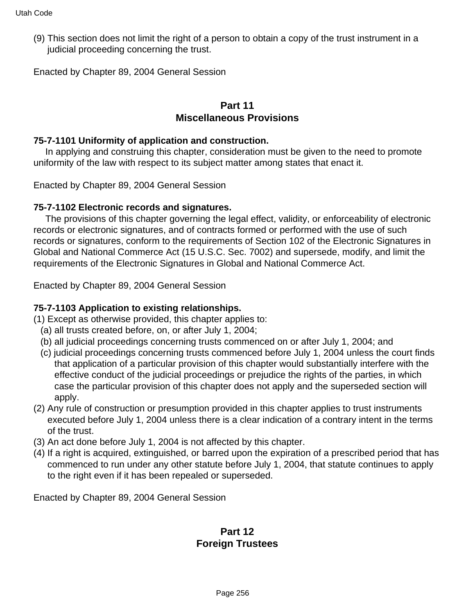(9) This section does not limit the right of a person to obtain a copy of the trust instrument in a judicial proceeding concerning the trust.

Enacted by Chapter 89, 2004 General Session

### **Part 11 Miscellaneous Provisions**

### **75-7-1101 Uniformity of application and construction.**

 In applying and construing this chapter, consideration must be given to the need to promote uniformity of the law with respect to its subject matter among states that enact it.

Enacted by Chapter 89, 2004 General Session

### **75-7-1102 Electronic records and signatures.**

 The provisions of this chapter governing the legal effect, validity, or enforceability of electronic records or electronic signatures, and of contracts formed or performed with the use of such records or signatures, conform to the requirements of Section 102 of the Electronic Signatures in Global and National Commerce Act (15 U.S.C. Sec. 7002) and supersede, modify, and limit the requirements of the Electronic Signatures in Global and National Commerce Act.

Enacted by Chapter 89, 2004 General Session

### **75-7-1103 Application to existing relationships.**

(1) Except as otherwise provided, this chapter applies to:

- (a) all trusts created before, on, or after July 1, 2004;
- (b) all judicial proceedings concerning trusts commenced on or after July 1, 2004; and
- (c) judicial proceedings concerning trusts commenced before July 1, 2004 unless the court finds that application of a particular provision of this chapter would substantially interfere with the effective conduct of the judicial proceedings or prejudice the rights of the parties, in which case the particular provision of this chapter does not apply and the superseded section will apply.
- (2) Any rule of construction or presumption provided in this chapter applies to trust instruments executed before July 1, 2004 unless there is a clear indication of a contrary intent in the terms of the trust.
- (3) An act done before July 1, 2004 is not affected by this chapter.
- (4) If a right is acquired, extinguished, or barred upon the expiration of a prescribed period that has commenced to run under any other statute before July 1, 2004, that statute continues to apply to the right even if it has been repealed or superseded.

Enacted by Chapter 89, 2004 General Session

### **Part 12 Foreign Trustees**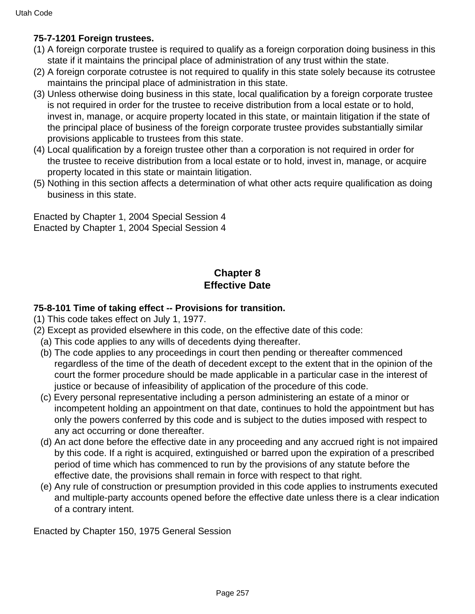## **75-7-1201 Foreign trustees.**

- (1) A foreign corporate trustee is required to qualify as a foreign corporation doing business in this state if it maintains the principal place of administration of any trust within the state.
- (2) A foreign corporate cotrustee is not required to qualify in this state solely because its cotrustee maintains the principal place of administration in this state.
- (3) Unless otherwise doing business in this state, local qualification by a foreign corporate trustee is not required in order for the trustee to receive distribution from a local estate or to hold, invest in, manage, or acquire property located in this state, or maintain litigation if the state of the principal place of business of the foreign corporate trustee provides substantially similar provisions applicable to trustees from this state.
- (4) Local qualification by a foreign trustee other than a corporation is not required in order for the trustee to receive distribution from a local estate or to hold, invest in, manage, or acquire property located in this state or maintain litigation.
- (5) Nothing in this section affects a determination of what other acts require qualification as doing business in this state.

Enacted by Chapter 1, 2004 Special Session 4 Enacted by Chapter 1, 2004 Special Session 4

# **Chapter 8 Effective Date**

## **75-8-101 Time of taking effect -- Provisions for transition.**

- (1) This code takes effect on July 1, 1977.
- (2) Except as provided elsewhere in this code, on the effective date of this code:
- (a) This code applies to any wills of decedents dying thereafter.
- (b) The code applies to any proceedings in court then pending or thereafter commenced regardless of the time of the death of decedent except to the extent that in the opinion of the court the former procedure should be made applicable in a particular case in the interest of justice or because of infeasibility of application of the procedure of this code.
- (c) Every personal representative including a person administering an estate of a minor or incompetent holding an appointment on that date, continues to hold the appointment but has only the powers conferred by this code and is subject to the duties imposed with respect to any act occurring or done thereafter.
- (d) An act done before the effective date in any proceeding and any accrued right is not impaired by this code. If a right is acquired, extinguished or barred upon the expiration of a prescribed period of time which has commenced to run by the provisions of any statute before the effective date, the provisions shall remain in force with respect to that right.
- (e) Any rule of construction or presumption provided in this code applies to instruments executed and multiple-party accounts opened before the effective date unless there is a clear indication of a contrary intent.

Enacted by Chapter 150, 1975 General Session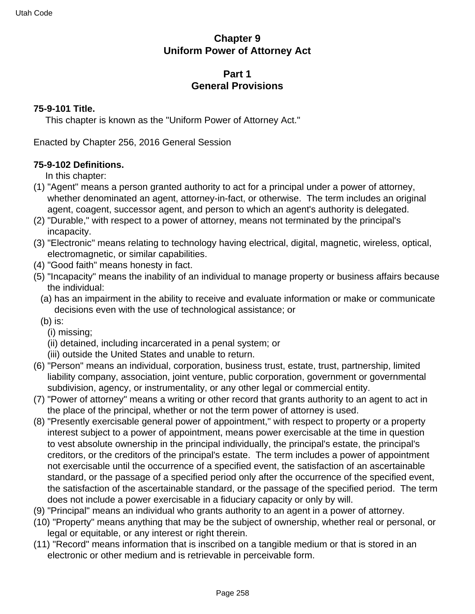# **Chapter 9 Uniform Power of Attorney Act**

## **Part 1 General Provisions**

### **75-9-101 Title.**

This chapter is known as the "Uniform Power of Attorney Act."

Enacted by Chapter 256, 2016 General Session

### **75-9-102 Definitions.**

In this chapter:

- (1) "Agent" means a person granted authority to act for a principal under a power of attorney, whether denominated an agent, attorney-in-fact, or otherwise. The term includes an original agent, coagent, successor agent, and person to which an agent's authority is delegated.
- (2) "Durable," with respect to a power of attorney, means not terminated by the principal's incapacity.
- (3) "Electronic" means relating to technology having electrical, digital, magnetic, wireless, optical, electromagnetic, or similar capabilities.
- (4) "Good faith" means honesty in fact.
- (5) "Incapacity" means the inability of an individual to manage property or business affairs because the individual:
	- (a) has an impairment in the ability to receive and evaluate information or make or communicate decisions even with the use of technological assistance; or
	- (b) is:
		- (i) missing;
		- (ii) detained, including incarcerated in a penal system; or
		- (iii) outside the United States and unable to return.
- (6) "Person" means an individual, corporation, business trust, estate, trust, partnership, limited liability company, association, joint venture, public corporation, government or governmental subdivision, agency, or instrumentality, or any other legal or commercial entity.
- (7) "Power of attorney" means a writing or other record that grants authority to an agent to act in the place of the principal, whether or not the term power of attorney is used.
- (8) "Presently exercisable general power of appointment," with respect to property or a property interest subject to a power of appointment, means power exercisable at the time in question to vest absolute ownership in the principal individually, the principal's estate, the principal's creditors, or the creditors of the principal's estate. The term includes a power of appointment not exercisable until the occurrence of a specified event, the satisfaction of an ascertainable standard, or the passage of a specified period only after the occurrence of the specified event, the satisfaction of the ascertainable standard, or the passage of the specified period. The term does not include a power exercisable in a fiduciary capacity or only by will.
- (9) "Principal" means an individual who grants authority to an agent in a power of attorney.
- (10) "Property" means anything that may be the subject of ownership, whether real or personal, or legal or equitable, or any interest or right therein.
- (11) "Record" means information that is inscribed on a tangible medium or that is stored in an electronic or other medium and is retrievable in perceivable form.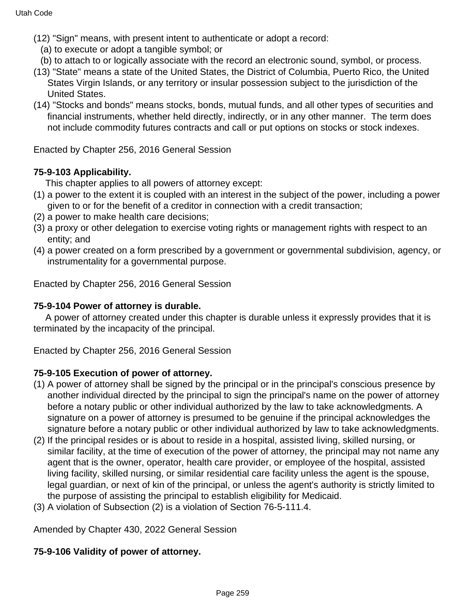- (12) "Sign" means, with present intent to authenticate or adopt a record:
	- (a) to execute or adopt a tangible symbol; or
	- (b) to attach to or logically associate with the record an electronic sound, symbol, or process.
- (13) "State" means a state of the United States, the District of Columbia, Puerto Rico, the United States Virgin Islands, or any territory or insular possession subject to the jurisdiction of the United States.
- (14) "Stocks and bonds" means stocks, bonds, mutual funds, and all other types of securities and financial instruments, whether held directly, indirectly, or in any other manner. The term does not include commodity futures contracts and call or put options on stocks or stock indexes.

### **75-9-103 Applicability.**

This chapter applies to all powers of attorney except:

- (1) a power to the extent it is coupled with an interest in the subject of the power, including a power given to or for the benefit of a creditor in connection with a credit transaction;
- (2) a power to make health care decisions;
- (3) a proxy or other delegation to exercise voting rights or management rights with respect to an entity; and
- (4) a power created on a form prescribed by a government or governmental subdivision, agency, or instrumentality for a governmental purpose.

Enacted by Chapter 256, 2016 General Session

### **75-9-104 Power of attorney is durable.**

 A power of attorney created under this chapter is durable unless it expressly provides that it is terminated by the incapacity of the principal.

Enacted by Chapter 256, 2016 General Session

### **75-9-105 Execution of power of attorney.**

- (1) A power of attorney shall be signed by the principal or in the principal's conscious presence by another individual directed by the principal to sign the principal's name on the power of attorney before a notary public or other individual authorized by the law to take acknowledgments. A signature on a power of attorney is presumed to be genuine if the principal acknowledges the signature before a notary public or other individual authorized by law to take acknowledgments.
- (2) If the principal resides or is about to reside in a hospital, assisted living, skilled nursing, or similar facility, at the time of execution of the power of attorney, the principal may not name any agent that is the owner, operator, health care provider, or employee of the hospital, assisted living facility, skilled nursing, or similar residential care facility unless the agent is the spouse, legal guardian, or next of kin of the principal, or unless the agent's authority is strictly limited to the purpose of assisting the principal to establish eligibility for Medicaid.
- (3) A violation of Subsection (2) is a violation of Section 76-5-111.4.

Amended by Chapter 430, 2022 General Session

### **75-9-106 Validity of power of attorney.**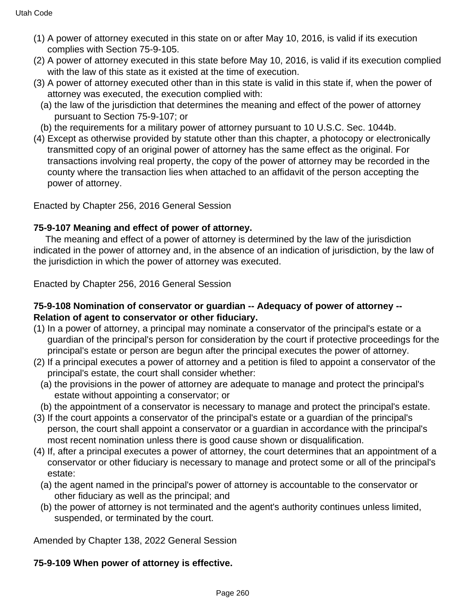- (1) A power of attorney executed in this state on or after May 10, 2016, is valid if its execution complies with Section 75-9-105.
- (2) A power of attorney executed in this state before May 10, 2016, is valid if its execution complied with the law of this state as it existed at the time of execution.
- (3) A power of attorney executed other than in this state is valid in this state if, when the power of attorney was executed, the execution complied with:
	- (a) the law of the jurisdiction that determines the meaning and effect of the power of attorney pursuant to Section 75-9-107; or
- (b) the requirements for a military power of attorney pursuant to 10 U.S.C. Sec. 1044b.
- (4) Except as otherwise provided by statute other than this chapter, a photocopy or electronically transmitted copy of an original power of attorney has the same effect as the original. For transactions involving real property, the copy of the power of attorney may be recorded in the county where the transaction lies when attached to an affidavit of the person accepting the power of attorney.

## **75-9-107 Meaning and effect of power of attorney.**

 The meaning and effect of a power of attorney is determined by the law of the jurisdiction indicated in the power of attorney and, in the absence of an indication of jurisdiction, by the law of the jurisdiction in which the power of attorney was executed.

Enacted by Chapter 256, 2016 General Session

### **75-9-108 Nomination of conservator or guardian -- Adequacy of power of attorney -- Relation of agent to conservator or other fiduciary.**

- (1) In a power of attorney, a principal may nominate a conservator of the principal's estate or a guardian of the principal's person for consideration by the court if protective proceedings for the principal's estate or person are begun after the principal executes the power of attorney.
- (2) If a principal executes a power of attorney and a petition is filed to appoint a conservator of the principal's estate, the court shall consider whether:
	- (a) the provisions in the power of attorney are adequate to manage and protect the principal's estate without appointing a conservator; or
	- (b) the appointment of a conservator is necessary to manage and protect the principal's estate.
- (3) If the court appoints a conservator of the principal's estate or a guardian of the principal's person, the court shall appoint a conservator or a guardian in accordance with the principal's most recent nomination unless there is good cause shown or disqualification.
- (4) If, after a principal executes a power of attorney, the court determines that an appointment of a conservator or other fiduciary is necessary to manage and protect some or all of the principal's estate:
	- (a) the agent named in the principal's power of attorney is accountable to the conservator or other fiduciary as well as the principal; and
	- (b) the power of attorney is not terminated and the agent's authority continues unless limited, suspended, or terminated by the court.

Amended by Chapter 138, 2022 General Session

## **75-9-109 When power of attorney is effective.**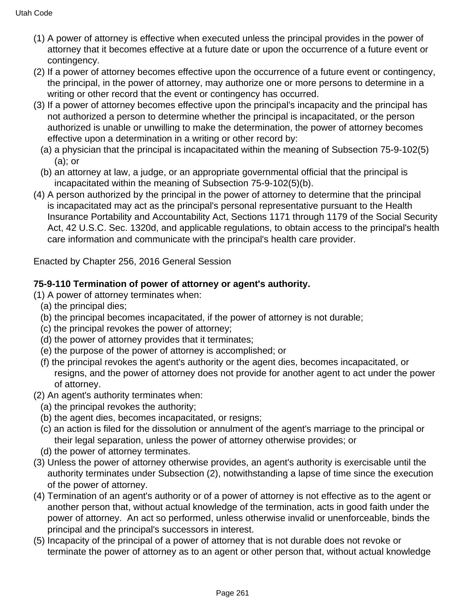- (1) A power of attorney is effective when executed unless the principal provides in the power of attorney that it becomes effective at a future date or upon the occurrence of a future event or contingency.
- (2) If a power of attorney becomes effective upon the occurrence of a future event or contingency, the principal, in the power of attorney, may authorize one or more persons to determine in a writing or other record that the event or contingency has occurred.
- (3) If a power of attorney becomes effective upon the principal's incapacity and the principal has not authorized a person to determine whether the principal is incapacitated, or the person authorized is unable or unwilling to make the determination, the power of attorney becomes effective upon a determination in a writing or other record by:
	- (a) a physician that the principal is incapacitated within the meaning of Subsection 75-9-102(5) (a); or
	- (b) an attorney at law, a judge, or an appropriate governmental official that the principal is incapacitated within the meaning of Subsection 75-9-102(5)(b).
- (4) A person authorized by the principal in the power of attorney to determine that the principal is incapacitated may act as the principal's personal representative pursuant to the Health Insurance Portability and Accountability Act, Sections 1171 through 1179 of the Social Security Act, 42 U.S.C. Sec. 1320d, and applicable regulations, to obtain access to the principal's health care information and communicate with the principal's health care provider.

## **75-9-110 Termination of power of attorney or agent's authority.**

(1) A power of attorney terminates when:

- (a) the principal dies;
- (b) the principal becomes incapacitated, if the power of attorney is not durable;
- (c) the principal revokes the power of attorney;
- (d) the power of attorney provides that it terminates;
- (e) the purpose of the power of attorney is accomplished; or
- (f) the principal revokes the agent's authority or the agent dies, becomes incapacitated, or resigns, and the power of attorney does not provide for another agent to act under the power of attorney.
- (2) An agent's authority terminates when:
	- (a) the principal revokes the authority;
	- (b) the agent dies, becomes incapacitated, or resigns;
	- (c) an action is filed for the dissolution or annulment of the agent's marriage to the principal or their legal separation, unless the power of attorney otherwise provides; or
	- (d) the power of attorney terminates.
- (3) Unless the power of attorney otherwise provides, an agent's authority is exercisable until the authority terminates under Subsection (2), notwithstanding a lapse of time since the execution of the power of attorney.
- (4) Termination of an agent's authority or of a power of attorney is not effective as to the agent or another person that, without actual knowledge of the termination, acts in good faith under the power of attorney. An act so performed, unless otherwise invalid or unenforceable, binds the principal and the principal's successors in interest.
- (5) Incapacity of the principal of a power of attorney that is not durable does not revoke or terminate the power of attorney as to an agent or other person that, without actual knowledge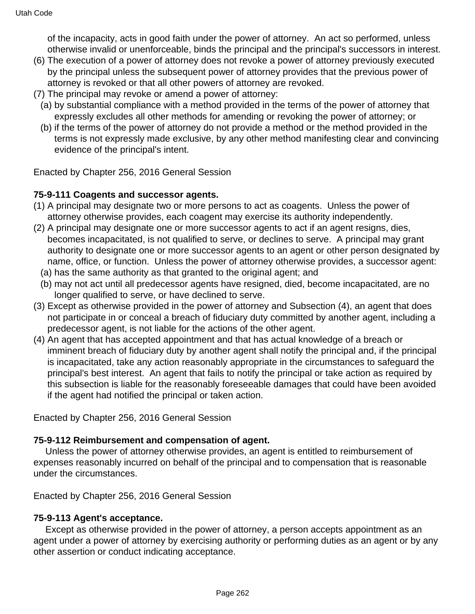of the incapacity, acts in good faith under the power of attorney. An act so performed, unless otherwise invalid or unenforceable, binds the principal and the principal's successors in interest.

- (6) The execution of a power of attorney does not revoke a power of attorney previously executed by the principal unless the subsequent power of attorney provides that the previous power of attorney is revoked or that all other powers of attorney are revoked.
- (7) The principal may revoke or amend a power of attorney:
	- (a) by substantial compliance with a method provided in the terms of the power of attorney that expressly excludes all other methods for amending or revoking the power of attorney; or
	- (b) if the terms of the power of attorney do not provide a method or the method provided in the terms is not expressly made exclusive, by any other method manifesting clear and convincing evidence of the principal's intent.

Enacted by Chapter 256, 2016 General Session

## **75-9-111 Coagents and successor agents.**

- (1) A principal may designate two or more persons to act as coagents. Unless the power of attorney otherwise provides, each coagent may exercise its authority independently.
- (2) A principal may designate one or more successor agents to act if an agent resigns, dies, becomes incapacitated, is not qualified to serve, or declines to serve. A principal may grant authority to designate one or more successor agents to an agent or other person designated by name, office, or function. Unless the power of attorney otherwise provides, a successor agent:
	- (a) has the same authority as that granted to the original agent; and
	- (b) may not act until all predecessor agents have resigned, died, become incapacitated, are no longer qualified to serve, or have declined to serve.
- (3) Except as otherwise provided in the power of attorney and Subsection (4), an agent that does not participate in or conceal a breach of fiduciary duty committed by another agent, including a predecessor agent, is not liable for the actions of the other agent.
- (4) An agent that has accepted appointment and that has actual knowledge of a breach or imminent breach of fiduciary duty by another agent shall notify the principal and, if the principal is incapacitated, take any action reasonably appropriate in the circumstances to safeguard the principal's best interest. An agent that fails to notify the principal or take action as required by this subsection is liable for the reasonably foreseeable damages that could have been avoided if the agent had notified the principal or taken action.

Enacted by Chapter 256, 2016 General Session

## **75-9-112 Reimbursement and compensation of agent.**

 Unless the power of attorney otherwise provides, an agent is entitled to reimbursement of expenses reasonably incurred on behalf of the principal and to compensation that is reasonable under the circumstances.

Enacted by Chapter 256, 2016 General Session

### **75-9-113 Agent's acceptance.**

 Except as otherwise provided in the power of attorney, a person accepts appointment as an agent under a power of attorney by exercising authority or performing duties as an agent or by any other assertion or conduct indicating acceptance.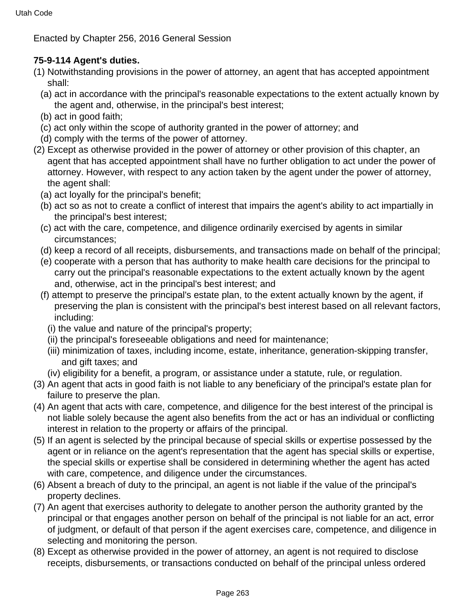## **75-9-114 Agent's duties.**

- (1) Notwithstanding provisions in the power of attorney, an agent that has accepted appointment shall:
	- (a) act in accordance with the principal's reasonable expectations to the extent actually known by the agent and, otherwise, in the principal's best interest;
	- (b) act in good faith;
	- (c) act only within the scope of authority granted in the power of attorney; and
	- (d) comply with the terms of the power of attorney.
- (2) Except as otherwise provided in the power of attorney or other provision of this chapter, an agent that has accepted appointment shall have no further obligation to act under the power of attorney. However, with respect to any action taken by the agent under the power of attorney, the agent shall:
	- (a) act loyally for the principal's benefit;
	- (b) act so as not to create a conflict of interest that impairs the agent's ability to act impartially in the principal's best interest;
	- (c) act with the care, competence, and diligence ordinarily exercised by agents in similar circumstances;
	- (d) keep a record of all receipts, disbursements, and transactions made on behalf of the principal;
	- (e) cooperate with a person that has authority to make health care decisions for the principal to carry out the principal's reasonable expectations to the extent actually known by the agent and, otherwise, act in the principal's best interest; and
	- (f) attempt to preserve the principal's estate plan, to the extent actually known by the agent, if preserving the plan is consistent with the principal's best interest based on all relevant factors, including:
		- (i) the value and nature of the principal's property;
		- (ii) the principal's foreseeable obligations and need for maintenance;
		- (iii) minimization of taxes, including income, estate, inheritance, generation-skipping transfer, and gift taxes; and
		- (iv) eligibility for a benefit, a program, or assistance under a statute, rule, or regulation.
- (3) An agent that acts in good faith is not liable to any beneficiary of the principal's estate plan for failure to preserve the plan.
- (4) An agent that acts with care, competence, and diligence for the best interest of the principal is not liable solely because the agent also benefits from the act or has an individual or conflicting interest in relation to the property or affairs of the principal.
- (5) If an agent is selected by the principal because of special skills or expertise possessed by the agent or in reliance on the agent's representation that the agent has special skills or expertise, the special skills or expertise shall be considered in determining whether the agent has acted with care, competence, and diligence under the circumstances.
- (6) Absent a breach of duty to the principal, an agent is not liable if the value of the principal's property declines.
- (7) An agent that exercises authority to delegate to another person the authority granted by the principal or that engages another person on behalf of the principal is not liable for an act, error of judgment, or default of that person if the agent exercises care, competence, and diligence in selecting and monitoring the person.
- (8) Except as otherwise provided in the power of attorney, an agent is not required to disclose receipts, disbursements, or transactions conducted on behalf of the principal unless ordered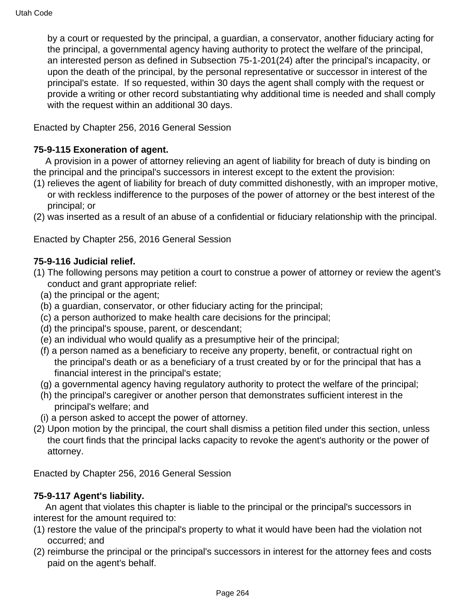by a court or requested by the principal, a guardian, a conservator, another fiduciary acting for the principal, a governmental agency having authority to protect the welfare of the principal, an interested person as defined in Subsection 75-1-201(24) after the principal's incapacity, or upon the death of the principal, by the personal representative or successor in interest of the principal's estate. If so requested, within 30 days the agent shall comply with the request or provide a writing or other record substantiating why additional time is needed and shall comply with the request within an additional 30 days.

Enacted by Chapter 256, 2016 General Session

## **75-9-115 Exoneration of agent.**

 A provision in a power of attorney relieving an agent of liability for breach of duty is binding on the principal and the principal's successors in interest except to the extent the provision:

- (1) relieves the agent of liability for breach of duty committed dishonestly, with an improper motive, or with reckless indifference to the purposes of the power of attorney or the best interest of the principal; or
- (2) was inserted as a result of an abuse of a confidential or fiduciary relationship with the principal.

Enacted by Chapter 256, 2016 General Session

### **75-9-116 Judicial relief.**

- (1) The following persons may petition a court to construe a power of attorney or review the agent's conduct and grant appropriate relief:
	- (a) the principal or the agent;
	- (b) a guardian, conservator, or other fiduciary acting for the principal;
	- (c) a person authorized to make health care decisions for the principal;
	- (d) the principal's spouse, parent, or descendant;
	- (e) an individual who would qualify as a presumptive heir of the principal;
	- (f) a person named as a beneficiary to receive any property, benefit, or contractual right on the principal's death or as a beneficiary of a trust created by or for the principal that has a financial interest in the principal's estate;
	- (g) a governmental agency having regulatory authority to protect the welfare of the principal;
	- (h) the principal's caregiver or another person that demonstrates sufficient interest in the principal's welfare; and
	- (i) a person asked to accept the power of attorney.
- (2) Upon motion by the principal, the court shall dismiss a petition filed under this section, unless the court finds that the principal lacks capacity to revoke the agent's authority or the power of attorney.

Enacted by Chapter 256, 2016 General Session

### **75-9-117 Agent's liability.**

 An agent that violates this chapter is liable to the principal or the principal's successors in interest for the amount required to:

- (1) restore the value of the principal's property to what it would have been had the violation not occurred; and
- (2) reimburse the principal or the principal's successors in interest for the attorney fees and costs paid on the agent's behalf.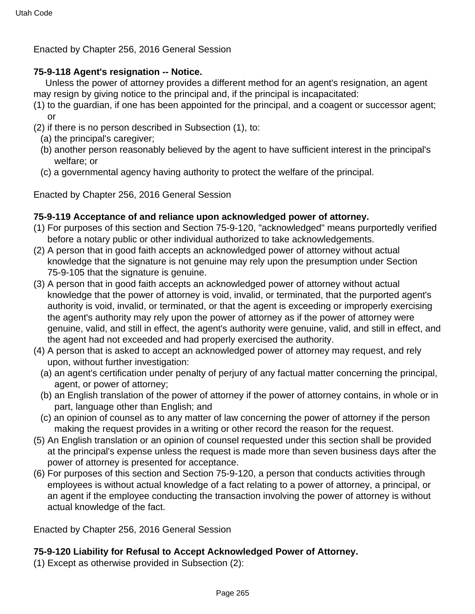### **75-9-118 Agent's resignation -- Notice.**

 Unless the power of attorney provides a different method for an agent's resignation, an agent may resign by giving notice to the principal and, if the principal is incapacitated:

- (1) to the guardian, if one has been appointed for the principal, and a coagent or successor agent; or
- (2) if there is no person described in Subsection (1), to:
	- (a) the principal's caregiver;
	- (b) another person reasonably believed by the agent to have sufficient interest in the principal's welfare; or
	- (c) a governmental agency having authority to protect the welfare of the principal.

Enacted by Chapter 256, 2016 General Session

### **75-9-119 Acceptance of and reliance upon acknowledged power of attorney.**

- (1) For purposes of this section and Section 75-9-120, "acknowledged" means purportedly verified before a notary public or other individual authorized to take acknowledgements.
- (2) A person that in good faith accepts an acknowledged power of attorney without actual knowledge that the signature is not genuine may rely upon the presumption under Section 75-9-105 that the signature is genuine.
- (3) A person that in good faith accepts an acknowledged power of attorney without actual knowledge that the power of attorney is void, invalid, or terminated, that the purported agent's authority is void, invalid, or terminated, or that the agent is exceeding or improperly exercising the agent's authority may rely upon the power of attorney as if the power of attorney were genuine, valid, and still in effect, the agent's authority were genuine, valid, and still in effect, and the agent had not exceeded and had properly exercised the authority.
- (4) A person that is asked to accept an acknowledged power of attorney may request, and rely upon, without further investigation:
	- (a) an agent's certification under penalty of perjury of any factual matter concerning the principal, agent, or power of attorney;
	- (b) an English translation of the power of attorney if the power of attorney contains, in whole or in part, language other than English; and
	- (c) an opinion of counsel as to any matter of law concerning the power of attorney if the person making the request provides in a writing or other record the reason for the request.
- (5) An English translation or an opinion of counsel requested under this section shall be provided at the principal's expense unless the request is made more than seven business days after the power of attorney is presented for acceptance.
- (6) For purposes of this section and Section 75-9-120, a person that conducts activities through employees is without actual knowledge of a fact relating to a power of attorney, a principal, or an agent if the employee conducting the transaction involving the power of attorney is without actual knowledge of the fact.

Enacted by Chapter 256, 2016 General Session

### **75-9-120 Liability for Refusal to Accept Acknowledged Power of Attorney.**

(1) Except as otherwise provided in Subsection (2):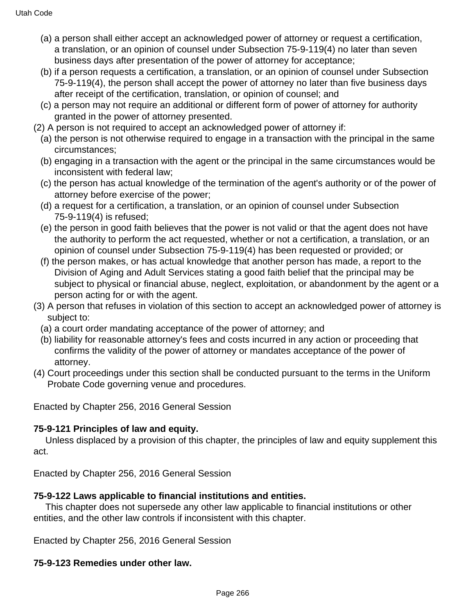- (a) a person shall either accept an acknowledged power of attorney or request a certification, a translation, or an opinion of counsel under Subsection 75-9-119(4) no later than seven business days after presentation of the power of attorney for acceptance;
- (b) if a person requests a certification, a translation, or an opinion of counsel under Subsection 75-9-119(4), the person shall accept the power of attorney no later than five business days after receipt of the certification, translation, or opinion of counsel; and
- (c) a person may not require an additional or different form of power of attorney for authority granted in the power of attorney presented.
- (2) A person is not required to accept an acknowledged power of attorney if:
	- (a) the person is not otherwise required to engage in a transaction with the principal in the same circumstances;
	- (b) engaging in a transaction with the agent or the principal in the same circumstances would be inconsistent with federal law;
	- (c) the person has actual knowledge of the termination of the agent's authority or of the power of attorney before exercise of the power;
	- (d) a request for a certification, a translation, or an opinion of counsel under Subsection 75-9-119(4) is refused;
	- (e) the person in good faith believes that the power is not valid or that the agent does not have the authority to perform the act requested, whether or not a certification, a translation, or an opinion of counsel under Subsection 75-9-119(4) has been requested or provided; or
	- (f) the person makes, or has actual knowledge that another person has made, a report to the Division of Aging and Adult Services stating a good faith belief that the principal may be subject to physical or financial abuse, neglect, exploitation, or abandonment by the agent or a person acting for or with the agent.
- (3) A person that refuses in violation of this section to accept an acknowledged power of attorney is subject to:
	- (a) a court order mandating acceptance of the power of attorney; and
	- (b) liability for reasonable attorney's fees and costs incurred in any action or proceeding that confirms the validity of the power of attorney or mandates acceptance of the power of attorney.
- (4) Court proceedings under this section shall be conducted pursuant to the terms in the Uniform Probate Code governing venue and procedures.

### **75-9-121 Principles of law and equity.**

 Unless displaced by a provision of this chapter, the principles of law and equity supplement this act.

Enacted by Chapter 256, 2016 General Session

### **75-9-122 Laws applicable to financial institutions and entities.**

 This chapter does not supersede any other law applicable to financial institutions or other entities, and the other law controls if inconsistent with this chapter.

Enacted by Chapter 256, 2016 General Session

### **75-9-123 Remedies under other law.**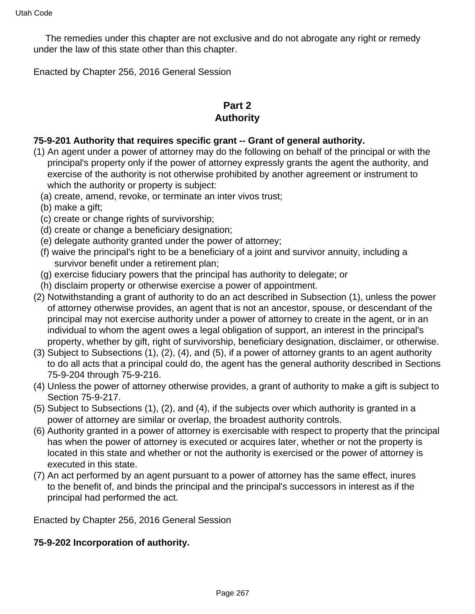The remedies under this chapter are not exclusive and do not abrogate any right or remedy under the law of this state other than this chapter.

Enacted by Chapter 256, 2016 General Session

# **Part 2 Authority**

### **75-9-201 Authority that requires specific grant -- Grant of general authority.**

- (1) An agent under a power of attorney may do the following on behalf of the principal or with the principal's property only if the power of attorney expressly grants the agent the authority, and exercise of the authority is not otherwise prohibited by another agreement or instrument to which the authority or property is subject:
	- (a) create, amend, revoke, or terminate an inter vivos trust;
	- (b) make a gift;
	- (c) create or change rights of survivorship;
	- (d) create or change a beneficiary designation;
	- (e) delegate authority granted under the power of attorney;
	- (f) waive the principal's right to be a beneficiary of a joint and survivor annuity, including a survivor benefit under a retirement plan;
	- (g) exercise fiduciary powers that the principal has authority to delegate; or
	- (h) disclaim property or otherwise exercise a power of appointment.
- (2) Notwithstanding a grant of authority to do an act described in Subsection (1), unless the power of attorney otherwise provides, an agent that is not an ancestor, spouse, or descendant of the principal may not exercise authority under a power of attorney to create in the agent, or in an individual to whom the agent owes a legal obligation of support, an interest in the principal's property, whether by gift, right of survivorship, beneficiary designation, disclaimer, or otherwise.
- (3) Subject to Subsections (1), (2), (4), and (5), if a power of attorney grants to an agent authority to do all acts that a principal could do, the agent has the general authority described in Sections 75-9-204 through 75-9-216.
- (4) Unless the power of attorney otherwise provides, a grant of authority to make a gift is subject to Section 75-9-217.
- (5) Subject to Subsections (1), (2), and (4), if the subjects over which authority is granted in a power of attorney are similar or overlap, the broadest authority controls.
- (6) Authority granted in a power of attorney is exercisable with respect to property that the principal has when the power of attorney is executed or acquires later, whether or not the property is located in this state and whether or not the authority is exercised or the power of attorney is executed in this state.
- (7) An act performed by an agent pursuant to a power of attorney has the same effect, inures to the benefit of, and binds the principal and the principal's successors in interest as if the principal had performed the act.

Enacted by Chapter 256, 2016 General Session

### **75-9-202 Incorporation of authority.**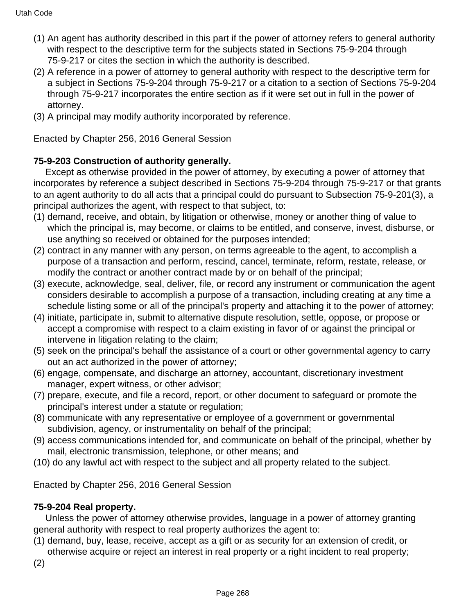- (1) An agent has authority described in this part if the power of attorney refers to general authority with respect to the descriptive term for the subjects stated in Sections 75-9-204 through 75-9-217 or cites the section in which the authority is described.
- (2) A reference in a power of attorney to general authority with respect to the descriptive term for a subject in Sections 75-9-204 through 75-9-217 or a citation to a section of Sections 75-9-204 through 75-9-217 incorporates the entire section as if it were set out in full in the power of attorney.
- (3) A principal may modify authority incorporated by reference.

## **75-9-203 Construction of authority generally.**

 Except as otherwise provided in the power of attorney, by executing a power of attorney that incorporates by reference a subject described in Sections 75-9-204 through 75-9-217 or that grants to an agent authority to do all acts that a principal could do pursuant to Subsection 75-9-201(3), a principal authorizes the agent, with respect to that subject, to:

- (1) demand, receive, and obtain, by litigation or otherwise, money or another thing of value to which the principal is, may become, or claims to be entitled, and conserve, invest, disburse, or use anything so received or obtained for the purposes intended;
- (2) contract in any manner with any person, on terms agreeable to the agent, to accomplish a purpose of a transaction and perform, rescind, cancel, terminate, reform, restate, release, or modify the contract or another contract made by or on behalf of the principal;
- (3) execute, acknowledge, seal, deliver, file, or record any instrument or communication the agent considers desirable to accomplish a purpose of a transaction, including creating at any time a schedule listing some or all of the principal's property and attaching it to the power of attorney;
- (4) initiate, participate in, submit to alternative dispute resolution, settle, oppose, or propose or accept a compromise with respect to a claim existing in favor of or against the principal or intervene in litigation relating to the claim;
- (5) seek on the principal's behalf the assistance of a court or other governmental agency to carry out an act authorized in the power of attorney;
- (6) engage, compensate, and discharge an attorney, accountant, discretionary investment manager, expert witness, or other advisor;
- (7) prepare, execute, and file a record, report, or other document to safeguard or promote the principal's interest under a statute or regulation;
- (8) communicate with any representative or employee of a government or governmental subdivision, agency, or instrumentality on behalf of the principal;
- (9) access communications intended for, and communicate on behalf of the principal, whether by mail, electronic transmission, telephone, or other means; and
- (10) do any lawful act with respect to the subject and all property related to the subject.

Enacted by Chapter 256, 2016 General Session

## **75-9-204 Real property.**

 Unless the power of attorney otherwise provides, language in a power of attorney granting general authority with respect to real property authorizes the agent to:

(1) demand, buy, lease, receive, accept as a gift or as security for an extension of credit, or otherwise acquire or reject an interest in real property or a right incident to real property;

(2)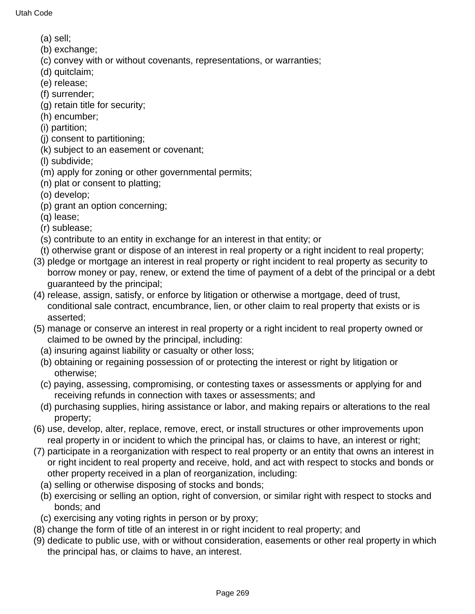- (a) sell;
- (b) exchange;
- (c) convey with or without covenants, representations, or warranties;
- (d) quitclaim;
- (e) release;
- (f) surrender;
- (g) retain title for security;
- (h) encumber;
- (i) partition;
- (j) consent to partitioning;
- (k) subject to an easement or covenant;
- (l) subdivide;
- (m) apply for zoning or other governmental permits;
- (n) plat or consent to platting;
- (o) develop;
- (p) grant an option concerning;
- (q) lease;
- (r) sublease;
- (s) contribute to an entity in exchange for an interest in that entity; or
- (t) otherwise grant or dispose of an interest in real property or a right incident to real property;
- (3) pledge or mortgage an interest in real property or right incident to real property as security to borrow money or pay, renew, or extend the time of payment of a debt of the principal or a debt guaranteed by the principal;
- (4) release, assign, satisfy, or enforce by litigation or otherwise a mortgage, deed of trust, conditional sale contract, encumbrance, lien, or other claim to real property that exists or is asserted;
- (5) manage or conserve an interest in real property or a right incident to real property owned or claimed to be owned by the principal, including:
	- (a) insuring against liability or casualty or other loss;
	- (b) obtaining or regaining possession of or protecting the interest or right by litigation or otherwise;
	- (c) paying, assessing, compromising, or contesting taxes or assessments or applying for and receiving refunds in connection with taxes or assessments; and
	- (d) purchasing supplies, hiring assistance or labor, and making repairs or alterations to the real property;
- (6) use, develop, alter, replace, remove, erect, or install structures or other improvements upon real property in or incident to which the principal has, or claims to have, an interest or right;
- (7) participate in a reorganization with respect to real property or an entity that owns an interest in or right incident to real property and receive, hold, and act with respect to stocks and bonds or other property received in a plan of reorganization, including:
	- (a) selling or otherwise disposing of stocks and bonds;
	- (b) exercising or selling an option, right of conversion, or similar right with respect to stocks and bonds; and
	- (c) exercising any voting rights in person or by proxy;
- (8) change the form of title of an interest in or right incident to real property; and
- (9) dedicate to public use, with or without consideration, easements or other real property in which the principal has, or claims to have, an interest.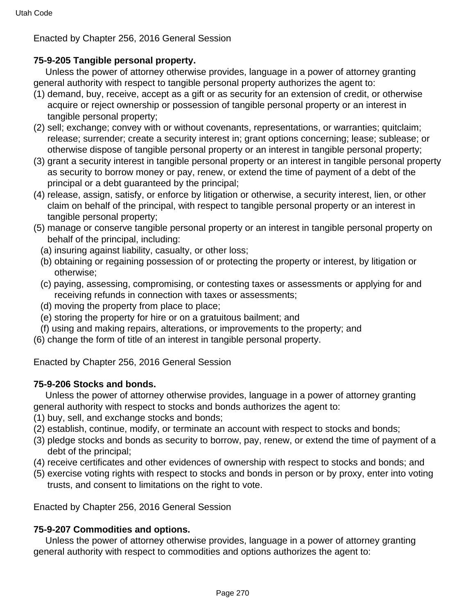## **75-9-205 Tangible personal property.**

 Unless the power of attorney otherwise provides, language in a power of attorney granting general authority with respect to tangible personal property authorizes the agent to:

- (1) demand, buy, receive, accept as a gift or as security for an extension of credit, or otherwise acquire or reject ownership or possession of tangible personal property or an interest in tangible personal property;
- (2) sell; exchange; convey with or without covenants, representations, or warranties; quitclaim; release; surrender; create a security interest in; grant options concerning; lease; sublease; or otherwise dispose of tangible personal property or an interest in tangible personal property;
- (3) grant a security interest in tangible personal property or an interest in tangible personal property as security to borrow money or pay, renew, or extend the time of payment of a debt of the principal or a debt guaranteed by the principal;
- (4) release, assign, satisfy, or enforce by litigation or otherwise, a security interest, lien, or other claim on behalf of the principal, with respect to tangible personal property or an interest in tangible personal property;
- (5) manage or conserve tangible personal property or an interest in tangible personal property on behalf of the principal, including:
	- (a) insuring against liability, casualty, or other loss;
	- (b) obtaining or regaining possession of or protecting the property or interest, by litigation or otherwise;
	- (c) paying, assessing, compromising, or contesting taxes or assessments or applying for and receiving refunds in connection with taxes or assessments;
	- (d) moving the property from place to place;
	- (e) storing the property for hire or on a gratuitous bailment; and
	- (f) using and making repairs, alterations, or improvements to the property; and
- (6) change the form of title of an interest in tangible personal property.

Enacted by Chapter 256, 2016 General Session

## **75-9-206 Stocks and bonds.**

 Unless the power of attorney otherwise provides, language in a power of attorney granting general authority with respect to stocks and bonds authorizes the agent to:

- (1) buy, sell, and exchange stocks and bonds;
- (2) establish, continue, modify, or terminate an account with respect to stocks and bonds;
- (3) pledge stocks and bonds as security to borrow, pay, renew, or extend the time of payment of a debt of the principal;
- (4) receive certificates and other evidences of ownership with respect to stocks and bonds; and
- (5) exercise voting rights with respect to stocks and bonds in person or by proxy, enter into voting trusts, and consent to limitations on the right to vote.

Enacted by Chapter 256, 2016 General Session

## **75-9-207 Commodities and options.**

 Unless the power of attorney otherwise provides, language in a power of attorney granting general authority with respect to commodities and options authorizes the agent to: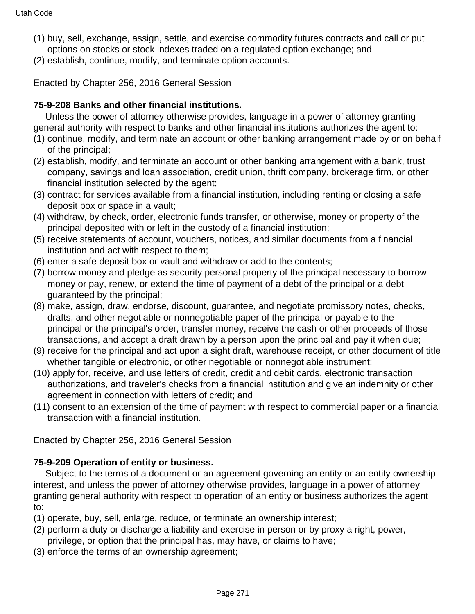- (1) buy, sell, exchange, assign, settle, and exercise commodity futures contracts and call or put options on stocks or stock indexes traded on a regulated option exchange; and
- (2) establish, continue, modify, and terminate option accounts.

### **75-9-208 Banks and other financial institutions.**

 Unless the power of attorney otherwise provides, language in a power of attorney granting general authority with respect to banks and other financial institutions authorizes the agent to:

- (1) continue, modify, and terminate an account or other banking arrangement made by or on behalf of the principal;
- (2) establish, modify, and terminate an account or other banking arrangement with a bank, trust company, savings and loan association, credit union, thrift company, brokerage firm, or other financial institution selected by the agent;
- (3) contract for services available from a financial institution, including renting or closing a safe deposit box or space in a vault;
- (4) withdraw, by check, order, electronic funds transfer, or otherwise, money or property of the principal deposited with or left in the custody of a financial institution;
- (5) receive statements of account, vouchers, notices, and similar documents from a financial institution and act with respect to them;
- (6) enter a safe deposit box or vault and withdraw or add to the contents;
- (7) borrow money and pledge as security personal property of the principal necessary to borrow money or pay, renew, or extend the time of payment of a debt of the principal or a debt guaranteed by the principal;
- (8) make, assign, draw, endorse, discount, guarantee, and negotiate promissory notes, checks, drafts, and other negotiable or nonnegotiable paper of the principal or payable to the principal or the principal's order, transfer money, receive the cash or other proceeds of those transactions, and accept a draft drawn by a person upon the principal and pay it when due;
- (9) receive for the principal and act upon a sight draft, warehouse receipt, or other document of title whether tangible or electronic, or other negotiable or nonnegotiable instrument;
- (10) apply for, receive, and use letters of credit, credit and debit cards, electronic transaction authorizations, and traveler's checks from a financial institution and give an indemnity or other agreement in connection with letters of credit; and
- (11) consent to an extension of the time of payment with respect to commercial paper or a financial transaction with a financial institution.

Enacted by Chapter 256, 2016 General Session

## **75-9-209 Operation of entity or business.**

 Subject to the terms of a document or an agreement governing an entity or an entity ownership interest, and unless the power of attorney otherwise provides, language in a power of attorney granting general authority with respect to operation of an entity or business authorizes the agent to:

- (1) operate, buy, sell, enlarge, reduce, or terminate an ownership interest;
- (2) perform a duty or discharge a liability and exercise in person or by proxy a right, power, privilege, or option that the principal has, may have, or claims to have;
- (3) enforce the terms of an ownership agreement;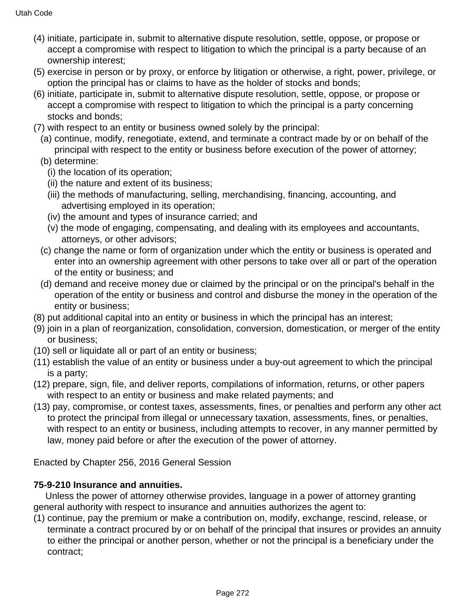- (4) initiate, participate in, submit to alternative dispute resolution, settle, oppose, or propose or accept a compromise with respect to litigation to which the principal is a party because of an ownership interest;
- (5) exercise in person or by proxy, or enforce by litigation or otherwise, a right, power, privilege, or option the principal has or claims to have as the holder of stocks and bonds;
- (6) initiate, participate in, submit to alternative dispute resolution, settle, oppose, or propose or accept a compromise with respect to litigation to which the principal is a party concerning stocks and bonds;
- (7) with respect to an entity or business owned solely by the principal:
	- (a) continue, modify, renegotiate, extend, and terminate a contract made by or on behalf of the principal with respect to the entity or business before execution of the power of attorney;
	- (b) determine:
		- (i) the location of its operation;
		- (ii) the nature and extent of its business;
		- (iii) the methods of manufacturing, selling, merchandising, financing, accounting, and advertising employed in its operation;
		- (iv) the amount and types of insurance carried; and
		- (v) the mode of engaging, compensating, and dealing with its employees and accountants, attorneys, or other advisors;
	- (c) change the name or form of organization under which the entity or business is operated and enter into an ownership agreement with other persons to take over all or part of the operation of the entity or business; and
	- (d) demand and receive money due or claimed by the principal or on the principal's behalf in the operation of the entity or business and control and disburse the money in the operation of the entity or business;
- (8) put additional capital into an entity or business in which the principal has an interest;
- (9) join in a plan of reorganization, consolidation, conversion, domestication, or merger of the entity or business;
- (10) sell or liquidate all or part of an entity or business;
- (11) establish the value of an entity or business under a buy-out agreement to which the principal is a party;
- (12) prepare, sign, file, and deliver reports, compilations of information, returns, or other papers with respect to an entity or business and make related payments; and
- (13) pay, compromise, or contest taxes, assessments, fines, or penalties and perform any other act to protect the principal from illegal or unnecessary taxation, assessments, fines, or penalties, with respect to an entity or business, including attempts to recover, in any manner permitted by law, money paid before or after the execution of the power of attorney.

# **75-9-210 Insurance and annuities.**

 Unless the power of attorney otherwise provides, language in a power of attorney granting general authority with respect to insurance and annuities authorizes the agent to:

(1) continue, pay the premium or make a contribution on, modify, exchange, rescind, release, or terminate a contract procured by or on behalf of the principal that insures or provides an annuity to either the principal or another person, whether or not the principal is a beneficiary under the contract;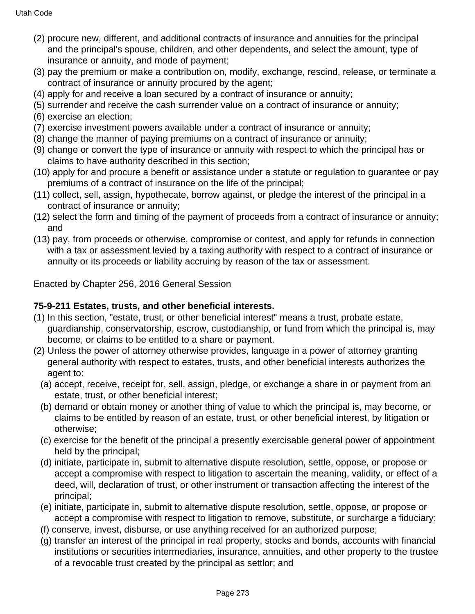- (2) procure new, different, and additional contracts of insurance and annuities for the principal and the principal's spouse, children, and other dependents, and select the amount, type of insurance or annuity, and mode of payment;
- (3) pay the premium or make a contribution on, modify, exchange, rescind, release, or terminate a contract of insurance or annuity procured by the agent;
- (4) apply for and receive a loan secured by a contract of insurance or annuity;
- (5) surrender and receive the cash surrender value on a contract of insurance or annuity;
- (6) exercise an election;
- (7) exercise investment powers available under a contract of insurance or annuity;
- (8) change the manner of paying premiums on a contract of insurance or annuity;
- (9) change or convert the type of insurance or annuity with respect to which the principal has or claims to have authority described in this section;
- (10) apply for and procure a benefit or assistance under a statute or regulation to guarantee or pay premiums of a contract of insurance on the life of the principal;
- (11) collect, sell, assign, hypothecate, borrow against, or pledge the interest of the principal in a contract of insurance or annuity;
- (12) select the form and timing of the payment of proceeds from a contract of insurance or annuity; and
- (13) pay, from proceeds or otherwise, compromise or contest, and apply for refunds in connection with a tax or assessment levied by a taxing authority with respect to a contract of insurance or annuity or its proceeds or liability accruing by reason of the tax or assessment.

### **75-9-211 Estates, trusts, and other beneficial interests.**

- (1) In this section, "estate, trust, or other beneficial interest" means a trust, probate estate, guardianship, conservatorship, escrow, custodianship, or fund from which the principal is, may become, or claims to be entitled to a share or payment.
- (2) Unless the power of attorney otherwise provides, language in a power of attorney granting general authority with respect to estates, trusts, and other beneficial interests authorizes the agent to:
	- (a) accept, receive, receipt for, sell, assign, pledge, or exchange a share in or payment from an estate, trust, or other beneficial interest;
	- (b) demand or obtain money or another thing of value to which the principal is, may become, or claims to be entitled by reason of an estate, trust, or other beneficial interest, by litigation or otherwise;
	- (c) exercise for the benefit of the principal a presently exercisable general power of appointment held by the principal;
	- (d) initiate, participate in, submit to alternative dispute resolution, settle, oppose, or propose or accept a compromise with respect to litigation to ascertain the meaning, validity, or effect of a deed, will, declaration of trust, or other instrument or transaction affecting the interest of the principal;
	- (e) initiate, participate in, submit to alternative dispute resolution, settle, oppose, or propose or accept a compromise with respect to litigation to remove, substitute, or surcharge a fiduciary;
	- (f) conserve, invest, disburse, or use anything received for an authorized purpose;
	- (g) transfer an interest of the principal in real property, stocks and bonds, accounts with financial institutions or securities intermediaries, insurance, annuities, and other property to the trustee of a revocable trust created by the principal as settlor; and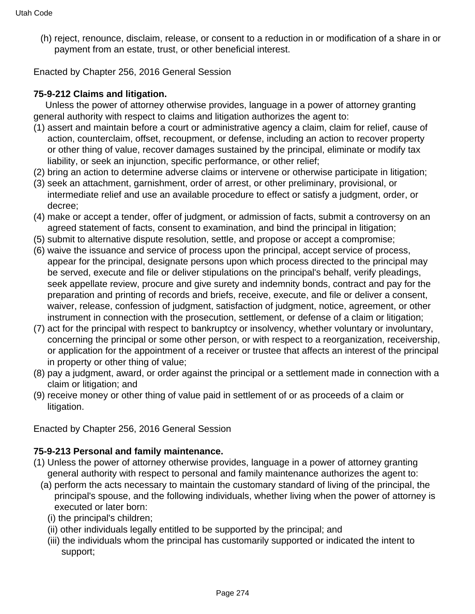(h) reject, renounce, disclaim, release, or consent to a reduction in or modification of a share in or payment from an estate, trust, or other beneficial interest.

Enacted by Chapter 256, 2016 General Session

# **75-9-212 Claims and litigation.**

 Unless the power of attorney otherwise provides, language in a power of attorney granting general authority with respect to claims and litigation authorizes the agent to:

- (1) assert and maintain before a court or administrative agency a claim, claim for relief, cause of action, counterclaim, offset, recoupment, or defense, including an action to recover property or other thing of value, recover damages sustained by the principal, eliminate or modify tax liability, or seek an injunction, specific performance, or other relief;
- (2) bring an action to determine adverse claims or intervene or otherwise participate in litigation;
- (3) seek an attachment, garnishment, order of arrest, or other preliminary, provisional, or intermediate relief and use an available procedure to effect or satisfy a judgment, order, or decree;
- (4) make or accept a tender, offer of judgment, or admission of facts, submit a controversy on an agreed statement of facts, consent to examination, and bind the principal in litigation;
- (5) submit to alternative dispute resolution, settle, and propose or accept a compromise;
- (6) waive the issuance and service of process upon the principal, accept service of process, appear for the principal, designate persons upon which process directed to the principal may be served, execute and file or deliver stipulations on the principal's behalf, verify pleadings, seek appellate review, procure and give surety and indemnity bonds, contract and pay for the preparation and printing of records and briefs, receive, execute, and file or deliver a consent, waiver, release, confession of judgment, satisfaction of judgment, notice, agreement, or other instrument in connection with the prosecution, settlement, or defense of a claim or litigation;
- (7) act for the principal with respect to bankruptcy or insolvency, whether voluntary or involuntary, concerning the principal or some other person, or with respect to a reorganization, receivership, or application for the appointment of a receiver or trustee that affects an interest of the principal in property or other thing of value;
- (8) pay a judgment, award, or order against the principal or a settlement made in connection with a claim or litigation; and
- (9) receive money or other thing of value paid in settlement of or as proceeds of a claim or litigation.

Enacted by Chapter 256, 2016 General Session

## **75-9-213 Personal and family maintenance.**

- (1) Unless the power of attorney otherwise provides, language in a power of attorney granting general authority with respect to personal and family maintenance authorizes the agent to:
	- (a) perform the acts necessary to maintain the customary standard of living of the principal, the principal's spouse, and the following individuals, whether living when the power of attorney is executed or later born:
		- (i) the principal's children;
		- (ii) other individuals legally entitled to be supported by the principal; and
		- (iii) the individuals whom the principal has customarily supported or indicated the intent to support;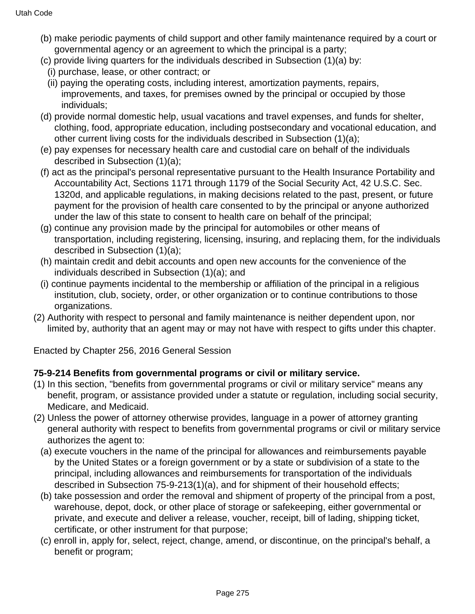- (b) make periodic payments of child support and other family maintenance required by a court or governmental agency or an agreement to which the principal is a party;
- (c) provide living quarters for the individuals described in Subsection (1)(a) by:
- (i) purchase, lease, or other contract; or
- (ii) paying the operating costs, including interest, amortization payments, repairs, improvements, and taxes, for premises owned by the principal or occupied by those individuals;
- (d) provide normal domestic help, usual vacations and travel expenses, and funds for shelter, clothing, food, appropriate education, including postsecondary and vocational education, and other current living costs for the individuals described in Subsection (1)(a);
- (e) pay expenses for necessary health care and custodial care on behalf of the individuals described in Subsection (1)(a);
- (f) act as the principal's personal representative pursuant to the Health Insurance Portability and Accountability Act, Sections 1171 through 1179 of the Social Security Act, 42 U.S.C. Sec. 1320d, and applicable regulations, in making decisions related to the past, present, or future payment for the provision of health care consented to by the principal or anyone authorized under the law of this state to consent to health care on behalf of the principal;
- (g) continue any provision made by the principal for automobiles or other means of transportation, including registering, licensing, insuring, and replacing them, for the individuals described in Subsection (1)(a);
- (h) maintain credit and debit accounts and open new accounts for the convenience of the individuals described in Subsection (1)(a); and
- (i) continue payments incidental to the membership or affiliation of the principal in a religious institution, club, society, order, or other organization or to continue contributions to those organizations.
- (2) Authority with respect to personal and family maintenance is neither dependent upon, nor limited by, authority that an agent may or may not have with respect to gifts under this chapter.

# **75-9-214 Benefits from governmental programs or civil or military service.**

- (1) In this section, "benefits from governmental programs or civil or military service" means any benefit, program, or assistance provided under a statute or regulation, including social security, Medicare, and Medicaid.
- (2) Unless the power of attorney otherwise provides, language in a power of attorney granting general authority with respect to benefits from governmental programs or civil or military service authorizes the agent to:
	- (a) execute vouchers in the name of the principal for allowances and reimbursements payable by the United States or a foreign government or by a state or subdivision of a state to the principal, including allowances and reimbursements for transportation of the individuals described in Subsection 75-9-213(1)(a), and for shipment of their household effects;
	- (b) take possession and order the removal and shipment of property of the principal from a post, warehouse, depot, dock, or other place of storage or safekeeping, either governmental or private, and execute and deliver a release, voucher, receipt, bill of lading, shipping ticket, certificate, or other instrument for that purpose;
	- (c) enroll in, apply for, select, reject, change, amend, or discontinue, on the principal's behalf, a benefit or program;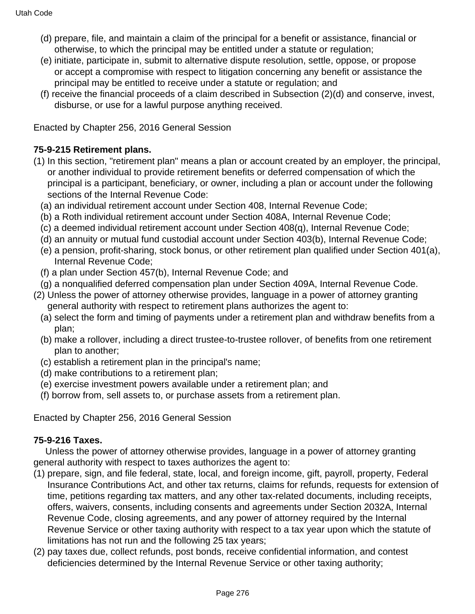- (d) prepare, file, and maintain a claim of the principal for a benefit or assistance, financial or otherwise, to which the principal may be entitled under a statute or regulation;
- (e) initiate, participate in, submit to alternative dispute resolution, settle, oppose, or propose or accept a compromise with respect to litigation concerning any benefit or assistance the principal may be entitled to receive under a statute or regulation; and
- (f) receive the financial proceeds of a claim described in Subsection (2)(d) and conserve, invest, disburse, or use for a lawful purpose anything received.

### **75-9-215 Retirement plans.**

- (1) In this section, "retirement plan" means a plan or account created by an employer, the principal, or another individual to provide retirement benefits or deferred compensation of which the principal is a participant, beneficiary, or owner, including a plan or account under the following sections of the Internal Revenue Code:
	- (a) an individual retirement account under Section 408, Internal Revenue Code;
	- (b) a Roth individual retirement account under Section 408A, Internal Revenue Code;
	- (c) a deemed individual retirement account under Section 408(q), Internal Revenue Code;
	- (d) an annuity or mutual fund custodial account under Section 403(b), Internal Revenue Code;
	- (e) a pension, profit-sharing, stock bonus, or other retirement plan qualified under Section 401(a), Internal Revenue Code;
	- (f) a plan under Section 457(b), Internal Revenue Code; and
- (g) a nonqualified deferred compensation plan under Section 409A, Internal Revenue Code.
- (2) Unless the power of attorney otherwise provides, language in a power of attorney granting general authority with respect to retirement plans authorizes the agent to:
	- (a) select the form and timing of payments under a retirement plan and withdraw benefits from a plan;
	- (b) make a rollover, including a direct trustee-to-trustee rollover, of benefits from one retirement plan to another;
	- (c) establish a retirement plan in the principal's name;
	- (d) make contributions to a retirement plan;
	- (e) exercise investment powers available under a retirement plan; and
	- (f) borrow from, sell assets to, or purchase assets from a retirement plan.

Enacted by Chapter 256, 2016 General Session

### **75-9-216 Taxes.**

 Unless the power of attorney otherwise provides, language in a power of attorney granting general authority with respect to taxes authorizes the agent to:

- (1) prepare, sign, and file federal, state, local, and foreign income, gift, payroll, property, Federal Insurance Contributions Act, and other tax returns, claims for refunds, requests for extension of time, petitions regarding tax matters, and any other tax-related documents, including receipts, offers, waivers, consents, including consents and agreements under Section 2032A, Internal Revenue Code, closing agreements, and any power of attorney required by the Internal Revenue Service or other taxing authority with respect to a tax year upon which the statute of limitations has not run and the following 25 tax years;
- (2) pay taxes due, collect refunds, post bonds, receive confidential information, and contest deficiencies determined by the Internal Revenue Service or other taxing authority;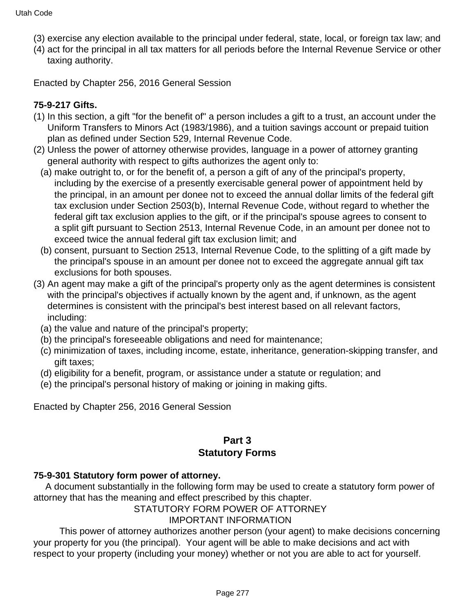- (3) exercise any election available to the principal under federal, state, local, or foreign tax law; and
- (4) act for the principal in all tax matters for all periods before the Internal Revenue Service or other taxing authority.

### **75-9-217 Gifts.**

- (1) In this section, a gift "for the benefit of" a person includes a gift to a trust, an account under the Uniform Transfers to Minors Act (1983/1986), and a tuition savings account or prepaid tuition plan as defined under Section 529, Internal Revenue Code.
- (2) Unless the power of attorney otherwise provides, language in a power of attorney granting general authority with respect to gifts authorizes the agent only to:
	- (a) make outright to, or for the benefit of, a person a gift of any of the principal's property, including by the exercise of a presently exercisable general power of appointment held by the principal, in an amount per donee not to exceed the annual dollar limits of the federal gift tax exclusion under Section 2503(b), Internal Revenue Code, without regard to whether the federal gift tax exclusion applies to the gift, or if the principal's spouse agrees to consent to a split gift pursuant to Section 2513, Internal Revenue Code, in an amount per donee not to exceed twice the annual federal gift tax exclusion limit; and
	- (b) consent, pursuant to Section 2513, Internal Revenue Code, to the splitting of a gift made by the principal's spouse in an amount per donee not to exceed the aggregate annual gift tax exclusions for both spouses.
- (3) An agent may make a gift of the principal's property only as the agent determines is consistent with the principal's objectives if actually known by the agent and, if unknown, as the agent determines is consistent with the principal's best interest based on all relevant factors, including:
	- (a) the value and nature of the principal's property;
	- (b) the principal's foreseeable obligations and need for maintenance;
	- (c) minimization of taxes, including income, estate, inheritance, generation-skipping transfer, and gift taxes;
	- (d) eligibility for a benefit, program, or assistance under a statute or regulation; and
	- (e) the principal's personal history of making or joining in making gifts.

Enacted by Chapter 256, 2016 General Session

### **Part 3 Statutory Forms**

### **75-9-301 Statutory form power of attorney.**

 A document substantially in the following form may be used to create a statutory form power of attorney that has the meaning and effect prescribed by this chapter.

STATUTORY FORM POWER OF ATTORNEY

## IMPORTANT INFORMATION

 This power of attorney authorizes another person (your agent) to make decisions concerning your property for you (the principal). Your agent will be able to make decisions and act with respect to your property (including your money) whether or not you are able to act for yourself.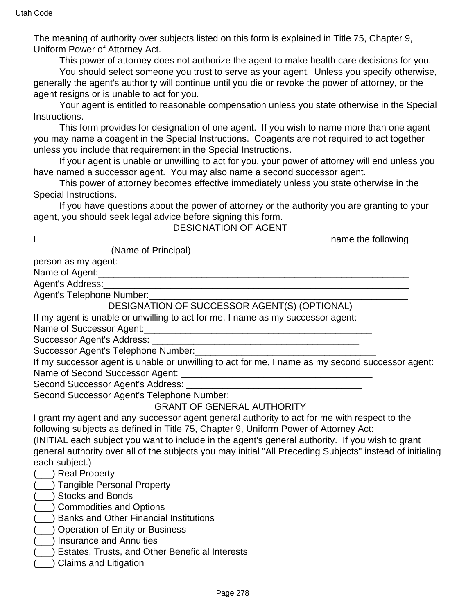The meaning of authority over subjects listed on this form is explained in Title 75, Chapter 9, Uniform Power of Attorney Act.

 This power of attorney does not authorize the agent to make health care decisions for you. You should select someone you trust to serve as your agent. Unless you specify otherwise, generally the agent's authority will continue until you die or revoke the power of attorney, or the agent resigns or is unable to act for you.

 Your agent is entitled to reasonable compensation unless you state otherwise in the Special Instructions.

 This form provides for designation of one agent. If you wish to name more than one agent you may name a coagent in the Special Instructions. Coagents are not required to act together unless you include that requirement in the Special Instructions.

 If your agent is unable or unwilling to act for you, your power of attorney will end unless you have named a successor agent. You may also name a second successor agent.

 This power of attorney becomes effective immediately unless you state otherwise in the Special Instructions.

 If you have questions about the power of attorney or the authority you are granting to your agent, you should seek legal advice before signing this form.

| <b>DESIGNATION OF AGENT</b>                                                                                                                                                                                   |  |
|---------------------------------------------------------------------------------------------------------------------------------------------------------------------------------------------------------------|--|
| name the following                                                                                                                                                                                            |  |
| (Name of Principal)                                                                                                                                                                                           |  |
| person as my agent:                                                                                                                                                                                           |  |
| Name of Agent: Name of Agent:                                                                                                                                                                                 |  |
|                                                                                                                                                                                                               |  |
| Agent's Telephone Number:                                                                                                                                                                                     |  |
| DESIGNATION OF SUCCESSOR AGENT(S) (OPTIONAL)                                                                                                                                                                  |  |
| If my agent is unable or unwilling to act for me, I name as my successor agent:                                                                                                                               |  |
| Name of Successor Agent: Manual Communication of Successor Agent: Manual Communication of Successor Agent:                                                                                                    |  |
|                                                                                                                                                                                                               |  |
|                                                                                                                                                                                                               |  |
| If my successor agent is unable or unwilling to act for me, I name as my second successor agent:                                                                                                              |  |
|                                                                                                                                                                                                               |  |
|                                                                                                                                                                                                               |  |
| Second Successor Agent's Telephone Number: ______________                                                                                                                                                     |  |
| <b>GRANT OF GENERAL AUTHORITY</b>                                                                                                                                                                             |  |
| I grant my agent and any successor agent general authority to act for me with respect to the                                                                                                                  |  |
| following subjects as defined in Title 75, Chapter 9, Uniform Power of Attorney Act:                                                                                                                          |  |
| (INITIAL each subject you want to include in the agent's general authority. If you wish to grant<br>general authority over all of the subjects you may initial "All Preceding Subjects" instead of initialing |  |
| each subject.)                                                                                                                                                                                                |  |
| _) Real Property                                                                                                                                                                                              |  |
| <b>Tangible Personal Property</b>                                                                                                                                                                             |  |
| <b>Stocks and Bonds</b>                                                                                                                                                                                       |  |
| <b>Commodities and Options</b>                                                                                                                                                                                |  |
| <b>Banks and Other Financial Institutions</b>                                                                                                                                                                 |  |
| <b>Operation of Entity or Business</b>                                                                                                                                                                        |  |
| <b>Insurance and Annuities</b>                                                                                                                                                                                |  |
| Estates, Trusts, and Other Beneficial Interests                                                                                                                                                               |  |
| <b>Claims and Litigation</b>                                                                                                                                                                                  |  |
|                                                                                                                                                                                                               |  |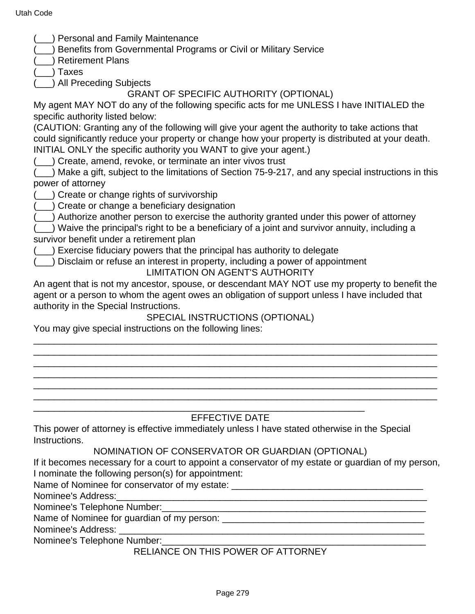(\_\_\_) Personal and Family Maintenance

(\_\_\_) Benefits from Governmental Programs or Civil or Military Service

(\_\_\_) Retirement Plans

(\_\_\_) Taxes

(\_\_\_) All Preceding Subjects

GRANT OF SPECIFIC AUTHORITY (OPTIONAL)

My agent MAY NOT do any of the following specific acts for me UNLESS I have INITIALED the specific authority listed below:

(CAUTION: Granting any of the following will give your agent the authority to take actions that could significantly reduce your property or change how your property is distributed at your death. INITIAL ONLY the specific authority you WANT to give your agent.)

(\_\_\_) Create, amend, revoke, or terminate an inter vivos trust

(\_\_\_) Make a gift, subject to the limitations of Section 75-9-217, and any special instructions in this power of attorney

(\_\_\_) Create or change rights of survivorship

(\_\_\_) Create or change a beneficiary designation

(\_\_\_) Authorize another person to exercise the authority granted under this power of attorney

(\_\_\_) Waive the principal's right to be a beneficiary of a joint and survivor annuity, including a survivor benefit under a retirement plan

(\_\_\_) Exercise fiduciary powers that the principal has authority to delegate

(\_\_\_) Disclaim or refuse an interest in property, including a power of appointment

LIMITATION ON AGENT'S AUTHORITY

An agent that is not my ancestor, spouse, or descendant MAY NOT use my property to benefit the agent or a person to whom the agent owes an obligation of support unless I have included that authority in the Special Instructions.

\_\_\_\_\_\_\_\_\_\_\_\_\_\_\_\_\_\_\_\_\_\_\_\_\_\_\_\_\_\_\_\_\_\_\_\_\_\_\_\_\_\_\_\_\_\_\_\_\_\_\_\_\_\_\_\_\_\_\_\_\_\_\_\_\_\_\_\_\_\_\_\_\_\_\_\_\_\_ \_\_\_\_\_\_\_\_\_\_\_\_\_\_\_\_\_\_\_\_\_\_\_\_\_\_\_\_\_\_\_\_\_\_\_\_\_\_\_\_\_\_\_\_\_\_\_\_\_\_\_\_\_\_\_\_\_\_\_\_\_\_\_\_\_\_\_\_\_\_\_\_\_\_\_\_\_\_ \_\_\_\_\_\_\_\_\_\_\_\_\_\_\_\_\_\_\_\_\_\_\_\_\_\_\_\_\_\_\_\_\_\_\_\_\_\_\_\_\_\_\_\_\_\_\_\_\_\_\_\_\_\_\_\_\_\_\_\_\_\_\_\_\_\_\_\_\_\_\_\_\_\_\_\_\_\_ \_\_\_\_\_\_\_\_\_\_\_\_\_\_\_\_\_\_\_\_\_\_\_\_\_\_\_\_\_\_\_\_\_\_\_\_\_\_\_\_\_\_\_\_\_\_\_\_\_\_\_\_\_\_\_\_\_\_\_\_\_\_\_\_\_\_\_\_\_\_\_\_\_\_\_\_\_\_ \_\_\_\_\_\_\_\_\_\_\_\_\_\_\_\_\_\_\_\_\_\_\_\_\_\_\_\_\_\_\_\_\_\_\_\_\_\_\_\_\_\_\_\_\_\_\_\_\_\_\_\_\_\_\_\_\_\_\_\_\_\_\_\_\_\_\_\_\_\_\_\_\_\_\_\_\_\_ \_\_\_\_\_\_\_\_\_\_\_\_\_\_\_\_\_\_\_\_\_\_\_\_\_\_\_\_\_\_\_\_\_\_\_\_\_\_\_\_\_\_\_\_\_\_\_\_\_\_\_\_\_\_\_\_\_\_\_\_\_\_\_\_\_\_\_\_\_\_\_\_\_\_\_\_\_\_

SPECIAL INSTRUCTIONS (OPTIONAL)

You may give special instructions on the following lines:

### EFFECTIVE DATE

This power of attorney is effective immediately unless I have stated otherwise in the Special Instructions.

\_\_\_\_\_\_\_\_\_\_\_\_\_\_\_\_\_\_\_\_\_\_\_\_\_\_\_\_\_\_\_\_\_\_\_\_\_\_\_\_\_\_\_\_\_\_\_\_\_\_\_\_\_\_\_\_\_\_\_\_\_\_\_\_

### NOMINATION OF CONSERVATOR OR GUARDIAN (OPTIONAL)

If it becomes necessary for a court to appoint a conservator of my estate or guardian of my person, I nominate the following person(s) for appointment:

Name of Nominee for conservator of my estate: \_\_\_\_\_\_\_\_\_\_\_\_\_\_\_\_\_\_\_\_\_\_\_\_\_\_\_\_\_\_\_\_\_\_

Nominee's Address:

Nominee's Telephone Number:\_\_\_\_\_\_\_\_\_\_\_\_\_\_\_\_\_\_\_\_\_\_\_\_\_\_\_\_\_\_\_\_\_\_\_\_\_\_\_\_\_\_\_\_\_\_\_\_\_\_\_

Name of Nominee for guardian of my person: \_\_\_\_\_\_\_\_\_\_\_\_\_\_\_\_\_\_\_\_\_\_\_\_\_\_\_\_\_\_\_\_\_\_\_\_\_\_\_

Nominee's Address:

Nominee's Telephone Number:

### RELIANCE ON THIS POWER OF ATTORNEY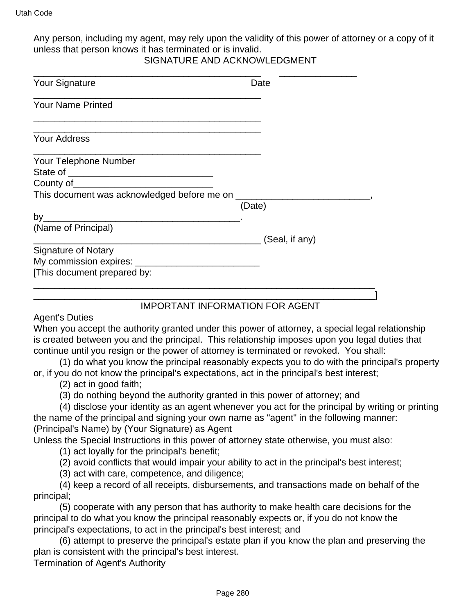Any person, including my agent, may rely upon the validity of this power of attorney or a copy of it unless that person knows it has terminated or is invalid.

SIGNATURE AND ACKNOWLEDGMENT

| Your Signature                                                                                                         | Date   |
|------------------------------------------------------------------------------------------------------------------------|--------|
| <b>Your Name Printed</b>                                                                                               |        |
| <u> 1989 - Jan Amerikaanse kommunister van die Staatsbeskriuw van die Staatsbeskriuw van die Staatsbeskriuw van di</u> |        |
| <b>Your Address</b>                                                                                                    |        |
| Your Telephone Number                                                                                                  |        |
|                                                                                                                        |        |
| This document was acknowledged before me on ________                                                                   |        |
|                                                                                                                        | (Date) |
| by_                                                                                                                    |        |
| (Name of Principal)                                                                                                    |        |
|                                                                                                                        |        |
| Signature of Notary                                                                                                    |        |
| My commission expires: _________________________________                                                               |        |
| [This document prepared by:                                                                                            |        |
|                                                                                                                        |        |
| <b>IMPORTANT INFORMATION FOR AGENT</b>                                                                                 |        |
| <b>Agent's Duties</b>                                                                                                  |        |
| When you accept the authority granted under this power of attorney, a special legal relationship                       |        |
| is created between you and the principal. This relationship imposes upon you legal duties that                         |        |
| continue until you resign or the power of attorney is terminated or revoked. You shall:                                |        |
| (1) do what you know the principal reasonably expects you to do with the principal's property                          |        |
| or, if you do not know the principal's expectations, act in the principal's best interest;<br>(2) act in good faith;   |        |
| (3) do nothing beyond the authority granted in this power of attorney; and                                             |        |
| (4) disclose your identity as an agent whenever you act for the principal by writing or printing                       |        |
| the name of the principal and signing your own name as "agent" in the following manner:                                |        |
| (Principal's Name) by (Your Signature) as Agent                                                                        |        |
| Unless the Special Instructions in this power of attorney state otherwise, you must also:                              |        |
| (1) act loyally for the principal's benefit;                                                                           |        |
| (2) avoid conflicts that would impair your ability to act in the principal's best interest;                            |        |
| (3) act with care, competence, and diligence;                                                                          |        |
| (4) keep a record of all receipts, disbursements, and transactions made on behalf of the                               |        |
| principal;                                                                                                             |        |
| (5) cooperate with any person that has authority to make health care decisions for the                                 |        |
| principal to do what you know the principal reasonably expects or, if you do not know the                              |        |
| principal's expectations, to act in the principal's best interest; and                                                 |        |

 (6) attempt to preserve the principal's estate plan if you know the plan and preserving the plan is consistent with the principal's best interest.

Termination of Agent's Authority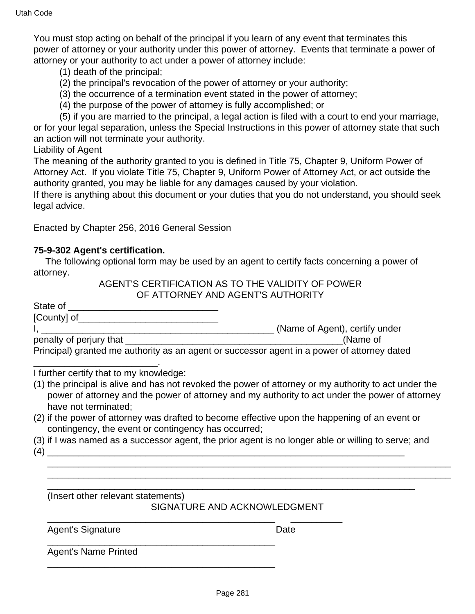You must stop acting on behalf of the principal if you learn of any event that terminates this power of attorney or your authority under this power of attorney. Events that terminate a power of attorney or your authority to act under a power of attorney include:

- (1) death of the principal;
- (2) the principal's revocation of the power of attorney or your authority;
- (3) the occurrence of a termination event stated in the power of attorney;
- (4) the purpose of the power of attorney is fully accomplished; or

 (5) if you are married to the principal, a legal action is filed with a court to end your marriage, or for your legal separation, unless the Special Instructions in this power of attorney state that such an action will not terminate your authority.

Liability of Agent

The meaning of the authority granted to you is defined in Title 75, Chapter 9, Uniform Power of Attorney Act. If you violate Title 75, Chapter 9, Uniform Power of Attorney Act, or act outside the authority granted, you may be liable for any damages caused by your violation.

If there is anything about this document or your duties that you do not understand, you should seek legal advice.

Enacted by Chapter 256, 2016 General Session

### **75-9-302 Agent's certification.**

 The following optional form may be used by an agent to certify facts concerning a power of attorney.

> AGENT'S CERTIFICATION AS TO THE VALIDITY OF POWER OF ATTORNEY AND AGENT'S AUTHORITY

| <u> 1989 - Jan James, Amerikaansk politiker (* 1918)</u> | (Name of Agent), certify under                                                                                                                                                                           |
|----------------------------------------------------------|----------------------------------------------------------------------------------------------------------------------------------------------------------------------------------------------------------|
|                                                          | (Name of                                                                                                                                                                                                 |
|                                                          | Principal) granted me authority as an agent or successor agent in a power of attorney dated                                                                                                              |
| I further certify that to my knowledge:                  |                                                                                                                                                                                                          |
| have not terminated;                                     | (1) the principal is alive and has not revoked the power of attorney or my authority to act under the<br>power of attorney and the power of attorney and my authority to act under the power of attorney |
| contingency, the event or contingency has occurred;      | (2) if the power of attorney was drafted to become effective upon the happening of an event or                                                                                                           |
| (4)                                                      | (3) if I was named as a successor agent, the prior agent is no longer able or willing to serve; and                                                                                                      |
|                                                          |                                                                                                                                                                                                          |
| (Insert other relevant statements)                       | SIGNATURE AND ACKNOWLEDGMENT                                                                                                                                                                             |
| <b>Agent's Signature</b>                                 | Date                                                                                                                                                                                                     |

Agent's Name Printed

\_\_\_\_\_\_\_\_\_\_\_\_\_\_\_\_\_\_\_\_\_\_\_\_\_\_\_\_\_\_\_\_\_\_\_\_\_\_\_\_\_\_\_\_

\_\_\_\_\_\_\_\_\_\_\_\_\_\_\_\_\_\_\_\_\_\_\_\_\_\_\_\_\_\_\_\_\_\_\_\_\_\_\_\_\_\_\_\_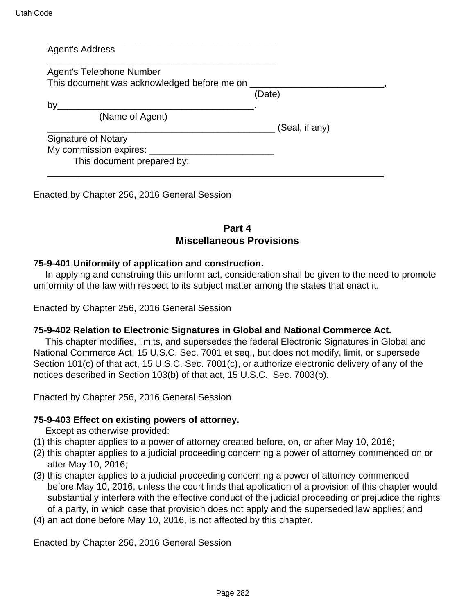| <b>Agent's Address</b>                      |                |
|---------------------------------------------|----------------|
| Agent's Telephone Number                    |                |
| This document was acknowledged before me on |                |
|                                             | (Date)         |
| by                                          |                |
| (Name of Agent)                             |                |
|                                             | (Seal, if any) |
| Signature of Notary                         |                |
| My commission expires: ___                  |                |
| This document prepared by:                  |                |



### **75-9-401 Uniformity of application and construction.**

 In applying and construing this uniform act, consideration shall be given to the need to promote uniformity of the law with respect to its subject matter among the states that enact it.

Enacted by Chapter 256, 2016 General Session

#### **75-9-402 Relation to Electronic Signatures in Global and National Commerce Act.**

 This chapter modifies, limits, and supersedes the federal Electronic Signatures in Global and National Commerce Act, 15 U.S.C. Sec. 7001 et seq., but does not modify, limit, or supersede Section 101(c) of that act, 15 U.S.C. Sec. 7001(c), or authorize electronic delivery of any of the notices described in Section 103(b) of that act, 15 U.S.C. Sec. 7003(b).

Enacted by Chapter 256, 2016 General Session

#### **75-9-403 Effect on existing powers of attorney.**

Except as otherwise provided:

- (1) this chapter applies to a power of attorney created before, on, or after May 10, 2016;
- (2) this chapter applies to a judicial proceeding concerning a power of attorney commenced on or after May 10, 2016;
- (3) this chapter applies to a judicial proceeding concerning a power of attorney commenced before May 10, 2016, unless the court finds that application of a provision of this chapter would substantially interfere with the effective conduct of the judicial proceeding or prejudice the rights of a party, in which case that provision does not apply and the superseded law applies; and
- (4) an act done before May 10, 2016, is not affected by this chapter.

Enacted by Chapter 256, 2016 General Session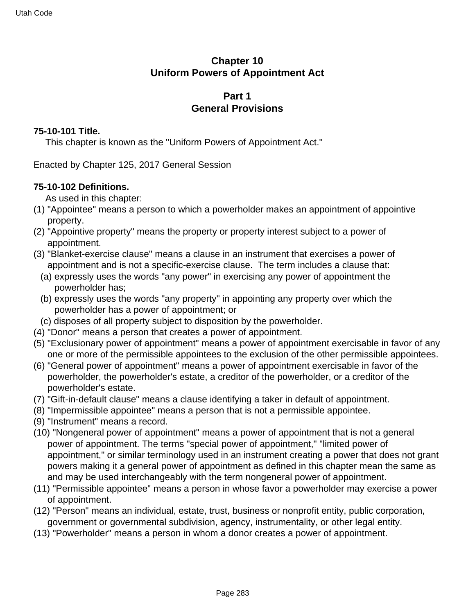# **Chapter 10 Uniform Powers of Appointment Act**

## **Part 1 General Provisions**

### **75-10-101 Title.**

This chapter is known as the "Uniform Powers of Appointment Act."

Enacted by Chapter 125, 2017 General Session

### **75-10-102 Definitions.**

As used in this chapter:

- (1) "Appointee" means a person to which a powerholder makes an appointment of appointive property.
- (2) "Appointive property" means the property or property interest subject to a power of appointment.
- (3) "Blanket-exercise clause" means a clause in an instrument that exercises a power of appointment and is not a specific-exercise clause. The term includes a clause that:
	- (a) expressly uses the words "any power" in exercising any power of appointment the powerholder has;
	- (b) expressly uses the words "any property" in appointing any property over which the powerholder has a power of appointment; or
- (c) disposes of all property subject to disposition by the powerholder.
- (4) "Donor" means a person that creates a power of appointment.
- (5) "Exclusionary power of appointment" means a power of appointment exercisable in favor of any one or more of the permissible appointees to the exclusion of the other permissible appointees.
- (6) "General power of appointment" means a power of appointment exercisable in favor of the powerholder, the powerholder's estate, a creditor of the powerholder, or a creditor of the powerholder's estate.
- (7) "Gift-in-default clause" means a clause identifying a taker in default of appointment.
- (8) "Impermissible appointee" means a person that is not a permissible appointee.
- (9) "Instrument" means a record.
- (10) "Nongeneral power of appointment" means a power of appointment that is not a general power of appointment. The terms "special power of appointment," "limited power of appointment," or similar terminology used in an instrument creating a power that does not grant powers making it a general power of appointment as defined in this chapter mean the same as and may be used interchangeably with the term nongeneral power of appointment.
- (11) "Permissible appointee" means a person in whose favor a powerholder may exercise a power of appointment.
- (12) "Person" means an individual, estate, trust, business or nonprofit entity, public corporation, government or governmental subdivision, agency, instrumentality, or other legal entity.
- (13) "Powerholder" means a person in whom a donor creates a power of appointment.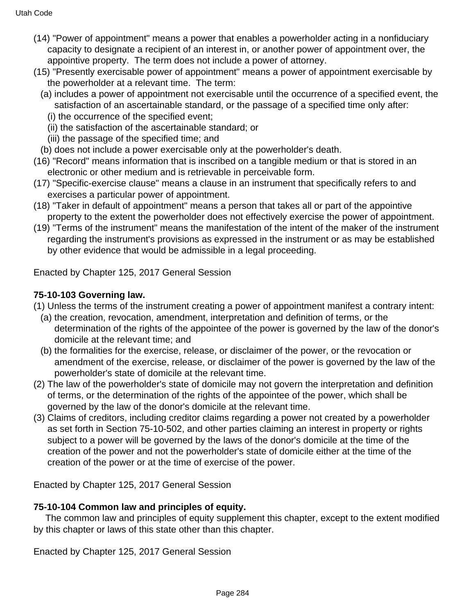- (14) "Power of appointment" means a power that enables a powerholder acting in a nonfiduciary capacity to designate a recipient of an interest in, or another power of appointment over, the appointive property. The term does not include a power of attorney.
- (15) "Presently exercisable power of appointment" means a power of appointment exercisable by the powerholder at a relevant time. The term:
	- (a) includes a power of appointment not exercisable until the occurrence of a specified event, the satisfaction of an ascertainable standard, or the passage of a specified time only after:
		- (i) the occurrence of the specified event;
		- (ii) the satisfaction of the ascertainable standard; or
		- (iii) the passage of the specified time; and
- (b) does not include a power exercisable only at the powerholder's death.
- (16) "Record" means information that is inscribed on a tangible medium or that is stored in an electronic or other medium and is retrievable in perceivable form.
- (17) "Specific-exercise clause" means a clause in an instrument that specifically refers to and exercises a particular power of appointment.
- (18) "Taker in default of appointment" means a person that takes all or part of the appointive property to the extent the powerholder does not effectively exercise the power of appointment.
- (19) "Terms of the instrument" means the manifestation of the intent of the maker of the instrument regarding the instrument's provisions as expressed in the instrument or as may be established by other evidence that would be admissible in a legal proceeding.

# **75-10-103 Governing law.**

(1) Unless the terms of the instrument creating a power of appointment manifest a contrary intent:

- (a) the creation, revocation, amendment, interpretation and definition of terms, or the determination of the rights of the appointee of the power is governed by the law of the donor's domicile at the relevant time; and
- (b) the formalities for the exercise, release, or disclaimer of the power, or the revocation or amendment of the exercise, release, or disclaimer of the power is governed by the law of the powerholder's state of domicile at the relevant time.
- (2) The law of the powerholder's state of domicile may not govern the interpretation and definition of terms, or the determination of the rights of the appointee of the power, which shall be governed by the law of the donor's domicile at the relevant time.
- (3) Claims of creditors, including creditor claims regarding a power not created by a powerholder as set forth in Section 75-10-502, and other parties claiming an interest in property or rights subject to a power will be governed by the laws of the donor's domicile at the time of the creation of the power and not the powerholder's state of domicile either at the time of the creation of the power or at the time of exercise of the power.

Enacted by Chapter 125, 2017 General Session

# **75-10-104 Common law and principles of equity.**

 The common law and principles of equity supplement this chapter, except to the extent modified by this chapter or laws of this state other than this chapter.

Enacted by Chapter 125, 2017 General Session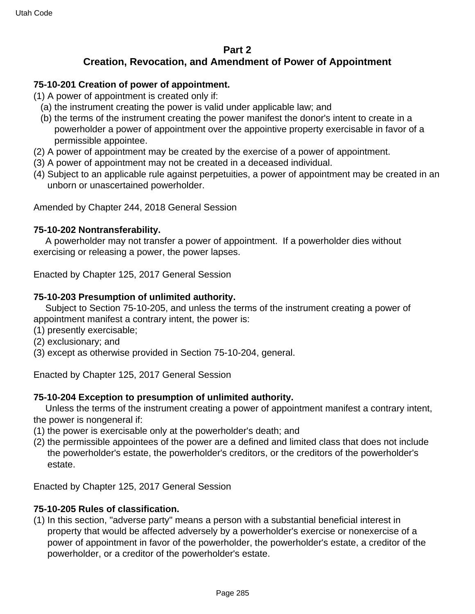### **Part 2**

## **Creation, Revocation, and Amendment of Power of Appointment**

### **75-10-201 Creation of power of appointment.**

- (1) A power of appointment is created only if:
	- (a) the instrument creating the power is valid under applicable law; and
	- (b) the terms of the instrument creating the power manifest the donor's intent to create in a powerholder a power of appointment over the appointive property exercisable in favor of a permissible appointee.
- (2) A power of appointment may be created by the exercise of a power of appointment.
- (3) A power of appointment may not be created in a deceased individual.
- (4) Subject to an applicable rule against perpetuities, a power of appointment may be created in an unborn or unascertained powerholder.

Amended by Chapter 244, 2018 General Session

### **75-10-202 Nontransferability.**

 A powerholder may not transfer a power of appointment. If a powerholder dies without exercising or releasing a power, the power lapses.

Enacted by Chapter 125, 2017 General Session

### **75-10-203 Presumption of unlimited authority.**

 Subject to Section 75-10-205, and unless the terms of the instrument creating a power of appointment manifest a contrary intent, the power is:

- (1) presently exercisable;
- (2) exclusionary; and
- (3) except as otherwise provided in Section 75-10-204, general.

Enacted by Chapter 125, 2017 General Session

### **75-10-204 Exception to presumption of unlimited authority.**

 Unless the terms of the instrument creating a power of appointment manifest a contrary intent, the power is nongeneral if:

- (1) the power is exercisable only at the powerholder's death; and
- (2) the permissible appointees of the power are a defined and limited class that does not include the powerholder's estate, the powerholder's creditors, or the creditors of the powerholder's estate.

Enacted by Chapter 125, 2017 General Session

### **75-10-205 Rules of classification.**

(1) In this section, "adverse party" means a person with a substantial beneficial interest in property that would be affected adversely by a powerholder's exercise or nonexercise of a power of appointment in favor of the powerholder, the powerholder's estate, a creditor of the powerholder, or a creditor of the powerholder's estate.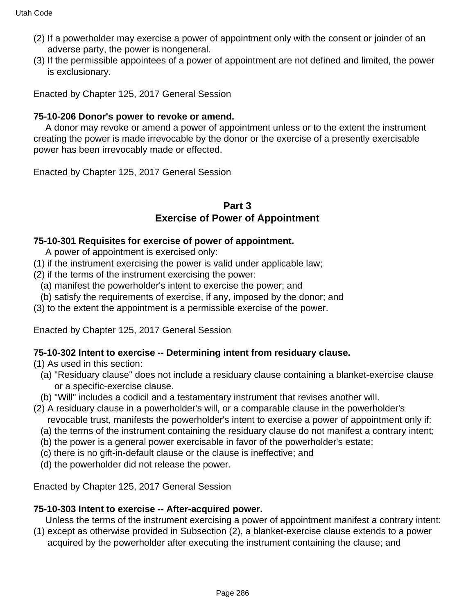- (2) If a powerholder may exercise a power of appointment only with the consent or joinder of an adverse party, the power is nongeneral.
- (3) If the permissible appointees of a power of appointment are not defined and limited, the power is exclusionary.

### **75-10-206 Donor's power to revoke or amend.**

 A donor may revoke or amend a power of appointment unless or to the extent the instrument creating the power is made irrevocable by the donor or the exercise of a presently exercisable power has been irrevocably made or effected.

Enacted by Chapter 125, 2017 General Session

### **Part 3 Exercise of Power of Appointment**

### **75-10-301 Requisites for exercise of power of appointment.**

A power of appointment is exercised only:

- (1) if the instrument exercising the power is valid under applicable law;
- (2) if the terms of the instrument exercising the power:
	- (a) manifest the powerholder's intent to exercise the power; and
	- (b) satisfy the requirements of exercise, if any, imposed by the donor; and
- (3) to the extent the appointment is a permissible exercise of the power.

Enacted by Chapter 125, 2017 General Session

#### **75-10-302 Intent to exercise -- Determining intent from residuary clause.**

- (1) As used in this section:
	- (a) "Residuary clause" does not include a residuary clause containing a blanket-exercise clause or a specific-exercise clause.
	- (b) "Will" includes a codicil and a testamentary instrument that revises another will.
- (2) A residuary clause in a powerholder's will, or a comparable clause in the powerholder's revocable trust, manifests the powerholder's intent to exercise a power of appointment only if:
	- (a) the terms of the instrument containing the residuary clause do not manifest a contrary intent;
	- (b) the power is a general power exercisable in favor of the powerholder's estate;
	- (c) there is no gift-in-default clause or the clause is ineffective; and
	- (d) the powerholder did not release the power.

Enacted by Chapter 125, 2017 General Session

#### **75-10-303 Intent to exercise -- After-acquired power.**

Unless the terms of the instrument exercising a power of appointment manifest a contrary intent:

(1) except as otherwise provided in Subsection (2), a blanket-exercise clause extends to a power acquired by the powerholder after executing the instrument containing the clause; and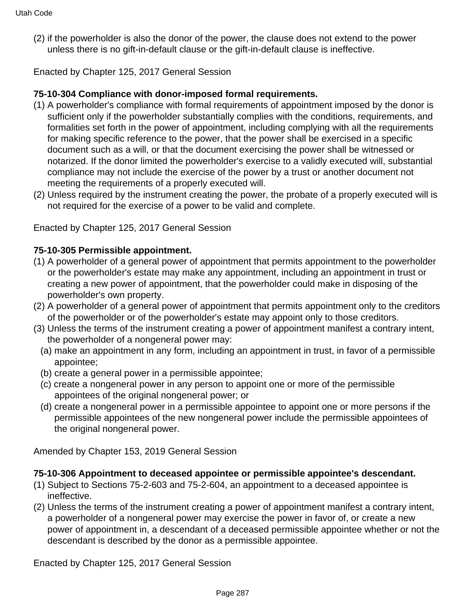(2) if the powerholder is also the donor of the power, the clause does not extend to the power unless there is no gift-in-default clause or the gift-in-default clause is ineffective.

Enacted by Chapter 125, 2017 General Session

### **75-10-304 Compliance with donor-imposed formal requirements.**

- (1) A powerholder's compliance with formal requirements of appointment imposed by the donor is sufficient only if the powerholder substantially complies with the conditions, requirements, and formalities set forth in the power of appointment, including complying with all the requirements for making specific reference to the power, that the power shall be exercised in a specific document such as a will, or that the document exercising the power shall be witnessed or notarized. If the donor limited the powerholder's exercise to a validly executed will, substantial compliance may not include the exercise of the power by a trust or another document not meeting the requirements of a properly executed will.
- (2) Unless required by the instrument creating the power, the probate of a properly executed will is not required for the exercise of a power to be valid and complete.

Enacted by Chapter 125, 2017 General Session

### **75-10-305 Permissible appointment.**

- (1) A powerholder of a general power of appointment that permits appointment to the powerholder or the powerholder's estate may make any appointment, including an appointment in trust or creating a new power of appointment, that the powerholder could make in disposing of the powerholder's own property.
- (2) A powerholder of a general power of appointment that permits appointment only to the creditors of the powerholder or of the powerholder's estate may appoint only to those creditors.
- (3) Unless the terms of the instrument creating a power of appointment manifest a contrary intent, the powerholder of a nongeneral power may:
	- (a) make an appointment in any form, including an appointment in trust, in favor of a permissible appointee;
	- (b) create a general power in a permissible appointee;
	- (c) create a nongeneral power in any person to appoint one or more of the permissible appointees of the original nongeneral power; or
	- (d) create a nongeneral power in a permissible appointee to appoint one or more persons if the permissible appointees of the new nongeneral power include the permissible appointees of the original nongeneral power.

Amended by Chapter 153, 2019 General Session

### **75-10-306 Appointment to deceased appointee or permissible appointee's descendant.**

- (1) Subject to Sections 75-2-603 and 75-2-604, an appointment to a deceased appointee is ineffective.
- (2) Unless the terms of the instrument creating a power of appointment manifest a contrary intent, a powerholder of a nongeneral power may exercise the power in favor of, or create a new power of appointment in, a descendant of a deceased permissible appointee whether or not the descendant is described by the donor as a permissible appointee.

Enacted by Chapter 125, 2017 General Session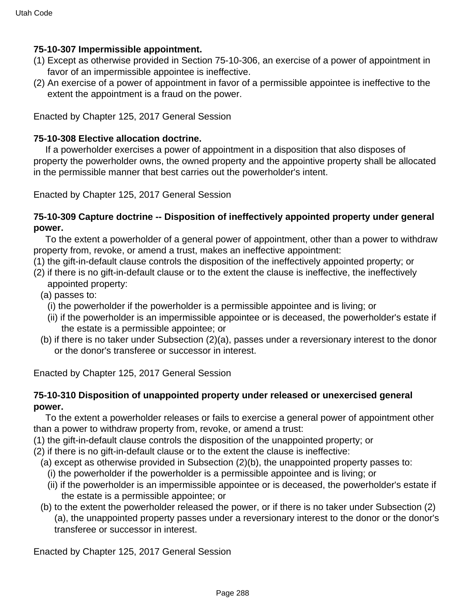### **75-10-307 Impermissible appointment.**

- (1) Except as otherwise provided in Section 75-10-306, an exercise of a power of appointment in favor of an impermissible appointee is ineffective.
- (2) An exercise of a power of appointment in favor of a permissible appointee is ineffective to the extent the appointment is a fraud on the power.

Enacted by Chapter 125, 2017 General Session

### **75-10-308 Elective allocation doctrine.**

 If a powerholder exercises a power of appointment in a disposition that also disposes of property the powerholder owns, the owned property and the appointive property shall be allocated in the permissible manner that best carries out the powerholder's intent.

Enacted by Chapter 125, 2017 General Session

### **75-10-309 Capture doctrine -- Disposition of ineffectively appointed property under general power.**

 To the extent a powerholder of a general power of appointment, other than a power to withdraw property from, revoke, or amend a trust, makes an ineffective appointment:

- (1) the gift-in-default clause controls the disposition of the ineffectively appointed property; or
- (2) if there is no gift-in-default clause or to the extent the clause is ineffective, the ineffectively appointed property:
	- (a) passes to:
		- (i) the powerholder if the powerholder is a permissible appointee and is living; or
		- (ii) if the powerholder is an impermissible appointee or is deceased, the powerholder's estate if the estate is a permissible appointee; or
	- (b) if there is no taker under Subsection (2)(a), passes under a reversionary interest to the donor or the donor's transferee or successor in interest.

Enacted by Chapter 125, 2017 General Session

### **75-10-310 Disposition of unappointed property under released or unexercised general power.**

 To the extent a powerholder releases or fails to exercise a general power of appointment other than a power to withdraw property from, revoke, or amend a trust:

- (1) the gift-in-default clause controls the disposition of the unappointed property; or
- (2) if there is no gift-in-default clause or to the extent the clause is ineffective:
	- (a) except as otherwise provided in Subsection (2)(b), the unappointed property passes to:
		- (i) the powerholder if the powerholder is a permissible appointee and is living; or
		- (ii) if the powerholder is an impermissible appointee or is deceased, the powerholder's estate if the estate is a permissible appointee; or
	- (b) to the extent the powerholder released the power, or if there is no taker under Subsection (2) (a), the unappointed property passes under a reversionary interest to the donor or the donor's transferee or successor in interest.

Enacted by Chapter 125, 2017 General Session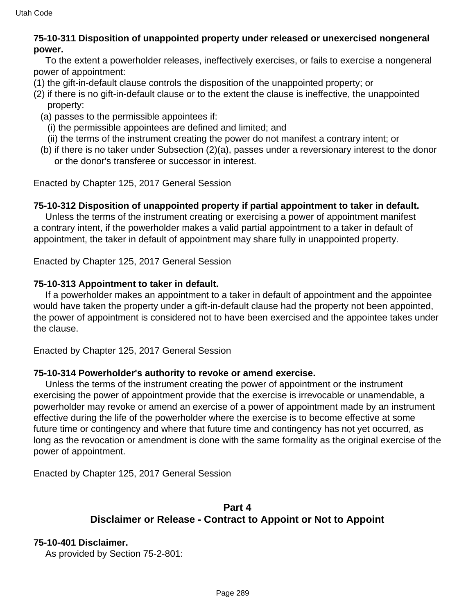# **75-10-311 Disposition of unappointed property under released or unexercised nongeneral power.**

 To the extent a powerholder releases, ineffectively exercises, or fails to exercise a nongeneral power of appointment:

- (1) the gift-in-default clause controls the disposition of the unappointed property; or
- (2) if there is no gift-in-default clause or to the extent the clause is ineffective, the unappointed property:
	- (a) passes to the permissible appointees if:
		- (i) the permissible appointees are defined and limited; and
		- (ii) the terms of the instrument creating the power do not manifest a contrary intent; or
	- (b) if there is no taker under Subsection (2)(a), passes under a reversionary interest to the donor or the donor's transferee or successor in interest.

Enacted by Chapter 125, 2017 General Session

#### **75-10-312 Disposition of unappointed property if partial appointment to taker in default.**

 Unless the terms of the instrument creating or exercising a power of appointment manifest a contrary intent, if the powerholder makes a valid partial appointment to a taker in default of appointment, the taker in default of appointment may share fully in unappointed property.

Enacted by Chapter 125, 2017 General Session

#### **75-10-313 Appointment to taker in default.**

 If a powerholder makes an appointment to a taker in default of appointment and the appointee would have taken the property under a gift-in-default clause had the property not been appointed, the power of appointment is considered not to have been exercised and the appointee takes under the clause.

Enacted by Chapter 125, 2017 General Session

#### **75-10-314 Powerholder's authority to revoke or amend exercise.**

 Unless the terms of the instrument creating the power of appointment or the instrument exercising the power of appointment provide that the exercise is irrevocable or unamendable, a powerholder may revoke or amend an exercise of a power of appointment made by an instrument effective during the life of the powerholder where the exercise is to become effective at some future time or contingency and where that future time and contingency has not yet occurred, as long as the revocation or amendment is done with the same formality as the original exercise of the power of appointment.

Enacted by Chapter 125, 2017 General Session

# **Part 4 Disclaimer or Release - Contract to Appoint or Not to Appoint**

#### **75-10-401 Disclaimer.**

As provided by Section 75-2-801: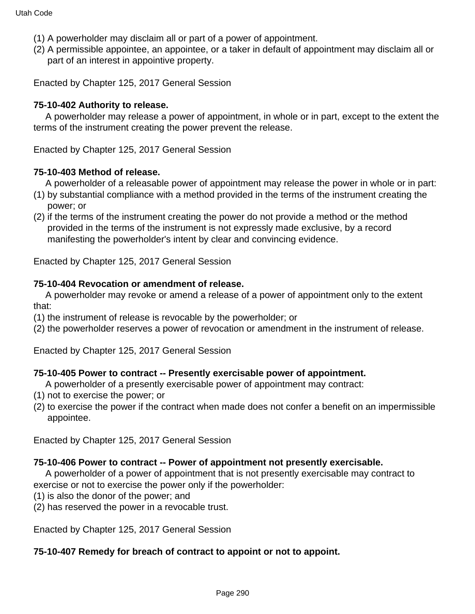- (1) A powerholder may disclaim all or part of a power of appointment.
- (2) A permissible appointee, an appointee, or a taker in default of appointment may disclaim all or part of an interest in appointive property.

#### **75-10-402 Authority to release.**

 A powerholder may release a power of appointment, in whole or in part, except to the extent the terms of the instrument creating the power prevent the release.

Enacted by Chapter 125, 2017 General Session

#### **75-10-403 Method of release.**

A powerholder of a releasable power of appointment may release the power in whole or in part:

- (1) by substantial compliance with a method provided in the terms of the instrument creating the power; or
- (2) if the terms of the instrument creating the power do not provide a method or the method provided in the terms of the instrument is not expressly made exclusive, by a record manifesting the powerholder's intent by clear and convincing evidence.

Enacted by Chapter 125, 2017 General Session

#### **75-10-404 Revocation or amendment of release.**

 A powerholder may revoke or amend a release of a power of appointment only to the extent that:

- (1) the instrument of release is revocable by the powerholder; or
- (2) the powerholder reserves a power of revocation or amendment in the instrument of release.

Enacted by Chapter 125, 2017 General Session

#### **75-10-405 Power to contract -- Presently exercisable power of appointment.**

- A powerholder of a presently exercisable power of appointment may contract:
- (1) not to exercise the power; or
- (2) to exercise the power if the contract when made does not confer a benefit on an impermissible appointee.

Enacted by Chapter 125, 2017 General Session

#### **75-10-406 Power to contract -- Power of appointment not presently exercisable.**

 A powerholder of a power of appointment that is not presently exercisable may contract to exercise or not to exercise the power only if the powerholder:

- (1) is also the donor of the power; and
- (2) has reserved the power in a revocable trust.

Enacted by Chapter 125, 2017 General Session

#### **75-10-407 Remedy for breach of contract to appoint or not to appoint.**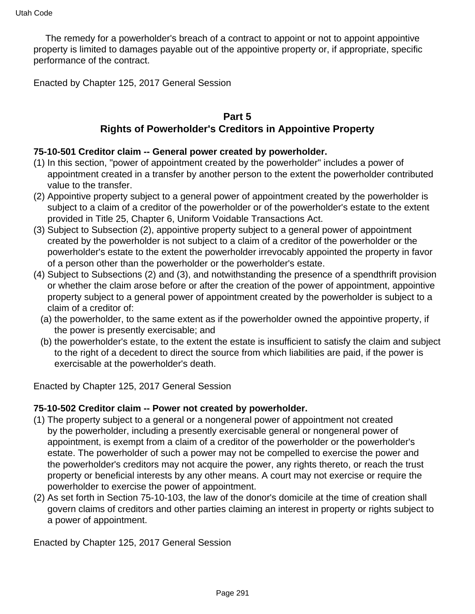The remedy for a powerholder's breach of a contract to appoint or not to appoint appointive property is limited to damages payable out of the appointive property or, if appropriate, specific performance of the contract.

Enacted by Chapter 125, 2017 General Session

### **Part 5 Rights of Powerholder's Creditors in Appointive Property**

#### **75-10-501 Creditor claim -- General power created by powerholder.**

- (1) In this section, "power of appointment created by the powerholder" includes a power of appointment created in a transfer by another person to the extent the powerholder contributed value to the transfer.
- (2) Appointive property subject to a general power of appointment created by the powerholder is subject to a claim of a creditor of the powerholder or of the powerholder's estate to the extent provided in Title 25, Chapter 6, Uniform Voidable Transactions Act.
- (3) Subject to Subsection (2), appointive property subject to a general power of appointment created by the powerholder is not subject to a claim of a creditor of the powerholder or the powerholder's estate to the extent the powerholder irrevocably appointed the property in favor of a person other than the powerholder or the powerholder's estate.
- (4) Subject to Subsections (2) and (3), and notwithstanding the presence of a spendthrift provision or whether the claim arose before or after the creation of the power of appointment, appointive property subject to a general power of appointment created by the powerholder is subject to a claim of a creditor of:
	- (a) the powerholder, to the same extent as if the powerholder owned the appointive property, if the power is presently exercisable; and
	- (b) the powerholder's estate, to the extent the estate is insufficient to satisfy the claim and subject to the right of a decedent to direct the source from which liabilities are paid, if the power is exercisable at the powerholder's death.

Enacted by Chapter 125, 2017 General Session

#### **75-10-502 Creditor claim -- Power not created by powerholder.**

- (1) The property subject to a general or a nongeneral power of appointment not created by the powerholder, including a presently exercisable general or nongeneral power of appointment, is exempt from a claim of a creditor of the powerholder or the powerholder's estate. The powerholder of such a power may not be compelled to exercise the power and the powerholder's creditors may not acquire the power, any rights thereto, or reach the trust property or beneficial interests by any other means. A court may not exercise or require the powerholder to exercise the power of appointment.
- (2) As set forth in Section 75-10-103, the law of the donor's domicile at the time of creation shall govern claims of creditors and other parties claiming an interest in property or rights subject to a power of appointment.

Enacted by Chapter 125, 2017 General Session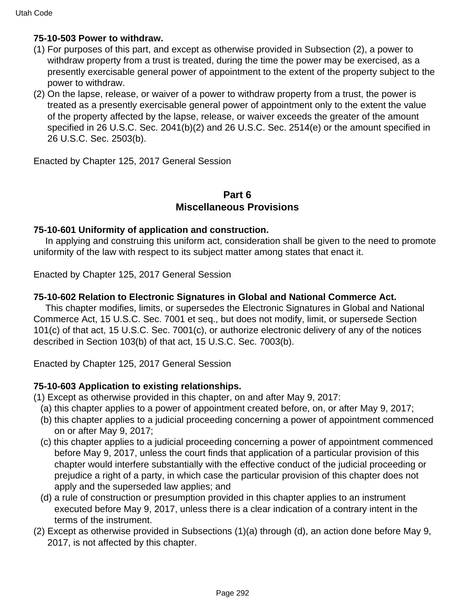### **75-10-503 Power to withdraw.**

- (1) For purposes of this part, and except as otherwise provided in Subsection (2), a power to withdraw property from a trust is treated, during the time the power may be exercised, as a presently exercisable general power of appointment to the extent of the property subject to the power to withdraw.
- (2) On the lapse, release, or waiver of a power to withdraw property from a trust, the power is treated as a presently exercisable general power of appointment only to the extent the value of the property affected by the lapse, release, or waiver exceeds the greater of the amount specified in 26 U.S.C. Sec. 2041(b)(2) and 26 U.S.C. Sec. 2514(e) or the amount specified in 26 U.S.C. Sec. 2503(b).

Enacted by Chapter 125, 2017 General Session

# **Part 6 Miscellaneous Provisions**

#### **75-10-601 Uniformity of application and construction.**

 In applying and construing this uniform act, consideration shall be given to the need to promote uniformity of the law with respect to its subject matter among states that enact it.

Enacted by Chapter 125, 2017 General Session

#### **75-10-602 Relation to Electronic Signatures in Global and National Commerce Act.**

 This chapter modifies, limits, or supersedes the Electronic Signatures in Global and National Commerce Act, 15 U.S.C. Sec. 7001 et seq., but does not modify, limit, or supersede Section 101(c) of that act, 15 U.S.C. Sec. 7001(c), or authorize electronic delivery of any of the notices described in Section 103(b) of that act, 15 U.S.C. Sec. 7003(b).

Enacted by Chapter 125, 2017 General Session

#### **75-10-603 Application to existing relationships.**

(1) Except as otherwise provided in this chapter, on and after May 9, 2017:

- (a) this chapter applies to a power of appointment created before, on, or after May 9, 2017;
- (b) this chapter applies to a judicial proceeding concerning a power of appointment commenced on or after May 9, 2017;
- (c) this chapter applies to a judicial proceeding concerning a power of appointment commenced before May 9, 2017, unless the court finds that application of a particular provision of this chapter would interfere substantially with the effective conduct of the judicial proceeding or prejudice a right of a party, in which case the particular provision of this chapter does not apply and the superseded law applies; and
- (d) a rule of construction or presumption provided in this chapter applies to an instrument executed before May 9, 2017, unless there is a clear indication of a contrary intent in the terms of the instrument.
- (2) Except as otherwise provided in Subsections (1)(a) through (d), an action done before May 9, 2017, is not affected by this chapter.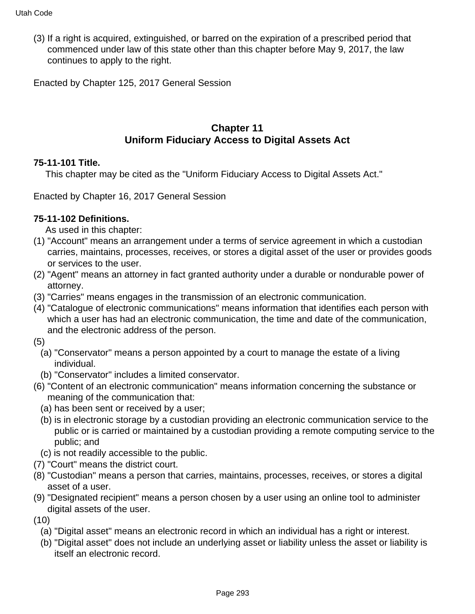(3) If a right is acquired, extinguished, or barred on the expiration of a prescribed period that commenced under law of this state other than this chapter before May 9, 2017, the law continues to apply to the right.

Enacted by Chapter 125, 2017 General Session

# **Chapter 11 Uniform Fiduciary Access to Digital Assets Act**

### **75-11-101 Title.**

This chapter may be cited as the "Uniform Fiduciary Access to Digital Assets Act."

Enacted by Chapter 16, 2017 General Session

### **75-11-102 Definitions.**

As used in this chapter:

- (1) "Account" means an arrangement under a terms of service agreement in which a custodian carries, maintains, processes, receives, or stores a digital asset of the user or provides goods or services to the user.
- (2) "Agent" means an attorney in fact granted authority under a durable or nondurable power of attorney.
- (3) "Carries" means engages in the transmission of an electronic communication.
- (4) "Catalogue of electronic communications" means information that identifies each person with which a user has had an electronic communication, the time and date of the communication, and the electronic address of the person.
- (5)
	- (a) "Conservator" means a person appointed by a court to manage the estate of a living individual.
	- (b) "Conservator" includes a limited conservator.
- (6) "Content of an electronic communication" means information concerning the substance or meaning of the communication that:
	- (a) has been sent or received by a user;
	- (b) is in electronic storage by a custodian providing an electronic communication service to the public or is carried or maintained by a custodian providing a remote computing service to the public; and
	- (c) is not readily accessible to the public.
- (7) "Court" means the district court.
- (8) "Custodian" means a person that carries, maintains, processes, receives, or stores a digital asset of a user.
- (9) "Designated recipient" means a person chosen by a user using an online tool to administer digital assets of the user.
- (10)
	- (a) "Digital asset" means an electronic record in which an individual has a right or interest.
	- (b) "Digital asset" does not include an underlying asset or liability unless the asset or liability is itself an electronic record.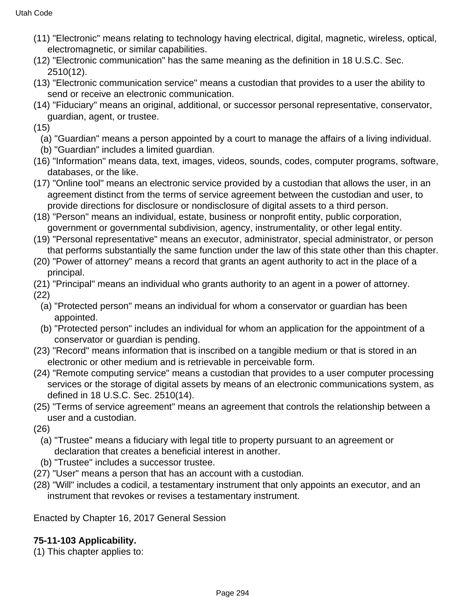- (11) "Electronic" means relating to technology having electrical, digital, magnetic, wireless, optical, electromagnetic, or similar capabilities.
- (12) "Electronic communication" has the same meaning as the definition in 18 U.S.C. Sec. 2510(12).
- (13) "Electronic communication service" means a custodian that provides to a user the ability to send or receive an electronic communication.
- (14) "Fiduciary" means an original, additional, or successor personal representative, conservator, guardian, agent, or trustee.
- (15)
	- (a) "Guardian" means a person appointed by a court to manage the affairs of a living individual.
	- (b) "Guardian" includes a limited guardian.
- (16) "Information" means data, text, images, videos, sounds, codes, computer programs, software, databases, or the like.
- (17) "Online tool" means an electronic service provided by a custodian that allows the user, in an agreement distinct from the terms of service agreement between the custodian and user, to provide directions for disclosure or nondisclosure of digital assets to a third person.
- (18) "Person" means an individual, estate, business or nonprofit entity, public corporation, government or governmental subdivision, agency, instrumentality, or other legal entity.
- (19) "Personal representative" means an executor, administrator, special administrator, or person that performs substantially the same function under the law of this state other than this chapter.
- (20) "Power of attorney" means a record that grants an agent authority to act in the place of a principal.
- (21) "Principal" means an individual who grants authority to an agent in a power of attorney. (22)
	- (a) "Protected person" means an individual for whom a conservator or guardian has been appointed.
	- (b) "Protected person" includes an individual for whom an application for the appointment of a conservator or guardian is pending.
- (23) "Record" means information that is inscribed on a tangible medium or that is stored in an electronic or other medium and is retrievable in perceivable form.
- (24) "Remote computing service" means a custodian that provides to a user computer processing services or the storage of digital assets by means of an electronic communications system, as defined in 18 U.S.C. Sec. 2510(14).
- (25) "Terms of service agreement" means an agreement that controls the relationship between a user and a custodian.
- (26)
	- (a) "Trustee" means a fiduciary with legal title to property pursuant to an agreement or declaration that creates a beneficial interest in another.
	- (b) "Trustee" includes a successor trustee.
- (27) "User" means a person that has an account with a custodian.
- (28) "Will" includes a codicil, a testamentary instrument that only appoints an executor, and an instrument that revokes or revises a testamentary instrument.

# **75-11-103 Applicability.**

(1) This chapter applies to: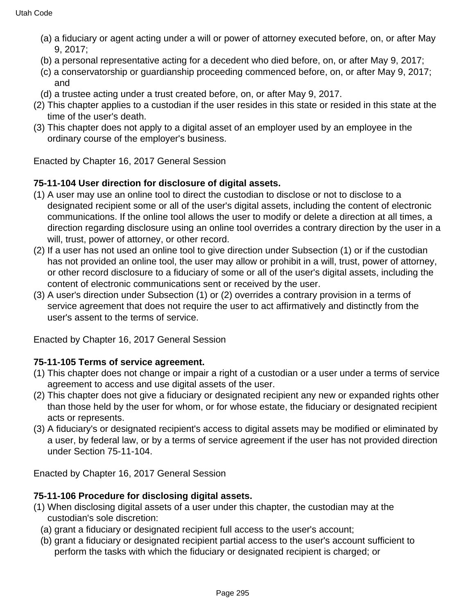- (a) a fiduciary or agent acting under a will or power of attorney executed before, on, or after May 9, 2017;
- (b) a personal representative acting for a decedent who died before, on, or after May 9, 2017;
- (c) a conservatorship or guardianship proceeding commenced before, on, or after May 9, 2017; and
- (d) a trustee acting under a trust created before, on, or after May 9, 2017.
- (2) This chapter applies to a custodian if the user resides in this state or resided in this state at the time of the user's death.
- (3) This chapter does not apply to a digital asset of an employer used by an employee in the ordinary course of the employer's business.

# **75-11-104 User direction for disclosure of digital assets.**

- (1) A user may use an online tool to direct the custodian to disclose or not to disclose to a designated recipient some or all of the user's digital assets, including the content of electronic communications. If the online tool allows the user to modify or delete a direction at all times, a direction regarding disclosure using an online tool overrides a contrary direction by the user in a will, trust, power of attorney, or other record.
- (2) If a user has not used an online tool to give direction under Subsection (1) or if the custodian has not provided an online tool, the user may allow or prohibit in a will, trust, power of attorney, or other record disclosure to a fiduciary of some or all of the user's digital assets, including the content of electronic communications sent or received by the user.
- (3) A user's direction under Subsection (1) or (2) overrides a contrary provision in a terms of service agreement that does not require the user to act affirmatively and distinctly from the user's assent to the terms of service.

Enacted by Chapter 16, 2017 General Session

# **75-11-105 Terms of service agreement.**

- (1) This chapter does not change or impair a right of a custodian or a user under a terms of service agreement to access and use digital assets of the user.
- (2) This chapter does not give a fiduciary or designated recipient any new or expanded rights other than those held by the user for whom, or for whose estate, the fiduciary or designated recipient acts or represents.
- (3) A fiduciary's or designated recipient's access to digital assets may be modified or eliminated by a user, by federal law, or by a terms of service agreement if the user has not provided direction under Section 75-11-104.

Enacted by Chapter 16, 2017 General Session

# **75-11-106 Procedure for disclosing digital assets.**

- (1) When disclosing digital assets of a user under this chapter, the custodian may at the custodian's sole discretion:
	- (a) grant a fiduciary or designated recipient full access to the user's account;
	- (b) grant a fiduciary or designated recipient partial access to the user's account sufficient to perform the tasks with which the fiduciary or designated recipient is charged; or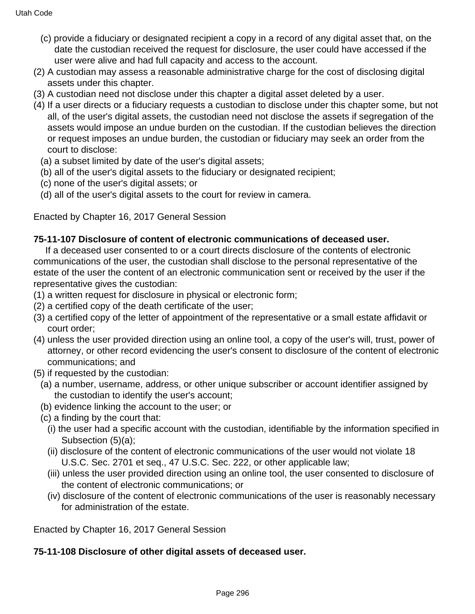- (c) provide a fiduciary or designated recipient a copy in a record of any digital asset that, on the date the custodian received the request for disclosure, the user could have accessed if the user were alive and had full capacity and access to the account.
- (2) A custodian may assess a reasonable administrative charge for the cost of disclosing digital assets under this chapter.
- (3) A custodian need not disclose under this chapter a digital asset deleted by a user.
- (4) If a user directs or a fiduciary requests a custodian to disclose under this chapter some, but not all, of the user's digital assets, the custodian need not disclose the assets if segregation of the assets would impose an undue burden on the custodian. If the custodian believes the direction or request imposes an undue burden, the custodian or fiduciary may seek an order from the court to disclose:
	- (a) a subset limited by date of the user's digital assets;
	- (b) all of the user's digital assets to the fiduciary or designated recipient;
	- (c) none of the user's digital assets; or
	- (d) all of the user's digital assets to the court for review in camera.

#### **75-11-107 Disclosure of content of electronic communications of deceased user.**

 If a deceased user consented to or a court directs disclosure of the contents of electronic communications of the user, the custodian shall disclose to the personal representative of the estate of the user the content of an electronic communication sent or received by the user if the representative gives the custodian:

- (1) a written request for disclosure in physical or electronic form;
- (2) a certified copy of the death certificate of the user;
- (3) a certified copy of the letter of appointment of the representative or a small estate affidavit or court order;
- (4) unless the user provided direction using an online tool, a copy of the user's will, trust, power of attorney, or other record evidencing the user's consent to disclosure of the content of electronic communications; and
- (5) if requested by the custodian:
	- (a) a number, username, address, or other unique subscriber or account identifier assigned by the custodian to identify the user's account;
	- (b) evidence linking the account to the user; or
	- (c) a finding by the court that:
		- (i) the user had a specific account with the custodian, identifiable by the information specified in Subsection (5)(a);
		- (ii) disclosure of the content of electronic communications of the user would not violate 18 U.S.C. Sec. 2701 et seq., 47 U.S.C. Sec. 222, or other applicable law;
		- (iii) unless the user provided direction using an online tool, the user consented to disclosure of the content of electronic communications; or
		- (iv) disclosure of the content of electronic communications of the user is reasonably necessary for administration of the estate.

Enacted by Chapter 16, 2017 General Session

#### **75-11-108 Disclosure of other digital assets of deceased user.**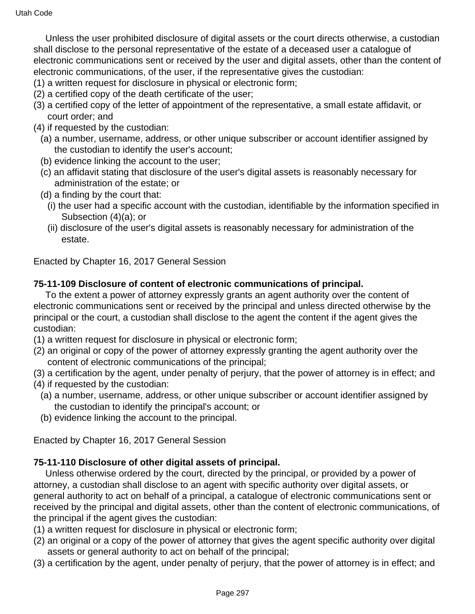Unless the user prohibited disclosure of digital assets or the court directs otherwise, a custodian shall disclose to the personal representative of the estate of a deceased user a catalogue of electronic communications sent or received by the user and digital assets, other than the content of electronic communications, of the user, if the representative gives the custodian:

- (1) a written request for disclosure in physical or electronic form;
- (2) a certified copy of the death certificate of the user;
- (3) a certified copy of the letter of appointment of the representative, a small estate affidavit, or court order; and
- (4) if requested by the custodian:
	- (a) a number, username, address, or other unique subscriber or account identifier assigned by the custodian to identify the user's account;
	- (b) evidence linking the account to the user;
	- (c) an affidavit stating that disclosure of the user's digital assets is reasonably necessary for administration of the estate; or
	- (d) a finding by the court that:
		- (i) the user had a specific account with the custodian, identifiable by the information specified in Subsection (4)(a); or
		- (ii) disclosure of the user's digital assets is reasonably necessary for administration of the estate.

Enacted by Chapter 16, 2017 General Session

#### **75-11-109 Disclosure of content of electronic communications of principal.**

 To the extent a power of attorney expressly grants an agent authority over the content of electronic communications sent or received by the principal and unless directed otherwise by the principal or the court, a custodian shall disclose to the agent the content if the agent gives the custodian:

- (1) a written request for disclosure in physical or electronic form;
- (2) an original or copy of the power of attorney expressly granting the agent authority over the content of electronic communications of the principal;
- (3) a certification by the agent, under penalty of perjury, that the power of attorney is in effect; and
- (4) if requested by the custodian:
	- (a) a number, username, address, or other unique subscriber or account identifier assigned by the custodian to identify the principal's account; or
	- (b) evidence linking the account to the principal.

Enacted by Chapter 16, 2017 General Session

#### **75-11-110 Disclosure of other digital assets of principal.**

 Unless otherwise ordered by the court, directed by the principal, or provided by a power of attorney, a custodian shall disclose to an agent with specific authority over digital assets, or general authority to act on behalf of a principal, a catalogue of electronic communications sent or received by the principal and digital assets, other than the content of electronic communications, of the principal if the agent gives the custodian:

- (1) a written request for disclosure in physical or electronic form;
- (2) an original or a copy of the power of attorney that gives the agent specific authority over digital assets or general authority to act on behalf of the principal;
- (3) a certification by the agent, under penalty of perjury, that the power of attorney is in effect; and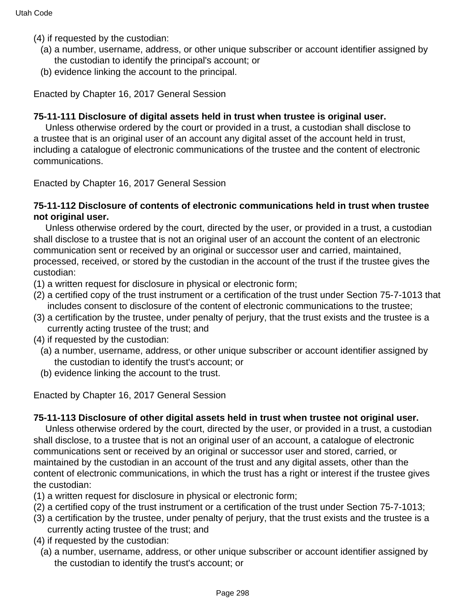- (4) if requested by the custodian:
	- (a) a number, username, address, or other unique subscriber or account identifier assigned by the custodian to identify the principal's account; or
	- (b) evidence linking the account to the principal.

#### **75-11-111 Disclosure of digital assets held in trust when trustee is original user.**

 Unless otherwise ordered by the court or provided in a trust, a custodian shall disclose to a trustee that is an original user of an account any digital asset of the account held in trust, including a catalogue of electronic communications of the trustee and the content of electronic communications.

Enacted by Chapter 16, 2017 General Session

#### **75-11-112 Disclosure of contents of electronic communications held in trust when trustee not original user.**

 Unless otherwise ordered by the court, directed by the user, or provided in a trust, a custodian shall disclose to a trustee that is not an original user of an account the content of an electronic communication sent or received by an original or successor user and carried, maintained, processed, received, or stored by the custodian in the account of the trust if the trustee gives the custodian:

- (1) a written request for disclosure in physical or electronic form;
- (2) a certified copy of the trust instrument or a certification of the trust under Section 75-7-1013 that includes consent to disclosure of the content of electronic communications to the trustee;
- (3) a certification by the trustee, under penalty of perjury, that the trust exists and the trustee is a currently acting trustee of the trust; and
- (4) if requested by the custodian:
	- (a) a number, username, address, or other unique subscriber or account identifier assigned by the custodian to identify the trust's account; or
	- (b) evidence linking the account to the trust.

Enacted by Chapter 16, 2017 General Session

#### **75-11-113 Disclosure of other digital assets held in trust when trustee not original user.**

 Unless otherwise ordered by the court, directed by the user, or provided in a trust, a custodian shall disclose, to a trustee that is not an original user of an account, a catalogue of electronic communications sent or received by an original or successor user and stored, carried, or maintained by the custodian in an account of the trust and any digital assets, other than the content of electronic communications, in which the trust has a right or interest if the trustee gives the custodian:

- (1) a written request for disclosure in physical or electronic form;
- (2) a certified copy of the trust instrument or a certification of the trust under Section 75-7-1013;
- (3) a certification by the trustee, under penalty of perjury, that the trust exists and the trustee is a currently acting trustee of the trust; and
- (4) if requested by the custodian:
	- (a) a number, username, address, or other unique subscriber or account identifier assigned by the custodian to identify the trust's account; or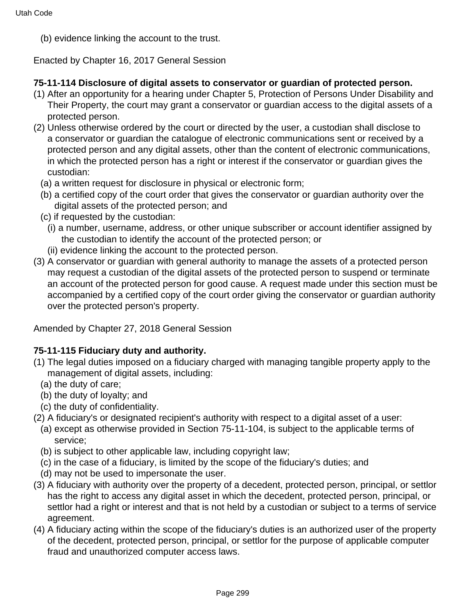(b) evidence linking the account to the trust.

Enacted by Chapter 16, 2017 General Session

# **75-11-114 Disclosure of digital assets to conservator or guardian of protected person.**

- (1) After an opportunity for a hearing under Chapter 5, Protection of Persons Under Disability and Their Property, the court may grant a conservator or guardian access to the digital assets of a protected person.
- (2) Unless otherwise ordered by the court or directed by the user, a custodian shall disclose to a conservator or guardian the catalogue of electronic communications sent or received by a protected person and any digital assets, other than the content of electronic communications, in which the protected person has a right or interest if the conservator or guardian gives the custodian:
	- (a) a written request for disclosure in physical or electronic form;
	- (b) a certified copy of the court order that gives the conservator or guardian authority over the digital assets of the protected person; and
	- (c) if requested by the custodian:
		- (i) a number, username, address, or other unique subscriber or account identifier assigned by the custodian to identify the account of the protected person; or
	- (ii) evidence linking the account to the protected person.
- (3) A conservator or guardian with general authority to manage the assets of a protected person may request a custodian of the digital assets of the protected person to suspend or terminate an account of the protected person for good cause. A request made under this section must be accompanied by a certified copy of the court order giving the conservator or guardian authority over the protected person's property.

Amended by Chapter 27, 2018 General Session

# **75-11-115 Fiduciary duty and authority.**

- (1) The legal duties imposed on a fiduciary charged with managing tangible property apply to the management of digital assets, including:
	- (a) the duty of care;
	- (b) the duty of loyalty; and
	- (c) the duty of confidentiality.
- (2) A fiduciary's or designated recipient's authority with respect to a digital asset of a user:
	- (a) except as otherwise provided in Section 75-11-104, is subject to the applicable terms of service;
	- (b) is subject to other applicable law, including copyright law;
	- (c) in the case of a fiduciary, is limited by the scope of the fiduciary's duties; and
	- (d) may not be used to impersonate the user.
- (3) A fiduciary with authority over the property of a decedent, protected person, principal, or settlor has the right to access any digital asset in which the decedent, protected person, principal, or settlor had a right or interest and that is not held by a custodian or subject to a terms of service agreement.
- (4) A fiduciary acting within the scope of the fiduciary's duties is an authorized user of the property of the decedent, protected person, principal, or settlor for the purpose of applicable computer fraud and unauthorized computer access laws.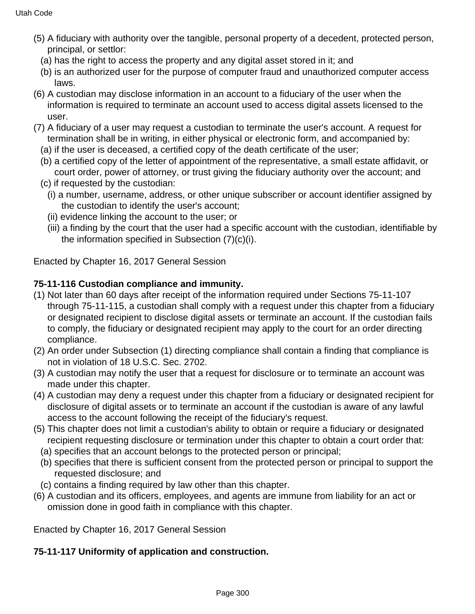- (5) A fiduciary with authority over the tangible, personal property of a decedent, protected person, principal, or settlor:
	- (a) has the right to access the property and any digital asset stored in it; and
	- (b) is an authorized user for the purpose of computer fraud and unauthorized computer access laws.
- (6) A custodian may disclose information in an account to a fiduciary of the user when the information is required to terminate an account used to access digital assets licensed to the user.
- (7) A fiduciary of a user may request a custodian to terminate the user's account. A request for termination shall be in writing, in either physical or electronic form, and accompanied by:
	- (a) if the user is deceased, a certified copy of the death certificate of the user;
	- (b) a certified copy of the letter of appointment of the representative, a small estate affidavit, or court order, power of attorney, or trust giving the fiduciary authority over the account; and
	- (c) if requested by the custodian:
		- (i) a number, username, address, or other unique subscriber or account identifier assigned by the custodian to identify the user's account;
		- (ii) evidence linking the account to the user; or
		- (iii) a finding by the court that the user had a specific account with the custodian, identifiable by the information specified in Subsection (7)(c)(i).

# **75-11-116 Custodian compliance and immunity.**

- (1) Not later than 60 days after receipt of the information required under Sections 75-11-107 through 75-11-115, a custodian shall comply with a request under this chapter from a fiduciary or designated recipient to disclose digital assets or terminate an account. If the custodian fails to comply, the fiduciary or designated recipient may apply to the court for an order directing compliance.
- (2) An order under Subsection (1) directing compliance shall contain a finding that compliance is not in violation of 18 U.S.C. Sec. 2702.
- (3) A custodian may notify the user that a request for disclosure or to terminate an account was made under this chapter.
- (4) A custodian may deny a request under this chapter from a fiduciary or designated recipient for disclosure of digital assets or to terminate an account if the custodian is aware of any lawful access to the account following the receipt of the fiduciary's request.
- (5) This chapter does not limit a custodian's ability to obtain or require a fiduciary or designated recipient requesting disclosure or termination under this chapter to obtain a court order that:
	- (a) specifies that an account belongs to the protected person or principal;
	- (b) specifies that there is sufficient consent from the protected person or principal to support the requested disclosure; and
	- (c) contains a finding required by law other than this chapter.
- (6) A custodian and its officers, employees, and agents are immune from liability for an act or omission done in good faith in compliance with this chapter.

Enacted by Chapter 16, 2017 General Session

# **75-11-117 Uniformity of application and construction.**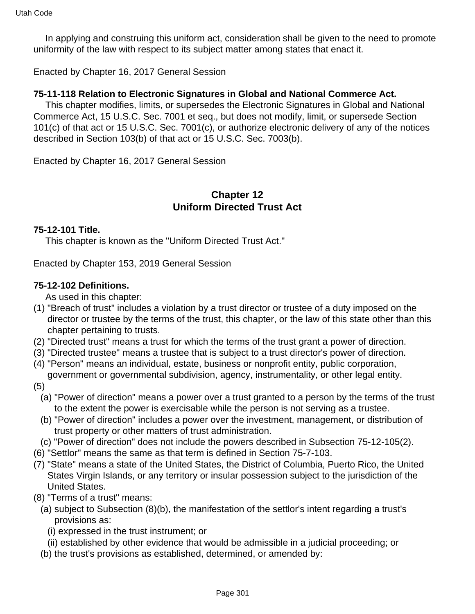In applying and construing this uniform act, consideration shall be given to the need to promote uniformity of the law with respect to its subject matter among states that enact it.

Enacted by Chapter 16, 2017 General Session

#### **75-11-118 Relation to Electronic Signatures in Global and National Commerce Act.**

 This chapter modifies, limits, or supersedes the Electronic Signatures in Global and National Commerce Act, 15 U.S.C. Sec. 7001 et seq., but does not modify, limit, or supersede Section 101(c) of that act or 15 U.S.C. Sec. 7001(c), or authorize electronic delivery of any of the notices described in Section 103(b) of that act or 15 U.S.C. Sec. 7003(b).

Enacted by Chapter 16, 2017 General Session

# **Chapter 12 Uniform Directed Trust Act**

#### **75-12-101 Title.**

This chapter is known as the "Uniform Directed Trust Act."

Enacted by Chapter 153, 2019 General Session

#### **75-12-102 Definitions.**

As used in this chapter:

- (1) "Breach of trust" includes a violation by a trust director or trustee of a duty imposed on the director or trustee by the terms of the trust, this chapter, or the law of this state other than this chapter pertaining to trusts.
- (2) "Directed trust" means a trust for which the terms of the trust grant a power of direction.
- (3) "Directed trustee" means a trustee that is subject to a trust director's power of direction.
- (4) "Person" means an individual, estate, business or nonprofit entity, public corporation, government or governmental subdivision, agency, instrumentality, or other legal entity.
- (5)
	- (a) "Power of direction" means a power over a trust granted to a person by the terms of the trust to the extent the power is exercisable while the person is not serving as a trustee.
	- (b) "Power of direction" includes a power over the investment, management, or distribution of trust property or other matters of trust administration.
- (c) "Power of direction" does not include the powers described in Subsection 75-12-105(2).
- (6) "Settlor" means the same as that term is defined in Section 75-7-103.
- (7) "State" means a state of the United States, the District of Columbia, Puerto Rico, the United States Virgin Islands, or any territory or insular possession subject to the jurisdiction of the United States.
- (8) "Terms of a trust" means:
	- (a) subject to Subsection (8)(b), the manifestation of the settlor's intent regarding a trust's provisions as:
		- (i) expressed in the trust instrument; or
	- (ii) established by other evidence that would be admissible in a judicial proceeding; or
	- (b) the trust's provisions as established, determined, or amended by: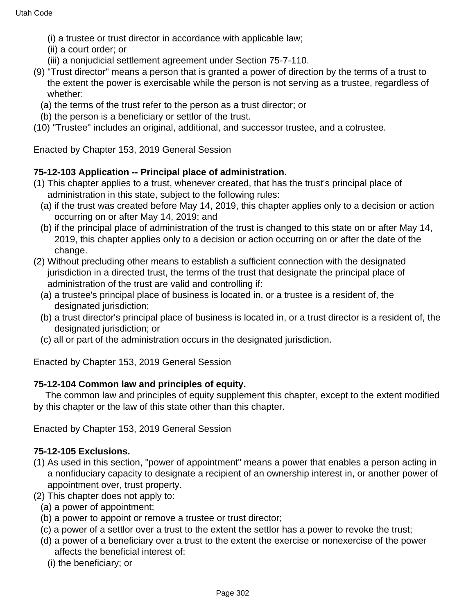- (i) a trustee or trust director in accordance with applicable law;
- (ii) a court order; or
- (iii) a nonjudicial settlement agreement under Section 75-7-110.
- (9) "Trust director" means a person that is granted a power of direction by the terms of a trust to the extent the power is exercisable while the person is not serving as a trustee, regardless of whether:
	- (a) the terms of the trust refer to the person as a trust director; or
	- (b) the person is a beneficiary or settlor of the trust.
- (10) "Trustee" includes an original, additional, and successor trustee, and a cotrustee.

# **75-12-103 Application -- Principal place of administration.**

- (1) This chapter applies to a trust, whenever created, that has the trust's principal place of administration in this state, subject to the following rules:
	- (a) if the trust was created before May 14, 2019, this chapter applies only to a decision or action occurring on or after May 14, 2019; and
	- (b) if the principal place of administration of the trust is changed to this state on or after May 14, 2019, this chapter applies only to a decision or action occurring on or after the date of the change.
- (2) Without precluding other means to establish a sufficient connection with the designated jurisdiction in a directed trust, the terms of the trust that designate the principal place of administration of the trust are valid and controlling if:
	- (a) a trustee's principal place of business is located in, or a trustee is a resident of, the designated jurisdiction;
	- (b) a trust director's principal place of business is located in, or a trust director is a resident of, the designated jurisdiction; or
	- (c) all or part of the administration occurs in the designated jurisdiction.

Enacted by Chapter 153, 2019 General Session

# **75-12-104 Common law and principles of equity.**

 The common law and principles of equity supplement this chapter, except to the extent modified by this chapter or the law of this state other than this chapter.

Enacted by Chapter 153, 2019 General Session

# **75-12-105 Exclusions.**

- (1) As used in this section, "power of appointment" means a power that enables a person acting in a nonfiduciary capacity to designate a recipient of an ownership interest in, or another power of appointment over, trust property.
- (2) This chapter does not apply to:
	- (a) a power of appointment;
	- (b) a power to appoint or remove a trustee or trust director;
	- (c) a power of a settlor over a trust to the extent the settlor has a power to revoke the trust;
	- (d) a power of a beneficiary over a trust to the extent the exercise or nonexercise of the power affects the beneficial interest of:
		- (i) the beneficiary; or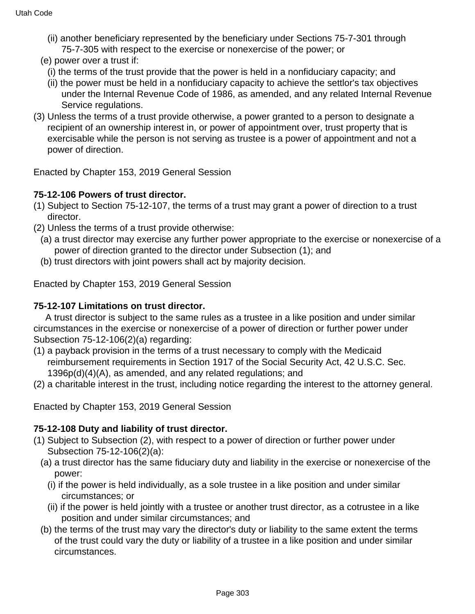- (ii) another beneficiary represented by the beneficiary under Sections 75-7-301 through 75-7-305 with respect to the exercise or nonexercise of the power; or
- (e) power over a trust if:
- (i) the terms of the trust provide that the power is held in a nonfiduciary capacity; and
- (ii) the power must be held in a nonfiduciary capacity to achieve the settlor's tax objectives under the Internal Revenue Code of 1986, as amended, and any related Internal Revenue Service regulations.
- (3) Unless the terms of a trust provide otherwise, a power granted to a person to designate a recipient of an ownership interest in, or power of appointment over, trust property that is exercisable while the person is not serving as trustee is a power of appointment and not a power of direction.

### **75-12-106 Powers of trust director.**

- (1) Subject to Section 75-12-107, the terms of a trust may grant a power of direction to a trust director.
- (2) Unless the terms of a trust provide otherwise:
	- (a) a trust director may exercise any further power appropriate to the exercise or nonexercise of a power of direction granted to the director under Subsection (1); and
	- (b) trust directors with joint powers shall act by majority decision.

Enacted by Chapter 153, 2019 General Session

#### **75-12-107 Limitations on trust director.**

 A trust director is subject to the same rules as a trustee in a like position and under similar circumstances in the exercise or nonexercise of a power of direction or further power under Subsection 75-12-106(2)(a) regarding:

- (1) a payback provision in the terms of a trust necessary to comply with the Medicaid reimbursement requirements in Section 1917 of the Social Security Act, 42 U.S.C. Sec. 1396p(d)(4)(A), as amended, and any related regulations; and
- (2) a charitable interest in the trust, including notice regarding the interest to the attorney general.

Enacted by Chapter 153, 2019 General Session

#### **75-12-108 Duty and liability of trust director.**

- (1) Subject to Subsection (2), with respect to a power of direction or further power under Subsection 75-12-106(2)(a):
	- (a) a trust director has the same fiduciary duty and liability in the exercise or nonexercise of the power:
		- (i) if the power is held individually, as a sole trustee in a like position and under similar circumstances; or
		- (ii) if the power is held jointly with a trustee or another trust director, as a cotrustee in a like position and under similar circumstances; and
	- (b) the terms of the trust may vary the director's duty or liability to the same extent the terms of the trust could vary the duty or liability of a trustee in a like position and under similar circumstances.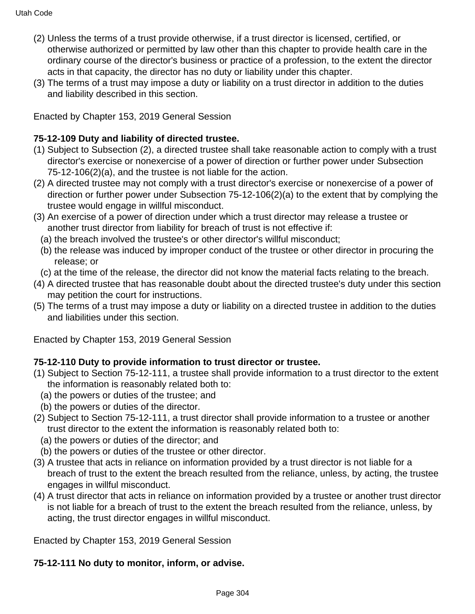- (2) Unless the terms of a trust provide otherwise, if a trust director is licensed, certified, or otherwise authorized or permitted by law other than this chapter to provide health care in the ordinary course of the director's business or practice of a profession, to the extent the director acts in that capacity, the director has no duty or liability under this chapter.
- (3) The terms of a trust may impose a duty or liability on a trust director in addition to the duties and liability described in this section.

# **75-12-109 Duty and liability of directed trustee.**

- (1) Subject to Subsection (2), a directed trustee shall take reasonable action to comply with a trust director's exercise or nonexercise of a power of direction or further power under Subsection 75-12-106(2)(a), and the trustee is not liable for the action.
- (2) A directed trustee may not comply with a trust director's exercise or nonexercise of a power of direction or further power under Subsection 75-12-106(2)(a) to the extent that by complying the trustee would engage in willful misconduct.
- (3) An exercise of a power of direction under which a trust director may release a trustee or another trust director from liability for breach of trust is not effective if:
	- (a) the breach involved the trustee's or other director's willful misconduct;
	- (b) the release was induced by improper conduct of the trustee or other director in procuring the release; or
	- (c) at the time of the release, the director did not know the material facts relating to the breach.
- (4) A directed trustee that has reasonable doubt about the directed trustee's duty under this section may petition the court for instructions.
- (5) The terms of a trust may impose a duty or liability on a directed trustee in addition to the duties and liabilities under this section.

Enacted by Chapter 153, 2019 General Session

# **75-12-110 Duty to provide information to trust director or trustee.**

- (1) Subject to Section 75-12-111, a trustee shall provide information to a trust director to the extent the information is reasonably related both to:
	- (a) the powers or duties of the trustee; and
	- (b) the powers or duties of the director.
- (2) Subject to Section 75-12-111, a trust director shall provide information to a trustee or another trust director to the extent the information is reasonably related both to:
	- (a) the powers or duties of the director; and
	- (b) the powers or duties of the trustee or other director.
- (3) A trustee that acts in reliance on information provided by a trust director is not liable for a breach of trust to the extent the breach resulted from the reliance, unless, by acting, the trustee engages in willful misconduct.
- (4) A trust director that acts in reliance on information provided by a trustee or another trust director is not liable for a breach of trust to the extent the breach resulted from the reliance, unless, by acting, the trust director engages in willful misconduct.

Enacted by Chapter 153, 2019 General Session

# **75-12-111 No duty to monitor, inform, or advise.**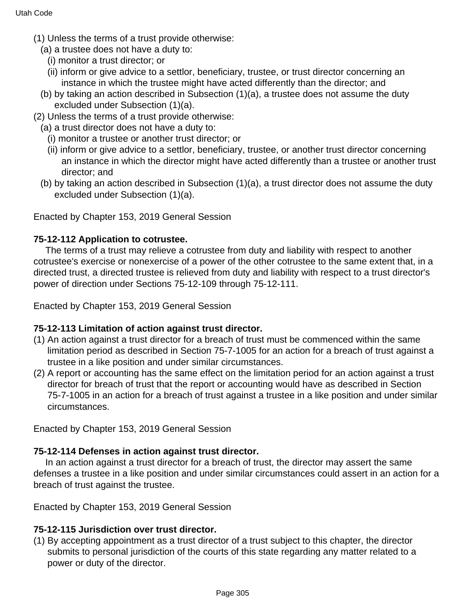- (1) Unless the terms of a trust provide otherwise:
	- (a) a trustee does not have a duty to:
		- (i) monitor a trust director; or
		- (ii) inform or give advice to a settlor, beneficiary, trustee, or trust director concerning an instance in which the trustee might have acted differently than the director; and
	- (b) by taking an action described in Subsection (1)(a), a trustee does not assume the duty excluded under Subsection (1)(a).
- (2) Unless the terms of a trust provide otherwise:
	- (a) a trust director does not have a duty to:
		- (i) monitor a trustee or another trust director; or
		- (ii) inform or give advice to a settlor, beneficiary, trustee, or another trust director concerning an instance in which the director might have acted differently than a trustee or another trust director; and
	- (b) by taking an action described in Subsection (1)(a), a trust director does not assume the duty excluded under Subsection (1)(a).

# **75-12-112 Application to cotrustee.**

 The terms of a trust may relieve a cotrustee from duty and liability with respect to another cotrustee's exercise or nonexercise of a power of the other cotrustee to the same extent that, in a directed trust, a directed trustee is relieved from duty and liability with respect to a trust director's power of direction under Sections 75-12-109 through 75-12-111.

Enacted by Chapter 153, 2019 General Session

# **75-12-113 Limitation of action against trust director.**

- (1) An action against a trust director for a breach of trust must be commenced within the same limitation period as described in Section 75-7-1005 for an action for a breach of trust against a trustee in a like position and under similar circumstances.
- (2) A report or accounting has the same effect on the limitation period for an action against a trust director for breach of trust that the report or accounting would have as described in Section 75-7-1005 in an action for a breach of trust against a trustee in a like position and under similar circumstances.

Enacted by Chapter 153, 2019 General Session

# **75-12-114 Defenses in action against trust director.**

 In an action against a trust director for a breach of trust, the director may assert the same defenses a trustee in a like position and under similar circumstances could assert in an action for a breach of trust against the trustee.

Enacted by Chapter 153, 2019 General Session

# **75-12-115 Jurisdiction over trust director.**

(1) By accepting appointment as a trust director of a trust subject to this chapter, the director submits to personal jurisdiction of the courts of this state regarding any matter related to a power or duty of the director.